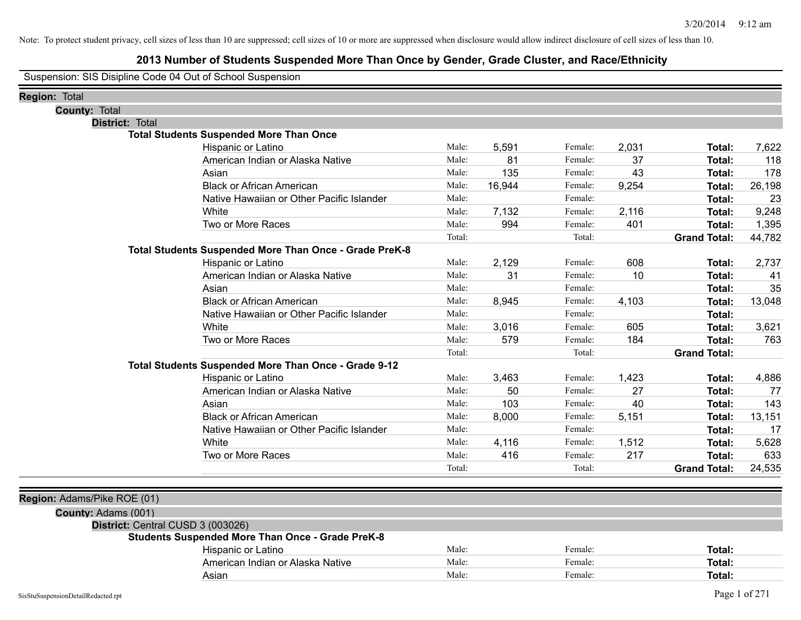### **2013 Number of Students Suspended More Than Once by Gender, Grade Cluster, and Race/Ethnicity**

Suspension: SIS Disipline Code 04 Out of School Suspension

| <b>Region: Total</b>              |                                                         |        |        |         |       |                     |        |
|-----------------------------------|---------------------------------------------------------|--------|--------|---------|-------|---------------------|--------|
| <b>County: Total</b>              |                                                         |        |        |         |       |                     |        |
| District: Total                   |                                                         |        |        |         |       |                     |        |
|                                   | <b>Total Students Suspended More Than Once</b>          |        |        |         |       |                     |        |
|                                   | Hispanic or Latino                                      | Male:  | 5,591  | Female: | 2,031 | Total:              | 7,622  |
|                                   | American Indian or Alaska Native                        | Male:  | 81     | Female: | 37    | Total:              | 118    |
|                                   | Asian                                                   | Male:  | 135    | Female: | 43    | Total:              | 178    |
|                                   | <b>Black or African American</b>                        | Male:  | 16,944 | Female: | 9,254 | Total:              | 26,198 |
|                                   | Native Hawaiian or Other Pacific Islander               | Male:  |        | Female: |       | Total:              | 23     |
|                                   | White                                                   | Male:  | 7,132  | Female: | 2,116 | Total:              | 9,248  |
|                                   | Two or More Races                                       | Male:  | 994    | Female: | 401   | <b>Total:</b>       | 1,395  |
|                                   |                                                         | Total: |        | Total:  |       | <b>Grand Total:</b> | 44,782 |
|                                   | Total Students Suspended More Than Once - Grade PreK-8  |        |        |         |       |                     |        |
|                                   | Hispanic or Latino                                      | Male:  | 2,129  | Female: | 608   | Total:              | 2,737  |
|                                   | American Indian or Alaska Native                        | Male:  | 31     | Female: | 10    | Total:              | 41     |
|                                   | Asian                                                   | Male:  |        | Female: |       | Total:              | 35     |
|                                   | <b>Black or African American</b>                        | Male:  | 8,945  | Female: | 4,103 | Total:              | 13,048 |
|                                   | Native Hawaiian or Other Pacific Islander               | Male:  |        | Female: |       | Total:              |        |
|                                   | White                                                   | Male:  | 3,016  | Female: | 605   | Total:              | 3,621  |
|                                   | Two or More Races                                       | Male:  | 579    | Female: | 184   | <b>Total:</b>       | 763    |
|                                   |                                                         | Total: |        | Total:  |       | <b>Grand Total:</b> |        |
|                                   | Total Students Suspended More Than Once - Grade 9-12    |        |        |         |       |                     |        |
|                                   | Hispanic or Latino                                      | Male:  | 3,463  | Female: | 1,423 | Total:              | 4,886  |
|                                   | American Indian or Alaska Native                        | Male:  | 50     | Female: | 27    | Total:              | 77     |
|                                   | Asian                                                   | Male:  | 103    | Female: | 40    | Total:              | 143    |
|                                   | <b>Black or African American</b>                        | Male:  | 8,000  | Female: | 5,151 | Total:              | 13,151 |
|                                   | Native Hawaiian or Other Pacific Islander               | Male:  |        | Female: |       | Total:              | 17     |
|                                   | White                                                   | Male:  | 4,116  | Female: | 1,512 | Total:              | 5,628  |
|                                   | Two or More Races                                       | Male:  | 416    | Female: | 217   | Total:              | 633    |
|                                   |                                                         | Total: |        | Total:  |       | <b>Grand Total:</b> | 24,535 |
| Region: Adams/Pike ROE (01)       |                                                         |        |        |         |       |                     |        |
| County: Adams (001)               |                                                         |        |        |         |       |                     |        |
| District: Central CUSD 3 (003026) |                                                         |        |        |         |       |                     |        |
|                                   | <b>Students Suspended More Than Once - Grade PreK-8</b> |        |        |         |       |                     |        |
|                                   | Hispanic or Latino                                      | Male:  |        | Female: |       | Total:              |        |
|                                   | American Indian or Alaska Native                        | Male:  |        | Female: |       | Total:              |        |
|                                   | Asian                                                   | Male:  |        | Female: |       | Total:              |        |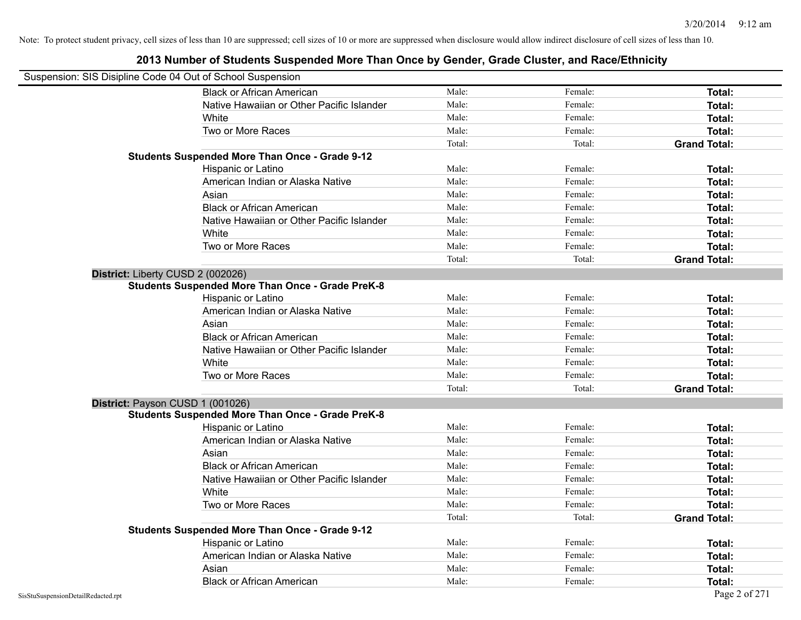| Suspension: SIS Disipline Code 04 Out of School Suspension |                                                         |        |         |                     |
|------------------------------------------------------------|---------------------------------------------------------|--------|---------|---------------------|
|                                                            | <b>Black or African American</b>                        | Male:  | Female: | Total:              |
|                                                            | Native Hawaiian or Other Pacific Islander               | Male:  | Female: | Total:              |
|                                                            | White                                                   | Male:  | Female: | Total:              |
|                                                            | Two or More Races                                       | Male:  | Female: | Total:              |
|                                                            |                                                         | Total: | Total:  | <b>Grand Total:</b> |
|                                                            | <b>Students Suspended More Than Once - Grade 9-12</b>   |        |         |                     |
|                                                            | Hispanic or Latino                                      | Male:  | Female: | Total:              |
|                                                            | American Indian or Alaska Native                        | Male:  | Female: | Total:              |
|                                                            | Asian                                                   | Male:  | Female: | Total:              |
|                                                            | <b>Black or African American</b>                        | Male:  | Female: | Total:              |
|                                                            | Native Hawaiian or Other Pacific Islander               | Male:  | Female: | Total:              |
|                                                            | White                                                   | Male:  | Female: | Total:              |
|                                                            | Two or More Races                                       | Male:  | Female: | Total:              |
|                                                            |                                                         | Total: | Total:  | <b>Grand Total:</b> |
| District: Liberty CUSD 2 (002026)                          |                                                         |        |         |                     |
|                                                            | <b>Students Suspended More Than Once - Grade PreK-8</b> |        |         |                     |
|                                                            | Hispanic or Latino                                      | Male:  | Female: | Total:              |
|                                                            | American Indian or Alaska Native                        | Male:  | Female: | Total:              |
|                                                            | Asian                                                   | Male:  | Female: | Total:              |
|                                                            | <b>Black or African American</b>                        | Male:  | Female: | Total:              |
|                                                            | Native Hawaiian or Other Pacific Islander               | Male:  | Female: | Total:              |
|                                                            | White                                                   | Male:  | Female: | Total:              |
|                                                            | Two or More Races                                       | Male:  | Female: | Total:              |
|                                                            |                                                         | Total: | Total:  | <b>Grand Total:</b> |
| District: Payson CUSD 1 (001026)                           |                                                         |        |         |                     |
|                                                            | <b>Students Suspended More Than Once - Grade PreK-8</b> |        |         |                     |
|                                                            | Hispanic or Latino                                      | Male:  | Female: | Total:              |
|                                                            | American Indian or Alaska Native                        | Male:  | Female: | Total:              |
|                                                            | Asian                                                   | Male:  | Female: | Total:              |
|                                                            | <b>Black or African American</b>                        | Male:  | Female: | Total:              |
|                                                            | Native Hawaiian or Other Pacific Islander               | Male:  | Female: | Total:              |
|                                                            | White                                                   | Male:  | Female: | Total:              |
|                                                            | Two or More Races                                       | Male:  | Female: | Total:              |
|                                                            |                                                         | Total: | Total:  | <b>Grand Total:</b> |
|                                                            | <b>Students Suspended More Than Once - Grade 9-12</b>   |        |         |                     |
|                                                            | Hispanic or Latino                                      | Male:  | Female: | Total:              |
|                                                            | American Indian or Alaska Native                        | Male:  | Female: | Total:              |
|                                                            | Asian                                                   | Male:  | Female: | Total:              |
|                                                            | <b>Black or African American</b>                        | Male:  | Female: | Total:              |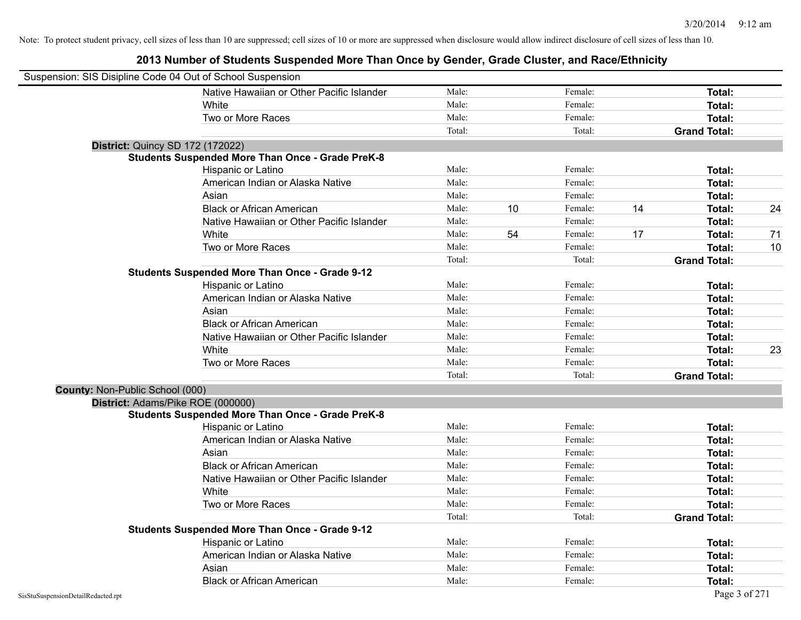|                                 | Suspension: SIS Disipline Code 04 Out of School Suspension |        |    |         |    |                     |    |
|---------------------------------|------------------------------------------------------------|--------|----|---------|----|---------------------|----|
|                                 | Native Hawaiian or Other Pacific Islander                  | Male:  |    | Female: |    | Total:              |    |
|                                 | White                                                      | Male:  |    | Female: |    | <b>Total:</b>       |    |
|                                 | Two or More Races                                          | Male:  |    | Female: |    | <b>Total:</b>       |    |
|                                 |                                                            | Total: |    | Total:  |    | <b>Grand Total:</b> |    |
|                                 | District: Quincy SD 172 (172022)                           |        |    |         |    |                     |    |
|                                 | <b>Students Suspended More Than Once - Grade PreK-8</b>    |        |    |         |    |                     |    |
|                                 | Hispanic or Latino                                         | Male:  |    | Female: |    | Total:              |    |
|                                 | American Indian or Alaska Native                           | Male:  |    | Female: |    | <b>Total:</b>       |    |
|                                 | Asian                                                      | Male:  |    | Female: |    | Total:              |    |
|                                 | <b>Black or African American</b>                           | Male:  | 10 | Female: | 14 | Total:              | 24 |
|                                 | Native Hawaiian or Other Pacific Islander                  | Male:  |    | Female: |    | <b>Total:</b>       |    |
|                                 | White                                                      | Male:  | 54 | Female: | 17 | <b>Total:</b>       | 71 |
|                                 | Two or More Races                                          | Male:  |    | Female: |    | <b>Total:</b>       | 10 |
|                                 |                                                            | Total: |    | Total:  |    | <b>Grand Total:</b> |    |
|                                 | <b>Students Suspended More Than Once - Grade 9-12</b>      |        |    |         |    |                     |    |
|                                 | Hispanic or Latino                                         | Male:  |    | Female: |    | Total:              |    |
|                                 | American Indian or Alaska Native                           | Male:  |    | Female: |    | Total:              |    |
|                                 | Asian                                                      | Male:  |    | Female: |    | Total:              |    |
|                                 | <b>Black or African American</b>                           | Male:  |    | Female: |    | Total:              |    |
|                                 | Native Hawaiian or Other Pacific Islander                  | Male:  |    | Female: |    | <b>Total:</b>       |    |
|                                 | White                                                      | Male:  |    | Female: |    | Total:              | 23 |
|                                 | Two or More Races                                          | Male:  |    | Female: |    | Total:              |    |
|                                 |                                                            | Total: |    | Total:  |    | <b>Grand Total:</b> |    |
| County: Non-Public School (000) |                                                            |        |    |         |    |                     |    |
|                                 | District: Adams/Pike ROE (000000)                          |        |    |         |    |                     |    |
|                                 | <b>Students Suspended More Than Once - Grade PreK-8</b>    |        |    |         |    |                     |    |
|                                 | Hispanic or Latino                                         | Male:  |    | Female: |    | Total:              |    |
|                                 | American Indian or Alaska Native                           | Male:  |    | Female: |    | Total:              |    |
|                                 | Asian                                                      | Male:  |    | Female: |    | Total:              |    |
|                                 | <b>Black or African American</b>                           | Male:  |    | Female: |    | <b>Total:</b>       |    |
|                                 | Native Hawaiian or Other Pacific Islander                  | Male:  |    | Female: |    | <b>Total:</b>       |    |
|                                 | White                                                      | Male:  |    | Female: |    | <b>Total:</b>       |    |
|                                 | Two or More Races                                          | Male:  |    | Female: |    | <b>Total:</b>       |    |
|                                 |                                                            | Total: |    | Total:  |    | <b>Grand Total:</b> |    |
|                                 | <b>Students Suspended More Than Once - Grade 9-12</b>      |        |    |         |    |                     |    |
|                                 | Hispanic or Latino                                         | Male:  |    | Female: |    | Total:              |    |
|                                 | American Indian or Alaska Native                           | Male:  |    | Female: |    | <b>Total:</b>       |    |
|                                 | Asian                                                      | Male:  |    | Female: |    | <b>Total:</b>       |    |
|                                 | <b>Black or African American</b>                           | Male:  |    | Female: |    | Total:              |    |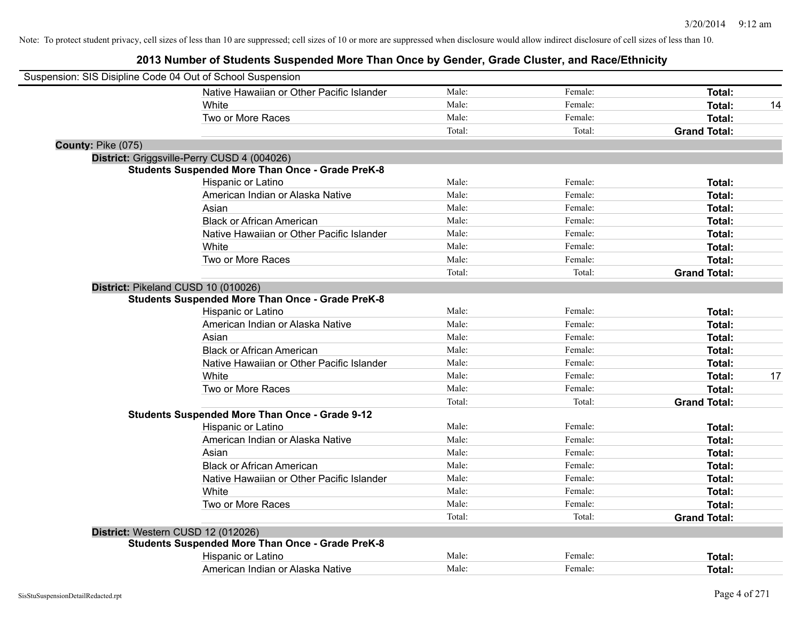| Suspension: SIS Disipline Code 04 Out of School Suspension |                                                         |        |         |                     |
|------------------------------------------------------------|---------------------------------------------------------|--------|---------|---------------------|
|                                                            | Native Hawaiian or Other Pacific Islander               | Male:  | Female: | Total:              |
|                                                            | <b>White</b>                                            | Male:  | Female: | Total:<br>14        |
|                                                            | Two or More Races                                       | Male:  | Female: | Total:              |
|                                                            |                                                         | Total: | Total:  | <b>Grand Total:</b> |
| County: Pike (075)                                         |                                                         |        |         |                     |
|                                                            | District: Griggsville-Perry CUSD 4 (004026)             |        |         |                     |
|                                                            | <b>Students Suspended More Than Once - Grade PreK-8</b> |        |         |                     |
|                                                            | Hispanic or Latino                                      | Male:  | Female: | Total:              |
|                                                            | American Indian or Alaska Native                        | Male:  | Female: | Total:              |
|                                                            | Asian                                                   | Male:  | Female: | Total:              |
|                                                            | <b>Black or African American</b>                        | Male:  | Female: | Total:              |
|                                                            | Native Hawaiian or Other Pacific Islander               | Male:  | Female: | Total:              |
|                                                            | White                                                   | Male:  | Female: | Total:              |
|                                                            | Two or More Races                                       | Male:  | Female: | Total:              |
|                                                            |                                                         | Total: | Total:  | <b>Grand Total:</b> |
|                                                            | District: Pikeland CUSD 10 (010026)                     |        |         |                     |
|                                                            | <b>Students Suspended More Than Once - Grade PreK-8</b> |        |         |                     |
|                                                            | Hispanic or Latino                                      | Male:  | Female: | Total:              |
|                                                            | American Indian or Alaska Native                        | Male:  | Female: | Total:              |
|                                                            | Asian                                                   | Male:  | Female: | Total:              |
|                                                            | <b>Black or African American</b>                        | Male:  | Female: | Total:              |
|                                                            | Native Hawaiian or Other Pacific Islander               | Male:  | Female: | Total:              |
|                                                            | White                                                   | Male:  | Female: | 17<br>Total:        |
|                                                            | Two or More Races                                       | Male:  | Female: | Total:              |
|                                                            |                                                         | Total: | Total:  | <b>Grand Total:</b> |
|                                                            | <b>Students Suspended More Than Once - Grade 9-12</b>   |        |         |                     |
|                                                            | Hispanic or Latino                                      | Male:  | Female: | Total:              |
|                                                            | American Indian or Alaska Native                        | Male:  | Female: | Total:              |
|                                                            | Asian                                                   | Male:  | Female: | Total:              |
|                                                            | <b>Black or African American</b>                        | Male:  | Female: | Total:              |
|                                                            | Native Hawaiian or Other Pacific Islander               | Male:  | Female: | Total:              |
|                                                            | White                                                   | Male:  | Female: | Total:              |
|                                                            | Two or More Races                                       | Male:  | Female: | Total:              |
|                                                            |                                                         | Total: | Total:  | <b>Grand Total:</b> |
|                                                            | District: Western CUSD 12 (012026)                      |        |         |                     |
|                                                            | <b>Students Suspended More Than Once - Grade PreK-8</b> |        |         |                     |
|                                                            | Hispanic or Latino                                      | Male:  | Female: | Total:              |
|                                                            | American Indian or Alaska Native                        | Male:  | Female: | Total:              |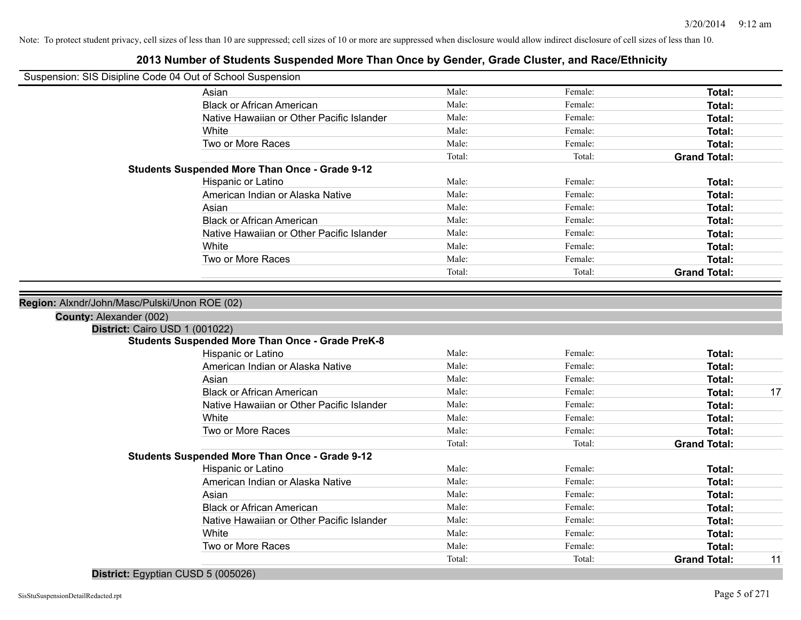Note: To protect student privacy, cell sizes of less than 10 are suppressed; cell sizes of 10 or more are suppressed when disclosure would allow indirect disclosure of cell sizes of less than 10.

#### **2013 Number of Students Suspended More Than Once by Gender, Grade Cluster, and Race/Ethnicity**

| Suspension: SIS Disipline Code 04 Out of School Suspension |                                                         |        |         |                     |
|------------------------------------------------------------|---------------------------------------------------------|--------|---------|---------------------|
|                                                            | Asian                                                   | Male:  | Female: | <b>Total:</b>       |
|                                                            | <b>Black or African American</b>                        | Male:  | Female: | Total:              |
|                                                            | Native Hawaiian or Other Pacific Islander               | Male:  | Female: | Total:              |
|                                                            | White                                                   | Male:  | Female: | Total:              |
|                                                            | Two or More Races                                       | Male:  | Female: | Total:              |
|                                                            |                                                         | Total: | Total:  | <b>Grand Total:</b> |
|                                                            | <b>Students Suspended More Than Once - Grade 9-12</b>   |        |         |                     |
|                                                            | Hispanic or Latino                                      | Male:  | Female: | Total:              |
|                                                            | American Indian or Alaska Native                        | Male:  | Female: | Total:              |
|                                                            | Asian                                                   | Male:  | Female: | Total:              |
|                                                            | <b>Black or African American</b>                        | Male:  | Female: | Total:              |
|                                                            | Native Hawaiian or Other Pacific Islander               | Male:  | Female: | Total:              |
|                                                            | White                                                   | Male:  | Female: | Total:              |
|                                                            | Two or More Races                                       | Male:  | Female: | Total:              |
|                                                            |                                                         | Total: | Total:  | <b>Grand Total:</b> |
| County: Alexander (002)<br>District: Cairo USD 1 (001022)  | <b>Students Suspended More Than Once - Grade PreK-8</b> |        |         |                     |
|                                                            | Hispanic or Latino                                      | Male:  | Female: | Total:              |
|                                                            | American Indian or Alaska Native                        | Male:  | Female: | Total:              |
|                                                            | Asian                                                   | Male:  | Female: | Total:              |
|                                                            | <b>Black or African American</b>                        | Male:  | Female: | Total:<br>17        |
|                                                            | Native Hawaiian or Other Pacific Islander               | Male:  | Female: | Total:              |
|                                                            | White                                                   | Male:  | Female: | Total:              |
|                                                            | Two or More Races                                       | Male:  | Female: | Total:              |
|                                                            |                                                         | Total: | Total:  | <b>Grand Total:</b> |
|                                                            | <b>Students Suspended More Than Once - Grade 9-12</b>   |        |         |                     |
|                                                            | Hispanic or Latino                                      | Male:  | Female: | Total:              |
|                                                            | American Indian or Alaska Native                        | Male:  | Female: | Total:              |
|                                                            | Asian                                                   | Male:  | Female: | Total:              |
|                                                            | <b>Black or African American</b>                        | Male:  | Female: | Total:              |
|                                                            | Native Hawaiian or Other Pacific Islander               | Male:  | Female: | Total:              |
|                                                            | White                                                   | Male:  | Female: | Total:              |
|                                                            | Two or More Races                                       | Male:  | Female: | Total:              |

**District:** Egyptian CUSD 5 (005026)

Total: Total: Total: Total: **Grand Total:** 11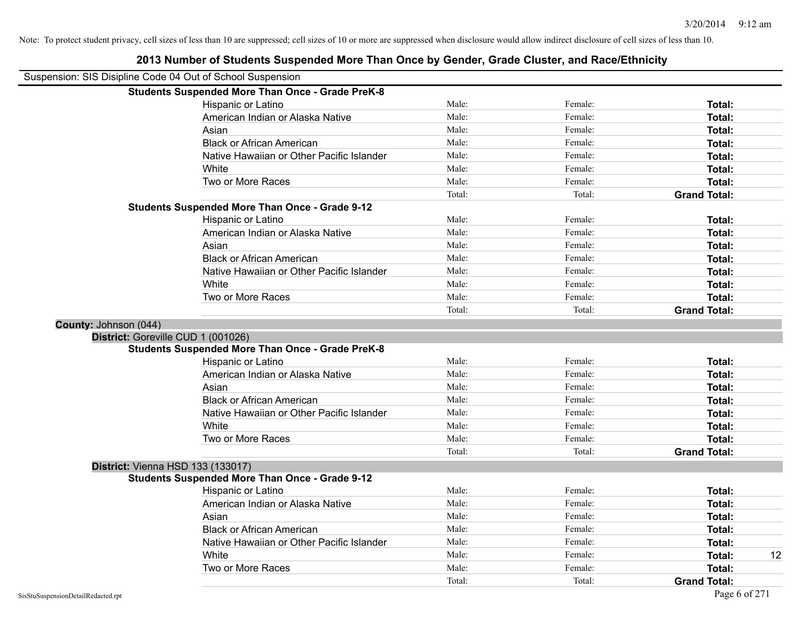|                       | Suspension: SIS Disipline Code 04 Out of School Suspension |        |         |                     |
|-----------------------|------------------------------------------------------------|--------|---------|---------------------|
|                       | <b>Students Suspended More Than Once - Grade PreK-8</b>    |        |         |                     |
|                       | Hispanic or Latino                                         | Male:  | Female: | Total:              |
|                       | American Indian or Alaska Native                           | Male:  | Female: | Total:              |
|                       | Asian                                                      | Male:  | Female: | Total:              |
|                       | <b>Black or African American</b>                           | Male:  | Female: | Total:              |
|                       | Native Hawaiian or Other Pacific Islander                  | Male:  | Female: | Total:              |
|                       | White                                                      | Male:  | Female: | Total:              |
|                       | Two or More Races                                          | Male:  | Female: | Total:              |
|                       |                                                            | Total: | Total:  | <b>Grand Total:</b> |
|                       | <b>Students Suspended More Than Once - Grade 9-12</b>      |        |         |                     |
|                       | Hispanic or Latino                                         | Male:  | Female: | Total:              |
|                       | American Indian or Alaska Native                           | Male:  | Female: | Total:              |
|                       | Asian                                                      | Male:  | Female: | Total:              |
|                       | <b>Black or African American</b>                           | Male:  | Female: | Total:              |
|                       | Native Hawaiian or Other Pacific Islander                  | Male:  | Female: | Total:              |
|                       | White                                                      | Male:  | Female: | Total:              |
|                       | Two or More Races                                          | Male:  | Female: | Total:              |
|                       |                                                            | Total: | Total:  | <b>Grand Total:</b> |
| County: Johnson (044) |                                                            |        |         |                     |
|                       | District: Goreville CUD 1 (001026)                         |        |         |                     |
|                       | <b>Students Suspended More Than Once - Grade PreK-8</b>    |        |         |                     |
|                       | Hispanic or Latino                                         | Male:  | Female: | Total:              |
|                       | American Indian or Alaska Native                           | Male:  | Female: | Total:              |
|                       | Asian                                                      | Male:  | Female: | Total:              |
|                       | <b>Black or African American</b>                           | Male:  | Female: | Total:              |
|                       | Native Hawaiian or Other Pacific Islander                  | Male:  | Female: | Total:              |
|                       | White                                                      | Male:  | Female: | Total:              |
|                       | Two or More Races                                          | Male:  | Female: | Total:              |
|                       |                                                            | Total: | Total:  | <b>Grand Total:</b> |
|                       | District: Vienna HSD 133 (133017)                          |        |         |                     |
|                       | <b>Students Suspended More Than Once - Grade 9-12</b>      |        |         |                     |
|                       | Hispanic or Latino                                         | Male:  | Female: | Total:              |
|                       | American Indian or Alaska Native                           | Male:  | Female: | Total:              |
|                       | Asian                                                      | Male:  | Female: | Total:              |
|                       | <b>Black or African American</b>                           | Male:  | Female: | Total:              |
|                       | Native Hawaiian or Other Pacific Islander                  | Male:  | Female: | Total:              |
|                       | White                                                      | Male:  | Female: | 12<br>Total:        |
|                       | Two or More Races                                          | Male:  | Female: | Total:              |
|                       |                                                            | Total: | Total:  | <b>Grand Total:</b> |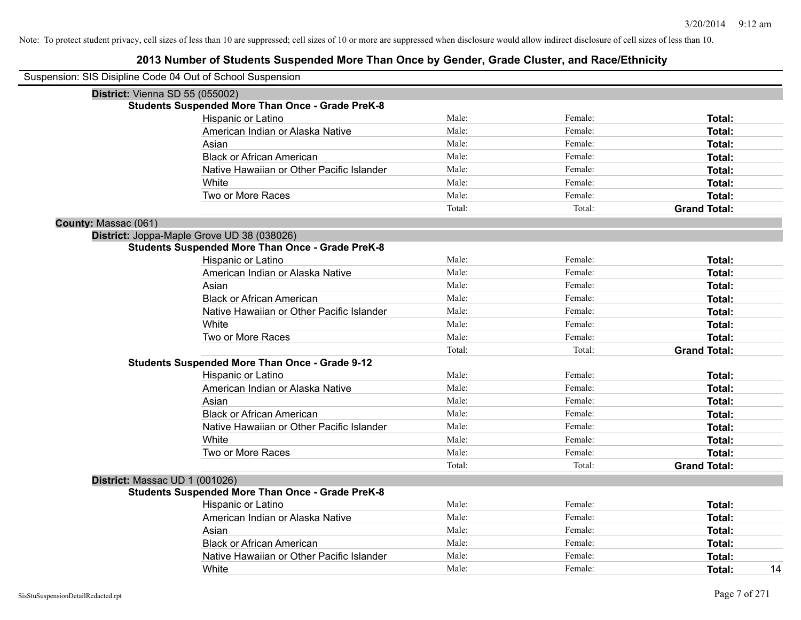|                      | Suspension: SIS Disipline Code 04 Out of School Suspension |        |         |                     |
|----------------------|------------------------------------------------------------|--------|---------|---------------------|
|                      | District: Vienna SD 55 (055002)                            |        |         |                     |
|                      | <b>Students Suspended More Than Once - Grade PreK-8</b>    |        |         |                     |
|                      | Hispanic or Latino                                         | Male:  | Female: | Total:              |
|                      | American Indian or Alaska Native                           | Male:  | Female: | Total:              |
|                      | Asian                                                      | Male:  | Female: | Total:              |
|                      | <b>Black or African American</b>                           | Male:  | Female: | Total:              |
|                      | Native Hawaiian or Other Pacific Islander                  | Male:  | Female: | Total:              |
|                      | White                                                      | Male:  | Female: | Total:              |
|                      | Two or More Races                                          | Male:  | Female: | Total:              |
|                      |                                                            | Total: | Total:  | <b>Grand Total:</b> |
| County: Massac (061) |                                                            |        |         |                     |
|                      | District: Joppa-Maple Grove UD 38 (038026)                 |        |         |                     |
|                      | <b>Students Suspended More Than Once - Grade PreK-8</b>    |        |         |                     |
|                      | Hispanic or Latino                                         | Male:  | Female: | Total:              |
|                      | American Indian or Alaska Native                           | Male:  | Female: | Total:              |
|                      | Asian                                                      | Male:  | Female: | Total:              |
|                      | <b>Black or African American</b>                           | Male:  | Female: | Total:              |
|                      | Native Hawaiian or Other Pacific Islander                  | Male:  | Female: | Total:              |
|                      | White                                                      | Male:  | Female: | Total:              |
|                      | Two or More Races                                          | Male:  | Female: | Total:              |
|                      |                                                            | Total: | Total:  | <b>Grand Total:</b> |
|                      | <b>Students Suspended More Than Once - Grade 9-12</b>      |        |         |                     |
|                      | Hispanic or Latino                                         | Male:  | Female: | Total:              |
|                      | American Indian or Alaska Native                           | Male:  | Female: | Total:              |
|                      | Asian                                                      | Male:  | Female: | Total:              |
|                      | <b>Black or African American</b>                           | Male:  | Female: | Total:              |
|                      | Native Hawaiian or Other Pacific Islander                  | Male:  | Female: | Total:              |
|                      | White                                                      | Male:  | Female: | Total:              |
|                      | Two or More Races                                          | Male:  | Female: | Total:              |
|                      |                                                            | Total: | Total:  | <b>Grand Total:</b> |
|                      | District: Massac UD 1 (001026)                             |        |         |                     |
|                      | <b>Students Suspended More Than Once - Grade PreK-8</b>    |        |         |                     |
|                      | Hispanic or Latino                                         | Male:  | Female: | Total:              |
|                      | American Indian or Alaska Native                           | Male:  | Female: | Total:              |
|                      | Asian                                                      | Male:  | Female: | Total:              |
|                      | <b>Black or African American</b>                           | Male:  | Female: | Total:              |
|                      | Native Hawaiian or Other Pacific Islander                  | Male:  | Female: | Total:              |
|                      | White                                                      | Male:  | Female: | 14<br>Total:        |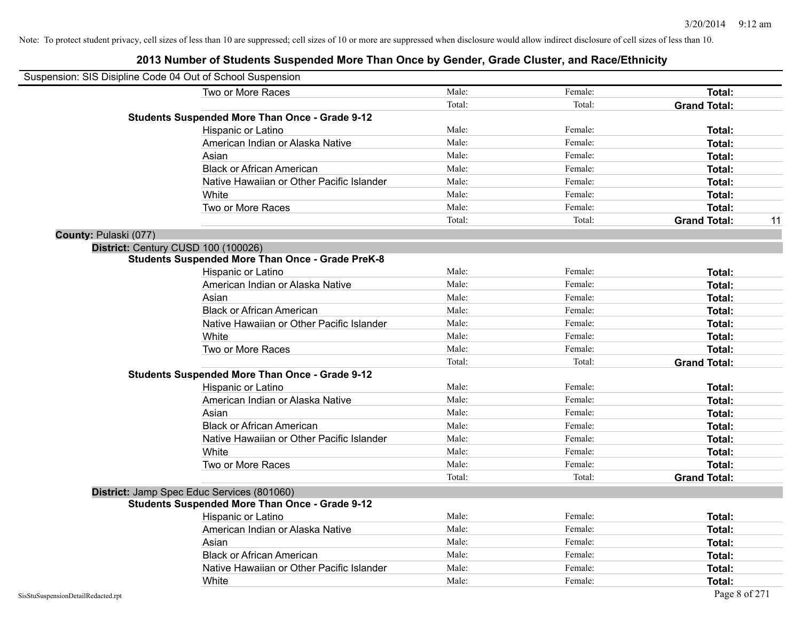|                       | Suspension: SIS Disipline Code 04 Out of School Suspension |        |         |                     |    |
|-----------------------|------------------------------------------------------------|--------|---------|---------------------|----|
|                       | Two or More Races                                          | Male:  | Female: | Total:              |    |
|                       |                                                            | Total: | Total:  | <b>Grand Total:</b> |    |
|                       | <b>Students Suspended More Than Once - Grade 9-12</b>      |        |         |                     |    |
|                       | Hispanic or Latino                                         | Male:  | Female: | Total:              |    |
|                       | American Indian or Alaska Native                           | Male:  | Female: | Total:              |    |
|                       | Asian                                                      | Male:  | Female: | Total:              |    |
|                       | <b>Black or African American</b>                           | Male:  | Female: | Total:              |    |
|                       | Native Hawaiian or Other Pacific Islander                  | Male:  | Female: | Total:              |    |
|                       | White                                                      | Male:  | Female: | Total:              |    |
|                       | Two or More Races                                          | Male:  | Female: | Total:              |    |
|                       |                                                            | Total: | Total:  | <b>Grand Total:</b> | 11 |
| County: Pulaski (077) |                                                            |        |         |                     |    |
|                       | District: Century CUSD 100 (100026)                        |        |         |                     |    |
|                       | <b>Students Suspended More Than Once - Grade PreK-8</b>    |        |         |                     |    |
|                       | Hispanic or Latino                                         | Male:  | Female: | Total:              |    |
|                       | American Indian or Alaska Native                           | Male:  | Female: | Total:              |    |
|                       | Asian                                                      | Male:  | Female: | Total:              |    |
|                       | <b>Black or African American</b>                           | Male:  | Female: | Total:              |    |
|                       | Native Hawaiian or Other Pacific Islander                  | Male:  | Female: | Total:              |    |
|                       | White                                                      | Male:  | Female: | Total:              |    |
|                       | Two or More Races                                          | Male:  | Female: | <b>Total:</b>       |    |
|                       |                                                            | Total: | Total:  | <b>Grand Total:</b> |    |
|                       | <b>Students Suspended More Than Once - Grade 9-12</b>      |        |         |                     |    |
|                       | Hispanic or Latino                                         | Male:  | Female: | Total:              |    |
|                       | American Indian or Alaska Native                           | Male:  | Female: | Total:              |    |
|                       | Asian                                                      | Male:  | Female: | Total:              |    |
|                       | <b>Black or African American</b>                           | Male:  | Female: | Total:              |    |
|                       | Native Hawaiian or Other Pacific Islander                  | Male:  | Female: | Total:              |    |
|                       | White                                                      | Male:  | Female: | Total:              |    |
|                       | Two or More Races                                          | Male:  | Female: | Total:              |    |
|                       |                                                            | Total: | Total:  | <b>Grand Total:</b> |    |
|                       | District: Jamp Spec Educ Services (801060)                 |        |         |                     |    |
|                       | <b>Students Suspended More Than Once - Grade 9-12</b>      |        |         |                     |    |
|                       | Hispanic or Latino                                         | Male:  | Female: | Total:              |    |
|                       | American Indian or Alaska Native                           | Male:  | Female: | Total:              |    |
|                       | Asian                                                      | Male:  | Female: | Total:              |    |
|                       | <b>Black or African American</b>                           | Male:  | Female: | Total:              |    |
|                       | Native Hawaiian or Other Pacific Islander                  | Male:  | Female: | Total:              |    |
|                       | White                                                      | Male:  | Female: | Total:              |    |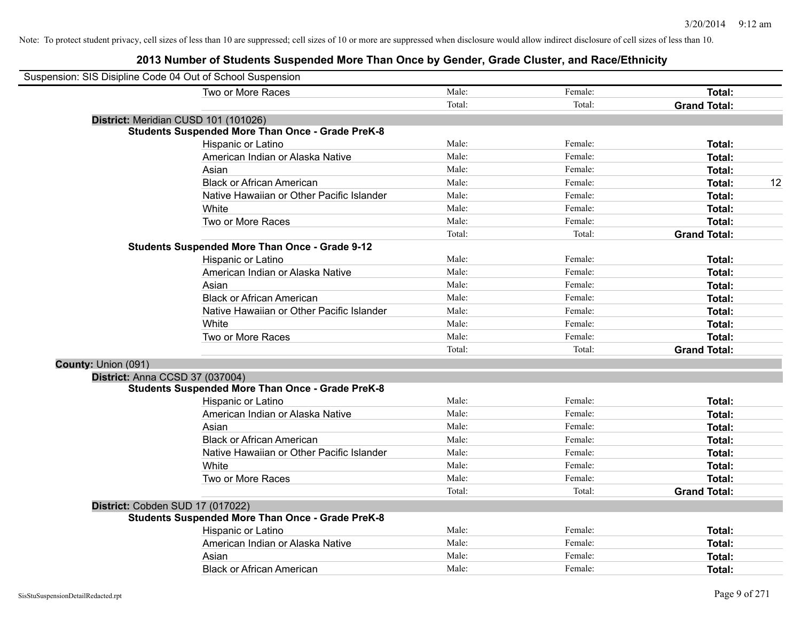| Suspension: SIS Disipline Code 04 Out of School Suspension |                                                         |        |         |                     |    |
|------------------------------------------------------------|---------------------------------------------------------|--------|---------|---------------------|----|
|                                                            | Two or More Races                                       | Male:  | Female: | Total:              |    |
|                                                            |                                                         | Total: | Total:  | <b>Grand Total:</b> |    |
|                                                            | District: Meridian CUSD 101 (101026)                    |        |         |                     |    |
|                                                            | <b>Students Suspended More Than Once - Grade PreK-8</b> |        |         |                     |    |
|                                                            | Hispanic or Latino                                      | Male:  | Female: | Total:              |    |
|                                                            | American Indian or Alaska Native                        | Male:  | Female: | Total:              |    |
|                                                            | Asian                                                   | Male:  | Female: | Total:              |    |
|                                                            | <b>Black or African American</b>                        | Male:  | Female: | Total:              | 12 |
|                                                            | Native Hawaiian or Other Pacific Islander               | Male:  | Female: | Total:              |    |
|                                                            | White                                                   | Male:  | Female: | Total:              |    |
|                                                            | Two or More Races                                       | Male:  | Female: | Total:              |    |
|                                                            |                                                         | Total: | Total:  | <b>Grand Total:</b> |    |
|                                                            | <b>Students Suspended More Than Once - Grade 9-12</b>   |        |         |                     |    |
|                                                            | Hispanic or Latino                                      | Male:  | Female: | Total:              |    |
|                                                            | American Indian or Alaska Native                        | Male:  | Female: | Total:              |    |
|                                                            | Asian                                                   | Male:  | Female: | Total:              |    |
|                                                            | <b>Black or African American</b>                        | Male:  | Female: | Total:              |    |
|                                                            | Native Hawaiian or Other Pacific Islander               | Male:  | Female: | Total:              |    |
|                                                            | White                                                   | Male:  | Female: | Total:              |    |
|                                                            | Two or More Races                                       | Male:  | Female: | Total:              |    |
|                                                            |                                                         | Total: | Total:  | <b>Grand Total:</b> |    |
| County: Union (091)                                        |                                                         |        |         |                     |    |
|                                                            | District: Anna CCSD 37 (037004)                         |        |         |                     |    |
|                                                            | <b>Students Suspended More Than Once - Grade PreK-8</b> |        |         |                     |    |
|                                                            | Hispanic or Latino                                      | Male:  | Female: | Total:              |    |
|                                                            | American Indian or Alaska Native                        | Male:  | Female: | Total:              |    |
|                                                            | Asian                                                   | Male:  | Female: | Total:              |    |
|                                                            | <b>Black or African American</b>                        | Male:  | Female: | Total:              |    |
|                                                            | Native Hawaiian or Other Pacific Islander               | Male:  | Female: | Total:              |    |
|                                                            | White                                                   | Male:  | Female: | Total:              |    |
|                                                            | Two or More Races                                       | Male:  | Female: | Total:              |    |
|                                                            |                                                         | Total: | Total:  | <b>Grand Total:</b> |    |
|                                                            | District: Cobden SUD 17 (017022)                        |        |         |                     |    |
|                                                            | <b>Students Suspended More Than Once - Grade PreK-8</b> |        |         |                     |    |
|                                                            | Hispanic or Latino                                      | Male:  | Female: | Total:              |    |
|                                                            | American Indian or Alaska Native                        | Male:  | Female: | Total:              |    |
|                                                            | Asian                                                   | Male:  | Female: | Total:              |    |
|                                                            | <b>Black or African American</b>                        | Male:  | Female: | Total:              |    |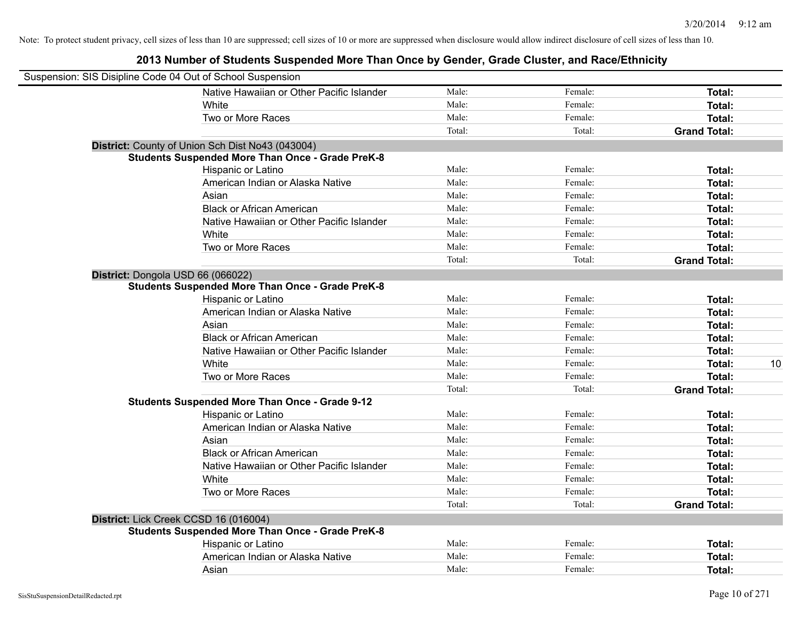| Suspension: SIS Disipline Code 04 Out of School Suspension |                                                         |        |         |                     |
|------------------------------------------------------------|---------------------------------------------------------|--------|---------|---------------------|
|                                                            | Native Hawaiian or Other Pacific Islander               | Male:  | Female: | Total:              |
|                                                            | White                                                   | Male:  | Female: | Total:              |
|                                                            | Two or More Races                                       | Male:  | Female: | Total:              |
|                                                            |                                                         | Total: | Total:  | <b>Grand Total:</b> |
|                                                            | District: County of Union Sch Dist No43 (043004)        |        |         |                     |
|                                                            | <b>Students Suspended More Than Once - Grade PreK-8</b> |        |         |                     |
|                                                            | Hispanic or Latino                                      | Male:  | Female: | Total:              |
|                                                            | American Indian or Alaska Native                        | Male:  | Female: | Total:              |
|                                                            | Asian                                                   | Male:  | Female: | Total:              |
|                                                            | <b>Black or African American</b>                        | Male:  | Female: | Total:              |
|                                                            | Native Hawaiian or Other Pacific Islander               | Male:  | Female: | Total:              |
|                                                            | White                                                   | Male:  | Female: | Total:              |
|                                                            | Two or More Races                                       | Male:  | Female: | Total:              |
|                                                            |                                                         | Total: | Total:  | <b>Grand Total:</b> |
| District: Dongola USD 66 (066022)                          |                                                         |        |         |                     |
|                                                            | <b>Students Suspended More Than Once - Grade PreK-8</b> |        |         |                     |
|                                                            | Hispanic or Latino                                      | Male:  | Female: | Total:              |
|                                                            | American Indian or Alaska Native                        | Male:  | Female: | Total:              |
|                                                            | Asian                                                   | Male:  | Female: | Total:              |
|                                                            | <b>Black or African American</b>                        | Male:  | Female: | Total:              |
|                                                            | Native Hawaiian or Other Pacific Islander               | Male:  | Female: | Total:              |
|                                                            | White                                                   | Male:  | Female: | Total:<br>10        |
|                                                            | Two or More Races                                       | Male:  | Female: | Total:              |
|                                                            |                                                         | Total: | Total:  | <b>Grand Total:</b> |
|                                                            | <b>Students Suspended More Than Once - Grade 9-12</b>   |        |         |                     |
|                                                            | Hispanic or Latino                                      | Male:  | Female: | Total:              |
|                                                            | American Indian or Alaska Native                        | Male:  | Female: | Total:              |
|                                                            | Asian                                                   | Male:  | Female: | Total:              |
|                                                            | <b>Black or African American</b>                        | Male:  | Female: | Total:              |
|                                                            | Native Hawaiian or Other Pacific Islander               | Male:  | Female: | Total:              |
|                                                            | White                                                   | Male:  | Female: | Total:              |
|                                                            | Two or More Races                                       | Male:  | Female: | Total:              |
|                                                            |                                                         | Total: | Total:  | <b>Grand Total:</b> |
| District: Lick Creek CCSD 16 (016004)                      |                                                         |        |         |                     |
|                                                            | <b>Students Suspended More Than Once - Grade PreK-8</b> |        |         |                     |
|                                                            | Hispanic or Latino                                      | Male:  | Female: | Total:              |
|                                                            | American Indian or Alaska Native                        | Male:  | Female: | Total:              |
|                                                            | Asian                                                   | Male:  | Female: | Total:              |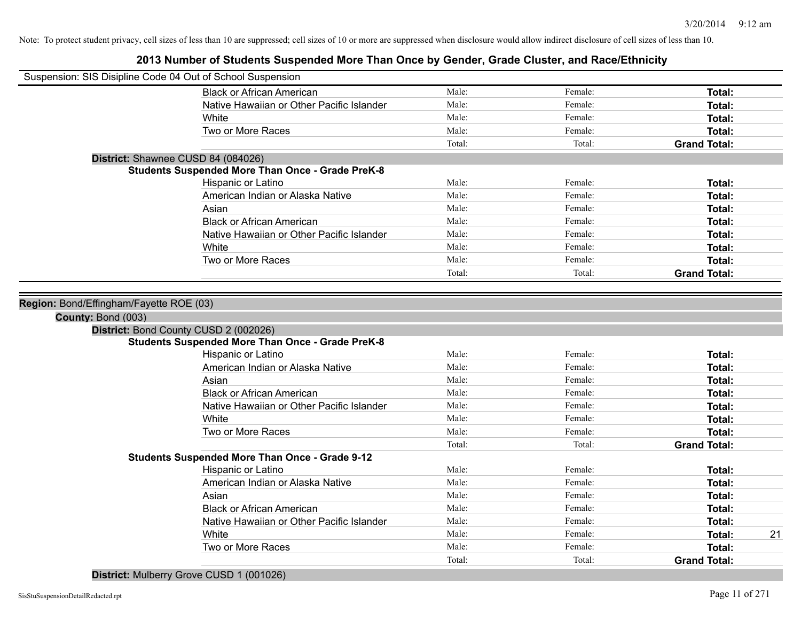### **2013 Number of Students Suspended More Than Once by Gender, Grade Cluster, and Race/Ethnicity**

| Suspension: SIS Disipline Code 04 Out of School Suspension |                                                         |        |         |                     |
|------------------------------------------------------------|---------------------------------------------------------|--------|---------|---------------------|
|                                                            | <b>Black or African American</b>                        | Male:  | Female: | Total:              |
|                                                            | Native Hawaiian or Other Pacific Islander               | Male:  | Female: | Total:              |
|                                                            | White                                                   | Male:  | Female: | Total:              |
|                                                            | Two or More Races                                       | Male:  | Female: | <b>Total:</b>       |
|                                                            |                                                         | Total: | Total:  | <b>Grand Total:</b> |
| District: Shawnee CUSD 84 (084026)                         |                                                         |        |         |                     |
|                                                            | <b>Students Suspended More Than Once - Grade PreK-8</b> |        |         |                     |
|                                                            | Hispanic or Latino                                      | Male:  | Female: | Total:              |
|                                                            | American Indian or Alaska Native                        | Male:  | Female: | Total:              |
|                                                            | Asian                                                   | Male:  | Female: | Total:              |
|                                                            | <b>Black or African American</b>                        | Male:  | Female: | <b>Total:</b>       |
|                                                            | Native Hawaiian or Other Pacific Islander               | Male:  | Female: | <b>Total:</b>       |
|                                                            | White                                                   | Male:  | Female: | <b>Total:</b>       |
|                                                            | Two or More Races                                       | Male:  | Female: | <b>Total:</b>       |
|                                                            |                                                         | Total: | Total:  | <b>Grand Total:</b> |
|                                                            |                                                         |        |         |                     |
| Region: Bond/Effingham/Fayette ROE (03)                    |                                                         |        |         |                     |
| County: Bond (003)                                         |                                                         |        |         |                     |
| District: Bond County CUSD 2 (002026)                      |                                                         |        |         |                     |
|                                                            | <b>Students Suspended More Than Once - Grade PreK-8</b> |        |         |                     |
|                                                            | Hispanic or Latino                                      | Male:  | Female: | Total:              |
|                                                            | American Indian or Alaska Native                        | Male:  | Female: | <b>Total:</b>       |
|                                                            | Asian                                                   | Male:  | Female: | <b>Total:</b>       |
|                                                            | <b>Black or African American</b>                        | Male:  | Female: | <b>Total:</b>       |
|                                                            | Native Hawaiian or Other Pacific Islander               | Male:  | Female: | <b>Total:</b>       |
|                                                            | White                                                   | Male:  | Female: | Total:              |
|                                                            | Two or More Races                                       | Male:  | Female: | Total:              |
|                                                            |                                                         | Total: | Total:  | <b>Grand Total:</b> |
|                                                            | <b>Students Suspended More Than Once - Grade 9-12</b>   |        |         |                     |
|                                                            | Hispanic or Latino                                      | Male:  | Female: | <b>Total:</b>       |
|                                                            | American Indian or Alaska Native                        | Male:  | Female: | Total:              |
|                                                            | Asian                                                   | Male:  | Female: | Total:              |
|                                                            | <b>Black or African American</b>                        | Male:  | Female: | Total:              |
|                                                            | Native Hawaiian or Other Pacific Islander               | Male:  | Female: | <b>Total:</b>       |
|                                                            | White                                                   | Male:  | Female: | 21<br><b>Total:</b> |
|                                                            | Two or More Races                                       | Male:  | Female: | <b>Total:</b>       |
|                                                            |                                                         | Total: | Total:  | <b>Grand Total:</b> |

**District:** Mulberry Grove CUSD 1 (001026)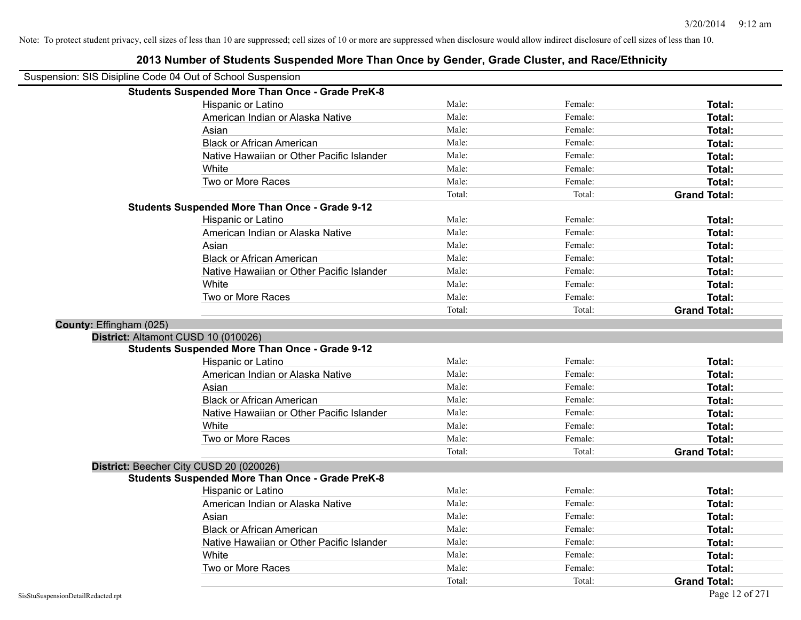|                         | Suspension: SIS Disipline Code 04 Out of School Suspension |        |         |                     |
|-------------------------|------------------------------------------------------------|--------|---------|---------------------|
|                         | <b>Students Suspended More Than Once - Grade PreK-8</b>    |        |         |                     |
|                         | Hispanic or Latino                                         | Male:  | Female: | Total:              |
|                         | American Indian or Alaska Native                           | Male:  | Female: | Total:              |
|                         | Asian                                                      | Male:  | Female: | Total:              |
|                         | <b>Black or African American</b>                           | Male:  | Female: | Total:              |
|                         | Native Hawaiian or Other Pacific Islander                  | Male:  | Female: | Total:              |
|                         | White                                                      | Male:  | Female: | Total:              |
|                         | Two or More Races                                          | Male:  | Female: | Total:              |
|                         |                                                            | Total: | Total:  | <b>Grand Total:</b> |
|                         | <b>Students Suspended More Than Once - Grade 9-12</b>      |        |         |                     |
|                         | Hispanic or Latino                                         | Male:  | Female: | Total:              |
|                         | American Indian or Alaska Native                           | Male:  | Female: | Total:              |
|                         | Asian                                                      | Male:  | Female: | Total:              |
|                         | <b>Black or African American</b>                           | Male:  | Female: | Total:              |
|                         | Native Hawaiian or Other Pacific Islander                  | Male:  | Female: | Total:              |
|                         | White                                                      | Male:  | Female: | Total:              |
|                         | Two or More Races                                          | Male:  | Female: | Total:              |
|                         |                                                            | Total: | Total:  | <b>Grand Total:</b> |
| County: Effingham (025) |                                                            |        |         |                     |
|                         | District: Altamont CUSD 10 (010026)                        |        |         |                     |
|                         | <b>Students Suspended More Than Once - Grade 9-12</b>      |        |         |                     |
|                         | Hispanic or Latino                                         | Male:  | Female: | Total:              |
|                         | American Indian or Alaska Native                           | Male:  | Female: | Total:              |
|                         | Asian                                                      | Male:  | Female: | Total:              |
|                         | <b>Black or African American</b>                           | Male:  | Female: | Total:              |
|                         | Native Hawaiian or Other Pacific Islander                  | Male:  | Female: | Total:              |
|                         | White                                                      | Male:  | Female: | Total:              |
|                         | Two or More Races                                          | Male:  | Female: | Total:              |
|                         |                                                            | Total: | Total:  | <b>Grand Total:</b> |
|                         | District: Beecher City CUSD 20 (020026)                    |        |         |                     |
|                         | <b>Students Suspended More Than Once - Grade PreK-8</b>    |        |         |                     |
|                         | Hispanic or Latino                                         | Male:  | Female: | Total:              |
|                         | American Indian or Alaska Native                           | Male:  | Female: | Total:              |
|                         | Asian                                                      | Male:  | Female: | Total:              |
|                         | <b>Black or African American</b>                           | Male:  | Female: | Total:              |
|                         | Native Hawaiian or Other Pacific Islander                  | Male:  | Female: | Total:              |
|                         |                                                            |        |         |                     |
|                         | White                                                      | Male:  | Female: | Total:              |
|                         | Two or More Races                                          | Male:  | Female: | Total:              |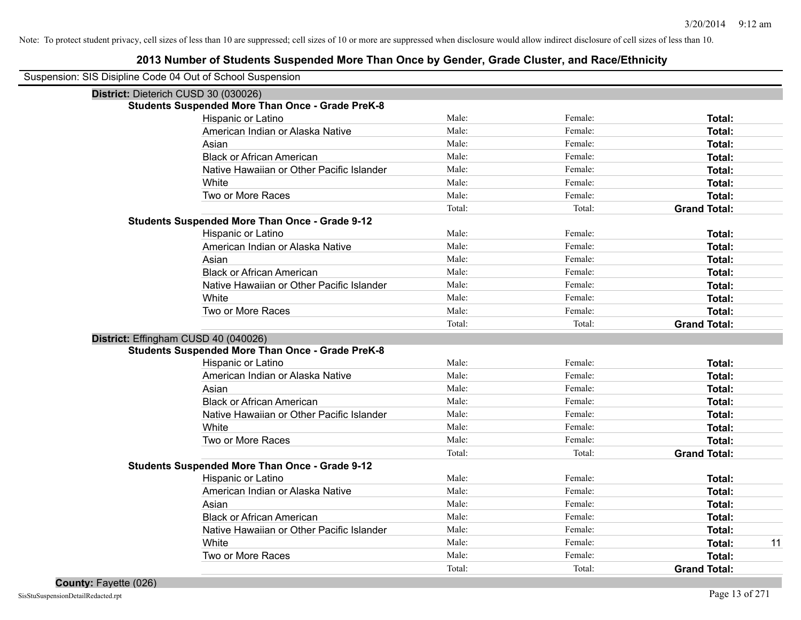| Suspension: SIS Disipline Code 04 Out of School Suspension |        |         |                     |
|------------------------------------------------------------|--------|---------|---------------------|
| District: Dieterich CUSD 30 (030026)                       |        |         |                     |
| <b>Students Suspended More Than Once - Grade PreK-8</b>    |        |         |                     |
| Hispanic or Latino                                         | Male:  | Female: | Total:              |
| American Indian or Alaska Native                           | Male:  | Female: | Total:              |
| Asian                                                      | Male:  | Female: | <b>Total:</b>       |
| <b>Black or African American</b>                           | Male:  | Female: | <b>Total:</b>       |
| Native Hawaiian or Other Pacific Islander                  | Male:  | Female: | <b>Total:</b>       |
| White                                                      | Male:  | Female: | Total:              |
| Two or More Races                                          | Male:  | Female: | Total:              |
|                                                            | Total: | Total:  | <b>Grand Total:</b> |
| <b>Students Suspended More Than Once - Grade 9-12</b>      |        |         |                     |
| Hispanic or Latino                                         | Male:  | Female: | Total:              |
| American Indian or Alaska Native                           | Male:  | Female: | Total:              |
| Asian                                                      | Male:  | Female: | <b>Total:</b>       |
| <b>Black or African American</b>                           | Male:  | Female: | <b>Total:</b>       |
| Native Hawaiian or Other Pacific Islander                  | Male:  | Female: | Total:              |
| White                                                      | Male:  | Female: | <b>Total:</b>       |
| Two or More Races                                          | Male:  | Female: | Total:              |
|                                                            | Total: | Total:  | <b>Grand Total:</b> |
| District: Effingham CUSD 40 (040026)                       |        |         |                     |
| <b>Students Suspended More Than Once - Grade PreK-8</b>    |        |         |                     |
| Hispanic or Latino                                         | Male:  | Female: | <b>Total:</b>       |
| American Indian or Alaska Native                           | Male:  | Female: | <b>Total:</b>       |
| Asian                                                      | Male:  | Female: | <b>Total:</b>       |
| <b>Black or African American</b>                           | Male:  | Female: | <b>Total:</b>       |
| Native Hawaiian or Other Pacific Islander                  | Male:  | Female: | Total:              |
| White                                                      | Male:  | Female: | <b>Total:</b>       |
| Two or More Races                                          | Male:  | Female: | <b>Total:</b>       |
|                                                            | Total: | Total:  | <b>Grand Total:</b> |
| <b>Students Suspended More Than Once - Grade 9-12</b>      |        |         |                     |
| <b>Hispanic or Latino</b>                                  | Male:  | Female: | Total:              |
| American Indian or Alaska Native                           | Male:  | Female: | <b>Total:</b>       |
| Asian                                                      | Male:  | Female: | <b>Total:</b>       |
| <b>Black or African American</b>                           | Male:  | Female: | <b>Total:</b>       |
| Native Hawaiian or Other Pacific Islander                  | Male:  | Female: | <b>Total:</b>       |
| White                                                      | Male:  | Female: | <b>Total:</b><br>11 |
| Two or More Races                                          | Male:  | Female: | <b>Total:</b>       |
|                                                            | Total: | Total:  | <b>Grand Total:</b> |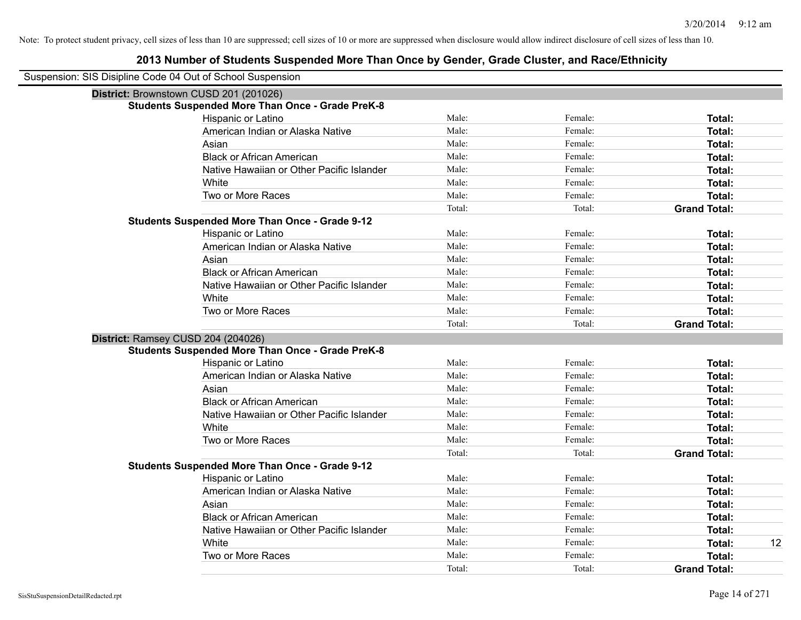| Suspension: SIS Disipline Code 04 Out of School Suspension |                                                         |        |         |                     |
|------------------------------------------------------------|---------------------------------------------------------|--------|---------|---------------------|
| District: Brownstown CUSD 201 (201026)                     |                                                         |        |         |                     |
|                                                            | <b>Students Suspended More Than Once - Grade PreK-8</b> |        |         |                     |
|                                                            | Hispanic or Latino                                      | Male:  | Female: | Total:              |
|                                                            | American Indian or Alaska Native                        | Male:  | Female: | Total:              |
|                                                            | Asian                                                   | Male:  | Female: | Total:              |
|                                                            | <b>Black or African American</b>                        | Male:  | Female: | Total:              |
|                                                            | Native Hawaiian or Other Pacific Islander               | Male:  | Female: | Total:              |
|                                                            | White                                                   | Male:  | Female: | Total:              |
|                                                            | Two or More Races                                       | Male:  | Female: | <b>Total:</b>       |
|                                                            |                                                         | Total: | Total:  | <b>Grand Total:</b> |
|                                                            | <b>Students Suspended More Than Once - Grade 9-12</b>   |        |         |                     |
|                                                            | Hispanic or Latino                                      | Male:  | Female: | Total:              |
|                                                            | American Indian or Alaska Native                        | Male:  | Female: | Total:              |
|                                                            | Asian                                                   | Male:  | Female: | Total:              |
|                                                            | <b>Black or African American</b>                        | Male:  | Female: | Total:              |
|                                                            | Native Hawaiian or Other Pacific Islander               | Male:  | Female: | Total:              |
|                                                            | White                                                   | Male:  | Female: | Total:              |
|                                                            | Two or More Races                                       | Male:  | Female: | Total:              |
|                                                            |                                                         | Total: | Total:  | <b>Grand Total:</b> |
| District: Ramsey CUSD 204 (204026)                         |                                                         |        |         |                     |
|                                                            | <b>Students Suspended More Than Once - Grade PreK-8</b> |        |         |                     |
|                                                            | Hispanic or Latino                                      | Male:  | Female: | Total:              |
|                                                            | American Indian or Alaska Native                        | Male:  | Female: | Total:              |
|                                                            | Asian                                                   | Male:  | Female: | Total:              |
|                                                            | <b>Black or African American</b>                        | Male:  | Female: | Total:              |
|                                                            | Native Hawaiian or Other Pacific Islander               | Male:  | Female: | Total:              |
|                                                            | White                                                   | Male:  | Female: | Total:              |
|                                                            | Two or More Races                                       | Male:  | Female: | Total:              |
|                                                            |                                                         | Total: | Total:  | <b>Grand Total:</b> |
|                                                            | <b>Students Suspended More Than Once - Grade 9-12</b>   |        |         |                     |
|                                                            | Hispanic or Latino                                      | Male:  | Female: | Total:              |
|                                                            | American Indian or Alaska Native                        | Male:  | Female: | Total:              |
|                                                            | Asian                                                   | Male:  | Female: | Total:              |
|                                                            | <b>Black or African American</b>                        | Male:  | Female: | Total:              |
|                                                            | Native Hawaiian or Other Pacific Islander               | Male:  | Female: | Total:              |
|                                                            | White                                                   | Male:  | Female: | 12<br>Total:        |
|                                                            | Two or More Races                                       | Male:  | Female: | <b>Total:</b>       |
|                                                            |                                                         | Total: | Total:  | <b>Grand Total:</b> |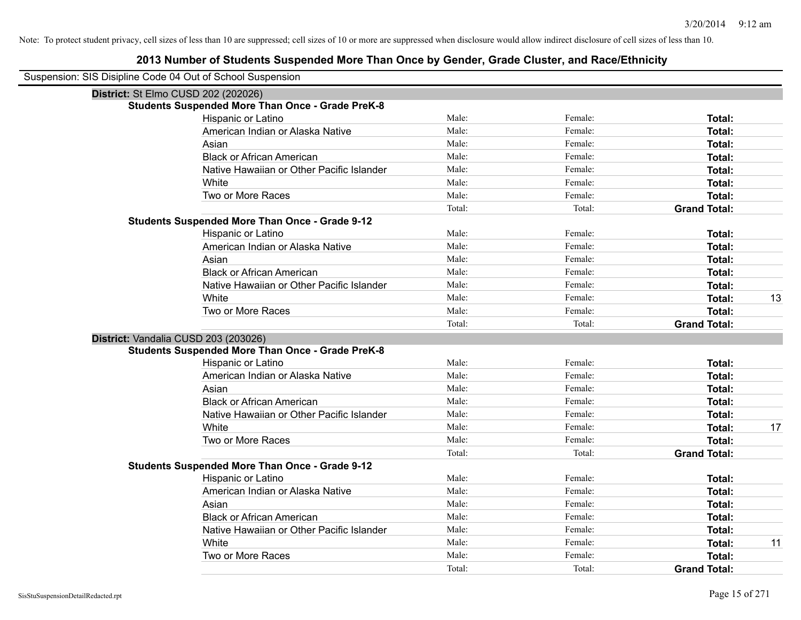| Suspension: SIS Disipline Code 04 Out of School Suspension |                                                         |        |         |                     |    |
|------------------------------------------------------------|---------------------------------------------------------|--------|---------|---------------------|----|
|                                                            | District: St Elmo CUSD 202 (202026)                     |        |         |                     |    |
|                                                            | <b>Students Suspended More Than Once - Grade PreK-8</b> |        |         |                     |    |
|                                                            | Hispanic or Latino                                      | Male:  | Female: | Total:              |    |
|                                                            | American Indian or Alaska Native                        | Male:  | Female: | Total:              |    |
|                                                            | Asian                                                   | Male:  | Female: | Total:              |    |
|                                                            | <b>Black or African American</b>                        | Male:  | Female: | Total:              |    |
|                                                            | Native Hawaiian or Other Pacific Islander               | Male:  | Female: | Total:              |    |
|                                                            | White                                                   | Male:  | Female: | Total:              |    |
|                                                            | Two or More Races                                       | Male:  | Female: | Total:              |    |
|                                                            |                                                         | Total: | Total:  | <b>Grand Total:</b> |    |
|                                                            | <b>Students Suspended More Than Once - Grade 9-12</b>   |        |         |                     |    |
|                                                            | Hispanic or Latino                                      | Male:  | Female: | Total:              |    |
|                                                            | American Indian or Alaska Native                        | Male:  | Female: | Total:              |    |
|                                                            | Asian                                                   | Male:  | Female: | Total:              |    |
|                                                            | <b>Black or African American</b>                        | Male:  | Female: | Total:              |    |
|                                                            | Native Hawaiian or Other Pacific Islander               | Male:  | Female: | Total:              |    |
|                                                            | White                                                   | Male:  | Female: | Total:              | 13 |
|                                                            | Two or More Races                                       | Male:  | Female: | Total:              |    |
|                                                            |                                                         | Total: | Total:  | <b>Grand Total:</b> |    |
|                                                            | District: Vandalia CUSD 203 (203026)                    |        |         |                     |    |
|                                                            | <b>Students Suspended More Than Once - Grade PreK-8</b> |        |         |                     |    |
|                                                            | Hispanic or Latino                                      | Male:  | Female: | Total:              |    |
|                                                            | American Indian or Alaska Native                        | Male:  | Female: | Total:              |    |
|                                                            | Asian                                                   | Male:  | Female: | Total:              |    |
|                                                            | <b>Black or African American</b>                        | Male:  | Female: | Total:              |    |
|                                                            | Native Hawaiian or Other Pacific Islander               | Male:  | Female: | Total:              |    |
|                                                            | White                                                   | Male:  | Female: | Total:              | 17 |
|                                                            | Two or More Races                                       | Male:  | Female: | Total:              |    |
|                                                            |                                                         | Total: | Total:  | <b>Grand Total:</b> |    |
|                                                            | <b>Students Suspended More Than Once - Grade 9-12</b>   |        |         |                     |    |
|                                                            | Hispanic or Latino                                      | Male:  | Female: | Total:              |    |
|                                                            | American Indian or Alaska Native                        | Male:  | Female: | Total:              |    |
|                                                            | Asian                                                   | Male:  | Female: | Total:              |    |
|                                                            | <b>Black or African American</b>                        | Male:  | Female: | Total:              |    |
|                                                            | Native Hawaiian or Other Pacific Islander               | Male:  | Female: | Total:              |    |
|                                                            | White                                                   | Male:  | Female: | Total:              | 11 |
|                                                            | Two or More Races                                       | Male:  | Female: | Total:              |    |
|                                                            |                                                         | Total: | Total:  | <b>Grand Total:</b> |    |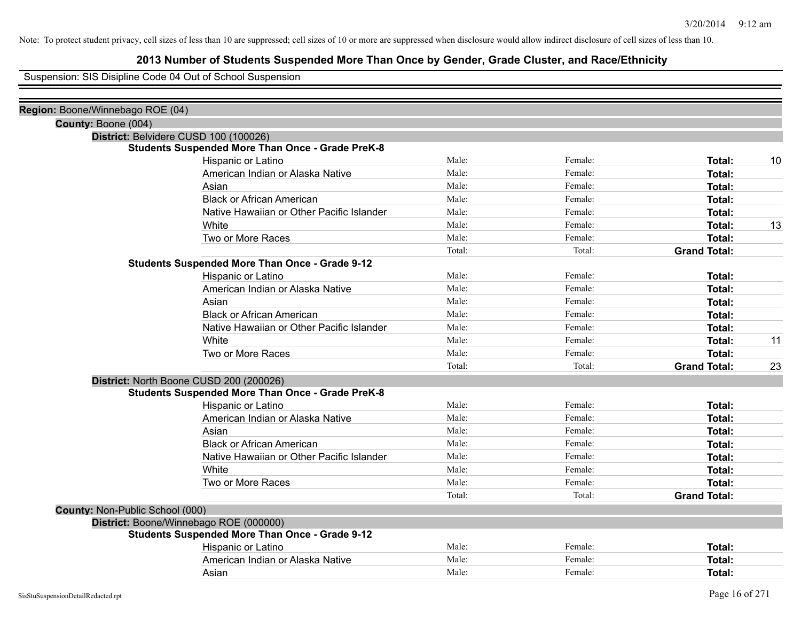### **2013 Number of Students Suspended More Than Once by Gender, Grade Cluster, and Race/Ethnicity**

Suspension: SIS Disipline Code 04 Out of School Suspension

| Region: Boone/Winnebago ROE (04)       |                                                         |        |         |                     |    |
|----------------------------------------|---------------------------------------------------------|--------|---------|---------------------|----|
| County: Boone (004)                    |                                                         |        |         |                     |    |
|                                        | District: Belvidere CUSD 100 (100026)                   |        |         |                     |    |
|                                        | <b>Students Suspended More Than Once - Grade PreK-8</b> |        |         |                     |    |
|                                        | Hispanic or Latino                                      | Male:  | Female: | Total:              | 10 |
|                                        | American Indian or Alaska Native                        | Male:  | Female: | Total:              |    |
|                                        | Asian                                                   | Male:  | Female: | Total:              |    |
|                                        | <b>Black or African American</b>                        | Male:  | Female: | Total:              |    |
|                                        | Native Hawaiian or Other Pacific Islander               | Male:  | Female: | Total:              |    |
|                                        | White                                                   | Male:  | Female: | Total:              | 13 |
|                                        | Two or More Races                                       | Male:  | Female: | <b>Total:</b>       |    |
|                                        |                                                         | Total: | Total:  | <b>Grand Total:</b> |    |
|                                        | <b>Students Suspended More Than Once - Grade 9-12</b>   |        |         |                     |    |
|                                        | Hispanic or Latino                                      | Male:  | Female: | Total:              |    |
|                                        | American Indian or Alaska Native                        | Male:  | Female: | Total:              |    |
|                                        | Asian                                                   | Male:  | Female: | Total:              |    |
|                                        | <b>Black or African American</b>                        | Male:  | Female: | Total:              |    |
|                                        | Native Hawaiian or Other Pacific Islander               | Male:  | Female: | Total:              |    |
|                                        | White                                                   | Male:  | Female: | Total:              | 11 |
|                                        | Two or More Races                                       | Male:  | Female: | Total:              |    |
|                                        |                                                         | Total: | Total:  | <b>Grand Total:</b> | 23 |
|                                        | District: North Boone CUSD 200 (200026)                 |        |         |                     |    |
|                                        | <b>Students Suspended More Than Once - Grade PreK-8</b> |        |         |                     |    |
|                                        | Hispanic or Latino                                      | Male:  | Female: | Total:              |    |
|                                        | American Indian or Alaska Native                        | Male:  | Female: | Total:              |    |
|                                        | Asian                                                   | Male:  | Female: | Total:              |    |
|                                        | <b>Black or African American</b>                        | Male:  | Female: | Total:              |    |
|                                        | Native Hawaiian or Other Pacific Islander               | Male:  | Female: | Total:              |    |
|                                        | White                                                   | Male:  | Female: | Total:              |    |
|                                        | Two or More Races                                       | Male:  | Female: | Total:              |    |
|                                        |                                                         | Total: | Total:  | <b>Grand Total:</b> |    |
| <b>County: Non-Public School (000)</b> |                                                         |        |         |                     |    |
|                                        | District: Boone/Winnebago ROE (000000)                  |        |         |                     |    |
|                                        | <b>Students Suspended More Than Once - Grade 9-12</b>   |        |         |                     |    |
|                                        | Hispanic or Latino                                      | Male:  | Female: | Total:              |    |
|                                        | American Indian or Alaska Native                        | Male:  | Female: | Total:              |    |
|                                        | Asian                                                   | Male:  | Female: | Total:              |    |
|                                        |                                                         |        |         |                     |    |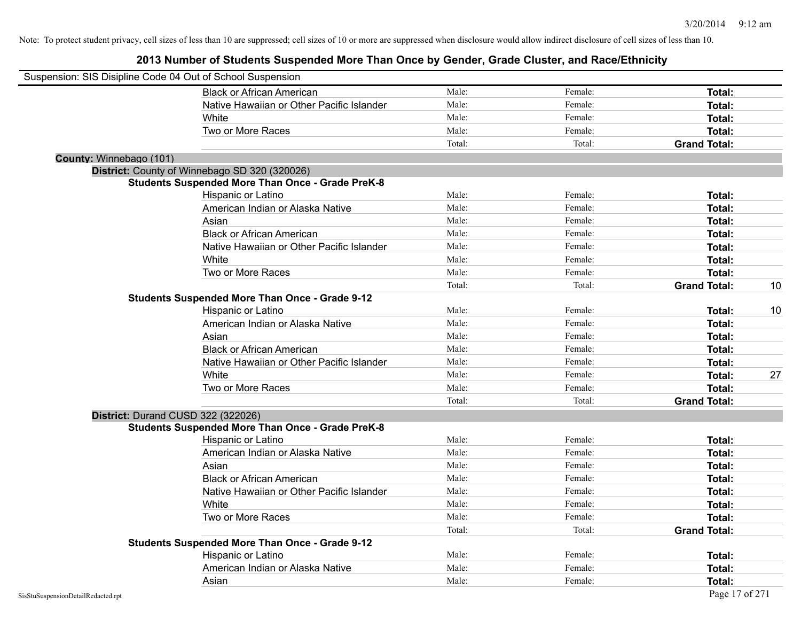| Suspension: SIS Disipline Code 04 Out of School Suspension |                                                         |        |         |                     |    |
|------------------------------------------------------------|---------------------------------------------------------|--------|---------|---------------------|----|
|                                                            | <b>Black or African American</b>                        | Male:  | Female: | Total:              |    |
|                                                            | Native Hawaiian or Other Pacific Islander               | Male:  | Female: | Total:              |    |
|                                                            | White                                                   | Male:  | Female: | Total:              |    |
|                                                            | Two or More Races                                       | Male:  | Female: | Total:              |    |
|                                                            |                                                         | Total: | Total:  | <b>Grand Total:</b> |    |
| County: Winnebago (101)                                    |                                                         |        |         |                     |    |
|                                                            | District: County of Winnebago SD 320 (320026)           |        |         |                     |    |
|                                                            | <b>Students Suspended More Than Once - Grade PreK-8</b> |        |         |                     |    |
|                                                            | Hispanic or Latino                                      | Male:  | Female: | Total:              |    |
|                                                            | American Indian or Alaska Native                        | Male:  | Female: | Total:              |    |
|                                                            | Asian                                                   | Male:  | Female: | Total:              |    |
|                                                            | <b>Black or African American</b>                        | Male:  | Female: | Total:              |    |
|                                                            | Native Hawaiian or Other Pacific Islander               | Male:  | Female: | Total:              |    |
|                                                            | White                                                   | Male:  | Female: | Total:              |    |
|                                                            | Two or More Races                                       | Male:  | Female: | Total:              |    |
|                                                            |                                                         | Total: | Total:  | <b>Grand Total:</b> | 10 |
|                                                            | <b>Students Suspended More Than Once - Grade 9-12</b>   |        |         |                     |    |
|                                                            | Hispanic or Latino                                      | Male:  | Female: | Total:              | 10 |
|                                                            | American Indian or Alaska Native                        | Male:  | Female: | Total:              |    |
|                                                            | Asian                                                   | Male:  | Female: | Total:              |    |
|                                                            | <b>Black or African American</b>                        | Male:  | Female: | Total:              |    |
|                                                            | Native Hawaiian or Other Pacific Islander               | Male:  | Female: | Total:              |    |
|                                                            | White                                                   | Male:  | Female: | Total:              | 27 |
|                                                            | Two or More Races                                       | Male:  | Female: | Total:              |    |
|                                                            |                                                         | Total: | Total:  | <b>Grand Total:</b> |    |
|                                                            | District: Durand CUSD 322 (322026)                      |        |         |                     |    |
|                                                            | <b>Students Suspended More Than Once - Grade PreK-8</b> |        |         |                     |    |
|                                                            | Hispanic or Latino                                      | Male:  | Female: | Total:              |    |
|                                                            | American Indian or Alaska Native                        | Male:  | Female: | Total:              |    |
|                                                            | Asian                                                   | Male:  | Female: | Total:              |    |
|                                                            | <b>Black or African American</b>                        | Male:  | Female: | Total:              |    |
|                                                            | Native Hawaiian or Other Pacific Islander               | Male:  | Female: | Total:              |    |
|                                                            | White                                                   | Male:  | Female: | Total:              |    |
|                                                            | Two or More Races                                       | Male:  | Female: | Total:              |    |
|                                                            |                                                         | Total: | Total:  | <b>Grand Total:</b> |    |
|                                                            | <b>Students Suspended More Than Once - Grade 9-12</b>   |        |         |                     |    |
|                                                            | Hispanic or Latino                                      | Male:  | Female: | Total:              |    |
|                                                            | American Indian or Alaska Native                        | Male:  | Female: | <b>Total:</b>       |    |
|                                                            | Asian                                                   | Male:  | Female: | Total:              |    |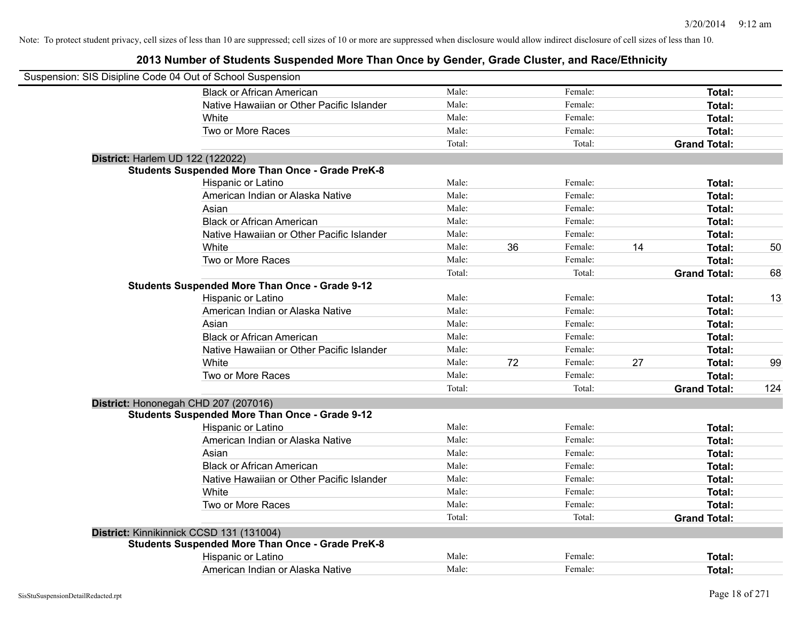| Suspension: SIS Disipline Code 04 Out of School Suspension |                                                         |        |    |         |    |                     |     |
|------------------------------------------------------------|---------------------------------------------------------|--------|----|---------|----|---------------------|-----|
|                                                            | <b>Black or African American</b>                        | Male:  |    | Female: |    | Total:              |     |
|                                                            | Native Hawaiian or Other Pacific Islander               | Male:  |    | Female: |    | Total:              |     |
|                                                            | White                                                   | Male:  |    | Female: |    | Total:              |     |
|                                                            | Two or More Races                                       | Male:  |    | Female: |    | Total:              |     |
|                                                            |                                                         | Total: |    | Total:  |    | <b>Grand Total:</b> |     |
| District: Harlem UD 122 (122022)                           |                                                         |        |    |         |    |                     |     |
|                                                            | <b>Students Suspended More Than Once - Grade PreK-8</b> |        |    |         |    |                     |     |
|                                                            | Hispanic or Latino                                      | Male:  |    | Female: |    | Total:              |     |
|                                                            | American Indian or Alaska Native                        | Male:  |    | Female: |    | Total:              |     |
|                                                            | Asian                                                   | Male:  |    | Female: |    | Total:              |     |
|                                                            | <b>Black or African American</b>                        | Male:  |    | Female: |    | Total:              |     |
|                                                            | Native Hawaiian or Other Pacific Islander               | Male:  |    | Female: |    | Total:              |     |
|                                                            | White                                                   | Male:  | 36 | Female: | 14 | Total:              | 50  |
|                                                            | Two or More Races                                       | Male:  |    | Female: |    | Total:              |     |
|                                                            |                                                         | Total: |    | Total:  |    | <b>Grand Total:</b> | 68  |
|                                                            | <b>Students Suspended More Than Once - Grade 9-12</b>   |        |    |         |    |                     |     |
|                                                            | Hispanic or Latino                                      | Male:  |    | Female: |    | Total:              | 13  |
|                                                            | American Indian or Alaska Native                        | Male:  |    | Female: |    | Total:              |     |
|                                                            | Asian                                                   | Male:  |    | Female: |    | Total:              |     |
|                                                            | <b>Black or African American</b>                        | Male:  |    | Female: |    | Total:              |     |
|                                                            | Native Hawaiian or Other Pacific Islander               | Male:  |    | Female: |    | Total:              |     |
|                                                            | White                                                   | Male:  | 72 | Female: | 27 | Total:              | 99  |
|                                                            | Two or More Races                                       | Male:  |    | Female: |    | Total:              |     |
|                                                            |                                                         | Total: |    | Total:  |    | <b>Grand Total:</b> | 124 |
|                                                            | District: Hononegah CHD 207 (207016)                    |        |    |         |    |                     |     |
|                                                            | <b>Students Suspended More Than Once - Grade 9-12</b>   |        |    |         |    |                     |     |
|                                                            | Hispanic or Latino                                      | Male:  |    | Female: |    | Total:              |     |
|                                                            | American Indian or Alaska Native                        | Male:  |    | Female: |    | Total:              |     |
|                                                            | Asian                                                   | Male:  |    | Female: |    | Total:              |     |
|                                                            | <b>Black or African American</b>                        | Male:  |    | Female: |    | Total:              |     |
|                                                            | Native Hawaiian or Other Pacific Islander               | Male:  |    | Female: |    | Total:              |     |
|                                                            | White                                                   | Male:  |    | Female: |    | Total:              |     |
|                                                            | Two or More Races                                       | Male:  |    | Female: |    | Total:              |     |
|                                                            |                                                         | Total: |    | Total:  |    | <b>Grand Total:</b> |     |
|                                                            | District: Kinnikinnick CCSD 131 (131004)                |        |    |         |    |                     |     |
|                                                            | <b>Students Suspended More Than Once - Grade PreK-8</b> |        |    |         |    |                     |     |
|                                                            | Hispanic or Latino                                      | Male:  |    | Female: |    | <b>Total:</b>       |     |
|                                                            | American Indian or Alaska Native                        | Male:  |    | Female: |    | Total:              |     |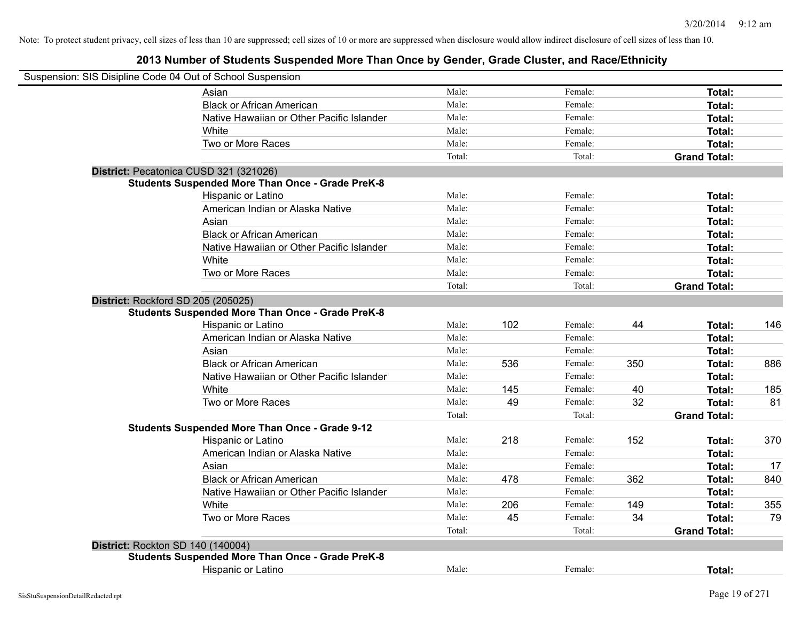| Suspension: SIS Disipline Code 04 Out of School Suspension |                                                         |        |     |         |     |                     |     |
|------------------------------------------------------------|---------------------------------------------------------|--------|-----|---------|-----|---------------------|-----|
|                                                            | Asian                                                   | Male:  |     | Female: |     | Total:              |     |
|                                                            | <b>Black or African American</b>                        | Male:  |     | Female: |     | Total:              |     |
|                                                            | Native Hawaiian or Other Pacific Islander               | Male:  |     | Female: |     | Total:              |     |
|                                                            | White                                                   | Male:  |     | Female: |     | Total:              |     |
|                                                            | Two or More Races                                       | Male:  |     | Female: |     | Total:              |     |
|                                                            |                                                         | Total: |     | Total:  |     | <b>Grand Total:</b> |     |
| District: Pecatonica CUSD 321 (321026)                     |                                                         |        |     |         |     |                     |     |
|                                                            | <b>Students Suspended More Than Once - Grade PreK-8</b> |        |     |         |     |                     |     |
|                                                            | Hispanic or Latino                                      | Male:  |     | Female: |     | Total:              |     |
|                                                            | American Indian or Alaska Native                        | Male:  |     | Female: |     | Total:              |     |
|                                                            | Asian                                                   | Male:  |     | Female: |     | Total:              |     |
|                                                            | <b>Black or African American</b>                        | Male:  |     | Female: |     | Total:              |     |
|                                                            | Native Hawaiian or Other Pacific Islander               | Male:  |     | Female: |     | Total:              |     |
|                                                            | White                                                   | Male:  |     | Female: |     | Total:              |     |
|                                                            | Two or More Races                                       | Male:  |     | Female: |     | Total:              |     |
|                                                            |                                                         | Total: |     | Total:  |     | <b>Grand Total:</b> |     |
| District: Rockford SD 205 (205025)                         |                                                         |        |     |         |     |                     |     |
|                                                            | <b>Students Suspended More Than Once - Grade PreK-8</b> |        |     |         |     |                     |     |
|                                                            | Hispanic or Latino                                      | Male:  | 102 | Female: | 44  | Total:              | 146 |
|                                                            | American Indian or Alaska Native                        | Male:  |     | Female: |     | Total:              |     |
|                                                            | Asian                                                   | Male:  |     | Female: |     | Total:              |     |
|                                                            | <b>Black or African American</b>                        | Male:  | 536 | Female: | 350 | Total:              | 886 |
|                                                            | Native Hawaiian or Other Pacific Islander               | Male:  |     | Female: |     | Total:              |     |
|                                                            | White                                                   | Male:  | 145 | Female: | 40  | Total:              | 185 |
|                                                            | Two or More Races                                       | Male:  | 49  | Female: | 32  | Total:              | 81  |
|                                                            |                                                         | Total: |     | Total:  |     | <b>Grand Total:</b> |     |
|                                                            | <b>Students Suspended More Than Once - Grade 9-12</b>   |        |     |         |     |                     |     |
|                                                            | Hispanic or Latino                                      | Male:  | 218 | Female: | 152 | Total:              | 370 |
|                                                            | American Indian or Alaska Native                        | Male:  |     | Female: |     | Total:              |     |
|                                                            | Asian                                                   | Male:  |     | Female: |     | Total:              | 17  |
|                                                            | <b>Black or African American</b>                        | Male:  | 478 | Female: | 362 | Total:              | 840 |
|                                                            | Native Hawaiian or Other Pacific Islander               | Male:  |     | Female: |     | Total:              |     |
|                                                            | White                                                   | Male:  | 206 | Female: | 149 | Total:              | 355 |
|                                                            | Two or More Races                                       | Male:  | 45  | Female: | 34  | Total:              | 79  |
|                                                            |                                                         | Total: |     | Total:  |     | <b>Grand Total:</b> |     |
| District: Rockton SD 140 (140004)                          |                                                         |        |     |         |     |                     |     |
|                                                            | <b>Students Suspended More Than Once - Grade PreK-8</b> |        |     |         |     |                     |     |
|                                                            | Hispanic or Latino                                      | Male:  |     | Female: |     | Total:              |     |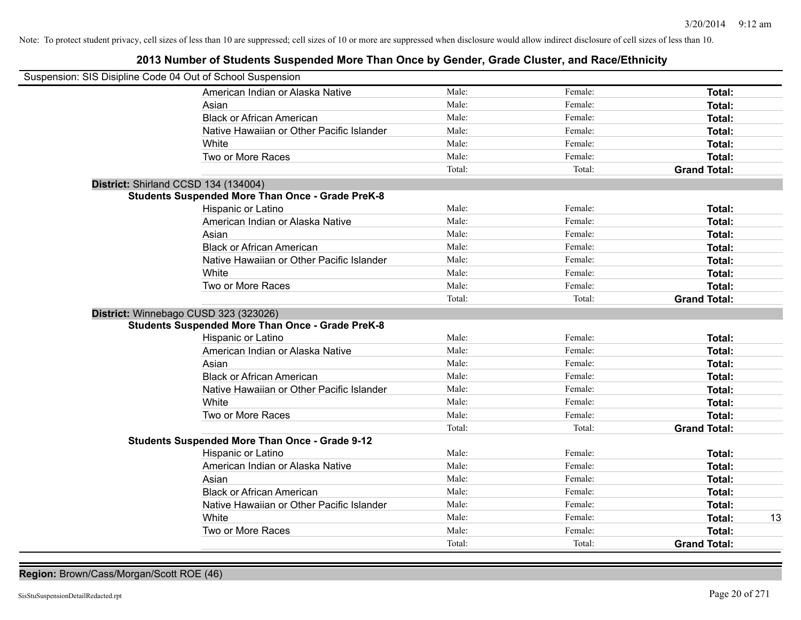### **2013 Number of Students Suspended More Than Once by Gender, Grade Cluster, and Race/Ethnicity**

| Suspension: SIS Disipline Code 04 Out of School Suspension |                                                         |        |         |                     |
|------------------------------------------------------------|---------------------------------------------------------|--------|---------|---------------------|
|                                                            | American Indian or Alaska Native                        | Male:  | Female: | <b>Total:</b>       |
|                                                            | Asian                                                   | Male:  | Female: | Total:              |
|                                                            | <b>Black or African American</b>                        | Male:  | Female: | Total:              |
|                                                            | Native Hawaiian or Other Pacific Islander               | Male:  | Female: | Total:              |
|                                                            | White                                                   | Male:  | Female: | Total:              |
|                                                            | Two or More Races                                       | Male:  | Female: | <b>Total:</b>       |
|                                                            |                                                         | Total: | Total:  | <b>Grand Total:</b> |
| District: Shirland CCSD 134 (134004)                       |                                                         |        |         |                     |
|                                                            | <b>Students Suspended More Than Once - Grade PreK-8</b> |        |         |                     |
|                                                            | Hispanic or Latino                                      | Male:  | Female: | Total:              |
|                                                            | American Indian or Alaska Native                        | Male:  | Female: | Total:              |
|                                                            | Asian                                                   | Male:  | Female: | Total:              |
|                                                            | <b>Black or African American</b>                        | Male:  | Female: | Total:              |
|                                                            | Native Hawaiian or Other Pacific Islander               | Male:  | Female: | Total:              |
|                                                            | White                                                   | Male:  | Female: | Total:              |
|                                                            | Two or More Races                                       | Male:  | Female: | Total:              |
|                                                            |                                                         | Total: | Total:  | <b>Grand Total:</b> |
| District: Winnebago CUSD 323 (323026)                      |                                                         |        |         |                     |
|                                                            | <b>Students Suspended More Than Once - Grade PreK-8</b> |        |         |                     |
|                                                            | Hispanic or Latino                                      | Male:  | Female: | Total:              |
|                                                            | American Indian or Alaska Native                        | Male:  | Female: | Total:              |
|                                                            | Asian                                                   | Male:  | Female: | Total:              |
|                                                            | <b>Black or African American</b>                        | Male:  | Female: | Total:              |
|                                                            | Native Hawaiian or Other Pacific Islander               | Male:  | Female: | Total:              |
|                                                            | White                                                   | Male:  | Female: | Total:              |
|                                                            | Two or More Races                                       | Male:  | Female: | Total:              |
|                                                            |                                                         | Total: | Total:  | <b>Grand Total:</b> |
|                                                            | <b>Students Suspended More Than Once - Grade 9-12</b>   |        |         |                     |
|                                                            | Hispanic or Latino                                      | Male:  | Female: | Total:              |
|                                                            | American Indian or Alaska Native                        | Male:  | Female: | Total:              |
|                                                            | Asian                                                   | Male:  | Female: | Total:              |
|                                                            | <b>Black or African American</b>                        | Male:  | Female: | Total:              |
|                                                            | Native Hawaiian or Other Pacific Islander               | Male:  | Female: | Total:              |
|                                                            | White                                                   | Male:  | Female: | Total:<br>13        |
|                                                            | Two or More Races                                       | Male:  | Female: | Total:              |
|                                                            |                                                         | Total: | Total:  | <b>Grand Total:</b> |

**Region:** Brown/Cass/Morgan/Scott ROE (46)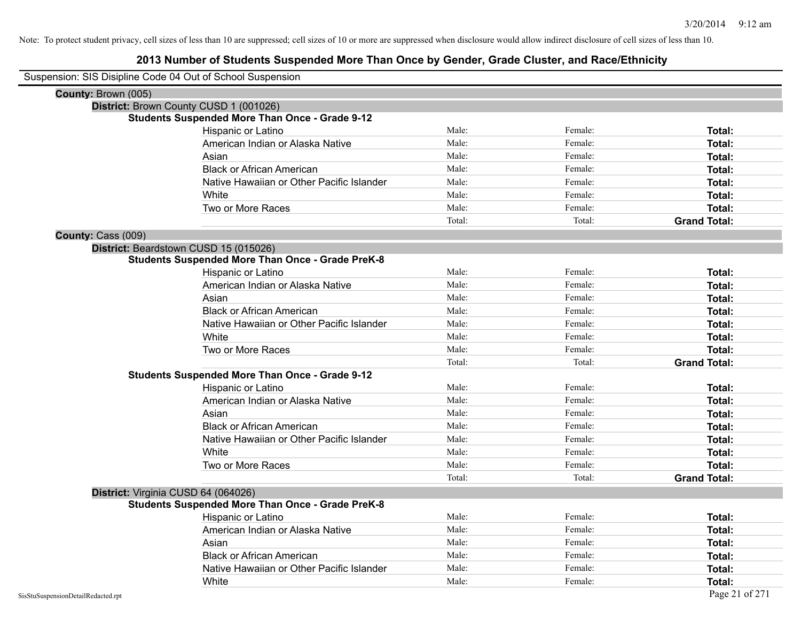| Suspension: SIS Disipline Code 04 Out of School Suspension |        |         |                     |
|------------------------------------------------------------|--------|---------|---------------------|
| County: Brown (005)                                        |        |         |                     |
| District: Brown County CUSD 1 (001026)                     |        |         |                     |
| <b>Students Suspended More Than Once - Grade 9-12</b>      |        |         |                     |
| Hispanic or Latino                                         | Male:  | Female: | Total:              |
| American Indian or Alaska Native                           | Male:  | Female: | Total:              |
| Asian                                                      | Male:  | Female: | Total:              |
| <b>Black or African American</b>                           | Male:  | Female: | Total:              |
| Native Hawaiian or Other Pacific Islander                  | Male:  | Female: | Total:              |
| White                                                      | Male:  | Female: | Total:              |
| Two or More Races                                          | Male:  | Female: | <b>Total:</b>       |
|                                                            | Total: | Total:  | <b>Grand Total:</b> |
| County: Cass (009)                                         |        |         |                     |
| District: Beardstown CUSD 15 (015026)                      |        |         |                     |
| <b>Students Suspended More Than Once - Grade PreK-8</b>    |        |         |                     |
| Hispanic or Latino                                         | Male:  | Female: | Total:              |
| American Indian or Alaska Native                           | Male:  | Female: | Total:              |
| Asian                                                      | Male:  | Female: | Total:              |
| <b>Black or African American</b>                           | Male:  | Female: | Total:              |
| Native Hawaiian or Other Pacific Islander                  | Male:  | Female: | Total:              |
| White                                                      | Male:  | Female: | Total:              |
| Two or More Races                                          | Male:  | Female: | Total:              |
|                                                            | Total: | Total:  | <b>Grand Total:</b> |
| <b>Students Suspended More Than Once - Grade 9-12</b>      |        |         |                     |
| Hispanic or Latino                                         | Male:  | Female: | Total:              |
| American Indian or Alaska Native                           | Male:  | Female: | Total:              |
| Asian                                                      | Male:  | Female: | Total:              |
| <b>Black or African American</b>                           | Male:  | Female: | Total:              |
| Native Hawaiian or Other Pacific Islander                  | Male:  | Female: | Total:              |
| White                                                      | Male:  | Female: | Total:              |
| Two or More Races                                          | Male:  | Female: | <b>Total:</b>       |
|                                                            | Total: | Total:  | <b>Grand Total:</b> |
| District: Virginia CUSD 64 (064026)                        |        |         |                     |
| <b>Students Suspended More Than Once - Grade PreK-8</b>    |        |         |                     |
| Hispanic or Latino                                         | Male:  | Female: | Total:              |
| American Indian or Alaska Native                           | Male:  | Female: | Total:              |
| Asian                                                      | Male:  | Female: | Total:              |
| <b>Black or African American</b>                           | Male:  | Female: | Total:              |
| Native Hawaiian or Other Pacific Islander                  | Male:  | Female: | <b>Total:</b>       |
| White                                                      | Male:  | Female: | Total:              |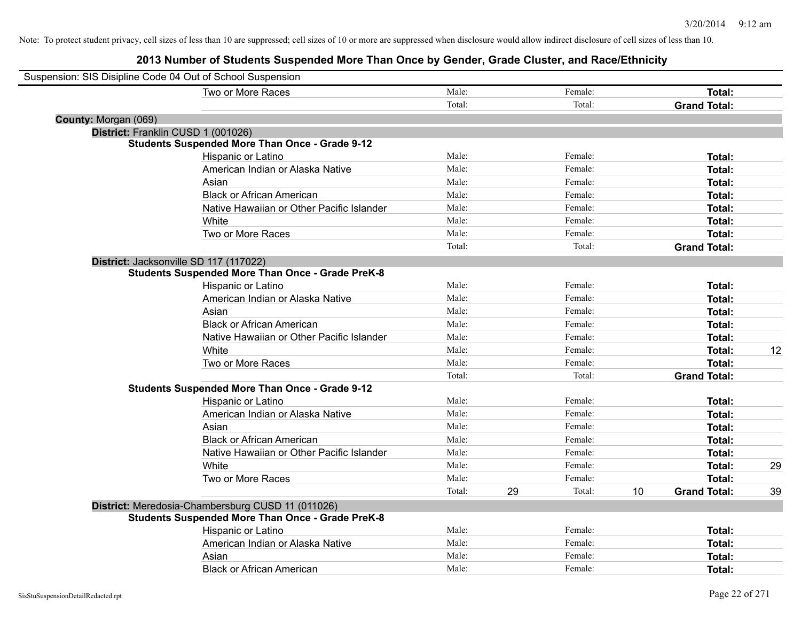| Suspension: SIS Disipline Code 04 Out of School Suspension |                                                         |        |    |         |    |                     |    |
|------------------------------------------------------------|---------------------------------------------------------|--------|----|---------|----|---------------------|----|
|                                                            | Two or More Races                                       | Male:  |    | Female: |    | Total:              |    |
|                                                            |                                                         | Total: |    | Total:  |    | <b>Grand Total:</b> |    |
| County: Morgan (069)                                       |                                                         |        |    |         |    |                     |    |
| District: Franklin CUSD 1 (001026)                         |                                                         |        |    |         |    |                     |    |
|                                                            | <b>Students Suspended More Than Once - Grade 9-12</b>   |        |    |         |    |                     |    |
|                                                            | Hispanic or Latino                                      | Male:  |    | Female: |    | Total:              |    |
|                                                            | American Indian or Alaska Native                        | Male:  |    | Female: |    | Total:              |    |
|                                                            | Asian                                                   | Male:  |    | Female: |    | Total:              |    |
|                                                            | <b>Black or African American</b>                        | Male:  |    | Female: |    | Total:              |    |
|                                                            | Native Hawaiian or Other Pacific Islander               | Male:  |    | Female: |    | Total:              |    |
|                                                            | White                                                   | Male:  |    | Female: |    | Total:              |    |
|                                                            | Two or More Races                                       | Male:  |    | Female: |    | Total:              |    |
|                                                            |                                                         | Total: |    | Total:  |    | <b>Grand Total:</b> |    |
| District: Jacksonville SD 117 (117022)                     |                                                         |        |    |         |    |                     |    |
|                                                            | <b>Students Suspended More Than Once - Grade PreK-8</b> |        |    |         |    |                     |    |
|                                                            | Hispanic or Latino                                      | Male:  |    | Female: |    | Total:              |    |
|                                                            | American Indian or Alaska Native                        | Male:  |    | Female: |    | Total:              |    |
|                                                            | Asian                                                   | Male:  |    | Female: |    | Total:              |    |
|                                                            | <b>Black or African American</b>                        | Male:  |    | Female: |    | Total:              |    |
|                                                            | Native Hawaiian or Other Pacific Islander               | Male:  |    | Female: |    | Total:              |    |
|                                                            | White                                                   | Male:  |    | Female: |    | Total:              | 12 |
|                                                            | Two or More Races                                       | Male:  |    | Female: |    | Total:              |    |
|                                                            |                                                         | Total: |    | Total:  |    | <b>Grand Total:</b> |    |
|                                                            | <b>Students Suspended More Than Once - Grade 9-12</b>   |        |    |         |    |                     |    |
|                                                            | Hispanic or Latino                                      | Male:  |    | Female: |    | Total:              |    |
|                                                            | American Indian or Alaska Native                        | Male:  |    | Female: |    | Total:              |    |
|                                                            | Asian                                                   | Male:  |    | Female: |    | Total:              |    |
|                                                            | <b>Black or African American</b>                        | Male:  |    | Female: |    | Total:              |    |
|                                                            | Native Hawaiian or Other Pacific Islander               | Male:  |    | Female: |    | Total:              |    |
|                                                            | White                                                   | Male:  |    | Female: |    | Total:              | 29 |
|                                                            | Two or More Races                                       | Male:  |    | Female: |    | Total:              |    |
|                                                            |                                                         | Total: | 29 | Total:  | 10 | <b>Grand Total:</b> | 39 |
|                                                            | District: Meredosia-Chambersburg CUSD 11 (011026)       |        |    |         |    |                     |    |
|                                                            | <b>Students Suspended More Than Once - Grade PreK-8</b> |        |    |         |    |                     |    |
|                                                            | Hispanic or Latino                                      | Male:  |    | Female: |    | Total:              |    |
|                                                            | American Indian or Alaska Native                        | Male:  |    | Female: |    | Total:              |    |
|                                                            | Asian                                                   | Male:  |    | Female: |    | Total:              |    |
|                                                            | <b>Black or African American</b>                        | Male:  |    | Female: |    | Total:              |    |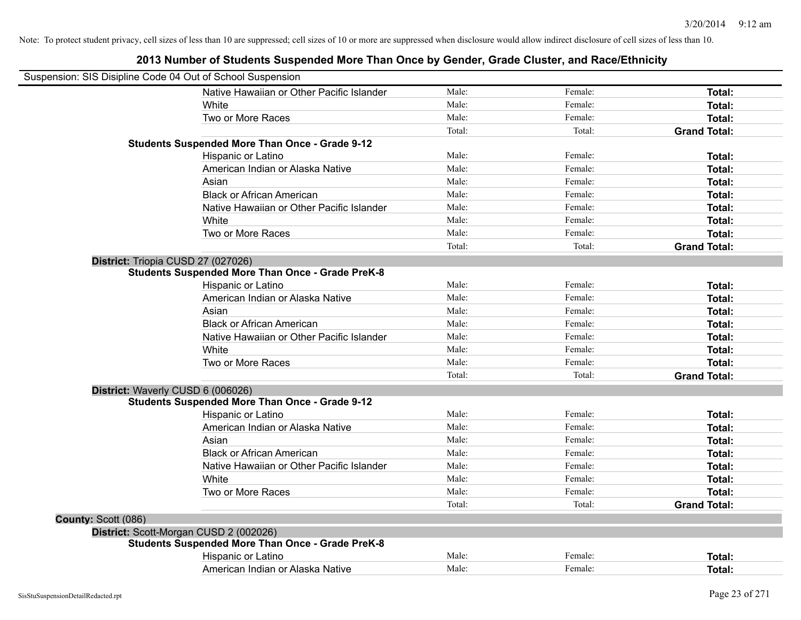| Suspension: SIS Disipline Code 04 Out of School Suspension |        |         |                     |
|------------------------------------------------------------|--------|---------|---------------------|
| Native Hawaiian or Other Pacific Islander                  | Male:  | Female: | Total:              |
| White                                                      | Male:  | Female: | Total:              |
| Two or More Races                                          | Male:  | Female: | <b>Total:</b>       |
|                                                            | Total: | Total:  | <b>Grand Total:</b> |
| <b>Students Suspended More Than Once - Grade 9-12</b>      |        |         |                     |
| Hispanic or Latino                                         | Male:  | Female: | Total:              |
| American Indian or Alaska Native                           | Male:  | Female: | <b>Total:</b>       |
| Asian                                                      | Male:  | Female: | Total:              |
| <b>Black or African American</b>                           | Male:  | Female: | <b>Total:</b>       |
| Native Hawaiian or Other Pacific Islander                  | Male:  | Female: | <b>Total:</b>       |
| White                                                      | Male:  | Female: | <b>Total:</b>       |
| Two or More Races                                          | Male:  | Female: | <b>Total:</b>       |
|                                                            | Total: | Total:  | <b>Grand Total:</b> |
| District: Triopia CUSD 27 (027026)                         |        |         |                     |
| <b>Students Suspended More Than Once - Grade PreK-8</b>    |        |         |                     |
| Hispanic or Latino                                         | Male:  | Female: | <b>Total:</b>       |
| American Indian or Alaska Native                           | Male:  | Female: | Total:              |
| Asian                                                      | Male:  | Female: | <b>Total:</b>       |
| <b>Black or African American</b>                           | Male:  | Female: | <b>Total:</b>       |
| Native Hawaiian or Other Pacific Islander                  | Male:  | Female: | Total:              |
| White                                                      | Male:  | Female: | <b>Total:</b>       |
| Two or More Races                                          | Male:  | Female: | <b>Total:</b>       |
|                                                            | Total: | Total:  | <b>Grand Total:</b> |
| District: Waverly CUSD 6 (006026)                          |        |         |                     |
| Students Suspended More Than Once - Grade 9-12             |        |         |                     |
| Hispanic or Latino                                         | Male:  | Female: | Total:              |
| American Indian or Alaska Native                           | Male:  | Female: | Total:              |
| Asian                                                      | Male:  | Female: | <b>Total:</b>       |
| <b>Black or African American</b>                           | Male:  | Female: | Total:              |
| Native Hawaiian or Other Pacific Islander                  | Male:  | Female: | Total:              |
| White                                                      | Male:  | Female: | <b>Total:</b>       |
| Two or More Races                                          | Male:  | Female: | <b>Total:</b>       |
|                                                            | Total: | Total:  | <b>Grand Total:</b> |
| County: Scott (086)                                        |        |         |                     |
| District: Scott-Morgan CUSD 2 (002026)                     |        |         |                     |
| <b>Students Suspended More Than Once - Grade PreK-8</b>    |        |         |                     |
| Hispanic or Latino                                         | Male:  | Female: | <b>Total:</b>       |
| American Indian or Alaska Native                           | Male:  |         |                     |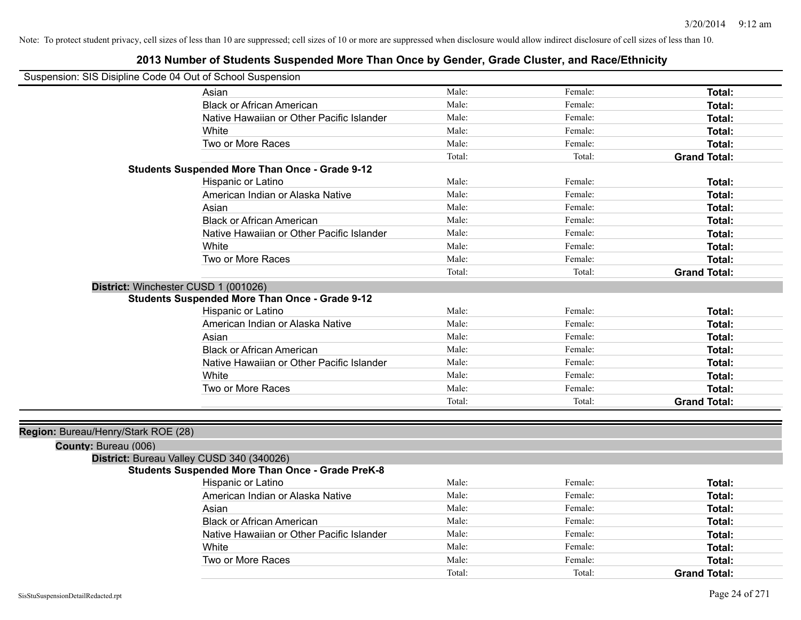| Suspension: SIS Disipline Code 04 Out of School Suspension |                                                         |        |         |                     |
|------------------------------------------------------------|---------------------------------------------------------|--------|---------|---------------------|
|                                                            | Asian                                                   | Male:  | Female: | Total:              |
|                                                            | <b>Black or African American</b>                        | Male:  | Female: | Total:              |
|                                                            | Native Hawaiian or Other Pacific Islander               | Male:  | Female: | Total:              |
|                                                            | White                                                   | Male:  | Female: | Total:              |
|                                                            | Two or More Races                                       | Male:  | Female: | Total:              |
|                                                            |                                                         | Total: | Total:  | <b>Grand Total:</b> |
|                                                            | <b>Students Suspended More Than Once - Grade 9-12</b>   |        |         |                     |
|                                                            | Hispanic or Latino                                      | Male:  | Female: | Total:              |
|                                                            | American Indian or Alaska Native                        | Male:  | Female: | Total:              |
|                                                            | Asian                                                   | Male:  | Female: | Total:              |
|                                                            | <b>Black or African American</b>                        | Male:  | Female: | Total:              |
|                                                            | Native Hawaiian or Other Pacific Islander               | Male:  | Female: | Total:              |
|                                                            | White                                                   | Male:  | Female: | Total:              |
|                                                            | Two or More Races                                       | Male:  | Female: | Total:              |
|                                                            |                                                         | Total: | Total:  | <b>Grand Total:</b> |
| District: Winchester CUSD 1 (001026)                       |                                                         |        |         |                     |
|                                                            | <b>Students Suspended More Than Once - Grade 9-12</b>   |        |         |                     |
|                                                            | Hispanic or Latino                                      | Male:  | Female: | Total:              |
|                                                            | American Indian or Alaska Native                        | Male:  | Female: | Total:              |
|                                                            | Asian                                                   | Male:  | Female: | Total:              |
|                                                            | <b>Black or African American</b>                        | Male:  | Female: | Total:              |
|                                                            | Native Hawaiian or Other Pacific Islander               | Male:  | Female: | Total:              |
|                                                            | White                                                   | Male:  | Female: | Total:              |
|                                                            | Two or More Races                                       | Male:  | Female: | Total:              |
|                                                            |                                                         | Total: | Total:  | <b>Grand Total:</b> |
|                                                            |                                                         |        |         |                     |
| Region: Bureau/Henry/Stark ROE (28)                        |                                                         |        |         |                     |
| County: Bureau (006)                                       |                                                         |        |         |                     |
| District: Bureau Valley CUSD 340 (340026)                  |                                                         |        |         |                     |
|                                                            | <b>Students Suspended More Than Once - Grade PreK-8</b> |        |         |                     |
|                                                            | Hispanic or Latino                                      | Male:  | Female: | Total:              |
|                                                            | American Indian or Alaska Native                        | Male:  | Female: | Total:              |
|                                                            | Asian                                                   | Male:  | Female: | Total:              |
|                                                            | <b>Black or African American</b>                        | Male:  | Female: | <b>Total:</b>       |
|                                                            | Native Hawaiian or Other Pacific Islander               | Male:  | Female: | Total:              |
|                                                            | White                                                   | Male:  | Female: | Total:              |
|                                                            | Two or More Races                                       | Male:  | Female: | Total:              |
|                                                            |                                                         | Total: | Total:  | <b>Grand Total:</b> |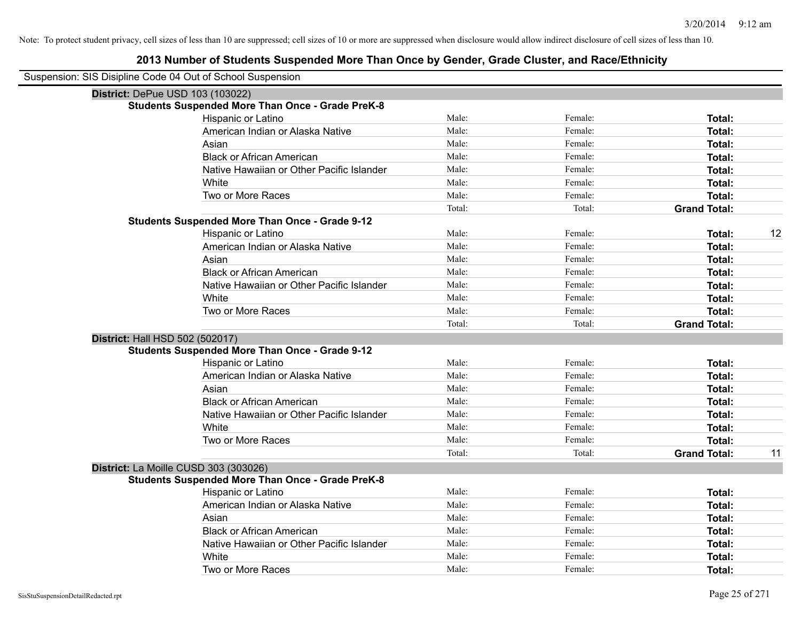| Suspension: SIS Disipline Code 04 Out of School Suspension |                                                         |        |         |                           |
|------------------------------------------------------------|---------------------------------------------------------|--------|---------|---------------------------|
| District: DePue USD 103 (103022)                           |                                                         |        |         |                           |
|                                                            | <b>Students Suspended More Than Once - Grade PreK-8</b> |        |         |                           |
|                                                            | Hispanic or Latino                                      | Male:  | Female: | Total:                    |
|                                                            | American Indian or Alaska Native                        | Male:  | Female: | Total:                    |
|                                                            | Asian                                                   | Male:  | Female: | Total:                    |
|                                                            | <b>Black or African American</b>                        | Male:  | Female: | Total:                    |
|                                                            | Native Hawaiian or Other Pacific Islander               | Male:  | Female: | Total:                    |
|                                                            | White                                                   | Male:  | Female: | Total:                    |
|                                                            | Two or More Races                                       | Male:  | Female: | Total:                    |
|                                                            |                                                         | Total: | Total:  | <b>Grand Total:</b>       |
|                                                            | <b>Students Suspended More Than Once - Grade 9-12</b>   |        |         |                           |
|                                                            | Hispanic or Latino                                      | Male:  | Female: | 12<br>Total:              |
|                                                            | American Indian or Alaska Native                        | Male:  | Female: | Total:                    |
|                                                            | Asian                                                   | Male:  | Female: | Total:                    |
|                                                            | <b>Black or African American</b>                        | Male:  | Female: | Total:                    |
|                                                            | Native Hawaiian or Other Pacific Islander               | Male:  | Female: | Total:                    |
|                                                            | White                                                   | Male:  | Female: | Total:                    |
|                                                            | Two or More Races                                       | Male:  | Female: | Total:                    |
|                                                            |                                                         | Total: | Total:  | <b>Grand Total:</b>       |
| District: Hall HSD 502 (502017)                            |                                                         |        |         |                           |
|                                                            | <b>Students Suspended More Than Once - Grade 9-12</b>   |        |         |                           |
|                                                            | Hispanic or Latino                                      | Male:  | Female: | Total:                    |
|                                                            | American Indian or Alaska Native                        | Male:  | Female: | Total:                    |
|                                                            | Asian                                                   | Male:  | Female: | Total:                    |
|                                                            | <b>Black or African American</b>                        | Male:  | Female: | Total:                    |
|                                                            | Native Hawaiian or Other Pacific Islander               | Male:  | Female: | Total:                    |
|                                                            | White                                                   | Male:  | Female: | Total:                    |
|                                                            | Two or More Races                                       | Male:  | Female: | <b>Total:</b>             |
|                                                            |                                                         | Total: | Total:  | <b>Grand Total:</b><br>11 |
| District: La Moille CUSD 303 (303026)                      |                                                         |        |         |                           |
|                                                            | <b>Students Suspended More Than Once - Grade PreK-8</b> |        |         |                           |
|                                                            | Hispanic or Latino                                      | Male:  | Female: | Total:                    |
|                                                            | American Indian or Alaska Native                        | Male:  | Female: | Total:                    |
|                                                            | Asian                                                   | Male:  | Female: | Total:                    |
|                                                            | <b>Black or African American</b>                        | Male:  | Female: | Total:                    |
|                                                            | Native Hawaiian or Other Pacific Islander               | Male:  | Female: | Total:                    |
|                                                            | White                                                   | Male:  | Female: | <b>Total:</b>             |
|                                                            | Two or More Races                                       | Male:  | Female: | Total:                    |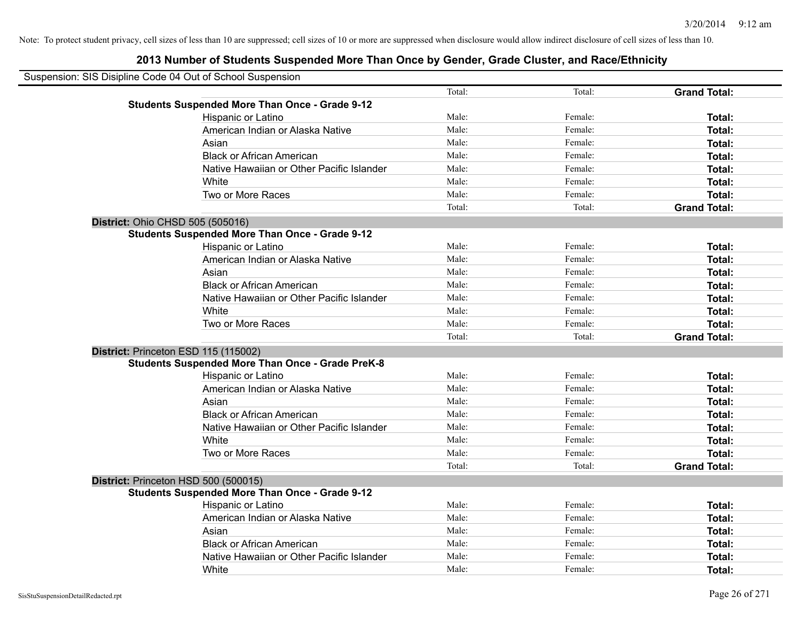|                                         | Suspension: SIS Disipline Code 04 Out of School Suspension |        |         |                     |  |
|-----------------------------------------|------------------------------------------------------------|--------|---------|---------------------|--|
|                                         |                                                            | Total: | Total:  | <b>Grand Total:</b> |  |
|                                         | <b>Students Suspended More Than Once - Grade 9-12</b>      |        |         |                     |  |
|                                         | Hispanic or Latino                                         | Male:  | Female: | Total:              |  |
|                                         | American Indian or Alaska Native                           | Male:  | Female: | Total:              |  |
|                                         | Asian                                                      | Male:  | Female: | Total:              |  |
|                                         | <b>Black or African American</b>                           | Male:  | Female: | Total:              |  |
|                                         | Native Hawaiian or Other Pacific Islander                  | Male:  | Female: | Total:              |  |
|                                         | White                                                      | Male:  | Female: | Total:              |  |
|                                         | Two or More Races                                          | Male:  | Female: | Total:              |  |
|                                         |                                                            | Total: | Total:  | <b>Grand Total:</b> |  |
| <b>District: Ohio CHSD 505 (505016)</b> |                                                            |        |         |                     |  |
|                                         | <b>Students Suspended More Than Once - Grade 9-12</b>      |        |         |                     |  |
|                                         | Hispanic or Latino                                         | Male:  | Female: | Total:              |  |
|                                         | American Indian or Alaska Native                           | Male:  | Female: | Total:              |  |
|                                         | Asian                                                      | Male:  | Female: | Total:              |  |
|                                         | <b>Black or African American</b>                           | Male:  | Female: | Total:              |  |
|                                         | Native Hawaiian or Other Pacific Islander                  | Male:  | Female: | Total:              |  |
|                                         | White                                                      | Male:  | Female: | Total:              |  |
|                                         | Two or More Races                                          | Male:  | Female: | Total:              |  |
|                                         |                                                            | Total: | Total:  | <b>Grand Total:</b> |  |
| District: Princeton ESD 115 (115002)    |                                                            |        |         |                     |  |
|                                         | <b>Students Suspended More Than Once - Grade PreK-8</b>    |        |         |                     |  |
|                                         | Hispanic or Latino                                         | Male:  | Female: | Total:              |  |
|                                         | American Indian or Alaska Native                           | Male:  | Female: | Total:              |  |
|                                         | Asian                                                      | Male:  | Female: | Total:              |  |
|                                         | <b>Black or African American</b>                           | Male:  | Female: | Total:              |  |
|                                         | Native Hawaiian or Other Pacific Islander                  | Male:  | Female: | Total:              |  |
|                                         | White                                                      | Male:  | Female: | Total:              |  |
|                                         | Two or More Races                                          | Male:  | Female: | Total:              |  |
|                                         |                                                            | Total: | Total:  | <b>Grand Total:</b> |  |
| District: Princeton HSD 500 (500015)    |                                                            |        |         |                     |  |
|                                         | <b>Students Suspended More Than Once - Grade 9-12</b>      |        |         |                     |  |
|                                         | <b>Hispanic or Latino</b>                                  | Male:  | Female: | Total:              |  |
|                                         | American Indian or Alaska Native                           | Male:  | Female: | Total:              |  |
|                                         | Asian                                                      | Male:  | Female: | Total:              |  |
|                                         | <b>Black or African American</b>                           | Male:  | Female: | Total:              |  |
|                                         | Native Hawaiian or Other Pacific Islander                  | Male:  | Female: | Total:              |  |
|                                         | White                                                      | Male:  | Female: | Total:              |  |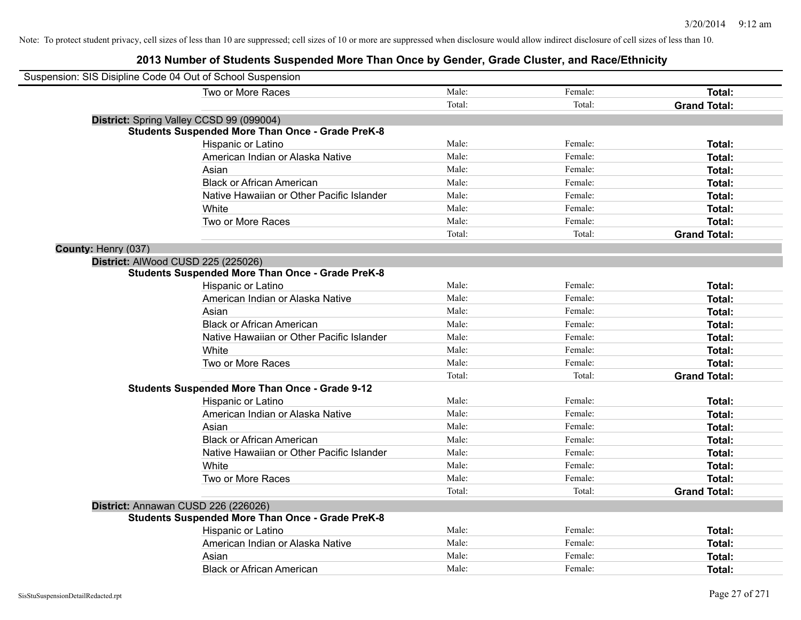| Suspension: SIS Disipline Code 04 Out of School Suspension |                                                         |        |         |                     |
|------------------------------------------------------------|---------------------------------------------------------|--------|---------|---------------------|
|                                                            | Two or More Races                                       | Male:  | Female: | Total:              |
|                                                            |                                                         | Total: | Total:  | <b>Grand Total:</b> |
| District: Spring Valley CCSD 99 (099004)                   |                                                         |        |         |                     |
|                                                            | <b>Students Suspended More Than Once - Grade PreK-8</b> |        |         |                     |
|                                                            | Hispanic or Latino                                      | Male:  | Female: | Total:              |
|                                                            | American Indian or Alaska Native                        | Male:  | Female: | Total:              |
|                                                            | Asian                                                   | Male:  | Female: | Total:              |
|                                                            | <b>Black or African American</b>                        | Male:  | Female: | Total:              |
|                                                            | Native Hawaiian or Other Pacific Islander               | Male:  | Female: | Total:              |
|                                                            | White                                                   | Male:  | Female: | Total:              |
|                                                            | Two or More Races                                       | Male:  | Female: | Total:              |
|                                                            |                                                         | Total: | Total:  | <b>Grand Total:</b> |
| County: Henry (037)                                        |                                                         |        |         |                     |
| District: AlWood CUSD 225 (225026)                         |                                                         |        |         |                     |
|                                                            | <b>Students Suspended More Than Once - Grade PreK-8</b> |        |         |                     |
|                                                            | Hispanic or Latino                                      | Male:  | Female: | Total:              |
|                                                            | American Indian or Alaska Native                        | Male:  | Female: | Total:              |
|                                                            | Asian                                                   | Male:  | Female: | Total:              |
|                                                            | <b>Black or African American</b>                        | Male:  | Female: | Total:              |
|                                                            | Native Hawaiian or Other Pacific Islander               | Male:  | Female: | Total:              |
|                                                            | White                                                   | Male:  | Female: | Total:              |
|                                                            | Two or More Races                                       | Male:  | Female: | Total:              |
|                                                            |                                                         | Total: | Total:  | <b>Grand Total:</b> |
|                                                            | <b>Students Suspended More Than Once - Grade 9-12</b>   |        |         |                     |
|                                                            | Hispanic or Latino                                      | Male:  | Female: | Total:              |
|                                                            | American Indian or Alaska Native                        | Male:  | Female: | Total:              |
|                                                            | Asian                                                   | Male:  | Female: | Total:              |
|                                                            | <b>Black or African American</b>                        | Male:  | Female: | <b>Total:</b>       |
|                                                            | Native Hawaiian or Other Pacific Islander               | Male:  | Female: | Total:              |
|                                                            | White                                                   | Male:  | Female: | Total:              |
|                                                            | Two or More Races                                       | Male:  | Female: | Total:              |
|                                                            |                                                         | Total: | Total:  | <b>Grand Total:</b> |
| District: Annawan CUSD 226 (226026)                        |                                                         |        |         |                     |
|                                                            | <b>Students Suspended More Than Once - Grade PreK-8</b> |        |         |                     |
|                                                            | Hispanic or Latino                                      | Male:  | Female: | Total:              |
|                                                            | American Indian or Alaska Native                        | Male:  | Female: | Total:              |
|                                                            | Asian                                                   | Male:  | Female: | Total:              |
|                                                            | <b>Black or African American</b>                        | Male:  | Female: | Total:              |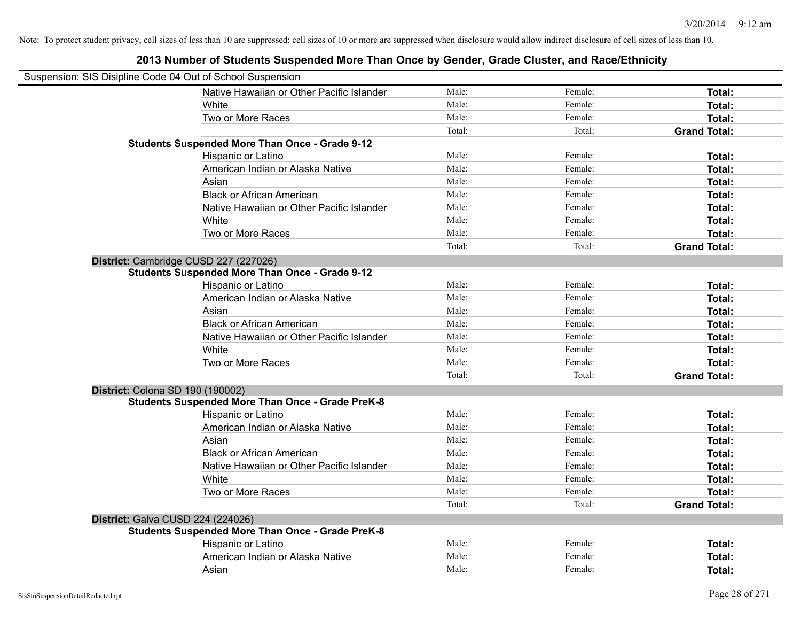| Suspension: SIS Disipline Code 04 Out of School Suspension |                                                         |        |         |                     |
|------------------------------------------------------------|---------------------------------------------------------|--------|---------|---------------------|
|                                                            | Native Hawaiian or Other Pacific Islander               | Male:  | Female: | Total:              |
|                                                            | White                                                   | Male:  | Female: | Total:              |
|                                                            | Two or More Races                                       | Male:  | Female: | Total:              |
|                                                            |                                                         | Total: | Total:  | <b>Grand Total:</b> |
|                                                            | <b>Students Suspended More Than Once - Grade 9-12</b>   |        |         |                     |
|                                                            | Hispanic or Latino                                      | Male:  | Female: | Total:              |
|                                                            | American Indian or Alaska Native                        | Male:  | Female: | Total:              |
|                                                            | Asian                                                   | Male:  | Female: | Total:              |
|                                                            | <b>Black or African American</b>                        | Male:  | Female: | Total:              |
|                                                            | Native Hawaiian or Other Pacific Islander               | Male:  | Female: | Total:              |
|                                                            | White                                                   | Male:  | Female: | Total:              |
|                                                            | Two or More Races                                       | Male:  | Female: | Total:              |
|                                                            |                                                         | Total: | Total:  | <b>Grand Total:</b> |
| District: Cambridge CUSD 227 (227026)                      |                                                         |        |         |                     |
|                                                            | <b>Students Suspended More Than Once - Grade 9-12</b>   |        |         |                     |
|                                                            | Hispanic or Latino                                      | Male:  | Female: | Total:              |
|                                                            | American Indian or Alaska Native                        | Male:  | Female: | Total:              |
|                                                            | Asian                                                   | Male:  | Female: | Total:              |
|                                                            | <b>Black or African American</b>                        | Male:  | Female: | Total:              |
|                                                            | Native Hawaiian or Other Pacific Islander               | Male:  | Female: | Total:              |
|                                                            | White                                                   | Male:  | Female: | Total:              |
|                                                            | Two or More Races                                       | Male:  | Female: | Total:              |
|                                                            |                                                         | Total: | Total:  | <b>Grand Total:</b> |
| District: Colona SD 190 (190002)                           |                                                         |        |         |                     |
|                                                            | <b>Students Suspended More Than Once - Grade PreK-8</b> |        |         |                     |
|                                                            | Hispanic or Latino                                      | Male:  | Female: | Total:              |
|                                                            | American Indian or Alaska Native                        | Male:  | Female: | Total:              |
|                                                            | Asian                                                   | Male:  | Female: | Total:              |
|                                                            | <b>Black or African American</b>                        | Male:  | Female: | Total:              |
|                                                            | Native Hawaiian or Other Pacific Islander               | Male:  | Female: | Total:              |
|                                                            | White                                                   | Male:  | Female: | Total:              |
|                                                            | Two or More Races                                       | Male:  | Female: | Total:              |
|                                                            |                                                         | Total: | Total:  | <b>Grand Total:</b> |
| District: Galva CUSD 224 (224026)                          |                                                         |        |         |                     |
|                                                            | <b>Students Suspended More Than Once - Grade PreK-8</b> |        |         |                     |
|                                                            | Hispanic or Latino                                      | Male:  | Female: | Total:              |
|                                                            | American Indian or Alaska Native                        | Male:  | Female: | Total:              |
|                                                            | Asian                                                   | Male:  | Female: | Total:              |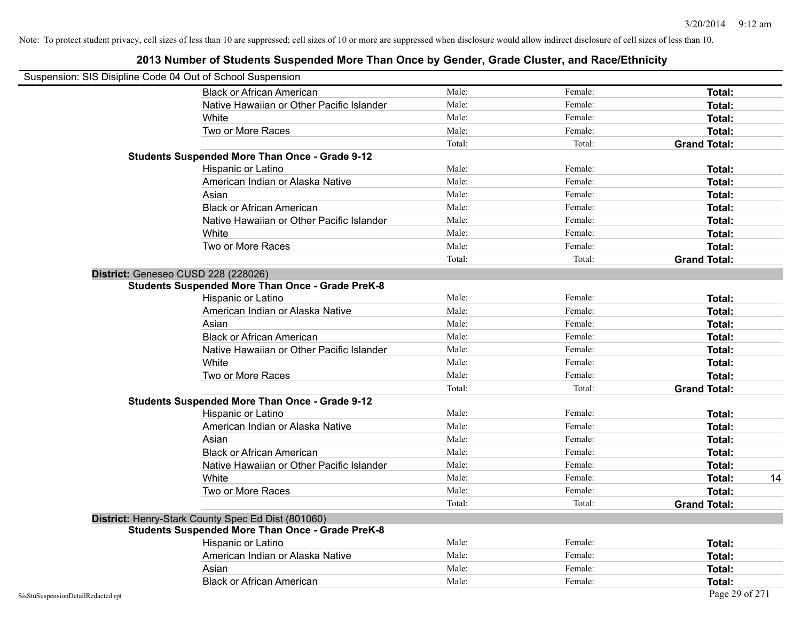| Suspension: SIS Disipline Code 04 Out of School Suspension |                                                         |        |         |                     |
|------------------------------------------------------------|---------------------------------------------------------|--------|---------|---------------------|
|                                                            | <b>Black or African American</b>                        | Male:  | Female: | <b>Total:</b>       |
|                                                            | Native Hawaiian or Other Pacific Islander               | Male:  | Female: | Total:              |
|                                                            | White                                                   | Male:  | Female: | Total:              |
|                                                            | Two or More Races                                       | Male:  | Female: | Total:              |
|                                                            |                                                         | Total: | Total:  | <b>Grand Total:</b> |
|                                                            | <b>Students Suspended More Than Once - Grade 9-12</b>   |        |         |                     |
|                                                            | Hispanic or Latino                                      | Male:  | Female: | Total:              |
|                                                            | American Indian or Alaska Native                        | Male:  | Female: | Total:              |
|                                                            | Asian                                                   | Male:  | Female: | Total:              |
|                                                            | <b>Black or African American</b>                        | Male:  | Female: | Total:              |
|                                                            | Native Hawaiian or Other Pacific Islander               | Male:  | Female: | Total:              |
|                                                            | White                                                   | Male:  | Female: | Total:              |
|                                                            | Two or More Races                                       | Male:  | Female: | Total:              |
|                                                            |                                                         | Total: | Total:  | <b>Grand Total:</b> |
|                                                            | District: Geneseo CUSD 228 (228026)                     |        |         |                     |
|                                                            | <b>Students Suspended More Than Once - Grade PreK-8</b> |        |         |                     |
|                                                            | Hispanic or Latino                                      | Male:  | Female: | <b>Total:</b>       |
|                                                            | American Indian or Alaska Native                        | Male:  | Female: | Total:              |
|                                                            | Asian                                                   | Male:  | Female: | Total:              |
|                                                            | <b>Black or African American</b>                        | Male:  | Female: | Total:              |
|                                                            | Native Hawaiian or Other Pacific Islander               | Male:  | Female: | Total:              |
|                                                            | White                                                   | Male:  | Female: | Total:              |
|                                                            | Two or More Races                                       | Male:  | Female: | Total:              |
|                                                            |                                                         | Total: | Total:  | <b>Grand Total:</b> |
|                                                            | <b>Students Suspended More Than Once - Grade 9-12</b>   |        |         |                     |
|                                                            | Hispanic or Latino                                      | Male:  | Female: | Total:              |
|                                                            | American Indian or Alaska Native                        | Male:  | Female: | Total:              |
|                                                            | Asian                                                   | Male:  | Female: | Total:              |
|                                                            | <b>Black or African American</b>                        | Male:  | Female: | Total:              |
|                                                            | Native Hawaiian or Other Pacific Islander               | Male:  | Female: | Total:              |
|                                                            | White                                                   | Male:  | Female: | 14<br>Total:        |
|                                                            | Two or More Races                                       | Male:  | Female: | Total:              |
|                                                            |                                                         | Total: | Total:  | <b>Grand Total:</b> |
|                                                            | District: Henry-Stark County Spec Ed Dist (801060)      |        |         |                     |
|                                                            | <b>Students Suspended More Than Once - Grade PreK-8</b> |        |         |                     |
|                                                            | Hispanic or Latino                                      | Male:  | Female: | Total:              |
|                                                            | American Indian or Alaska Native                        | Male:  | Female: | Total:              |
|                                                            | Asian                                                   | Male:  | Female: | Total:              |
|                                                            | <b>Black or African American</b>                        | Male:  | Female: | Total:              |
| SisStuSuspensionDetailRedacted.rpt                         |                                                         |        |         | Page 29 of 271      |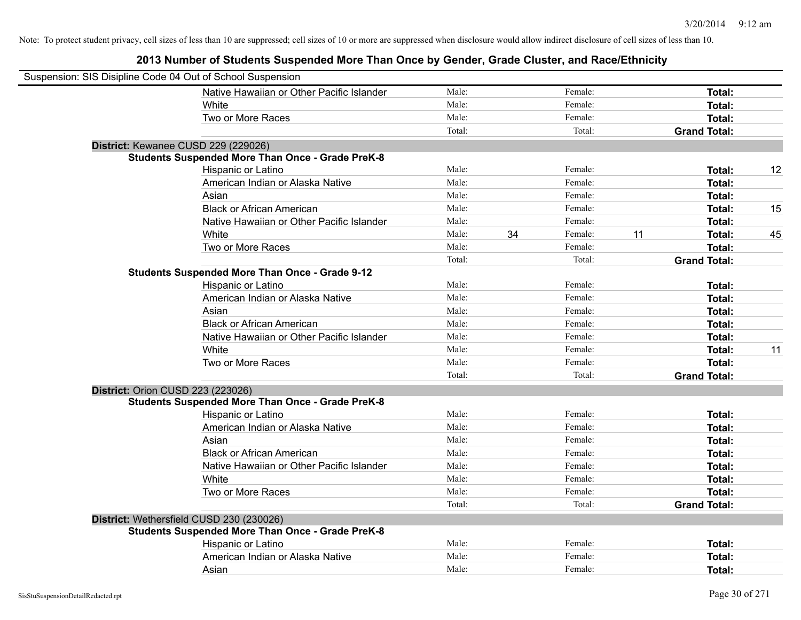| Suspension: SIS Disipline Code 04 Out of School Suspension |                                                         |        |    |         |    |                     |    |
|------------------------------------------------------------|---------------------------------------------------------|--------|----|---------|----|---------------------|----|
|                                                            | Native Hawaiian or Other Pacific Islander               | Male:  |    | Female: |    | Total:              |    |
|                                                            | White                                                   | Male:  |    | Female: |    | Total:              |    |
|                                                            | Two or More Races                                       | Male:  |    | Female: |    | Total:              |    |
|                                                            |                                                         | Total: |    | Total:  |    | <b>Grand Total:</b> |    |
| District: Kewanee CUSD 229 (229026)                        |                                                         |        |    |         |    |                     |    |
|                                                            | <b>Students Suspended More Than Once - Grade PreK-8</b> |        |    |         |    |                     |    |
|                                                            | Hispanic or Latino                                      | Male:  |    | Female: |    | Total:              | 12 |
|                                                            | American Indian or Alaska Native                        | Male:  |    | Female: |    | Total:              |    |
|                                                            | Asian                                                   | Male:  |    | Female: |    | Total:              |    |
|                                                            | <b>Black or African American</b>                        | Male:  |    | Female: |    | Total:              | 15 |
|                                                            | Native Hawaiian or Other Pacific Islander               | Male:  |    | Female: |    | Total:              |    |
|                                                            | White                                                   | Male:  | 34 | Female: | 11 | Total:              | 45 |
|                                                            | Two or More Races                                       | Male:  |    | Female: |    | Total:              |    |
|                                                            |                                                         | Total: |    | Total:  |    | <b>Grand Total:</b> |    |
|                                                            | <b>Students Suspended More Than Once - Grade 9-12</b>   |        |    |         |    |                     |    |
|                                                            | Hispanic or Latino                                      | Male:  |    | Female: |    | Total:              |    |
|                                                            | American Indian or Alaska Native                        | Male:  |    | Female: |    | Total:              |    |
|                                                            | Asian                                                   | Male:  |    | Female: |    | Total:              |    |
|                                                            | <b>Black or African American</b>                        | Male:  |    | Female: |    | Total:              |    |
|                                                            | Native Hawaiian or Other Pacific Islander               | Male:  |    | Female: |    | Total:              |    |
|                                                            | White                                                   | Male:  |    | Female: |    | Total:              | 11 |
|                                                            | Two or More Races                                       | Male:  |    | Female: |    | Total:              |    |
|                                                            |                                                         | Total: |    | Total:  |    | <b>Grand Total:</b> |    |
| District: Orion CUSD 223 (223026)                          |                                                         |        |    |         |    |                     |    |
|                                                            | <b>Students Suspended More Than Once - Grade PreK-8</b> |        |    |         |    |                     |    |
|                                                            | Hispanic or Latino                                      | Male:  |    | Female: |    | Total:              |    |
|                                                            | American Indian or Alaska Native                        | Male:  |    | Female: |    | Total:              |    |
|                                                            | Asian                                                   | Male:  |    | Female: |    | Total:              |    |
|                                                            | <b>Black or African American</b>                        | Male:  |    | Female: |    | Total:              |    |
|                                                            | Native Hawaiian or Other Pacific Islander               | Male:  |    | Female: |    | Total:              |    |
|                                                            | White                                                   | Male:  |    | Female: |    | Total:              |    |
|                                                            | Two or More Races                                       | Male:  |    | Female: |    | Total:              |    |
|                                                            |                                                         | Total: |    | Total:  |    | <b>Grand Total:</b> |    |
|                                                            | District: Wethersfield CUSD 230 (230026)                |        |    |         |    |                     |    |
|                                                            | <b>Students Suspended More Than Once - Grade PreK-8</b> |        |    |         |    |                     |    |
|                                                            | Hispanic or Latino                                      | Male:  |    | Female: |    | Total:              |    |
|                                                            | American Indian or Alaska Native                        | Male:  |    | Female: |    | Total:              |    |
|                                                            | Asian                                                   | Male:  |    | Female: |    | Total:              |    |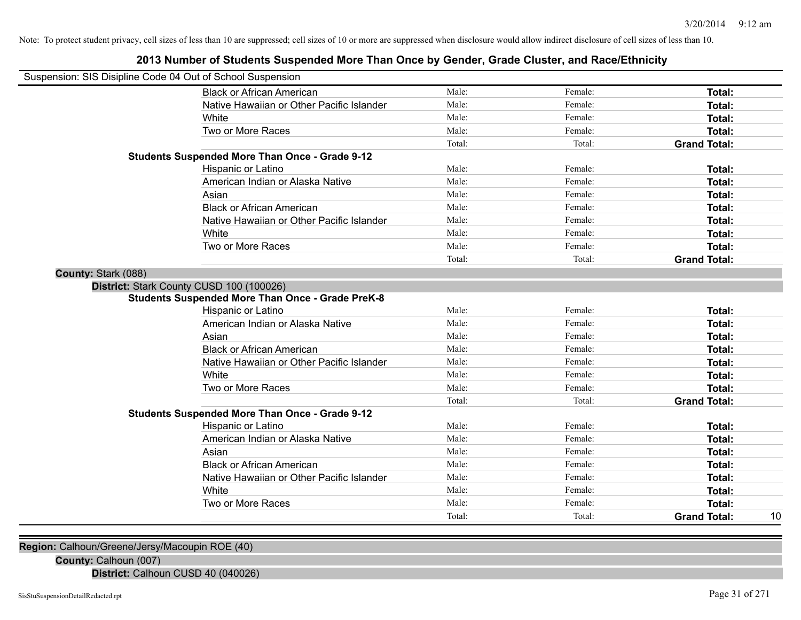### **2013 Number of Students Suspended More Than Once by Gender, Grade Cluster, and Race/Ethnicity**

|                     | Suspension: SIS Disipline Code 04 Out of School Suspension |        |         |                     |    |
|---------------------|------------------------------------------------------------|--------|---------|---------------------|----|
|                     | <b>Black or African American</b>                           | Male:  | Female: | Total:              |    |
|                     | Native Hawaiian or Other Pacific Islander                  | Male:  | Female: | Total:              |    |
|                     | White                                                      | Male:  | Female: | Total:              |    |
|                     | Two or More Races                                          | Male:  | Female: | Total:              |    |
|                     |                                                            | Total: | Total:  | <b>Grand Total:</b> |    |
|                     | <b>Students Suspended More Than Once - Grade 9-12</b>      |        |         |                     |    |
|                     | Hispanic or Latino                                         | Male:  | Female: | Total:              |    |
|                     | American Indian or Alaska Native                           | Male:  | Female: | Total:              |    |
|                     | Asian                                                      | Male:  | Female: | Total:              |    |
|                     | <b>Black or African American</b>                           | Male:  | Female: | Total:              |    |
|                     | Native Hawaiian or Other Pacific Islander                  | Male:  | Female: | Total:              |    |
|                     | White                                                      | Male:  | Female: | Total:              |    |
|                     | Two or More Races                                          | Male:  | Female: | Total:              |    |
|                     |                                                            | Total: | Total:  | <b>Grand Total:</b> |    |
| County: Stark (088) |                                                            |        |         |                     |    |
|                     | District: Stark County CUSD 100 (100026)                   |        |         |                     |    |
|                     | <b>Students Suspended More Than Once - Grade PreK-8</b>    |        |         |                     |    |
|                     | Hispanic or Latino                                         | Male:  | Female: | <b>Total:</b>       |    |
|                     | American Indian or Alaska Native                           | Male:  | Female: | Total:              |    |
|                     | Asian                                                      | Male:  | Female: | Total:              |    |
|                     | <b>Black or African American</b>                           | Male:  | Female: | Total:              |    |
|                     | Native Hawaiian or Other Pacific Islander                  | Male:  | Female: | Total:              |    |
|                     | White                                                      | Male:  | Female: | <b>Total:</b>       |    |
|                     | Two or More Races                                          | Male:  | Female: | Total:              |    |
|                     |                                                            | Total: | Total:  | <b>Grand Total:</b> |    |
|                     | <b>Students Suspended More Than Once - Grade 9-12</b>      |        |         |                     |    |
|                     | <b>Hispanic or Latino</b>                                  | Male:  | Female: | Total:              |    |
|                     | American Indian or Alaska Native                           | Male:  | Female: | <b>Total:</b>       |    |
|                     | Asian                                                      | Male:  | Female: | Total:              |    |
|                     | <b>Black or African American</b>                           | Male:  | Female: | Total:              |    |
|                     | Native Hawaiian or Other Pacific Islander                  | Male:  | Female: | Total:              |    |
|                     | White                                                      | Male:  | Female: | Total:              |    |
|                     | Two or More Races                                          | Male:  | Female: | <b>Total:</b>       |    |
|                     |                                                            | Total: | Total:  | <b>Grand Total:</b> | 10 |
|                     |                                                            |        |         |                     |    |

**Region:** Calhoun/Greene/Jersy/Macoupin ROE (40)

**County:** Calhoun (007)

**District:** Calhoun CUSD 40 (040026)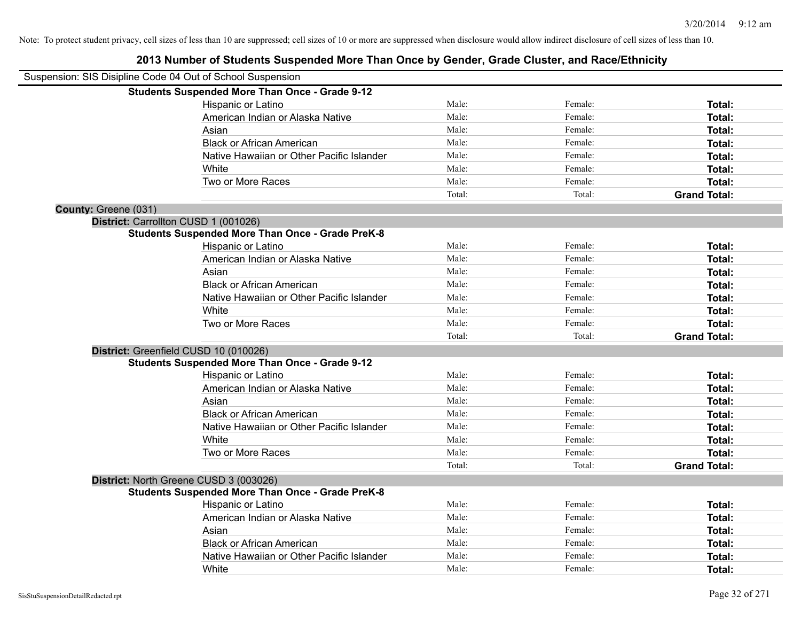| Suspension: SIS Disipline Code 04 Out of School Suspension |                                                         |        |         |                     |
|------------------------------------------------------------|---------------------------------------------------------|--------|---------|---------------------|
|                                                            | <b>Students Suspended More Than Once - Grade 9-12</b>   |        |         |                     |
|                                                            | Hispanic or Latino                                      | Male:  | Female: | Total:              |
|                                                            | American Indian or Alaska Native                        | Male:  | Female: | Total:              |
|                                                            | Asian                                                   | Male:  | Female: | Total:              |
|                                                            | <b>Black or African American</b>                        | Male:  | Female: | Total:              |
|                                                            | Native Hawaiian or Other Pacific Islander               | Male:  | Female: | Total:              |
|                                                            | White                                                   | Male:  | Female: | Total:              |
|                                                            | Two or More Races                                       | Male:  | Female: | Total:              |
|                                                            |                                                         | Total: | Total:  | <b>Grand Total:</b> |
| County: Greene (031)                                       |                                                         |        |         |                     |
|                                                            | District: Carrollton CUSD 1 (001026)                    |        |         |                     |
|                                                            | <b>Students Suspended More Than Once - Grade PreK-8</b> |        |         |                     |
|                                                            | Hispanic or Latino                                      | Male:  | Female: | Total:              |
|                                                            | American Indian or Alaska Native                        | Male:  | Female: | Total:              |
|                                                            | Asian                                                   | Male:  | Female: | Total:              |
|                                                            | <b>Black or African American</b>                        | Male:  | Female: | Total:              |
|                                                            | Native Hawaiian or Other Pacific Islander               | Male:  | Female: | Total:              |
|                                                            | White                                                   | Male:  | Female: | Total:              |
|                                                            | Two or More Races                                       | Male:  | Female: | Total:              |
|                                                            |                                                         | Total: | Total:  | <b>Grand Total:</b> |
|                                                            | District: Greenfield CUSD 10 (010026)                   |        |         |                     |
|                                                            | <b>Students Suspended More Than Once - Grade 9-12</b>   |        |         |                     |
|                                                            | Hispanic or Latino                                      | Male:  | Female: | Total:              |
|                                                            | American Indian or Alaska Native                        | Male:  | Female: | Total:              |
|                                                            | Asian                                                   | Male:  | Female: | Total:              |
|                                                            | <b>Black or African American</b>                        | Male:  | Female: | Total:              |
|                                                            | Native Hawaiian or Other Pacific Islander               | Male:  | Female: | Total:              |
|                                                            | White                                                   | Male:  | Female: | Total:              |
|                                                            | Two or More Races                                       | Male:  | Female: | Total:              |
|                                                            |                                                         | Total: | Total:  | <b>Grand Total:</b> |
|                                                            | District: North Greene CUSD 3 (003026)                  |        |         |                     |
|                                                            | <b>Students Suspended More Than Once - Grade PreK-8</b> |        |         |                     |
|                                                            | <b>Hispanic or Latino</b>                               | Male:  | Female: | Total:              |
|                                                            | American Indian or Alaska Native                        | Male:  | Female: | Total:              |
|                                                            | Asian                                                   | Male:  | Female: | Total:              |
|                                                            | <b>Black or African American</b>                        | Male:  | Female: | Total:              |
|                                                            | Native Hawaiian or Other Pacific Islander               | Male:  | Female: | Total:              |
|                                                            | White                                                   | Male:  | Female: | Total:              |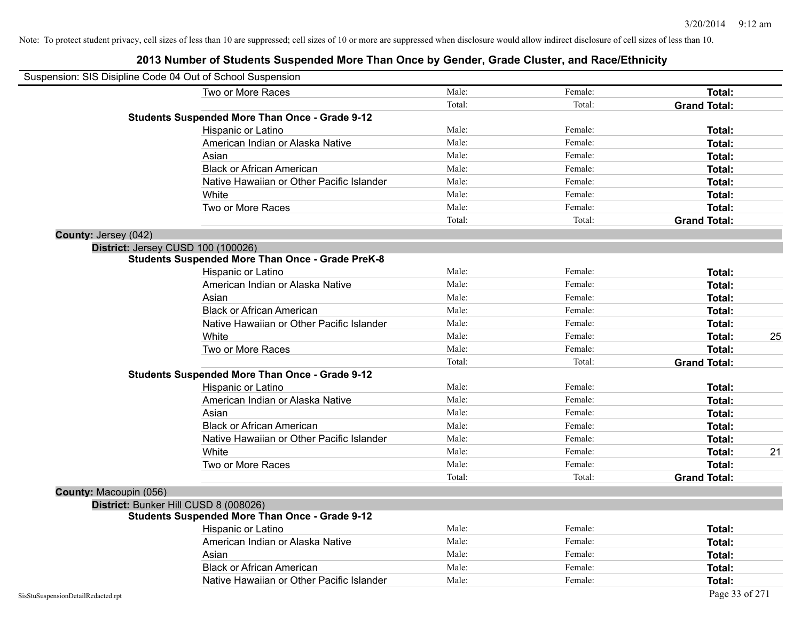|                                    | Suspension: SIS Disipline Code 04 Out of School Suspension |        |         |                     |    |
|------------------------------------|------------------------------------------------------------|--------|---------|---------------------|----|
|                                    | Two or More Races                                          | Male:  | Female: | Total:              |    |
|                                    |                                                            | Total: | Total:  | <b>Grand Total:</b> |    |
|                                    | <b>Students Suspended More Than Once - Grade 9-12</b>      |        |         |                     |    |
|                                    | Hispanic or Latino                                         | Male:  | Female: | Total:              |    |
|                                    | American Indian or Alaska Native                           | Male:  | Female: | Total:              |    |
|                                    | Asian                                                      | Male:  | Female: | Total:              |    |
|                                    | <b>Black or African American</b>                           | Male:  | Female: | Total:              |    |
|                                    | Native Hawaiian or Other Pacific Islander                  | Male:  | Female: | Total:              |    |
|                                    | White                                                      | Male:  | Female: | Total:              |    |
|                                    | Two or More Races                                          | Male:  | Female: | Total:              |    |
|                                    |                                                            | Total: | Total:  | <b>Grand Total:</b> |    |
| County: Jersey (042)               |                                                            |        |         |                     |    |
|                                    | District: Jersey CUSD 100 (100026)                         |        |         |                     |    |
|                                    | <b>Students Suspended More Than Once - Grade PreK-8</b>    |        |         |                     |    |
|                                    | Hispanic or Latino                                         | Male:  | Female: | Total:              |    |
|                                    | American Indian or Alaska Native                           | Male:  | Female: | Total:              |    |
|                                    | Asian                                                      | Male:  | Female: | Total:              |    |
|                                    | <b>Black or African American</b>                           | Male:  | Female: | Total:              |    |
|                                    | Native Hawaiian or Other Pacific Islander                  | Male:  | Female: | Total:              |    |
|                                    | White                                                      | Male:  | Female: | Total:              | 25 |
|                                    | Two or More Races                                          | Male:  | Female: | Total:              |    |
|                                    |                                                            | Total: | Total:  | <b>Grand Total:</b> |    |
|                                    | <b>Students Suspended More Than Once - Grade 9-12</b>      |        |         |                     |    |
|                                    | Hispanic or Latino                                         | Male:  | Female: | Total:              |    |
|                                    | American Indian or Alaska Native                           | Male:  | Female: | Total:              |    |
|                                    | Asian                                                      | Male:  | Female: | Total:              |    |
|                                    | <b>Black or African American</b>                           | Male:  | Female: | Total:              |    |
|                                    | Native Hawaiian or Other Pacific Islander                  | Male:  | Female: | Total:              |    |
|                                    | White                                                      | Male:  | Female: | Total:              | 21 |
|                                    | Two or More Races                                          | Male:  | Female: | Total:              |    |
|                                    |                                                            | Total: | Total:  | <b>Grand Total:</b> |    |
| County: Macoupin (056)             |                                                            |        |         |                     |    |
|                                    | District: Bunker Hill CUSD 8 (008026)                      |        |         |                     |    |
|                                    | <b>Students Suspended More Than Once - Grade 9-12</b>      |        |         |                     |    |
|                                    | Hispanic or Latino                                         | Male:  | Female: | Total:              |    |
|                                    | American Indian or Alaska Native                           | Male:  | Female: | Total:              |    |
|                                    | Asian                                                      | Male:  | Female: | Total:              |    |
|                                    | <b>Black or African American</b>                           | Male:  | Female: | Total:              |    |
|                                    | Native Hawaiian or Other Pacific Islander                  | Male:  | Female: | Total:              |    |
| SisStuSuspensionDetailRedacted.rpt |                                                            |        |         | Page 33 of 271      |    |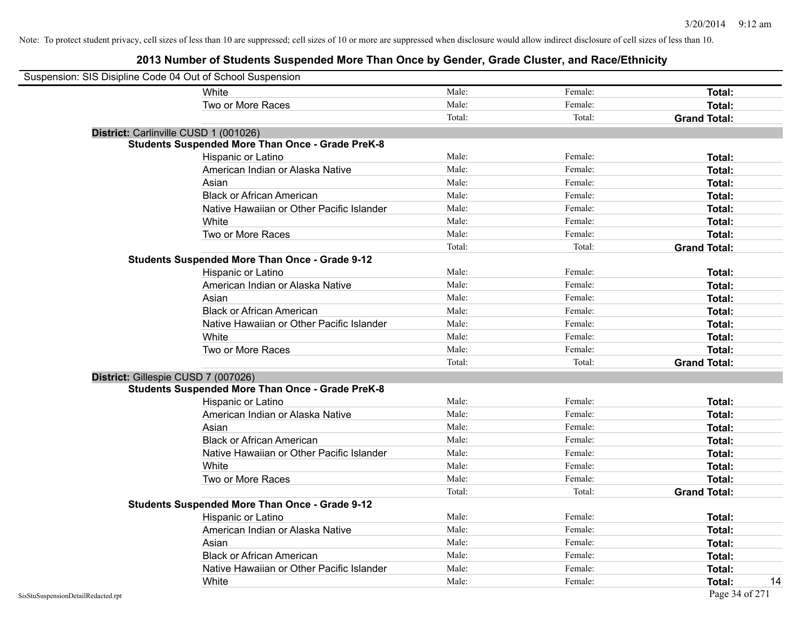| Suspension: SIS Disipline Code 04 Out of School Suspension |                                                         |        |         |                     |
|------------------------------------------------------------|---------------------------------------------------------|--------|---------|---------------------|
|                                                            | White                                                   | Male:  | Female: | Total:              |
|                                                            | Two or More Races                                       | Male:  | Female: | Total:              |
|                                                            |                                                         | Total: | Total:  | <b>Grand Total:</b> |
|                                                            | District: Carlinville CUSD 1 (001026)                   |        |         |                     |
|                                                            | <b>Students Suspended More Than Once - Grade PreK-8</b> |        |         |                     |
|                                                            | Hispanic or Latino                                      | Male:  | Female: | Total:              |
|                                                            | American Indian or Alaska Native                        | Male:  | Female: | Total:              |
|                                                            | Asian                                                   | Male:  | Female: | Total:              |
|                                                            | <b>Black or African American</b>                        | Male:  | Female: | Total:              |
|                                                            | Native Hawaiian or Other Pacific Islander               | Male:  | Female: | Total:              |
|                                                            | White                                                   | Male:  | Female: | Total:              |
|                                                            | Two or More Races                                       | Male:  | Female: | Total:              |
|                                                            |                                                         | Total: | Total:  | <b>Grand Total:</b> |
|                                                            | <b>Students Suspended More Than Once - Grade 9-12</b>   |        |         |                     |
|                                                            | Hispanic or Latino                                      | Male:  | Female: | Total:              |
|                                                            | American Indian or Alaska Native                        | Male:  | Female: | Total:              |
|                                                            | Asian                                                   | Male:  | Female: | Total:              |
|                                                            | <b>Black or African American</b>                        | Male:  | Female: | Total:              |
|                                                            | Native Hawaiian or Other Pacific Islander               | Male:  | Female: | Total:              |
|                                                            | White                                                   | Male:  | Female: | Total:              |
|                                                            | Two or More Races                                       | Male:  | Female: | Total:              |
|                                                            |                                                         | Total: | Total:  | <b>Grand Total:</b> |
|                                                            | District: Gillespie CUSD 7 (007026)                     |        |         |                     |
|                                                            | <b>Students Suspended More Than Once - Grade PreK-8</b> |        |         |                     |
|                                                            | Hispanic or Latino                                      | Male:  | Female: | Total:              |
|                                                            | American Indian or Alaska Native                        | Male:  | Female: | Total:              |
|                                                            | Asian                                                   | Male:  | Female: | Total:              |
|                                                            | <b>Black or African American</b>                        | Male:  | Female: | Total:              |
|                                                            | Native Hawaiian or Other Pacific Islander               | Male:  | Female: | Total:              |
|                                                            | White                                                   | Male:  | Female: | Total:              |
|                                                            | Two or More Races                                       | Male:  | Female: | Total:              |
|                                                            |                                                         | Total: | Total:  | <b>Grand Total:</b> |
|                                                            | <b>Students Suspended More Than Once - Grade 9-12</b>   |        |         |                     |
|                                                            | Hispanic or Latino                                      | Male:  | Female: | Total:              |
|                                                            | American Indian or Alaska Native                        | Male:  | Female: | Total:              |
|                                                            | Asian                                                   | Male:  | Female: | Total:              |
|                                                            | <b>Black or African American</b>                        | Male:  | Female: | Total:              |
|                                                            | Native Hawaiian or Other Pacific Islander               | Male:  | Female: | Total:              |
|                                                            | White                                                   | Male:  | Female: | Total:<br>14        |
| SisStuSuspensionDetailRedacted.rpt                         |                                                         |        |         | Page 34 of 271      |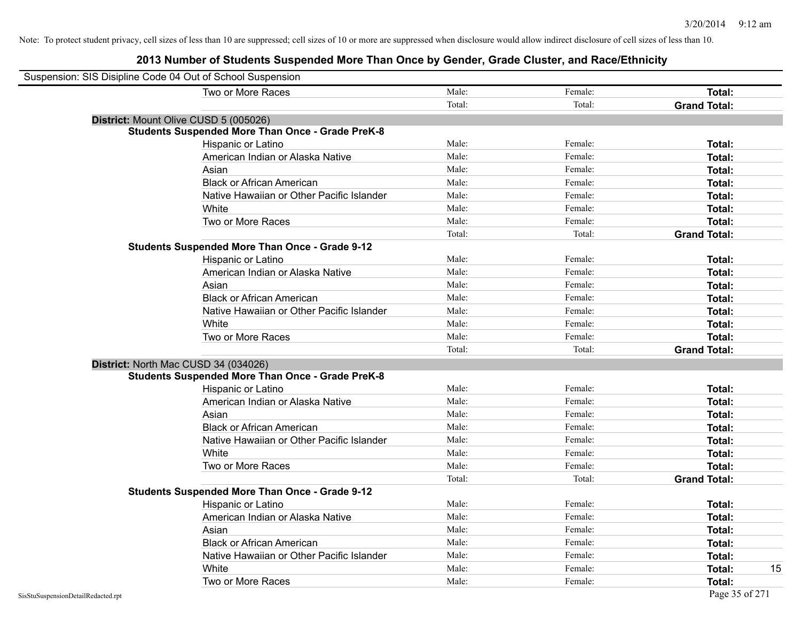| Suspension: SIS Disipline Code 04 Out of School Suspension |                                                         |        |         |                     |
|------------------------------------------------------------|---------------------------------------------------------|--------|---------|---------------------|
|                                                            | Two or More Races                                       | Male:  | Female: | <b>Total:</b>       |
|                                                            |                                                         | Total: | Total:  | <b>Grand Total:</b> |
|                                                            | District: Mount Olive CUSD 5 (005026)                   |        |         |                     |
|                                                            | <b>Students Suspended More Than Once - Grade PreK-8</b> |        |         |                     |
|                                                            | Hispanic or Latino                                      | Male:  | Female: | Total:              |
|                                                            | American Indian or Alaska Native                        | Male:  | Female: | Total:              |
|                                                            | Asian                                                   | Male:  | Female: | Total:              |
|                                                            | <b>Black or African American</b>                        | Male:  | Female: | Total:              |
|                                                            | Native Hawaiian or Other Pacific Islander               | Male:  | Female: | Total:              |
|                                                            | White                                                   | Male:  | Female: | Total:              |
|                                                            | Two or More Races                                       | Male:  | Female: | Total:              |
|                                                            |                                                         | Total: | Total:  | <b>Grand Total:</b> |
|                                                            | <b>Students Suspended More Than Once - Grade 9-12</b>   |        |         |                     |
|                                                            | Hispanic or Latino                                      | Male:  | Female: | Total:              |
|                                                            | American Indian or Alaska Native                        | Male:  | Female: | Total:              |
|                                                            | Asian                                                   | Male:  | Female: | Total:              |
|                                                            | <b>Black or African American</b>                        | Male:  | Female: | Total:              |
|                                                            | Native Hawaiian or Other Pacific Islander               | Male:  | Female: | Total:              |
|                                                            | White                                                   | Male:  | Female: | Total:              |
|                                                            | Two or More Races                                       | Male:  | Female: | Total:              |
|                                                            |                                                         | Total: | Total:  | <b>Grand Total:</b> |
|                                                            | District: North Mac CUSD 34 (034026)                    |        |         |                     |
|                                                            | <b>Students Suspended More Than Once - Grade PreK-8</b> |        |         |                     |
|                                                            | Hispanic or Latino                                      | Male:  | Female: | Total:              |
|                                                            | American Indian or Alaska Native                        | Male:  | Female: | Total:              |
|                                                            | Asian                                                   | Male:  | Female: | Total:              |
|                                                            | <b>Black or African American</b>                        | Male:  | Female: | Total:              |
|                                                            | Native Hawaiian or Other Pacific Islander               | Male:  | Female: | Total:              |
|                                                            | White                                                   | Male:  | Female: | Total:              |
|                                                            | Two or More Races                                       | Male:  | Female: | Total:              |
|                                                            |                                                         | Total: | Total:  | <b>Grand Total:</b> |
|                                                            | Students Suspended More Than Once - Grade 9-12          |        |         |                     |
|                                                            | Hispanic or Latino                                      | Male:  | Female: | Total:              |
|                                                            | American Indian or Alaska Native                        | Male:  | Female: | Total:              |
|                                                            | Asian                                                   | Male:  | Female: | Total:              |
|                                                            | <b>Black or African American</b>                        | Male:  | Female: | Total:              |
|                                                            | Native Hawaiian or Other Pacific Islander               | Male:  | Female: | Total:              |
|                                                            | White                                                   | Male:  | Female: | 15<br>Total:        |
|                                                            | Two or More Races                                       | Male:  | Female: | Total:              |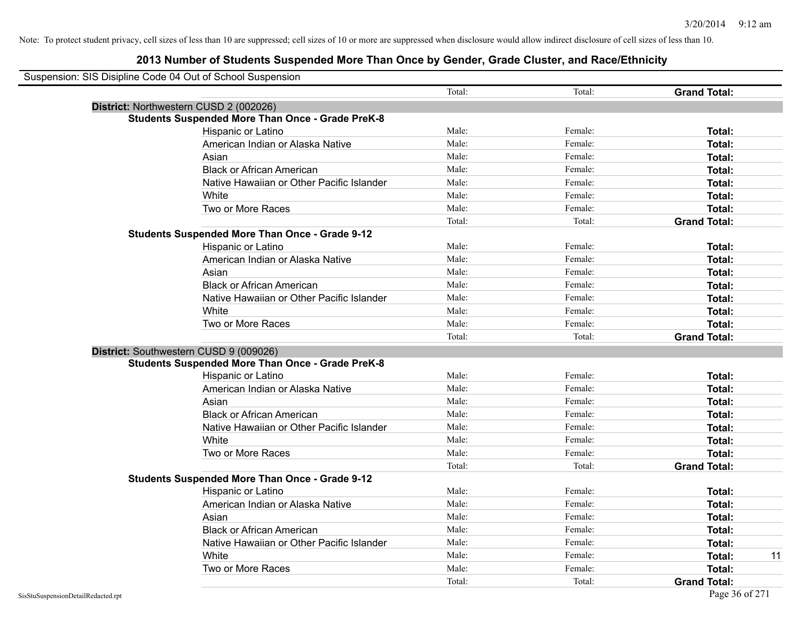| Suspension: SIS Disipline Code 04 Out of School Suspension |                                                         |        |         |                     |    |
|------------------------------------------------------------|---------------------------------------------------------|--------|---------|---------------------|----|
|                                                            |                                                         | Total: | Total:  | <b>Grand Total:</b> |    |
|                                                            | District: Northwestern CUSD 2 (002026)                  |        |         |                     |    |
|                                                            | <b>Students Suspended More Than Once - Grade PreK-8</b> |        |         |                     |    |
|                                                            | Hispanic or Latino                                      | Male:  | Female: | Total:              |    |
|                                                            | American Indian or Alaska Native                        | Male:  | Female: | Total:              |    |
|                                                            | Asian                                                   | Male:  | Female: | Total:              |    |
|                                                            | <b>Black or African American</b>                        | Male:  | Female: | Total:              |    |
|                                                            | Native Hawaiian or Other Pacific Islander               | Male:  | Female: | Total:              |    |
|                                                            | White                                                   | Male:  | Female: | Total:              |    |
|                                                            | Two or More Races                                       | Male:  | Female: | Total:              |    |
|                                                            |                                                         | Total: | Total:  | <b>Grand Total:</b> |    |
|                                                            | <b>Students Suspended More Than Once - Grade 9-12</b>   |        |         |                     |    |
|                                                            | Hispanic or Latino                                      | Male:  | Female: | Total:              |    |
|                                                            | American Indian or Alaska Native                        | Male:  | Female: | Total:              |    |
|                                                            | Asian                                                   | Male:  | Female: | Total:              |    |
|                                                            | <b>Black or African American</b>                        | Male:  | Female: | Total:              |    |
|                                                            | Native Hawaiian or Other Pacific Islander               | Male:  | Female: | Total:              |    |
|                                                            | White                                                   | Male:  | Female: | Total:              |    |
|                                                            | Two or More Races                                       | Male:  | Female: | Total:              |    |
|                                                            |                                                         | Total: | Total:  | <b>Grand Total:</b> |    |
|                                                            | District: Southwestern CUSD 9 (009026)                  |        |         |                     |    |
|                                                            | <b>Students Suspended More Than Once - Grade PreK-8</b> |        |         |                     |    |
|                                                            | Hispanic or Latino                                      | Male:  | Female: | Total:              |    |
|                                                            | American Indian or Alaska Native                        | Male:  | Female: | Total:              |    |
|                                                            | Asian                                                   | Male:  | Female: | Total:              |    |
|                                                            | <b>Black or African American</b>                        | Male:  | Female: | Total:              |    |
|                                                            | Native Hawaiian or Other Pacific Islander               | Male:  | Female: | Total:              |    |
|                                                            | White                                                   | Male:  | Female: | Total:              |    |
|                                                            | Two or More Races                                       | Male:  | Female: | Total:              |    |
|                                                            |                                                         | Total: | Total:  | <b>Grand Total:</b> |    |
|                                                            | <b>Students Suspended More Than Once - Grade 9-12</b>   |        |         |                     |    |
|                                                            | Hispanic or Latino                                      | Male:  | Female: | Total:              |    |
|                                                            | American Indian or Alaska Native                        | Male:  | Female: | Total:              |    |
|                                                            | Asian                                                   | Male:  | Female: | Total:              |    |
|                                                            | <b>Black or African American</b>                        | Male:  | Female: | Total:              |    |
|                                                            | Native Hawaiian or Other Pacific Islander               | Male:  | Female: | Total:              |    |
|                                                            | White                                                   | Male:  | Female: | Total:              | 11 |
|                                                            | Two or More Races                                       | Male:  | Female: | Total:              |    |
|                                                            |                                                         | Total: | Total:  | <b>Grand Total:</b> |    |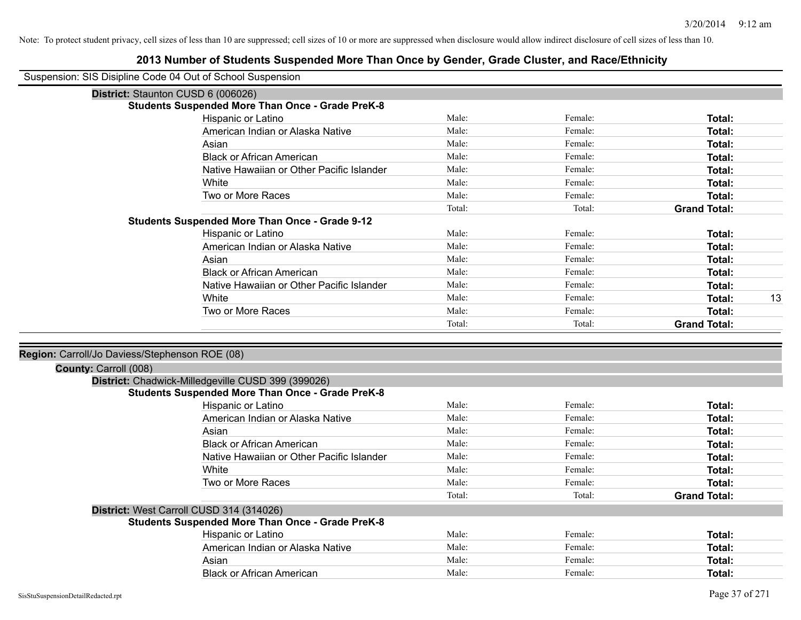|                                                | Suspension: SIS Disipline Code 04 Out of School Suspension |        |         |                     |    |
|------------------------------------------------|------------------------------------------------------------|--------|---------|---------------------|----|
|                                                | District: Staunton CUSD 6 (006026)                         |        |         |                     |    |
|                                                | <b>Students Suspended More Than Once - Grade PreK-8</b>    |        |         |                     |    |
|                                                | Hispanic or Latino                                         | Male:  | Female: | Total:              |    |
|                                                | American Indian or Alaska Native                           | Male:  | Female: | Total:              |    |
|                                                | Asian                                                      | Male:  | Female: | Total:              |    |
|                                                | <b>Black or African American</b>                           | Male:  | Female: | Total:              |    |
|                                                | Native Hawaiian or Other Pacific Islander                  | Male:  | Female: | Total:              |    |
|                                                | White                                                      | Male:  | Female: | Total:              |    |
|                                                | Two or More Races                                          | Male:  | Female: | Total:              |    |
|                                                |                                                            | Total: | Total:  | <b>Grand Total:</b> |    |
|                                                | <b>Students Suspended More Than Once - Grade 9-12</b>      |        |         |                     |    |
|                                                | Hispanic or Latino                                         | Male:  | Female: | Total:              |    |
|                                                | American Indian or Alaska Native                           | Male:  | Female: | Total:              |    |
|                                                | Asian                                                      | Male:  | Female: | Total:              |    |
|                                                | <b>Black or African American</b>                           | Male:  | Female: | Total:              |    |
|                                                | Native Hawaiian or Other Pacific Islander                  | Male:  | Female: | Total:              |    |
|                                                | White                                                      | Male:  | Female: | Total:              | 13 |
|                                                | Two or More Races                                          | Male:  | Female: | <b>Total:</b>       |    |
|                                                |                                                            | Total: | Total:  | <b>Grand Total:</b> |    |
|                                                |                                                            |        |         |                     |    |
| Region: Carroll/Jo Daviess/Stephenson ROE (08) |                                                            |        |         |                     |    |
| County: Carroll (008)                          |                                                            |        |         |                     |    |
|                                                | District: Chadwick-Milledgeville CUSD 399 (399026)         |        |         |                     |    |
|                                                | <b>Students Suspended More Than Once - Grade PreK-8</b>    |        |         |                     |    |
|                                                | <b>Hispanic or Latino</b>                                  | Male:  | Female: | Total:              |    |
|                                                | American Indian or Alaska Native                           | Male:  | Female: | Total:              |    |
|                                                | Asian                                                      | Male:  | Female: | Total:              |    |
|                                                | <b>Black or African American</b>                           | Male:  | Female: | Total:              |    |
|                                                | Native Hawaiian or Other Pacific Islander                  | Male:  | Female: | Total:              |    |
|                                                | White                                                      | Male:  | Female: | Total:              |    |
|                                                | Two or More Races                                          | Male:  | Female: | Total:              |    |
|                                                |                                                            | Total: | Total:  | <b>Grand Total:</b> |    |
|                                                | District: West Carroll CUSD 314 (314026)                   |        |         |                     |    |
|                                                | <b>Students Suspended More Than Once - Grade PreK-8</b>    |        |         |                     |    |
|                                                | Hispanic or Latino                                         | Male:  | Female: | Total:              |    |
|                                                | American Indian or Alaska Native                           | Male:  | Female: | Total:              |    |
|                                                | Asian                                                      | Male:  | Female: | <b>Total:</b>       |    |
|                                                | <b>Black or African American</b>                           | Male:  | Female: | Total:              |    |
|                                                |                                                            |        |         |                     |    |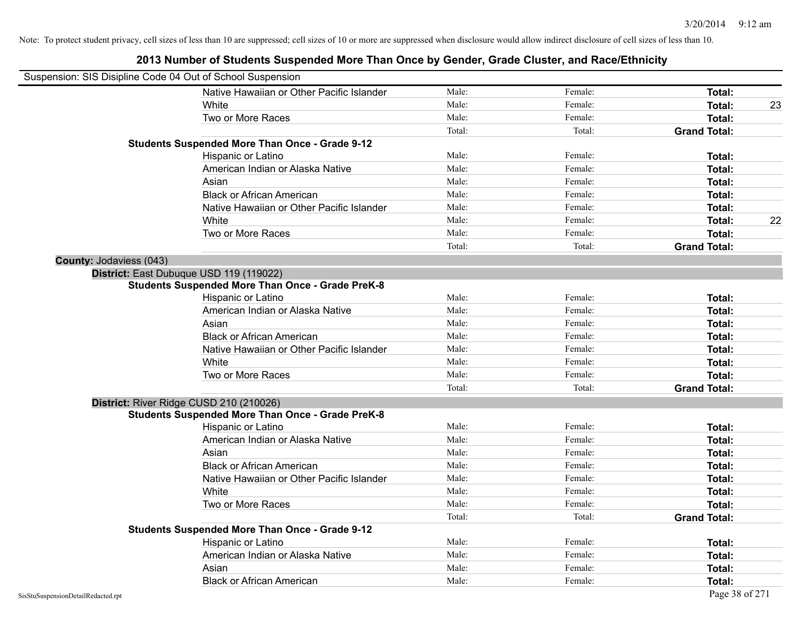## Suspension: SIS Disipline Code 04 Out of School Suspension Native Hawaiian or Other Pacific Islander Male: Total: Female: Female: Total: Total: White **Male:** Male: **Total: 23** Male: **Total: 23** Two or More Races **Total:** Total: Male: Female: Female: **Total:** Total: Total: Total: **Grand Total: Students Suspended More Than Once - Grade 9-12** Hispanic or Latino **Finale:** Female: **Total:** Female: **Total:** Female: **Total:** Female: **Finale: Total:** Finale: American Indian or Alaska Native **Male:** Male: Female: Female: **Total:** Total: Asian **Asian Male:** Female: **Total:** Female: **Total:** Female: **Total:** Female: **Total:** Total: Black or African American **Figure 1.1 and Total:** Male: Female: Female: **Total:** Total: Native Hawaiian or Other Pacific Islander **Male:** Male: Female: Female: **Total:** Total: White **Male:** Male: **Total: 22** Male: **Total: 22** Male: **Total: 22** Male: **Total:** 22 Two or More Races **Total:** Total: Male: Female: Female: **Total:** Total: Total: Total: **Grand Total: County:** Jodaviess (043) **District:** East Dubuque USD 119 (119022) **Students Suspended More Than Once - Grade PreK-8** Hispanic or Latino **Finale:** Female: **Total:** Female: **Total:** Female: **Total:** Female: **Finale:** Female: **Total:** Finale: **Finale:** Finale: **Finale:** Finale: **Finale:** Finale: **Finale:** Finale: **Finale:** Finale: **Finale:** American Indian or Alaska Native **Male:** Male: Female: Female: **Total:** Total: Asian Male: Female: **Total:** Black or African American **Figure 1.1 Contained American** Male: Female: **Female: Total: Total: Total: Total: Total: Total: Total: Total: Total: Total: Total: Total: Total: Total: Total: Tota** Native Hawaiian or Other Pacific Islander **Male:** Male: Female: Female: **Total:** Total: White **Total:** Male: Female: **Total:** Total: **Total:** Female: **Total:** Total: Two or More Races **Total:** The Male: The Female: Female: **Total:** Total: Total: Total: Total: **Grand Total: District:** River Ridge CUSD 210 (210026) **Students Suspended More Than Once - Grade PreK-8** Hispanic or Latino **Finale:** Female: **Total:** Female: **Total:** Female: **Total:** Female: **Finale:** Female: **Total:** Finale: **Finale:** Finale: **Finale:** Finale: **Finale:** Finale: **Finale:** Finale: **Finale:** Finale: **Finale:** American Indian or Alaska Native **Male:** Male: Female: Female: **Total:** Total: Asian **Male:** Female: **Total:** Total: **Total:** Female: **Total:** Total: **Total:** Total: Total: Total: Total: Total: Total: Total: Total: Total: Total: Total: Total: Total: Total: Total: Total: Total: Total: Total: Total: To Black or African American **Figure 1.1 and Total:** Male: Female: Female: **Total: Total:** Total: Native Hawaiian or Other Pacific Islander **Male:** Male: Female: Female: **Total:** Total: White **Total:** Male: Female: **Total:** Total: **Total:** Female: **Total:** Total: Two or More Races **Total:** The Male: The Female: Female: **Total:** Total: Total: Total: Total: **Grand Total: Students Suspended More Than Once - Grade 9-12** Hispanic or Latino **Finale:** Female: **Total:** Female: **Total:** Female: **Total:** Female: **Total:** Female: **Total:** Female: **Total:** Female: **Finale:** Female: **Finale:** Female: **Finale:** Finale: **Finale:** Finale: **Finale:** F American Indian or Alaska Native **Male:** Male: Female: Female: **Total:** Total: Asian **Male:** Female: **Total:** Total: **Total:** Female: **Total:** Total: **Total:** Total: Total: Total: Total: Total: Total: Total: Total: Total: Total: Total: Total: Total: Total: Total: Total: Total: Total: Total: Total: To Black or African American **Figure 1.1 and Total:** Male: Female: Female: **Total:** Total: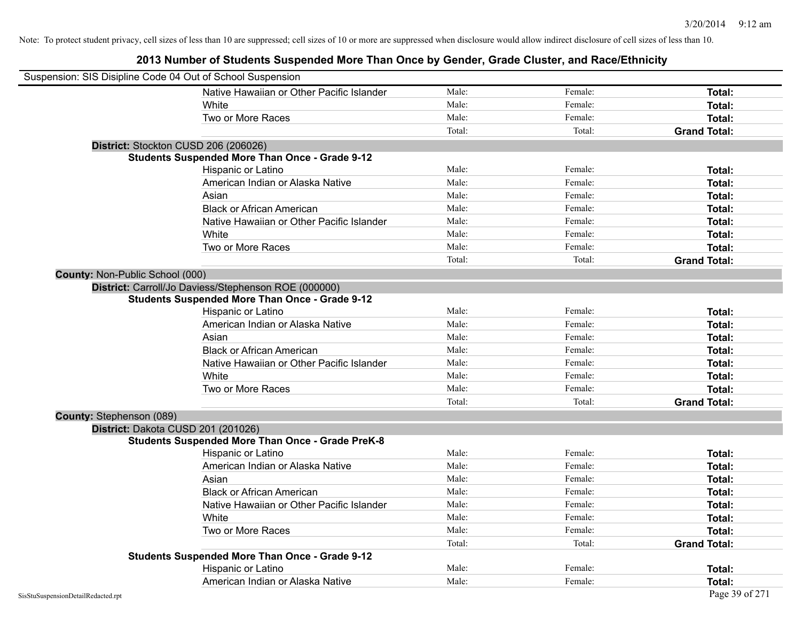| Suspension: SIS Disipline Code 04 Out of School Suspension |                                                         |        |         |                     |
|------------------------------------------------------------|---------------------------------------------------------|--------|---------|---------------------|
|                                                            | Native Hawaiian or Other Pacific Islander               | Male:  | Female: | Total:              |
|                                                            | White                                                   | Male:  | Female: | Total:              |
|                                                            | Two or More Races                                       | Male:  | Female: | Total:              |
|                                                            |                                                         | Total: | Total:  | <b>Grand Total:</b> |
| District: Stockton CUSD 206 (206026)                       |                                                         |        |         |                     |
|                                                            | <b>Students Suspended More Than Once - Grade 9-12</b>   |        |         |                     |
|                                                            | Hispanic or Latino                                      | Male:  | Female: | Total:              |
|                                                            | American Indian or Alaska Native                        | Male:  | Female: | Total:              |
|                                                            | Asian                                                   | Male:  | Female: | Total:              |
|                                                            | <b>Black or African American</b>                        | Male:  | Female: | Total:              |
|                                                            | Native Hawaiian or Other Pacific Islander               | Male:  | Female: | Total:              |
|                                                            | White                                                   | Male:  | Female: | Total:              |
|                                                            | Two or More Races                                       | Male:  | Female: | Total:              |
|                                                            |                                                         | Total: | Total:  | <b>Grand Total:</b> |
| County: Non-Public School (000)                            |                                                         |        |         |                     |
|                                                            | District: Carroll/Jo Daviess/Stephenson ROE (000000)    |        |         |                     |
|                                                            | <b>Students Suspended More Than Once - Grade 9-12</b>   |        |         |                     |
|                                                            | Hispanic or Latino                                      | Male:  | Female: | Total:              |
|                                                            | American Indian or Alaska Native                        | Male:  | Female: | Total:              |
|                                                            | Asian                                                   | Male:  | Female: | Total:              |
|                                                            | <b>Black or African American</b>                        | Male:  | Female: | Total:              |
|                                                            | Native Hawaiian or Other Pacific Islander               | Male:  | Female: | Total:              |
|                                                            | White                                                   | Male:  | Female: | Total:              |
|                                                            | Two or More Races                                       | Male:  | Female: | Total:              |
|                                                            |                                                         | Total: | Total:  | <b>Grand Total:</b> |
| <b>County: Stephenson (089)</b>                            |                                                         |        |         |                     |
| District: Dakota CUSD 201 (201026)                         |                                                         |        |         |                     |
|                                                            | <b>Students Suspended More Than Once - Grade PreK-8</b> |        |         |                     |
|                                                            | Hispanic or Latino                                      | Male:  | Female: | Total:              |
|                                                            | American Indian or Alaska Native                        | Male:  | Female: | Total:              |
|                                                            | Asian                                                   | Male:  | Female: | Total:              |
|                                                            | <b>Black or African American</b>                        | Male:  | Female: | Total:              |
|                                                            | Native Hawaiian or Other Pacific Islander               | Male:  | Female: | Total:              |
|                                                            | White                                                   | Male:  | Female: | Total:              |
|                                                            | Two or More Races                                       | Male:  | Female: | Total:              |
|                                                            |                                                         | Total: | Total:  | <b>Grand Total:</b> |
|                                                            | <b>Students Suspended More Than Once - Grade 9-12</b>   |        |         |                     |
|                                                            | Hispanic or Latino                                      | Male:  | Female: | Total:              |
|                                                            | American Indian or Alaska Native                        | Male:  | Female: | Total:              |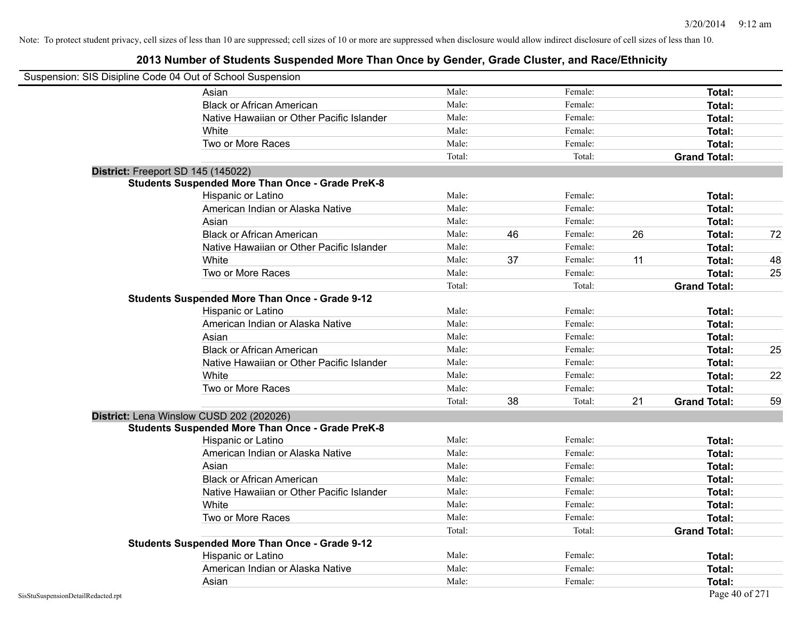|                                    | Suspension: SIS Disipline Code 04 Out of School Suspension |        |    |         |    |                     |    |
|------------------------------------|------------------------------------------------------------|--------|----|---------|----|---------------------|----|
|                                    | Asian                                                      | Male:  |    | Female: |    | Total:              |    |
|                                    | <b>Black or African American</b>                           | Male:  |    | Female: |    | Total:              |    |
|                                    | Native Hawaiian or Other Pacific Islander                  | Male:  |    | Female: |    | Total:              |    |
|                                    | White                                                      | Male:  |    | Female: |    | Total:              |    |
|                                    | Two or More Races                                          | Male:  |    | Female: |    | Total:              |    |
|                                    |                                                            | Total: |    | Total:  |    | <b>Grand Total:</b> |    |
|                                    | District: Freeport SD 145 (145022)                         |        |    |         |    |                     |    |
|                                    | <b>Students Suspended More Than Once - Grade PreK-8</b>    |        |    |         |    |                     |    |
|                                    | Hispanic or Latino                                         | Male:  |    | Female: |    | Total:              |    |
|                                    | American Indian or Alaska Native                           | Male:  |    | Female: |    | Total:              |    |
|                                    | Asian                                                      | Male:  |    | Female: |    | Total:              |    |
|                                    | <b>Black or African American</b>                           | Male:  | 46 | Female: | 26 | Total:              | 72 |
|                                    | Native Hawaiian or Other Pacific Islander                  | Male:  |    | Female: |    | Total:              |    |
|                                    | White                                                      | Male:  | 37 | Female: | 11 | Total:              | 48 |
|                                    | Two or More Races                                          | Male:  |    | Female: |    | Total:              | 25 |
|                                    |                                                            | Total: |    | Total:  |    | <b>Grand Total:</b> |    |
|                                    | <b>Students Suspended More Than Once - Grade 9-12</b>      |        |    |         |    |                     |    |
|                                    | Hispanic or Latino                                         | Male:  |    | Female: |    | Total:              |    |
|                                    | American Indian or Alaska Native                           | Male:  |    | Female: |    | Total:              |    |
|                                    | Asian                                                      | Male:  |    | Female: |    | Total:              |    |
|                                    | <b>Black or African American</b>                           | Male:  |    | Female: |    | Total:              | 25 |
|                                    | Native Hawaiian or Other Pacific Islander                  | Male:  |    | Female: |    | Total:              |    |
|                                    | White                                                      | Male:  |    | Female: |    | Total:              | 22 |
|                                    | Two or More Races                                          | Male:  |    | Female: |    | Total:              |    |
|                                    |                                                            | Total: | 38 | Total:  | 21 | <b>Grand Total:</b> | 59 |
|                                    | District: Lena Winslow CUSD 202 (202026)                   |        |    |         |    |                     |    |
|                                    | <b>Students Suspended More Than Once - Grade PreK-8</b>    |        |    |         |    |                     |    |
|                                    | Hispanic or Latino                                         | Male:  |    | Female: |    | Total:              |    |
|                                    | American Indian or Alaska Native                           | Male:  |    | Female: |    | Total:              |    |
|                                    | Asian                                                      | Male:  |    | Female: |    | Total:              |    |
|                                    | <b>Black or African American</b>                           | Male:  |    | Female: |    | Total:              |    |
|                                    | Native Hawaiian or Other Pacific Islander                  | Male:  |    | Female: |    | Total:              |    |
|                                    | White                                                      | Male:  |    | Female: |    | Total:              |    |
|                                    | Two or More Races                                          | Male:  |    | Female: |    | Total:              |    |
|                                    |                                                            | Total: |    | Total:  |    | <b>Grand Total:</b> |    |
|                                    | <b>Students Suspended More Than Once - Grade 9-12</b>      |        |    |         |    |                     |    |
|                                    | Hispanic or Latino                                         | Male:  |    | Female: |    | Total:              |    |
|                                    | American Indian or Alaska Native                           | Male:  |    | Female: |    | Total:              |    |
|                                    | Asian                                                      | Male:  |    | Female: |    | Total:              |    |
| SisStuSuspensionDetailRedacted.rpt |                                                            |        |    |         |    | Page 40 of 271      |    |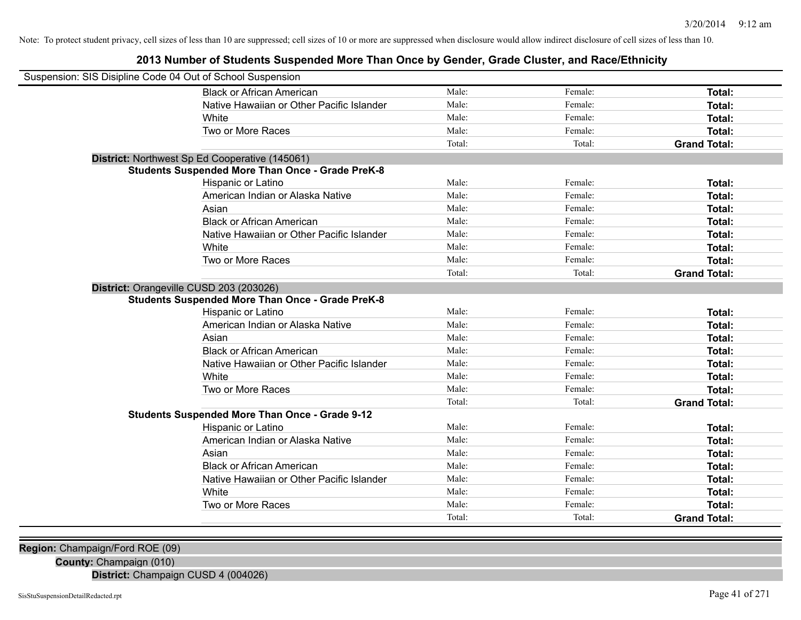## **2013 Number of Students Suspended More Than Once by Gender, Grade Cluster, and Race/Ethnicity**

| Suspension: SIS Disipline Code 04 Out of School Suspension |        |         |                     |
|------------------------------------------------------------|--------|---------|---------------------|
| <b>Black or African American</b>                           | Male:  | Female: | Total:              |
| Native Hawaiian or Other Pacific Islander                  | Male:  | Female: | Total:              |
| White                                                      | Male:  | Female: | Total:              |
| Two or More Races                                          | Male:  | Female: | Total:              |
|                                                            | Total: | Total:  | <b>Grand Total:</b> |
| District: Northwest Sp Ed Cooperative (145061)             |        |         |                     |
| <b>Students Suspended More Than Once - Grade PreK-8</b>    |        |         |                     |
| Hispanic or Latino                                         | Male:  | Female: | Total:              |
| American Indian or Alaska Native                           | Male:  | Female: | Total:              |
| Asian                                                      | Male:  | Female: | Total:              |
| <b>Black or African American</b>                           | Male:  | Female: | Total:              |
| Native Hawaiian or Other Pacific Islander                  | Male:  | Female: | Total:              |
| White                                                      | Male:  | Female: | Total:              |
| Two or More Races                                          | Male:  | Female: | Total:              |
|                                                            | Total: | Total:  | <b>Grand Total:</b> |
| District: Orangeville CUSD 203 (203026)                    |        |         |                     |
| <b>Students Suspended More Than Once - Grade PreK-8</b>    |        |         |                     |
| Hispanic or Latino                                         | Male:  | Female: | Total:              |
| American Indian or Alaska Native                           | Male:  | Female: | Total:              |
| Asian                                                      | Male:  | Female: | Total:              |
| <b>Black or African American</b>                           | Male:  | Female: | Total:              |
| Native Hawaiian or Other Pacific Islander                  | Male:  | Female: | Total:              |
| White                                                      | Male:  | Female: | Total:              |
| Two or More Races                                          | Male:  | Female: | Total:              |
|                                                            | Total: | Total:  | <b>Grand Total:</b> |
| <b>Students Suspended More Than Once - Grade 9-12</b>      |        |         |                     |
| <b>Hispanic or Latino</b>                                  | Male:  | Female: | Total:              |
| American Indian or Alaska Native                           | Male:  | Female: | Total:              |
| Asian                                                      | Male:  | Female: | Total:              |
| <b>Black or African American</b>                           | Male:  | Female: | Total:              |
| Native Hawaiian or Other Pacific Islander                  | Male:  | Female: | Total:              |
| White                                                      | Male:  | Female: | Total:              |
| Two or More Races                                          | Male:  | Female: | Total:              |
|                                                            | Total: | Total:  | <b>Grand Total:</b> |

**Region:** Champaign/Ford ROE (09)

**County:** Champaign (010)

**District:** Champaign CUSD 4 (004026)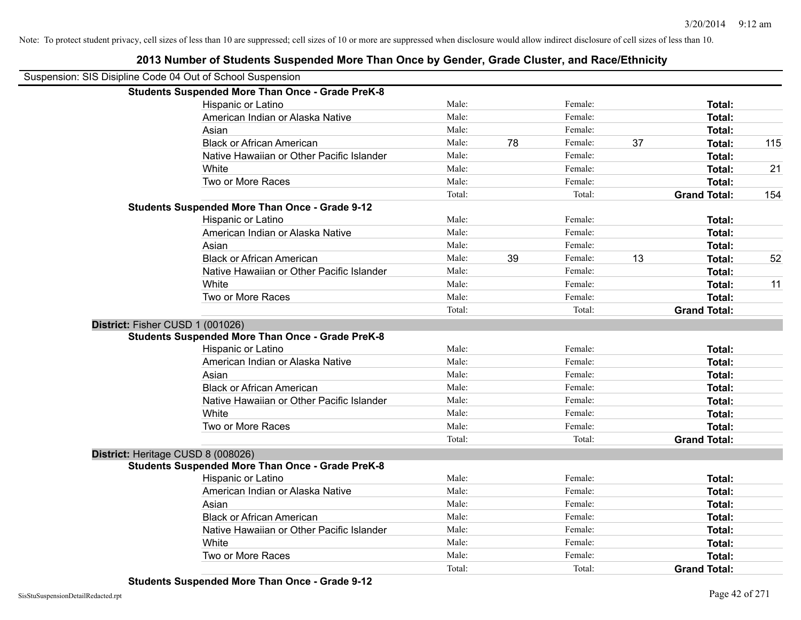|                                    | Suspension: SIS Disipline Code 04 Out of School Suspension |        |    |         |    |                     |     |
|------------------------------------|------------------------------------------------------------|--------|----|---------|----|---------------------|-----|
|                                    | <b>Students Suspended More Than Once - Grade PreK-8</b>    |        |    |         |    |                     |     |
|                                    | Hispanic or Latino                                         | Male:  |    | Female: |    | Total:              |     |
|                                    | American Indian or Alaska Native                           | Male:  |    | Female: |    | Total:              |     |
|                                    | Asian                                                      | Male:  |    | Female: |    | Total:              |     |
|                                    | <b>Black or African American</b>                           | Male:  | 78 | Female: | 37 | Total:              | 115 |
|                                    | Native Hawaiian or Other Pacific Islander                  | Male:  |    | Female: |    | Total:              |     |
|                                    | White                                                      | Male:  |    | Female: |    | Total:              | 21  |
|                                    | Two or More Races                                          | Male:  |    | Female: |    | Total:              |     |
|                                    |                                                            | Total: |    | Total:  |    | <b>Grand Total:</b> | 154 |
|                                    | <b>Students Suspended More Than Once - Grade 9-12</b>      |        |    |         |    |                     |     |
|                                    | Hispanic or Latino                                         | Male:  |    | Female: |    | Total:              |     |
|                                    | American Indian or Alaska Native                           | Male:  |    | Female: |    | Total:              |     |
|                                    | Asian                                                      | Male:  |    | Female: |    | Total:              |     |
|                                    | <b>Black or African American</b>                           | Male:  | 39 | Female: | 13 | <b>Total:</b>       | 52  |
|                                    | Native Hawaiian or Other Pacific Islander                  | Male:  |    | Female: |    | Total:              |     |
|                                    | White                                                      | Male:  |    | Female: |    | Total:              | 11  |
|                                    | Two or More Races                                          | Male:  |    | Female: |    | Total:              |     |
|                                    |                                                            | Total: |    | Total:  |    | <b>Grand Total:</b> |     |
| District: Fisher CUSD 1 (001026)   |                                                            |        |    |         |    |                     |     |
|                                    | <b>Students Suspended More Than Once - Grade PreK-8</b>    |        |    |         |    |                     |     |
|                                    | Hispanic or Latino                                         | Male:  |    | Female: |    | Total:              |     |
|                                    | American Indian or Alaska Native                           | Male:  |    | Female: |    | Total:              |     |
|                                    | Asian                                                      | Male:  |    | Female: |    | Total:              |     |
|                                    | <b>Black or African American</b>                           | Male:  |    | Female: |    | <b>Total:</b>       |     |
|                                    | Native Hawaiian or Other Pacific Islander                  | Male:  |    | Female: |    | <b>Total:</b>       |     |
|                                    | White                                                      | Male:  |    | Female: |    | Total:              |     |
|                                    | Two or More Races                                          | Male:  |    | Female: |    | Total:              |     |
|                                    |                                                            | Total: |    | Total:  |    | <b>Grand Total:</b> |     |
| District: Heritage CUSD 8 (008026) |                                                            |        |    |         |    |                     |     |
|                                    | Students Suspended More Than Once - Grade PreK-8           |        |    |         |    |                     |     |
|                                    | Hispanic or Latino                                         | Male:  |    | Female: |    | <b>Total:</b>       |     |
|                                    | American Indian or Alaska Native                           | Male:  |    | Female: |    | Total:              |     |
|                                    | Asian                                                      | Male:  |    | Female: |    | Total:              |     |
|                                    | <b>Black or African American</b>                           | Male:  |    | Female: |    | <b>Total:</b>       |     |
|                                    | Native Hawaiian or Other Pacific Islander                  | Male:  |    | Female: |    | Total:              |     |
|                                    | White                                                      | Male:  |    | Female: |    | Total:              |     |
|                                    | Two or More Races                                          | Male:  |    | Female: |    | Total:              |     |
|                                    |                                                            | Total: |    | Total:  |    | <b>Grand Total:</b> |     |
|                                    |                                                            |        |    |         |    |                     |     |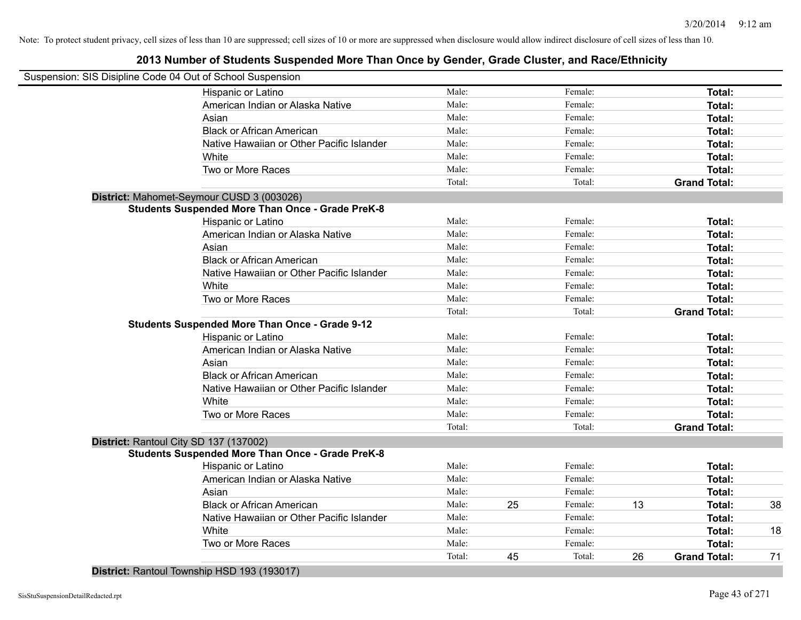| Suspension: SIS Disipline Code 04 Out of School Suspension |        |    |         |    |                     |    |
|------------------------------------------------------------|--------|----|---------|----|---------------------|----|
| Hispanic or Latino                                         | Male:  |    | Female: |    | <b>Total:</b>       |    |
| American Indian or Alaska Native                           | Male:  |    | Female: |    | Total:              |    |
| Asian                                                      | Male:  |    | Female: |    | Total:              |    |
| <b>Black or African American</b>                           | Male:  |    | Female: |    | Total:              |    |
| Native Hawaiian or Other Pacific Islander                  | Male:  |    | Female: |    | Total:              |    |
| White                                                      | Male:  |    | Female: |    | Total:              |    |
| Two or More Races                                          | Male:  |    | Female: |    | Total:              |    |
|                                                            | Total: |    | Total:  |    | <b>Grand Total:</b> |    |
| District: Mahomet-Seymour CUSD 3 (003026)                  |        |    |         |    |                     |    |
| <b>Students Suspended More Than Once - Grade PreK-8</b>    |        |    |         |    |                     |    |
| Hispanic or Latino                                         | Male:  |    | Female: |    | Total:              |    |
| American Indian or Alaska Native                           | Male:  |    | Female: |    | Total:              |    |
| Asian                                                      | Male:  |    | Female: |    | Total:              |    |
| <b>Black or African American</b>                           | Male:  |    | Female: |    | Total:              |    |
| Native Hawaiian or Other Pacific Islander                  | Male:  |    | Female: |    | Total:              |    |
| White                                                      | Male:  |    | Female: |    | Total:              |    |
| Two or More Races                                          | Male:  |    | Female: |    | Total:              |    |
|                                                            | Total: |    | Total:  |    | <b>Grand Total:</b> |    |
| <b>Students Suspended More Than Once - Grade 9-12</b>      |        |    |         |    |                     |    |
| Hispanic or Latino                                         | Male:  |    | Female: |    | Total:              |    |
| American Indian or Alaska Native                           | Male:  |    | Female: |    | Total:              |    |
| Asian                                                      | Male:  |    | Female: |    | Total:              |    |
| <b>Black or African American</b>                           | Male:  |    | Female: |    | Total:              |    |
| Native Hawaiian or Other Pacific Islander                  | Male:  |    | Female: |    | Total:              |    |
| White                                                      | Male:  |    | Female: |    | Total:              |    |
| Two or More Races                                          | Male:  |    | Female: |    | Total:              |    |
|                                                            | Total: |    | Total:  |    | <b>Grand Total:</b> |    |
| District: Rantoul City SD 137 (137002)                     |        |    |         |    |                     |    |
| <b>Students Suspended More Than Once - Grade PreK-8</b>    |        |    |         |    |                     |    |
| Hispanic or Latino                                         | Male:  |    | Female: |    | Total:              |    |
| American Indian or Alaska Native                           | Male:  |    | Female: |    | Total:              |    |
| Asian                                                      | Male:  |    | Female: |    | Total:              |    |
| <b>Black or African American</b>                           | Male:  | 25 | Female: | 13 | Total:              | 38 |
| Native Hawaiian or Other Pacific Islander                  | Male:  |    | Female: |    | Total:              |    |
| White                                                      | Male:  |    | Female: |    | Total:              | 18 |
| Two or More Races                                          | Male:  |    | Female: |    | Total:              |    |
|                                                            | Total: | 45 | Total:  | 26 | <b>Grand Total:</b> | 71 |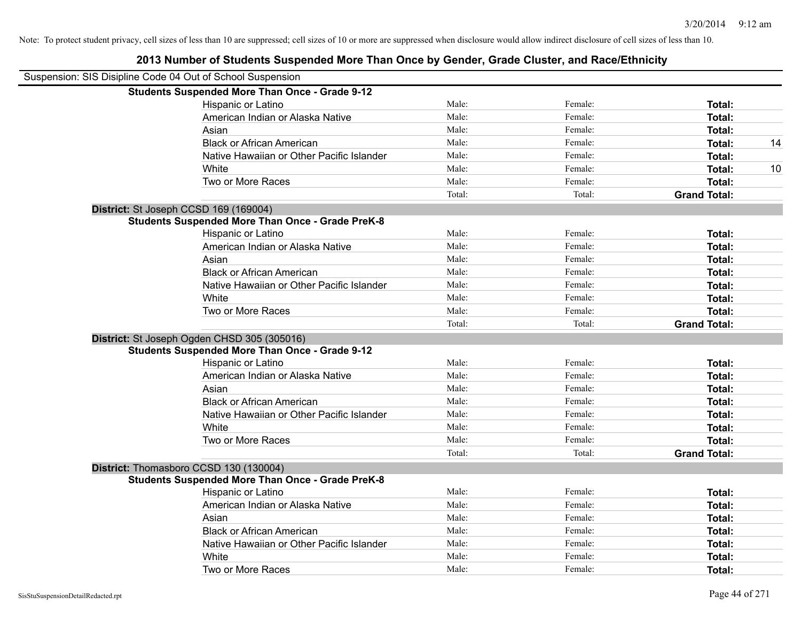| Suspension: SIS Disipline Code 04 Out of School Suspension |        |         |                     |    |
|------------------------------------------------------------|--------|---------|---------------------|----|
| <b>Students Suspended More Than Once - Grade 9-12</b>      |        |         |                     |    |
| Hispanic or Latino                                         | Male:  | Female: | Total:              |    |
| American Indian or Alaska Native                           | Male:  | Female: | <b>Total:</b>       |    |
| Asian                                                      | Male:  | Female: | Total:              |    |
| <b>Black or African American</b>                           | Male:  | Female: | <b>Total:</b>       | 14 |
| Native Hawaiian or Other Pacific Islander                  | Male:  | Female: | Total:              |    |
| White                                                      | Male:  | Female: | <b>Total:</b>       | 10 |
| Two or More Races                                          | Male:  | Female: | <b>Total:</b>       |    |
|                                                            | Total: | Total:  | <b>Grand Total:</b> |    |
| District: St Joseph CCSD 169 (169004)                      |        |         |                     |    |
| <b>Students Suspended More Than Once - Grade PreK-8</b>    |        |         |                     |    |
| Hispanic or Latino                                         | Male:  | Female: | Total:              |    |
| American Indian or Alaska Native                           | Male:  | Female: | Total:              |    |
| Asian                                                      | Male:  | Female: | <b>Total:</b>       |    |
| <b>Black or African American</b>                           | Male:  | Female: | <b>Total:</b>       |    |
| Native Hawaiian or Other Pacific Islander                  | Male:  | Female: | Total:              |    |
| White                                                      | Male:  | Female: | Total:              |    |
| Two or More Races                                          | Male:  | Female: | <b>Total:</b>       |    |
|                                                            | Total: | Total:  | <b>Grand Total:</b> |    |
| District: St Joseph Ogden CHSD 305 (305016)                |        |         |                     |    |
| <b>Students Suspended More Than Once - Grade 9-12</b>      |        |         |                     |    |
| Hispanic or Latino                                         | Male:  | Female: | <b>Total:</b>       |    |
| American Indian or Alaska Native                           | Male:  | Female: | <b>Total:</b>       |    |
| Asian                                                      | Male:  | Female: | Total:              |    |
| <b>Black or African American</b>                           | Male:  | Female: | Total:              |    |
| Native Hawaiian or Other Pacific Islander                  | Male:  | Female: | <b>Total:</b>       |    |
| White                                                      | Male:  | Female: | <b>Total:</b>       |    |
| Two or More Races                                          | Male:  | Female: | <b>Total:</b>       |    |
|                                                            | Total: | Total:  | <b>Grand Total:</b> |    |
| District: Thomasboro CCSD 130 (130004)                     |        |         |                     |    |
| <b>Students Suspended More Than Once - Grade PreK-8</b>    |        |         |                     |    |
| <b>Hispanic or Latino</b>                                  | Male:  | Female: | Total:              |    |
| American Indian or Alaska Native                           | Male:  | Female: | Total:              |    |
| Asian                                                      | Male:  | Female: | Total:              |    |
| <b>Black or African American</b>                           | Male:  | Female: | Total:              |    |
| Native Hawaiian or Other Pacific Islander                  | Male:  | Female: | <b>Total:</b>       |    |
| White                                                      | Male:  | Female: | Total:              |    |
| Two or More Races                                          | Male:  | Female: | Total:              |    |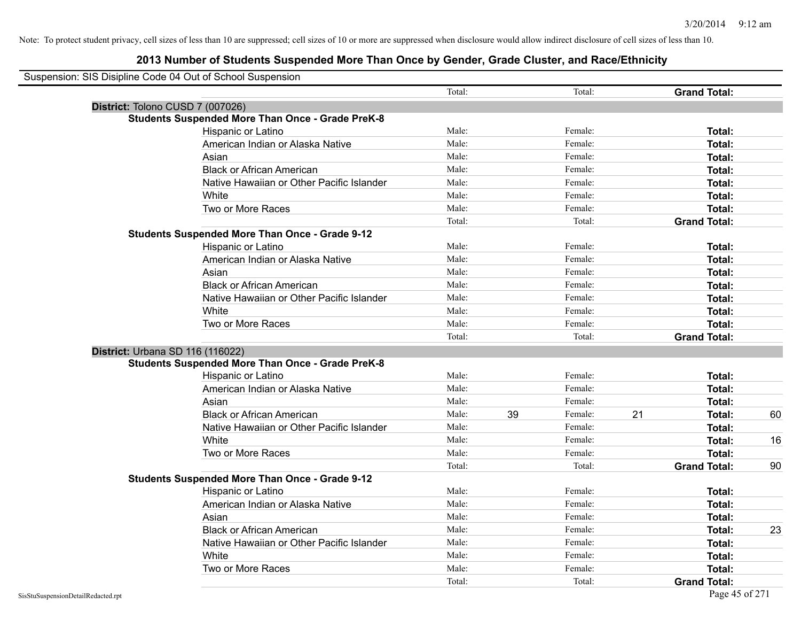| Suspension: SIS Disipline Code 04 Out of School Suspension |                                           |        |    |         |    |                     |    |
|------------------------------------------------------------|-------------------------------------------|--------|----|---------|----|---------------------|----|
|                                                            |                                           | Total: |    | Total:  |    | <b>Grand Total:</b> |    |
| District: Tolono CUSD 7 (007026)                           |                                           |        |    |         |    |                     |    |
| <b>Students Suspended More Than Once - Grade PreK-8</b>    |                                           |        |    |         |    |                     |    |
| Hispanic or Latino                                         |                                           | Male:  |    | Female: |    | Total:              |    |
| American Indian or Alaska Native                           |                                           | Male:  |    | Female: |    | Total:              |    |
| Asian                                                      |                                           | Male:  |    | Female: |    | Total:              |    |
| <b>Black or African American</b>                           |                                           | Male:  |    | Female: |    | Total:              |    |
|                                                            | Native Hawaiian or Other Pacific Islander | Male:  |    | Female: |    | Total:              |    |
| White                                                      |                                           | Male:  |    | Female: |    | Total:              |    |
| Two or More Races                                          |                                           | Male:  |    | Female: |    | Total:              |    |
|                                                            |                                           | Total: |    | Total:  |    | <b>Grand Total:</b> |    |
| <b>Students Suspended More Than Once - Grade 9-12</b>      |                                           |        |    |         |    |                     |    |
| Hispanic or Latino                                         |                                           | Male:  |    | Female: |    | Total:              |    |
| American Indian or Alaska Native                           |                                           | Male:  |    | Female: |    | Total:              |    |
| Asian                                                      |                                           | Male:  |    | Female: |    | <b>Total:</b>       |    |
| <b>Black or African American</b>                           |                                           | Male:  |    | Female: |    | Total:              |    |
|                                                            | Native Hawaiian or Other Pacific Islander | Male:  |    | Female: |    | Total:              |    |
| White                                                      |                                           | Male:  |    | Female: |    | Total:              |    |
| Two or More Races                                          |                                           | Male:  |    | Female: |    | Total:              |    |
|                                                            |                                           | Total: |    | Total:  |    | <b>Grand Total:</b> |    |
| District: Urbana SD 116 (116022)                           |                                           |        |    |         |    |                     |    |
| <b>Students Suspended More Than Once - Grade PreK-8</b>    |                                           |        |    |         |    |                     |    |
| Hispanic or Latino                                         |                                           | Male:  |    | Female: |    | Total:              |    |
| American Indian or Alaska Native                           |                                           | Male:  |    | Female: |    | Total:              |    |
| Asian                                                      |                                           | Male:  |    | Female: |    | Total:              |    |
| <b>Black or African American</b>                           |                                           | Male:  | 39 | Female: | 21 | Total:              | 60 |
|                                                            | Native Hawaiian or Other Pacific Islander | Male:  |    | Female: |    | Total:              |    |
| White                                                      |                                           | Male:  |    | Female: |    | Total:              | 16 |
| Two or More Races                                          |                                           | Male:  |    | Female: |    | Total:              |    |
|                                                            |                                           | Total: |    | Total:  |    | <b>Grand Total:</b> | 90 |
| <b>Students Suspended More Than Once - Grade 9-12</b>      |                                           |        |    |         |    |                     |    |
| Hispanic or Latino                                         |                                           | Male:  |    | Female: |    | Total:              |    |
| American Indian or Alaska Native                           |                                           | Male:  |    | Female: |    | Total:              |    |
| Asian                                                      |                                           | Male:  |    | Female: |    | Total:              |    |
| <b>Black or African American</b>                           |                                           | Male:  |    | Female: |    | Total:              | 23 |
|                                                            | Native Hawaiian or Other Pacific Islander | Male:  |    | Female: |    | Total:              |    |
| White                                                      |                                           | Male:  |    | Female: |    | Total:              |    |
| Two or More Races                                          |                                           | Male:  |    | Female: |    | Total:              |    |
|                                                            |                                           | Total: |    | Total:  |    | <b>Grand Total:</b> |    |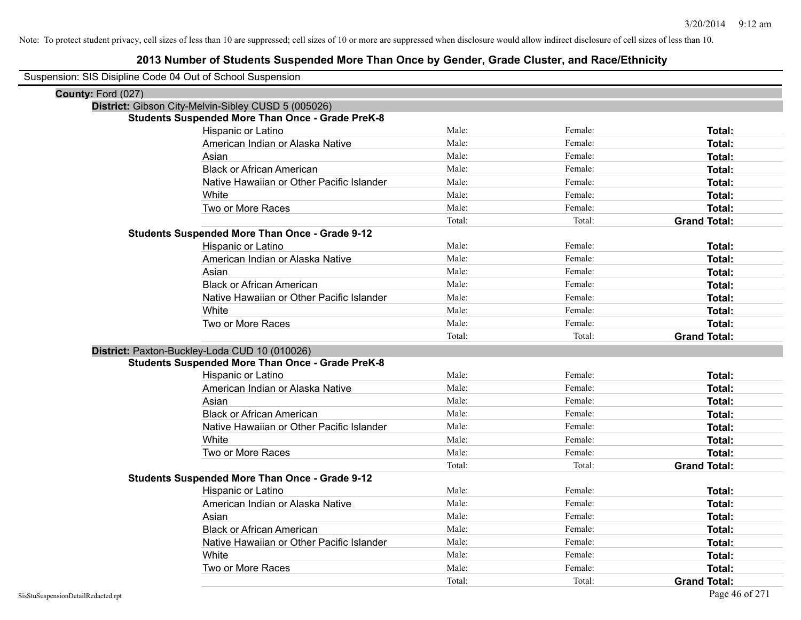| Suspension: SIS Disipline Code 04 Out of School Suspension |
|------------------------------------------------------------|
|------------------------------------------------------------|

| County: Ford (027)                                                          |               |
|-----------------------------------------------------------------------------|---------------|
| District: Gibson City-Melvin-Sibley CUSD 5 (005026)                         |               |
| <b>Students Suspended More Than Once - Grade PreK-8</b><br>Male:<br>Female: |               |
| <b>Hispanic or Latino</b><br>Male:<br>Female:                               | Total:        |
| American Indian or Alaska Native                                            | <b>Total:</b> |
| Male:<br>Female:<br>Asian                                                   | Total:        |
| Male:<br>Female:<br><b>Black or African American</b>                        | <b>Total:</b> |
| Male:<br>Female:<br>Native Hawaiian or Other Pacific Islander               | Total:        |
| Male:<br>Female:<br>White                                                   | Total:        |
| Two or More Races<br>Male:<br>Female:                                       | Total:        |
| Total:<br>Total:<br><b>Grand Total:</b>                                     |               |
| <b>Students Suspended More Than Once - Grade 9-12</b>                       |               |
| Male:<br>Female:<br>Hispanic or Latino                                      | Total:        |
| Male:<br>American Indian or Alaska Native<br>Female:                        | Total:        |
| Male:<br>Female:<br>Asian                                                   | Total:        |
| Male:<br><b>Black or African American</b><br>Female:                        | Total:        |
| Male:<br>Female:<br>Native Hawaiian or Other Pacific Islander               | <b>Total:</b> |
| Male:<br>Female:<br>White                                                   | Total:        |
| Male:<br>Female:<br>Two or More Races                                       | Total:        |
| Total:<br>Total:<br><b>Grand Total:</b>                                     |               |
| District: Paxton-Buckley-Loda CUD 10 (010026)                               |               |
| <b>Students Suspended More Than Once - Grade PreK-8</b>                     |               |
| Hispanic or Latino<br>Male:<br>Female:                                      | Total:        |
| American Indian or Alaska Native<br>Male:<br>Female:                        | Total:        |
| Asian<br>Male:<br>Female:                                                   | Total:        |
| <b>Black or African American</b><br>Male:<br>Female:                        | <b>Total:</b> |
| Native Hawaiian or Other Pacific Islander<br>Male:<br>Female:               | Total:        |
| Male:<br>Female:<br>White                                                   | <b>Total:</b> |
| Male:<br>Female:<br>Two or More Races                                       | Total:        |
| Total:<br>Total:<br><b>Grand Total:</b>                                     |               |
| <b>Students Suspended More Than Once - Grade 9-12</b>                       |               |
| Male:<br>Female:<br><b>Hispanic or Latino</b>                               | Total:        |
| Male:<br>Female:<br>American Indian or Alaska Native                        | Total:        |
| Male:<br>Female:<br>Asian                                                   | Total:        |
| <b>Black or African American</b><br>Female:<br>Male:                        | Total:        |
| Native Hawaiian or Other Pacific Islander<br>Male:<br>Female:               | Total:        |
| Male:<br>White<br>Female:                                                   | Total:        |
| Two or More Races<br>Male:<br>Female:                                       | Total:        |
| Total:<br>Total:<br><b>Grand Total:</b>                                     |               |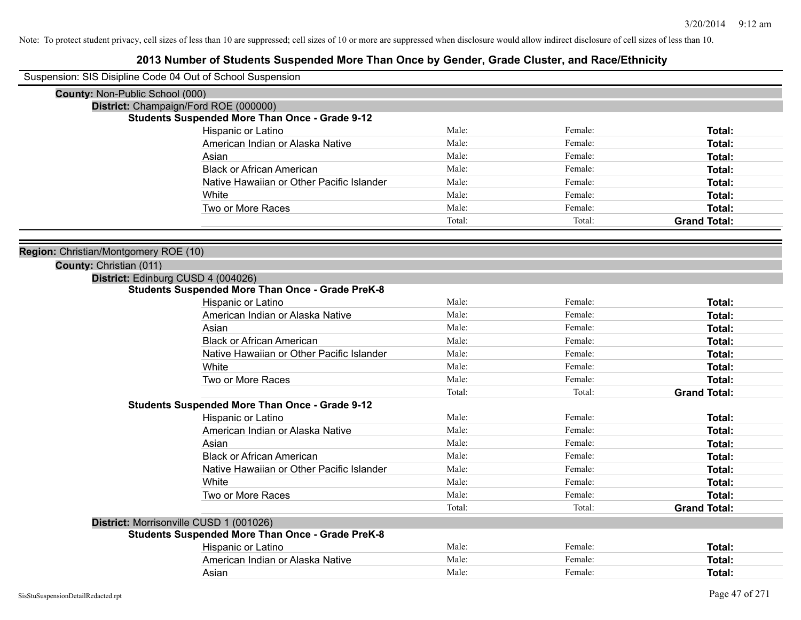| Suspension: SIS Disipline Code 04 Out of School Suspension |                                                         |        |         |                     |
|------------------------------------------------------------|---------------------------------------------------------|--------|---------|---------------------|
| County: Non-Public School (000)                            |                                                         |        |         |                     |
|                                                            | District: Champaign/Ford ROE (000000)                   |        |         |                     |
|                                                            | <b>Students Suspended More Than Once - Grade 9-12</b>   |        |         |                     |
|                                                            | Hispanic or Latino                                      | Male:  | Female: | Total:              |
|                                                            | American Indian or Alaska Native                        | Male:  | Female: | Total:              |
|                                                            | Asian                                                   | Male:  | Female: | Total:              |
|                                                            | <b>Black or African American</b>                        | Male:  | Female: | Total:              |
|                                                            | Native Hawaiian or Other Pacific Islander               | Male:  | Female: | Total:              |
|                                                            | White                                                   | Male:  | Female: | Total:              |
|                                                            | Two or More Races                                       | Male:  | Female: | Total:              |
|                                                            |                                                         | Total: | Total:  | <b>Grand Total:</b> |
|                                                            |                                                         |        |         |                     |
| Region: Christian/Montgomery ROE (10)                      |                                                         |        |         |                     |
| County: Christian (011)                                    |                                                         |        |         |                     |
| District: Edinburg CUSD 4 (004026)                         |                                                         |        |         |                     |
|                                                            | <b>Students Suspended More Than Once - Grade PreK-8</b> |        |         |                     |
|                                                            | Hispanic or Latino                                      | Male:  | Female: | Total:              |
|                                                            | American Indian or Alaska Native                        | Male:  | Female: | <b>Total:</b>       |
|                                                            | Asian                                                   | Male:  | Female: | Total:              |
|                                                            | <b>Black or African American</b>                        | Male:  | Female: | Total:              |
|                                                            | Native Hawaiian or Other Pacific Islander               | Male:  | Female: | Total:              |
|                                                            | White                                                   | Male:  | Female: | Total:              |
|                                                            | Two or More Races                                       | Male:  | Female: | Total:              |
|                                                            |                                                         | Total: | Total:  | <b>Grand Total:</b> |
|                                                            | Students Suspended More Than Once - Grade 9-12          |        |         |                     |
|                                                            | Hispanic or Latino                                      | Male:  | Female: | Total:              |
|                                                            | American Indian or Alaska Native                        | Male:  | Female: | Total:              |
|                                                            | Asian                                                   | Male:  | Female: | Total:              |
|                                                            | <b>Black or African American</b>                        | Male:  | Female: | Total:              |
|                                                            | Native Hawaiian or Other Pacific Islander               | Male:  | Female: | <b>Total:</b>       |
|                                                            | White                                                   | Male:  | Female: | Total:              |
|                                                            | Two or More Races                                       | Male:  | Female: | Total:              |
|                                                            |                                                         | Total: | Total:  | <b>Grand Total:</b> |
|                                                            | District: Morrisonville CUSD 1 (001026)                 |        |         |                     |
|                                                            | <b>Students Suspended More Than Once - Grade PreK-8</b> |        |         |                     |
|                                                            | Hispanic or Latino                                      | Male:  | Female: | <b>Total:</b>       |
|                                                            | American Indian or Alaska Native                        | Male:  | Female: | <b>Total:</b>       |
|                                                            | Asian                                                   | Male:  | Female: | <b>Total:</b>       |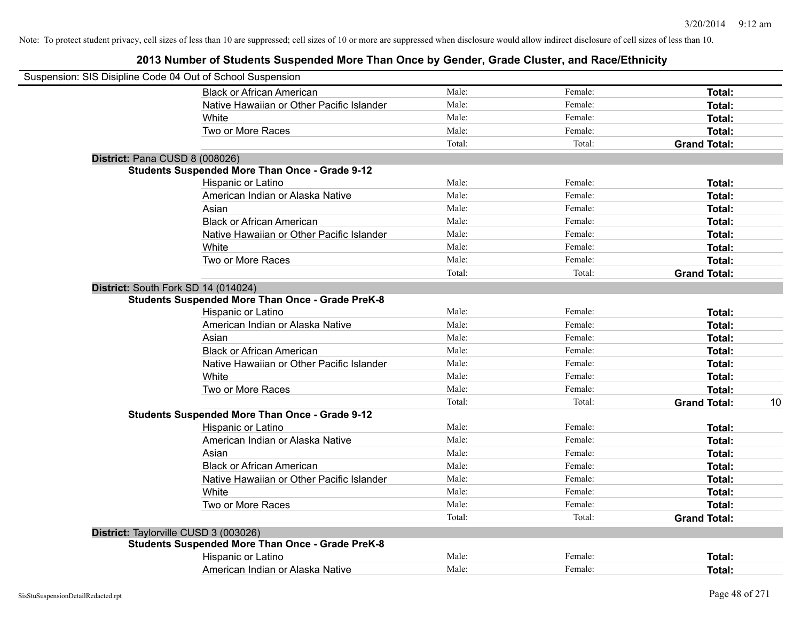| Suspension: SIS Disipline Code 04 Out of School Suspension |                                                         |        |         |                     |    |
|------------------------------------------------------------|---------------------------------------------------------|--------|---------|---------------------|----|
|                                                            | <b>Black or African American</b>                        | Male:  | Female: | Total:              |    |
|                                                            | Native Hawaiian or Other Pacific Islander               | Male:  | Female: | Total:              |    |
|                                                            | White                                                   | Male:  | Female: | Total:              |    |
|                                                            | Two or More Races                                       | Male:  | Female: | Total:              |    |
|                                                            |                                                         | Total: | Total:  | <b>Grand Total:</b> |    |
| District: Pana CUSD 8 (008026)                             |                                                         |        |         |                     |    |
|                                                            | <b>Students Suspended More Than Once - Grade 9-12</b>   |        |         |                     |    |
|                                                            | Hispanic or Latino                                      | Male:  | Female: | Total:              |    |
|                                                            | American Indian or Alaska Native                        | Male:  | Female: | Total:              |    |
|                                                            | Asian                                                   | Male:  | Female: | Total:              |    |
|                                                            | <b>Black or African American</b>                        | Male:  | Female: | Total:              |    |
|                                                            | Native Hawaiian or Other Pacific Islander               | Male:  | Female: | Total:              |    |
|                                                            | White                                                   | Male:  | Female: | Total:              |    |
|                                                            | Two or More Races                                       | Male:  | Female: | Total:              |    |
|                                                            |                                                         | Total: | Total:  | <b>Grand Total:</b> |    |
| District: South Fork SD 14 (014024)                        |                                                         |        |         |                     |    |
|                                                            | <b>Students Suspended More Than Once - Grade PreK-8</b> |        |         |                     |    |
|                                                            | Hispanic or Latino                                      | Male:  | Female: | Total:              |    |
|                                                            | American Indian or Alaska Native                        | Male:  | Female: | Total:              |    |
|                                                            | Asian                                                   | Male:  | Female: | Total:              |    |
|                                                            | <b>Black or African American</b>                        | Male:  | Female: | Total:              |    |
|                                                            | Native Hawaiian or Other Pacific Islander               | Male:  | Female: | Total:              |    |
|                                                            | White                                                   | Male:  | Female: | Total:              |    |
|                                                            | Two or More Races                                       | Male:  | Female: | Total:              |    |
|                                                            |                                                         | Total: | Total:  | <b>Grand Total:</b> | 10 |
|                                                            | <b>Students Suspended More Than Once - Grade 9-12</b>   |        |         |                     |    |
|                                                            | Hispanic or Latino                                      | Male:  | Female: | Total:              |    |
|                                                            | American Indian or Alaska Native                        | Male:  | Female: | Total:              |    |
|                                                            | Asian                                                   | Male:  | Female: | Total:              |    |
|                                                            | <b>Black or African American</b>                        | Male:  | Female: | Total:              |    |
|                                                            | Native Hawaiian or Other Pacific Islander               | Male:  | Female: | Total:              |    |
|                                                            | White                                                   | Male:  | Female: | Total:              |    |
|                                                            | Two or More Races                                       | Male:  | Female: | Total:              |    |
|                                                            |                                                         | Total: | Total:  | <b>Grand Total:</b> |    |
| District: Taylorville CUSD 3 (003026)                      |                                                         |        |         |                     |    |
|                                                            | <b>Students Suspended More Than Once - Grade PreK-8</b> |        |         |                     |    |
|                                                            | Hispanic or Latino                                      | Male:  | Female: | <b>Total:</b>       |    |
|                                                            | American Indian or Alaska Native                        | Male:  | Female: | Total:              |    |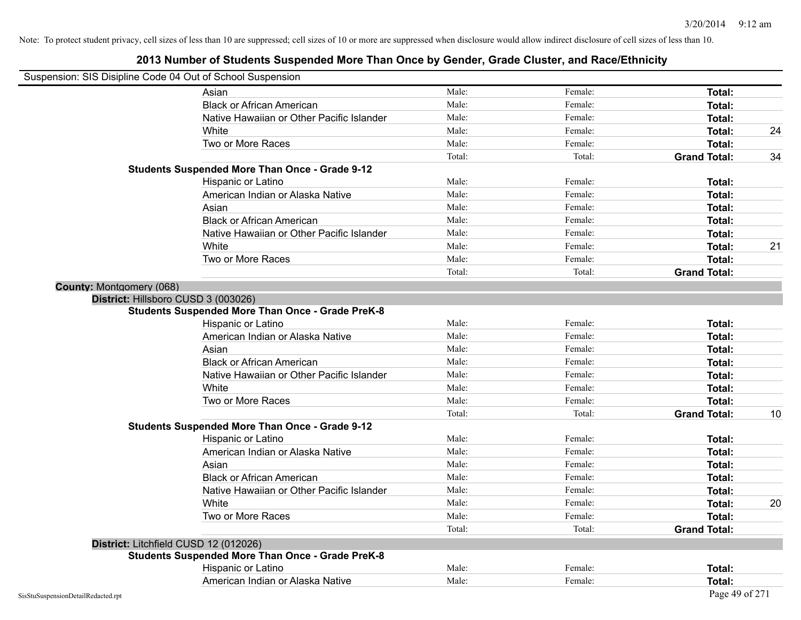|                                 | Suspension: SIS Disipline Code 04 Out of School Suspension |        |         |                     |    |
|---------------------------------|------------------------------------------------------------|--------|---------|---------------------|----|
|                                 | Asian                                                      | Male:  | Female: | Total:              |    |
|                                 | <b>Black or African American</b>                           | Male:  | Female: | Total:              |    |
|                                 | Native Hawaiian or Other Pacific Islander                  | Male:  | Female: | Total:              |    |
|                                 | White                                                      | Male:  | Female: | Total:              | 24 |
|                                 | Two or More Races                                          | Male:  | Female: | Total:              |    |
|                                 |                                                            | Total: | Total:  | <b>Grand Total:</b> | 34 |
|                                 | <b>Students Suspended More Than Once - Grade 9-12</b>      |        |         |                     |    |
|                                 | Hispanic or Latino                                         | Male:  | Female: | Total:              |    |
|                                 | American Indian or Alaska Native                           | Male:  | Female: | Total:              |    |
|                                 | Asian                                                      | Male:  | Female: | Total:              |    |
|                                 | <b>Black or African American</b>                           | Male:  | Female: | Total:              |    |
|                                 | Native Hawaiian or Other Pacific Islander                  | Male:  | Female: | Total:              |    |
|                                 | White                                                      | Male:  | Female: | Total:              | 21 |
|                                 | Two or More Races                                          | Male:  | Female: | <b>Total:</b>       |    |
|                                 |                                                            | Total: | Total:  | <b>Grand Total:</b> |    |
| <b>County: Montgomery (068)</b> |                                                            |        |         |                     |    |
|                                 | District: Hillsboro CUSD 3 (003026)                        |        |         |                     |    |
|                                 | <b>Students Suspended More Than Once - Grade PreK-8</b>    |        |         |                     |    |
|                                 | Hispanic or Latino                                         | Male:  | Female: | Total:              |    |
|                                 | American Indian or Alaska Native                           | Male:  | Female: | Total:              |    |
|                                 | Asian                                                      | Male:  | Female: | Total:              |    |
|                                 | <b>Black or African American</b>                           | Male:  | Female: | Total:              |    |
|                                 | Native Hawaiian or Other Pacific Islander                  | Male:  | Female: | Total:              |    |
|                                 | White                                                      | Male:  | Female: | Total:              |    |
|                                 | Two or More Races                                          | Male:  | Female: | Total:              |    |
|                                 |                                                            | Total: | Total:  | <b>Grand Total:</b> | 10 |
|                                 | <b>Students Suspended More Than Once - Grade 9-12</b>      |        |         |                     |    |
|                                 | Hispanic or Latino                                         | Male:  | Female: | Total:              |    |
|                                 | American Indian or Alaska Native                           | Male:  | Female: | Total:              |    |
|                                 | Asian                                                      | Male:  | Female: | Total:              |    |
|                                 | <b>Black or African American</b>                           | Male:  | Female: | Total:              |    |
|                                 | Native Hawaiian or Other Pacific Islander                  | Male:  | Female: | Total:              |    |
|                                 | White                                                      | Male:  | Female: | Total:              | 20 |
|                                 | Two or More Races                                          | Male:  | Female: | Total:              |    |
|                                 |                                                            | Total: | Total:  | <b>Grand Total:</b> |    |
|                                 | District: Litchfield CUSD 12 (012026)                      |        |         |                     |    |
|                                 | <b>Students Suspended More Than Once - Grade PreK-8</b>    |        |         |                     |    |
|                                 | Hispanic or Latino                                         | Male:  | Female: | <b>Total:</b>       |    |
|                                 | American Indian or Alaska Native                           | Male:  | Female: | Total:              |    |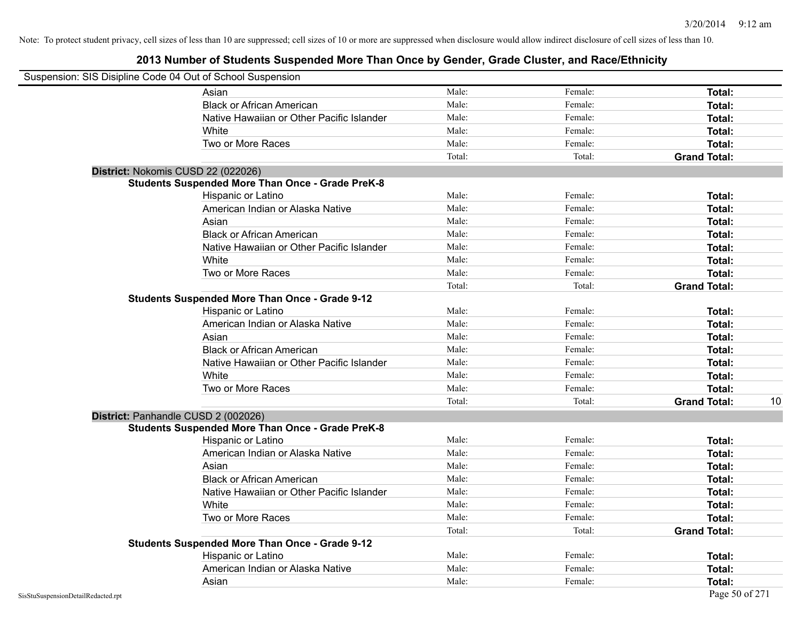|                                    | Suspension: SIS Disipline Code 04 Out of School Suspension |        |         |                           |
|------------------------------------|------------------------------------------------------------|--------|---------|---------------------------|
|                                    | Asian                                                      | Male:  | Female: | Total:                    |
|                                    | <b>Black or African American</b>                           | Male:  | Female: | Total:                    |
|                                    | Native Hawaiian or Other Pacific Islander                  | Male:  | Female: | Total:                    |
|                                    | White                                                      | Male:  | Female: | Total:                    |
|                                    | Two or More Races                                          | Male:  | Female: | Total:                    |
|                                    |                                                            | Total: | Total:  | <b>Grand Total:</b>       |
|                                    | District: Nokomis CUSD 22 (022026)                         |        |         |                           |
|                                    | <b>Students Suspended More Than Once - Grade PreK-8</b>    |        |         |                           |
|                                    | Hispanic or Latino                                         | Male:  | Female: | Total:                    |
|                                    | American Indian or Alaska Native                           | Male:  | Female: | Total:                    |
|                                    | Asian                                                      | Male:  | Female: | Total:                    |
|                                    | <b>Black or African American</b>                           | Male:  | Female: | Total:                    |
|                                    | Native Hawaiian or Other Pacific Islander                  | Male:  | Female: | Total:                    |
|                                    | White                                                      | Male:  | Female: | Total:                    |
|                                    | Two or More Races                                          | Male:  | Female: | Total:                    |
|                                    |                                                            | Total: | Total:  | <b>Grand Total:</b>       |
|                                    | <b>Students Suspended More Than Once - Grade 9-12</b>      |        |         |                           |
|                                    | Hispanic or Latino                                         | Male:  | Female: | Total:                    |
|                                    | American Indian or Alaska Native                           | Male:  | Female: | Total:                    |
|                                    | Asian                                                      | Male:  | Female: | Total:                    |
|                                    | <b>Black or African American</b>                           | Male:  | Female: | Total:                    |
|                                    | Native Hawaiian or Other Pacific Islander                  | Male:  | Female: | Total:                    |
|                                    | White                                                      | Male:  | Female: | <b>Total:</b>             |
|                                    | Two or More Races                                          | Male:  | Female: | Total:                    |
|                                    |                                                            | Total: | Total:  | 10<br><b>Grand Total:</b> |
|                                    | District: Panhandle CUSD 2 (002026)                        |        |         |                           |
|                                    | <b>Students Suspended More Than Once - Grade PreK-8</b>    |        |         |                           |
|                                    | Hispanic or Latino                                         | Male:  | Female: | Total:                    |
|                                    | American Indian or Alaska Native                           | Male:  | Female: | Total:                    |
|                                    | Asian                                                      | Male:  | Female: | Total:                    |
|                                    | <b>Black or African American</b>                           | Male:  | Female: | Total:                    |
|                                    | Native Hawaiian or Other Pacific Islander                  | Male:  | Female: | Total:                    |
|                                    | White                                                      | Male:  | Female: | Total:                    |
|                                    | Two or More Races                                          | Male:  | Female: | Total:                    |
|                                    |                                                            | Total: | Total:  | <b>Grand Total:</b>       |
|                                    | <b>Students Suspended More Than Once - Grade 9-12</b>      |        |         |                           |
|                                    | Hispanic or Latino                                         | Male:  | Female: | Total:                    |
|                                    | American Indian or Alaska Native                           | Male:  | Female: | Total:                    |
|                                    | Asian                                                      | Male:  | Female: | Total:                    |
| SisStuSuspensionDetailRedacted.rpt |                                                            |        |         | Page 50 of 271            |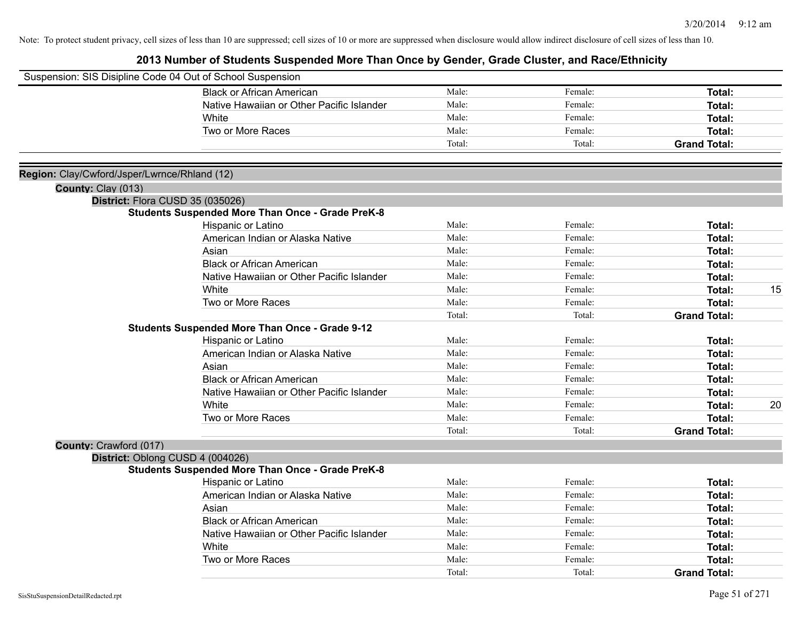|                                              | Suspension: SIS Disipline Code 04 Out of School Suspension |        |         |                     |    |
|----------------------------------------------|------------------------------------------------------------|--------|---------|---------------------|----|
|                                              | <b>Black or African American</b>                           | Male:  | Female: | Total:              |    |
|                                              | Native Hawaiian or Other Pacific Islander                  | Male:  | Female: | Total:              |    |
|                                              | White                                                      | Male:  | Female: | Total:              |    |
|                                              | Two or More Races                                          | Male:  | Female: | Total:              |    |
|                                              |                                                            | Total: | Total:  | <b>Grand Total:</b> |    |
| Region: Clay/Cwford/Jsper/Lwrnce/Rhland (12) |                                                            |        |         |                     |    |
| County: Clay (013)                           |                                                            |        |         |                     |    |
|                                              | District: Flora CUSD 35 (035026)                           |        |         |                     |    |
|                                              | <b>Students Suspended More Than Once - Grade PreK-8</b>    |        |         |                     |    |
|                                              | Hispanic or Latino                                         | Male:  | Female: | Total:              |    |
|                                              | American Indian or Alaska Native                           | Male:  | Female: | Total:              |    |
|                                              | Asian                                                      | Male:  | Female: | Total:              |    |
|                                              | <b>Black or African American</b>                           | Male:  | Female: | Total:              |    |
|                                              | Native Hawaiian or Other Pacific Islander                  | Male:  | Female: | Total:              |    |
|                                              | White                                                      | Male:  | Female: | Total:              | 15 |
|                                              | Two or More Races                                          | Male:  | Female: | Total:              |    |
|                                              |                                                            | Total: | Total:  | <b>Grand Total:</b> |    |
|                                              | <b>Students Suspended More Than Once - Grade 9-12</b>      |        |         |                     |    |
|                                              | Hispanic or Latino                                         | Male:  | Female: | Total:              |    |
|                                              | American Indian or Alaska Native                           | Male:  | Female: | Total:              |    |
|                                              | Asian                                                      | Male:  | Female: | Total:              |    |
|                                              | <b>Black or African American</b>                           | Male:  | Female: | Total:              |    |
|                                              | Native Hawaiian or Other Pacific Islander                  | Male:  | Female: | Total:              |    |
|                                              | White                                                      | Male:  | Female: | Total:              | 20 |
|                                              | Two or More Races                                          | Male:  | Female: | Total:              |    |
|                                              |                                                            | Total: | Total:  | <b>Grand Total:</b> |    |
| County: Crawford (017)                       |                                                            |        |         |                     |    |
|                                              | District: Oblong CUSD 4 (004026)                           |        |         |                     |    |
|                                              | <b>Students Suspended More Than Once - Grade PreK-8</b>    |        |         |                     |    |
|                                              | Hispanic or Latino                                         | Male:  | Female: | Total:              |    |
|                                              | American Indian or Alaska Native                           | Male:  | Female: | Total:              |    |
|                                              | Asian                                                      | Male:  | Female: | Total:              |    |
|                                              | <b>Black or African American</b>                           | Male:  | Female: | Total:              |    |
|                                              | Native Hawaiian or Other Pacific Islander                  | Male:  | Female: | Total:              |    |
|                                              | White                                                      | Male:  | Female: | Total:              |    |
|                                              | Two or More Races                                          | Male:  | Female: | <b>Total:</b>       |    |
|                                              |                                                            | Total: | Total:  | <b>Grand Total:</b> |    |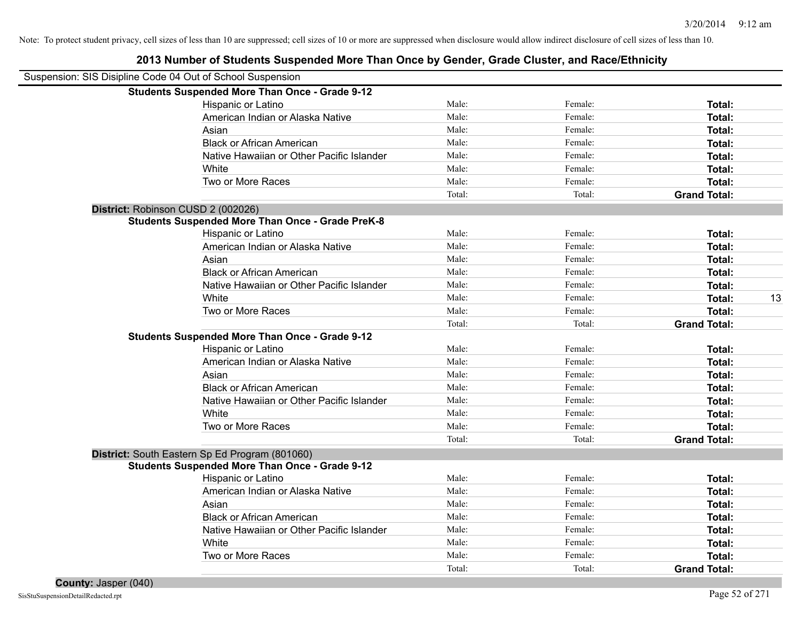| Suspension: SIS Disipline Code 04 Out of School Suspension |                                                         |        |         |                     |    |
|------------------------------------------------------------|---------------------------------------------------------|--------|---------|---------------------|----|
|                                                            | <b>Students Suspended More Than Once - Grade 9-12</b>   |        |         |                     |    |
|                                                            | Hispanic or Latino                                      | Male:  | Female: | Total:              |    |
|                                                            | American Indian or Alaska Native                        | Male:  | Female: | Total:              |    |
|                                                            | Asian                                                   | Male:  | Female: | Total:              |    |
|                                                            | <b>Black or African American</b>                        | Male:  | Female: | Total:              |    |
|                                                            | Native Hawaiian or Other Pacific Islander               | Male:  | Female: | Total:              |    |
|                                                            | White                                                   | Male:  | Female: | Total:              |    |
|                                                            | Two or More Races                                       | Male:  | Female: | Total:              |    |
|                                                            |                                                         | Total: | Total:  | <b>Grand Total:</b> |    |
| District: Robinson CUSD 2 (002026)                         |                                                         |        |         |                     |    |
|                                                            | <b>Students Suspended More Than Once - Grade PreK-8</b> |        |         |                     |    |
|                                                            | Hispanic or Latino                                      | Male:  | Female: | Total:              |    |
|                                                            | American Indian or Alaska Native                        | Male:  | Female: | Total:              |    |
|                                                            | Asian                                                   | Male:  | Female: | Total:              |    |
|                                                            | <b>Black or African American</b>                        | Male:  | Female: | Total:              |    |
|                                                            | Native Hawaiian or Other Pacific Islander               | Male:  | Female: | Total:              |    |
|                                                            | White                                                   | Male:  | Female: | Total:              | 13 |
|                                                            | Two or More Races                                       | Male:  | Female: | Total:              |    |
|                                                            |                                                         | Total: | Total:  | <b>Grand Total:</b> |    |
|                                                            | <b>Students Suspended More Than Once - Grade 9-12</b>   |        |         |                     |    |
|                                                            | Hispanic or Latino                                      | Male:  | Female: | Total:              |    |
|                                                            | American Indian or Alaska Native                        | Male:  | Female: | Total:              |    |
|                                                            | Asian                                                   | Male:  | Female: | Total:              |    |
|                                                            | <b>Black or African American</b>                        | Male:  | Female: | Total:              |    |
|                                                            | Native Hawaiian or Other Pacific Islander               | Male:  | Female: | Total:              |    |
|                                                            | White                                                   | Male:  | Female: | Total:              |    |
|                                                            | Two or More Races                                       | Male:  | Female: | Total:              |    |
|                                                            |                                                         | Total: | Total:  | <b>Grand Total:</b> |    |
|                                                            | District: South Eastern Sp Ed Program (801060)          |        |         |                     |    |
|                                                            | <b>Students Suspended More Than Once - Grade 9-12</b>   |        |         |                     |    |
|                                                            | Hispanic or Latino                                      | Male:  | Female: | Total:              |    |
|                                                            | American Indian or Alaska Native                        | Male:  | Female: | Total:              |    |
|                                                            | Asian                                                   | Male:  | Female: | Total:              |    |
|                                                            | <b>Black or African American</b>                        | Male:  | Female: | Total:              |    |
|                                                            | Native Hawaiian or Other Pacific Islander               | Male:  | Female: | Total:              |    |
|                                                            | White                                                   | Male:  | Female: | Total:              |    |
|                                                            | Two or More Races                                       | Male:  | Female: | Total:              |    |
|                                                            |                                                         | Total: | Total:  | <b>Grand Total:</b> |    |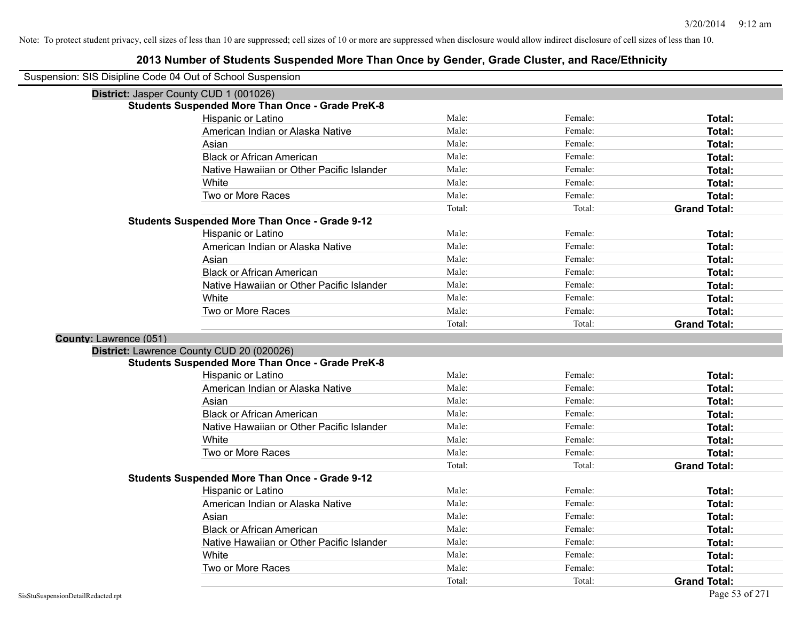| Suspension: SIS Disipline Code 04 Out of School Suspension |                                                         |        |         |                                      |
|------------------------------------------------------------|---------------------------------------------------------|--------|---------|--------------------------------------|
| District: Jasper County CUD 1 (001026)                     |                                                         |        |         |                                      |
|                                                            | <b>Students Suspended More Than Once - Grade PreK-8</b> |        |         |                                      |
|                                                            | Hispanic or Latino                                      | Male:  | Female: | Total:                               |
|                                                            | American Indian or Alaska Native                        | Male:  | Female: | Total:                               |
|                                                            | Asian                                                   | Male:  | Female: | <b>Total:</b>                        |
|                                                            | <b>Black or African American</b>                        | Male:  | Female: | Total:                               |
|                                                            | Native Hawaiian or Other Pacific Islander               | Male:  | Female: | Total:                               |
|                                                            | White                                                   | Male:  | Female: | Total:                               |
|                                                            | Two or More Races                                       | Male:  | Female: | <b>Total:</b>                        |
|                                                            |                                                         | Total: | Total:  | <b>Grand Total:</b>                  |
|                                                            | <b>Students Suspended More Than Once - Grade 9-12</b>   |        |         |                                      |
|                                                            | Hispanic or Latino                                      | Male:  | Female: | Total:                               |
|                                                            | American Indian or Alaska Native                        | Male:  | Female: | <b>Total:</b>                        |
|                                                            | Asian                                                   | Male:  | Female: | <b>Total:</b>                        |
|                                                            | <b>Black or African American</b>                        | Male:  | Female: | Total:                               |
|                                                            | Native Hawaiian or Other Pacific Islander               | Male:  | Female: | <b>Total:</b>                        |
|                                                            | White                                                   | Male:  | Female: | Total:                               |
|                                                            | Two or More Races                                       | Male:  | Female: | <b>Total:</b>                        |
|                                                            |                                                         | Total: | Total:  | <b>Grand Total:</b>                  |
| County: Lawrence (051)                                     |                                                         |        |         |                                      |
|                                                            | District: Lawrence County CUD 20 (020026)               |        |         |                                      |
|                                                            | <b>Students Suspended More Than Once - Grade PreK-8</b> |        |         |                                      |
|                                                            | Hispanic or Latino                                      | Male:  | Female: | Total:                               |
|                                                            | American Indian or Alaska Native                        | Male:  | Female: | Total:                               |
|                                                            | Asian                                                   | Male:  | Female: | <b>Total:</b>                        |
|                                                            | <b>Black or African American</b>                        | Male:  | Female: | Total:                               |
|                                                            | Native Hawaiian or Other Pacific Islander               | Male:  | Female: | Total:                               |
|                                                            |                                                         |        |         |                                      |
|                                                            | White                                                   | Male:  | Female: | Total:                               |
|                                                            | Two or More Races                                       | Male:  | Female: | Total:                               |
|                                                            |                                                         | Total: | Total:  | <b>Grand Total:</b>                  |
|                                                            | <b>Students Suspended More Than Once - Grade 9-12</b>   |        |         |                                      |
|                                                            | Hispanic or Latino                                      | Male:  | Female: | Total:                               |
|                                                            | American Indian or Alaska Native                        | Male:  | Female: | Total:                               |
|                                                            | Asian                                                   | Male:  | Female: | Total:                               |
|                                                            | <b>Black or African American</b>                        | Male:  | Female: | Total:                               |
|                                                            | Native Hawaiian or Other Pacific Islander               | Male:  | Female: | Total:                               |
|                                                            | White                                                   | Male:  | Female: | Total:                               |
|                                                            | Two or More Races                                       | Male:  | Female: | <b>Total:</b><br><b>Grand Total:</b> |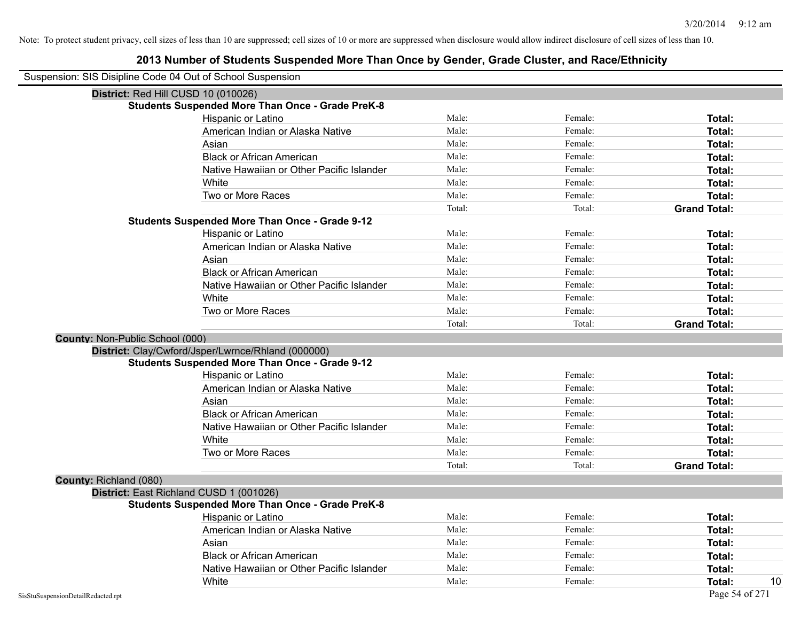## **2013 Number of Students Suspended More Than Once by Gender, Grade Cluster, and Race/Ethnicity**

| Suspension: SIS Disipline Code 04 Out of School Suspension |                                                         |        |         |                     |
|------------------------------------------------------------|---------------------------------------------------------|--------|---------|---------------------|
|                                                            | District: Red Hill CUSD 10 (010026)                     |        |         |                     |
|                                                            | <b>Students Suspended More Than Once - Grade PreK-8</b> |        |         |                     |
|                                                            | Hispanic or Latino                                      | Male:  | Female: | Total:              |
|                                                            | American Indian or Alaska Native                        | Male:  | Female: | Total:              |
|                                                            | Asian                                                   | Male:  | Female: | Total:              |
|                                                            | <b>Black or African American</b>                        | Male:  | Female: | Total:              |
|                                                            | Native Hawaiian or Other Pacific Islander               | Male:  | Female: | Total:              |
|                                                            | White                                                   | Male:  | Female: | <b>Total:</b>       |
|                                                            | Two or More Races                                       | Male:  | Female: | Total:              |
|                                                            |                                                         | Total: | Total:  | <b>Grand Total:</b> |
|                                                            | <b>Students Suspended More Than Once - Grade 9-12</b>   |        |         |                     |
|                                                            | Hispanic or Latino                                      | Male:  | Female: | Total:              |
|                                                            | American Indian or Alaska Native                        | Male:  | Female: | <b>Total:</b>       |
|                                                            | Asian                                                   | Male:  | Female: | Total:              |
|                                                            | <b>Black or African American</b>                        | Male:  | Female: | Total:              |
|                                                            | Native Hawaiian or Other Pacific Islander               | Male:  | Female: | Total:              |
|                                                            | White                                                   | Male:  | Female: | Total:              |
|                                                            | Two or More Races                                       | Male:  | Female: | <b>Total:</b>       |
|                                                            |                                                         | Total: | Total:  | <b>Grand Total:</b> |
| County: Non-Public School (000)                            |                                                         |        |         |                     |
|                                                            | District: Clay/Cwford/Jsper/Lwrnce/Rhland (000000)      |        |         |                     |
|                                                            | <b>Students Suspended More Than Once - Grade 9-12</b>   |        |         |                     |
|                                                            | Hispanic or Latino                                      | Male:  | Female: | Total:              |
|                                                            | American Indian or Alaska Native                        | Male:  | Female: | Total:              |
|                                                            | Asian                                                   | Male:  | Female: | Total:              |
|                                                            | <b>Black or African American</b>                        | Male:  | Female: | Total:              |
|                                                            | Native Hawaiian or Other Pacific Islander               | Male:  | Female: | Total:              |
|                                                            | White                                                   | Male:  | Female: | Total:              |
|                                                            | Two or More Races                                       | Male:  | Female: | Total:              |
|                                                            |                                                         | Total: | Total:  | <b>Grand Total:</b> |
| County: Richland (080)                                     |                                                         |        |         |                     |
|                                                            | District: East Richland CUSD 1 (001026)                 |        |         |                     |
|                                                            | <b>Students Suspended More Than Once - Grade PreK-8</b> |        |         |                     |
|                                                            | Hispanic or Latino                                      | Male:  | Female: | Total:              |
|                                                            | American Indian or Alaska Native                        | Male:  | Female: | Total:              |
|                                                            | Asian                                                   | Male:  | Female: | Total:              |
|                                                            | <b>Black or African American</b>                        | Male:  | Female: | Total:              |
|                                                            | Native Hawaiian or Other Pacific Islander               | Male:  | Female: | Total:              |
|                                                            | White                                                   | Male:  | Female: | 10<br><b>Total:</b> |
| SisStuSuspensionDetailRedacted.rpt                         |                                                         |        |         | Page 54 of 271      |

 $\overline{\phantom{0}}$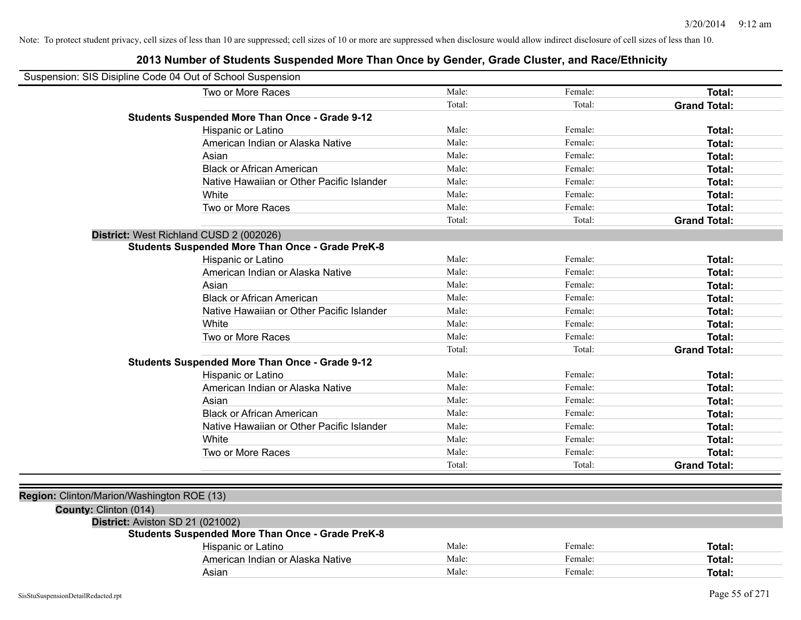| Suspension: SIS Disipline Code 04 Out of School Suspension |                                                         |        |         |                     |
|------------------------------------------------------------|---------------------------------------------------------|--------|---------|---------------------|
|                                                            | Two or More Races                                       | Male:  | Female: | Total:              |
|                                                            |                                                         | Total: | Total:  | <b>Grand Total:</b> |
|                                                            | <b>Students Suspended More Than Once - Grade 9-12</b>   |        |         |                     |
|                                                            | Hispanic or Latino                                      | Male:  | Female: | Total:              |
|                                                            | American Indian or Alaska Native                        | Male:  | Female: | Total:              |
|                                                            | Asian                                                   | Male:  | Female: | Total:              |
|                                                            | <b>Black or African American</b>                        | Male:  | Female: | Total:              |
|                                                            | Native Hawaiian or Other Pacific Islander               | Male:  | Female: | Total:              |
|                                                            | White                                                   | Male:  | Female: | Total:              |
|                                                            | Two or More Races                                       | Male:  | Female: | Total:              |
|                                                            |                                                         | Total: | Total:  | <b>Grand Total:</b> |
|                                                            | District: West Richland CUSD 2 (002026)                 |        |         |                     |
|                                                            | <b>Students Suspended More Than Once - Grade PreK-8</b> |        |         |                     |
|                                                            | Hispanic or Latino                                      | Male:  | Female: | Total:              |
|                                                            | American Indian or Alaska Native                        | Male:  | Female: | Total:              |
|                                                            | Asian                                                   | Male:  | Female: | Total:              |
|                                                            | <b>Black or African American</b>                        | Male:  | Female: | Total:              |
|                                                            | Native Hawaiian or Other Pacific Islander               | Male:  | Female: | Total:              |
|                                                            | White                                                   | Male:  | Female: | Total:              |
|                                                            | Two or More Races                                       | Male:  | Female: | Total:              |
|                                                            |                                                         | Total: | Total:  | <b>Grand Total:</b> |
|                                                            | <b>Students Suspended More Than Once - Grade 9-12</b>   |        |         |                     |
|                                                            | Hispanic or Latino                                      | Male:  | Female: | Total:              |
|                                                            | American Indian or Alaska Native                        | Male:  | Female: | Total:              |
|                                                            | Asian                                                   | Male:  | Female: | Total:              |
|                                                            | <b>Black or African American</b>                        | Male:  | Female: | Total:              |
|                                                            | Native Hawaiian or Other Pacific Islander               | Male:  | Female: | Total:              |
|                                                            | White                                                   | Male:  | Female: | Total:              |
|                                                            | Two or More Races                                       | Male:  | Female: | Total:              |
|                                                            |                                                         | Total: | Total:  | <b>Grand Total:</b> |
|                                                            |                                                         |        |         |                     |
| Region: Clinton/Marion/Washington ROE (13)                 |                                                         |        |         |                     |
| County: Clinton (014)                                      |                                                         |        |         |                     |
| District: Aviston SD 21 (021002)                           |                                                         |        |         |                     |
|                                                            | <b>Students Suspended More Than Once - Grade PreK-8</b> |        |         |                     |
|                                                            | Hispanic or Latino                                      | Male:  | Female: | Total:              |
|                                                            | American Indian or Alaska Native                        | Male:  | Female: | Total:              |
|                                                            | Asian                                                   | Male:  | Female: | Total:              |
|                                                            |                                                         |        |         |                     |
| SisStuSuspensionDetailRedacted.rpt                         |                                                         |        |         | Page 55 of 271      |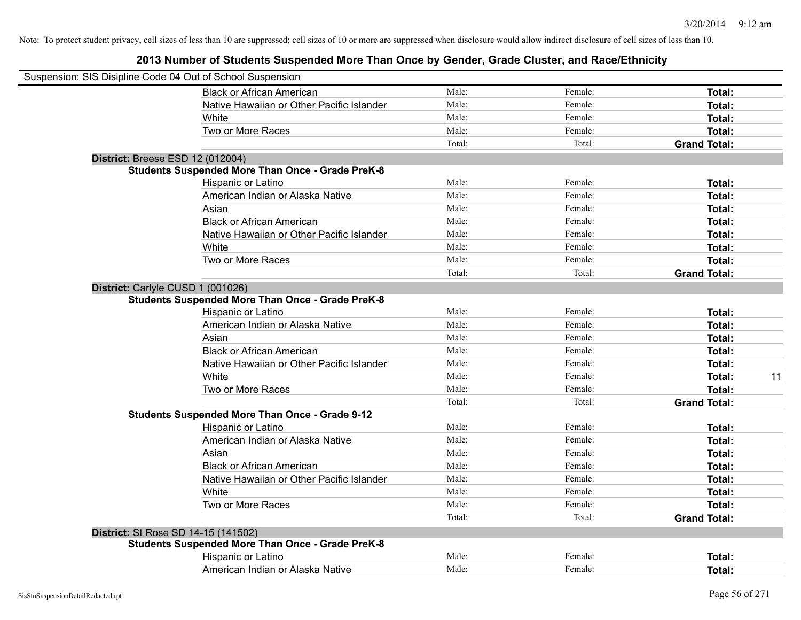| Suspension: SIS Disipline Code 04 Out of School Suspension |                                                         |        |         |                     |
|------------------------------------------------------------|---------------------------------------------------------|--------|---------|---------------------|
|                                                            | <b>Black or African American</b>                        | Male:  | Female: | Total:              |
|                                                            | Native Hawaiian or Other Pacific Islander               | Male:  | Female: | Total:              |
|                                                            | White                                                   | Male:  | Female: | Total:              |
|                                                            | Two or More Races                                       | Male:  | Female: | Total:              |
|                                                            |                                                         | Total: | Total:  | <b>Grand Total:</b> |
| District: Breese ESD 12 (012004)                           |                                                         |        |         |                     |
|                                                            | <b>Students Suspended More Than Once - Grade PreK-8</b> |        |         |                     |
|                                                            | Hispanic or Latino                                      | Male:  | Female: | Total:              |
|                                                            | American Indian or Alaska Native                        | Male:  | Female: | Total:              |
|                                                            | Asian                                                   | Male:  | Female: | Total:              |
|                                                            | <b>Black or African American</b>                        | Male:  | Female: | Total:              |
|                                                            | Native Hawaiian or Other Pacific Islander               | Male:  | Female: | Total:              |
|                                                            | White                                                   | Male:  | Female: | Total:              |
|                                                            | Two or More Races                                       | Male:  | Female: | Total:              |
|                                                            |                                                         | Total: | Total:  | <b>Grand Total:</b> |
| District: Carlyle CUSD 1 (001026)                          |                                                         |        |         |                     |
|                                                            | <b>Students Suspended More Than Once - Grade PreK-8</b> |        |         |                     |
|                                                            | Hispanic or Latino                                      | Male:  | Female: | Total:              |
|                                                            | American Indian or Alaska Native                        | Male:  | Female: | Total:              |
|                                                            | Asian                                                   | Male:  | Female: | Total:              |
|                                                            | <b>Black or African American</b>                        | Male:  | Female: | Total:              |
|                                                            | Native Hawaiian or Other Pacific Islander               | Male:  | Female: | Total:              |
|                                                            | White                                                   | Male:  | Female: | Total:<br>11        |
|                                                            | Two or More Races                                       | Male:  | Female: | Total:              |
|                                                            |                                                         | Total: | Total:  | <b>Grand Total:</b> |
|                                                            | <b>Students Suspended More Than Once - Grade 9-12</b>   |        |         |                     |
|                                                            | Hispanic or Latino                                      | Male:  | Female: | Total:              |
|                                                            | American Indian or Alaska Native                        | Male:  | Female: | Total:              |
|                                                            | Asian                                                   | Male:  | Female: | Total:              |
|                                                            | <b>Black or African American</b>                        | Male:  | Female: | Total:              |
|                                                            | Native Hawaiian or Other Pacific Islander               | Male:  | Female: | Total:              |
|                                                            | White                                                   | Male:  | Female: | Total:              |
|                                                            | Two or More Races                                       | Male:  | Female: | Total:              |
|                                                            |                                                         | Total: | Total:  | <b>Grand Total:</b> |
| <b>District:</b> St Rose SD 14-15 (141502)                 |                                                         |        |         |                     |
|                                                            | <b>Students Suspended More Than Once - Grade PreK-8</b> |        |         |                     |
|                                                            | Hispanic or Latino                                      | Male:  | Female: | Total:              |
|                                                            | American Indian or Alaska Native                        | Male:  | Female: | Total:              |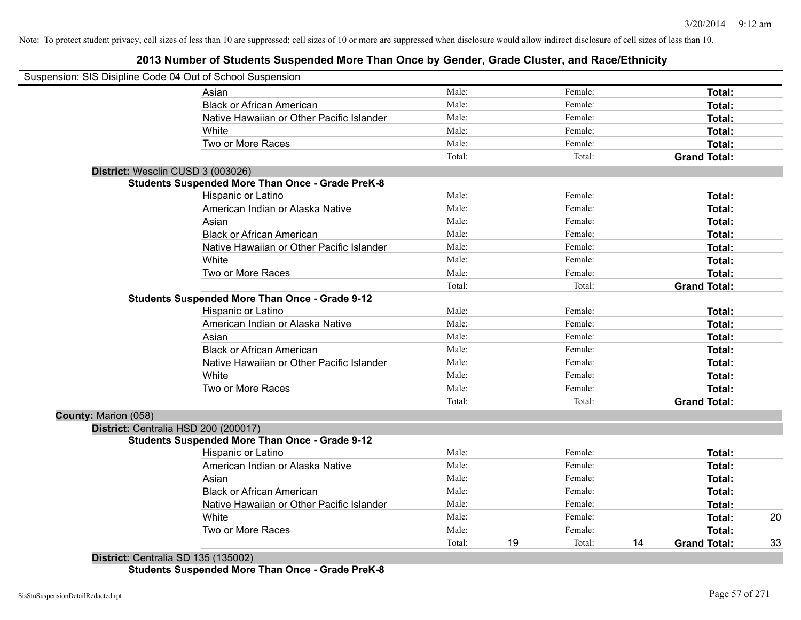## **2013 Number of Students Suspended More Than Once by Gender, Grade Cluster, and Race/Ethnicity**

| Male:<br>Female:<br>Asian<br>Male:<br>Female:<br><b>Black or African American</b><br>Male:<br>Female:<br>Native Hawaiian or Other Pacific Islander<br>Male:<br>Female:<br>White<br>Two or More Races<br>Male:<br>Female: | Total:<br>Total:<br>Total:<br>Total:<br>Total: |
|--------------------------------------------------------------------------------------------------------------------------------------------------------------------------------------------------------------------------|------------------------------------------------|
|                                                                                                                                                                                                                          |                                                |
|                                                                                                                                                                                                                          |                                                |
|                                                                                                                                                                                                                          |                                                |
|                                                                                                                                                                                                                          |                                                |
|                                                                                                                                                                                                                          |                                                |
| Total:<br>Total:<br><b>Grand Total:</b>                                                                                                                                                                                  |                                                |
| District: Wesclin CUSD 3 (003026)                                                                                                                                                                                        |                                                |
| <b>Students Suspended More Than Once - Grade PreK-8</b>                                                                                                                                                                  |                                                |
| Hispanic or Latino<br>Male:<br>Female:                                                                                                                                                                                   | Total:                                         |
| American Indian or Alaska Native<br>Male:<br>Female:                                                                                                                                                                     | Total:                                         |
| Male:<br>Asian<br>Female:                                                                                                                                                                                                | Total:                                         |
| <b>Black or African American</b><br>Male:<br>Female:                                                                                                                                                                     | Total:                                         |
| Native Hawaiian or Other Pacific Islander<br>Male:<br>Female:                                                                                                                                                            | Total:                                         |
| White<br>Male:<br>Female:                                                                                                                                                                                                | Total:                                         |
| Two or More Races<br>Male:<br>Female:                                                                                                                                                                                    | Total:                                         |
| Total:<br>Total:<br><b>Grand Total:</b>                                                                                                                                                                                  |                                                |
| <b>Students Suspended More Than Once - Grade 9-12</b>                                                                                                                                                                    |                                                |
| Male:<br>Hispanic or Latino<br>Female:                                                                                                                                                                                   | Total:                                         |
| American Indian or Alaska Native<br>Male:<br>Female:                                                                                                                                                                     | Total:                                         |
| Asian<br>Male:<br>Female:                                                                                                                                                                                                | Total:                                         |
| <b>Black or African American</b><br>Female:<br>Male:                                                                                                                                                                     | Total:                                         |
| Native Hawaiian or Other Pacific Islander<br>Male:<br>Female:                                                                                                                                                            | Total:                                         |
| White<br>Male:<br>Female:                                                                                                                                                                                                | Total:                                         |
| Two or More Races<br>Male:<br>Female:                                                                                                                                                                                    | Total:                                         |
| Total:<br>Total:<br><b>Grand Total:</b>                                                                                                                                                                                  |                                                |
| County: Marion (058)                                                                                                                                                                                                     |                                                |
| District: Centralia HSD 200 (200017)                                                                                                                                                                                     |                                                |
| <b>Students Suspended More Than Once - Grade 9-12</b>                                                                                                                                                                    |                                                |
| Male:<br>Hispanic or Latino<br>Female:                                                                                                                                                                                   | Total:                                         |
| American Indian or Alaska Native<br>Male:<br>Female:                                                                                                                                                                     | Total:                                         |
| Asian<br>Male:<br>Female:                                                                                                                                                                                                | Total:                                         |
| <b>Black or African American</b><br>Male:<br>Female:                                                                                                                                                                     | Total:                                         |
| Native Hawaiian or Other Pacific Islander<br>Male:<br>Female:                                                                                                                                                            | Total:                                         |
| White<br>Male:<br>Female:                                                                                                                                                                                                | Total:<br>20                                   |
| Two or More Races<br>Male:<br>Female:                                                                                                                                                                                    | Total:                                         |
| 19<br>Total:<br>Total:<br>14<br><b>Grand Total:</b>                                                                                                                                                                      | 33                                             |

**District:** Centralia SD 135 (135002) **Students Suspended More Than Once - Grade PreK-8**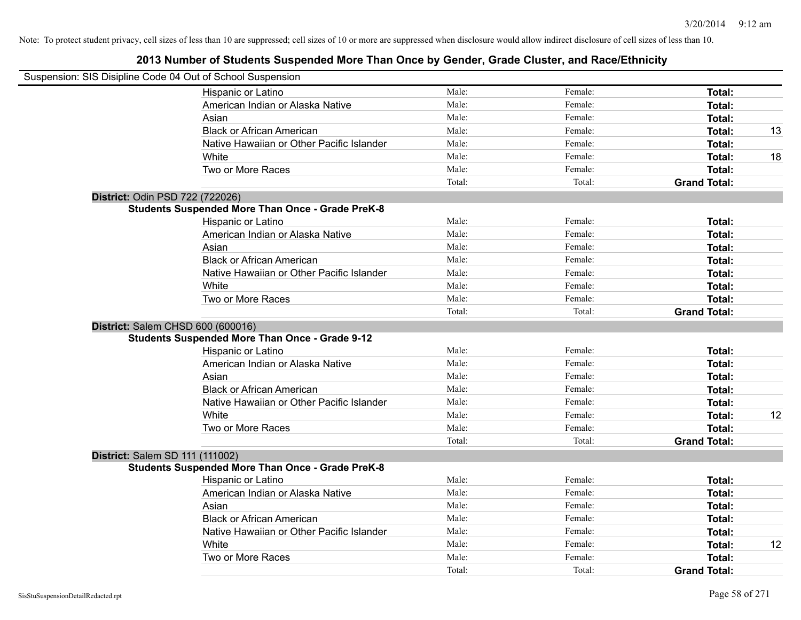| Suspension: SIS Disipline Code 04 Out of School Suspension |        |         |                     |    |
|------------------------------------------------------------|--------|---------|---------------------|----|
| Hispanic or Latino                                         | Male:  | Female: | Total:              |    |
| American Indian or Alaska Native                           | Male:  | Female: | Total:              |    |
| Asian                                                      | Male:  | Female: | Total:              |    |
| <b>Black or African American</b>                           | Male:  | Female: | Total:              | 13 |
| Native Hawaiian or Other Pacific Islander                  | Male:  | Female: | Total:              |    |
| White                                                      | Male:  | Female: | Total:              | 18 |
| Two or More Races                                          | Male:  | Female: | Total:              |    |
|                                                            | Total: | Total:  | <b>Grand Total:</b> |    |
| District: Odin PSD 722 (722026)                            |        |         |                     |    |
| <b>Students Suspended More Than Once - Grade PreK-8</b>    |        |         |                     |    |
| Hispanic or Latino                                         | Male:  | Female: | Total:              |    |
| American Indian or Alaska Native                           | Male:  | Female: | Total:              |    |
| Asian                                                      | Male:  | Female: | Total:              |    |
| <b>Black or African American</b>                           | Male:  | Female: | Total:              |    |
| Native Hawaiian or Other Pacific Islander                  | Male:  | Female: | Total:              |    |
| White                                                      | Male:  | Female: | Total:              |    |
| Two or More Races                                          | Male:  | Female: | Total:              |    |
|                                                            | Total: | Total:  | <b>Grand Total:</b> |    |
| District: Salem CHSD 600 (600016)                          |        |         |                     |    |
| <b>Students Suspended More Than Once - Grade 9-12</b>      |        |         |                     |    |
| Hispanic or Latino                                         | Male:  | Female: | Total:              |    |
| American Indian or Alaska Native                           | Male:  | Female: | Total:              |    |
| Asian                                                      | Male:  | Female: | Total:              |    |
| <b>Black or African American</b>                           | Male:  | Female: | Total:              |    |
| Native Hawaiian or Other Pacific Islander                  | Male:  | Female: | Total:              |    |
| White                                                      | Male:  | Female: | Total:              | 12 |
| Two or More Races                                          | Male:  | Female: | Total:              |    |
|                                                            | Total: | Total:  | <b>Grand Total:</b> |    |
| <b>District: Salem SD 111 (111002)</b>                     |        |         |                     |    |
| <b>Students Suspended More Than Once - Grade PreK-8</b>    |        |         |                     |    |
| Hispanic or Latino                                         | Male:  | Female: | Total:              |    |
| American Indian or Alaska Native                           | Male:  | Female: | Total:              |    |
| Asian                                                      | Male:  | Female: | Total:              |    |
| <b>Black or African American</b>                           | Male:  | Female: | Total:              |    |
| Native Hawaiian or Other Pacific Islander                  | Male:  | Female: | Total:              |    |
| White                                                      | Male:  | Female: | Total:              | 12 |
| Two or More Races                                          | Male:  | Female: | Total:              |    |
|                                                            | Total: | Total:  | <b>Grand Total:</b> |    |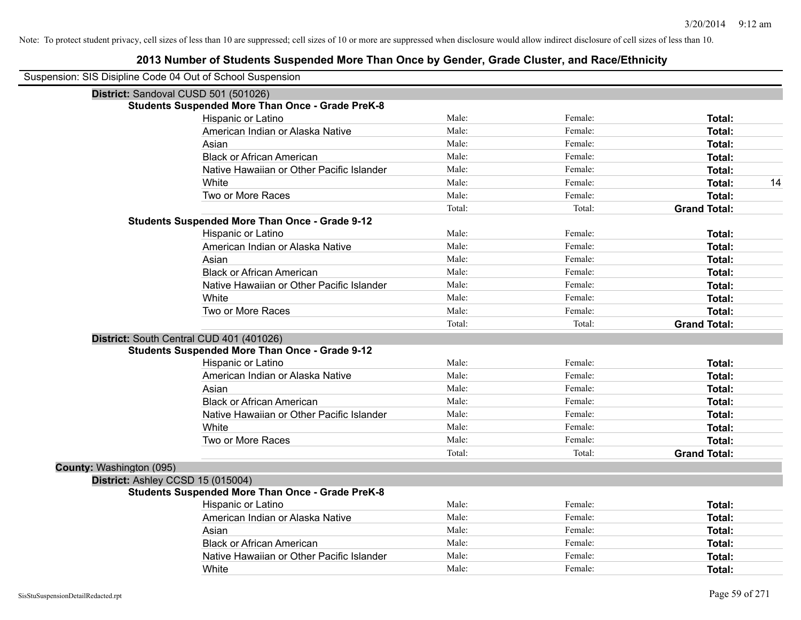| Suspension: SIS Disipline Code 04 Out of School Suspension |                                                         |        |         |                     |
|------------------------------------------------------------|---------------------------------------------------------|--------|---------|---------------------|
| District: Sandoval CUSD 501 (501026)                       |                                                         |        |         |                     |
|                                                            | <b>Students Suspended More Than Once - Grade PreK-8</b> |        |         |                     |
|                                                            | Hispanic or Latino                                      | Male:  | Female: | Total:              |
|                                                            | American Indian or Alaska Native                        | Male:  | Female: | <b>Total:</b>       |
|                                                            | Asian                                                   | Male:  | Female: | <b>Total:</b>       |
|                                                            | <b>Black or African American</b>                        | Male:  | Female: | Total:              |
|                                                            | Native Hawaiian or Other Pacific Islander               | Male:  | Female: | <b>Total:</b>       |
|                                                            | White                                                   | Male:  | Female: | 14<br>Total:        |
|                                                            | Two or More Races                                       | Male:  | Female: | <b>Total:</b>       |
|                                                            |                                                         | Total: | Total:  | <b>Grand Total:</b> |
|                                                            | <b>Students Suspended More Than Once - Grade 9-12</b>   |        |         |                     |
|                                                            | Hispanic or Latino                                      | Male:  | Female: | Total:              |
|                                                            | American Indian or Alaska Native                        | Male:  | Female: | Total:              |
|                                                            | Asian                                                   | Male:  | Female: | <b>Total:</b>       |
|                                                            | <b>Black or African American</b>                        | Male:  | Female: | <b>Total:</b>       |
|                                                            | Native Hawaiian or Other Pacific Islander               | Male:  | Female: | Total:              |
|                                                            | White                                                   | Male:  | Female: | Total:              |
|                                                            | Two or More Races                                       | Male:  | Female: | Total:              |
|                                                            |                                                         | Total: | Total:  | <b>Grand Total:</b> |
|                                                            | District: South Central CUD 401 (401026)                |        |         |                     |
|                                                            | <b>Students Suspended More Than Once - Grade 9-12</b>   |        |         |                     |
|                                                            | Hispanic or Latino                                      | Male:  | Female: | Total:              |
|                                                            | American Indian or Alaska Native                        | Male:  | Female: | <b>Total:</b>       |
|                                                            | Asian                                                   | Male:  | Female: | <b>Total:</b>       |
|                                                            | <b>Black or African American</b>                        | Male:  | Female: | <b>Total:</b>       |
|                                                            | Native Hawaiian or Other Pacific Islander               | Male:  | Female: | Total:              |
|                                                            | White                                                   | Male:  | Female: | <b>Total:</b>       |
|                                                            | Two or More Races                                       | Male:  | Female: | <b>Total:</b>       |
|                                                            |                                                         | Total: | Total:  | <b>Grand Total:</b> |
| County: Washington (095)                                   |                                                         |        |         |                     |
| District: Ashley CCSD 15 (015004)                          |                                                         |        |         |                     |
|                                                            | <b>Students Suspended More Than Once - Grade PreK-8</b> |        |         |                     |
|                                                            | Hispanic or Latino                                      | Male:  | Female: | Total:              |
|                                                            | American Indian or Alaska Native                        | Male:  | Female: | <b>Total:</b>       |
|                                                            | Asian                                                   | Male:  | Female: | <b>Total:</b>       |
|                                                            | <b>Black or African American</b>                        | Male:  | Female: | <b>Total:</b>       |
|                                                            | Native Hawaiian or Other Pacific Islander               | Male:  | Female: | <b>Total:</b>       |
|                                                            | White                                                   | Male:  | Female: | Total:              |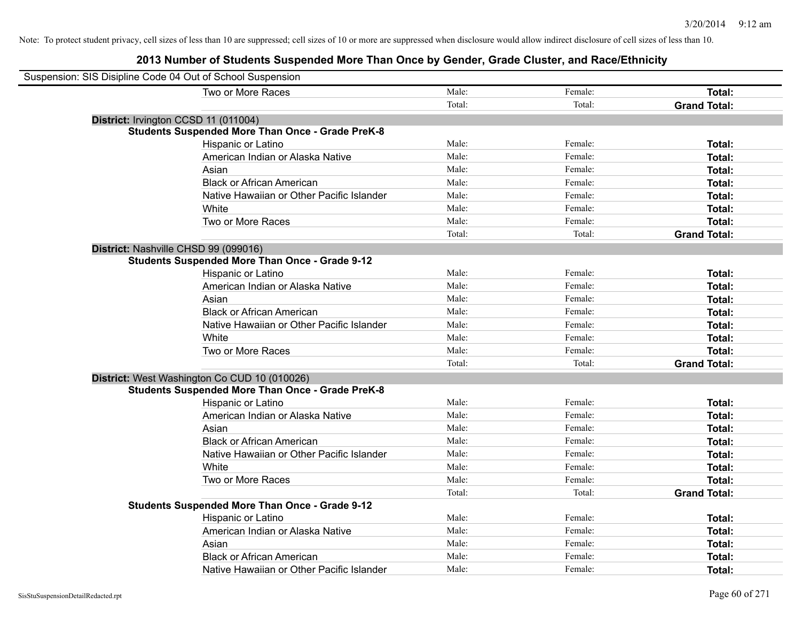| Suspension: SIS Disipline Code 04 Out of School Suspension |                                                         |        |         |                     |
|------------------------------------------------------------|---------------------------------------------------------|--------|---------|---------------------|
|                                                            | Two or More Races                                       | Male:  | Female: | <b>Total:</b>       |
|                                                            |                                                         | Total: | Total:  | <b>Grand Total:</b> |
| District: Irvington CCSD 11 (011004)                       |                                                         |        |         |                     |
|                                                            | <b>Students Suspended More Than Once - Grade PreK-8</b> |        |         |                     |
|                                                            | Hispanic or Latino                                      | Male:  | Female: | Total:              |
|                                                            | American Indian or Alaska Native                        | Male:  | Female: | Total:              |
|                                                            | Asian                                                   | Male:  | Female: | Total:              |
|                                                            | <b>Black or African American</b>                        | Male:  | Female: | Total:              |
|                                                            | Native Hawaiian or Other Pacific Islander               | Male:  | Female: | Total:              |
|                                                            | White                                                   | Male:  | Female: | Total:              |
|                                                            | Two or More Races                                       | Male:  | Female: | Total:              |
|                                                            |                                                         | Total: | Total:  | <b>Grand Total:</b> |
| District: Nashville CHSD 99 (099016)                       |                                                         |        |         |                     |
|                                                            | <b>Students Suspended More Than Once - Grade 9-12</b>   |        |         |                     |
|                                                            | Hispanic or Latino                                      | Male:  | Female: | Total:              |
|                                                            | American Indian or Alaska Native                        | Male:  | Female: | Total:              |
|                                                            | Asian                                                   | Male:  | Female: | Total:              |
|                                                            | <b>Black or African American</b>                        | Male:  | Female: | Total:              |
|                                                            | Native Hawaiian or Other Pacific Islander               | Male:  | Female: | Total:              |
|                                                            | White                                                   | Male:  | Female: | Total:              |
|                                                            | Two or More Races                                       | Male:  | Female: | Total:              |
|                                                            |                                                         | Total: | Total:  | <b>Grand Total:</b> |
|                                                            | District: West Washington Co CUD 10 (010026)            |        |         |                     |
|                                                            | <b>Students Suspended More Than Once - Grade PreK-8</b> |        |         |                     |
|                                                            | Hispanic or Latino                                      | Male:  | Female: | Total:              |
|                                                            | American Indian or Alaska Native                        | Male:  | Female: | Total:              |
|                                                            | Asian                                                   | Male:  | Female: | Total:              |
|                                                            | <b>Black or African American</b>                        | Male:  | Female: | Total:              |
|                                                            | Native Hawaiian or Other Pacific Islander               | Male:  | Female: | Total:              |
|                                                            | White                                                   | Male:  | Female: | Total:              |
|                                                            | Two or More Races                                       | Male:  | Female: | Total:              |
|                                                            |                                                         | Total: | Total:  | <b>Grand Total:</b> |
|                                                            | <b>Students Suspended More Than Once - Grade 9-12</b>   |        |         |                     |
|                                                            | Hispanic or Latino                                      | Male:  | Female: | Total:              |
|                                                            | American Indian or Alaska Native                        | Male:  | Female: | Total:              |
|                                                            | Asian                                                   | Male:  | Female: | Total:              |
|                                                            | <b>Black or African American</b>                        | Male:  | Female: | Total:              |
|                                                            | Native Hawaiian or Other Pacific Islander               | Male:  | Female: | Total:              |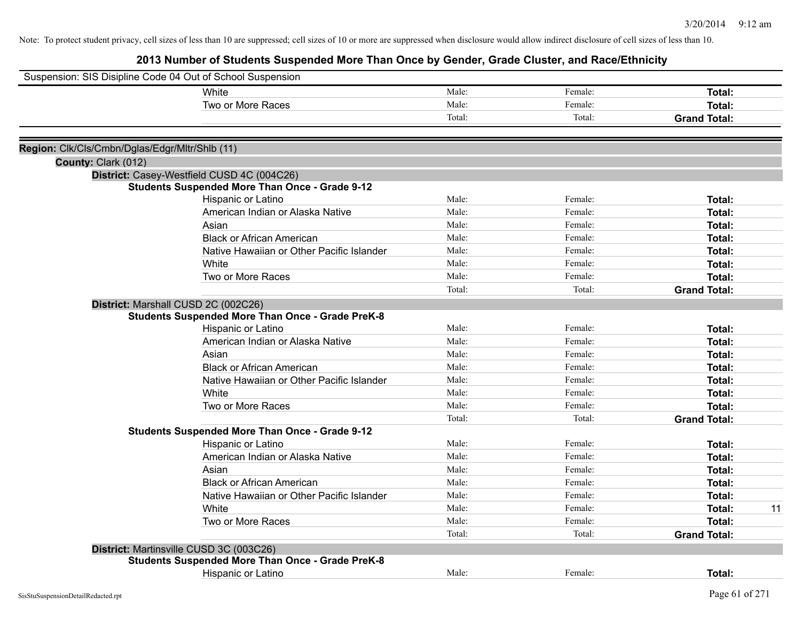| Suspension: SIS Disipline Code 04 Out of School Suspension |         |                     |
|------------------------------------------------------------|---------|---------------------|
| Male:<br>White                                             | Female: | Total:              |
| Male:<br>Two or More Races                                 | Female: | Total:              |
| Total:                                                     | Total:  | <b>Grand Total:</b> |
|                                                            |         |                     |
| Region: Clk/Cls/Cmbn/Dglas/Edgr/Mltr/Shlb (11)             |         |                     |
| County: Clark (012)                                        |         |                     |
| District: Casey-Westfield CUSD 4C (004C26)                 |         |                     |
| <b>Students Suspended More Than Once - Grade 9-12</b>      |         |                     |
| Male:<br>Hispanic or Latino                                | Female: | Total:              |
| Male:<br>American Indian or Alaska Native                  | Female: | Total:              |
| Male:<br>Asian                                             | Female: | Total:              |
| <b>Black or African American</b><br>Male:                  | Female: | Total:              |
| Native Hawaiian or Other Pacific Islander<br>Male:         | Female: | Total:              |
| White<br>Male:                                             | Female: | Total:              |
| Two or More Races<br>Male:                                 | Female: | Total:              |
| Total:                                                     | Total:  | <b>Grand Total:</b> |
| District: Marshall CUSD 2C (002C26)                        |         |                     |
| <b>Students Suspended More Than Once - Grade PreK-8</b>    |         |                     |
| Hispanic or Latino<br>Male:                                | Female: | Total:              |
| American Indian or Alaska Native<br>Male:                  | Female: | Total:              |
| Male:<br>Asian                                             | Female: | Total:              |
| <b>Black or African American</b><br>Male:                  | Female: | Total:              |
| Native Hawaiian or Other Pacific Islander<br>Male:         | Female: | Total:              |
| Male:<br>White                                             | Female: | Total:              |
| Two or More Races<br>Male:                                 | Female: | Total:              |
| Total:                                                     | Total:  | <b>Grand Total:</b> |
| <b>Students Suspended More Than Once - Grade 9-12</b>      |         |                     |
| Hispanic or Latino<br>Male:                                | Female: | Total:              |
| Male:<br>American Indian or Alaska Native                  | Female: | Total:              |
| Asian<br>Male:                                             | Female: | Total:              |
| <b>Black or African American</b><br>Male:                  | Female: | Total:              |
| Native Hawaiian or Other Pacific Islander<br>Male:         | Female: | Total:              |
| White<br>Male:                                             | Female: | 11<br>Total:        |
| Two or More Races<br>Male:                                 | Female: | Total:              |
| Total:                                                     | Total:  | <b>Grand Total:</b> |
| District: Martinsville CUSD 3C (003C26)                    |         |                     |
| <b>Students Suspended More Than Once - Grade PreK-8</b>    |         |                     |
| Male:<br>Hispanic or Latino                                | Female: | Total:              |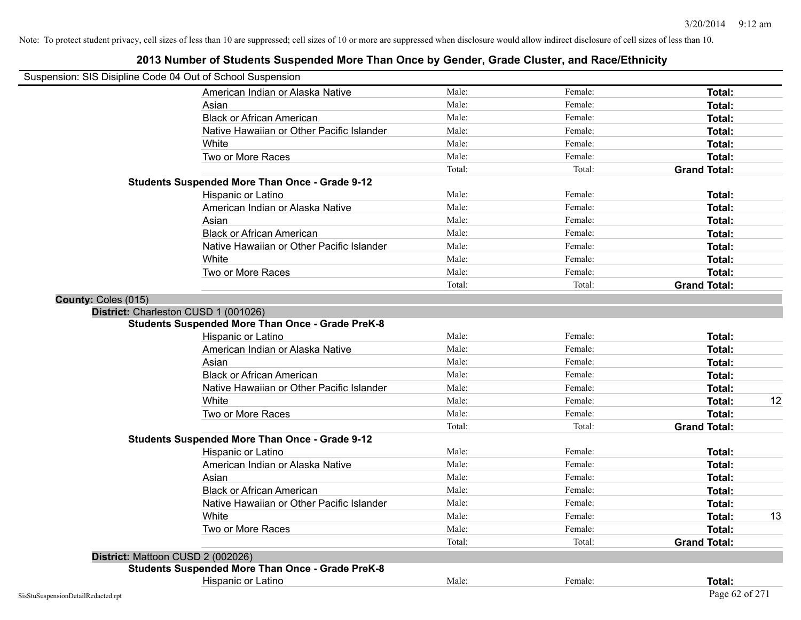## Suspension: SIS Disipline Code 04 Out of School Suspension American Indian or Alaska Native **Male:** Male: Female: Female: **Total:** Total: Asian **Asian Male:** Female: **Total:** Female: **Total:** Female: **Total:** Female: **Total:** Total: Black or African American **Figure 1.1 and Total:** Male: Female: Female: **Total: Total:** Total: Native Hawaiian or Other Pacific Islander **Male:** Male: Female: Female: **Total:** Total: White **Total:** Male: **Female:** Female: **Total:** Total: **Total:** Female: **Total:** Total: **Total:** Total: **Total:** Total: **Total:** Total: **Total:** Total: **Total:** Total: **Total:** Total: **Total:** Total: **Total:** Total: **Total** Two or More Races **Total:** Total: Male: Female: Female: **Total:** Total: Total: Total: Total: **Grand Total: Students Suspended More Than Once - Grade 9-12** Hispanic or Latino **Finally Hispanic or Latino** *Total:* Male: Female: Female: **Total:** Total: American Indian or Alaska Native **Male:** Male: Female: Female: **Total:** Total: Asian **Asian Male:** Female: **Total:** Female: **Total:** Female: **Total:** Female: **Total:** Total: Black or African American **Figure 1.1 and Total:** Male: Female: Female: **Total:** Total: Native Hawaiian or Other Pacific Islander **Male:** Male: Female: Female: **Total:** Total: White **Total:** Male: **Female:** Female: **Total:** Total: **Total:** Female: **Total:** Total: **Total:** Total: **Total:** Total: **Total:** Total: **Total:** Total: **Total:** Total: **Total:** Total: **Total:** Total: **Total:** Total: **Total** Two or More Races **Total:** Total: Male: Female: Female: **Total:** Female: **Total:** Total: Total: Total: Total: **Grand Total: County:** Coles (015) **District:** Charleston CUSD 1 (001026) **Students Suspended More Than Once - Grade PreK-8** Hispanic or Latino **Finale:** Female: **Female:** Female: **Total:** Female: **Total:** Female: **Female:** Female: **Total:** American Indian or Alaska Native **Male:** Male: Female: Female: **Total:** Total: Asian Male: Female: **Total:** Black or African American **Figure 1.1 and Total:** Male: Female: Female: **Total: Total:** Total: Native Hawaiian or Other Pacific Islander Male: Total: Female: Female: Total: Total: Total: Total: Total: Total: Total: Total: Total: Total: Total: Total: Total: Total: Total: Total: Total: Total: Total: Total: Total: Tota White **Male:** Male: **Total: 12** Male: **Total: 12** Male: **Total: 12** Two or More Races **Total:** Total: Male: Female: Female: **Total:** Total: Total: Total: **Grand Total: Students Suspended More Than Once - Grade 9-12** Hispanic or Latino **Finale:** Female: **Total:** Female: **Female: Following Total:** Female: **Total:** Female: **Total:** Final: **Finale:** Final: **Final:** Final: **Final:** Final: **Final:** Final: **Final:** Final: **Final:** Final: **Fi** American Indian or Alaska Native **Male:** Male: Female: Female: **Total:** Total: Asian Male: Female: **Total:** Black or African American **Figure 1.1 Contained American** Male: Female: **Female: Total: Total: Total: Total: Total: Total: Total: Total: Total: Total: Total: Total: Total: Total: Total: Tota** Native Hawaiian or Other Pacific Islander Male: Total: Female: Female: Total: Total: Total: Total: Total: Total: Total: Total: Total: Total: Total: Total: Total: Total: Total: Total: Total: Total: Total: Total: Total: Tota White **Male:** Male: **Total: 13** Male: **Total: 13** Two or More Races **Total:** The Male: The Female: Female: **Total:** Total: Total: Total: Total: Total: **Grand Total: District:** Mattoon CUSD 2 (002026) **Students Suspended More Than Once - Grade PreK-8** Hispanic or Latino **Finale:** Female: **Total:** Female: **Total:** Female: **Total:** Female: **Total:** Female: **Total:** Female: **Total:** Female: **Finale:** Female: **Finale:** Female: **Finale:** Finale: **Finale:** Finale: **Finale:** F  $\mathcal{S}^{\text{isStuSupsensionDetailRedacted.rpt}}$  Page 62 of 271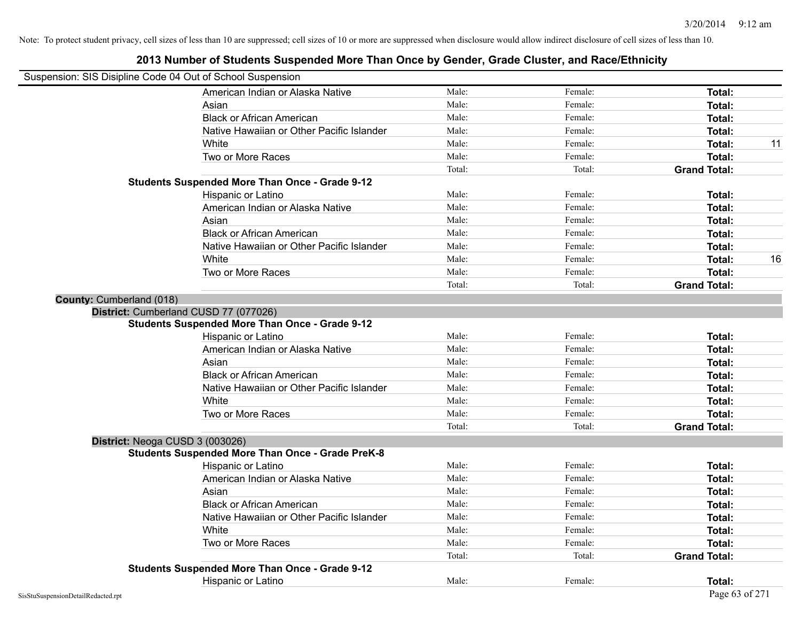## Suspension: SIS Disipline Code 04 Out of School Suspension American Indian or Alaska Native **Male:** Male: Female: Female: **Total:** Total: Asian **Asian Male:** Female: **Total:** Female: **Total:** Female: **Total:** Female: **Total:** Total: Black or African American **Figure 1.1 and Total:** Male: Female: Female: **Total: Total:** Total: Native Hawaiian or Other Pacific Islander **Male:** Male: Female: Female: **Total:** Total: White **Male:** Male: **Total: 11** Male: **Total: 11** Male: **Total: 11** Male: **Total:** 11 Two or More Races **Total:** Total: Male: Female: Female: **Total:** Female: **Total:** Total: Total: Total: Total: **Grand Total: Students Suspended More Than Once - Grade 9-12** Hispanic or Latino **Finally Hispanic or Latino** *Total:* Male: Female: Female: **Total:** Total: American Indian or Alaska Native **Male:** Male: Female: Female: **Total:** Total: Asian **Asian Male:** Female: **Total:** Female: **Total:** Female: **Total:** Female: **Total:** Total: Black or African American **Figure 1.1 and Total:** Male: Female: Female: **Total:** Total: Native Hawaiian or Other Pacific Islander Male: Total: Female: Female: Total: Total: White **Male:** Male: **Total: 16** Male: **Total: 16** Male: **Total: 16** Male: **Total: 16** Male: 16 Two or More Races **Total:** Total: Male: Female: Female: **Total:** Female: **Total:** Total: Total: Total: Total: **Grand Total: County:** Cumberland (018) **District:** Cumberland CUSD 77 (077026) **Students Suspended More Than Once - Grade 9-12** Hispanic or Latino **Finale:** Female: **Female:** Female: **Total:** Female: **Total:** Female: **Female:** Female: **Total:** American Indian or Alaska Native **Male:** Male: Female: Female: **Total:** Total: Asian Male: Female: **Total:** Black or African American **Figure 1.1 and Total:** Male: Female: Female: **Total: Total:** Total: Native Hawaiian or Other Pacific Islander Male: Total: Female: Female: Total: Total: Total: Total: Total: Total: Total: Total: Total: Total: Total: Total: Total: Total: Total: Total: Total: Total: Total: Total: Total: Tota White **Total:** Male: Female: **Total:** Total: **Total:** Female: **Total:** Total: Two or More Races **Total:** Total: Male: Female: Female: **Total:** Total: Total: Total: **Grand Total: District:** Neoga CUSD 3 (003026) **Students Suspended More Than Once - Grade PreK-8** Hispanic or Latino **Finale:** Female: **Female:** Female: **Total:** Female: **Total:** Female: **Finale:** Female: **Total:** American Indian or Alaska Native **Male:** Male: Female: Female: **Total:** Total: Asian **Male:** Female: **Total:** Total: **Total:** Female: **Total:** Total: **Total:** Total: Total: Total: Total: Total: Total: Total: Total: Total: Total: Total: Total: Total: Total: Total: Total: Total: Total: Total: Total: To Black or African American **Figure 1.1 and Total:** Male: Female: Female: **Total:** Total: Native Hawaiian or Other Pacific Islander Male: Total: Female: Female: Total: Total: Total: Total: Total: Total: Total: Total: Female: Total: Total: Total: Total: Total: Total: Total: Total: Total: Total: Total: Total: Tot White **Total:** Male: Female: **Total:** Total: **Total:** Female: **Total:** Total: Two or More Races **Total:** The Male: The Remain Remains of Male: Total: Total: Total: Total: Total: **Grand Total: Students Suspended More Than Once - Grade 9-12** Hispanic or Latino **Finale:** Female: **Total:** Female: **Total:** Female: **Total:** Female: **Total:** Female: **Total:** Female: **Total:** Female: **Finale:** Female: **Finale:** Female: **Finale:** Finale: **Finale:** Finale: **Finale:** F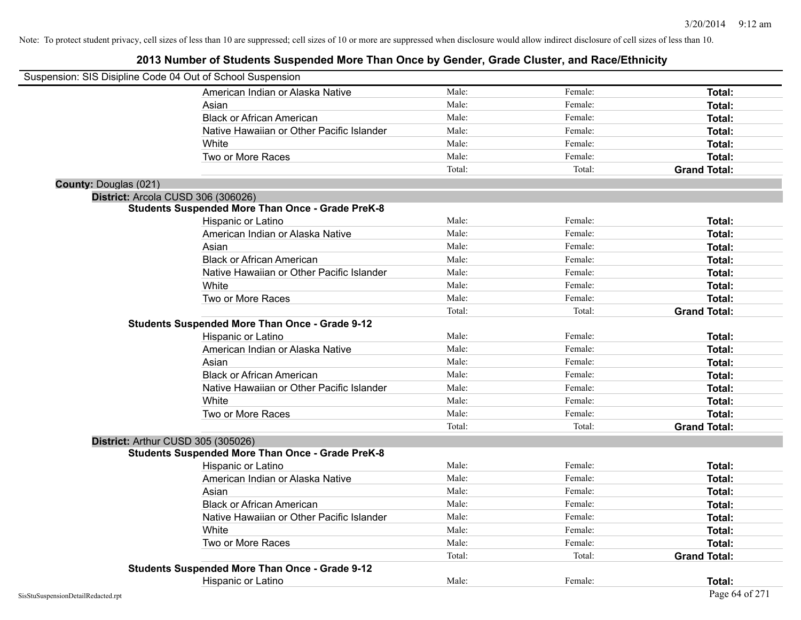| Suspension: SIS Disipline Code 04 Out of School Suspension |                                                         |        |         |                     |
|------------------------------------------------------------|---------------------------------------------------------|--------|---------|---------------------|
|                                                            | American Indian or Alaska Native                        | Male:  | Female: | Total:              |
|                                                            | Asian                                                   | Male:  | Female: | Total:              |
|                                                            | <b>Black or African American</b>                        | Male:  | Female: | Total:              |
|                                                            | Native Hawaiian or Other Pacific Islander               | Male:  | Female: | Total:              |
|                                                            | White                                                   | Male:  | Female: | Total:              |
|                                                            | Two or More Races                                       | Male:  | Female: | Total:              |
|                                                            |                                                         | Total: | Total:  | <b>Grand Total:</b> |
| County: Douglas (021)                                      |                                                         |        |         |                     |
| District: Arcola CUSD 306 (306026)                         |                                                         |        |         |                     |
|                                                            | <b>Students Suspended More Than Once - Grade PreK-8</b> |        |         |                     |
|                                                            | Hispanic or Latino                                      | Male:  | Female: | Total:              |
|                                                            | American Indian or Alaska Native                        | Male:  | Female: | Total:              |
|                                                            | Asian                                                   | Male:  | Female: | Total:              |
|                                                            | <b>Black or African American</b>                        | Male:  | Female: | Total:              |
|                                                            | Native Hawaiian or Other Pacific Islander               | Male:  | Female: | Total:              |
|                                                            | White                                                   | Male:  | Female: | Total:              |
|                                                            | Two or More Races                                       | Male:  | Female: | Total:              |
|                                                            |                                                         | Total: | Total:  | <b>Grand Total:</b> |
|                                                            | <b>Students Suspended More Than Once - Grade 9-12</b>   |        |         |                     |
|                                                            | Hispanic or Latino                                      | Male:  | Female: | Total:              |
|                                                            | American Indian or Alaska Native                        | Male:  | Female: | Total:              |
|                                                            | Asian                                                   | Male:  | Female: | Total:              |
|                                                            | <b>Black or African American</b>                        | Male:  | Female: | Total:              |
|                                                            | Native Hawaiian or Other Pacific Islander               | Male:  | Female: | Total:              |
|                                                            | White                                                   | Male:  | Female: | Total:              |
|                                                            | Two or More Races                                       | Male:  | Female: | Total:              |
|                                                            |                                                         | Total: | Total:  | <b>Grand Total:</b> |
| District: Arthur CUSD 305 (305026)                         |                                                         |        |         |                     |
|                                                            | <b>Students Suspended More Than Once - Grade PreK-8</b> |        |         |                     |
|                                                            | Hispanic or Latino                                      | Male:  | Female: | Total:              |
|                                                            | American Indian or Alaska Native                        | Male:  | Female: | Total:              |
|                                                            | Asian                                                   | Male:  | Female: | Total:              |
|                                                            | <b>Black or African American</b>                        | Male:  | Female: | Total:              |
|                                                            | Native Hawaiian or Other Pacific Islander               | Male:  | Female: | Total:              |
|                                                            | White                                                   | Male:  | Female: | Total:              |
|                                                            | Two or More Races                                       | Male:  | Female: | Total:              |
|                                                            |                                                         | Total: | Total:  | <b>Grand Total:</b> |
|                                                            | <b>Students Suspended More Than Once - Grade 9-12</b>   |        |         |                     |
|                                                            | Hispanic or Latino                                      | Male:  | Female: | Total:              |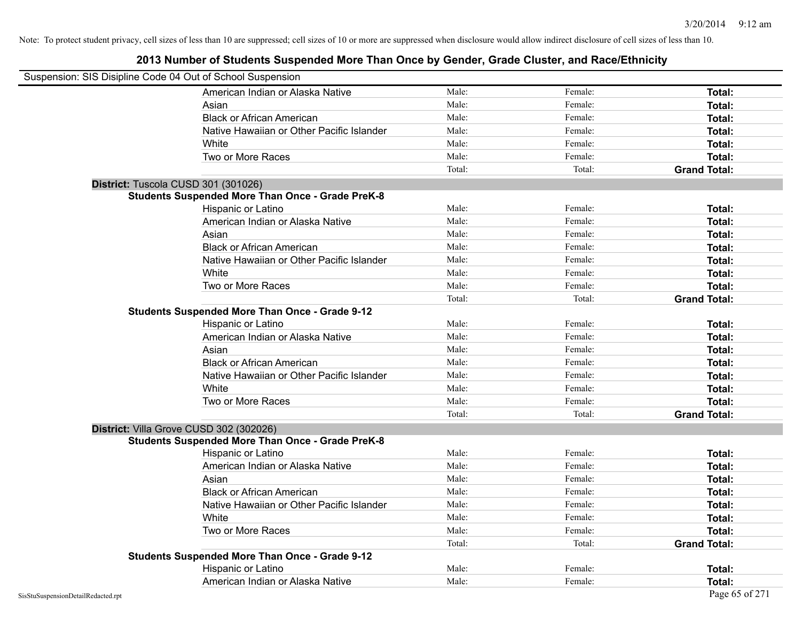| Suspension: SIS Disipline Code 04 Out of School Suspension |                                                         |        |         |                     |
|------------------------------------------------------------|---------------------------------------------------------|--------|---------|---------------------|
|                                                            | American Indian or Alaska Native                        | Male:  | Female: | Total:              |
|                                                            | Asian                                                   | Male:  | Female: | Total:              |
|                                                            | <b>Black or African American</b>                        | Male:  | Female: | Total:              |
|                                                            | Native Hawaiian or Other Pacific Islander               | Male:  | Female: | Total:              |
|                                                            | White                                                   | Male:  | Female: | Total:              |
|                                                            | Two or More Races                                       | Male:  | Female: | Total:              |
|                                                            |                                                         | Total: | Total:  | <b>Grand Total:</b> |
| District: Tuscola CUSD 301 (301026)                        |                                                         |        |         |                     |
|                                                            | <b>Students Suspended More Than Once - Grade PreK-8</b> |        |         |                     |
|                                                            | Hispanic or Latino                                      | Male:  | Female: | Total:              |
|                                                            | American Indian or Alaska Native                        | Male:  | Female: | Total:              |
|                                                            | Asian                                                   | Male:  | Female: | Total:              |
|                                                            | <b>Black or African American</b>                        | Male:  | Female: | Total:              |
|                                                            | Native Hawaiian or Other Pacific Islander               | Male:  | Female: | Total:              |
|                                                            | White                                                   | Male:  | Female: | Total:              |
|                                                            | Two or More Races                                       | Male:  | Female: | Total:              |
|                                                            |                                                         | Total: | Total:  | <b>Grand Total:</b> |
|                                                            | <b>Students Suspended More Than Once - Grade 9-12</b>   |        |         |                     |
|                                                            | Hispanic or Latino                                      | Male:  | Female: | Total:              |
|                                                            | American Indian or Alaska Native                        | Male:  | Female: | Total:              |
|                                                            | Asian                                                   | Male:  | Female: | Total:              |
|                                                            | <b>Black or African American</b>                        | Male:  | Female: | Total:              |
|                                                            | Native Hawaiian or Other Pacific Islander               | Male:  | Female: | Total:              |
|                                                            | White                                                   | Male:  | Female: | Total:              |
|                                                            | Two or More Races                                       | Male:  | Female: | Total:              |
|                                                            |                                                         | Total: | Total:  | <b>Grand Total:</b> |
|                                                            | District: Villa Grove CUSD 302 (302026)                 |        |         |                     |
|                                                            | <b>Students Suspended More Than Once - Grade PreK-8</b> |        |         |                     |
|                                                            | Hispanic or Latino                                      | Male:  | Female: | Total:              |
|                                                            | American Indian or Alaska Native                        | Male:  | Female: | Total:              |
|                                                            | Asian                                                   | Male:  | Female: | Total:              |
|                                                            | <b>Black or African American</b>                        | Male:  | Female: | Total:              |
|                                                            | Native Hawaiian or Other Pacific Islander               | Male:  | Female: | Total:              |
|                                                            | White                                                   | Male:  | Female: | Total:              |
|                                                            | Two or More Races                                       | Male:  | Female: | Total:              |
|                                                            |                                                         | Total: | Total:  | <b>Grand Total:</b> |
|                                                            | <b>Students Suspended More Than Once - Grade 9-12</b>   |        |         |                     |
|                                                            | Hispanic or Latino                                      | Male:  | Female: | Total:              |
|                                                            | American Indian or Alaska Native                        | Male:  | Female: | <b>Total:</b>       |
| SisStuSuspensionDetailRedacted.rpt                         |                                                         |        |         | Page 65 of 271      |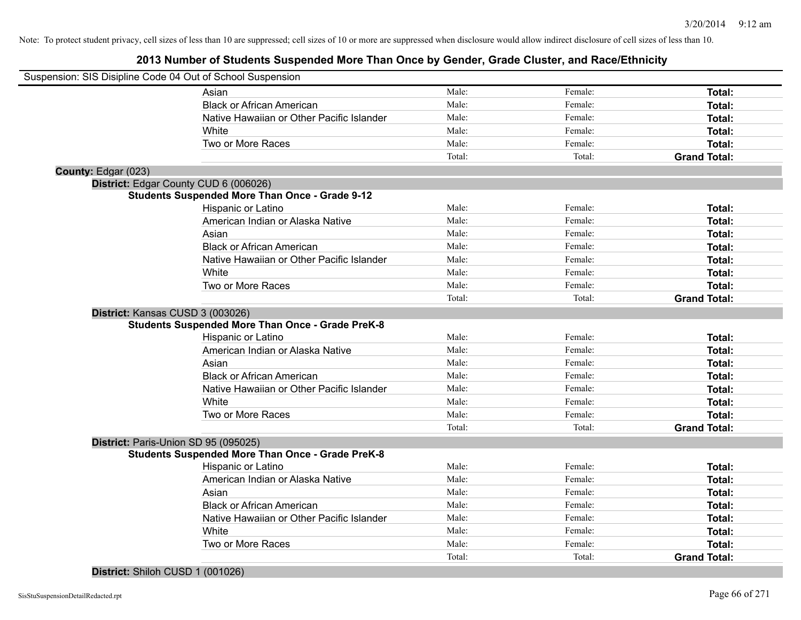|                     | Suspension: SIS Disipline Code 04 Out of School Suspension |        |         |                     |
|---------------------|------------------------------------------------------------|--------|---------|---------------------|
|                     | Asian                                                      | Male:  | Female: | Total:              |
|                     | <b>Black or African American</b>                           | Male:  | Female: | Total:              |
|                     | Native Hawaiian or Other Pacific Islander                  | Male:  | Female: | Total:              |
|                     | White                                                      | Male:  | Female: | Total:              |
|                     | Two or More Races                                          | Male:  | Female: | Total:              |
|                     |                                                            | Total: | Total:  | <b>Grand Total:</b> |
| County: Edgar (023) |                                                            |        |         |                     |
|                     | District: Edgar County CUD 6 (006026)                      |        |         |                     |
|                     | <b>Students Suspended More Than Once - Grade 9-12</b>      |        |         |                     |
|                     | Hispanic or Latino                                         | Male:  | Female: | Total:              |
|                     | American Indian or Alaska Native                           | Male:  | Female: | Total:              |
|                     | Asian                                                      | Male:  | Female: | Total:              |
|                     | <b>Black or African American</b>                           | Male:  | Female: | Total:              |
|                     | Native Hawaiian or Other Pacific Islander                  | Male:  | Female: | Total:              |
|                     | White                                                      | Male:  | Female: | Total:              |
|                     | Two or More Races                                          | Male:  | Female: | Total:              |
|                     |                                                            | Total: | Total:  | <b>Grand Total:</b> |
|                     | District: Kansas CUSD 3 (003026)                           |        |         |                     |
|                     | <b>Students Suspended More Than Once - Grade PreK-8</b>    |        |         |                     |
|                     | Hispanic or Latino                                         | Male:  | Female: | Total:              |
|                     | American Indian or Alaska Native                           | Male:  | Female: | Total:              |
|                     | Asian                                                      | Male:  | Female: | Total:              |
|                     | <b>Black or African American</b>                           | Male:  | Female: | Total:              |
|                     | Native Hawaiian or Other Pacific Islander                  | Male:  | Female: | Total:              |
|                     | White                                                      | Male:  | Female: | Total:              |
|                     | Two or More Races                                          | Male:  | Female: | Total:              |
|                     |                                                            | Total: | Total:  | <b>Grand Total:</b> |
|                     | District: Paris-Union SD 95 (095025)                       |        |         |                     |
|                     | <b>Students Suspended More Than Once - Grade PreK-8</b>    |        |         |                     |
|                     | Hispanic or Latino                                         | Male:  | Female: | Total:              |
|                     | American Indian or Alaska Native                           | Male:  | Female: | Total:              |
|                     | Asian                                                      | Male:  | Female: | Total:              |
|                     | <b>Black or African American</b>                           | Male:  | Female: | Total:              |
|                     | Native Hawaiian or Other Pacific Islander                  | Male:  | Female: | Total:              |
|                     | White                                                      | Male:  | Female: | Total:              |
|                     | Two or More Races                                          | Male:  | Female: | Total:              |
|                     |                                                            | Total: | Total:  | <b>Grand Total:</b> |
|                     |                                                            |        |         |                     |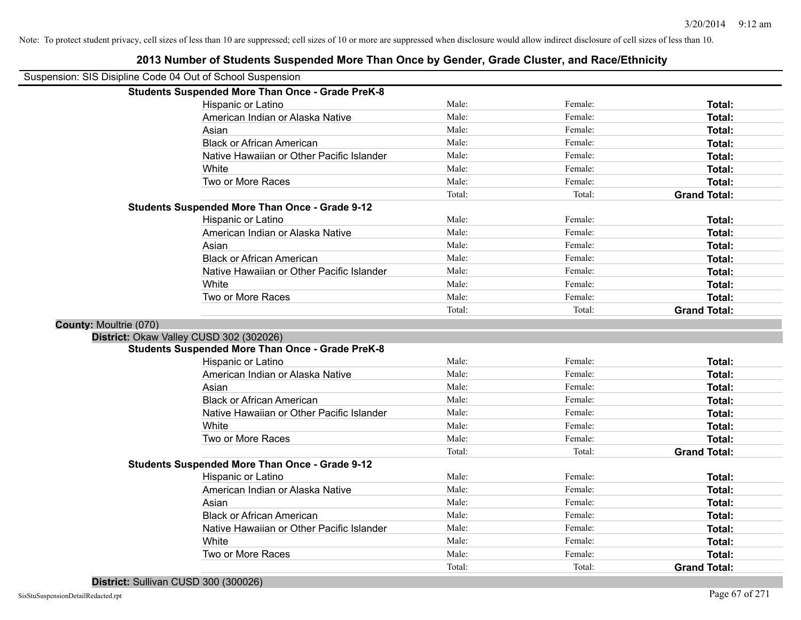| Suspension: SIS Disipline Code 04 Out of School Suspension |                                                         |        |         |                               |
|------------------------------------------------------------|---------------------------------------------------------|--------|---------|-------------------------------|
|                                                            | <b>Students Suspended More Than Once - Grade PreK-8</b> |        |         |                               |
|                                                            | Hispanic or Latino                                      | Male:  | Female: | Total:                        |
|                                                            | American Indian or Alaska Native                        | Male:  | Female: | Total:                        |
|                                                            | Asian                                                   | Male:  | Female: | Total:                        |
|                                                            | <b>Black or African American</b>                        | Male:  | Female: | Total:                        |
|                                                            | Native Hawaiian or Other Pacific Islander               | Male:  | Female: | Total:                        |
|                                                            | White                                                   | Male:  | Female: | Total:                        |
|                                                            | Two or More Races                                       | Male:  | Female: | Total:                        |
|                                                            |                                                         | Total: | Total:  | <b>Grand Total:</b>           |
|                                                            | <b>Students Suspended More Than Once - Grade 9-12</b>   |        |         |                               |
|                                                            | Hispanic or Latino                                      | Male:  | Female: | Total:                        |
|                                                            | American Indian or Alaska Native                        | Male:  | Female: | Total:                        |
|                                                            | Asian                                                   | Male:  | Female: | Total:                        |
|                                                            | <b>Black or African American</b>                        | Male:  | Female: | Total:                        |
|                                                            | Native Hawaiian or Other Pacific Islander               | Male:  | Female: | Total:                        |
|                                                            | White                                                   | Male:  | Female: | Total:                        |
|                                                            | Two or More Races                                       | Male:  | Female: | Total:                        |
|                                                            |                                                         | Total: | Total:  | <b>Grand Total:</b>           |
| <b>County: Moultrie (070)</b>                              |                                                         |        |         |                               |
|                                                            | District: Okaw Valley CUSD 302 (302026)                 |        |         |                               |
|                                                            | <b>Students Suspended More Than Once - Grade PreK-8</b> |        |         |                               |
|                                                            | Hispanic or Latino                                      | Male:  | Female: | Total:                        |
|                                                            | American Indian or Alaska Native                        | Male:  | Female: | Total:                        |
|                                                            | Asian                                                   | Male:  | Female: | Total:                        |
|                                                            | <b>Black or African American</b>                        | Male:  | Female: | Total:                        |
|                                                            | Native Hawaiian or Other Pacific Islander               | Male:  | Female: | Total:                        |
|                                                            | White                                                   | Male:  | Female: | Total:                        |
|                                                            | Two or More Races                                       | Male:  | Female: | Total:                        |
|                                                            |                                                         | Total: | Total:  | <b>Grand Total:</b>           |
|                                                            | Students Suspended More Than Once - Grade 9-12          |        |         |                               |
|                                                            | Hispanic or Latino                                      | Male:  | Female: | Total:                        |
|                                                            | American Indian or Alaska Native                        | Male:  | Female: | Total:                        |
|                                                            |                                                         |        |         |                               |
|                                                            | Asian                                                   | Male:  | Female: | Total:                        |
|                                                            | <b>Black or African American</b>                        | Male:  | Female: | Total:                        |
|                                                            | Native Hawaiian or Other Pacific Islander               | Male:  | Female: | Total:                        |
|                                                            | White                                                   | Male:  | Female: | Total:                        |
|                                                            | Two or More Races                                       | Male:  | Female: | Total:<br><b>Grand Total:</b> |

#### **2013 Number of Students Suspended More Than Once by Gender, Grade Cluster, and Race/Ethnicity**

**District:** Sullivan CUSD 300 (300026)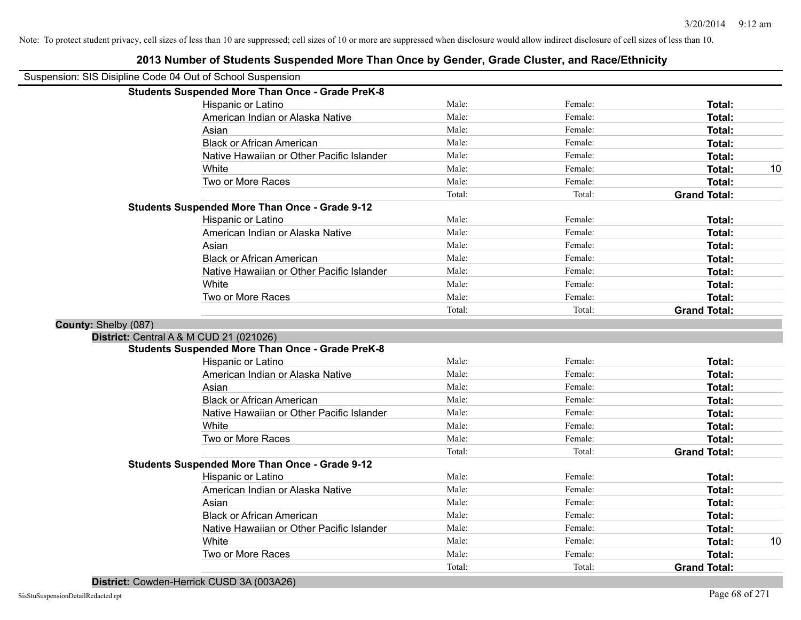|                      | Suspension: SIS Disipline Code 04 Out of School Suspension |        |         |                     |    |
|----------------------|------------------------------------------------------------|--------|---------|---------------------|----|
|                      | <b>Students Suspended More Than Once - Grade PreK-8</b>    |        |         |                     |    |
|                      | Hispanic or Latino                                         | Male:  | Female: | Total:              |    |
|                      | American Indian or Alaska Native                           | Male:  | Female: | Total:              |    |
|                      | Asian                                                      | Male:  | Female: | Total:              |    |
|                      | <b>Black or African American</b>                           | Male:  | Female: | Total:              |    |
|                      | Native Hawaiian or Other Pacific Islander                  | Male:  | Female: | Total:              |    |
|                      | White                                                      | Male:  | Female: | Total:              | 10 |
|                      | Two or More Races                                          | Male:  | Female: | Total:              |    |
|                      |                                                            | Total: | Total:  | <b>Grand Total:</b> |    |
|                      | <b>Students Suspended More Than Once - Grade 9-12</b>      |        |         |                     |    |
|                      | Hispanic or Latino                                         | Male:  | Female: | Total:              |    |
|                      | American Indian or Alaska Native                           | Male:  | Female: | Total:              |    |
|                      | Asian                                                      | Male:  | Female: | Total:              |    |
|                      | <b>Black or African American</b>                           | Male:  | Female: | Total:              |    |
|                      | Native Hawaiian or Other Pacific Islander                  | Male:  | Female: | Total:              |    |
|                      | White                                                      | Male:  | Female: | Total:              |    |
|                      | Two or More Races                                          | Male:  | Female: | Total:              |    |
|                      |                                                            | Total: | Total:  | <b>Grand Total:</b> |    |
| County: Shelby (087) |                                                            |        |         |                     |    |
|                      | District: Central A & M CUD 21 (021026)                    |        |         |                     |    |
|                      | <b>Students Suspended More Than Once - Grade PreK-8</b>    |        |         |                     |    |
|                      | Hispanic or Latino                                         | Male:  | Female: | Total:              |    |
|                      | American Indian or Alaska Native                           | Male:  | Female: | Total:              |    |
|                      | Asian                                                      | Male:  | Female: | Total:              |    |
|                      | <b>Black or African American</b>                           | Male:  | Female: | Total:              |    |
|                      | Native Hawaiian or Other Pacific Islander                  | Male:  | Female: | Total:              |    |
|                      | White                                                      | Male:  | Female: | Total:              |    |
|                      | Two or More Races                                          | Male:  | Female: | Total:              |    |
|                      |                                                            | Total: | Total:  | <b>Grand Total:</b> |    |
|                      | Students Suspended More Than Once - Grade 9-12             |        |         |                     |    |
|                      | Hispanic or Latino                                         | Male:  | Female: | Total:              |    |
|                      | American Indian or Alaska Native                           | Male:  | Female: | Total:              |    |
|                      | Asian                                                      | Male:  | Female: | Total:              |    |
|                      | <b>Black or African American</b>                           | Male:  | Female: | Total:              |    |
|                      | Native Hawaiian or Other Pacific Islander                  | Male:  | Female: | Total:              |    |
|                      | White                                                      | Male:  | Female: | Total:              | 10 |
|                      | Two or More Races                                          | Male:  | Female: | Total:              |    |
|                      |                                                            | Total: | Total:  | <b>Grand Total:</b> |    |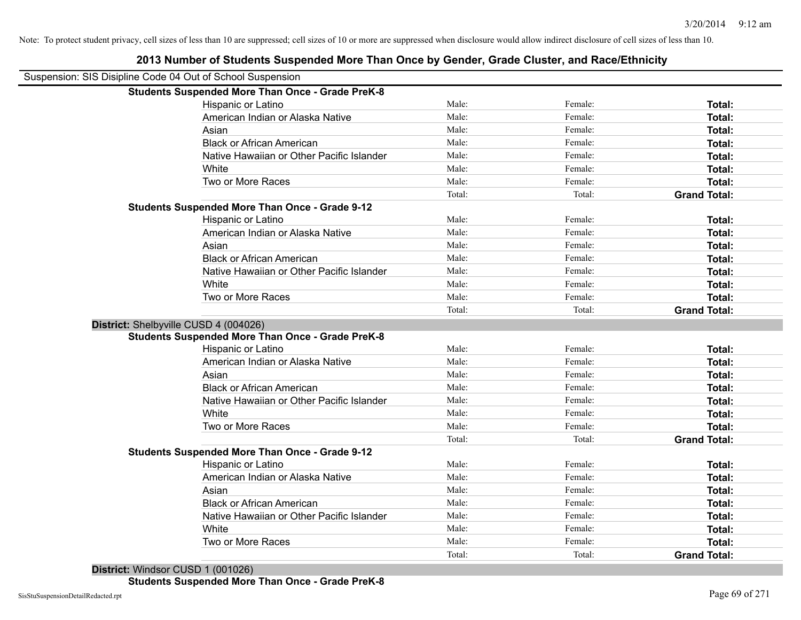| Suspension: SIS Disipline Code 04 Out of School Suspension |                                                         |        |         |                     |
|------------------------------------------------------------|---------------------------------------------------------|--------|---------|---------------------|
|                                                            | <b>Students Suspended More Than Once - Grade PreK-8</b> |        |         |                     |
|                                                            | Hispanic or Latino                                      | Male:  | Female: | Total:              |
|                                                            | American Indian or Alaska Native                        | Male:  | Female: | Total:              |
|                                                            | Asian                                                   | Male:  | Female: | Total:              |
|                                                            | <b>Black or African American</b>                        | Male:  | Female: | Total:              |
|                                                            | Native Hawaiian or Other Pacific Islander               | Male:  | Female: | Total:              |
|                                                            | White                                                   | Male:  | Female: | Total:              |
|                                                            | Two or More Races                                       | Male:  | Female: | Total:              |
|                                                            |                                                         | Total: | Total:  | <b>Grand Total:</b> |
|                                                            | <b>Students Suspended More Than Once - Grade 9-12</b>   |        |         |                     |
|                                                            | Hispanic or Latino                                      | Male:  | Female: | Total:              |
|                                                            | American Indian or Alaska Native                        | Male:  | Female: | Total:              |
|                                                            | Asian                                                   | Male:  | Female: | Total:              |
|                                                            | <b>Black or African American</b>                        | Male:  | Female: | Total:              |
|                                                            | Native Hawaiian or Other Pacific Islander               | Male:  | Female: | Total:              |
|                                                            | White                                                   | Male:  | Female: | Total:              |
|                                                            | Two or More Races                                       | Male:  | Female: | <b>Total:</b>       |
|                                                            |                                                         | Total: | Total:  | <b>Grand Total:</b> |
| District: Shelbyville CUSD 4 (004026)                      |                                                         |        |         |                     |
|                                                            | <b>Students Suspended More Than Once - Grade PreK-8</b> |        |         |                     |
|                                                            | Hispanic or Latino                                      | Male:  | Female: | Total:              |
|                                                            | American Indian or Alaska Native                        | Male:  | Female: | Total:              |
|                                                            | Asian                                                   | Male:  | Female: | Total:              |
|                                                            | <b>Black or African American</b>                        | Male:  | Female: | Total:              |
|                                                            | Native Hawaiian or Other Pacific Islander               | Male:  | Female: | Total:              |
|                                                            | White                                                   | Male:  | Female: | Total:              |
|                                                            | Two or More Races                                       | Male:  | Female: | Total:              |
|                                                            |                                                         | Total: | Total:  | <b>Grand Total:</b> |
|                                                            | <b>Students Suspended More Than Once - Grade 9-12</b>   |        |         |                     |
|                                                            | Hispanic or Latino                                      | Male:  | Female: | Total:              |
|                                                            | American Indian or Alaska Native                        | Male:  | Female: | Total:              |
|                                                            | Asian                                                   | Male:  | Female: | Total:              |
|                                                            | <b>Black or African American</b>                        | Male:  | Female: | <b>Total:</b>       |
|                                                            | Native Hawaiian or Other Pacific Islander               | Male:  | Female: | Total:              |
|                                                            | White                                                   | Male:  | Female: | Total:              |
|                                                            | Two or More Races                                       | Male:  | Female: | <b>Total:</b>       |
|                                                            |                                                         | Total: | Total:  | <b>Grand Total:</b> |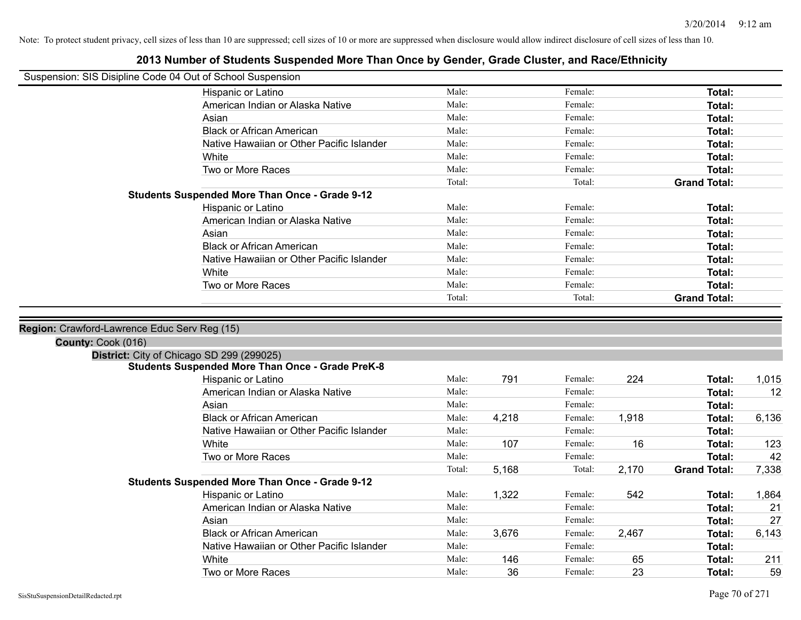|                                              | Suspension: SIS Disipline Code 04 Out of School Suspension |        |       |         |       |                     |       |
|----------------------------------------------|------------------------------------------------------------|--------|-------|---------|-------|---------------------|-------|
|                                              | Hispanic or Latino                                         | Male:  |       | Female: |       | Total:              |       |
|                                              | American Indian or Alaska Native                           | Male:  |       | Female: |       | Total:              |       |
|                                              | Asian                                                      | Male:  |       | Female: |       | Total:              |       |
|                                              | <b>Black or African American</b>                           | Male:  |       | Female: |       | Total:              |       |
|                                              | Native Hawaiian or Other Pacific Islander                  | Male:  |       | Female: |       | Total:              |       |
|                                              | White                                                      | Male:  |       | Female: |       | Total:              |       |
|                                              | Two or More Races                                          | Male:  |       | Female: |       | Total:              |       |
|                                              |                                                            | Total: |       | Total:  |       | <b>Grand Total:</b> |       |
|                                              | <b>Students Suspended More Than Once - Grade 9-12</b>      |        |       |         |       |                     |       |
|                                              | Hispanic or Latino                                         | Male:  |       | Female: |       | Total:              |       |
|                                              | American Indian or Alaska Native                           | Male:  |       | Female: |       | Total:              |       |
|                                              | Asian                                                      | Male:  |       | Female: |       | Total:              |       |
|                                              | <b>Black or African American</b>                           | Male:  |       | Female: |       | Total:              |       |
|                                              | Native Hawaiian or Other Pacific Islander                  | Male:  |       | Female: |       | Total:              |       |
|                                              | White                                                      | Male:  |       | Female: |       | Total:              |       |
|                                              | Two or More Races                                          | Male:  |       | Female: |       | Total:              |       |
|                                              |                                                            | Total: |       | Total:  |       | <b>Grand Total:</b> |       |
|                                              |                                                            |        |       |         |       |                     |       |
| Region: Crawford-Lawrence Educ Serv Reg (15) |                                                            |        |       |         |       |                     |       |
| County: Cook (016)                           |                                                            |        |       |         |       |                     |       |
|                                              | District: City of Chicago SD 299 (299025)                  |        |       |         |       |                     |       |
|                                              | <b>Students Suspended More Than Once - Grade PreK-8</b>    |        |       |         |       |                     |       |
|                                              | Hispanic or Latino                                         | Male:  | 791   | Female: | 224   | Total:              | 1,015 |
|                                              | American Indian or Alaska Native                           | Male:  |       | Female: |       | Total:              | 12    |
|                                              | Asian                                                      | Male:  |       | Female: |       | Total:              |       |
|                                              | <b>Black or African American</b>                           | Male:  | 4,218 | Female: | 1,918 | Total:              | 6,136 |
|                                              | Native Hawaiian or Other Pacific Islander                  | Male:  |       | Female: |       | Total:              |       |
|                                              | White                                                      | Male:  | 107   | Female: | 16    | Total:              | 123   |
|                                              | Two or More Races                                          | Male:  |       | Female: |       | Total:              | 42    |
|                                              |                                                            | Total: | 5,168 | Total:  | 2,170 | <b>Grand Total:</b> | 7,338 |
|                                              | <b>Students Suspended More Than Once - Grade 9-12</b>      |        |       |         |       |                     |       |
|                                              | Hispanic or Latino                                         | Male:  | 1,322 | Female: | 542   | Total:              | 1,864 |
|                                              | American Indian or Alaska Native                           | Male:  |       | Female: |       | Total:              | 21    |
|                                              | Asian                                                      | Male:  |       | Female: |       | Total:              | 27    |
|                                              | <b>Black or African American</b>                           | Male:  | 3,676 | Female: | 2,467 | Total:              | 6,143 |
|                                              | Native Hawaiian or Other Pacific Islander                  | Male:  |       | Female: |       | Total:              |       |
|                                              | White                                                      | Male:  | 146   | Female: | 65    | Total:              | 211   |
|                                              | Two or More Races                                          | Male:  | 36    | Female: | 23    | Total:              | 59    |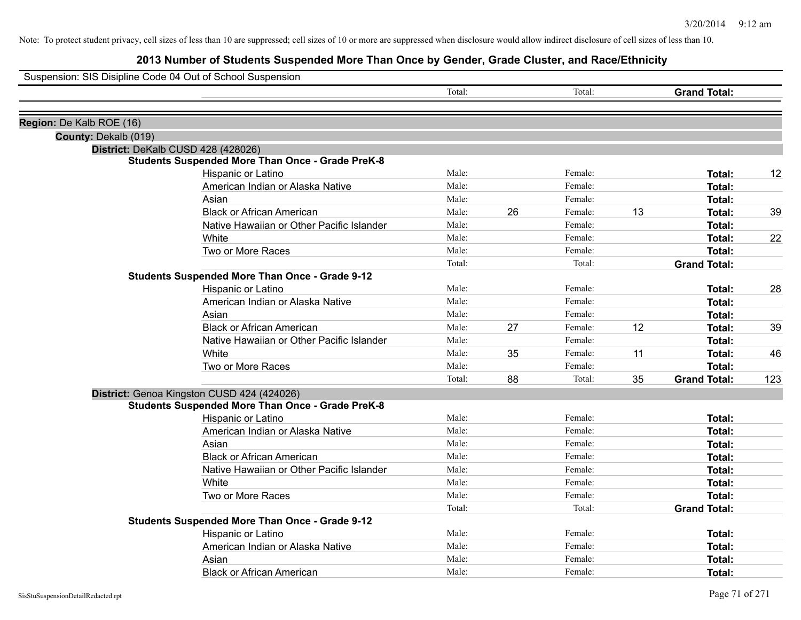| Suspension: SIS Disipline Code 04 Out of School Suspension |                                                         |        |    |         |    |                     |     |
|------------------------------------------------------------|---------------------------------------------------------|--------|----|---------|----|---------------------|-----|
|                                                            |                                                         | Total: |    | Total:  |    | <b>Grand Total:</b> |     |
| Region: De Kalb ROE (16)                                   |                                                         |        |    |         |    |                     |     |
| County: Dekalb (019)                                       |                                                         |        |    |         |    |                     |     |
|                                                            | District: DeKalb CUSD 428 (428026)                      |        |    |         |    |                     |     |
|                                                            | <b>Students Suspended More Than Once - Grade PreK-8</b> |        |    |         |    |                     |     |
|                                                            | Hispanic or Latino                                      | Male:  |    | Female: |    | Total:              | 12  |
|                                                            | American Indian or Alaska Native                        | Male:  |    | Female: |    | Total:              |     |
|                                                            | Asian                                                   | Male:  |    | Female: |    | Total:              |     |
|                                                            | <b>Black or African American</b>                        | Male:  | 26 | Female: | 13 | Total:              | 39  |
|                                                            | Native Hawaiian or Other Pacific Islander               | Male:  |    | Female: |    | Total:              |     |
|                                                            | White                                                   | Male:  |    | Female: |    | Total:              | 22  |
|                                                            | Two or More Races                                       | Male:  |    | Female: |    | Total:              |     |
|                                                            |                                                         | Total: |    | Total:  |    | <b>Grand Total:</b> |     |
|                                                            | <b>Students Suspended More Than Once - Grade 9-12</b>   |        |    |         |    |                     |     |
|                                                            | Hispanic or Latino                                      | Male:  |    | Female: |    | Total:              | 28  |
|                                                            | American Indian or Alaska Native                        | Male:  |    | Female: |    | Total:              |     |
|                                                            | Asian                                                   | Male:  |    | Female: |    | Total:              |     |
|                                                            | <b>Black or African American</b>                        | Male:  | 27 | Female: | 12 | Total:              | 39  |
|                                                            | Native Hawaiian or Other Pacific Islander               | Male:  |    | Female: |    | Total:              |     |
|                                                            | White                                                   | Male:  | 35 | Female: | 11 | Total:              | 46  |
|                                                            | Two or More Races                                       | Male:  |    | Female: |    | Total:              |     |
|                                                            |                                                         | Total: | 88 | Total:  | 35 | <b>Grand Total:</b> | 123 |
|                                                            | District: Genoa Kingston CUSD 424 (424026)              |        |    |         |    |                     |     |
|                                                            | <b>Students Suspended More Than Once - Grade PreK-8</b> |        |    |         |    |                     |     |
|                                                            | Hispanic or Latino                                      | Male:  |    | Female: |    | Total:              |     |
|                                                            | American Indian or Alaska Native                        | Male:  |    | Female: |    | Total:              |     |
|                                                            | Asian                                                   | Male:  |    | Female: |    | Total:              |     |
|                                                            | <b>Black or African American</b>                        | Male:  |    | Female: |    | Total:              |     |
|                                                            | Native Hawaiian or Other Pacific Islander               | Male:  |    | Female: |    | Total:              |     |
|                                                            | White                                                   | Male:  |    | Female: |    | Total:              |     |
|                                                            | Two or More Races                                       | Male:  |    | Female: |    | Total:              |     |
|                                                            |                                                         | Total: |    | Total:  |    | <b>Grand Total:</b> |     |
|                                                            | <b>Students Suspended More Than Once - Grade 9-12</b>   |        |    |         |    |                     |     |
|                                                            | Hispanic or Latino                                      | Male:  |    | Female: |    | Total:              |     |
|                                                            | American Indian or Alaska Native                        | Male:  |    | Female: |    | Total:              |     |
|                                                            | Asian                                                   | Male:  |    | Female: |    | Total:              |     |
|                                                            | <b>Black or African American</b>                        | Male:  |    | Female: |    | Total:              |     |
|                                                            |                                                         |        |    |         |    |                     |     |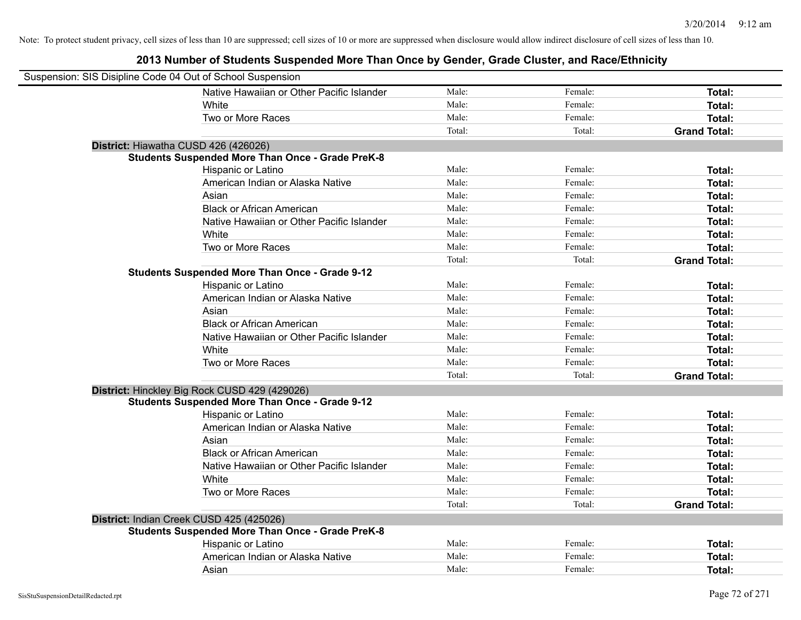| Suspension: SIS Disipline Code 04 Out of School Suspension |        |         |                     |
|------------------------------------------------------------|--------|---------|---------------------|
| Native Hawaiian or Other Pacific Islander                  | Male:  | Female: | Total:              |
| White                                                      | Male:  | Female: | Total:              |
| Two or More Races                                          | Male:  | Female: | Total:              |
|                                                            | Total: | Total:  | <b>Grand Total:</b> |
| District: Hiawatha CUSD 426 (426026)                       |        |         |                     |
| <b>Students Suspended More Than Once - Grade PreK-8</b>    |        |         |                     |
| Hispanic or Latino                                         | Male:  | Female: | Total:              |
| American Indian or Alaska Native                           | Male:  | Female: | Total:              |
| Asian                                                      | Male:  | Female: | Total:              |
| <b>Black or African American</b>                           | Male:  | Female: | Total:              |
| Native Hawaiian or Other Pacific Islander                  | Male:  | Female: | Total:              |
| White                                                      | Male:  | Female: | Total:              |
| Two or More Races                                          | Male:  | Female: | Total:              |
|                                                            | Total: | Total:  | <b>Grand Total:</b> |
| <b>Students Suspended More Than Once - Grade 9-12</b>      |        |         |                     |
| Hispanic or Latino                                         | Male:  | Female: | Total:              |
| American Indian or Alaska Native                           | Male:  | Female: | Total:              |
| Asian                                                      | Male:  | Female: | Total:              |
| <b>Black or African American</b>                           | Male:  | Female: | Total:              |
| Native Hawaiian or Other Pacific Islander                  | Male:  | Female: | Total:              |
| White                                                      | Male:  | Female: | Total:              |
| Two or More Races                                          | Male:  | Female: | Total:              |
|                                                            | Total: | Total:  | <b>Grand Total:</b> |
| District: Hinckley Big Rock CUSD 429 (429026)              |        |         |                     |
| <b>Students Suspended More Than Once - Grade 9-12</b>      |        |         |                     |
| Hispanic or Latino                                         | Male:  | Female: | Total:              |
| American Indian or Alaska Native                           | Male:  | Female: | Total:              |
| Asian                                                      | Male:  | Female: | Total:              |
| <b>Black or African American</b>                           | Male:  | Female: | Total:              |
| Native Hawaiian or Other Pacific Islander                  | Male:  | Female: | Total:              |
| White                                                      | Male:  | Female: | Total:              |
| Two or More Races                                          | Male:  | Female: | Total:              |
|                                                            | Total: | Total:  | <b>Grand Total:</b> |
| District: Indian Creek CUSD 425 (425026)                   |        |         |                     |
| <b>Students Suspended More Than Once - Grade PreK-8</b>    |        |         |                     |
| Hispanic or Latino                                         | Male:  | Female: | Total:              |
| American Indian or Alaska Native                           | Male:  | Female: | Total:              |
| Asian                                                      | Male:  | Female: | Total:              |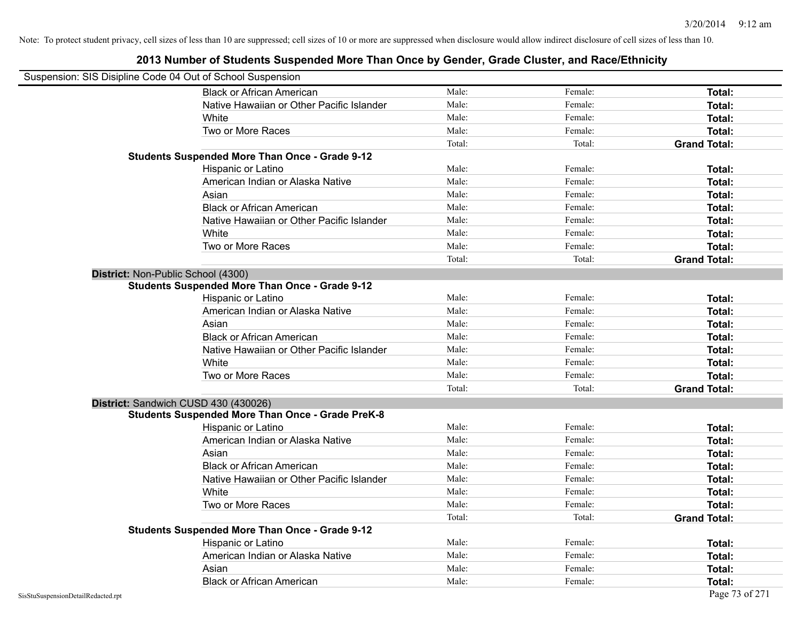| Suspension: SIS Disipline Code 04 Out of School Suspension |                                                         |        |         |                     |
|------------------------------------------------------------|---------------------------------------------------------|--------|---------|---------------------|
|                                                            | <b>Black or African American</b>                        | Male:  | Female: | Total:              |
|                                                            | Native Hawaiian or Other Pacific Islander               | Male:  | Female: | Total:              |
|                                                            | White                                                   | Male:  | Female: | Total:              |
|                                                            | Two or More Races                                       | Male:  | Female: | Total:              |
|                                                            |                                                         | Total: | Total:  | <b>Grand Total:</b> |
|                                                            | <b>Students Suspended More Than Once - Grade 9-12</b>   |        |         |                     |
|                                                            | Hispanic or Latino                                      | Male:  | Female: | Total:              |
|                                                            | American Indian or Alaska Native                        | Male:  | Female: | Total:              |
|                                                            | Asian                                                   | Male:  | Female: | Total:              |
|                                                            | <b>Black or African American</b>                        | Male:  | Female: | Total:              |
|                                                            | Native Hawaiian or Other Pacific Islander               | Male:  | Female: | Total:              |
|                                                            | White                                                   | Male:  | Female: | Total:              |
|                                                            | Two or More Races                                       | Male:  | Female: | Total:              |
|                                                            |                                                         | Total: | Total:  | <b>Grand Total:</b> |
| District: Non-Public School (4300)                         |                                                         |        |         |                     |
|                                                            | <b>Students Suspended More Than Once - Grade 9-12</b>   |        |         |                     |
|                                                            | Hispanic or Latino                                      | Male:  | Female: | Total:              |
|                                                            | American Indian or Alaska Native                        | Male:  | Female: | Total:              |
|                                                            | Asian                                                   | Male:  | Female: | Total:              |
|                                                            | <b>Black or African American</b>                        | Male:  | Female: | Total:              |
|                                                            | Native Hawaiian or Other Pacific Islander               | Male:  | Female: | Total:              |
|                                                            | White                                                   | Male:  | Female: | Total:              |
|                                                            | Two or More Races                                       | Male:  | Female: | Total:              |
|                                                            |                                                         | Total: | Total:  | <b>Grand Total:</b> |
| District: Sandwich CUSD 430 (430026)                       |                                                         |        |         |                     |
|                                                            | <b>Students Suspended More Than Once - Grade PreK-8</b> |        |         |                     |
|                                                            | Hispanic or Latino                                      | Male:  | Female: | Total:              |
|                                                            | American Indian or Alaska Native                        | Male:  | Female: | Total:              |
|                                                            | Asian                                                   | Male:  | Female: | Total:              |
|                                                            | <b>Black or African American</b>                        | Male:  | Female: | Total:              |
|                                                            | Native Hawaiian or Other Pacific Islander               | Male:  | Female: | Total:              |
|                                                            | <b>White</b>                                            | Male:  | Female: | Total:              |
|                                                            | Two or More Races                                       | Male:  | Female: | Total:              |
|                                                            |                                                         | Total: | Total:  | <b>Grand Total:</b> |
|                                                            | <b>Students Suspended More Than Once - Grade 9-12</b>   |        |         |                     |
|                                                            | Hispanic or Latino                                      | Male:  | Female: | Total:              |
|                                                            | American Indian or Alaska Native                        | Male:  | Female: | Total:              |
|                                                            | Asian                                                   | Male:  | Female: | Total:              |
|                                                            | <b>Black or African American</b>                        | Male:  | Female: | Total:              |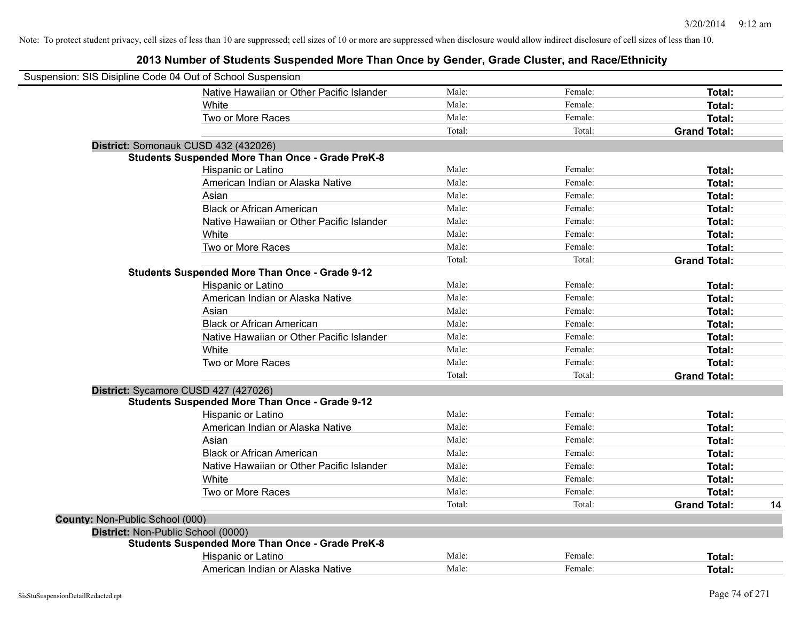| Suspension: SIS Disipline Code 04 Out of School Suspension |                                                         |        |         |                     |    |
|------------------------------------------------------------|---------------------------------------------------------|--------|---------|---------------------|----|
|                                                            | Native Hawaiian or Other Pacific Islander               | Male:  | Female: | Total:              |    |
|                                                            | White                                                   | Male:  | Female: | Total:              |    |
|                                                            | Two or More Races                                       | Male:  | Female: | <b>Total:</b>       |    |
|                                                            |                                                         | Total: | Total:  | <b>Grand Total:</b> |    |
|                                                            | District: Somonauk CUSD 432 (432026)                    |        |         |                     |    |
|                                                            | <b>Students Suspended More Than Once - Grade PreK-8</b> |        |         |                     |    |
|                                                            | Hispanic or Latino                                      | Male:  | Female: | Total:              |    |
|                                                            | American Indian or Alaska Native                        | Male:  | Female: | Total:              |    |
|                                                            | Asian                                                   | Male:  | Female: | Total:              |    |
|                                                            | <b>Black or African American</b>                        | Male:  | Female: | Total:              |    |
|                                                            | Native Hawaiian or Other Pacific Islander               | Male:  | Female: | <b>Total:</b>       |    |
|                                                            | White                                                   | Male:  | Female: | <b>Total:</b>       |    |
|                                                            | Two or More Races                                       | Male:  | Female: | <b>Total:</b>       |    |
|                                                            |                                                         | Total: | Total:  | <b>Grand Total:</b> |    |
|                                                            | <b>Students Suspended More Than Once - Grade 9-12</b>   |        |         |                     |    |
|                                                            | Hispanic or Latino                                      | Male:  | Female: | <b>Total:</b>       |    |
|                                                            | American Indian or Alaska Native                        | Male:  | Female: | <b>Total:</b>       |    |
|                                                            | Asian                                                   | Male:  | Female: | Total:              |    |
|                                                            | <b>Black or African American</b>                        | Male:  | Female: | Total:              |    |
|                                                            | Native Hawaiian or Other Pacific Islander               | Male:  | Female: | Total:              |    |
|                                                            | White                                                   | Male:  | Female: | Total:              |    |
|                                                            | Two or More Races                                       | Male:  | Female: | Total:              |    |
|                                                            |                                                         | Total: | Total:  | <b>Grand Total:</b> |    |
|                                                            | District: Sycamore CUSD 427 (427026)                    |        |         |                     |    |
|                                                            | <b>Students Suspended More Than Once - Grade 9-12</b>   |        |         |                     |    |
|                                                            | Hispanic or Latino                                      | Male:  | Female: | <b>Total:</b>       |    |
|                                                            | American Indian or Alaska Native                        | Male:  | Female: | <b>Total:</b>       |    |
|                                                            | Asian                                                   | Male:  | Female: | Total:              |    |
|                                                            | <b>Black or African American</b>                        | Male:  | Female: | <b>Total:</b>       |    |
|                                                            | Native Hawaiian or Other Pacific Islander               | Male:  | Female: | Total:              |    |
|                                                            | White                                                   | Male:  | Female: | Total:              |    |
|                                                            | Two or More Races                                       | Male:  | Female: | <b>Total:</b>       |    |
|                                                            |                                                         | Total: | Total:  | <b>Grand Total:</b> | 14 |
| <b>County: Non-Public School (000)</b>                     |                                                         |        |         |                     |    |
| District: Non-Public School (0000)                         |                                                         |        |         |                     |    |
|                                                            | <b>Students Suspended More Than Once - Grade PreK-8</b> |        |         |                     |    |
|                                                            | Hispanic or Latino                                      | Male:  | Female: | <b>Total:</b>       |    |
|                                                            | American Indian or Alaska Native                        | Male:  | Female: | Total:              |    |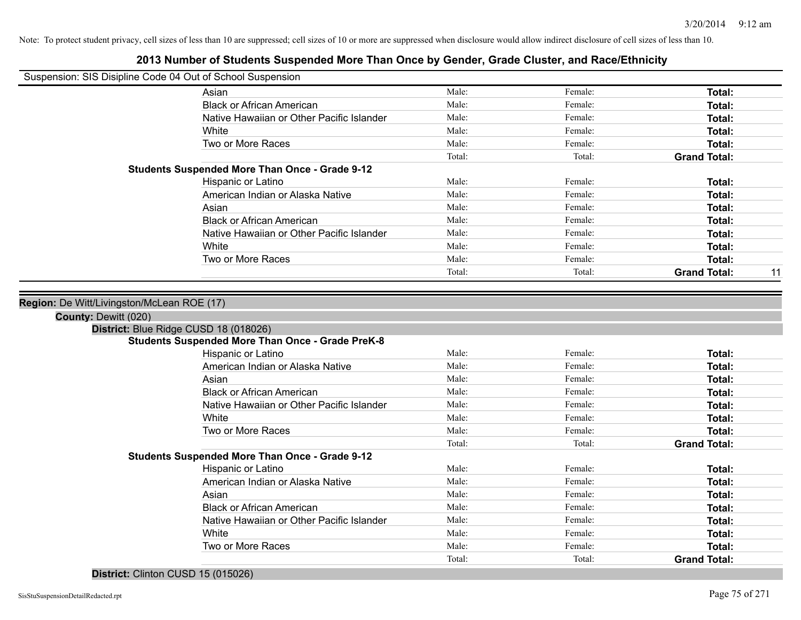#### **2013 Number of Students Suspended More Than Once by Gender, Grade Cluster, and Race/Ethnicity**

| Suspension: SIS Disipline Code 04 Out of School Suspension |  |
|------------------------------------------------------------|--|
|                                                            |  |

| Suspension: SIS Disipline Code 04 Out of School Suspension                |                                                         |        |         |                     |    |
|---------------------------------------------------------------------------|---------------------------------------------------------|--------|---------|---------------------|----|
|                                                                           | Asian                                                   | Male:  | Female: | Total:              |    |
|                                                                           | <b>Black or African American</b>                        | Male:  | Female: | Total:              |    |
|                                                                           | Native Hawaiian or Other Pacific Islander               | Male:  | Female: | Total:              |    |
|                                                                           | White                                                   | Male:  | Female: | Total:              |    |
|                                                                           | Two or More Races                                       | Male:  | Female: | Total:              |    |
|                                                                           |                                                         | Total: | Total:  | <b>Grand Total:</b> |    |
|                                                                           | <b>Students Suspended More Than Once - Grade 9-12</b>   |        |         |                     |    |
|                                                                           | Hispanic or Latino                                      | Male:  | Female: | Total:              |    |
|                                                                           | American Indian or Alaska Native                        | Male:  | Female: | Total:              |    |
|                                                                           | Asian                                                   | Male:  | Female: | Total:              |    |
|                                                                           | <b>Black or African American</b>                        | Male:  | Female: | Total:              |    |
|                                                                           | Native Hawaiian or Other Pacific Islander               | Male:  | Female: | Total:              |    |
|                                                                           | White                                                   | Male:  | Female: | Total:              |    |
|                                                                           | Two or More Races                                       | Male:  | Female: | <b>Total:</b>       |    |
|                                                                           |                                                         | Total: | Total:  | <b>Grand Total:</b> | 11 |
| Region: De Witt/Livingston/McLean ROE (17)<br><b>County: Dewitt (020)</b> | District: Blue Ridge CUSD 18 (018026)                   |        |         |                     |    |
|                                                                           | <b>Students Suspended More Than Once - Grade PreK-8</b> |        |         |                     |    |
|                                                                           | Hispanic or Latino                                      | Male:  | Female: | Total:              |    |
|                                                                           | American Indian or Alaska Native                        | Male:  | Female: | Total:              |    |
|                                                                           | Asian                                                   | Male:  | Female: | Total:              |    |
|                                                                           | <b>Black or African American</b>                        | Male:  | Female: | Total:              |    |
|                                                                           | Native Hawaiian or Other Pacific Islander               | Male:  | Female: | Total:              |    |
|                                                                           | White                                                   | Male:  | Female: | Total:              |    |
|                                                                           | Two or More Races                                       | Male:  | Female: | <b>Total:</b>       |    |
|                                                                           |                                                         | Total: | Total:  | <b>Grand Total:</b> |    |
|                                                                           | <b>Students Suspended More Than Once - Grade 9-12</b>   |        |         |                     |    |
|                                                                           | Hispanic or Latino                                      | Male:  | Female: | Total:              |    |
|                                                                           | American Indian or Alaska Native                        | Male:  | Female: | Total:              |    |
|                                                                           | Asian                                                   | Male:  | Female: | Total:              |    |
|                                                                           |                                                         |        |         |                     |    |

Native Hawaiian or Other Pacific Islander Male: Female: Female: **Total:** Total: **Total:** Total: **Female:** Total: **Total:** Total: **Total:** Total: **Total:** Total: Total: Total: Total: Total: Total: Total: Total: Total: Total White **Total:** Male: Female: **Total:** Total: **Total:** Female: **Total:** Total: Two or More Races **Total:** Male: Female: Female: **Total:** Total:

Total: Total: **Grand Total:**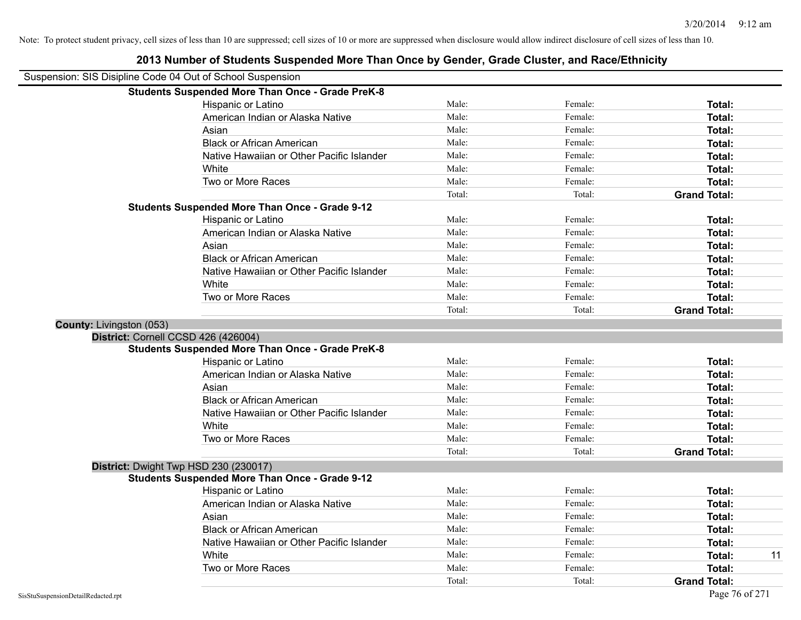|                          | Suspension: SIS Disipline Code 04 Out of School Suspension |        |         |                     |
|--------------------------|------------------------------------------------------------|--------|---------|---------------------|
|                          | <b>Students Suspended More Than Once - Grade PreK-8</b>    |        |         |                     |
|                          | Hispanic or Latino                                         | Male:  | Female: | Total:              |
|                          | American Indian or Alaska Native                           | Male:  | Female: | Total:              |
|                          | Asian                                                      | Male:  | Female: | Total:              |
|                          | <b>Black or African American</b>                           | Male:  | Female: | Total:              |
|                          | Native Hawaiian or Other Pacific Islander                  | Male:  | Female: | Total:              |
|                          | White                                                      | Male:  | Female: | Total:              |
|                          | Two or More Races                                          | Male:  | Female: | <b>Total:</b>       |
|                          |                                                            | Total: | Total:  | <b>Grand Total:</b> |
|                          | <b>Students Suspended More Than Once - Grade 9-12</b>      |        |         |                     |
|                          | Hispanic or Latino                                         | Male:  | Female: | Total:              |
|                          | American Indian or Alaska Native                           | Male:  | Female: | Total:              |
|                          | Asian                                                      | Male:  | Female: | Total:              |
|                          | <b>Black or African American</b>                           | Male:  | Female: | Total:              |
|                          | Native Hawaiian or Other Pacific Islander                  | Male:  | Female: | Total:              |
|                          | White                                                      | Male:  | Female: | Total:              |
|                          | Two or More Races                                          | Male:  | Female: | Total:              |
|                          |                                                            | Total: | Total:  | <b>Grand Total:</b> |
| County: Livingston (053) |                                                            |        |         |                     |
|                          | District: Cornell CCSD 426 (426004)                        |        |         |                     |
|                          | <b>Students Suspended More Than Once - Grade PreK-8</b>    |        |         |                     |
|                          | Hispanic or Latino                                         | Male:  | Female: | Total:              |
|                          | American Indian or Alaska Native                           | Male:  | Female: | Total:              |
|                          | Asian                                                      | Male:  | Female: | Total:              |
|                          | <b>Black or African American</b>                           | Male:  | Female: | Total:              |
|                          | Native Hawaiian or Other Pacific Islander                  | Male:  | Female: | Total:              |
|                          | White                                                      | Male:  | Female: | Total:              |
|                          | Two or More Races                                          | Male:  | Female: | <b>Total:</b>       |
|                          |                                                            | Total: | Total:  | <b>Grand Total:</b> |
|                          | District: Dwight Twp HSD 230 (230017)                      |        |         |                     |
|                          | <b>Students Suspended More Than Once - Grade 9-12</b>      |        |         |                     |
|                          | Hispanic or Latino                                         | Male:  | Female: | Total:              |
|                          | American Indian or Alaska Native                           | Male:  | Female: | Total:              |
|                          | Asian                                                      | Male:  | Female: | Total:              |
|                          | <b>Black or African American</b>                           | Male:  | Female: | Total:              |
|                          | Native Hawaiian or Other Pacific Islander                  | Male:  | Female: | Total:              |
|                          | White                                                      | Male:  | Female: | 11<br>Total:        |
|                          | Two or More Races                                          | Male:  | Female: | Total:              |
|                          |                                                            | Total: | Total:  | <b>Grand Total:</b> |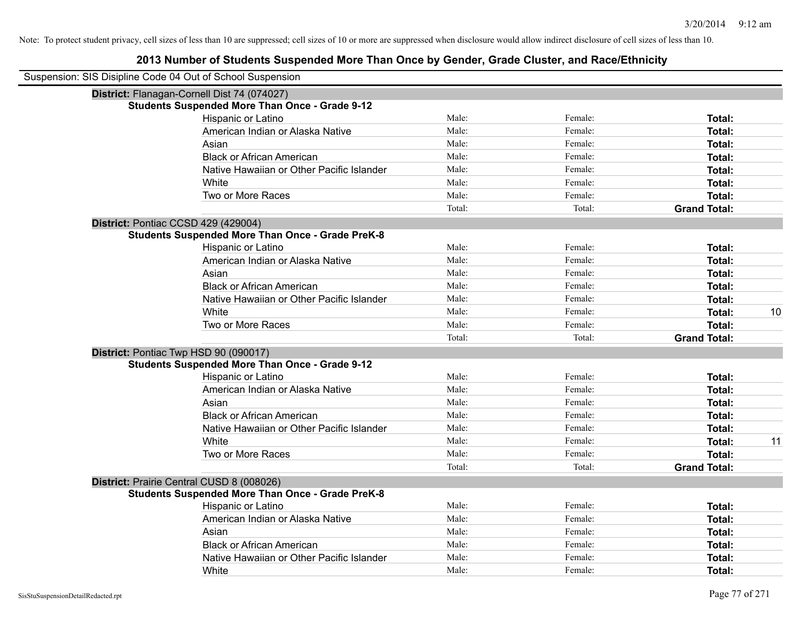| Suspension: SIS Disipline Code 04 Out of School Suspension |                                                         |        |         |                     |    |
|------------------------------------------------------------|---------------------------------------------------------|--------|---------|---------------------|----|
|                                                            | District: Flanagan-Cornell Dist 74 (074027)             |        |         |                     |    |
|                                                            | <b>Students Suspended More Than Once - Grade 9-12</b>   |        |         |                     |    |
|                                                            | Hispanic or Latino                                      | Male:  | Female: | <b>Total:</b>       |    |
|                                                            | American Indian or Alaska Native                        | Male:  | Female: | <b>Total:</b>       |    |
|                                                            | Asian                                                   | Male:  | Female: | <b>Total:</b>       |    |
|                                                            | <b>Black or African American</b>                        | Male:  | Female: | Total:              |    |
|                                                            | Native Hawaiian or Other Pacific Islander               | Male:  | Female: | <b>Total:</b>       |    |
|                                                            | White                                                   | Male:  | Female: | <b>Total:</b>       |    |
|                                                            | Two or More Races                                       | Male:  | Female: | <b>Total:</b>       |    |
|                                                            |                                                         | Total: | Total:  | <b>Grand Total:</b> |    |
| District: Pontiac CCSD 429 (429004)                        |                                                         |        |         |                     |    |
|                                                            | <b>Students Suspended More Than Once - Grade PreK-8</b> |        |         |                     |    |
|                                                            | Hispanic or Latino                                      | Male:  | Female: | Total:              |    |
|                                                            | American Indian or Alaska Native                        | Male:  | Female: | <b>Total:</b>       |    |
|                                                            | Asian                                                   | Male:  | Female: | <b>Total:</b>       |    |
|                                                            | <b>Black or African American</b>                        | Male:  | Female: | Total:              |    |
|                                                            | Native Hawaiian or Other Pacific Islander               | Male:  | Female: | <b>Total:</b>       |    |
|                                                            | White                                                   | Male:  | Female: | <b>Total:</b>       | 10 |
|                                                            | Two or More Races                                       | Male:  | Female: | Total:              |    |
|                                                            |                                                         | Total: | Total:  | <b>Grand Total:</b> |    |
| District: Pontiac Twp HSD 90 (090017)                      |                                                         |        |         |                     |    |
|                                                            | <b>Students Suspended More Than Once - Grade 9-12</b>   |        |         |                     |    |
|                                                            | Hispanic or Latino                                      | Male:  | Female: | <b>Total:</b>       |    |
|                                                            | American Indian or Alaska Native                        | Male:  | Female: | <b>Total:</b>       |    |
|                                                            | Asian                                                   | Male:  | Female: | Total:              |    |
|                                                            | <b>Black or African American</b>                        | Male:  | Female: | <b>Total:</b>       |    |
|                                                            | Native Hawaiian or Other Pacific Islander               | Male:  | Female: | <b>Total:</b>       |    |
|                                                            | White                                                   | Male:  | Female: | <b>Total:</b>       | 11 |
|                                                            | Two or More Races                                       | Male:  | Female: | <b>Total:</b>       |    |
|                                                            |                                                         | Total: | Total:  | <b>Grand Total:</b> |    |
|                                                            | District: Prairie Central CUSD 8 (008026)               |        |         |                     |    |
|                                                            | <b>Students Suspended More Than Once - Grade PreK-8</b> |        |         |                     |    |
|                                                            | Hispanic or Latino                                      | Male:  | Female: | Total:              |    |
|                                                            | American Indian or Alaska Native                        | Male:  | Female: | Total:              |    |
|                                                            | Asian                                                   | Male:  | Female: | <b>Total:</b>       |    |
|                                                            | <b>Black or African American</b>                        | Male:  | Female: | <b>Total:</b>       |    |
|                                                            | Native Hawaiian or Other Pacific Islander               | Male:  | Female: | <b>Total:</b>       |    |
|                                                            | White                                                   | Male:  | Female: | Total:              |    |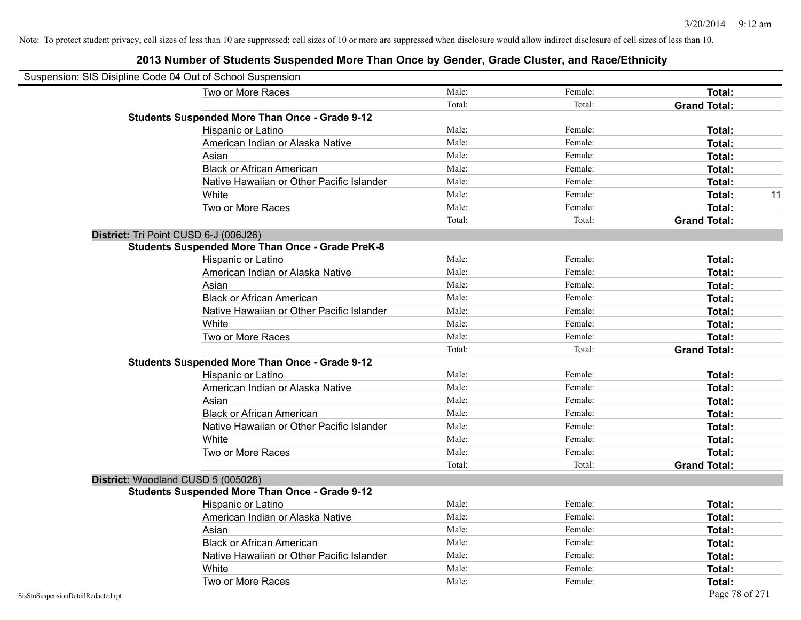| Suspension: SIS Disipline Code 04 Out of School Suspension |                                                         |        |         |                     |    |
|------------------------------------------------------------|---------------------------------------------------------|--------|---------|---------------------|----|
|                                                            | Two or More Races                                       | Male:  | Female: | Total:              |    |
|                                                            |                                                         | Total: | Total:  | <b>Grand Total:</b> |    |
|                                                            | <b>Students Suspended More Than Once - Grade 9-12</b>   |        |         |                     |    |
|                                                            | Hispanic or Latino                                      | Male:  | Female: | Total:              |    |
|                                                            | American Indian or Alaska Native                        | Male:  | Female: | Total:              |    |
|                                                            | Asian                                                   | Male:  | Female: | Total:              |    |
|                                                            | <b>Black or African American</b>                        | Male:  | Female: | Total:              |    |
|                                                            | Native Hawaiian or Other Pacific Islander               | Male:  | Female: | Total:              |    |
|                                                            | White                                                   | Male:  | Female: | Total:              | 11 |
|                                                            | Two or More Races                                       | Male:  | Female: | Total:              |    |
|                                                            |                                                         | Total: | Total:  | <b>Grand Total:</b> |    |
|                                                            | District: Tri Point CUSD 6-J (006J26)                   |        |         |                     |    |
|                                                            | <b>Students Suspended More Than Once - Grade PreK-8</b> |        |         |                     |    |
|                                                            | Hispanic or Latino                                      | Male:  | Female: | Total:              |    |
|                                                            | American Indian or Alaska Native                        | Male:  | Female: | Total:              |    |
|                                                            | Asian                                                   | Male:  | Female: | Total:              |    |
|                                                            | <b>Black or African American</b>                        | Male:  | Female: | Total:              |    |
|                                                            | Native Hawaiian or Other Pacific Islander               | Male:  | Female: | Total:              |    |
|                                                            | White                                                   | Male:  | Female: | Total:              |    |
|                                                            | Two or More Races                                       | Male:  | Female: | Total:              |    |
|                                                            |                                                         | Total: | Total:  | <b>Grand Total:</b> |    |
|                                                            | <b>Students Suspended More Than Once - Grade 9-12</b>   |        |         |                     |    |
|                                                            | Hispanic or Latino                                      | Male:  | Female: | Total:              |    |
|                                                            | American Indian or Alaska Native                        | Male:  | Female: | Total:              |    |
|                                                            | Asian                                                   | Male:  | Female: | Total:              |    |
|                                                            | <b>Black or African American</b>                        | Male:  | Female: | Total:              |    |
|                                                            | Native Hawaiian or Other Pacific Islander               | Male:  | Female: | Total:              |    |
|                                                            | White                                                   | Male:  | Female: | Total:              |    |
|                                                            | Two or More Races                                       | Male:  | Female: | Total:              |    |
|                                                            |                                                         | Total: | Total:  | <b>Grand Total:</b> |    |
|                                                            | District: Woodland CUSD 5 (005026)                      |        |         |                     |    |
|                                                            | <b>Students Suspended More Than Once - Grade 9-12</b>   |        |         |                     |    |
|                                                            | Hispanic or Latino                                      | Male:  | Female: | <b>Total:</b>       |    |
|                                                            | American Indian or Alaska Native                        | Male:  | Female: | Total:              |    |
|                                                            | Asian                                                   | Male:  | Female: | Total:              |    |
|                                                            | <b>Black or African American</b>                        | Male:  | Female: | Total:              |    |
|                                                            | Native Hawaiian or Other Pacific Islander               | Male:  | Female: | Total:              |    |
|                                                            | White                                                   | Male:  | Female: | Total:              |    |
|                                                            | Two or More Races                                       | Male:  | Female: | <b>Total:</b>       |    |
| SisStuSuspensionDetailRedacted.rpt                         |                                                         |        |         | Page 78 of 271      |    |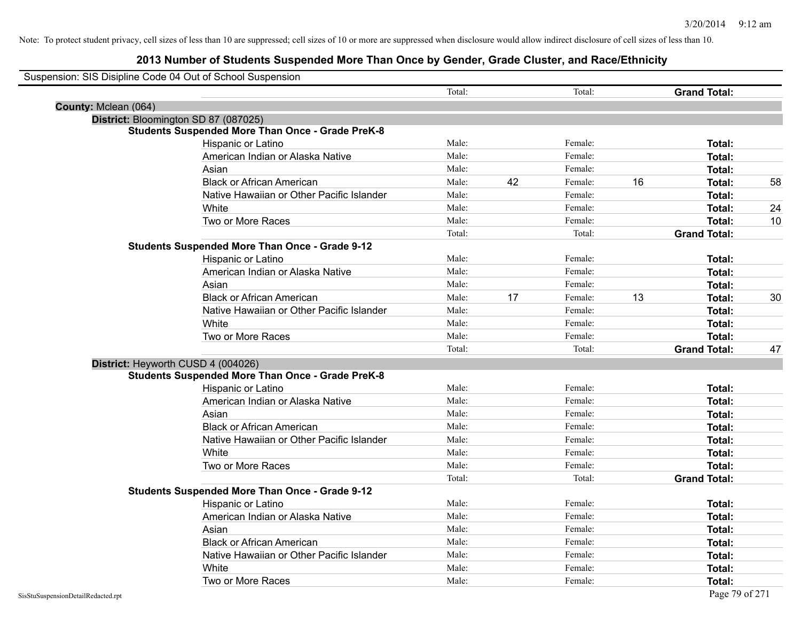## **2013 Number of Students Suspended More Than Once by Gender, Grade Cluster, and Race/Ethnicity**

|                      | Suspension: SIS Disipline Code 04 Out of School Suspension |        |    |         |    |                     |    |
|----------------------|------------------------------------------------------------|--------|----|---------|----|---------------------|----|
|                      |                                                            | Total: |    | Total:  |    | <b>Grand Total:</b> |    |
| County: Mclean (064) |                                                            |        |    |         |    |                     |    |
|                      | District: Bloomington SD 87 (087025)                       |        |    |         |    |                     |    |
|                      | <b>Students Suspended More Than Once - Grade PreK-8</b>    |        |    |         |    |                     |    |
|                      | Hispanic or Latino                                         | Male:  |    | Female: |    | Total:              |    |
|                      | American Indian or Alaska Native                           | Male:  |    | Female: |    | Total:              |    |
|                      | Asian                                                      | Male:  |    | Female: |    | Total:              |    |
|                      | <b>Black or African American</b>                           | Male:  | 42 | Female: | 16 | Total:              | 58 |
|                      | Native Hawaiian or Other Pacific Islander                  | Male:  |    | Female: |    | Total:              |    |
|                      | White                                                      | Male:  |    | Female: |    | Total:              | 24 |
|                      | Two or More Races                                          | Male:  |    | Female: |    | Total:              | 10 |
|                      |                                                            | Total: |    | Total:  |    | <b>Grand Total:</b> |    |
|                      | <b>Students Suspended More Than Once - Grade 9-12</b>      |        |    |         |    |                     |    |
|                      | Hispanic or Latino                                         | Male:  |    | Female: |    | Total:              |    |
|                      | American Indian or Alaska Native                           | Male:  |    | Female: |    | Total:              |    |
|                      | Asian                                                      | Male:  |    | Female: |    | Total:              |    |
|                      | <b>Black or African American</b>                           | Male:  | 17 | Female: | 13 | Total:              | 30 |
|                      | Native Hawaiian or Other Pacific Islander                  | Male:  |    | Female: |    | Total:              |    |
|                      | White                                                      | Male:  |    | Female: |    | Total:              |    |
|                      | Two or More Races                                          | Male:  |    | Female: |    | Total:              |    |
|                      |                                                            | Total: |    | Total:  |    | <b>Grand Total:</b> | 47 |
|                      | District: Heyworth CUSD 4 (004026)                         |        |    |         |    |                     |    |
|                      | <b>Students Suspended More Than Once - Grade PreK-8</b>    |        |    |         |    |                     |    |
|                      | Hispanic or Latino                                         | Male:  |    | Female: |    | Total:              |    |
|                      | American Indian or Alaska Native                           | Male:  |    | Female: |    | Total:              |    |
|                      | Asian                                                      | Male:  |    | Female: |    | Total:              |    |
|                      | <b>Black or African American</b>                           | Male:  |    | Female: |    | Total:              |    |
|                      | Native Hawaiian or Other Pacific Islander                  | Male:  |    | Female: |    | Total:              |    |
|                      | White                                                      | Male:  |    | Female: |    | Total:              |    |
|                      | Two or More Races                                          | Male:  |    | Female: |    | Total:              |    |
|                      |                                                            | Total: |    | Total:  |    | <b>Grand Total:</b> |    |
|                      | <b>Students Suspended More Than Once - Grade 9-12</b>      |        |    |         |    |                     |    |
|                      | Hispanic or Latino                                         | Male:  |    | Female: |    | Total:              |    |
|                      | American Indian or Alaska Native                           | Male:  |    | Female: |    | Total:              |    |
|                      | Asian                                                      | Male:  |    | Female: |    | Total:              |    |
|                      | <b>Black or African American</b>                           | Male:  |    | Female: |    | Total:              |    |
|                      | Native Hawaiian or Other Pacific Islander                  | Male:  |    | Female: |    | Total:              |    |
|                      | White                                                      | Male:  |    | Female: |    | Total:              |    |
|                      | Two or More Races                                          | Male:  |    | Female: |    | Total:              |    |

 $\overline{\phantom{0}}$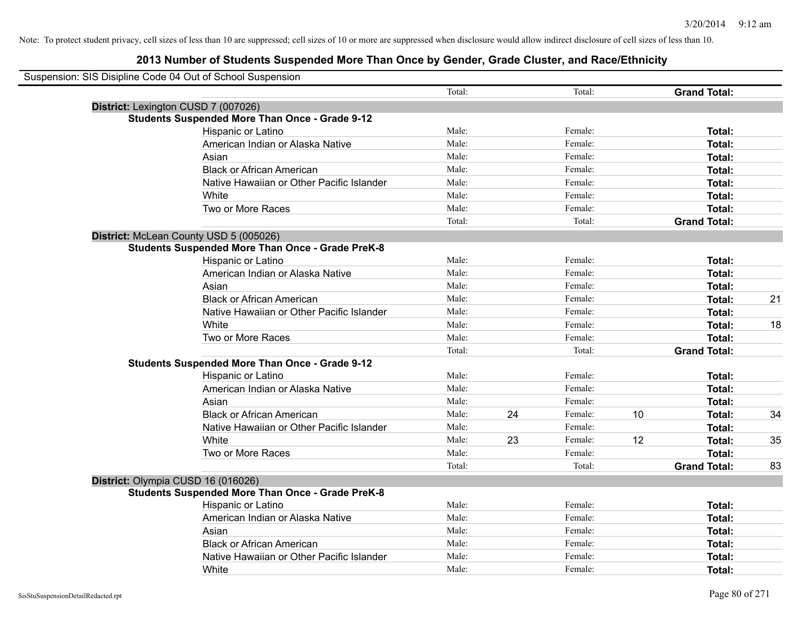| Suspension: SIS Disipline Code 04 Out of School Suspension |                                                         |        |    |         |    |                     |    |
|------------------------------------------------------------|---------------------------------------------------------|--------|----|---------|----|---------------------|----|
|                                                            |                                                         | Total: |    | Total:  |    | <b>Grand Total:</b> |    |
| District: Lexington CUSD 7 (007026)                        |                                                         |        |    |         |    |                     |    |
|                                                            | <b>Students Suspended More Than Once - Grade 9-12</b>   |        |    |         |    |                     |    |
|                                                            | Hispanic or Latino                                      | Male:  |    | Female: |    | Total:              |    |
|                                                            | American Indian or Alaska Native                        | Male:  |    | Female: |    | Total:              |    |
|                                                            | Asian                                                   | Male:  |    | Female: |    | Total:              |    |
|                                                            | <b>Black or African American</b>                        | Male:  |    | Female: |    | Total:              |    |
|                                                            | Native Hawaiian or Other Pacific Islander               | Male:  |    | Female: |    | Total:              |    |
|                                                            | White                                                   | Male:  |    | Female: |    | Total:              |    |
|                                                            | Two or More Races                                       | Male:  |    | Female: |    | Total:              |    |
|                                                            |                                                         | Total: |    | Total:  |    | <b>Grand Total:</b> |    |
| District: McLean County USD 5 (005026)                     |                                                         |        |    |         |    |                     |    |
|                                                            | <b>Students Suspended More Than Once - Grade PreK-8</b> |        |    |         |    |                     |    |
|                                                            | Hispanic or Latino                                      | Male:  |    | Female: |    | Total:              |    |
|                                                            | American Indian or Alaska Native                        | Male:  |    | Female: |    | Total:              |    |
|                                                            | Asian                                                   | Male:  |    | Female: |    | Total:              |    |
|                                                            | <b>Black or African American</b>                        | Male:  |    | Female: |    | Total:              | 21 |
|                                                            | Native Hawaiian or Other Pacific Islander               | Male:  |    | Female: |    | Total:              |    |
|                                                            | White                                                   | Male:  |    | Female: |    | Total:              | 18 |
|                                                            | Two or More Races                                       | Male:  |    | Female: |    | Total:              |    |
|                                                            |                                                         | Total: |    | Total:  |    | <b>Grand Total:</b> |    |
|                                                            | <b>Students Suspended More Than Once - Grade 9-12</b>   |        |    |         |    |                     |    |
|                                                            | Hispanic or Latino                                      | Male:  |    | Female: |    | Total:              |    |
|                                                            | American Indian or Alaska Native                        | Male:  |    | Female: |    | Total:              |    |
|                                                            | Asian                                                   | Male:  |    | Female: |    | Total:              |    |
|                                                            | <b>Black or African American</b>                        | Male:  | 24 | Female: | 10 | Total:              | 34 |
|                                                            | Native Hawaiian or Other Pacific Islander               | Male:  |    | Female: |    | Total:              |    |
|                                                            | White                                                   | Male:  | 23 | Female: | 12 | Total:              | 35 |
|                                                            | Two or More Races                                       | Male:  |    | Female: |    | Total:              |    |
|                                                            |                                                         | Total: |    | Total:  |    | <b>Grand Total:</b> | 83 |
| District: Olympia CUSD 16 (016026)                         |                                                         |        |    |         |    |                     |    |
|                                                            | <b>Students Suspended More Than Once - Grade PreK-8</b> |        |    |         |    |                     |    |
|                                                            | Hispanic or Latino                                      | Male:  |    | Female: |    | Total:              |    |
|                                                            | American Indian or Alaska Native                        | Male:  |    | Female: |    | Total:              |    |
|                                                            | Asian                                                   | Male:  |    | Female: |    | Total:              |    |
|                                                            | <b>Black or African American</b>                        | Male:  |    | Female: |    | Total:              |    |
|                                                            | Native Hawaiian or Other Pacific Islander               | Male:  |    | Female: |    | Total:              |    |
|                                                            | White                                                   | Male:  |    | Female: |    | Total:              |    |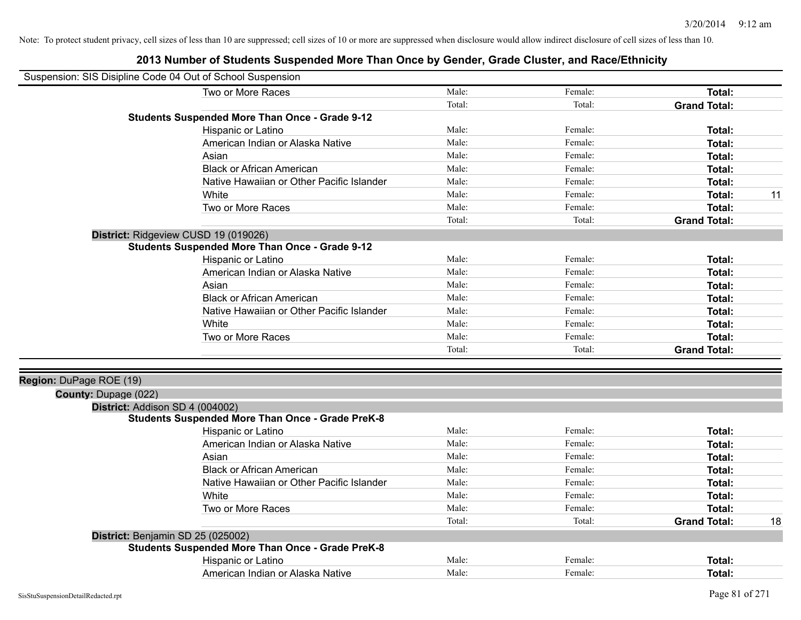| Suspension: SIS Disipline Code 04 Out of School Suspension |        |         |                     |    |
|------------------------------------------------------------|--------|---------|---------------------|----|
| Two or More Races                                          | Male:  | Female: | Total:              |    |
|                                                            | Total: | Total:  | <b>Grand Total:</b> |    |
| <b>Students Suspended More Than Once - Grade 9-12</b>      |        |         |                     |    |
| Hispanic or Latino                                         | Male:  | Female: | Total:              |    |
| American Indian or Alaska Native                           | Male:  | Female: | Total:              |    |
| Asian                                                      | Male:  | Female: | Total:              |    |
| <b>Black or African American</b>                           | Male:  | Female: | Total:              |    |
| Native Hawaiian or Other Pacific Islander                  | Male:  | Female: | Total:              |    |
| White                                                      | Male:  | Female: | Total:              | 11 |
| Two or More Races                                          | Male:  | Female: | <b>Total:</b>       |    |
|                                                            | Total: | Total:  | <b>Grand Total:</b> |    |
| District: Ridgeview CUSD 19 (019026)                       |        |         |                     |    |
| <b>Students Suspended More Than Once - Grade 9-12</b>      |        |         |                     |    |
| Hispanic or Latino                                         | Male:  | Female: | Total:              |    |
| American Indian or Alaska Native                           | Male:  | Female: | Total:              |    |
| Asian                                                      | Male:  | Female: | Total:              |    |
| <b>Black or African American</b>                           | Male:  | Female: | Total:              |    |
| Native Hawaiian or Other Pacific Islander                  | Male:  | Female: | Total:              |    |
| White                                                      | Male:  | Female: | Total:              |    |
| Two or More Races                                          | Male:  | Female: | <b>Total:</b>       |    |
|                                                            | Total: | Total:  | <b>Grand Total:</b> |    |
| Region: DuPage ROE (19)                                    |        |         |                     |    |
| <b>County: Dupage (022)</b>                                |        |         |                     |    |
| District: Addison SD 4 (004002)                            |        |         |                     |    |
| <b>Students Suspended More Than Once - Grade PreK-8</b>    |        |         |                     |    |
| Hispanic or Latino                                         | Male:  | Female: | Total:              |    |
| American Indian or Alaska Native                           | Male:  | Female: | Total:              |    |
| Asian                                                      | Male:  | Female: | Total:              |    |
| <b>Black or African American</b>                           | Male:  | Female: | Total:              |    |
| Native Hawaiian or Other Pacific Islander                  | Male:  | Female: | Total:              |    |
| White                                                      | Male:  | Female: | Total:              |    |
| Two or More Races                                          | Male:  | Female: | <b>Total:</b>       |    |
|                                                            | Total: | Total:  | <b>Grand Total:</b> | 18 |
| District: Benjamin SD 25 (025002)                          |        |         |                     |    |
| <b>Students Suspended More Than Once - Grade PreK-8</b>    |        |         |                     |    |
| Hispanic or Latino                                         | Male:  | Female: | <b>Total:</b>       |    |
| American Indian or Alaska Native                           | Male:  | Female: | Total:              |    |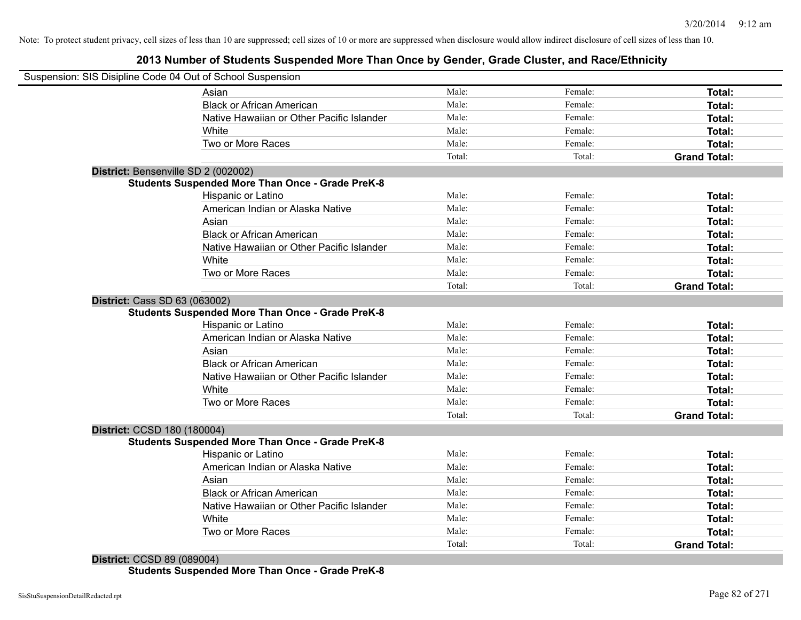## **2013 Number of Students Suspended More Than Once by Gender, Grade Cluster, and Race/Ethnicity**

|                                     | Suspension: SIS Disipline Code 04 Out of School Suspension |        |         |                     |
|-------------------------------------|------------------------------------------------------------|--------|---------|---------------------|
|                                     | Asian                                                      | Male:  | Female: | <b>Total:</b>       |
|                                     | <b>Black or African American</b>                           | Male:  | Female: | Total:              |
|                                     | Native Hawaiian or Other Pacific Islander                  | Male:  | Female: | Total:              |
|                                     | White                                                      | Male:  | Female: | Total:              |
|                                     | Two or More Races                                          | Male:  | Female: | Total:              |
|                                     |                                                            | Total: | Total:  | <b>Grand Total:</b> |
| District: Bensenville SD 2 (002002) |                                                            |        |         |                     |
|                                     | <b>Students Suspended More Than Once - Grade PreK-8</b>    |        |         |                     |
|                                     | Hispanic or Latino                                         | Male:  | Female: | Total:              |
|                                     | American Indian or Alaska Native                           | Male:  | Female: | Total:              |
|                                     | Asian                                                      | Male:  | Female: | Total:              |
|                                     | <b>Black or African American</b>                           | Male:  | Female: | Total:              |
|                                     | Native Hawaiian or Other Pacific Islander                  | Male:  | Female: | Total:              |
|                                     | White                                                      | Male:  | Female: | Total:              |
|                                     | Two or More Races                                          | Male:  | Female: | Total:              |
|                                     |                                                            | Total: | Total:  | <b>Grand Total:</b> |
| District: Cass SD 63 (063002)       |                                                            |        |         |                     |
|                                     | <b>Students Suspended More Than Once - Grade PreK-8</b>    |        |         |                     |
|                                     | Hispanic or Latino                                         | Male:  | Female: | Total:              |
|                                     | American Indian or Alaska Native                           | Male:  | Female: | Total:              |
|                                     | Asian                                                      | Male:  | Female: | Total:              |
|                                     | <b>Black or African American</b>                           | Male:  | Female: | Total:              |
|                                     | Native Hawaiian or Other Pacific Islander                  | Male:  | Female: | Total:              |
|                                     | White                                                      | Male:  | Female: | Total:              |
|                                     | Two or More Races                                          | Male:  | Female: | Total:              |
|                                     |                                                            | Total: | Total:  | <b>Grand Total:</b> |
| District: CCSD 180 (180004)         |                                                            |        |         |                     |
|                                     | Students Suspended More Than Once - Grade PreK-8           |        |         |                     |
|                                     | Hispanic or Latino                                         | Male:  | Female: | Total:              |
|                                     | American Indian or Alaska Native                           | Male:  | Female: | Total:              |
|                                     | Asian                                                      | Male:  | Female: | Total:              |
|                                     | <b>Black or African American</b>                           | Male:  | Female: | Total:              |
|                                     | Native Hawaiian or Other Pacific Islander                  | Male:  | Female: | Total:              |
|                                     | White                                                      | Male:  | Female: | Total:              |
|                                     | Two or More Races                                          | Male:  | Female: | <b>Total:</b>       |
|                                     |                                                            | Total: | Total:  | <b>Grand Total:</b> |
|                                     |                                                            |        |         |                     |

#### **District:** CCSD 89 (089004)

**Students Suspended More Than Once - Grade PreK-8**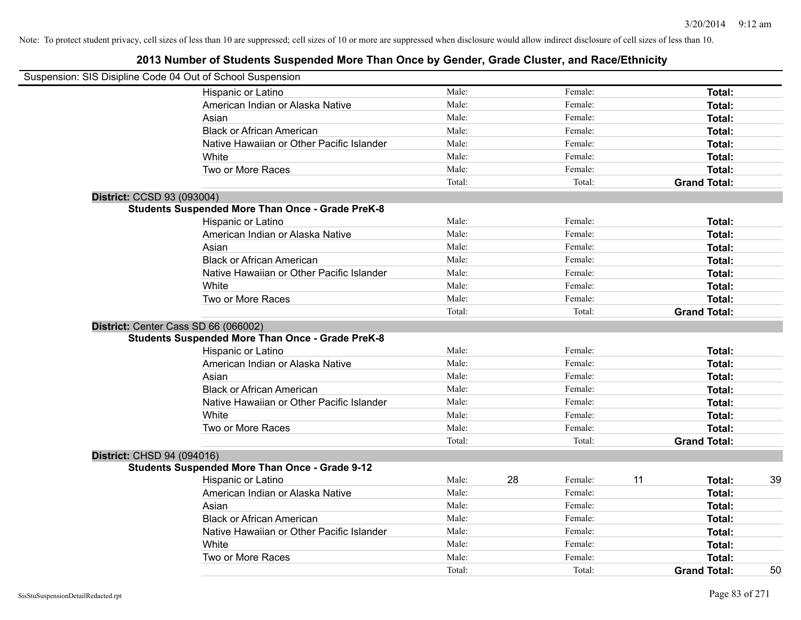| Suspension: SIS Disipline Code 04 Out of School Suspension |        |               |                     |    |
|------------------------------------------------------------|--------|---------------|---------------------|----|
| Hispanic or Latino                                         | Male:  | Female:       | Total:              |    |
| American Indian or Alaska Native                           | Male:  | Female:       | Total:              |    |
| Asian                                                      | Male:  | Female:       | Total:              |    |
| <b>Black or African American</b>                           | Male:  | Female:       | Total:              |    |
| Native Hawaiian or Other Pacific Islander                  | Male:  | Female:       | Total:              |    |
| White                                                      | Male:  | Female:       | Total:              |    |
| Two or More Races                                          | Male:  | Female:       | Total:              |    |
|                                                            | Total: | Total:        | <b>Grand Total:</b> |    |
| District: CCSD 93 (093004)                                 |        |               |                     |    |
| <b>Students Suspended More Than Once - Grade PreK-8</b>    |        |               |                     |    |
| Hispanic or Latino                                         | Male:  | Female:       | Total:              |    |
| American Indian or Alaska Native                           | Male:  | Female:       | Total:              |    |
| Asian                                                      | Male:  | Female:       | Total:              |    |
| <b>Black or African American</b>                           | Male:  | Female:       | Total:              |    |
| Native Hawaiian or Other Pacific Islander                  | Male:  | Female:       | Total:              |    |
| White                                                      | Male:  | Female:       | Total:              |    |
| Two or More Races                                          | Male:  | Female:       | Total:              |    |
|                                                            | Total: | Total:        | <b>Grand Total:</b> |    |
| District: Center Cass SD 66 (066002)                       |        |               |                     |    |
| <b>Students Suspended More Than Once - Grade PreK-8</b>    |        |               |                     |    |
| Hispanic or Latino                                         | Male:  | Female:       | Total:              |    |
| American Indian or Alaska Native                           | Male:  | Female:       | Total:              |    |
| Asian                                                      | Male:  | Female:       | Total:              |    |
| <b>Black or African American</b>                           | Male:  | Female:       | Total:              |    |
| Native Hawaiian or Other Pacific Islander                  | Male:  | Female:       | Total:              |    |
| White                                                      | Male:  | Female:       | Total:              |    |
| Two or More Races                                          | Male:  | Female:       | Total:              |    |
|                                                            | Total: | Total:        | <b>Grand Total:</b> |    |
| District: CHSD 94 (094016)                                 |        |               |                     |    |
| <b>Students Suspended More Than Once - Grade 9-12</b>      |        |               |                     |    |
| Hispanic or Latino                                         | Male:  | 28<br>Female: | 11<br>Total:        | 39 |
| American Indian or Alaska Native                           | Male:  | Female:       | Total:              |    |
| Asian                                                      | Male:  | Female:       | Total:              |    |
| <b>Black or African American</b>                           | Male:  | Female:       | Total:              |    |
| Native Hawaiian or Other Pacific Islander                  | Male:  | Female:       | Total:              |    |
| White                                                      | Male:  | Female:       | Total:              |    |
| Two or More Races                                          | Male:  | Female:       | Total:              |    |
|                                                            | Total: | Total:        | <b>Grand Total:</b> | 50 |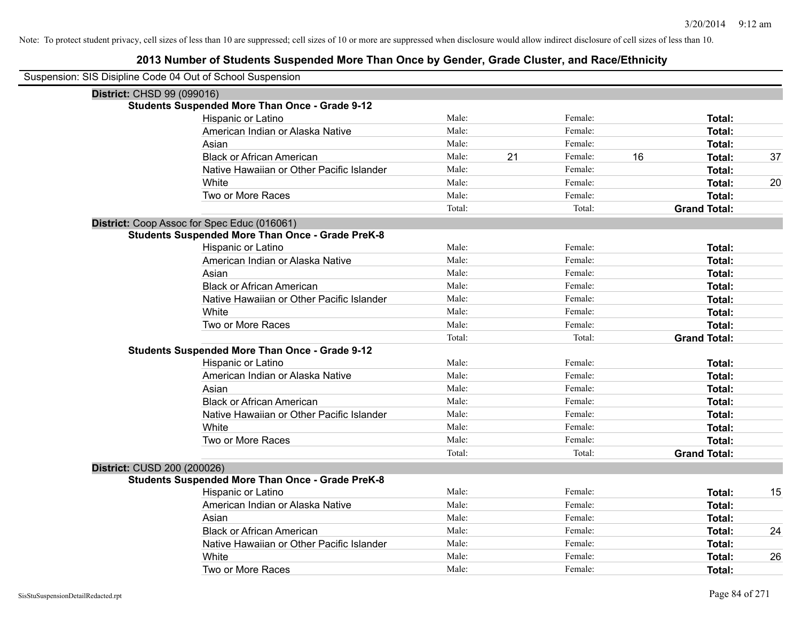## **2013 Number of Students Suspended More Than Once by Gender, Grade Cluster, and Race/Ethnicity**

| Suspension: SIS Disipline Code 04 Out of School Suspension |                                                         |        |    |         |    |                     |    |
|------------------------------------------------------------|---------------------------------------------------------|--------|----|---------|----|---------------------|----|
| District: CHSD 99 (099016)                                 |                                                         |        |    |         |    |                     |    |
|                                                            | <b>Students Suspended More Than Once - Grade 9-12</b>   |        |    |         |    |                     |    |
|                                                            | Hispanic or Latino                                      | Male:  |    | Female: |    | Total:              |    |
|                                                            | American Indian or Alaska Native                        | Male:  |    | Female: |    | Total:              |    |
|                                                            | Asian                                                   | Male:  |    | Female: |    | Total:              |    |
|                                                            | <b>Black or African American</b>                        | Male:  | 21 | Female: | 16 | Total:              | 37 |
|                                                            | Native Hawaiian or Other Pacific Islander               | Male:  |    | Female: |    | Total:              |    |
|                                                            | White                                                   | Male:  |    | Female: |    | Total:              | 20 |
|                                                            | Two or More Races                                       | Male:  |    | Female: |    | Total:              |    |
|                                                            |                                                         | Total: |    | Total:  |    | <b>Grand Total:</b> |    |
|                                                            | District: Coop Assoc for Spec Educ (016061)             |        |    |         |    |                     |    |
|                                                            | <b>Students Suspended More Than Once - Grade PreK-8</b> |        |    |         |    |                     |    |
|                                                            | Hispanic or Latino                                      | Male:  |    | Female: |    | Total:              |    |
|                                                            | American Indian or Alaska Native                        | Male:  |    | Female: |    | Total:              |    |
|                                                            | Asian                                                   | Male:  |    | Female: |    | Total:              |    |
|                                                            | <b>Black or African American</b>                        | Male:  |    | Female: |    | <b>Total:</b>       |    |
|                                                            | Native Hawaiian or Other Pacific Islander               | Male:  |    | Female: |    | Total:              |    |
|                                                            | White                                                   | Male:  |    | Female: |    | <b>Total:</b>       |    |
|                                                            | Two or More Races                                       | Male:  |    | Female: |    | Total:              |    |
|                                                            |                                                         | Total: |    | Total:  |    | <b>Grand Total:</b> |    |
|                                                            | <b>Students Suspended More Than Once - Grade 9-12</b>   |        |    |         |    |                     |    |
|                                                            | Hispanic or Latino                                      | Male:  |    | Female: |    | Total:              |    |
|                                                            | American Indian or Alaska Native                        | Male:  |    | Female: |    | Total:              |    |
|                                                            | Asian                                                   | Male:  |    | Female: |    | Total:              |    |
|                                                            | <b>Black or African American</b>                        | Male:  |    | Female: |    | Total:              |    |
|                                                            | Native Hawaiian or Other Pacific Islander               | Male:  |    | Female: |    | <b>Total:</b>       |    |
|                                                            | White                                                   | Male:  |    | Female: |    | Total:              |    |
|                                                            | Two or More Races                                       | Male:  |    | Female: |    | Total:              |    |
|                                                            |                                                         | Total: |    | Total:  |    | <b>Grand Total:</b> |    |
| District: CUSD 200 (200026)                                |                                                         |        |    |         |    |                     |    |
|                                                            | <b>Students Suspended More Than Once - Grade PreK-8</b> |        |    |         |    |                     |    |
|                                                            | <b>Hispanic or Latino</b>                               | Male:  |    | Female: |    | Total:              | 15 |
|                                                            | American Indian or Alaska Native                        | Male:  |    | Female: |    | Total:              |    |
|                                                            | Asian                                                   | Male:  |    | Female: |    | Total:              |    |
|                                                            | <b>Black or African American</b>                        | Male:  |    | Female: |    | Total:              | 24 |
|                                                            | Native Hawaiian or Other Pacific Islander               | Male:  |    | Female: |    | <b>Total:</b>       |    |
|                                                            | White                                                   | Male:  |    | Female: |    | <b>Total:</b>       | 26 |
|                                                            | Two or More Races                                       | Male:  |    | Female: |    | Total:              |    |

 $\overline{\phantom{0}}$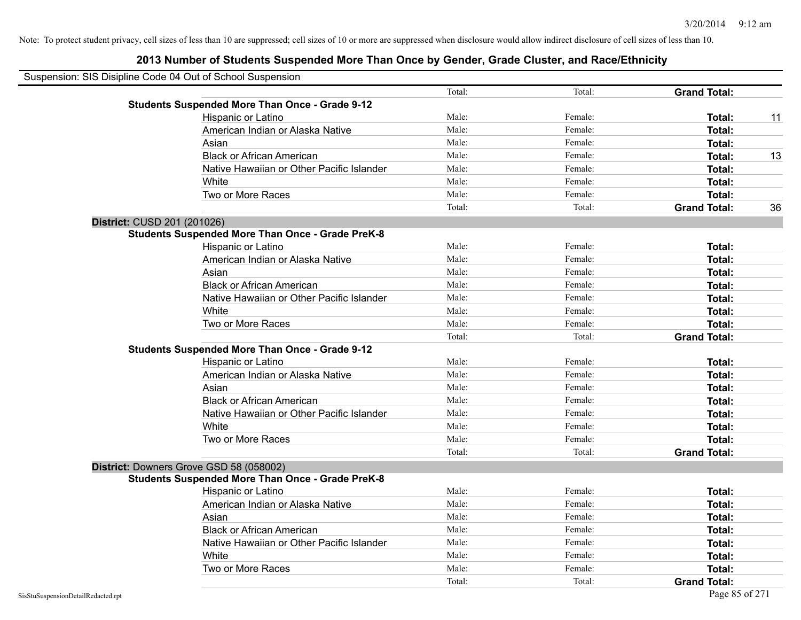| Suspension: SIS Disipline Code 04 Out of School Suspension |                                                         |        |         |                     |    |
|------------------------------------------------------------|---------------------------------------------------------|--------|---------|---------------------|----|
|                                                            |                                                         | Total: | Total:  | <b>Grand Total:</b> |    |
|                                                            | <b>Students Suspended More Than Once - Grade 9-12</b>   |        |         |                     |    |
|                                                            | Hispanic or Latino                                      | Male:  | Female: | Total:              | 11 |
|                                                            | American Indian or Alaska Native                        | Male:  | Female: | Total:              |    |
|                                                            | Asian                                                   | Male:  | Female: | Total:              |    |
|                                                            | <b>Black or African American</b>                        | Male:  | Female: | Total:              | 13 |
|                                                            | Native Hawaiian or Other Pacific Islander               | Male:  | Female: | Total:              |    |
|                                                            | White                                                   | Male:  | Female: | Total:              |    |
|                                                            | Two or More Races                                       | Male:  | Female: | Total:              |    |
|                                                            |                                                         | Total: | Total:  | <b>Grand Total:</b> | 36 |
| District: CUSD 201 (201026)                                |                                                         |        |         |                     |    |
|                                                            | <b>Students Suspended More Than Once - Grade PreK-8</b> |        |         |                     |    |
|                                                            | Hispanic or Latino                                      | Male:  | Female: | Total:              |    |
|                                                            | American Indian or Alaska Native                        | Male:  | Female: | Total:              |    |
|                                                            | Asian                                                   | Male:  | Female: | Total:              |    |
|                                                            | <b>Black or African American</b>                        | Male:  | Female: | Total:              |    |
|                                                            | Native Hawaiian or Other Pacific Islander               | Male:  | Female: | Total:              |    |
|                                                            | White                                                   | Male:  | Female: | Total:              |    |
|                                                            | Two or More Races                                       | Male:  | Female: | <b>Total:</b>       |    |
|                                                            |                                                         | Total: | Total:  | <b>Grand Total:</b> |    |
|                                                            | <b>Students Suspended More Than Once - Grade 9-12</b>   |        |         |                     |    |
|                                                            | Hispanic or Latino                                      | Male:  | Female: | Total:              |    |
|                                                            | American Indian or Alaska Native                        | Male:  | Female: | Total:              |    |
|                                                            | Asian                                                   | Male:  | Female: | Total:              |    |
|                                                            | <b>Black or African American</b>                        | Male:  | Female: | Total:              |    |
|                                                            | Native Hawaiian or Other Pacific Islander               | Male:  | Female: | Total:              |    |
|                                                            | White                                                   | Male:  | Female: | Total:              |    |
|                                                            | Two or More Races                                       | Male:  | Female: | Total:              |    |
|                                                            |                                                         | Total: | Total:  | <b>Grand Total:</b> |    |
|                                                            | District: Downers Grove GSD 58 (058002)                 |        |         |                     |    |
|                                                            | <b>Students Suspended More Than Once - Grade PreK-8</b> |        |         |                     |    |
|                                                            | Hispanic or Latino                                      | Male:  | Female: | Total:              |    |
|                                                            | American Indian or Alaska Native                        | Male:  | Female: | Total:              |    |
|                                                            | Asian                                                   | Male:  | Female: | Total:              |    |
|                                                            | <b>Black or African American</b>                        | Male:  | Female: | Total:              |    |
|                                                            | Native Hawaiian or Other Pacific Islander               | Male:  | Female: | Total:              |    |
|                                                            | White                                                   | Male:  | Female: | Total:              |    |
|                                                            | Two or More Races                                       | Male:  | Female: | <b>Total:</b>       |    |
|                                                            |                                                         | Total: | Total:  | <b>Grand Total:</b> |    |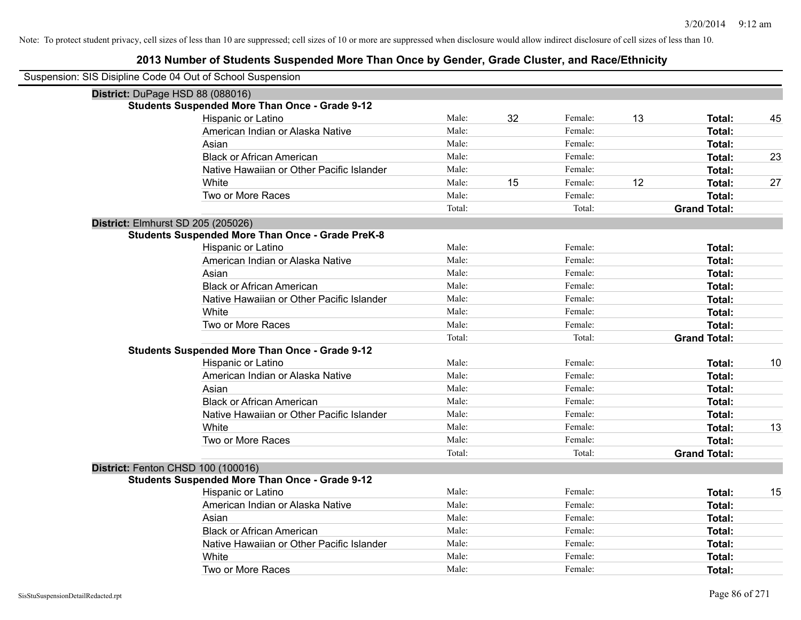| Suspension: SIS Disipline Code 04 Out of School Suspension |                                                         |        |    |         |    |                     |    |
|------------------------------------------------------------|---------------------------------------------------------|--------|----|---------|----|---------------------|----|
| District: DuPage HSD 88 (088016)                           |                                                         |        |    |         |    |                     |    |
|                                                            | <b>Students Suspended More Than Once - Grade 9-12</b>   |        |    |         |    |                     |    |
|                                                            | Hispanic or Latino                                      | Male:  | 32 | Female: | 13 | Total:              | 45 |
|                                                            | American Indian or Alaska Native                        | Male:  |    | Female: |    | Total:              |    |
|                                                            | Asian                                                   | Male:  |    | Female: |    | Total:              |    |
|                                                            | <b>Black or African American</b>                        | Male:  |    | Female: |    | Total:              | 23 |
|                                                            | Native Hawaiian or Other Pacific Islander               | Male:  |    | Female: |    | Total:              |    |
|                                                            | White                                                   | Male:  | 15 | Female: | 12 | Total:              | 27 |
|                                                            | Two or More Races                                       | Male:  |    | Female: |    | Total:              |    |
|                                                            |                                                         | Total: |    | Total:  |    | <b>Grand Total:</b> |    |
| <b>District: Elmhurst SD 205 (205026)</b>                  |                                                         |        |    |         |    |                     |    |
|                                                            | <b>Students Suspended More Than Once - Grade PreK-8</b> |        |    |         |    |                     |    |
|                                                            | Hispanic or Latino                                      | Male:  |    | Female: |    | Total:              |    |
|                                                            | American Indian or Alaska Native                        | Male:  |    | Female: |    | Total:              |    |
|                                                            | Asian                                                   | Male:  |    | Female: |    | Total:              |    |
|                                                            | <b>Black or African American</b>                        | Male:  |    | Female: |    | Total:              |    |
|                                                            | Native Hawaiian or Other Pacific Islander               | Male:  |    | Female: |    | Total:              |    |
|                                                            | White                                                   | Male:  |    | Female: |    | Total:              |    |
|                                                            | Two or More Races                                       | Male:  |    | Female: |    | Total:              |    |
|                                                            |                                                         | Total: |    | Total:  |    | <b>Grand Total:</b> |    |
|                                                            | <b>Students Suspended More Than Once - Grade 9-12</b>   |        |    |         |    |                     |    |
|                                                            | Hispanic or Latino                                      | Male:  |    | Female: |    | Total:              | 10 |
|                                                            | American Indian or Alaska Native                        | Male:  |    | Female: |    | Total:              |    |
|                                                            | Asian                                                   | Male:  |    | Female: |    | Total:              |    |
|                                                            | <b>Black or African American</b>                        | Male:  |    | Female: |    | Total:              |    |
|                                                            | Native Hawaiian or Other Pacific Islander               | Male:  |    | Female: |    | Total:              |    |
|                                                            | White                                                   | Male:  |    | Female: |    | Total:              | 13 |
|                                                            | Two or More Races                                       | Male:  |    | Female: |    | Total:              |    |
|                                                            |                                                         | Total: |    | Total:  |    | <b>Grand Total:</b> |    |
|                                                            | District: Fenton CHSD 100 (100016)                      |        |    |         |    |                     |    |
|                                                            | <b>Students Suspended More Than Once - Grade 9-12</b>   |        |    |         |    |                     |    |
|                                                            | Hispanic or Latino                                      | Male:  |    | Female: |    | Total:              | 15 |
|                                                            | American Indian or Alaska Native                        | Male:  |    | Female: |    | Total:              |    |
|                                                            | Asian                                                   | Male:  |    | Female: |    | Total:              |    |
|                                                            | <b>Black or African American</b>                        | Male:  |    | Female: |    | Total:              |    |
|                                                            | Native Hawaiian or Other Pacific Islander               | Male:  |    | Female: |    | Total:              |    |
|                                                            | White                                                   | Male:  |    | Female: |    | Total:              |    |
|                                                            | Two or More Races                                       | Male:  |    | Female: |    | Total:              |    |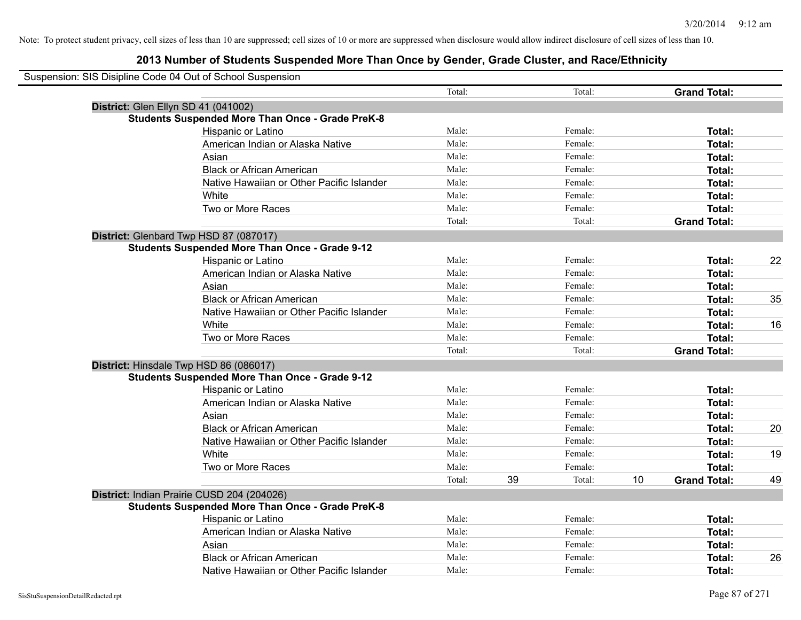| Suspension: SIS Disipline Code 04 Out of School Suspension |        |    |         |    |                     |    |
|------------------------------------------------------------|--------|----|---------|----|---------------------|----|
|                                                            | Total: |    | Total:  |    | <b>Grand Total:</b> |    |
| District: Glen Ellyn SD 41 (041002)                        |        |    |         |    |                     |    |
| <b>Students Suspended More Than Once - Grade PreK-8</b>    |        |    |         |    |                     |    |
| Hispanic or Latino                                         | Male:  |    | Female: |    | Total:              |    |
| American Indian or Alaska Native                           | Male:  |    | Female: |    | Total:              |    |
| Asian                                                      | Male:  |    | Female: |    | Total:              |    |
| <b>Black or African American</b>                           | Male:  |    | Female: |    | Total:              |    |
| Native Hawaiian or Other Pacific Islander                  | Male:  |    | Female: |    | Total:              |    |
| White                                                      | Male:  |    | Female: |    | Total:              |    |
| Two or More Races                                          | Male:  |    | Female: |    | Total:              |    |
|                                                            | Total: |    | Total:  |    | <b>Grand Total:</b> |    |
| District: Glenbard Twp HSD 87 (087017)                     |        |    |         |    |                     |    |
| <b>Students Suspended More Than Once - Grade 9-12</b>      |        |    |         |    |                     |    |
| Hispanic or Latino                                         | Male:  |    | Female: |    | Total:              | 22 |
| American Indian or Alaska Native                           | Male:  |    | Female: |    | Total:              |    |
| Asian                                                      | Male:  |    | Female: |    | Total:              |    |
| <b>Black or African American</b>                           | Male:  |    | Female: |    | Total:              | 35 |
| Native Hawaiian or Other Pacific Islander                  | Male:  |    | Female: |    | Total:              |    |
| White                                                      | Male:  |    | Female: |    | Total:              | 16 |
| Two or More Races                                          | Male:  |    | Female: |    | Total:              |    |
|                                                            | Total: |    | Total:  |    | <b>Grand Total:</b> |    |
| District: Hinsdale Twp HSD 86 (086017)                     |        |    |         |    |                     |    |
| <b>Students Suspended More Than Once - Grade 9-12</b>      |        |    |         |    |                     |    |
| Hispanic or Latino                                         | Male:  |    | Female: |    | Total:              |    |
| American Indian or Alaska Native                           | Male:  |    | Female: |    | Total:              |    |
| Asian                                                      | Male:  |    | Female: |    | Total:              |    |
| <b>Black or African American</b>                           | Male:  |    | Female: |    | Total:              | 20 |
| Native Hawaiian or Other Pacific Islander                  | Male:  |    | Female: |    | Total:              |    |
| White                                                      | Male:  |    | Female: |    | Total:              | 19 |
| Two or More Races                                          | Male:  |    | Female: |    | Total:              |    |
|                                                            | Total: | 39 | Total:  | 10 | <b>Grand Total:</b> | 49 |
| District: Indian Prairie CUSD 204 (204026)                 |        |    |         |    |                     |    |
| <b>Students Suspended More Than Once - Grade PreK-8</b>    |        |    |         |    |                     |    |
| Hispanic or Latino                                         | Male:  |    | Female: |    | Total:              |    |
| American Indian or Alaska Native                           | Male:  |    | Female: |    | Total:              |    |
| Asian                                                      | Male:  |    | Female: |    | Total:              |    |
| <b>Black or African American</b>                           | Male:  |    | Female: |    | Total:              | 26 |
| Native Hawaiian or Other Pacific Islander                  | Male:  |    | Female: |    | Total:              |    |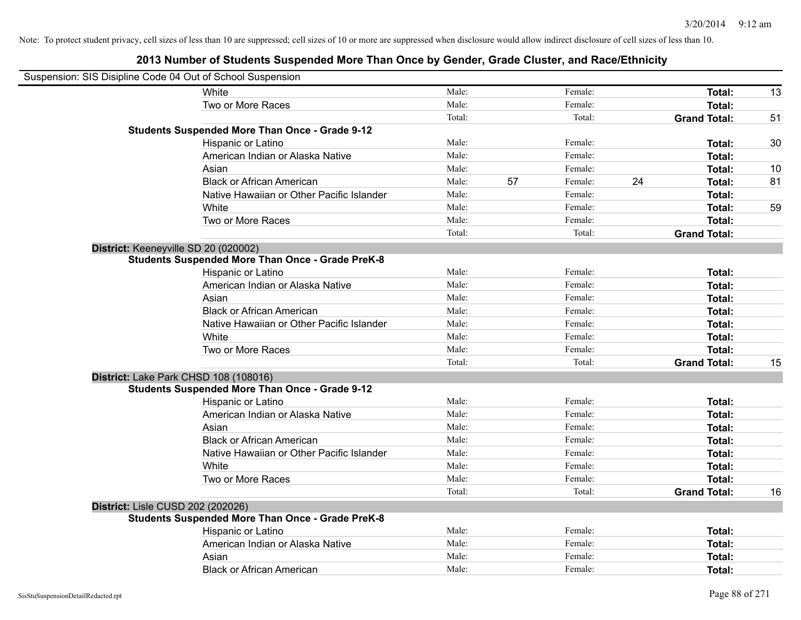| Suspension: SIS Disipline Code 04 Out of School Suspension |        |    |         |    |                     |    |
|------------------------------------------------------------|--------|----|---------|----|---------------------|----|
| White                                                      | Male:  |    | Female: |    | Total:              | 13 |
| Two or More Races                                          | Male:  |    | Female: |    | <b>Total:</b>       |    |
|                                                            | Total: |    | Total:  |    | <b>Grand Total:</b> | 51 |
| <b>Students Suspended More Than Once - Grade 9-12</b>      |        |    |         |    |                     |    |
| Hispanic or Latino                                         | Male:  |    | Female: |    | Total:              | 30 |
| American Indian or Alaska Native                           | Male:  |    | Female: |    | Total:              |    |
| Asian                                                      | Male:  |    | Female: |    | <b>Total:</b>       | 10 |
| <b>Black or African American</b>                           | Male:  | 57 | Female: | 24 | <b>Total:</b>       | 81 |
| Native Hawaiian or Other Pacific Islander                  | Male:  |    | Female: |    | Total:              |    |
| White                                                      | Male:  |    | Female: |    | <b>Total:</b>       | 59 |
| Two or More Races                                          | Male:  |    | Female: |    | <b>Total:</b>       |    |
|                                                            | Total: |    | Total:  |    | <b>Grand Total:</b> |    |
| District: Keeneyville SD 20 (020002)                       |        |    |         |    |                     |    |
| <b>Students Suspended More Than Once - Grade PreK-8</b>    |        |    |         |    |                     |    |
| Hispanic or Latino                                         | Male:  |    | Female: |    | <b>Total:</b>       |    |
| American Indian or Alaska Native                           | Male:  |    | Female: |    | <b>Total:</b>       |    |
| Asian                                                      | Male:  |    | Female: |    | Total:              |    |
| <b>Black or African American</b>                           | Male:  |    | Female: |    | Total:              |    |
| Native Hawaiian or Other Pacific Islander                  | Male:  |    | Female: |    | Total:              |    |
| White                                                      | Male:  |    | Female: |    | <b>Total:</b>       |    |
| Two or More Races                                          | Male:  |    | Female: |    | Total:              |    |
|                                                            | Total: |    | Total:  |    | <b>Grand Total:</b> | 15 |
| District: Lake Park CHSD 108 (108016)                      |        |    |         |    |                     |    |
| <b>Students Suspended More Than Once - Grade 9-12</b>      |        |    |         |    |                     |    |
| Hispanic or Latino                                         | Male:  |    | Female: |    | <b>Total:</b>       |    |
| American Indian or Alaska Native                           | Male:  |    | Female: |    | <b>Total:</b>       |    |
| Asian                                                      | Male:  |    | Female: |    | <b>Total:</b>       |    |
| <b>Black or African American</b>                           | Male:  |    | Female: |    | Total:              |    |
| Native Hawaiian or Other Pacific Islander                  | Male:  |    | Female: |    | Total:              |    |
| White                                                      | Male:  |    | Female: |    | <b>Total:</b>       |    |
| Two or More Races                                          | Male:  |    | Female: |    | <b>Total:</b>       |    |
|                                                            | Total: |    | Total:  |    | <b>Grand Total:</b> | 16 |
| District: Lisle CUSD 202 (202026)                          |        |    |         |    |                     |    |
| <b>Students Suspended More Than Once - Grade PreK-8</b>    |        |    |         |    |                     |    |
| Hispanic or Latino                                         | Male:  |    | Female: |    | Total:              |    |
| American Indian or Alaska Native                           | Male:  |    | Female: |    | <b>Total:</b>       |    |
| Asian                                                      | Male:  |    | Female: |    | <b>Total:</b>       |    |
| <b>Black or African American</b>                           | Male:  |    | Female: |    | Total:              |    |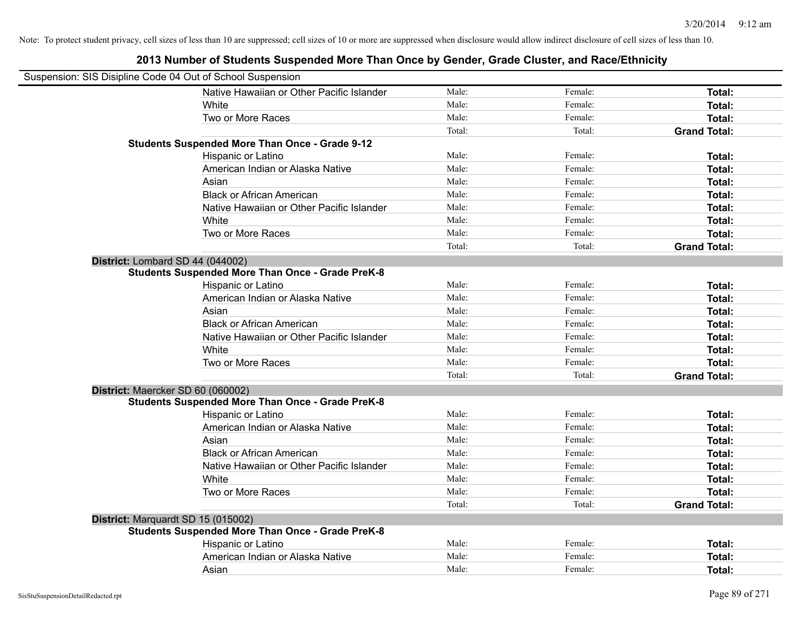| Suspension: SIS Disipline Code 04 Out of School Suspension |                                                         |        |         |                     |
|------------------------------------------------------------|---------------------------------------------------------|--------|---------|---------------------|
|                                                            | Native Hawaiian or Other Pacific Islander               | Male:  | Female: | <b>Total:</b>       |
| White                                                      |                                                         | Male:  | Female: | Total:              |
|                                                            | Two or More Races                                       | Male:  | Female: | Total:              |
|                                                            |                                                         | Total: | Total:  | <b>Grand Total:</b> |
|                                                            | Students Suspended More Than Once - Grade 9-12          |        |         |                     |
|                                                            | Hispanic or Latino                                      | Male:  | Female: | Total:              |
|                                                            | American Indian or Alaska Native                        | Male:  | Female: | Total:              |
| Asian                                                      |                                                         | Male:  | Female: | Total:              |
|                                                            | <b>Black or African American</b>                        | Male:  | Female: | Total:              |
|                                                            | Native Hawaiian or Other Pacific Islander               | Male:  | Female: | Total:              |
| White                                                      |                                                         | Male:  | Female: | Total:              |
|                                                            | Two or More Races                                       | Male:  | Female: | Total:              |
|                                                            |                                                         | Total: | Total:  | <b>Grand Total:</b> |
| District: Lombard SD 44 (044002)                           |                                                         |        |         |                     |
|                                                            | <b>Students Suspended More Than Once - Grade PreK-8</b> |        |         |                     |
|                                                            | Hispanic or Latino                                      | Male:  | Female: | Total:              |
|                                                            | American Indian or Alaska Native                        | Male:  | Female: | Total:              |
| Asian                                                      |                                                         | Male:  | Female: | Total:              |
|                                                            | <b>Black or African American</b>                        | Male:  | Female: | Total:              |
|                                                            | Native Hawaiian or Other Pacific Islander               | Male:  | Female: | Total:              |
| White                                                      |                                                         | Male:  | Female: | Total:              |
|                                                            | Two or More Races                                       | Male:  | Female: | Total:              |
|                                                            |                                                         | Total: | Total:  | <b>Grand Total:</b> |
| District: Maercker SD 60 (060002)                          |                                                         |        |         |                     |
|                                                            | <b>Students Suspended More Than Once - Grade PreK-8</b> |        |         |                     |
|                                                            | Hispanic or Latino                                      | Male:  | Female: | Total:              |
|                                                            | American Indian or Alaska Native                        | Male:  | Female: | Total:              |
| Asian                                                      |                                                         | Male:  | Female: | Total:              |
|                                                            | <b>Black or African American</b>                        | Male:  | Female: | Total:              |
|                                                            | Native Hawaiian or Other Pacific Islander               | Male:  | Female: | Total:              |
| White                                                      |                                                         | Male:  | Female: | Total:              |
|                                                            | Two or More Races                                       | Male:  | Female: | Total:              |
|                                                            |                                                         | Total: | Total:  | <b>Grand Total:</b> |
| District: Marquardt SD 15 (015002)                         |                                                         |        |         |                     |
|                                                            | <b>Students Suspended More Than Once - Grade PreK-8</b> |        |         |                     |
|                                                            | Hispanic or Latino                                      | Male:  | Female: | Total:              |
|                                                            | American Indian or Alaska Native                        | Male:  | Female: | Total:              |
| Asian                                                      |                                                         | Male:  | Female: | Total:              |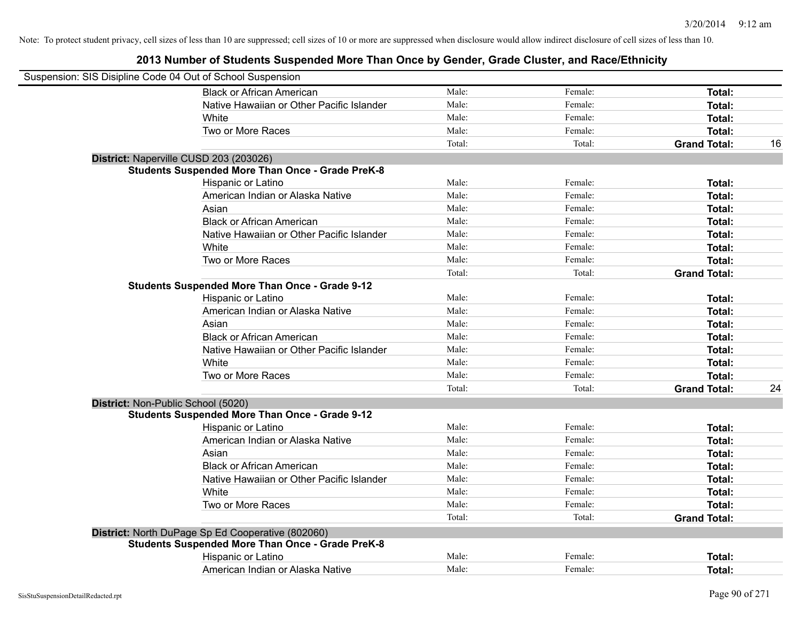| Suspension: SIS Disipline Code 04 Out of School Suspension |                                                         |        |         |                     |    |
|------------------------------------------------------------|---------------------------------------------------------|--------|---------|---------------------|----|
|                                                            | <b>Black or African American</b>                        | Male:  | Female: | Total:              |    |
|                                                            | Native Hawaiian or Other Pacific Islander               | Male:  | Female: | Total:              |    |
|                                                            | White                                                   | Male:  | Female: | Total:              |    |
|                                                            | Two or More Races                                       | Male:  | Female: | Total:              |    |
|                                                            |                                                         | Total: | Total:  | <b>Grand Total:</b> | 16 |
|                                                            | District: Naperville CUSD 203 (203026)                  |        |         |                     |    |
|                                                            | <b>Students Suspended More Than Once - Grade PreK-8</b> |        |         |                     |    |
|                                                            | Hispanic or Latino                                      | Male:  | Female: | Total:              |    |
|                                                            | American Indian or Alaska Native                        | Male:  | Female: | Total:              |    |
|                                                            | Asian                                                   | Male:  | Female: | Total:              |    |
|                                                            | <b>Black or African American</b>                        | Male:  | Female: | Total:              |    |
|                                                            | Native Hawaiian or Other Pacific Islander               | Male:  | Female: | Total:              |    |
|                                                            | White                                                   | Male:  | Female: | Total:              |    |
|                                                            | Two or More Races                                       | Male:  | Female: | Total:              |    |
|                                                            |                                                         | Total: | Total:  | <b>Grand Total:</b> |    |
|                                                            | <b>Students Suspended More Than Once - Grade 9-12</b>   |        |         |                     |    |
|                                                            | Hispanic or Latino                                      | Male:  | Female: | Total:              |    |
|                                                            | American Indian or Alaska Native                        | Male:  | Female: | Total:              |    |
|                                                            | Asian                                                   | Male:  | Female: | Total:              |    |
|                                                            | <b>Black or African American</b>                        | Male:  | Female: | Total:              |    |
|                                                            | Native Hawaiian or Other Pacific Islander               | Male:  | Female: | Total:              |    |
|                                                            | White                                                   | Male:  | Female: | Total:              |    |
|                                                            | Two or More Races                                       | Male:  | Female: | Total:              |    |
|                                                            |                                                         | Total: | Total:  | <b>Grand Total:</b> | 24 |
|                                                            | District: Non-Public School (5020)                      |        |         |                     |    |
|                                                            | <b>Students Suspended More Than Once - Grade 9-12</b>   |        |         |                     |    |
|                                                            | Hispanic or Latino                                      | Male:  | Female: | Total:              |    |
|                                                            | American Indian or Alaska Native                        | Male:  | Female: | Total:              |    |
|                                                            | Asian                                                   | Male:  | Female: | Total:              |    |
|                                                            | <b>Black or African American</b>                        | Male:  | Female: | Total:              |    |
|                                                            | Native Hawaiian or Other Pacific Islander               | Male:  | Female: | Total:              |    |
|                                                            | <b>White</b>                                            | Male:  | Female: | Total:              |    |
|                                                            | Two or More Races                                       | Male:  | Female: | Total:              |    |
|                                                            |                                                         | Total: | Total:  | <b>Grand Total:</b> |    |
|                                                            | District: North DuPage Sp Ed Cooperative (802060)       |        |         |                     |    |
|                                                            | <b>Students Suspended More Than Once - Grade PreK-8</b> |        |         |                     |    |
|                                                            | Hispanic or Latino                                      | Male:  | Female: | Total:              |    |
|                                                            | American Indian or Alaska Native                        | Male:  | Female: | Total:              |    |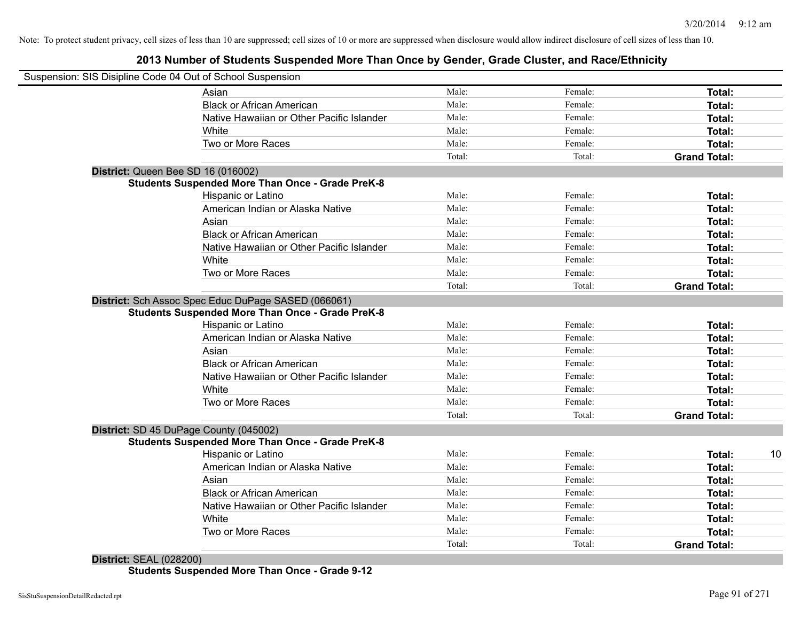## **2013 Number of Students Suspended More Than Once by Gender, Grade Cluster, and Race/Ethnicity**

| Suspension: SIS Disipline Code 04 Out of School Suspension |        |         |                     |    |
|------------------------------------------------------------|--------|---------|---------------------|----|
| Asian                                                      | Male:  | Female: | <b>Total:</b>       |    |
| <b>Black or African American</b>                           | Male:  | Female: | Total:              |    |
| Native Hawaiian or Other Pacific Islander                  | Male:  | Female: | Total:              |    |
| White                                                      | Male:  | Female: | Total:              |    |
| Two or More Races                                          | Male:  | Female: | Total:              |    |
|                                                            | Total: | Total:  | <b>Grand Total:</b> |    |
| District: Queen Bee SD 16 (016002)                         |        |         |                     |    |
| <b>Students Suspended More Than Once - Grade PreK-8</b>    |        |         |                     |    |
| Hispanic or Latino                                         | Male:  | Female: | Total:              |    |
| American Indian or Alaska Native                           | Male:  | Female: | Total:              |    |
| Asian                                                      | Male:  | Female: | Total:              |    |
| <b>Black or African American</b>                           | Male:  | Female: | Total:              |    |
| Native Hawaiian or Other Pacific Islander                  | Male:  | Female: | Total:              |    |
| White                                                      | Male:  | Female: | Total:              |    |
| Two or More Races                                          | Male:  | Female: | Total:              |    |
|                                                            | Total: | Total:  | <b>Grand Total:</b> |    |
| District: Sch Assoc Spec Educ DuPage SASED (066061)        |        |         |                     |    |
| <b>Students Suspended More Than Once - Grade PreK-8</b>    |        |         |                     |    |
| Hispanic or Latino                                         | Male:  | Female: | Total:              |    |
| American Indian or Alaska Native                           | Male:  | Female: | Total:              |    |
| Asian                                                      | Male:  | Female: | Total:              |    |
| <b>Black or African American</b>                           | Male:  | Female: | Total:              |    |
| Native Hawaiian or Other Pacific Islander                  | Male:  | Female: | Total:              |    |
| White                                                      | Male:  | Female: | Total:              |    |
| Two or More Races                                          | Male:  | Female: | Total:              |    |
|                                                            | Total: | Total:  | <b>Grand Total:</b> |    |
| District: SD 45 DuPage County (045002)                     |        |         |                     |    |
| <b>Students Suspended More Than Once - Grade PreK-8</b>    |        |         |                     |    |
| <b>Hispanic or Latino</b>                                  | Male:  | Female: | Total:              | 10 |
| American Indian or Alaska Native                           | Male:  | Female: | Total:              |    |
| Asian                                                      | Male:  | Female: | Total:              |    |
| <b>Black or African American</b>                           | Male:  | Female: | Total:              |    |
| Native Hawaiian or Other Pacific Islander                  | Male:  | Female: | Total:              |    |
| White                                                      | Male:  | Female: | Total:              |    |
| Two or More Races                                          | Male:  | Female: | Total:              |    |
|                                                            | Total: | Total:  | <b>Grand Total:</b> |    |

**Students Suspended More Than Once - Grade 9-12**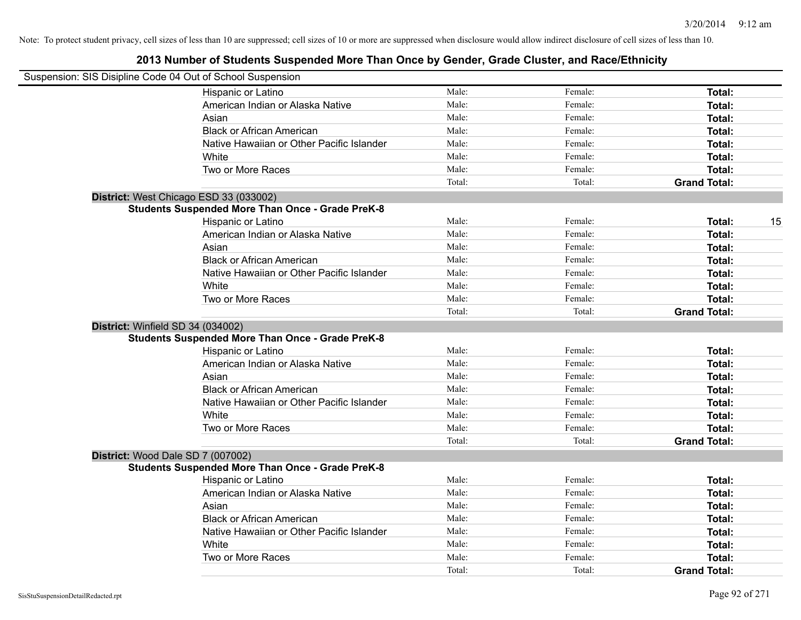|                                   | Suspension: SIS Disipline Code 04 Out of School Suspension |        |         |                     |    |
|-----------------------------------|------------------------------------------------------------|--------|---------|---------------------|----|
|                                   | Hispanic or Latino                                         | Male:  | Female: | Total:              |    |
|                                   | American Indian or Alaska Native                           | Male:  | Female: | Total:              |    |
|                                   | Asian                                                      | Male:  | Female: | Total:              |    |
|                                   | <b>Black or African American</b>                           | Male:  | Female: | Total:              |    |
|                                   | Native Hawaiian or Other Pacific Islander                  | Male:  | Female: | Total:              |    |
|                                   | White                                                      | Male:  | Female: | Total:              |    |
|                                   | Two or More Races                                          | Male:  | Female: | Total:              |    |
|                                   |                                                            | Total: | Total:  | <b>Grand Total:</b> |    |
|                                   | District: West Chicago ESD 33 (033002)                     |        |         |                     |    |
|                                   | <b>Students Suspended More Than Once - Grade PreK-8</b>    |        |         |                     |    |
|                                   | Hispanic or Latino                                         | Male:  | Female: | Total:              | 15 |
|                                   | American Indian or Alaska Native                           | Male:  | Female: | Total:              |    |
|                                   | Asian                                                      | Male:  | Female: | Total:              |    |
|                                   | <b>Black or African American</b>                           | Male:  | Female: | Total:              |    |
|                                   | Native Hawaiian or Other Pacific Islander                  | Male:  | Female: | Total:              |    |
|                                   | White                                                      | Male:  | Female: | Total:              |    |
|                                   | Two or More Races                                          | Male:  | Female: | Total:              |    |
|                                   |                                                            | Total: | Total:  | <b>Grand Total:</b> |    |
| District: Winfield SD 34 (034002) |                                                            |        |         |                     |    |
|                                   | <b>Students Suspended More Than Once - Grade PreK-8</b>    |        |         |                     |    |
|                                   | Hispanic or Latino                                         | Male:  | Female: | Total:              |    |
|                                   | American Indian or Alaska Native                           | Male:  | Female: | Total:              |    |
|                                   | Asian                                                      | Male:  | Female: | Total:              |    |
|                                   | <b>Black or African American</b>                           | Male:  | Female: | Total:              |    |
|                                   | Native Hawaiian or Other Pacific Islander                  | Male:  | Female: | Total:              |    |
|                                   | White                                                      | Male:  | Female: | Total:              |    |
|                                   | Two or More Races                                          | Male:  | Female: | Total:              |    |
|                                   |                                                            | Total: | Total:  | <b>Grand Total:</b> |    |
|                                   | District: Wood Dale SD 7 (007002)                          |        |         |                     |    |
|                                   | <b>Students Suspended More Than Once - Grade PreK-8</b>    |        |         |                     |    |
|                                   | Hispanic or Latino                                         | Male:  | Female: | Total:              |    |
|                                   | American Indian or Alaska Native                           | Male:  | Female: | Total:              |    |
|                                   | Asian                                                      | Male:  | Female: | Total:              |    |
|                                   | <b>Black or African American</b>                           | Male:  | Female: | Total:              |    |
|                                   | Native Hawaiian or Other Pacific Islander                  | Male:  | Female: | Total:              |    |
|                                   | White                                                      | Male:  | Female: | Total:              |    |
|                                   | Two or More Races                                          | Male:  | Female: | Total:              |    |
|                                   |                                                            | Total: | Total:  | <b>Grand Total:</b> |    |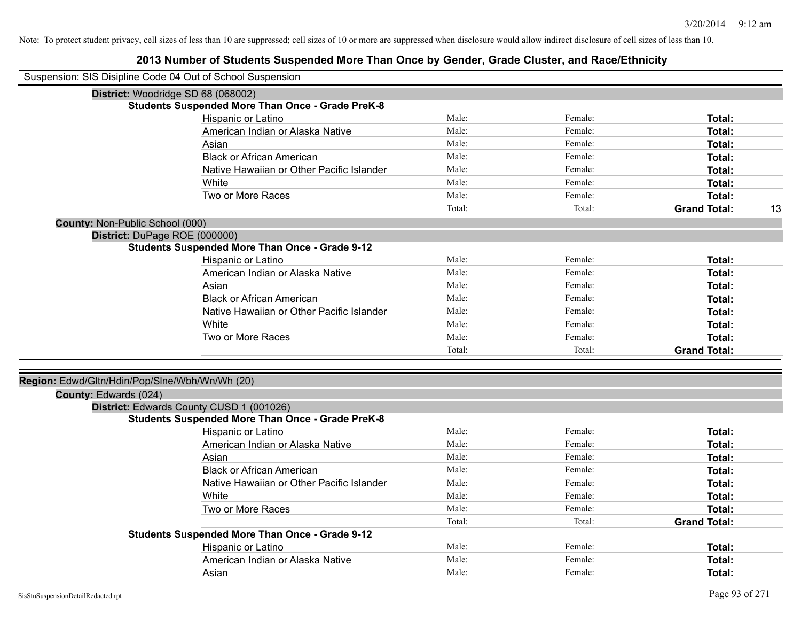| Suspension: SIS Disipline Code 04 Out of School Suspension              |                                                         |        |         |                     |    |
|-------------------------------------------------------------------------|---------------------------------------------------------|--------|---------|---------------------|----|
|                                                                         | District: Woodridge SD 68 (068002)                      |        |         |                     |    |
|                                                                         | <b>Students Suspended More Than Once - Grade PreK-8</b> |        |         |                     |    |
|                                                                         | Hispanic or Latino                                      | Male:  | Female: | Total:              |    |
|                                                                         | American Indian or Alaska Native                        | Male:  | Female: | Total:              |    |
|                                                                         | Asian                                                   | Male:  | Female: | Total:              |    |
|                                                                         | <b>Black or African American</b>                        | Male:  | Female: | Total:              |    |
|                                                                         | Native Hawaiian or Other Pacific Islander               | Male:  | Female: | Total:              |    |
|                                                                         | White                                                   | Male:  | Female: | Total:              |    |
|                                                                         | Two or More Races                                       | Male:  | Female: | Total:              |    |
|                                                                         |                                                         | Total: | Total:  | <b>Grand Total:</b> | 13 |
| County: Non-Public School (000)                                         |                                                         |        |         |                     |    |
| District: DuPage ROE (000000)                                           |                                                         |        |         |                     |    |
|                                                                         | <b>Students Suspended More Than Once - Grade 9-12</b>   |        |         |                     |    |
|                                                                         | Hispanic or Latino                                      | Male:  | Female: | Total:              |    |
|                                                                         | American Indian or Alaska Native                        | Male:  | Female: | Total:              |    |
|                                                                         | Asian                                                   | Male:  | Female: | Total:              |    |
|                                                                         | <b>Black or African American</b>                        | Male:  | Female: | <b>Total:</b>       |    |
|                                                                         | Native Hawaiian or Other Pacific Islander               | Male:  | Female: | <b>Total:</b>       |    |
|                                                                         | White                                                   | Male:  | Female: | Total:              |    |
|                                                                         | Two or More Races                                       | Male:  | Female: | Total:              |    |
|                                                                         |                                                         | Total: | Total:  | <b>Grand Total:</b> |    |
|                                                                         |                                                         |        |         |                     |    |
| Region: Edwd/Gltn/Hdin/Pop/Slne/Wbh/Wn/Wh (20)<br>County: Edwards (024) |                                                         |        |         |                     |    |
|                                                                         | District: Edwards County CUSD 1 (001026)                |        |         |                     |    |
|                                                                         | <b>Students Suspended More Than Once - Grade PreK-8</b> |        |         |                     |    |
|                                                                         | Hispanic or Latino                                      | Male:  | Female: | Total:              |    |
|                                                                         | American Indian or Alaska Native                        | Male:  | Female: | Total:              |    |
|                                                                         | Asian                                                   | Male:  | Female: | Total:              |    |
|                                                                         | <b>Black or African American</b>                        | Male:  | Female: | Total:              |    |
|                                                                         | Native Hawaiian or Other Pacific Islander               | Male:  | Female: | Total:              |    |
|                                                                         | White                                                   | Male:  | Female: | Total:              |    |
|                                                                         | Two or More Races                                       | Male:  | Female: | <b>Total:</b>       |    |
|                                                                         |                                                         | Total: | Total:  | <b>Grand Total:</b> |    |
|                                                                         | <b>Students Suspended More Than Once - Grade 9-12</b>   |        |         |                     |    |
|                                                                         | Hispanic or Latino                                      | Male:  | Female: | Total:              |    |
|                                                                         | American Indian or Alaska Native                        | Male:  | Female: | <b>Total:</b>       |    |
|                                                                         | Asian                                                   | Male:  | Female: | Total:              |    |
|                                                                         |                                                         |        |         |                     |    |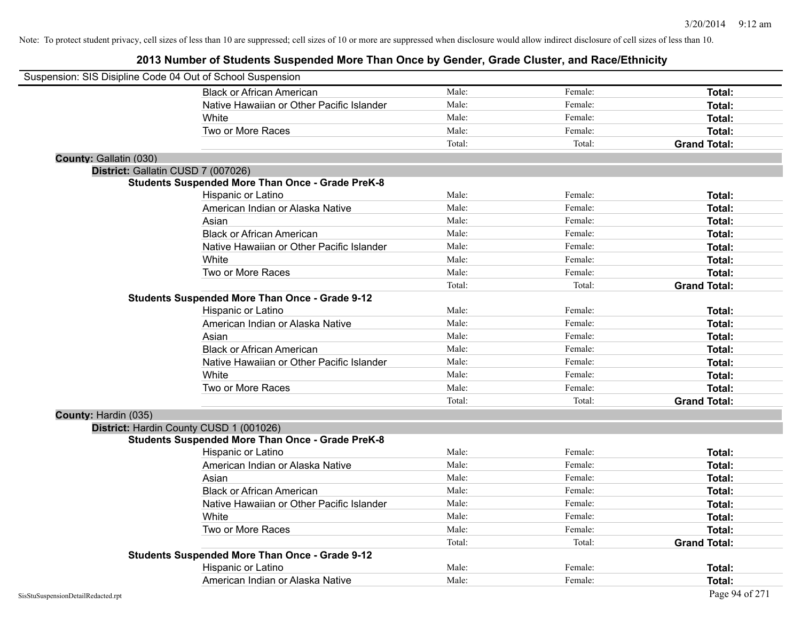| Suspension: SIS Disipline Code 04 Out of School Suspension |                                                         |        |         |                     |
|------------------------------------------------------------|---------------------------------------------------------|--------|---------|---------------------|
|                                                            | <b>Black or African American</b>                        | Male:  | Female: | Total:              |
|                                                            | Native Hawaiian or Other Pacific Islander               | Male:  | Female: | Total:              |
|                                                            | White                                                   | Male:  | Female: | Total:              |
|                                                            | Two or More Races                                       | Male:  | Female: | Total:              |
|                                                            |                                                         | Total: | Total:  | <b>Grand Total:</b> |
| County: Gallatin (030)                                     |                                                         |        |         |                     |
| District: Gallatin CUSD 7 (007026)                         |                                                         |        |         |                     |
|                                                            | <b>Students Suspended More Than Once - Grade PreK-8</b> |        |         |                     |
|                                                            | Hispanic or Latino                                      | Male:  | Female: | Total:              |
|                                                            | American Indian or Alaska Native                        | Male:  | Female: | Total:              |
|                                                            | Asian                                                   | Male:  | Female: | Total:              |
|                                                            | <b>Black or African American</b>                        | Male:  | Female: | Total:              |
|                                                            | Native Hawaiian or Other Pacific Islander               | Male:  | Female: | Total:              |
|                                                            | White                                                   | Male:  | Female: | Total:              |
|                                                            | Two or More Races                                       | Male:  | Female: | Total:              |
|                                                            |                                                         | Total: | Total:  | <b>Grand Total:</b> |
|                                                            | <b>Students Suspended More Than Once - Grade 9-12</b>   |        |         |                     |
|                                                            | Hispanic or Latino                                      | Male:  | Female: | Total:              |
|                                                            | American Indian or Alaska Native                        | Male:  | Female: | Total:              |
|                                                            | Asian                                                   | Male:  | Female: | Total:              |
|                                                            | <b>Black or African American</b>                        | Male:  | Female: | Total:              |
|                                                            | Native Hawaiian or Other Pacific Islander               | Male:  | Female: | Total:              |
|                                                            | White                                                   | Male:  | Female: | Total:              |
|                                                            | Two or More Races                                       | Male:  | Female: | Total:              |
|                                                            |                                                         | Total: | Total:  | <b>Grand Total:</b> |
| County: Hardin (035)                                       |                                                         |        |         |                     |
|                                                            | District: Hardin County CUSD 1 (001026)                 |        |         |                     |
|                                                            | <b>Students Suspended More Than Once - Grade PreK-8</b> |        |         |                     |
|                                                            | Hispanic or Latino                                      | Male:  | Female: | Total:              |
|                                                            | American Indian or Alaska Native                        | Male:  | Female: | Total:              |
|                                                            | Asian                                                   | Male:  | Female: | Total:              |
|                                                            | <b>Black or African American</b>                        | Male:  | Female: | Total:              |
|                                                            | Native Hawaiian or Other Pacific Islander               | Male:  | Female: | Total:              |
|                                                            | White                                                   | Male:  | Female: | Total:              |
|                                                            | Two or More Races                                       | Male:  | Female: | Total:              |
|                                                            |                                                         | Total: | Total:  | <b>Grand Total:</b> |
|                                                            | <b>Students Suspended More Than Once - Grade 9-12</b>   |        |         |                     |
|                                                            | Hispanic or Latino                                      | Male:  | Female: | <b>Total:</b>       |
|                                                            | American Indian or Alaska Native                        | Male:  | Female: | Total:              |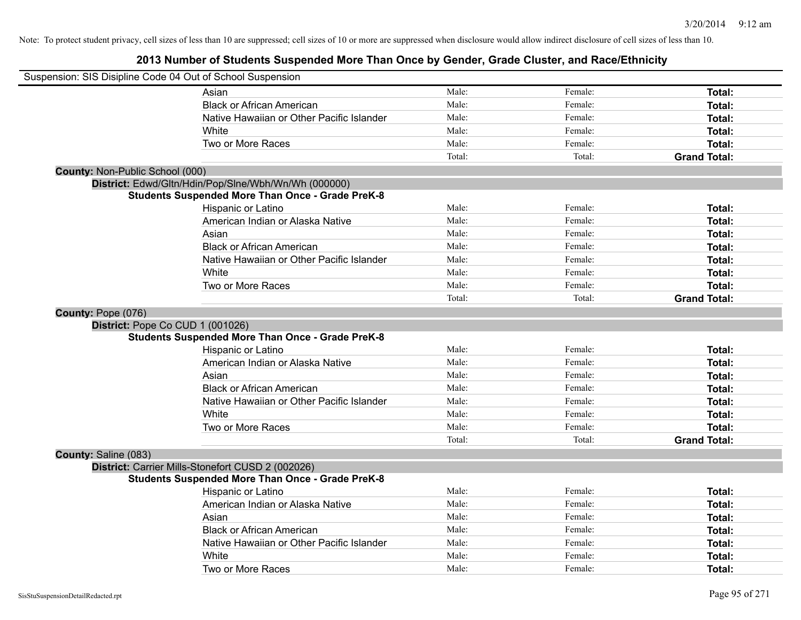|                                        | Suspension: SIS Disipline Code 04 Out of School Suspension |        |         |                     |
|----------------------------------------|------------------------------------------------------------|--------|---------|---------------------|
|                                        | Asian                                                      | Male:  | Female: | Total:              |
|                                        | <b>Black or African American</b>                           | Male:  | Female: | Total:              |
|                                        | Native Hawaiian or Other Pacific Islander                  | Male:  | Female: | Total:              |
|                                        | White                                                      | Male:  | Female: | Total:              |
|                                        | Two or More Races                                          | Male:  | Female: | Total:              |
|                                        |                                                            | Total: | Total:  | <b>Grand Total:</b> |
| <b>County: Non-Public School (000)</b> |                                                            |        |         |                     |
|                                        | District: Edwd/Gltn/Hdin/Pop/Slne/Wbh/Wn/Wh (000000)       |        |         |                     |
|                                        | <b>Students Suspended More Than Once - Grade PreK-8</b>    |        |         |                     |
|                                        | Hispanic or Latino                                         | Male:  | Female: | Total:              |
|                                        | American Indian or Alaska Native                           | Male:  | Female: | Total:              |
|                                        | Asian                                                      | Male:  | Female: | Total:              |
|                                        | <b>Black or African American</b>                           | Male:  | Female: | Total:              |
|                                        | Native Hawaiian or Other Pacific Islander                  | Male:  | Female: | Total:              |
|                                        | White                                                      | Male:  | Female: | Total:              |
|                                        | Two or More Races                                          | Male:  | Female: | Total:              |
|                                        |                                                            | Total: | Total:  | <b>Grand Total:</b> |
| County: Pope (076)                     |                                                            |        |         |                     |
|                                        | District: Pope Co CUD 1 (001026)                           |        |         |                     |
|                                        | <b>Students Suspended More Than Once - Grade PreK-8</b>    |        |         |                     |
|                                        | Hispanic or Latino                                         | Male:  | Female: | Total:              |
|                                        | American Indian or Alaska Native                           | Male:  | Female: | Total:              |
|                                        | Asian                                                      | Male:  | Female: | Total:              |
|                                        | <b>Black or African American</b>                           | Male:  | Female: | Total:              |
|                                        | Native Hawaiian or Other Pacific Islander                  | Male:  | Female: | Total:              |
|                                        | White                                                      | Male:  | Female: | Total:              |
|                                        | Two or More Races                                          | Male:  | Female: | Total:              |
|                                        |                                                            | Total: | Total:  | <b>Grand Total:</b> |
| County: Saline (083)                   |                                                            |        |         |                     |
|                                        | District: Carrier Mills-Stonefort CUSD 2 (002026)          |        |         |                     |
|                                        | <b>Students Suspended More Than Once - Grade PreK-8</b>    |        |         |                     |
|                                        | Hispanic or Latino                                         | Male:  | Female: | Total:              |
|                                        | American Indian or Alaska Native                           | Male:  | Female: | Total:              |
|                                        | Asian                                                      | Male:  | Female: | Total:              |
|                                        | <b>Black or African American</b>                           | Male:  | Female: | Total:              |
|                                        | Native Hawaiian or Other Pacific Islander                  | Male:  | Female: | Total:              |
|                                        | White                                                      | Male:  | Female: | Total:              |
|                                        | Two or More Races                                          | Male:  | Female: | Total:              |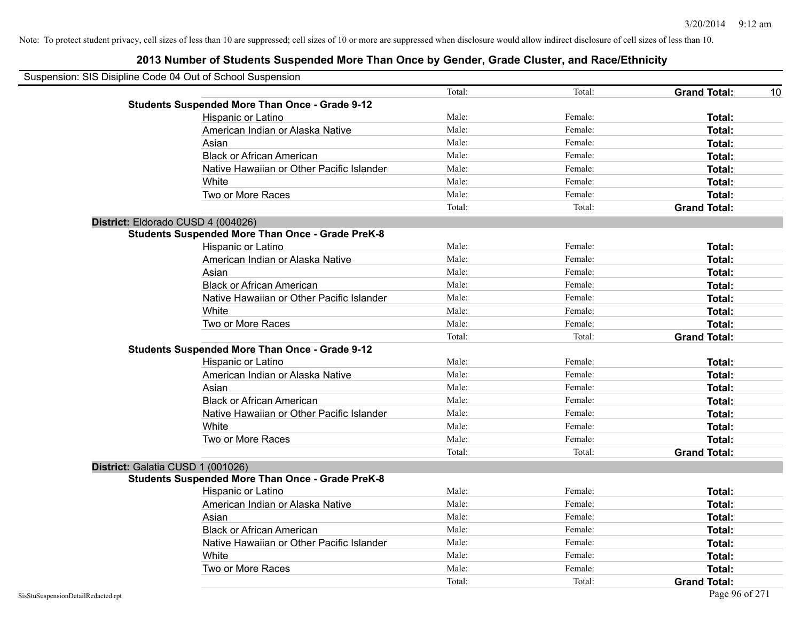| Suspension: SIS Disipline Code 04 Out of School Suspension |                                                         |        |         |                           |
|------------------------------------------------------------|---------------------------------------------------------|--------|---------|---------------------------|
|                                                            |                                                         | Total: | Total:  | <b>Grand Total:</b><br>10 |
|                                                            | <b>Students Suspended More Than Once - Grade 9-12</b>   |        |         |                           |
|                                                            | Hispanic or Latino                                      | Male:  | Female: | Total:                    |
|                                                            | American Indian or Alaska Native                        | Male:  | Female: | Total:                    |
|                                                            | Asian                                                   | Male:  | Female: | Total:                    |
|                                                            | <b>Black or African American</b>                        | Male:  | Female: | Total:                    |
|                                                            | Native Hawaiian or Other Pacific Islander               | Male:  | Female: | Total:                    |
|                                                            | White                                                   | Male:  | Female: | <b>Total:</b>             |
|                                                            | Two or More Races                                       | Male:  | Female: | Total:                    |
|                                                            |                                                         | Total: | Total:  | <b>Grand Total:</b>       |
| District: Eldorado CUSD 4 (004026)                         |                                                         |        |         |                           |
|                                                            | <b>Students Suspended More Than Once - Grade PreK-8</b> |        |         |                           |
|                                                            | Hispanic or Latino                                      | Male:  | Female: | Total:                    |
|                                                            | American Indian or Alaska Native                        | Male:  | Female: | Total:                    |
|                                                            | Asian                                                   | Male:  | Female: | <b>Total:</b>             |
|                                                            | <b>Black or African American</b>                        | Male:  | Female: | Total:                    |
|                                                            | Native Hawaiian or Other Pacific Islander               | Male:  | Female: | Total:                    |
|                                                            | White                                                   | Male:  | Female: | Total:                    |
|                                                            | Two or More Races                                       | Male:  | Female: | Total:                    |
|                                                            |                                                         | Total: | Total:  | <b>Grand Total:</b>       |
|                                                            | <b>Students Suspended More Than Once - Grade 9-12</b>   |        |         |                           |
|                                                            | Hispanic or Latino                                      | Male:  | Female: | Total:                    |
|                                                            | American Indian or Alaska Native                        | Male:  | Female: | <b>Total:</b>             |
|                                                            | Asian                                                   | Male:  | Female: | <b>Total:</b>             |
|                                                            | <b>Black or African American</b>                        | Male:  | Female: | Total:                    |
|                                                            | Native Hawaiian or Other Pacific Islander               | Male:  | Female: | Total:                    |
|                                                            | White                                                   | Male:  | Female: | Total:                    |
|                                                            | Two or More Races                                       | Male:  | Female: | Total:                    |
|                                                            |                                                         | Total: | Total:  | <b>Grand Total:</b>       |
| District: Galatia CUSD 1 (001026)                          |                                                         |        |         |                           |
|                                                            | <b>Students Suspended More Than Once - Grade PreK-8</b> |        |         |                           |
|                                                            | Hispanic or Latino                                      | Male:  | Female: | Total:                    |
|                                                            | American Indian or Alaska Native                        | Male:  | Female: | Total:                    |
|                                                            | Asian                                                   | Male:  | Female: | Total:                    |
|                                                            | <b>Black or African American</b>                        | Male:  | Female: | Total:                    |
|                                                            | Native Hawaiian or Other Pacific Islander               | Male:  | Female: | Total:                    |
|                                                            | White                                                   | Male:  | Female: | Total:                    |
|                                                            | Two or More Races                                       | Male:  | Female: | Total:                    |
|                                                            |                                                         | Total: | Total:  | <b>Grand Total:</b>       |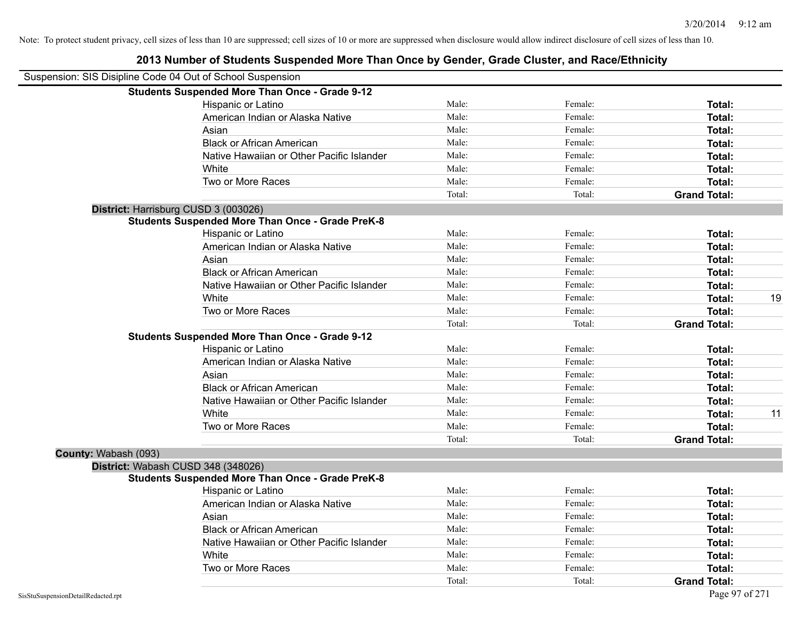| Suspension: SIS Disipline Code 04 Out of School Suspension |                                                         |        |         |                     |    |
|------------------------------------------------------------|---------------------------------------------------------|--------|---------|---------------------|----|
|                                                            | <b>Students Suspended More Than Once - Grade 9-12</b>   |        |         |                     |    |
|                                                            | Hispanic or Latino                                      | Male:  | Female: | Total:              |    |
|                                                            | American Indian or Alaska Native                        | Male:  | Female: | <b>Total:</b>       |    |
|                                                            | Asian                                                   | Male:  | Female: | <b>Total:</b>       |    |
|                                                            | <b>Black or African American</b>                        | Male:  | Female: | <b>Total:</b>       |    |
|                                                            | Native Hawaiian or Other Pacific Islander               | Male:  | Female: | <b>Total:</b>       |    |
|                                                            | White                                                   | Male:  | Female: | Total:              |    |
|                                                            | Two or More Races                                       | Male:  | Female: | Total:              |    |
|                                                            |                                                         | Total: | Total:  | <b>Grand Total:</b> |    |
|                                                            | District: Harrisburg CUSD 3 (003026)                    |        |         |                     |    |
|                                                            | <b>Students Suspended More Than Once - Grade PreK-8</b> |        |         |                     |    |
|                                                            | Hispanic or Latino                                      | Male:  | Female: | Total:              |    |
|                                                            | American Indian or Alaska Native                        | Male:  | Female: | <b>Total:</b>       |    |
|                                                            | Asian                                                   | Male:  | Female: | Total:              |    |
|                                                            | <b>Black or African American</b>                        | Male:  | Female: | Total:              |    |
|                                                            | Native Hawaiian or Other Pacific Islander               | Male:  | Female: | <b>Total:</b>       |    |
|                                                            | White                                                   | Male:  | Female: | Total:              | 19 |
|                                                            | Two or More Races                                       | Male:  | Female: | <b>Total:</b>       |    |
|                                                            |                                                         | Total: | Total:  | <b>Grand Total:</b> |    |
|                                                            | <b>Students Suspended More Than Once - Grade 9-12</b>   |        |         |                     |    |
|                                                            | Hispanic or Latino                                      | Male:  | Female: | Total:              |    |
|                                                            | American Indian or Alaska Native                        | Male:  | Female: | <b>Total:</b>       |    |
|                                                            | Asian                                                   | Male:  | Female: | Total:              |    |
|                                                            | <b>Black or African American</b>                        | Male:  | Female: | <b>Total:</b>       |    |
|                                                            | Native Hawaiian or Other Pacific Islander               | Male:  | Female: | <b>Total:</b>       |    |
|                                                            | White                                                   | Male:  | Female: | <b>Total:</b>       | 11 |
|                                                            | Two or More Races                                       | Male:  | Female: | Total:              |    |
|                                                            |                                                         | Total: | Total:  | <b>Grand Total:</b> |    |
| County: Wabash (093)                                       |                                                         |        |         |                     |    |
|                                                            | District: Wabash CUSD 348 (348026)                      |        |         |                     |    |
|                                                            | <b>Students Suspended More Than Once - Grade PreK-8</b> |        |         |                     |    |
|                                                            | Hispanic or Latino                                      | Male:  | Female: | Total:              |    |
|                                                            | American Indian or Alaska Native                        | Male:  | Female: | Total:              |    |
|                                                            | Asian                                                   | Male:  | Female: | <b>Total:</b>       |    |
|                                                            | <b>Black or African American</b>                        | Male:  | Female: | <b>Total:</b>       |    |
|                                                            | Native Hawaiian or Other Pacific Islander               | Male:  | Female: | Total:              |    |
|                                                            | White                                                   | Male:  | Female: | <b>Total:</b>       |    |
|                                                            | Two or More Races                                       | Male:  | Female: | <b>Total:</b>       |    |
|                                                            |                                                         | Total: | Total:  | <b>Grand Total:</b> |    |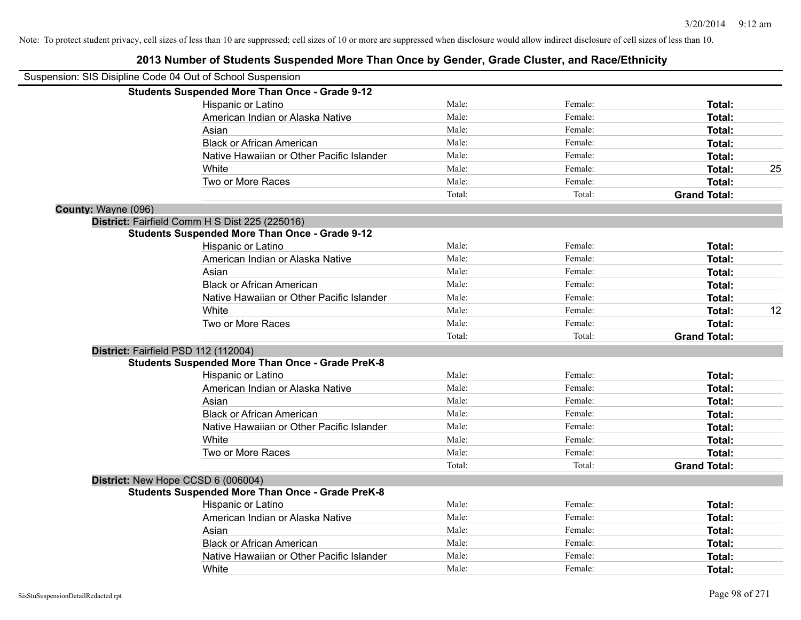|                     | Suspension: SIS Disipline Code 04 Out of School Suspension |        |         |                     |    |
|---------------------|------------------------------------------------------------|--------|---------|---------------------|----|
|                     | <b>Students Suspended More Than Once - Grade 9-12</b>      |        |         |                     |    |
|                     | Hispanic or Latino                                         | Male:  | Female: | Total:              |    |
|                     | American Indian or Alaska Native                           | Male:  | Female: | Total:              |    |
|                     | Asian                                                      | Male:  | Female: | Total:              |    |
|                     | <b>Black or African American</b>                           | Male:  | Female: | Total:              |    |
|                     | Native Hawaiian or Other Pacific Islander                  | Male:  | Female: | Total:              |    |
|                     | White                                                      | Male:  | Female: | Total:              | 25 |
|                     | Two or More Races                                          | Male:  | Female: | Total:              |    |
|                     |                                                            | Total: | Total:  | <b>Grand Total:</b> |    |
| County: Wayne (096) |                                                            |        |         |                     |    |
|                     | District: Fairfield Comm H S Dist 225 (225016)             |        |         |                     |    |
|                     | <b>Students Suspended More Than Once - Grade 9-12</b>      |        |         |                     |    |
|                     | Hispanic or Latino                                         | Male:  | Female: | Total:              |    |
|                     | American Indian or Alaska Native                           | Male:  | Female: | Total:              |    |
|                     | Asian                                                      | Male:  | Female: | Total:              |    |
|                     | <b>Black or African American</b>                           | Male:  | Female: | Total:              |    |
|                     | Native Hawaiian or Other Pacific Islander                  | Male:  | Female: | Total:              |    |
|                     | White                                                      | Male:  | Female: | Total:              | 12 |
|                     | Two or More Races                                          | Male:  | Female: | Total:              |    |
|                     |                                                            | Total: | Total:  | <b>Grand Total:</b> |    |
|                     | District: Fairfield PSD 112 (112004)                       |        |         |                     |    |
|                     | <b>Students Suspended More Than Once - Grade PreK-8</b>    |        |         |                     |    |
|                     | Hispanic or Latino                                         | Male:  | Female: | Total:              |    |
|                     | American Indian or Alaska Native                           | Male:  | Female: | Total:              |    |
|                     | Asian                                                      | Male:  | Female: | Total:              |    |
|                     | <b>Black or African American</b>                           | Male:  | Female: | Total:              |    |
|                     | Native Hawaiian or Other Pacific Islander                  | Male:  | Female: | Total:              |    |
|                     | White                                                      | Male:  | Female: | Total:              |    |
|                     | Two or More Races                                          | Male:  | Female: | Total:              |    |
|                     |                                                            | Total: | Total:  | <b>Grand Total:</b> |    |
|                     | District: New Hope CCSD 6 (006004)                         |        |         |                     |    |
|                     | <b>Students Suspended More Than Once - Grade PreK-8</b>    |        |         |                     |    |
|                     | Hispanic or Latino                                         | Male:  | Female: | Total:              |    |
|                     | American Indian or Alaska Native                           | Male:  | Female: | Total:              |    |
|                     | Asian                                                      | Male:  | Female: | Total:              |    |
|                     | <b>Black or African American</b>                           | Male:  | Female: | Total:              |    |
|                     | Native Hawaiian or Other Pacific Islander                  | Male:  | Female: | Total:              |    |
|                     | White                                                      | Male:  | Female: | Total:              |    |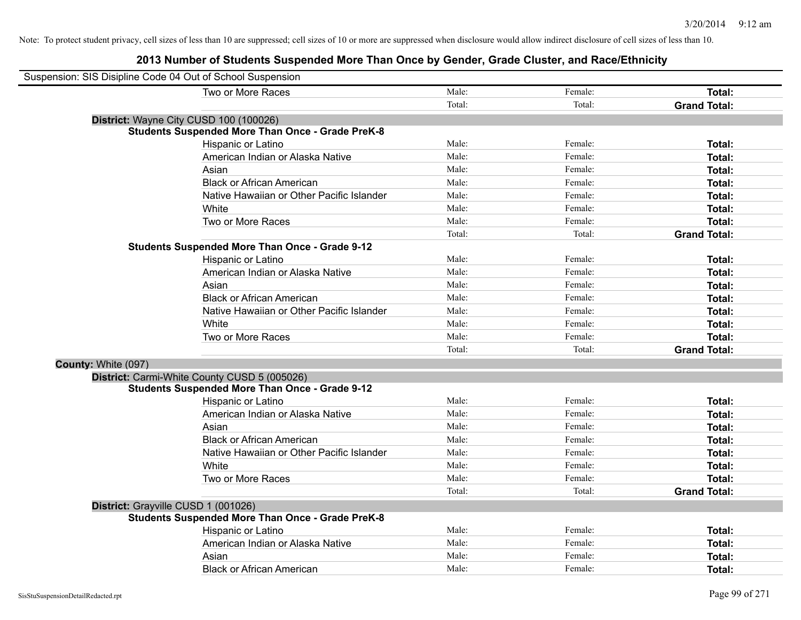| Suspension: SIS Disipline Code 04 Out of School Suspension |                                                         |        |         |                     |
|------------------------------------------------------------|---------------------------------------------------------|--------|---------|---------------------|
|                                                            | Two or More Races                                       | Male:  | Female: | Total:              |
|                                                            |                                                         | Total: | Total:  | <b>Grand Total:</b> |
|                                                            | District: Wayne City CUSD 100 (100026)                  |        |         |                     |
|                                                            | <b>Students Suspended More Than Once - Grade PreK-8</b> |        |         |                     |
|                                                            | Hispanic or Latino                                      | Male:  | Female: | Total:              |
|                                                            | American Indian or Alaska Native                        | Male:  | Female: | Total:              |
|                                                            | Asian                                                   | Male:  | Female: | Total:              |
|                                                            | <b>Black or African American</b>                        | Male:  | Female: | Total:              |
|                                                            | Native Hawaiian or Other Pacific Islander               | Male:  | Female: | Total:              |
|                                                            | White                                                   | Male:  | Female: | Total:              |
|                                                            | Two or More Races                                       | Male:  | Female: | Total:              |
|                                                            |                                                         | Total: | Total:  | <b>Grand Total:</b> |
|                                                            | <b>Students Suspended More Than Once - Grade 9-12</b>   |        |         |                     |
|                                                            | Hispanic or Latino                                      | Male:  | Female: | Total:              |
|                                                            | American Indian or Alaska Native                        | Male:  | Female: | Total:              |
|                                                            | Asian                                                   | Male:  | Female: | Total:              |
|                                                            | <b>Black or African American</b>                        | Male:  | Female: | Total:              |
|                                                            | Native Hawaiian or Other Pacific Islander               | Male:  | Female: | Total:              |
|                                                            | White                                                   | Male:  | Female: | Total:              |
|                                                            | Two or More Races                                       | Male:  | Female: | Total:              |
|                                                            |                                                         | Total: | Total:  | <b>Grand Total:</b> |
| County: White (097)                                        |                                                         |        |         |                     |
|                                                            | District: Carmi-White County CUSD 5 (005026)            |        |         |                     |
|                                                            | <b>Students Suspended More Than Once - Grade 9-12</b>   |        |         |                     |
|                                                            | Hispanic or Latino                                      | Male:  | Female: | Total:              |
|                                                            | American Indian or Alaska Native                        | Male:  | Female: | Total:              |
|                                                            | Asian                                                   | Male:  | Female: | Total:              |
|                                                            | <b>Black or African American</b>                        | Male:  | Female: | Total:              |
|                                                            | Native Hawaiian or Other Pacific Islander               | Male:  | Female: | Total:              |
|                                                            | White                                                   | Male:  | Female: | Total:              |
|                                                            | Two or More Races                                       | Male:  | Female: | Total:              |
|                                                            |                                                         | Total: | Total:  | <b>Grand Total:</b> |
| District: Grayville CUSD 1 (001026)                        |                                                         |        |         |                     |
|                                                            | <b>Students Suspended More Than Once - Grade PreK-8</b> |        |         |                     |
|                                                            | Hispanic or Latino                                      | Male:  | Female: | Total:              |
|                                                            | American Indian or Alaska Native                        | Male:  | Female: | Total:              |
|                                                            | Asian                                                   | Male:  | Female: | Total:              |
|                                                            | <b>Black or African American</b>                        | Male:  | Female: | Total:              |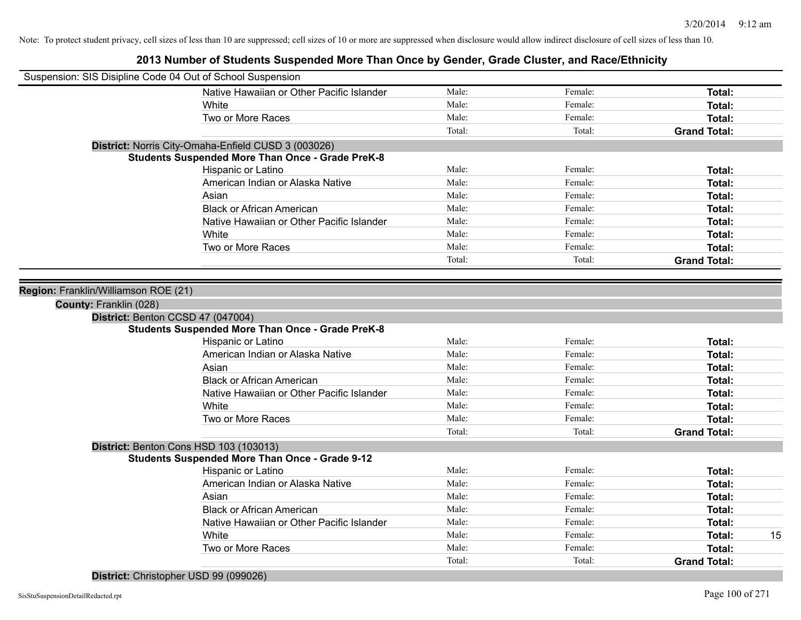|                                      | Suspension: SIS Disipline Code 04 Out of School Suspension |        |         |                     |    |
|--------------------------------------|------------------------------------------------------------|--------|---------|---------------------|----|
|                                      | Native Hawaiian or Other Pacific Islander                  | Male:  | Female: | Total:              |    |
|                                      | White                                                      | Male:  | Female: | Total:              |    |
|                                      | Two or More Races                                          | Male:  | Female: | Total:              |    |
|                                      |                                                            | Total: | Total:  | <b>Grand Total:</b> |    |
|                                      | District: Norris City-Omaha-Enfield CUSD 3 (003026)        |        |         |                     |    |
|                                      | <b>Students Suspended More Than Once - Grade PreK-8</b>    |        |         |                     |    |
|                                      | Hispanic or Latino                                         | Male:  | Female: | Total:              |    |
|                                      | American Indian or Alaska Native                           | Male:  | Female: | Total:              |    |
|                                      | Asian                                                      | Male:  | Female: | Total:              |    |
|                                      | <b>Black or African American</b>                           | Male:  | Female: | Total:              |    |
|                                      | Native Hawaiian or Other Pacific Islander                  | Male:  | Female: | Total:              |    |
|                                      | White                                                      | Male:  | Female: | Total:              |    |
|                                      | Two or More Races                                          | Male:  | Female: | Total:              |    |
|                                      |                                                            | Total: | Total:  | <b>Grand Total:</b> |    |
|                                      |                                                            |        |         |                     |    |
| Region: Franklin/Williamson ROE (21) |                                                            |        |         |                     |    |
| County: Franklin (028)               |                                                            |        |         |                     |    |
|                                      | District: Benton CCSD 47 (047004)                          |        |         |                     |    |
|                                      | <b>Students Suspended More Than Once - Grade PreK-8</b>    |        |         |                     |    |
|                                      | Hispanic or Latino                                         | Male:  | Female: | Total:              |    |
|                                      | American Indian or Alaska Native                           | Male:  | Female: | Total:              |    |
|                                      | Asian                                                      | Male:  | Female: | Total:              |    |
|                                      | <b>Black or African American</b>                           | Male:  | Female: | Total:              |    |
|                                      | Native Hawaiian or Other Pacific Islander                  | Male:  | Female: | Total:              |    |
|                                      | White                                                      | Male:  | Female: | Total:              |    |
|                                      | Two or More Races                                          | Male:  | Female: | Total:              |    |
|                                      |                                                            | Total: | Total:  | <b>Grand Total:</b> |    |
|                                      | District: Benton Cons HSD 103 (103013)                     |        |         |                     |    |
|                                      | <b>Students Suspended More Than Once - Grade 9-12</b>      |        |         |                     |    |
|                                      | Hispanic or Latino                                         | Male:  | Female: | Total:              |    |
|                                      | American Indian or Alaska Native                           | Male:  | Female: | Total:              |    |
|                                      | Asian                                                      | Male:  | Female: | Total:              |    |
|                                      | <b>Black or African American</b>                           | Male:  | Female: | Total:              |    |
|                                      | Native Hawaiian or Other Pacific Islander                  | Male:  | Female: | Total:              |    |
|                                      | White                                                      | Male:  | Female: | Total:              | 15 |
|                                      | Two or More Races                                          | Male:  | Female: | Total:              |    |
|                                      |                                                            | Total: | Total:  | <b>Grand Total:</b> |    |
|                                      |                                                            |        |         |                     |    |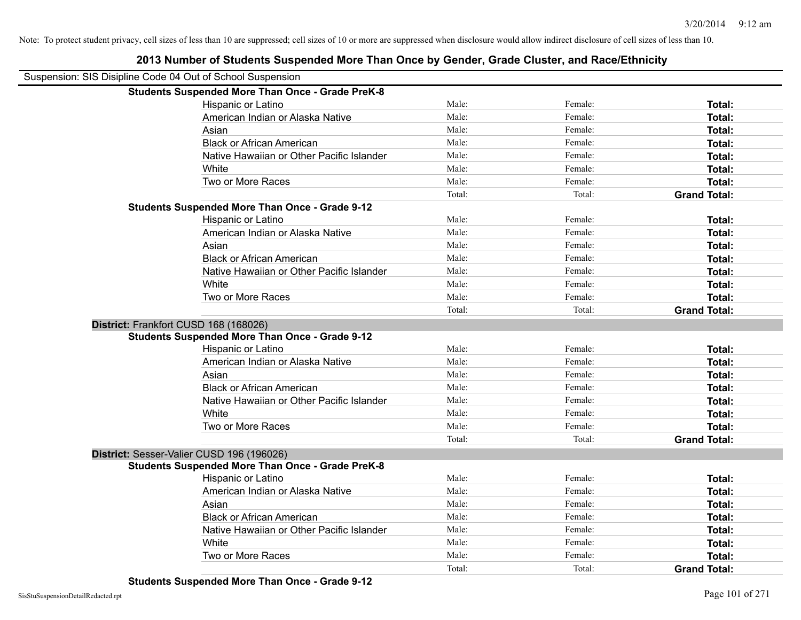| Suspension: SIS Disipline Code 04 Out of School Suspension |        |         |                     |
|------------------------------------------------------------|--------|---------|---------------------|
| <b>Students Suspended More Than Once - Grade PreK-8</b>    |        |         |                     |
| Hispanic or Latino                                         | Male:  | Female: | Total:              |
| American Indian or Alaska Native                           | Male:  | Female: | Total:              |
| Asian                                                      | Male:  | Female: | Total:              |
| <b>Black or African American</b>                           | Male:  | Female: | Total:              |
| Native Hawaiian or Other Pacific Islander                  | Male:  | Female: | Total:              |
| White                                                      | Male:  | Female: | Total:              |
| Two or More Races                                          | Male:  | Female: | <b>Total:</b>       |
|                                                            | Total: | Total:  | <b>Grand Total:</b> |
| <b>Students Suspended More Than Once - Grade 9-12</b>      |        |         |                     |
| Hispanic or Latino                                         | Male:  | Female: | Total:              |
| American Indian or Alaska Native                           | Male:  | Female: | Total:              |
| Asian                                                      | Male:  | Female: | Total:              |
| <b>Black or African American</b>                           | Male:  | Female: | <b>Total:</b>       |
| Native Hawaiian or Other Pacific Islander                  | Male:  | Female: | Total:              |
| White                                                      | Male:  | Female: | Total:              |
| Two or More Races                                          | Male:  | Female: | <b>Total:</b>       |
|                                                            | Total: | Total:  | <b>Grand Total:</b> |
| District: Frankfort CUSD 168 (168026)                      |        |         |                     |
| <b>Students Suspended More Than Once - Grade 9-12</b>      |        |         |                     |
| Hispanic or Latino                                         | Male:  | Female: | Total:              |
| American Indian or Alaska Native                           | Male:  | Female: | Total:              |
| Asian                                                      | Male:  | Female: | Total:              |
| <b>Black or African American</b>                           | Male:  | Female: | Total:              |
| Native Hawaiian or Other Pacific Islander                  | Male:  | Female: | Total:              |
| White                                                      | Male:  | Female: | Total:              |
| Two or More Races                                          | Male:  | Female: | Total:              |
|                                                            | Total: | Total:  | <b>Grand Total:</b> |
| District: Sesser-Valier CUSD 196 (196026)                  |        |         |                     |
| <b>Students Suspended More Than Once - Grade PreK-8</b>    |        |         |                     |
| Hispanic or Latino                                         | Male:  | Female: | Total:              |
| American Indian or Alaska Native                           | Male:  | Female: | Total:              |
| Asian                                                      | Male:  | Female: | Total:              |
| <b>Black or African American</b>                           | Male:  | Female: | Total:              |
| Native Hawaiian or Other Pacific Islander                  | Male:  | Female: | Total:              |
| White                                                      | Male:  | Female: | Total:              |
| Two or More Races                                          | Male:  | Female: | <b>Total:</b>       |
|                                                            | Total: | Total:  | <b>Grand Total:</b> |
|                                                            |        |         |                     |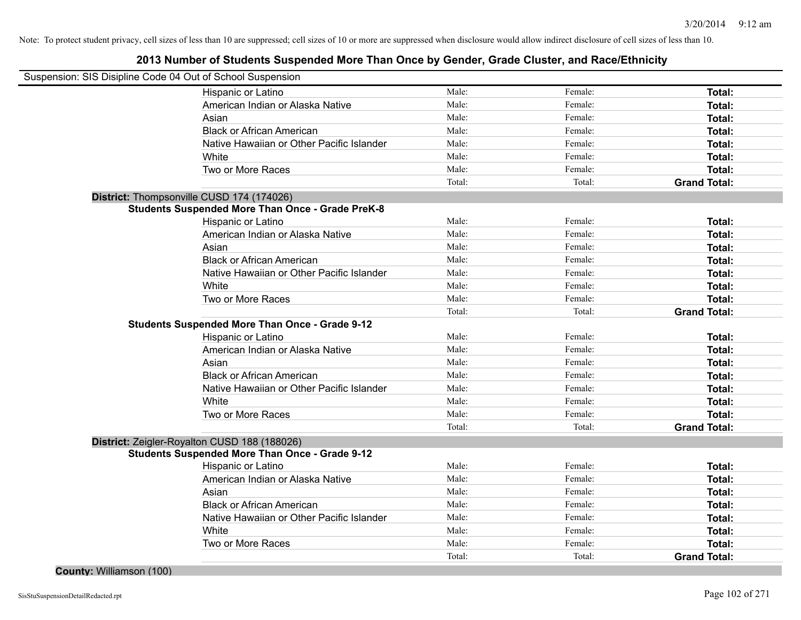## **2013 Number of Students Suspended More Than Once by Gender, Grade Cluster, and Race/Ethnicity**

| Suspension: SIS Disipline Code 04 Out of School Suspension |        |         |                     |
|------------------------------------------------------------|--------|---------|---------------------|
| Hispanic or Latino                                         | Male:  | Female: | Total:              |
| American Indian or Alaska Native                           | Male:  | Female: | Total:              |
| Asian                                                      | Male:  | Female: | Total:              |
| <b>Black or African American</b>                           | Male:  | Female: | Total:              |
| Native Hawaiian or Other Pacific Islander                  | Male:  | Female: | Total:              |
| White                                                      | Male:  | Female: | Total:              |
| Two or More Races                                          | Male:  | Female: | Total:              |
|                                                            | Total: | Total:  | <b>Grand Total:</b> |
| District: Thompsonville CUSD 174 (174026)                  |        |         |                     |
| <b>Students Suspended More Than Once - Grade PreK-8</b>    |        |         |                     |
| Hispanic or Latino                                         | Male:  | Female: | Total:              |
| American Indian or Alaska Native                           | Male:  | Female: | Total:              |
| Asian                                                      | Male:  | Female: | Total:              |
| <b>Black or African American</b>                           | Male:  | Female: | Total:              |
| Native Hawaiian or Other Pacific Islander                  | Male:  | Female: | Total:              |
| White                                                      | Male:  | Female: | Total:              |
| Two or More Races                                          | Male:  | Female: | Total:              |
|                                                            | Total: | Total:  | <b>Grand Total:</b> |
| <b>Students Suspended More Than Once - Grade 9-12</b>      |        |         |                     |
| Hispanic or Latino                                         | Male:  | Female: | Total:              |
| American Indian or Alaska Native                           | Male:  | Female: | Total:              |
| Asian                                                      | Male:  | Female: | Total:              |
| <b>Black or African American</b>                           | Male:  | Female: | Total:              |
| Native Hawaiian or Other Pacific Islander                  | Male:  | Female: | Total:              |
| White                                                      | Male:  | Female: | Total:              |
| Two or More Races                                          | Male:  | Female: | Total:              |
|                                                            | Total: | Total:  | <b>Grand Total:</b> |
| District: Zeigler-Royalton CUSD 188 (188026)               |        |         |                     |
| <b>Students Suspended More Than Once - Grade 9-12</b>      |        |         |                     |
| Hispanic or Latino                                         | Male:  | Female: | Total:              |
| American Indian or Alaska Native                           | Male:  | Female: | Total:              |
| Asian                                                      | Male:  | Female: | Total:              |
| <b>Black or African American</b>                           | Male:  | Female: | Total:              |
| Native Hawaiian or Other Pacific Islander                  | Male:  | Female: | Total:              |
| White                                                      | Male:  | Female: | Total:              |
| Two or More Races                                          | Male:  | Female: | Total:              |
|                                                            | Total: | Total:  | <b>Grand Total:</b> |

**County:** Williamson (100)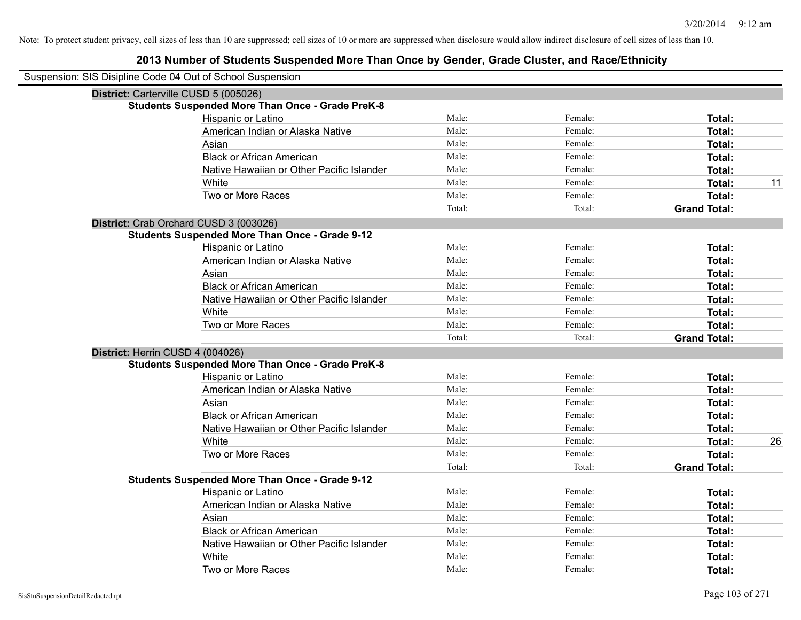| Suspension: SIS Disipline Code 04 Out of School Suspension |        |         |                     |
|------------------------------------------------------------|--------|---------|---------------------|
| District: Carterville CUSD 5 (005026)                      |        |         |                     |
| <b>Students Suspended More Than Once - Grade PreK-8</b>    |        |         |                     |
| Hispanic or Latino                                         | Male:  | Female: | <b>Total:</b>       |
| American Indian or Alaska Native                           | Male:  | Female: | Total:              |
| Asian                                                      | Male:  | Female: | <b>Total:</b>       |
| <b>Black or African American</b>                           | Male:  | Female: | <b>Total:</b>       |
| Native Hawaiian or Other Pacific Islander                  | Male:  | Female: | Total:              |
| White                                                      | Male:  | Female: | 11<br>Total:        |
| Two or More Races                                          | Male:  | Female: | <b>Total:</b>       |
|                                                            | Total: | Total:  | <b>Grand Total:</b> |
| District: Crab Orchard CUSD 3 (003026)                     |        |         |                     |
| <b>Students Suspended More Than Once - Grade 9-12</b>      |        |         |                     |
| Hispanic or Latino                                         | Male:  | Female: | Total:              |
| American Indian or Alaska Native                           | Male:  | Female: | <b>Total:</b>       |
| Asian                                                      | Male:  | Female: | Total:              |
| <b>Black or African American</b>                           | Male:  | Female: | <b>Total:</b>       |
| Native Hawaiian or Other Pacific Islander                  | Male:  | Female: | <b>Total:</b>       |
| White                                                      | Male:  | Female: | Total:              |
| Two or More Races                                          | Male:  | Female: | <b>Total:</b>       |
|                                                            | Total: | Total:  | <b>Grand Total:</b> |
| District: Herrin CUSD 4 (004026)                           |        |         |                     |
| <b>Students Suspended More Than Once - Grade PreK-8</b>    |        |         |                     |
| Hispanic or Latino                                         | Male:  | Female: | Total:              |
| American Indian or Alaska Native                           | Male:  | Female: | Total:              |
| Asian                                                      | Male:  | Female: | <b>Total:</b>       |
| <b>Black or African American</b>                           | Male:  | Female: | <b>Total:</b>       |
| Native Hawaiian or Other Pacific Islander                  | Male:  | Female: | <b>Total:</b>       |
| White                                                      | Male:  | Female: | 26<br><b>Total:</b> |
| Two or More Races                                          | Male:  | Female: | <b>Total:</b>       |
|                                                            | Total: | Total:  | <b>Grand Total:</b> |
| <b>Students Suspended More Than Once - Grade 9-12</b>      |        |         |                     |
| Hispanic or Latino                                         | Male:  | Female: | Total:              |
| American Indian or Alaska Native                           | Male:  | Female: | <b>Total:</b>       |
| Asian                                                      | Male:  | Female: | <b>Total:</b>       |
| <b>Black or African American</b>                           | Male:  | Female: | <b>Total:</b>       |
| Native Hawaiian or Other Pacific Islander                  | Male:  | Female: | <b>Total:</b>       |
| White                                                      | Male:  | Female: | <b>Total:</b>       |
| Two or More Races                                          | Male:  | Female: | Total:              |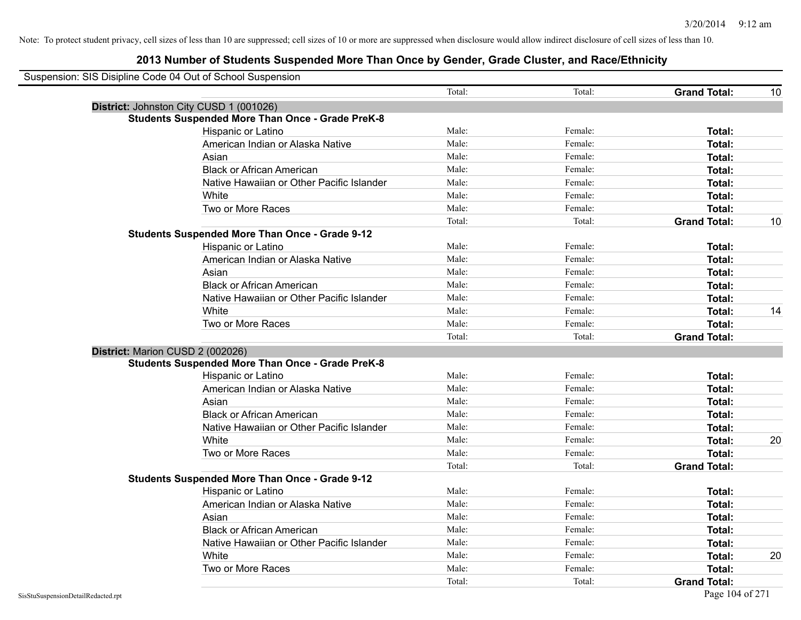| Suspension: SIS Disipline Code 04 Out of School Suspension |                                                         |        |         |                     |    |
|------------------------------------------------------------|---------------------------------------------------------|--------|---------|---------------------|----|
|                                                            |                                                         | Total: | Total:  | <b>Grand Total:</b> | 10 |
|                                                            | District: Johnston City CUSD 1 (001026)                 |        |         |                     |    |
|                                                            | <b>Students Suspended More Than Once - Grade PreK-8</b> |        |         |                     |    |
|                                                            | Hispanic or Latino                                      | Male:  | Female: | Total:              |    |
|                                                            | American Indian or Alaska Native                        | Male:  | Female: | Total:              |    |
|                                                            | Asian                                                   | Male:  | Female: | Total:              |    |
|                                                            | <b>Black or African American</b>                        | Male:  | Female: | <b>Total:</b>       |    |
|                                                            | Native Hawaiian or Other Pacific Islander               | Male:  | Female: | Total:              |    |
|                                                            | White                                                   | Male:  | Female: | <b>Total:</b>       |    |
|                                                            | Two or More Races                                       | Male:  | Female: | <b>Total:</b>       |    |
|                                                            |                                                         | Total: | Total:  | <b>Grand Total:</b> | 10 |
|                                                            | <b>Students Suspended More Than Once - Grade 9-12</b>   |        |         |                     |    |
|                                                            | Hispanic or Latino                                      | Male:  | Female: | Total:              |    |
|                                                            | American Indian or Alaska Native                        | Male:  | Female: | Total:              |    |
|                                                            | Asian                                                   | Male:  | Female: | <b>Total:</b>       |    |
|                                                            | <b>Black or African American</b>                        | Male:  | Female: | Total:              |    |
|                                                            | Native Hawaiian or Other Pacific Islander               | Male:  | Female: | <b>Total:</b>       |    |
|                                                            | White                                                   | Male:  | Female: | Total:              | 14 |
|                                                            | Two or More Races                                       | Male:  | Female: | Total:              |    |
|                                                            |                                                         | Total: | Total:  | <b>Grand Total:</b> |    |
| District: Marion CUSD 2 (002026)                           |                                                         |        |         |                     |    |
|                                                            | <b>Students Suspended More Than Once - Grade PreK-8</b> |        |         |                     |    |
|                                                            | Hispanic or Latino                                      | Male:  | Female: | Total:              |    |
|                                                            | American Indian or Alaska Native                        | Male:  | Female: | <b>Total:</b>       |    |
|                                                            | Asian                                                   | Male:  | Female: | Total:              |    |
|                                                            | <b>Black or African American</b>                        | Male:  | Female: | Total:              |    |
|                                                            | Native Hawaiian or Other Pacific Islander               | Male:  | Female: | Total:              |    |
|                                                            | White                                                   | Male:  | Female: | Total:              | 20 |
|                                                            | Two or More Races                                       | Male:  | Female: | <b>Total:</b>       |    |
|                                                            |                                                         | Total: | Total:  | <b>Grand Total:</b> |    |
|                                                            | <b>Students Suspended More Than Once - Grade 9-12</b>   |        |         |                     |    |
|                                                            | Hispanic or Latino                                      | Male:  | Female: | Total:              |    |
|                                                            | American Indian or Alaska Native                        | Male:  | Female: | Total:              |    |
|                                                            | Asian                                                   | Male:  | Female: | <b>Total:</b>       |    |
|                                                            | <b>Black or African American</b>                        | Male:  | Female: | Total:              |    |
|                                                            | Native Hawaiian or Other Pacific Islander               | Male:  | Female: | Total:              |    |
|                                                            | White                                                   | Male:  | Female: | <b>Total:</b>       | 20 |
|                                                            | Two or More Races                                       | Male:  | Female: | <b>Total:</b>       |    |
|                                                            |                                                         | Total: | Total:  | <b>Grand Total:</b> |    |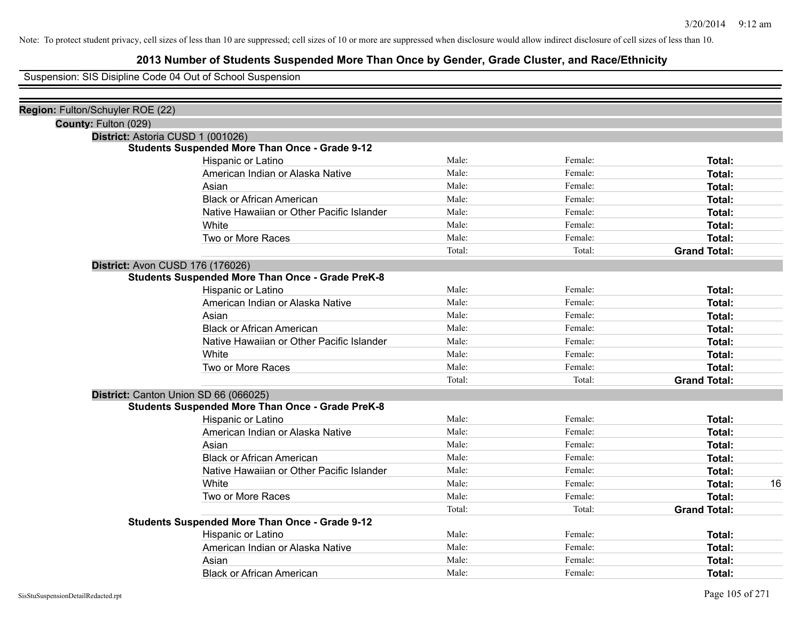## **2013 Number of Students Suspended More Than Once by Gender, Grade Cluster, and Race/Ethnicity**

Suspension: SIS Disipline Code 04 Out of School Suspension

| Region: Fulton/Schuyler ROE (22)  |                                                         |        |         |                     |    |
|-----------------------------------|---------------------------------------------------------|--------|---------|---------------------|----|
| County: Fulton (029)              |                                                         |        |         |                     |    |
| District: Astoria CUSD 1 (001026) |                                                         |        |         |                     |    |
|                                   | <b>Students Suspended More Than Once - Grade 9-12</b>   |        |         |                     |    |
|                                   | Hispanic or Latino                                      | Male:  | Female: | Total:              |    |
|                                   | American Indian or Alaska Native                        | Male:  | Female: | Total:              |    |
|                                   | Asian                                                   | Male:  | Female: | Total:              |    |
|                                   | <b>Black or African American</b>                        | Male:  | Female: | Total:              |    |
|                                   | Native Hawaiian or Other Pacific Islander               | Male:  | Female: | Total:              |    |
|                                   | White                                                   | Male:  | Female: | Total:              |    |
|                                   | Two or More Races                                       | Male:  | Female: | Total:              |    |
|                                   |                                                         | Total: | Total:  | <b>Grand Total:</b> |    |
| District: Avon CUSD 176 (176026)  |                                                         |        |         |                     |    |
|                                   | <b>Students Suspended More Than Once - Grade PreK-8</b> |        |         |                     |    |
|                                   | Hispanic or Latino                                      | Male:  | Female: | Total:              |    |
|                                   | American Indian or Alaska Native                        | Male:  | Female: | Total:              |    |
|                                   | Asian                                                   | Male:  | Female: | Total:              |    |
|                                   | <b>Black or African American</b>                        | Male:  | Female: | Total:              |    |
|                                   | Native Hawaiian or Other Pacific Islander               | Male:  | Female: | Total:              |    |
|                                   | White                                                   | Male:  | Female: | Total:              |    |
|                                   | Two or More Races                                       | Male:  | Female: | Total:              |    |
|                                   |                                                         | Total: | Total:  | <b>Grand Total:</b> |    |
|                                   | District: Canton Union SD 66 (066025)                   |        |         |                     |    |
|                                   | <b>Students Suspended More Than Once - Grade PreK-8</b> |        |         |                     |    |
|                                   | <b>Hispanic or Latino</b>                               | Male:  | Female: | Total:              |    |
|                                   | American Indian or Alaska Native                        | Male:  | Female: | Total:              |    |
|                                   | Asian                                                   | Male:  | Female: | Total:              |    |
|                                   | <b>Black or African American</b>                        | Male:  | Female: | Total:              |    |
|                                   | Native Hawaiian or Other Pacific Islander               | Male:  | Female: | Total:              |    |
|                                   | White                                                   | Male:  | Female: | Total:              | 16 |
|                                   | Two or More Races                                       | Male:  | Female: | <b>Total:</b>       |    |
|                                   |                                                         | Total: | Total:  | <b>Grand Total:</b> |    |
|                                   | <b>Students Suspended More Than Once - Grade 9-12</b>   |        |         |                     |    |
|                                   | Hispanic or Latino                                      | Male:  | Female: | Total:              |    |
|                                   | American Indian or Alaska Native                        | Male:  | Female: | Total:              |    |
|                                   | Asian                                                   | Male:  | Female: | <b>Total:</b>       |    |
|                                   | <b>Black or African American</b>                        | Male:  | Female: | Total:              |    |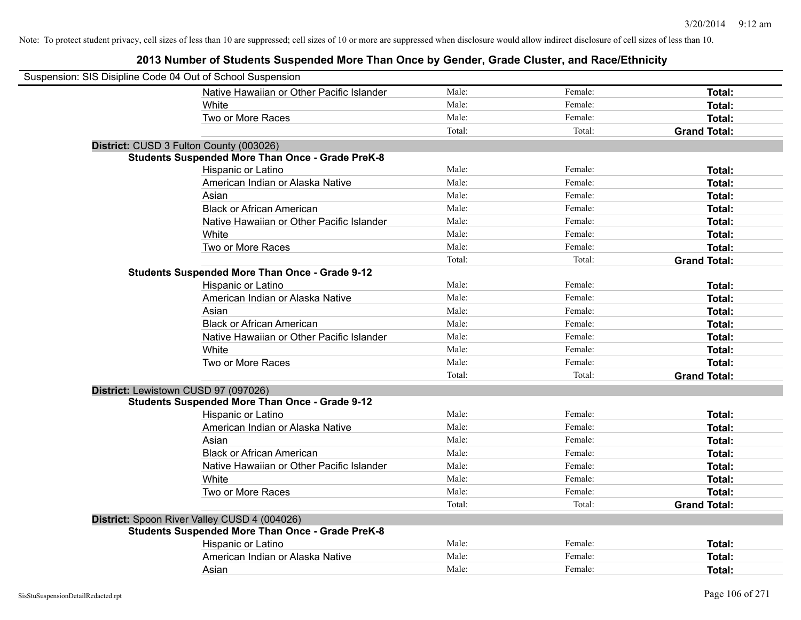| Suspension: SIS Disipline Code 04 Out of School Suspension |                                                         |        |         |                     |
|------------------------------------------------------------|---------------------------------------------------------|--------|---------|---------------------|
|                                                            | Native Hawaiian or Other Pacific Islander               | Male:  | Female: | Total:              |
|                                                            | White                                                   | Male:  | Female: | Total:              |
|                                                            | Two or More Races                                       | Male:  | Female: | Total:              |
|                                                            |                                                         | Total: | Total:  | <b>Grand Total:</b> |
| District: CUSD 3 Fulton County (003026)                    |                                                         |        |         |                     |
|                                                            | <b>Students Suspended More Than Once - Grade PreK-8</b> |        |         |                     |
|                                                            | Hispanic or Latino                                      | Male:  | Female: | Total:              |
|                                                            | American Indian or Alaska Native                        | Male:  | Female: | Total:              |
|                                                            | Asian                                                   | Male:  | Female: | Total:              |
|                                                            | <b>Black or African American</b>                        | Male:  | Female: | Total:              |
|                                                            | Native Hawaiian or Other Pacific Islander               | Male:  | Female: | Total:              |
|                                                            | White                                                   | Male:  | Female: | Total:              |
|                                                            | Two or More Races                                       | Male:  | Female: | Total:              |
|                                                            |                                                         | Total: | Total:  | <b>Grand Total:</b> |
|                                                            | <b>Students Suspended More Than Once - Grade 9-12</b>   |        |         |                     |
|                                                            | Hispanic or Latino                                      | Male:  | Female: | Total:              |
|                                                            | American Indian or Alaska Native                        | Male:  | Female: | Total:              |
|                                                            | Asian                                                   | Male:  | Female: | Total:              |
|                                                            | <b>Black or African American</b>                        | Male:  | Female: | Total:              |
|                                                            | Native Hawaiian or Other Pacific Islander               | Male:  | Female: | Total:              |
|                                                            | White                                                   | Male:  | Female: | Total:              |
|                                                            | Two or More Races                                       | Male:  | Female: | Total:              |
|                                                            |                                                         | Total: | Total:  | <b>Grand Total:</b> |
| District: Lewistown CUSD 97 (097026)                       |                                                         |        |         |                     |
|                                                            | <b>Students Suspended More Than Once - Grade 9-12</b>   |        |         |                     |
|                                                            | Hispanic or Latino                                      | Male:  | Female: | Total:              |
|                                                            | American Indian or Alaska Native                        | Male:  | Female: | Total:              |
|                                                            | Asian                                                   | Male:  | Female: | Total:              |
|                                                            | <b>Black or African American</b>                        | Male:  | Female: | Total:              |
|                                                            | Native Hawaiian or Other Pacific Islander               | Male:  | Female: | Total:              |
|                                                            | White                                                   | Male:  | Female: | Total:              |
|                                                            | Two or More Races                                       | Male:  | Female: | Total:              |
|                                                            |                                                         | Total: | Total:  | <b>Grand Total:</b> |
|                                                            | District: Spoon River Valley CUSD 4 (004026)            |        |         |                     |
|                                                            | <b>Students Suspended More Than Once - Grade PreK-8</b> |        |         |                     |
|                                                            | Hispanic or Latino                                      | Male:  | Female: | Total:              |
|                                                            | American Indian or Alaska Native                        | Male:  | Female: | Total:              |
|                                                            | Asian                                                   | Male:  | Female: | Total:              |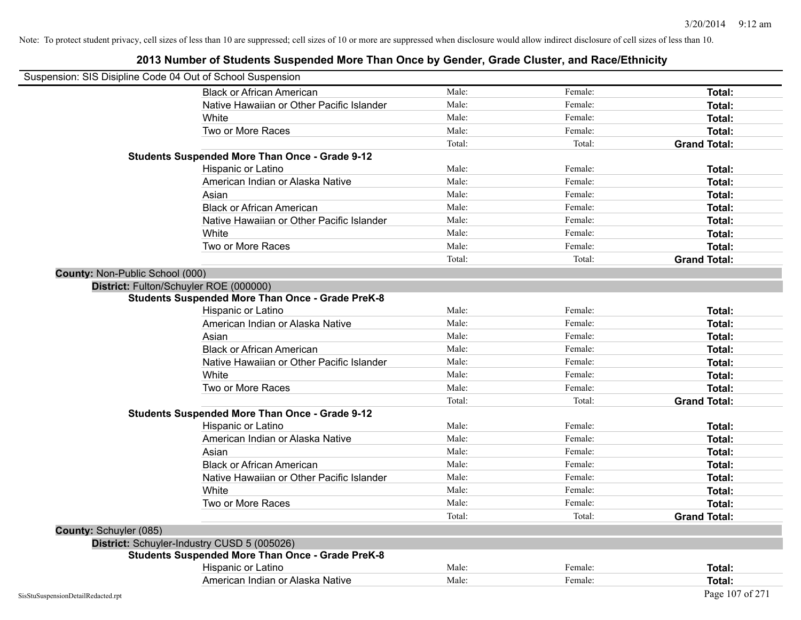|                                 | Suspension: SIS Disipline Code 04 Out of School Suspension                                                              |        |         |                     |
|---------------------------------|-------------------------------------------------------------------------------------------------------------------------|--------|---------|---------------------|
|                                 | <b>Black or African American</b>                                                                                        | Male:  | Female: | <b>Total:</b>       |
|                                 | Native Hawaiian or Other Pacific Islander                                                                               | Male:  | Female: | <b>Total:</b>       |
|                                 | White                                                                                                                   | Male:  | Female: | <b>Total:</b>       |
|                                 | Two or More Races                                                                                                       | Male:  | Female: | <b>Total:</b>       |
|                                 |                                                                                                                         | Total: | Total:  | <b>Grand Total:</b> |
|                                 | <b>Students Suspended More Than Once - Grade 9-12</b>                                                                   |        |         |                     |
|                                 | Hispanic or Latino                                                                                                      | Male:  | Female: | Total:              |
|                                 | American Indian or Alaska Native                                                                                        | Male:  | Female: | Total:              |
|                                 | Asian                                                                                                                   | Male:  | Female: | <b>Total:</b>       |
|                                 | <b>Black or African American</b>                                                                                        | Male:  | Female: | <b>Total:</b>       |
|                                 | Native Hawaiian or Other Pacific Islander                                                                               | Male:  | Female: | Total:              |
|                                 | White                                                                                                                   | Male:  | Female: | Total:              |
|                                 | Two or More Races                                                                                                       | Male:  | Female: | <b>Total:</b>       |
|                                 |                                                                                                                         | Total: | Total:  | <b>Grand Total:</b> |
| County: Non-Public School (000) |                                                                                                                         |        |         |                     |
|                                 | District: Fulton/Schuyler ROE (000000)<br><b>Students Suspended More Than Once - Grade PreK-8</b><br>Hispanic or Latino | Male:  | Female: | Total:              |
|                                 | American Indian or Alaska Native                                                                                        | Male:  | Female: | Total:              |
|                                 | Asian                                                                                                                   | Male:  | Female: | Total:              |
|                                 | <b>Black or African American</b>                                                                                        | Male:  | Female: | Total:              |
|                                 | Native Hawaiian or Other Pacific Islander                                                                               | Male:  | Female: | Total:              |
|                                 | White                                                                                                                   | Male:  | Female: | <b>Total:</b>       |
|                                 | Two or More Races                                                                                                       | Male:  | Female: | Total:              |
|                                 |                                                                                                                         | Total: | Total:  | <b>Grand Total:</b> |
|                                 | <b>Students Suspended More Than Once - Grade 9-12</b>                                                                   |        |         |                     |
|                                 | Hispanic or Latino                                                                                                      | Male:  | Female: | Total:              |
|                                 | American Indian or Alaska Native                                                                                        | Male:  | Female: | Total:              |
|                                 | Asian                                                                                                                   | Male:  | Female: | <b>Total:</b>       |
|                                 | <b>Black or African American</b>                                                                                        | Male:  | Female: | <b>Total:</b>       |
|                                 | Native Hawaiian or Other Pacific Islander                                                                               | Male:  | Female: | Total:              |
|                                 | White                                                                                                                   | Male:  | Female: | Total:              |
|                                 | Two or More Races                                                                                                       | Male:  | Female: | <b>Total:</b>       |
|                                 |                                                                                                                         | Total: | Total:  | <b>Grand Total:</b> |
| County: Schuyler (085)          |                                                                                                                         |        |         |                     |
|                                 | District: Schuyler-Industry CUSD 5 (005026)                                                                             |        |         |                     |
|                                 | <b>Students Suspended More Than Once - Grade PreK-8</b>                                                                 |        |         |                     |
|                                 | Hispanic or Latino                                                                                                      | Male:  | Female: | Total:              |
|                                 | American Indian or Alaska Native                                                                                        | Male:  | Female: | Total:              |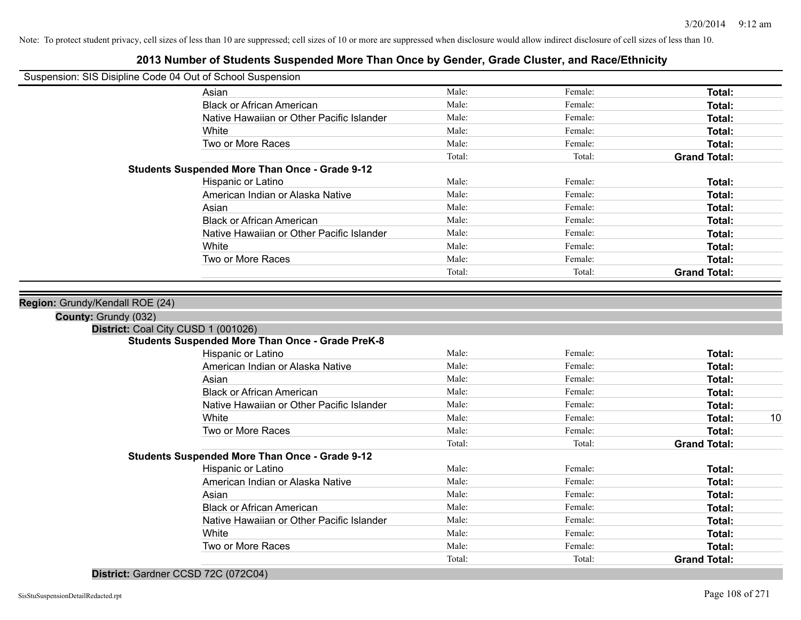## **2013 Number of Students Suspended More Than Once by Gender, Grade Cluster, and Race/Ethnicity**

| Suspension: SIS Disipline Code 04 Out of School Suspension |
|------------------------------------------------------------|
|------------------------------------------------------------|

| Suspension: SIS Disipline Code 04 Out of School Suspension |                                                                                                |        |         |                     |    |
|------------------------------------------------------------|------------------------------------------------------------------------------------------------|--------|---------|---------------------|----|
|                                                            | Asian                                                                                          | Male:  | Female: | Total:              |    |
|                                                            | <b>Black or African American</b>                                                               | Male:  | Female: | Total:              |    |
|                                                            | Native Hawaiian or Other Pacific Islander                                                      | Male:  | Female: | Total:              |    |
|                                                            | White                                                                                          | Male:  | Female: | <b>Total:</b>       |    |
|                                                            | Two or More Races                                                                              | Male:  | Female: | Total:              |    |
|                                                            |                                                                                                | Total: | Total:  | <b>Grand Total:</b> |    |
|                                                            | <b>Students Suspended More Than Once - Grade 9-12</b>                                          |        |         |                     |    |
|                                                            | Hispanic or Latino                                                                             | Male:  | Female: | Total:              |    |
|                                                            | American Indian or Alaska Native                                                               | Male:  | Female: | Total:              |    |
|                                                            | Asian                                                                                          | Male:  | Female: | Total:              |    |
|                                                            | <b>Black or African American</b>                                                               | Male:  | Female: | Total:              |    |
|                                                            | Native Hawaiian or Other Pacific Islander                                                      | Male:  | Female: | Total:              |    |
|                                                            | White                                                                                          | Male:  | Female: | Total:              |    |
|                                                            | Two or More Races                                                                              | Male:  | Female: | <b>Total:</b>       |    |
|                                                            |                                                                                                | Total: | Total:  | <b>Grand Total:</b> |    |
|                                                            | District: Coal City CUSD 1 (001026)<br><b>Students Suspended More Than Once - Grade PreK-8</b> |        |         |                     |    |
|                                                            | Hispanic or Latino                                                                             | Male:  | Female: | <b>Total:</b>       |    |
|                                                            | American Indian or Alaska Native                                                               | Male:  | Female: | Total:              |    |
|                                                            | Asian                                                                                          | Male:  | Female: | Total:              |    |
|                                                            | <b>Black or African American</b>                                                               | Male:  | Female: | Total:              |    |
|                                                            | Native Hawaiian or Other Pacific Islander                                                      | Male:  | Female: | Total:              |    |
|                                                            | White                                                                                          | Male:  | Female: | Total:              | 10 |
|                                                            | Two or More Races                                                                              | Male:  | Female: | Total:              |    |
|                                                            |                                                                                                | Total: | Total:  | <b>Grand Total:</b> |    |
|                                                            | <b>Students Suspended More Than Once - Grade 9-12</b>                                          |        |         |                     |    |
|                                                            | Hispanic or Latino                                                                             | Male:  | Female: | Total:              |    |
|                                                            | American Indian or Alaska Native                                                               |        | Female: |                     |    |
|                                                            |                                                                                                | Male:  |         | Total:              |    |
|                                                            | Asian                                                                                          | Male:  | Female: | Total:              |    |
|                                                            | <b>Black or African American</b>                                                               | Male:  | Female: | Total:              |    |
|                                                            | Native Hawaiian or Other Pacific Islander                                                      | Male:  | Female: | Total:              |    |

White **Total:** Male: Female: **Total:** Total: **Total:** Female: **Total:** Total: Two or More Races **Total:** Male: Female: Female: **Total:** Total:

Total: Total: **Grand Total:**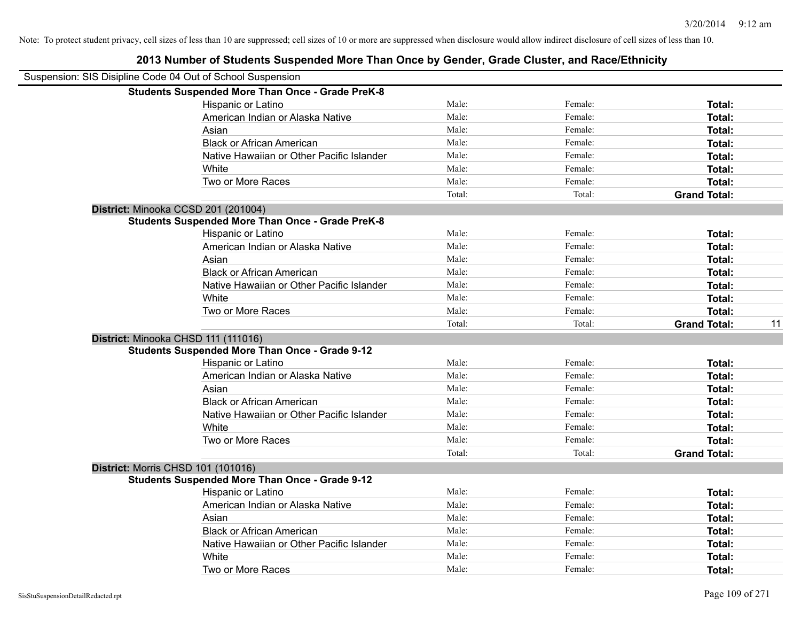| Suspension: SIS Disipline Code 04 Out of School Suspension |                                                         |        |         |                           |
|------------------------------------------------------------|---------------------------------------------------------|--------|---------|---------------------------|
|                                                            | <b>Students Suspended More Than Once - Grade PreK-8</b> |        |         |                           |
|                                                            | Hispanic or Latino                                      | Male:  | Female: | Total:                    |
|                                                            | American Indian or Alaska Native                        | Male:  | Female: | Total:                    |
|                                                            | Asian                                                   | Male:  | Female: | Total:                    |
|                                                            | <b>Black or African American</b>                        | Male:  | Female: | Total:                    |
|                                                            | Native Hawaiian or Other Pacific Islander               | Male:  | Female: | Total:                    |
|                                                            | White                                                   | Male:  | Female: | Total:                    |
|                                                            | Two or More Races                                       | Male:  | Female: | Total:                    |
|                                                            |                                                         | Total: | Total:  | <b>Grand Total:</b>       |
|                                                            | District: Minooka CCSD 201 (201004)                     |        |         |                           |
|                                                            | <b>Students Suspended More Than Once - Grade PreK-8</b> |        |         |                           |
|                                                            | Hispanic or Latino                                      | Male:  | Female: | Total:                    |
|                                                            | American Indian or Alaska Native                        | Male:  | Female: | Total:                    |
|                                                            | Asian                                                   | Male:  | Female: | Total:                    |
|                                                            | <b>Black or African American</b>                        | Male:  | Female: | Total:                    |
|                                                            | Native Hawaiian or Other Pacific Islander               | Male:  | Female: | Total:                    |
|                                                            | White                                                   | Male:  | Female: | Total:                    |
|                                                            | Two or More Races                                       | Male:  | Female: | <b>Total:</b>             |
|                                                            |                                                         | Total: | Total:  | 11<br><b>Grand Total:</b> |
|                                                            | District: Minooka CHSD 111 (111016)                     |        |         |                           |
|                                                            | <b>Students Suspended More Than Once - Grade 9-12</b>   |        |         |                           |
|                                                            | Hispanic or Latino                                      | Male:  | Female: | Total:                    |
|                                                            | American Indian or Alaska Native                        | Male:  | Female: | Total:                    |
|                                                            | Asian                                                   | Male:  | Female: | Total:                    |
|                                                            | <b>Black or African American</b>                        | Male:  | Female: | Total:                    |
|                                                            | Native Hawaiian or Other Pacific Islander               | Male:  | Female: | Total:                    |
|                                                            | White                                                   | Male:  | Female: | Total:                    |
|                                                            | Two or More Races                                       | Male:  | Female: | Total:                    |
|                                                            |                                                         | Total: | Total:  | <b>Grand Total:</b>       |
|                                                            | District: Morris CHSD 101 (101016)                      |        |         |                           |
|                                                            | <b>Students Suspended More Than Once - Grade 9-12</b>   |        |         |                           |
|                                                            | Hispanic or Latino                                      | Male:  | Female: | Total:                    |
|                                                            | American Indian or Alaska Native                        | Male:  | Female: | Total:                    |
|                                                            | Asian                                                   | Male:  | Female: | Total:                    |
|                                                            | <b>Black or African American</b>                        | Male:  | Female: | Total:                    |
|                                                            | Native Hawaiian or Other Pacific Islander               | Male:  | Female: | Total:                    |
|                                                            | White                                                   | Male:  | Female: | <b>Total:</b>             |
|                                                            | Two or More Races                                       | Male:  | Female: | Total:                    |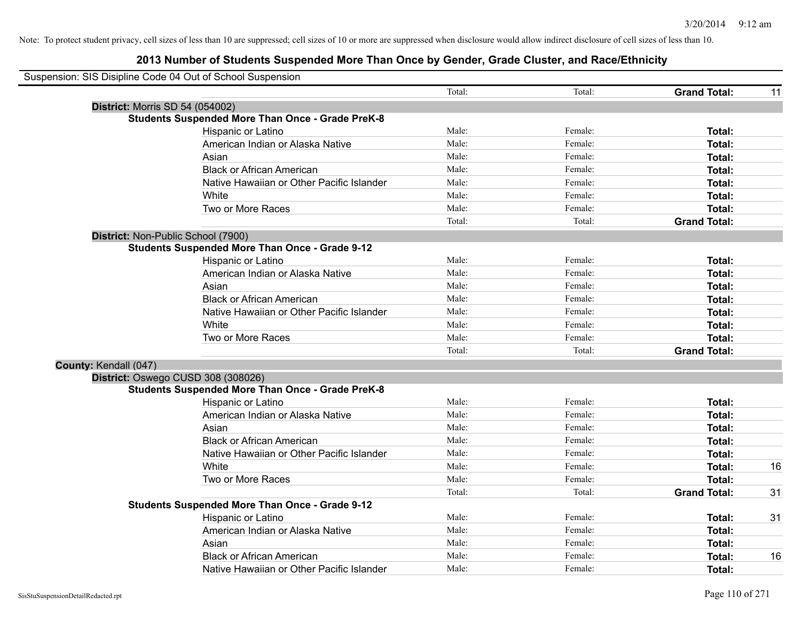| Suspension: SIS Disipline Code 04 Out of School Suspension |                                                         |        |         |                     |    |
|------------------------------------------------------------|---------------------------------------------------------|--------|---------|---------------------|----|
|                                                            |                                                         | Total: | Total:  | <b>Grand Total:</b> | 11 |
| <b>District: Morris SD 54 (054002)</b>                     |                                                         |        |         |                     |    |
|                                                            | <b>Students Suspended More Than Once - Grade PreK-8</b> |        |         |                     |    |
|                                                            | Hispanic or Latino                                      | Male:  | Female: | Total:              |    |
|                                                            | American Indian or Alaska Native                        | Male:  | Female: | Total:              |    |
|                                                            | Asian                                                   | Male:  | Female: | Total:              |    |
|                                                            | <b>Black or African American</b>                        | Male:  | Female: | Total:              |    |
|                                                            | Native Hawaiian or Other Pacific Islander               | Male:  | Female: | Total:              |    |
|                                                            | White                                                   | Male:  | Female: | Total:              |    |
|                                                            | Two or More Races                                       | Male:  | Female: | Total:              |    |
|                                                            |                                                         | Total: | Total:  | <b>Grand Total:</b> |    |
|                                                            | District: Non-Public School (7900)                      |        |         |                     |    |
|                                                            | <b>Students Suspended More Than Once - Grade 9-12</b>   |        |         |                     |    |
|                                                            | Hispanic or Latino                                      | Male:  | Female: | Total:              |    |
|                                                            | American Indian or Alaska Native                        | Male:  | Female: | Total:              |    |
|                                                            | Asian                                                   | Male:  | Female: | Total:              |    |
|                                                            | <b>Black or African American</b>                        | Male:  | Female: | Total:              |    |
|                                                            | Native Hawaiian or Other Pacific Islander               | Male:  | Female: | Total:              |    |
|                                                            | White                                                   | Male:  | Female: | Total:              |    |
|                                                            | Two or More Races                                       | Male:  | Female: | Total:              |    |
|                                                            |                                                         | Total: | Total:  | <b>Grand Total:</b> |    |
| County: Kendall (047)                                      |                                                         |        |         |                     |    |
|                                                            | District: Oswego CUSD 308 (308026)                      |        |         |                     |    |
|                                                            | <b>Students Suspended More Than Once - Grade PreK-8</b> |        |         |                     |    |
|                                                            | Hispanic or Latino                                      | Male:  | Female: | Total:              |    |
|                                                            | American Indian or Alaska Native                        | Male:  | Female: | Total:              |    |
|                                                            | Asian                                                   | Male:  | Female: | Total:              |    |
|                                                            | <b>Black or African American</b>                        | Male:  | Female: | Total:              |    |
|                                                            | Native Hawaiian or Other Pacific Islander               | Male:  | Female: | Total:              |    |
|                                                            | White                                                   | Male:  | Female: | Total:              | 16 |
|                                                            | Two or More Races                                       | Male:  | Female: | Total:              |    |
|                                                            |                                                         | Total: | Total:  | <b>Grand Total:</b> | 31 |
|                                                            | <b>Students Suspended More Than Once - Grade 9-12</b>   |        |         |                     |    |
|                                                            | Hispanic or Latino                                      | Male:  | Female: | Total:              | 31 |
|                                                            | American Indian or Alaska Native                        | Male:  | Female: | Total:              |    |
|                                                            | Asian                                                   | Male:  | Female: | Total:              |    |
|                                                            | <b>Black or African American</b>                        | Male:  | Female: | Total:              | 16 |
|                                                            | Native Hawaiian or Other Pacific Islander               | Male:  | Female: | Total:              |    |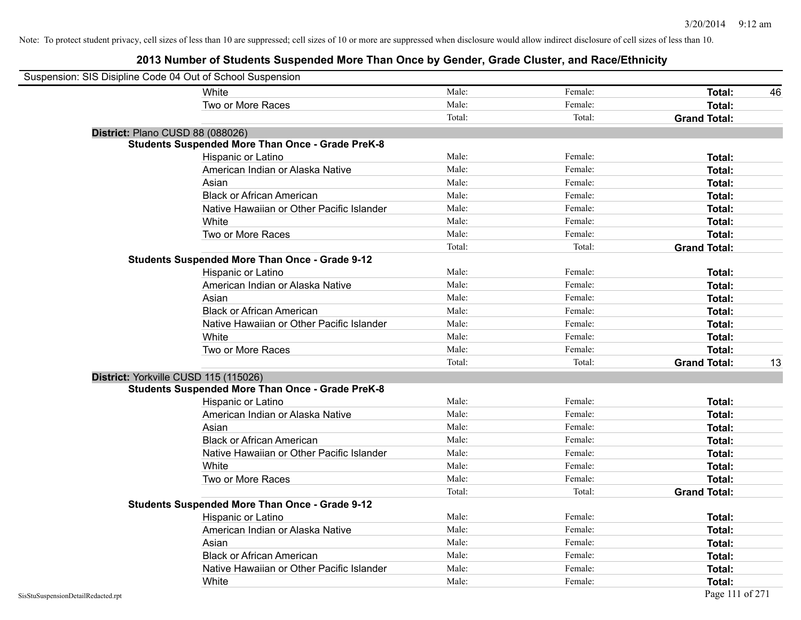| Suspension: SIS Disipline Code 04 Out of School Suspension |                                                         |        |         |                     |    |
|------------------------------------------------------------|---------------------------------------------------------|--------|---------|---------------------|----|
|                                                            | White                                                   | Male:  | Female: | Total:              | 46 |
|                                                            | Two or More Races                                       | Male:  | Female: | <b>Total:</b>       |    |
|                                                            |                                                         | Total: | Total:  | <b>Grand Total:</b> |    |
|                                                            | District: Plano CUSD 88 (088026)                        |        |         |                     |    |
|                                                            | <b>Students Suspended More Than Once - Grade PreK-8</b> |        |         |                     |    |
|                                                            | Hispanic or Latino                                      | Male:  | Female: | Total:              |    |
|                                                            | American Indian or Alaska Native                        | Male:  | Female: | Total:              |    |
|                                                            | Asian                                                   | Male:  | Female: | Total:              |    |
|                                                            | <b>Black or African American</b>                        | Male:  | Female: | Total:              |    |
|                                                            | Native Hawaiian or Other Pacific Islander               | Male:  | Female: | Total:              |    |
|                                                            | White                                                   | Male:  | Female: | Total:              |    |
|                                                            | Two or More Races                                       | Male:  | Female: | Total:              |    |
|                                                            |                                                         | Total: | Total:  | <b>Grand Total:</b> |    |
|                                                            | <b>Students Suspended More Than Once - Grade 9-12</b>   |        |         |                     |    |
|                                                            | Hispanic or Latino                                      | Male:  | Female: | Total:              |    |
|                                                            | American Indian or Alaska Native                        | Male:  | Female: | Total:              |    |
|                                                            | Asian                                                   | Male:  | Female: | Total:              |    |
|                                                            | <b>Black or African American</b>                        | Male:  | Female: | Total:              |    |
|                                                            | Native Hawaiian or Other Pacific Islander               | Male:  | Female: | Total:              |    |
|                                                            | White                                                   | Male:  | Female: | Total:              |    |
|                                                            | Two or More Races                                       | Male:  | Female: | Total:              |    |
|                                                            |                                                         | Total: | Total:  | <b>Grand Total:</b> | 13 |
|                                                            | District: Yorkville CUSD 115 (115026)                   |        |         |                     |    |
|                                                            | <b>Students Suspended More Than Once - Grade PreK-8</b> |        |         |                     |    |
|                                                            | Hispanic or Latino                                      | Male:  | Female: | Total:              |    |
|                                                            | American Indian or Alaska Native                        | Male:  | Female: | <b>Total:</b>       |    |
|                                                            | Asian                                                   | Male:  | Female: | Total:              |    |
|                                                            | <b>Black or African American</b>                        | Male:  | Female: | Total:              |    |
|                                                            | Native Hawaiian or Other Pacific Islander               | Male:  | Female: | Total:              |    |
|                                                            | White                                                   | Male:  | Female: | Total:              |    |
|                                                            | Two or More Races                                       | Male:  | Female: | <b>Total:</b>       |    |
|                                                            |                                                         | Total: | Total:  | <b>Grand Total:</b> |    |
|                                                            | <b>Students Suspended More Than Once - Grade 9-12</b>   |        |         |                     |    |
|                                                            | Hispanic or Latino                                      | Male:  | Female: | Total:              |    |
|                                                            | American Indian or Alaska Native                        | Male:  | Female: | Total:              |    |
|                                                            | Asian                                                   | Male:  | Female: | Total:              |    |
|                                                            | <b>Black or African American</b>                        | Male:  | Female: | Total:              |    |
|                                                            | Native Hawaiian or Other Pacific Islander               | Male:  | Female: | Total:              |    |
|                                                            | White                                                   | Male:  | Female: | <b>Total:</b>       |    |
| SisStuSuspensionDetailRedacted.rpt                         |                                                         |        |         | Page 111 of 271     |    |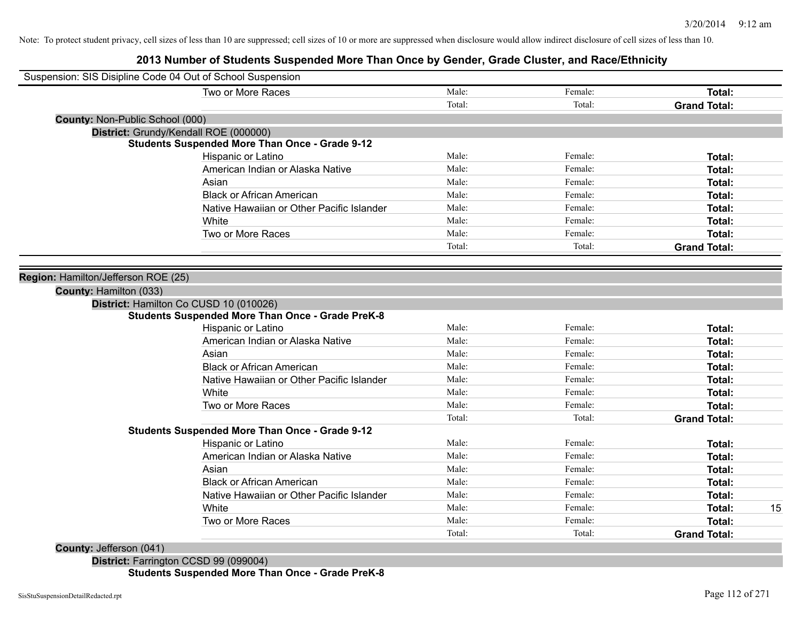# **2013 Number of Students Suspended More Than Once by Gender, Grade Cluster, and Race/Ethnicity**

| Two or More Races<br>Male:<br>Female:<br><b>Total:</b><br>Total:<br>Total:<br><b>Grand Total:</b><br><b>County: Non-Public School (000)</b><br>District: Grundy/Kendall ROE (000000)<br><b>Students Suspended More Than Once - Grade 9-12</b><br>Male:<br>Female:<br>Hispanic or Latino<br>Total:<br>Male:<br>Female:<br>American Indian or Alaska Native<br>Total:<br>Male:<br>Female:<br>Asian<br>Total:<br>Male:<br>Female:<br><b>Black or African American</b><br>Total:<br>Male:<br>Female:<br>Native Hawaiian or Other Pacific Islander<br>Total:<br>Male:<br>Female:<br>White<br>Total:<br>Male:<br>Two or More Races<br>Female:<br>Total:<br>Total:<br>Total:<br><b>Grand Total:</b><br>Region: Hamilton/Jefferson ROE (25)<br>County: Hamilton (033)<br>District: Hamilton Co CUSD 10 (010026)<br><b>Students Suspended More Than Once - Grade PreK-8</b><br>Male:<br>Female:<br>Hispanic or Latino<br>Total:<br>American Indian or Alaska Native<br>Male:<br>Female:<br>Total:<br>Male:<br>Asian<br>Female:<br>Total:<br><b>Black or African American</b><br>Male:<br>Female:<br>Total:<br>Male:<br>Female:<br>Native Hawaiian or Other Pacific Islander<br>Total:<br>Male:<br>Female:<br>White<br>Total:<br>Two or More Races<br>Male:<br>Female:<br>Total:<br>Total:<br>Total:<br><b>Grand Total:</b><br><b>Students Suspended More Than Once - Grade 9-12</b><br>Male:<br>Female:<br>Hispanic or Latino<br>Total:<br>Male:<br>Female:<br>American Indian or Alaska Native<br>Total:<br>Male:<br>Female:<br>Asian<br>Total:<br>Male:<br><b>Black or African American</b><br>Female:<br>Total:<br>Male:<br>Female:<br>Native Hawaiian or Other Pacific Islander<br>Total:<br>Male:<br>White<br>Female:<br>15<br>Total:<br>Two or More Races<br>Male:<br>Female:<br>Total:<br>Total:<br>Total:<br><b>Grand Total:</b> | Suspension: SIS Disipline Code 04 Out of School Suspension |  |  |  |
|---------------------------------------------------------------------------------------------------------------------------------------------------------------------------------------------------------------------------------------------------------------------------------------------------------------------------------------------------------------------------------------------------------------------------------------------------------------------------------------------------------------------------------------------------------------------------------------------------------------------------------------------------------------------------------------------------------------------------------------------------------------------------------------------------------------------------------------------------------------------------------------------------------------------------------------------------------------------------------------------------------------------------------------------------------------------------------------------------------------------------------------------------------------------------------------------------------------------------------------------------------------------------------------------------------------------------------------------------------------------------------------------------------------------------------------------------------------------------------------------------------------------------------------------------------------------------------------------------------------------------------------------------------------------------------------------------------------------------------------------------------------------------------------------------------------------------------|------------------------------------------------------------|--|--|--|
|                                                                                                                                                                                                                                                                                                                                                                                                                                                                                                                                                                                                                                                                                                                                                                                                                                                                                                                                                                                                                                                                                                                                                                                                                                                                                                                                                                                                                                                                                                                                                                                                                                                                                                                                                                                                                                 |                                                            |  |  |  |
|                                                                                                                                                                                                                                                                                                                                                                                                                                                                                                                                                                                                                                                                                                                                                                                                                                                                                                                                                                                                                                                                                                                                                                                                                                                                                                                                                                                                                                                                                                                                                                                                                                                                                                                                                                                                                                 |                                                            |  |  |  |
|                                                                                                                                                                                                                                                                                                                                                                                                                                                                                                                                                                                                                                                                                                                                                                                                                                                                                                                                                                                                                                                                                                                                                                                                                                                                                                                                                                                                                                                                                                                                                                                                                                                                                                                                                                                                                                 |                                                            |  |  |  |
|                                                                                                                                                                                                                                                                                                                                                                                                                                                                                                                                                                                                                                                                                                                                                                                                                                                                                                                                                                                                                                                                                                                                                                                                                                                                                                                                                                                                                                                                                                                                                                                                                                                                                                                                                                                                                                 |                                                            |  |  |  |
|                                                                                                                                                                                                                                                                                                                                                                                                                                                                                                                                                                                                                                                                                                                                                                                                                                                                                                                                                                                                                                                                                                                                                                                                                                                                                                                                                                                                                                                                                                                                                                                                                                                                                                                                                                                                                                 |                                                            |  |  |  |
|                                                                                                                                                                                                                                                                                                                                                                                                                                                                                                                                                                                                                                                                                                                                                                                                                                                                                                                                                                                                                                                                                                                                                                                                                                                                                                                                                                                                                                                                                                                                                                                                                                                                                                                                                                                                                                 |                                                            |  |  |  |
|                                                                                                                                                                                                                                                                                                                                                                                                                                                                                                                                                                                                                                                                                                                                                                                                                                                                                                                                                                                                                                                                                                                                                                                                                                                                                                                                                                                                                                                                                                                                                                                                                                                                                                                                                                                                                                 |                                                            |  |  |  |
|                                                                                                                                                                                                                                                                                                                                                                                                                                                                                                                                                                                                                                                                                                                                                                                                                                                                                                                                                                                                                                                                                                                                                                                                                                                                                                                                                                                                                                                                                                                                                                                                                                                                                                                                                                                                                                 |                                                            |  |  |  |
|                                                                                                                                                                                                                                                                                                                                                                                                                                                                                                                                                                                                                                                                                                                                                                                                                                                                                                                                                                                                                                                                                                                                                                                                                                                                                                                                                                                                                                                                                                                                                                                                                                                                                                                                                                                                                                 |                                                            |  |  |  |
|                                                                                                                                                                                                                                                                                                                                                                                                                                                                                                                                                                                                                                                                                                                                                                                                                                                                                                                                                                                                                                                                                                                                                                                                                                                                                                                                                                                                                                                                                                                                                                                                                                                                                                                                                                                                                                 |                                                            |  |  |  |
|                                                                                                                                                                                                                                                                                                                                                                                                                                                                                                                                                                                                                                                                                                                                                                                                                                                                                                                                                                                                                                                                                                                                                                                                                                                                                                                                                                                                                                                                                                                                                                                                                                                                                                                                                                                                                                 |                                                            |  |  |  |
|                                                                                                                                                                                                                                                                                                                                                                                                                                                                                                                                                                                                                                                                                                                                                                                                                                                                                                                                                                                                                                                                                                                                                                                                                                                                                                                                                                                                                                                                                                                                                                                                                                                                                                                                                                                                                                 |                                                            |  |  |  |
|                                                                                                                                                                                                                                                                                                                                                                                                                                                                                                                                                                                                                                                                                                                                                                                                                                                                                                                                                                                                                                                                                                                                                                                                                                                                                                                                                                                                                                                                                                                                                                                                                                                                                                                                                                                                                                 |                                                            |  |  |  |
|                                                                                                                                                                                                                                                                                                                                                                                                                                                                                                                                                                                                                                                                                                                                                                                                                                                                                                                                                                                                                                                                                                                                                                                                                                                                                                                                                                                                                                                                                                                                                                                                                                                                                                                                                                                                                                 |                                                            |  |  |  |
|                                                                                                                                                                                                                                                                                                                                                                                                                                                                                                                                                                                                                                                                                                                                                                                                                                                                                                                                                                                                                                                                                                                                                                                                                                                                                                                                                                                                                                                                                                                                                                                                                                                                                                                                                                                                                                 |                                                            |  |  |  |
|                                                                                                                                                                                                                                                                                                                                                                                                                                                                                                                                                                                                                                                                                                                                                                                                                                                                                                                                                                                                                                                                                                                                                                                                                                                                                                                                                                                                                                                                                                                                                                                                                                                                                                                                                                                                                                 |                                                            |  |  |  |
|                                                                                                                                                                                                                                                                                                                                                                                                                                                                                                                                                                                                                                                                                                                                                                                                                                                                                                                                                                                                                                                                                                                                                                                                                                                                                                                                                                                                                                                                                                                                                                                                                                                                                                                                                                                                                                 |                                                            |  |  |  |
|                                                                                                                                                                                                                                                                                                                                                                                                                                                                                                                                                                                                                                                                                                                                                                                                                                                                                                                                                                                                                                                                                                                                                                                                                                                                                                                                                                                                                                                                                                                                                                                                                                                                                                                                                                                                                                 |                                                            |  |  |  |
|                                                                                                                                                                                                                                                                                                                                                                                                                                                                                                                                                                                                                                                                                                                                                                                                                                                                                                                                                                                                                                                                                                                                                                                                                                                                                                                                                                                                                                                                                                                                                                                                                                                                                                                                                                                                                                 |                                                            |  |  |  |
|                                                                                                                                                                                                                                                                                                                                                                                                                                                                                                                                                                                                                                                                                                                                                                                                                                                                                                                                                                                                                                                                                                                                                                                                                                                                                                                                                                                                                                                                                                                                                                                                                                                                                                                                                                                                                                 |                                                            |  |  |  |
|                                                                                                                                                                                                                                                                                                                                                                                                                                                                                                                                                                                                                                                                                                                                                                                                                                                                                                                                                                                                                                                                                                                                                                                                                                                                                                                                                                                                                                                                                                                                                                                                                                                                                                                                                                                                                                 |                                                            |  |  |  |
|                                                                                                                                                                                                                                                                                                                                                                                                                                                                                                                                                                                                                                                                                                                                                                                                                                                                                                                                                                                                                                                                                                                                                                                                                                                                                                                                                                                                                                                                                                                                                                                                                                                                                                                                                                                                                                 |                                                            |  |  |  |
|                                                                                                                                                                                                                                                                                                                                                                                                                                                                                                                                                                                                                                                                                                                                                                                                                                                                                                                                                                                                                                                                                                                                                                                                                                                                                                                                                                                                                                                                                                                                                                                                                                                                                                                                                                                                                                 |                                                            |  |  |  |
|                                                                                                                                                                                                                                                                                                                                                                                                                                                                                                                                                                                                                                                                                                                                                                                                                                                                                                                                                                                                                                                                                                                                                                                                                                                                                                                                                                                                                                                                                                                                                                                                                                                                                                                                                                                                                                 |                                                            |  |  |  |
|                                                                                                                                                                                                                                                                                                                                                                                                                                                                                                                                                                                                                                                                                                                                                                                                                                                                                                                                                                                                                                                                                                                                                                                                                                                                                                                                                                                                                                                                                                                                                                                                                                                                                                                                                                                                                                 |                                                            |  |  |  |
|                                                                                                                                                                                                                                                                                                                                                                                                                                                                                                                                                                                                                                                                                                                                                                                                                                                                                                                                                                                                                                                                                                                                                                                                                                                                                                                                                                                                                                                                                                                                                                                                                                                                                                                                                                                                                                 |                                                            |  |  |  |
|                                                                                                                                                                                                                                                                                                                                                                                                                                                                                                                                                                                                                                                                                                                                                                                                                                                                                                                                                                                                                                                                                                                                                                                                                                                                                                                                                                                                                                                                                                                                                                                                                                                                                                                                                                                                                                 |                                                            |  |  |  |
|                                                                                                                                                                                                                                                                                                                                                                                                                                                                                                                                                                                                                                                                                                                                                                                                                                                                                                                                                                                                                                                                                                                                                                                                                                                                                                                                                                                                                                                                                                                                                                                                                                                                                                                                                                                                                                 |                                                            |  |  |  |
|                                                                                                                                                                                                                                                                                                                                                                                                                                                                                                                                                                                                                                                                                                                                                                                                                                                                                                                                                                                                                                                                                                                                                                                                                                                                                                                                                                                                                                                                                                                                                                                                                                                                                                                                                                                                                                 |                                                            |  |  |  |
|                                                                                                                                                                                                                                                                                                                                                                                                                                                                                                                                                                                                                                                                                                                                                                                                                                                                                                                                                                                                                                                                                                                                                                                                                                                                                                                                                                                                                                                                                                                                                                                                                                                                                                                                                                                                                                 |                                                            |  |  |  |
|                                                                                                                                                                                                                                                                                                                                                                                                                                                                                                                                                                                                                                                                                                                                                                                                                                                                                                                                                                                                                                                                                                                                                                                                                                                                                                                                                                                                                                                                                                                                                                                                                                                                                                                                                                                                                                 |                                                            |  |  |  |
|                                                                                                                                                                                                                                                                                                                                                                                                                                                                                                                                                                                                                                                                                                                                                                                                                                                                                                                                                                                                                                                                                                                                                                                                                                                                                                                                                                                                                                                                                                                                                                                                                                                                                                                                                                                                                                 |                                                            |  |  |  |
|                                                                                                                                                                                                                                                                                                                                                                                                                                                                                                                                                                                                                                                                                                                                                                                                                                                                                                                                                                                                                                                                                                                                                                                                                                                                                                                                                                                                                                                                                                                                                                                                                                                                                                                                                                                                                                 |                                                            |  |  |  |
|                                                                                                                                                                                                                                                                                                                                                                                                                                                                                                                                                                                                                                                                                                                                                                                                                                                                                                                                                                                                                                                                                                                                                                                                                                                                                                                                                                                                                                                                                                                                                                                                                                                                                                                                                                                                                                 |                                                            |  |  |  |
|                                                                                                                                                                                                                                                                                                                                                                                                                                                                                                                                                                                                                                                                                                                                                                                                                                                                                                                                                                                                                                                                                                                                                                                                                                                                                                                                                                                                                                                                                                                                                                                                                                                                                                                                                                                                                                 |                                                            |  |  |  |

#### **County:** Jefferson (041)

**District:** Farrington CCSD 99 (099004) **Students Suspended More Than Once - Grade PreK-8**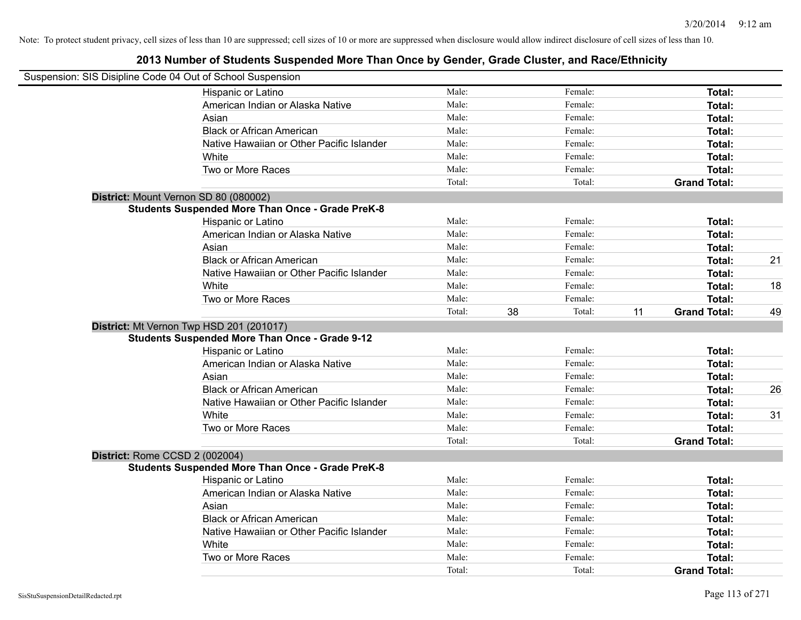| Suspension: SIS Disipline Code 04 Out of School Suspension |        |              |                           |    |
|------------------------------------------------------------|--------|--------------|---------------------------|----|
| Hispanic or Latino                                         | Male:  | Female:      | Total:                    |    |
| American Indian or Alaska Native                           | Male:  | Female:      | Total:                    |    |
| Asian                                                      | Male:  | Female:      | Total:                    |    |
| <b>Black or African American</b>                           | Male:  | Female:      | Total:                    |    |
| Native Hawaiian or Other Pacific Islander                  | Male:  | Female:      | Total:                    |    |
| White                                                      | Male:  | Female:      | Total:                    |    |
| Two or More Races                                          | Male:  | Female:      | Total:                    |    |
|                                                            | Total: | Total:       | <b>Grand Total:</b>       |    |
| District: Mount Vernon SD 80 (080002)                      |        |              |                           |    |
| <b>Students Suspended More Than Once - Grade PreK-8</b>    |        |              |                           |    |
| Hispanic or Latino                                         | Male:  | Female:      | Total:                    |    |
| American Indian or Alaska Native                           | Male:  | Female:      | Total:                    |    |
| Asian                                                      | Male:  | Female:      | Total:                    |    |
| <b>Black or African American</b>                           | Male:  | Female:      | Total:                    | 21 |
| Native Hawaiian or Other Pacific Islander                  | Male:  | Female:      | Total:                    |    |
| White                                                      | Male:  | Female:      | Total:                    | 18 |
| Two or More Races                                          | Male:  | Female:      | Total:                    |    |
|                                                            | Total: | 38<br>Total: | 11<br><b>Grand Total:</b> | 49 |
| District: Mt Vernon Twp HSD 201 (201017)                   |        |              |                           |    |
| <b>Students Suspended More Than Once - Grade 9-12</b>      |        |              |                           |    |
| Hispanic or Latino                                         | Male:  | Female:      | Total:                    |    |
| American Indian or Alaska Native                           | Male:  | Female:      | Total:                    |    |
| Asian                                                      | Male:  | Female:      | Total:                    |    |
| <b>Black or African American</b>                           | Male:  | Female:      | Total:                    | 26 |
| Native Hawaiian or Other Pacific Islander                  | Male:  | Female:      | Total:                    |    |
| White                                                      | Male:  | Female:      | Total:                    | 31 |
| Two or More Races                                          | Male:  | Female:      | Total:                    |    |
|                                                            | Total: | Total:       | <b>Grand Total:</b>       |    |
| District: Rome CCSD 2 (002004)                             |        |              |                           |    |
| <b>Students Suspended More Than Once - Grade PreK-8</b>    |        |              |                           |    |
| Hispanic or Latino                                         | Male:  | Female:      | Total:                    |    |
| American Indian or Alaska Native                           | Male:  | Female:      | Total:                    |    |
| Asian                                                      | Male:  | Female:      | Total:                    |    |
| <b>Black or African American</b>                           | Male:  | Female:      | Total:                    |    |
| Native Hawaiian or Other Pacific Islander                  | Male:  | Female:      | Total:                    |    |
| White                                                      | Male:  | Female:      | Total:                    |    |
| Two or More Races                                          | Male:  | Female:      | Total:                    |    |
|                                                            | Total: | Total:       | <b>Grand Total:</b>       |    |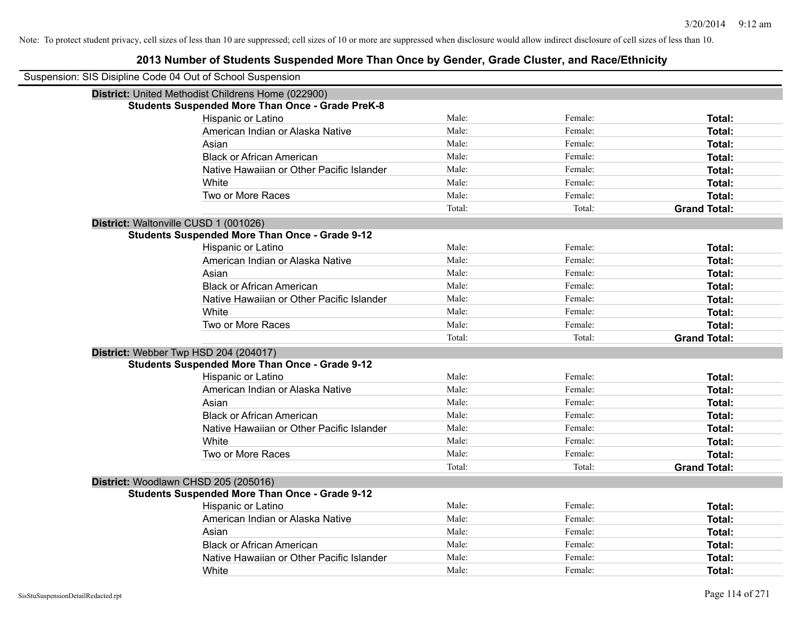| Suspension: SIS Disipline Code 04 Out of School Suspension |                                                         |        |         |                     |
|------------------------------------------------------------|---------------------------------------------------------|--------|---------|---------------------|
|                                                            | District: United Methodist Childrens Home (022900)      |        |         |                     |
|                                                            | <b>Students Suspended More Than Once - Grade PreK-8</b> |        |         |                     |
|                                                            | Hispanic or Latino                                      | Male:  | Female: | Total:              |
|                                                            | American Indian or Alaska Native                        | Male:  | Female: | Total:              |
|                                                            | Asian                                                   | Male:  | Female: | Total:              |
|                                                            | <b>Black or African American</b>                        | Male:  | Female: | Total:              |
|                                                            | Native Hawaiian or Other Pacific Islander               | Male:  | Female: | Total:              |
|                                                            | White                                                   | Male:  | Female: | Total:              |
|                                                            | Two or More Races                                       | Male:  | Female: | Total:              |
|                                                            |                                                         | Total: | Total:  | <b>Grand Total:</b> |
| District: Waltonville CUSD 1 (001026)                      |                                                         |        |         |                     |
|                                                            | <b>Students Suspended More Than Once - Grade 9-12</b>   |        |         |                     |
|                                                            | Hispanic or Latino                                      | Male:  | Female: | Total:              |
|                                                            | American Indian or Alaska Native                        | Male:  | Female: | Total:              |
|                                                            | Asian                                                   | Male:  | Female: | Total:              |
|                                                            | <b>Black or African American</b>                        | Male:  | Female: | Total:              |
|                                                            | Native Hawaiian or Other Pacific Islander               | Male:  | Female: | Total:              |
|                                                            | White                                                   | Male:  | Female: | Total:              |
|                                                            | Two or More Races                                       | Male:  | Female: | Total:              |
|                                                            |                                                         | Total: | Total:  | <b>Grand Total:</b> |
| District: Webber Twp HSD 204 (204017)                      |                                                         |        |         |                     |
|                                                            | <b>Students Suspended More Than Once - Grade 9-12</b>   |        |         |                     |
|                                                            | Hispanic or Latino                                      | Male:  | Female: | Total:              |
|                                                            | American Indian or Alaska Native                        | Male:  | Female: | Total:              |
|                                                            | Asian                                                   | Male:  | Female: | Total:              |
|                                                            | <b>Black or African American</b>                        | Male:  | Female: | Total:              |
|                                                            | Native Hawaiian or Other Pacific Islander               | Male:  | Female: | Total:              |
|                                                            | White                                                   | Male:  | Female: | Total:              |
|                                                            | Two or More Races                                       | Male:  | Female: | Total:              |
|                                                            |                                                         | Total: | Total:  | <b>Grand Total:</b> |
| District: Woodlawn CHSD 205 (205016)                       |                                                         |        |         |                     |
|                                                            | <b>Students Suspended More Than Once - Grade 9-12</b>   |        |         |                     |
|                                                            | <b>Hispanic or Latino</b>                               | Male:  | Female: | Total:              |
|                                                            | American Indian or Alaska Native                        | Male:  | Female: | Total:              |
|                                                            | Asian                                                   | Male:  | Female: | Total:              |
|                                                            | <b>Black or African American</b>                        | Male:  | Female: | Total:              |
|                                                            | Native Hawaiian or Other Pacific Islander               | Male:  | Female: | Total:              |
|                                                            | White                                                   | Male:  | Female: | Total:              |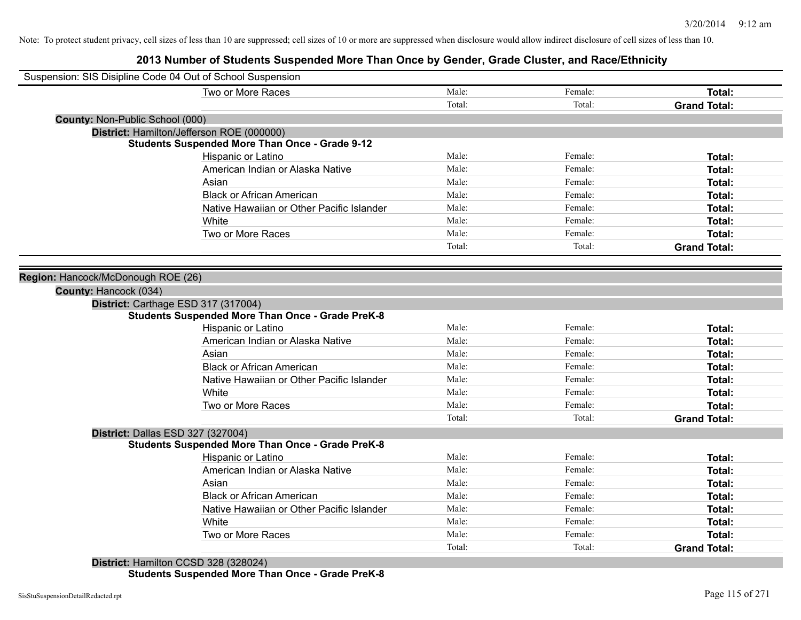# **2013 Number of Students Suspended More Than Once by Gender, Grade Cluster, and Race/Ethnicity**

| Suspension: SIS Disipline Code 04 Out of School Suspension |                                                         |        |         |                     |
|------------------------------------------------------------|---------------------------------------------------------|--------|---------|---------------------|
|                                                            | Two or More Races                                       | Male:  | Female: | Total:              |
|                                                            |                                                         | Total: | Total:  | <b>Grand Total:</b> |
| County: Non-Public School (000)                            |                                                         |        |         |                     |
|                                                            | District: Hamilton/Jefferson ROE (000000)               |        |         |                     |
|                                                            | <b>Students Suspended More Than Once - Grade 9-12</b>   |        |         |                     |
|                                                            | Hispanic or Latino                                      | Male:  | Female: | Total:              |
|                                                            | American Indian or Alaska Native                        | Male:  | Female: | Total:              |
|                                                            | Asian                                                   | Male:  | Female: | <b>Total:</b>       |
|                                                            | <b>Black or African American</b>                        | Male:  | Female: | <b>Total:</b>       |
|                                                            | Native Hawaiian or Other Pacific Islander               | Male:  | Female: | <b>Total:</b>       |
|                                                            | White                                                   | Male:  | Female: | Total:              |
|                                                            | Two or More Races                                       | Male:  | Female: | <b>Total:</b>       |
|                                                            |                                                         | Total: | Total:  | <b>Grand Total:</b> |
|                                                            |                                                         |        |         |                     |
| Region: Hancock/McDonough ROE (26)                         |                                                         |        |         |                     |
| County: Hancock (034)                                      |                                                         |        |         |                     |
|                                                            | District: Carthage ESD 317 (317004)                     |        |         |                     |
|                                                            | <b>Students Suspended More Than Once - Grade PreK-8</b> |        |         |                     |
|                                                            | Hispanic or Latino                                      | Male:  | Female: | Total:              |
|                                                            | American Indian or Alaska Native                        | Male:  | Female: | Total:              |
|                                                            | Asian                                                   | Male:  | Female: | Total:              |
|                                                            | <b>Black or African American</b>                        | Male:  | Female: | Total:              |
|                                                            | Native Hawaiian or Other Pacific Islander               | Male:  | Female: | Total:              |
|                                                            | White                                                   | Male:  | Female: | Total:              |
|                                                            | Two or More Races                                       | Male:  | Female: | Total:              |
|                                                            |                                                         | Total: | Total:  | <b>Grand Total:</b> |
| District: Dallas ESD 327 (327004)                          |                                                         |        |         |                     |
|                                                            | <b>Students Suspended More Than Once - Grade PreK-8</b> |        |         |                     |
|                                                            | Hispanic or Latino                                      | Male:  | Female: | Total:              |
|                                                            | American Indian or Alaska Native                        | Male:  | Female: | <b>Total:</b>       |
|                                                            | Asian                                                   | Male:  | Female: | Total:              |
|                                                            | <b>Black or African American</b>                        | Male:  | Female: | Total:              |
|                                                            | Native Hawaiian or Other Pacific Islander               | Male:  | Female: | Total:              |
|                                                            | White                                                   | Male:  | Female: | <b>Total:</b>       |
|                                                            | Two or More Races                                       | Male:  | Female: | <b>Total:</b>       |
|                                                            |                                                         | Total: | Total:  | <b>Grand Total:</b> |
|                                                            | District: Hamilton CCSD 328 (328024)                    |        |         |                     |

**Students Suspended More Than Once - Grade PreK-8**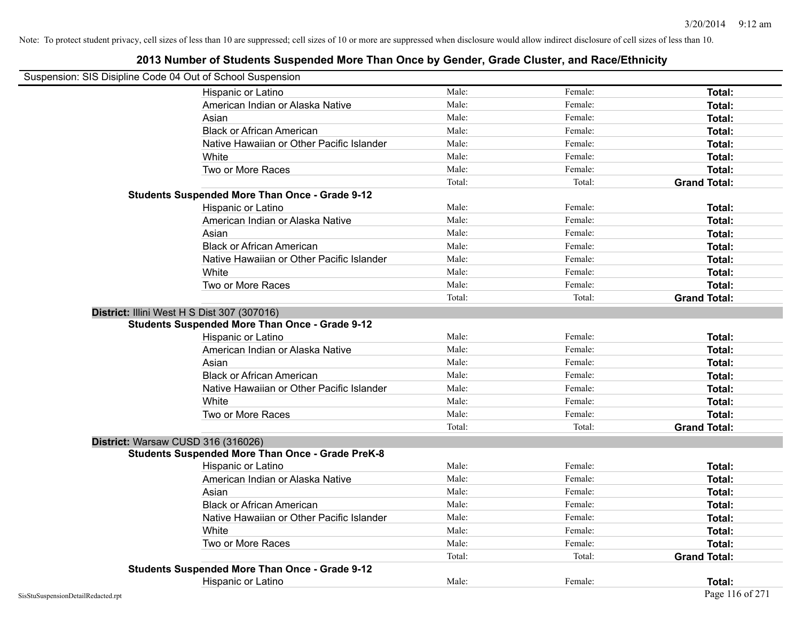| Suspension: SIS Disipline Code 04 Out of School Suspension |                                                         |        |         |                     |
|------------------------------------------------------------|---------------------------------------------------------|--------|---------|---------------------|
|                                                            | <b>Hispanic or Latino</b>                               | Male:  | Female: | Total:              |
|                                                            | American Indian or Alaska Native                        | Male:  | Female: | Total:              |
|                                                            | Asian                                                   | Male:  | Female: | Total:              |
|                                                            | <b>Black or African American</b>                        | Male:  | Female: | Total:              |
|                                                            | Native Hawaiian or Other Pacific Islander               | Male:  | Female: | Total:              |
|                                                            | White                                                   | Male:  | Female: | Total:              |
|                                                            | Two or More Races                                       | Male:  | Female: | Total:              |
|                                                            |                                                         | Total: | Total:  | <b>Grand Total:</b> |
|                                                            | <b>Students Suspended More Than Once - Grade 9-12</b>   |        |         |                     |
|                                                            | Hispanic or Latino                                      | Male:  | Female: | Total:              |
|                                                            | American Indian or Alaska Native                        | Male:  | Female: | Total:              |
|                                                            | Asian                                                   | Male:  | Female: | Total:              |
|                                                            | <b>Black or African American</b>                        | Male:  | Female: | Total:              |
|                                                            | Native Hawaiian or Other Pacific Islander               | Male:  | Female: | Total:              |
|                                                            | White                                                   | Male:  | Female: | Total:              |
|                                                            | Two or More Races                                       | Male:  | Female: | Total:              |
|                                                            |                                                         | Total: | Total:  | <b>Grand Total:</b> |
| District: Illini West H S Dist 307 (307016)                |                                                         |        |         |                     |
|                                                            | <b>Students Suspended More Than Once - Grade 9-12</b>   |        |         |                     |
|                                                            | Hispanic or Latino                                      | Male:  | Female: | Total:              |
|                                                            | American Indian or Alaska Native                        | Male:  | Female: | Total:              |
|                                                            | Asian                                                   | Male:  | Female: | Total:              |
|                                                            | <b>Black or African American</b>                        | Male:  | Female: | Total:              |
|                                                            | Native Hawaiian or Other Pacific Islander               | Male:  | Female: | <b>Total:</b>       |
|                                                            | White                                                   | Male:  | Female: | Total:              |
|                                                            | Two or More Races                                       | Male:  | Female: | Total:              |
|                                                            |                                                         | Total: | Total:  | <b>Grand Total:</b> |
| District: Warsaw CUSD 316 (316026)                         |                                                         |        |         |                     |
|                                                            | <b>Students Suspended More Than Once - Grade PreK-8</b> |        |         |                     |
|                                                            | Hispanic or Latino                                      | Male:  | Female: | Total:              |
|                                                            | American Indian or Alaska Native                        | Male:  | Female: | Total:              |
|                                                            | Asian                                                   | Male:  | Female: | Total:              |
|                                                            | <b>Black or African American</b>                        | Male:  | Female: | Total:              |
|                                                            | Native Hawaiian or Other Pacific Islander               | Male:  | Female: | Total:              |
|                                                            | White                                                   | Male:  | Female: | Total:              |
|                                                            | Two or More Races                                       | Male:  | Female: | Total:              |
|                                                            |                                                         | Total: | Total:  | <b>Grand Total:</b> |
|                                                            | <b>Students Suspended More Than Once - Grade 9-12</b>   |        |         |                     |
|                                                            | Hispanic or Latino                                      | Male:  | Female: | Total:              |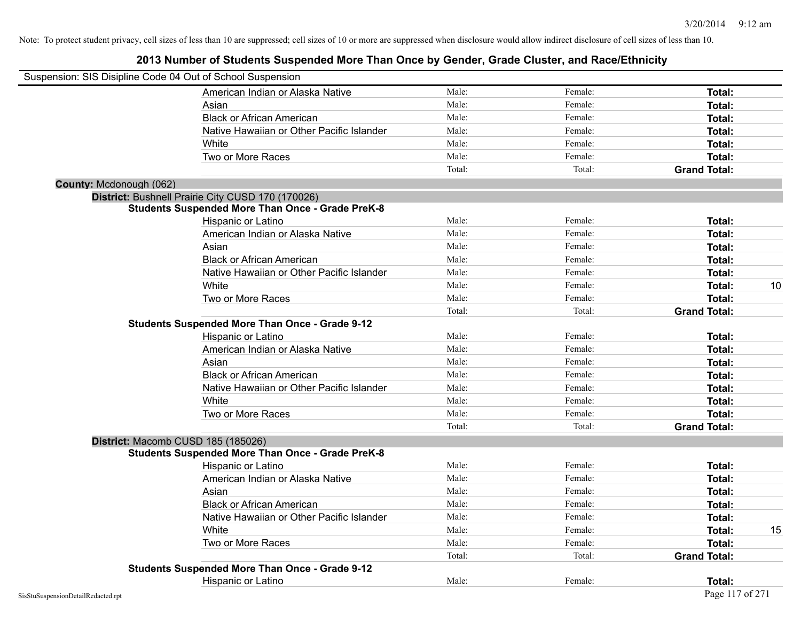| Suspension: SIS Disipline Code 04 Out of School Suspension |                                                         |        |         |                     |    |
|------------------------------------------------------------|---------------------------------------------------------|--------|---------|---------------------|----|
|                                                            | American Indian or Alaska Native                        | Male:  | Female: | Total:              |    |
|                                                            | Asian                                                   | Male:  | Female: | Total:              |    |
|                                                            | <b>Black or African American</b>                        | Male:  | Female: | Total:              |    |
|                                                            | Native Hawaiian or Other Pacific Islander               | Male:  | Female: | Total:              |    |
|                                                            | White                                                   | Male:  | Female: | Total:              |    |
|                                                            | Two or More Races                                       | Male:  | Female: | Total:              |    |
|                                                            |                                                         | Total: | Total:  | <b>Grand Total:</b> |    |
| County: Mcdonough (062)                                    |                                                         |        |         |                     |    |
|                                                            | District: Bushnell Prairie City CUSD 170 (170026)       |        |         |                     |    |
|                                                            | <b>Students Suspended More Than Once - Grade PreK-8</b> |        |         |                     |    |
|                                                            | Hispanic or Latino                                      | Male:  | Female: | Total:              |    |
|                                                            | American Indian or Alaska Native                        | Male:  | Female: | Total:              |    |
|                                                            | Asian                                                   | Male:  | Female: | Total:              |    |
|                                                            | <b>Black or African American</b>                        | Male:  | Female: | Total:              |    |
|                                                            | Native Hawaiian or Other Pacific Islander               | Male:  | Female: | Total:              |    |
|                                                            | White                                                   | Male:  | Female: | Total:              | 10 |
|                                                            | Two or More Races                                       | Male:  | Female: | Total:              |    |
|                                                            |                                                         | Total: | Total:  | <b>Grand Total:</b> |    |
|                                                            | <b>Students Suspended More Than Once - Grade 9-12</b>   |        |         |                     |    |
|                                                            | Hispanic or Latino                                      | Male:  | Female: | Total:              |    |
|                                                            | American Indian or Alaska Native                        | Male:  | Female: | Total:              |    |
|                                                            | Asian                                                   | Male:  | Female: | Total:              |    |
|                                                            | <b>Black or African American</b>                        | Male:  | Female: | Total:              |    |
|                                                            | Native Hawaiian or Other Pacific Islander               | Male:  | Female: | Total:              |    |
|                                                            | White                                                   | Male:  | Female: | Total:              |    |
|                                                            | Two or More Races                                       | Male:  | Female: | Total:              |    |
|                                                            |                                                         | Total: | Total:  | <b>Grand Total:</b> |    |
| District: Macomb CUSD 185 (185026)                         |                                                         |        |         |                     |    |
|                                                            | <b>Students Suspended More Than Once - Grade PreK-8</b> |        |         |                     |    |
|                                                            | Hispanic or Latino                                      | Male:  | Female: | Total:              |    |
|                                                            | American Indian or Alaska Native                        | Male:  | Female: | Total:              |    |
|                                                            | Asian                                                   | Male:  | Female: | Total:              |    |
|                                                            | <b>Black or African American</b>                        | Male:  | Female: | Total:              |    |
|                                                            | Native Hawaiian or Other Pacific Islander               | Male:  | Female: | Total:              |    |
|                                                            | White                                                   | Male:  | Female: | Total:              | 15 |
|                                                            | Two or More Races                                       | Male:  | Female: | Total:              |    |
|                                                            |                                                         | Total: | Total:  | <b>Grand Total:</b> |    |
|                                                            | <b>Students Suspended More Than Once - Grade 9-12</b>   |        |         |                     |    |
|                                                            | Hispanic or Latino                                      | Male:  | Female: | Total:              |    |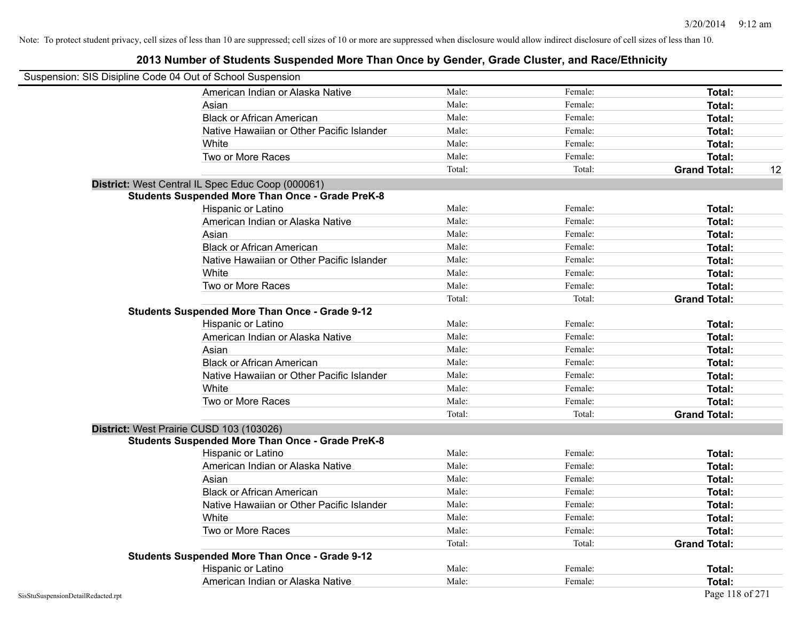| Suspension: SIS Disipline Code 04 Out of School Suspension |                                                         |        |         |                     |    |
|------------------------------------------------------------|---------------------------------------------------------|--------|---------|---------------------|----|
|                                                            | American Indian or Alaska Native                        | Male:  | Female: | <b>Total:</b>       |    |
|                                                            | Asian                                                   | Male:  | Female: | Total:              |    |
|                                                            | <b>Black or African American</b>                        | Male:  | Female: | Total:              |    |
|                                                            | Native Hawaiian or Other Pacific Islander               | Male:  | Female: | Total:              |    |
|                                                            | White                                                   | Male:  | Female: | Total:              |    |
|                                                            | Two or More Races                                       | Male:  | Female: | Total:              |    |
|                                                            |                                                         | Total: | Total:  | <b>Grand Total:</b> | 12 |
|                                                            | District: West Central IL Spec Educ Coop (000061)       |        |         |                     |    |
|                                                            | <b>Students Suspended More Than Once - Grade PreK-8</b> |        |         |                     |    |
|                                                            | Hispanic or Latino                                      | Male:  | Female: | Total:              |    |
|                                                            | American Indian or Alaska Native                        | Male:  | Female: | Total:              |    |
|                                                            | Asian                                                   | Male:  | Female: | Total:              |    |
|                                                            | <b>Black or African American</b>                        | Male:  | Female: | Total:              |    |
|                                                            | Native Hawaiian or Other Pacific Islander               | Male:  | Female: | Total:              |    |
|                                                            | White                                                   | Male:  | Female: | Total:              |    |
|                                                            | Two or More Races                                       | Male:  | Female: | Total:              |    |
|                                                            |                                                         | Total: | Total:  | <b>Grand Total:</b> |    |
|                                                            | <b>Students Suspended More Than Once - Grade 9-12</b>   |        |         |                     |    |
|                                                            | Hispanic or Latino                                      | Male:  | Female: | Total:              |    |
|                                                            | American Indian or Alaska Native                        | Male:  | Female: | Total:              |    |
|                                                            | Asian                                                   | Male:  | Female: | Total:              |    |
|                                                            | <b>Black or African American</b>                        | Male:  | Female: | Total:              |    |
|                                                            | Native Hawaiian or Other Pacific Islander               | Male:  | Female: | Total:              |    |
|                                                            | White                                                   | Male:  | Female: | Total:              |    |
|                                                            | Two or More Races                                       | Male:  | Female: | Total:              |    |
|                                                            |                                                         | Total: | Total:  | <b>Grand Total:</b> |    |
|                                                            | District: West Prairie CUSD 103 (103026)                |        |         |                     |    |
|                                                            | <b>Students Suspended More Than Once - Grade PreK-8</b> |        |         |                     |    |
|                                                            | Hispanic or Latino                                      | Male:  | Female: | Total:              |    |
|                                                            | American Indian or Alaska Native                        | Male:  | Female: | Total:              |    |
|                                                            | Asian                                                   | Male:  | Female: | Total:              |    |
|                                                            | <b>Black or African American</b>                        | Male:  | Female: | Total:              |    |
|                                                            | Native Hawaiian or Other Pacific Islander               | Male:  | Female: | Total:              |    |
|                                                            | White                                                   | Male:  | Female: | Total:              |    |
|                                                            | Two or More Races                                       | Male:  | Female: | Total:              |    |
|                                                            |                                                         | Total: | Total:  | <b>Grand Total:</b> |    |
|                                                            | <b>Students Suspended More Than Once - Grade 9-12</b>   |        |         |                     |    |
|                                                            | Hispanic or Latino                                      | Male:  | Female: | Total:              |    |
|                                                            | American Indian or Alaska Native                        | Male:  | Female: | Total:              |    |
| SisStuSuspensionDetailRedacted.rpt                         |                                                         |        |         | Page 118 of 271     |    |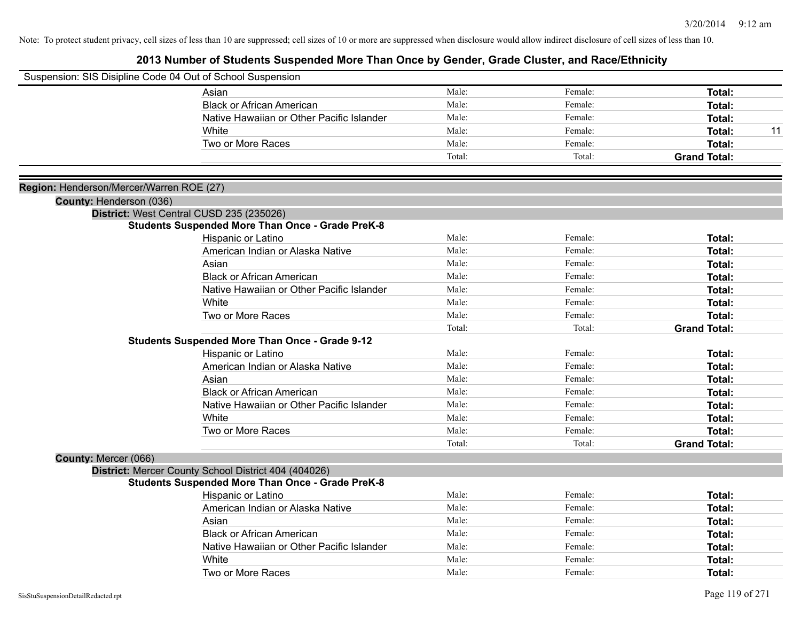|                                          | Suspension: SIS Disipline Code 04 Out of School Suspension |        |         |                     |    |
|------------------------------------------|------------------------------------------------------------|--------|---------|---------------------|----|
|                                          | Asian                                                      | Male:  | Female: | <b>Total:</b>       |    |
|                                          | <b>Black or African American</b>                           | Male:  | Female: | Total:              |    |
|                                          | Native Hawaiian or Other Pacific Islander                  | Male:  | Female: | Total:              |    |
|                                          | White                                                      | Male:  | Female: | <b>Total:</b>       | 11 |
|                                          | Two or More Races                                          | Male:  | Female: | Total:              |    |
|                                          |                                                            | Total: | Total:  | <b>Grand Total:</b> |    |
| Region: Henderson/Mercer/Warren ROE (27) |                                                            |        |         |                     |    |
| County: Henderson (036)                  |                                                            |        |         |                     |    |
|                                          | District: West Central CUSD 235 (235026)                   |        |         |                     |    |
|                                          | <b>Students Suspended More Than Once - Grade PreK-8</b>    |        |         |                     |    |
|                                          | Hispanic or Latino                                         | Male:  | Female: | Total:              |    |
|                                          | American Indian or Alaska Native                           | Male:  | Female: | <b>Total:</b>       |    |
|                                          | Asian                                                      | Male:  | Female: | <b>Total:</b>       |    |
|                                          | <b>Black or African American</b>                           | Male:  | Female: | Total:              |    |
|                                          | Native Hawaiian or Other Pacific Islander                  | Male:  | Female: | Total:              |    |
|                                          | White                                                      | Male:  | Female: | Total:              |    |
|                                          | Two or More Races                                          | Male:  | Female: | <b>Total:</b>       |    |
|                                          |                                                            | Total: | Total:  | <b>Grand Total:</b> |    |
|                                          | <b>Students Suspended More Than Once - Grade 9-12</b>      |        |         |                     |    |
|                                          | Hispanic or Latino                                         | Male:  | Female: | <b>Total:</b>       |    |
|                                          | American Indian or Alaska Native                           | Male:  | Female: | <b>Total:</b>       |    |
|                                          | Asian                                                      | Male:  | Female: | Total:              |    |
|                                          | <b>Black or African American</b>                           | Male:  | Female: | <b>Total:</b>       |    |
|                                          | Native Hawaiian or Other Pacific Islander                  | Male:  | Female: | Total:              |    |
|                                          | White                                                      | Male:  | Female: | <b>Total:</b>       |    |
|                                          | Two or More Races                                          | Male:  | Female: | <b>Total:</b>       |    |
|                                          |                                                            | Total: | Total:  | <b>Grand Total:</b> |    |
| County: Mercer (066)                     |                                                            |        |         |                     |    |
|                                          | District: Mercer County School District 404 (404026)       |        |         |                     |    |
|                                          | <b>Students Suspended More Than Once - Grade PreK-8</b>    |        |         |                     |    |
|                                          | Hispanic or Latino                                         | Male:  | Female: | Total:              |    |
|                                          | American Indian or Alaska Native                           | Male:  | Female: | <b>Total:</b>       |    |
|                                          | Asian                                                      | Male:  | Female: | Total:              |    |
|                                          | <b>Black or African American</b>                           | Male:  | Female: | Total:              |    |
|                                          | Native Hawaiian or Other Pacific Islander                  | Male:  | Female: | <b>Total:</b>       |    |
|                                          | White                                                      | Male:  | Female: | <b>Total:</b>       |    |
|                                          | Two or More Races                                          | Male:  | Female: | Total:              |    |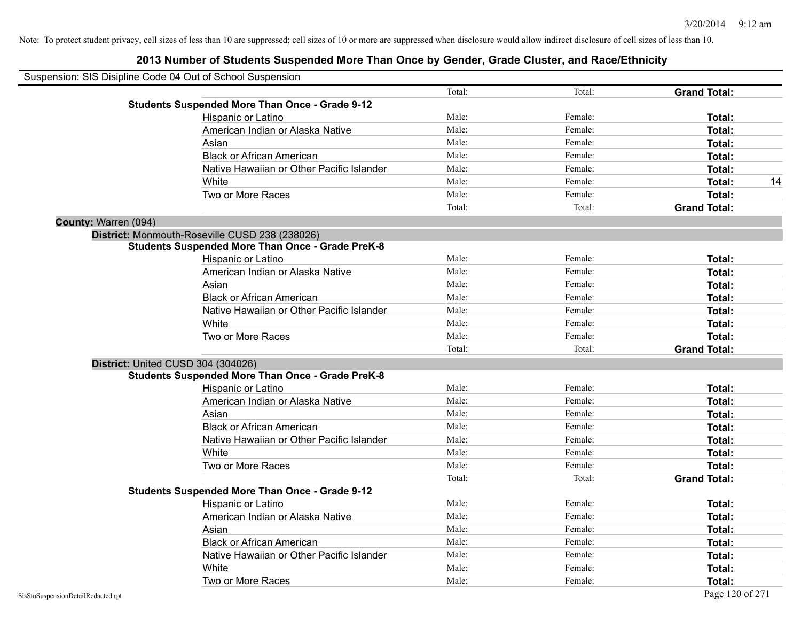|                      | Suspension: SIS Disipline Code 04 Out of School Suspension |        |         |                     |    |
|----------------------|------------------------------------------------------------|--------|---------|---------------------|----|
|                      |                                                            | Total: | Total:  | <b>Grand Total:</b> |    |
|                      | <b>Students Suspended More Than Once - Grade 9-12</b>      |        |         |                     |    |
|                      | Hispanic or Latino                                         | Male:  | Female: | Total:              |    |
|                      | American Indian or Alaska Native                           | Male:  | Female: | Total:              |    |
|                      | Asian                                                      | Male:  | Female: | Total:              |    |
|                      | <b>Black or African American</b>                           | Male:  | Female: | Total:              |    |
|                      | Native Hawaiian or Other Pacific Islander                  | Male:  | Female: | Total:              |    |
|                      | White                                                      | Male:  | Female: | Total:              | 14 |
|                      | Two or More Races                                          | Male:  | Female: | Total:              |    |
|                      |                                                            | Total: | Total:  | <b>Grand Total:</b> |    |
| County: Warren (094) |                                                            |        |         |                     |    |
|                      | District: Monmouth-Roseville CUSD 238 (238026)             |        |         |                     |    |
|                      | <b>Students Suspended More Than Once - Grade PreK-8</b>    |        |         |                     |    |
|                      | Hispanic or Latino                                         | Male:  | Female: | Total:              |    |
|                      | American Indian or Alaska Native                           | Male:  | Female: | Total:              |    |
|                      | Asian                                                      | Male:  | Female: | Total:              |    |
|                      | <b>Black or African American</b>                           | Male:  | Female: | Total:              |    |
|                      | Native Hawaiian or Other Pacific Islander                  | Male:  | Female: | Total:              |    |
|                      | White                                                      | Male:  | Female: | Total:              |    |
|                      | Two or More Races                                          | Male:  | Female: | Total:              |    |
|                      |                                                            | Total: | Total:  | <b>Grand Total:</b> |    |
|                      | District: United CUSD 304 (304026)                         |        |         |                     |    |
|                      | <b>Students Suspended More Than Once - Grade PreK-8</b>    |        |         |                     |    |
|                      | Hispanic or Latino                                         | Male:  | Female: | Total:              |    |
|                      | American Indian or Alaska Native                           | Male:  | Female: | Total:              |    |
|                      | Asian                                                      | Male:  | Female: | Total:              |    |
|                      | <b>Black or African American</b>                           | Male:  | Female: | Total:              |    |
|                      | Native Hawaiian or Other Pacific Islander                  | Male:  | Female: | Total:              |    |
|                      | White                                                      | Male:  | Female: | Total:              |    |
|                      | Two or More Races                                          | Male:  | Female: | Total:              |    |
|                      |                                                            | Total: | Total:  | <b>Grand Total:</b> |    |
|                      | <b>Students Suspended More Than Once - Grade 9-12</b>      |        |         |                     |    |
|                      | Hispanic or Latino                                         | Male:  | Female: | Total:              |    |
|                      | American Indian or Alaska Native                           | Male:  | Female: | Total:              |    |
|                      | Asian                                                      | Male:  | Female: | Total:              |    |
|                      | <b>Black or African American</b>                           | Male:  | Female: | Total:              |    |
|                      | Native Hawaiian or Other Pacific Islander                  | Male:  | Female: | Total:              |    |
|                      | White                                                      | Male:  | Female: | Total:              |    |
|                      | Two or More Races                                          | Male:  | Female: | Total:              |    |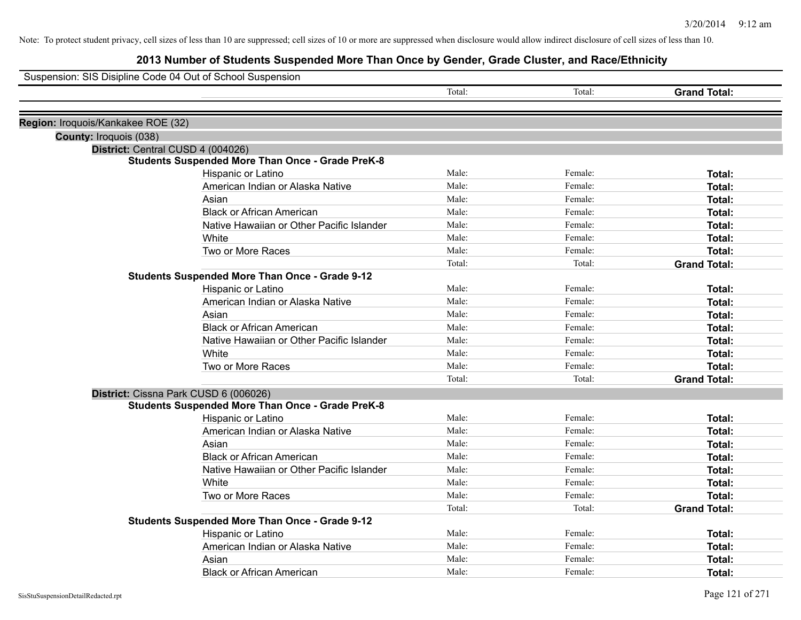| Suspension: SIS Disipline Code 04 Out of School Suspension  |        |         |                     |
|-------------------------------------------------------------|--------|---------|---------------------|
|                                                             | Total: | Total:  | <b>Grand Total:</b> |
| Region: Iroquois/Kankakee ROE (32)                          |        |         |                     |
|                                                             |        |         |                     |
| County: Iroquois (038)<br>District: Central CUSD 4 (004026) |        |         |                     |
| <b>Students Suspended More Than Once - Grade PreK-8</b>     |        |         |                     |
| Hispanic or Latino                                          | Male:  | Female: | Total:              |
| American Indian or Alaska Native                            | Male:  | Female: | Total:              |
| Asian                                                       | Male:  | Female: | Total:              |
| <b>Black or African American</b>                            | Male:  | Female: | Total:              |
| Native Hawaiian or Other Pacific Islander                   | Male:  | Female: | Total:              |
| White                                                       | Male:  | Female: | Total:              |
| Two or More Races                                           | Male:  | Female: | Total:              |
|                                                             | Total: | Total:  | <b>Grand Total:</b> |
| <b>Students Suspended More Than Once - Grade 9-12</b>       |        |         |                     |
| Hispanic or Latino                                          | Male:  | Female: | Total:              |
| American Indian or Alaska Native                            | Male:  | Female: | Total:              |
| Asian                                                       | Male:  | Female: | Total:              |
| <b>Black or African American</b>                            | Male:  | Female: | Total:              |
| Native Hawaiian or Other Pacific Islander                   | Male:  | Female: | Total:              |
| White                                                       | Male:  | Female: | Total:              |
| Two or More Races                                           | Male:  | Female: | Total:              |
|                                                             | Total: | Total:  | <b>Grand Total:</b> |
| District: Cissna Park CUSD 6 (006026)                       |        |         |                     |
| <b>Students Suspended More Than Once - Grade PreK-8</b>     |        |         |                     |
| Hispanic or Latino                                          | Male:  | Female: | Total:              |
| American Indian or Alaska Native                            | Male:  | Female: | Total:              |
| Asian                                                       | Male:  | Female: | Total:              |
| <b>Black or African American</b>                            | Male:  | Female: | Total:              |
| Native Hawaiian or Other Pacific Islander                   | Male:  | Female: | Total:              |
| <b>White</b>                                                | Male:  | Female: | Total:              |
| Two or More Races                                           | Male:  | Female: | Total:              |
|                                                             | Total: | Total:  | <b>Grand Total:</b> |
| <b>Students Suspended More Than Once - Grade 9-12</b>       |        |         |                     |
| Hispanic or Latino                                          | Male:  | Female: | Total:              |
| American Indian or Alaska Native                            | Male:  | Female: | Total:              |
| Asian                                                       | Male:  | Female: | Total:              |
| <b>Black or African American</b>                            | Male:  | Female: | Total:              |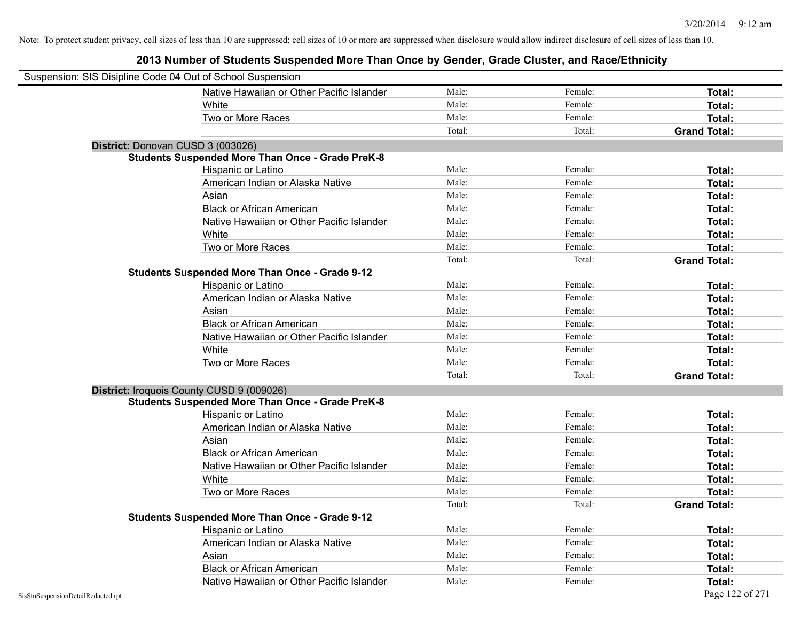| Suspension: SIS Disipline Code 04 Out of School Suspension |                                                         |        |         |                     |
|------------------------------------------------------------|---------------------------------------------------------|--------|---------|---------------------|
|                                                            | Native Hawaiian or Other Pacific Islander               | Male:  | Female: | Total:              |
|                                                            | White                                                   | Male:  | Female: | Total:              |
|                                                            | Two or More Races                                       | Male:  | Female: | Total:              |
|                                                            |                                                         | Total: | Total:  | <b>Grand Total:</b> |
| District: Donovan CUSD 3 (003026)                          |                                                         |        |         |                     |
|                                                            | <b>Students Suspended More Than Once - Grade PreK-8</b> |        |         |                     |
|                                                            | Hispanic or Latino                                      | Male:  | Female: | Total:              |
|                                                            | American Indian or Alaska Native                        | Male:  | Female: | Total:              |
|                                                            | Asian                                                   | Male:  | Female: | Total:              |
|                                                            | <b>Black or African American</b>                        | Male:  | Female: | Total:              |
|                                                            | Native Hawaiian or Other Pacific Islander               | Male:  | Female: | Total:              |
|                                                            | White                                                   | Male:  | Female: | Total:              |
|                                                            | Two or More Races                                       | Male:  | Female: | Total:              |
|                                                            |                                                         | Total: | Total:  | <b>Grand Total:</b> |
|                                                            | <b>Students Suspended More Than Once - Grade 9-12</b>   |        |         |                     |
|                                                            | Hispanic or Latino                                      | Male:  | Female: | Total:              |
|                                                            | American Indian or Alaska Native                        | Male:  | Female: | Total:              |
|                                                            | Asian                                                   | Male:  | Female: | Total:              |
|                                                            | <b>Black or African American</b>                        | Male:  | Female: | Total:              |
|                                                            | Native Hawaiian or Other Pacific Islander               | Male:  | Female: | Total:              |
|                                                            | White                                                   | Male:  | Female: | Total:              |
|                                                            | Two or More Races                                       | Male:  | Female: | Total:              |
|                                                            |                                                         | Total: | Total:  | <b>Grand Total:</b> |
| District: Iroquois County CUSD 9 (009026)                  |                                                         |        |         |                     |
|                                                            | <b>Students Suspended More Than Once - Grade PreK-8</b> |        |         |                     |
|                                                            | Hispanic or Latino                                      | Male:  | Female: | Total:              |
|                                                            | American Indian or Alaska Native                        | Male:  | Female: | Total:              |
|                                                            | Asian                                                   | Male:  | Female: | Total:              |
|                                                            | <b>Black or African American</b>                        | Male:  | Female: | Total:              |
|                                                            | Native Hawaiian or Other Pacific Islander               | Male:  | Female: | Total:              |
|                                                            | White                                                   | Male:  | Female: | Total:              |
|                                                            | Two or More Races                                       | Male:  | Female: | Total:              |
|                                                            |                                                         | Total: | Total:  | <b>Grand Total:</b> |
|                                                            | <b>Students Suspended More Than Once - Grade 9-12</b>   |        |         |                     |
|                                                            | Hispanic or Latino                                      | Male:  | Female: | Total:              |
|                                                            | American Indian or Alaska Native                        | Male:  | Female: | Total:              |
|                                                            | Asian                                                   | Male:  | Female: | Total:              |
|                                                            | <b>Black or African American</b>                        | Male:  | Female: | Total:              |
|                                                            | Native Hawaiian or Other Pacific Islander               | Male:  | Female: | Total:              |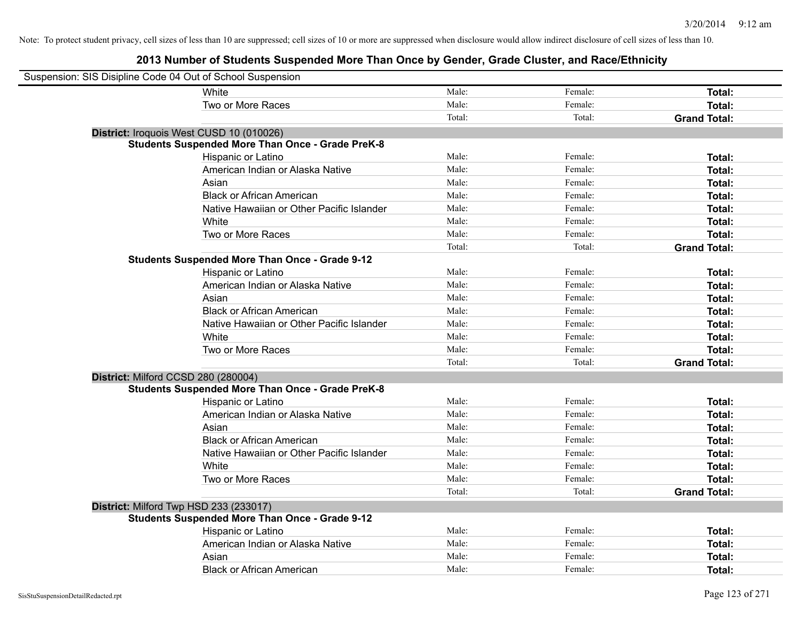| Suspension: SIS Disipline Code 04 Out of School Suspension |                                                         |        |         |                     |
|------------------------------------------------------------|---------------------------------------------------------|--------|---------|---------------------|
|                                                            | <b>White</b>                                            | Male:  | Female: | Total:              |
|                                                            | Two or More Races                                       | Male:  | Female: | Total:              |
|                                                            |                                                         | Total: | Total:  | <b>Grand Total:</b> |
| District: Iroquois West CUSD 10 (010026)                   |                                                         |        |         |                     |
|                                                            | <b>Students Suspended More Than Once - Grade PreK-8</b> |        |         |                     |
|                                                            | Hispanic or Latino                                      | Male:  | Female: | Total:              |
|                                                            | American Indian or Alaska Native                        | Male:  | Female: | Total:              |
|                                                            | Asian                                                   | Male:  | Female: | Total:              |
|                                                            | <b>Black or African American</b>                        | Male:  | Female: | Total:              |
|                                                            | Native Hawaiian or Other Pacific Islander               | Male:  | Female: | Total:              |
|                                                            | White                                                   | Male:  | Female: | Total:              |
|                                                            | Two or More Races                                       | Male:  | Female: | Total:              |
|                                                            |                                                         | Total: | Total:  | <b>Grand Total:</b> |
|                                                            | <b>Students Suspended More Than Once - Grade 9-12</b>   |        |         |                     |
|                                                            | Hispanic or Latino                                      | Male:  | Female: | Total:              |
|                                                            | American Indian or Alaska Native                        | Male:  | Female: | Total:              |
|                                                            | Asian                                                   | Male:  | Female: | Total:              |
|                                                            | <b>Black or African American</b>                        | Male:  | Female: | Total:              |
|                                                            | Native Hawaiian or Other Pacific Islander               | Male:  | Female: | Total:              |
|                                                            | White                                                   | Male:  | Female: | Total:              |
|                                                            | Two or More Races                                       | Male:  | Female: | Total:              |
|                                                            |                                                         | Total: | Total:  | <b>Grand Total:</b> |
| District: Milford CCSD 280 (280004)                        |                                                         |        |         |                     |
|                                                            | <b>Students Suspended More Than Once - Grade PreK-8</b> |        |         |                     |
|                                                            | Hispanic or Latino                                      | Male:  | Female: | Total:              |
|                                                            | American Indian or Alaska Native                        | Male:  | Female: | Total:              |
|                                                            | Asian                                                   | Male:  | Female: | Total:              |
|                                                            | <b>Black or African American</b>                        | Male:  | Female: | Total:              |
|                                                            | Native Hawaiian or Other Pacific Islander               | Male:  | Female: | Total:              |
|                                                            | White                                                   | Male:  | Female: | Total:              |
|                                                            | Two or More Races                                       | Male:  | Female: | Total:              |
|                                                            |                                                         | Total: | Total:  | <b>Grand Total:</b> |
| District: Milford Twp HSD 233 (233017)                     |                                                         |        |         |                     |
|                                                            | <b>Students Suspended More Than Once - Grade 9-12</b>   |        |         |                     |
|                                                            | Hispanic or Latino                                      | Male:  | Female: | Total:              |
|                                                            | American Indian or Alaska Native                        | Male:  | Female: | Total:              |
|                                                            | Asian                                                   | Male:  | Female: | Total:              |
|                                                            | <b>Black or African American</b>                        | Male:  | Female: | Total:              |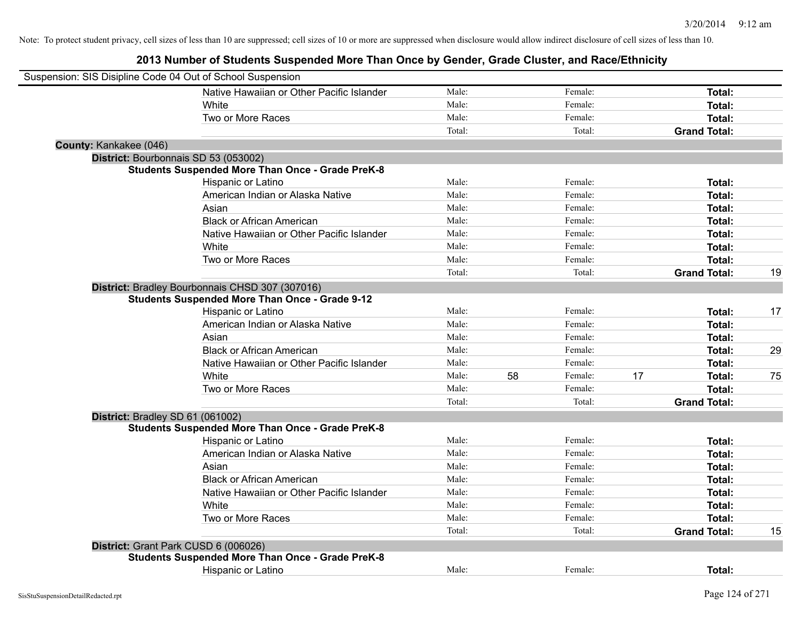| Suspension: SIS Disipline Code 04 Out of School Suspension |                                                         |        |    |         |    |                     |    |
|------------------------------------------------------------|---------------------------------------------------------|--------|----|---------|----|---------------------|----|
|                                                            | Native Hawaiian or Other Pacific Islander               | Male:  |    | Female: |    | Total:              |    |
|                                                            | <b>White</b>                                            | Male:  |    | Female: |    | Total:              |    |
|                                                            | Two or More Races                                       | Male:  |    | Female: |    | Total:              |    |
|                                                            |                                                         | Total: |    | Total:  |    | <b>Grand Total:</b> |    |
| County: Kankakee (046)                                     |                                                         |        |    |         |    |                     |    |
|                                                            | District: Bourbonnais SD 53 (053002)                    |        |    |         |    |                     |    |
|                                                            | <b>Students Suspended More Than Once - Grade PreK-8</b> |        |    |         |    |                     |    |
|                                                            | Hispanic or Latino                                      | Male:  |    | Female: |    | Total:              |    |
|                                                            | American Indian or Alaska Native                        | Male:  |    | Female: |    | Total:              |    |
|                                                            | Asian                                                   | Male:  |    | Female: |    | Total:              |    |
|                                                            | <b>Black or African American</b>                        | Male:  |    | Female: |    | Total:              |    |
|                                                            | Native Hawaiian or Other Pacific Islander               | Male:  |    | Female: |    | Total:              |    |
|                                                            | White                                                   | Male:  |    | Female: |    | Total:              |    |
|                                                            | Two or More Races                                       | Male:  |    | Female: |    | Total:              |    |
|                                                            |                                                         | Total: |    | Total:  |    | <b>Grand Total:</b> | 19 |
|                                                            | District: Bradley Bourbonnais CHSD 307 (307016)         |        |    |         |    |                     |    |
|                                                            | <b>Students Suspended More Than Once - Grade 9-12</b>   |        |    |         |    |                     |    |
|                                                            | Hispanic or Latino                                      | Male:  |    | Female: |    | Total:              | 17 |
|                                                            | American Indian or Alaska Native                        | Male:  |    | Female: |    | Total:              |    |
|                                                            | Asian                                                   | Male:  |    | Female: |    | Total:              |    |
|                                                            | <b>Black or African American</b>                        | Male:  |    | Female: |    | Total:              | 29 |
|                                                            | Native Hawaiian or Other Pacific Islander               | Male:  |    | Female: |    | Total:              |    |
|                                                            | White                                                   | Male:  | 58 | Female: | 17 | Total:              | 75 |
|                                                            | Two or More Races                                       | Male:  |    | Female: |    | Total:              |    |
|                                                            |                                                         | Total: |    | Total:  |    | <b>Grand Total:</b> |    |
| District: Bradley SD 61 (061002)                           |                                                         |        |    |         |    |                     |    |
|                                                            | <b>Students Suspended More Than Once - Grade PreK-8</b> |        |    |         |    |                     |    |
|                                                            | Hispanic or Latino                                      | Male:  |    | Female: |    | Total:              |    |
|                                                            | American Indian or Alaska Native                        | Male:  |    | Female: |    | Total:              |    |
|                                                            | Asian                                                   | Male:  |    | Female: |    | Total:              |    |
|                                                            | <b>Black or African American</b>                        | Male:  |    | Female: |    | Total:              |    |
|                                                            | Native Hawaiian or Other Pacific Islander               | Male:  |    | Female: |    | Total:              |    |
|                                                            | White                                                   | Male:  |    | Female: |    | Total:              |    |
|                                                            | Two or More Races                                       | Male:  |    | Female: |    | Total:              |    |
|                                                            |                                                         | Total: |    | Total:  |    | <b>Grand Total:</b> | 15 |
|                                                            | District: Grant Park CUSD 6 (006026)                    |        |    |         |    |                     |    |
|                                                            | <b>Students Suspended More Than Once - Grade PreK-8</b> |        |    |         |    |                     |    |
|                                                            | <b>Hispanic or Latino</b>                               | Male:  |    | Female: |    | Total:              |    |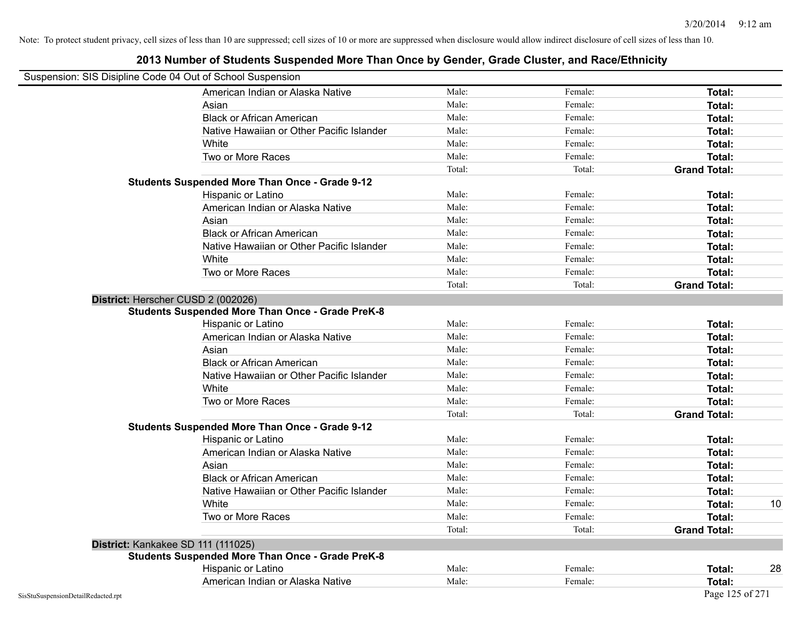|                                    | Suspension: SIS Disipline Code 04 Out of School Suspension |        |         |                     |    |
|------------------------------------|------------------------------------------------------------|--------|---------|---------------------|----|
|                                    | American Indian or Alaska Native                           | Male:  | Female: | Total:              |    |
|                                    | Asian                                                      | Male:  | Female: | Total:              |    |
|                                    | <b>Black or African American</b>                           | Male:  | Female: | Total:              |    |
|                                    | Native Hawaiian or Other Pacific Islander                  | Male:  | Female: | Total:              |    |
|                                    | White                                                      | Male:  | Female: | Total:              |    |
|                                    | Two or More Races                                          | Male:  | Female: | Total:              |    |
|                                    |                                                            | Total: | Total:  | <b>Grand Total:</b> |    |
|                                    | <b>Students Suspended More Than Once - Grade 9-12</b>      |        |         |                     |    |
|                                    | Hispanic or Latino                                         | Male:  | Female: | Total:              |    |
|                                    | American Indian or Alaska Native                           | Male:  | Female: | Total:              |    |
|                                    | Asian                                                      | Male:  | Female: | Total:              |    |
|                                    | <b>Black or African American</b>                           | Male:  | Female: | Total:              |    |
|                                    | Native Hawaiian or Other Pacific Islander                  | Male:  | Female: | Total:              |    |
|                                    | White                                                      | Male:  | Female: | Total:              |    |
|                                    | Two or More Races                                          | Male:  | Female: | Total:              |    |
|                                    |                                                            | Total: | Total:  | <b>Grand Total:</b> |    |
|                                    | District: Herscher CUSD 2 (002026)                         |        |         |                     |    |
|                                    | <b>Students Suspended More Than Once - Grade PreK-8</b>    |        |         |                     |    |
|                                    | Hispanic or Latino                                         | Male:  | Female: | Total:              |    |
|                                    | American Indian or Alaska Native                           | Male:  | Female: | Total:              |    |
|                                    | Asian                                                      | Male:  | Female: | Total:              |    |
|                                    | <b>Black or African American</b>                           | Male:  | Female: | Total:              |    |
|                                    | Native Hawaiian or Other Pacific Islander                  | Male:  | Female: | Total:              |    |
|                                    | White                                                      | Male:  | Female: | Total:              |    |
|                                    | Two or More Races                                          | Male:  | Female: | Total:              |    |
|                                    |                                                            | Total: | Total:  | <b>Grand Total:</b> |    |
|                                    | <b>Students Suspended More Than Once - Grade 9-12</b>      |        |         |                     |    |
|                                    | Hispanic or Latino                                         | Male:  | Female: | Total:              |    |
|                                    | American Indian or Alaska Native                           | Male:  | Female: | Total:              |    |
|                                    | Asian                                                      | Male:  | Female: | Total:              |    |
|                                    | <b>Black or African American</b>                           | Male:  | Female: | Total:              |    |
|                                    | Native Hawaiian or Other Pacific Islander                  | Male:  | Female: | Total:              |    |
|                                    | White                                                      | Male:  | Female: | Total:              | 10 |
|                                    | Two or More Races                                          | Male:  | Female: | Total:              |    |
|                                    |                                                            | Total: | Total:  | <b>Grand Total:</b> |    |
|                                    | District: Kankakee SD 111 (111025)                         |        |         |                     |    |
|                                    | <b>Students Suspended More Than Once - Grade PreK-8</b>    |        |         |                     |    |
|                                    | Hispanic or Latino                                         | Male:  | Female: | Total:              | 28 |
|                                    | American Indian or Alaska Native                           | Male:  | Female: | Total:              |    |
| SisStuSuspensionDetailRedacted.rpt |                                                            |        |         | Page 125 of 271     |    |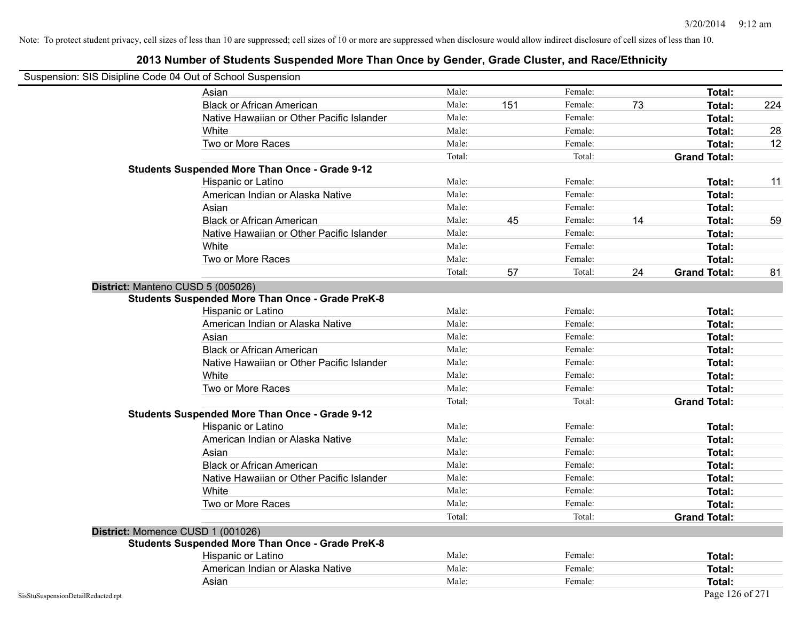| Suspension: SIS Disipline Code 04 Out of School Suspension |        |     |         |    |                     |     |
|------------------------------------------------------------|--------|-----|---------|----|---------------------|-----|
| Asian                                                      | Male:  |     | Female: |    | Total:              |     |
| <b>Black or African American</b>                           | Male:  | 151 | Female: | 73 | Total:              | 224 |
| Native Hawaiian or Other Pacific Islander                  | Male:  |     | Female: |    | Total:              |     |
| White                                                      | Male:  |     | Female: |    | Total:              | 28  |
| Two or More Races                                          | Male:  |     | Female: |    | Total:              | 12  |
|                                                            | Total: |     | Total:  |    | <b>Grand Total:</b> |     |
| <b>Students Suspended More Than Once - Grade 9-12</b>      |        |     |         |    |                     |     |
| Hispanic or Latino                                         | Male:  |     | Female: |    | Total:              | 11  |
| American Indian or Alaska Native                           | Male:  |     | Female: |    | Total:              |     |
| Asian                                                      | Male:  |     | Female: |    | Total:              |     |
| <b>Black or African American</b>                           | Male:  | 45  | Female: | 14 | Total:              | 59  |
| Native Hawaiian or Other Pacific Islander                  | Male:  |     | Female: |    | Total:              |     |
| White                                                      | Male:  |     | Female: |    | Total:              |     |
| Two or More Races                                          | Male:  |     | Female: |    | Total:              |     |
|                                                            | Total: | 57  | Total:  | 24 | <b>Grand Total:</b> | 81  |
| District: Manteno CUSD 5 (005026)                          |        |     |         |    |                     |     |
| <b>Students Suspended More Than Once - Grade PreK-8</b>    |        |     |         |    |                     |     |
| Hispanic or Latino                                         | Male:  |     | Female: |    | Total:              |     |
| American Indian or Alaska Native                           | Male:  |     | Female: |    | Total:              |     |
| Asian                                                      | Male:  |     | Female: |    | Total:              |     |
| <b>Black or African American</b>                           | Male:  |     | Female: |    | Total:              |     |
| Native Hawaiian or Other Pacific Islander                  | Male:  |     | Female: |    | Total:              |     |
| White                                                      | Male:  |     | Female: |    | Total:              |     |
| Two or More Races                                          | Male:  |     | Female: |    | Total:              |     |
|                                                            | Total: |     | Total:  |    | <b>Grand Total:</b> |     |
| <b>Students Suspended More Than Once - Grade 9-12</b>      |        |     |         |    |                     |     |
| Hispanic or Latino                                         | Male:  |     | Female: |    | Total:              |     |
| American Indian or Alaska Native                           | Male:  |     | Female: |    | Total:              |     |
| Asian                                                      | Male:  |     | Female: |    | Total:              |     |
| <b>Black or African American</b>                           | Male:  |     | Female: |    | Total:              |     |
| Native Hawaiian or Other Pacific Islander                  | Male:  |     | Female: |    | Total:              |     |
| White                                                      | Male:  |     | Female: |    | Total:              |     |
| Two or More Races                                          | Male:  |     | Female: |    | Total:              |     |
|                                                            | Total: |     | Total:  |    | <b>Grand Total:</b> |     |
| District: Momence CUSD 1 (001026)                          |        |     |         |    |                     |     |
| <b>Students Suspended More Than Once - Grade PreK-8</b>    |        |     |         |    |                     |     |
| Hispanic or Latino                                         | Male:  |     | Female: |    | Total:              |     |
| American Indian or Alaska Native                           | Male:  |     | Female: |    | <b>Total:</b>       |     |
| Asian                                                      | Male:  |     | Female: |    | Total:              |     |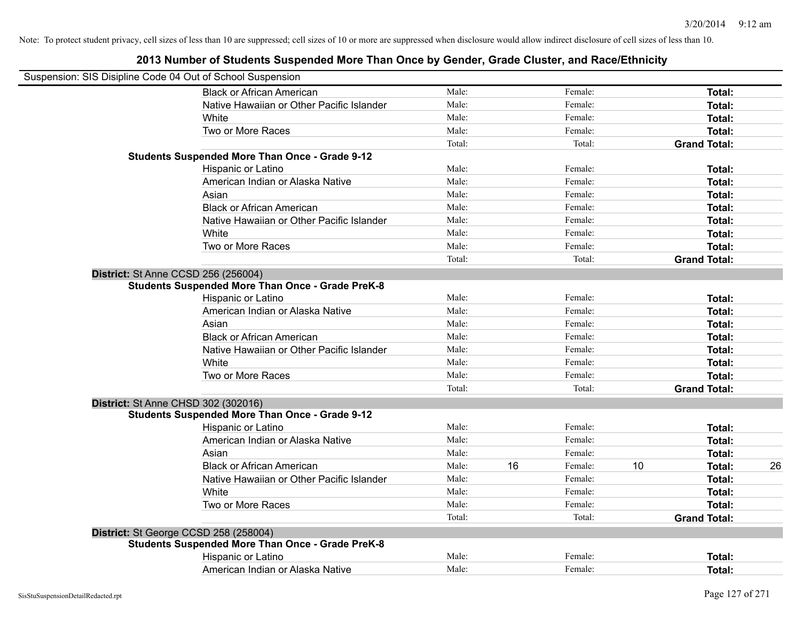| Suspension: SIS Disipline Code 04 Out of School Suspension |        |    |         |    |                     |    |
|------------------------------------------------------------|--------|----|---------|----|---------------------|----|
| <b>Black or African American</b>                           | Male:  |    | Female: |    | Total:              |    |
| Native Hawaiian or Other Pacific Islander                  | Male:  |    | Female: |    | Total:              |    |
| White                                                      | Male:  |    | Female: |    | Total:              |    |
| Two or More Races                                          | Male:  |    | Female: |    | Total:              |    |
|                                                            | Total: |    | Total:  |    | <b>Grand Total:</b> |    |
| <b>Students Suspended More Than Once - Grade 9-12</b>      |        |    |         |    |                     |    |
| Hispanic or Latino                                         | Male:  |    | Female: |    | Total:              |    |
| American Indian or Alaska Native                           | Male:  |    | Female: |    | Total:              |    |
| Asian                                                      | Male:  |    | Female: |    | Total:              |    |
| <b>Black or African American</b>                           | Male:  |    | Female: |    | Total:              |    |
| Native Hawaiian or Other Pacific Islander                  | Male:  |    | Female: |    | Total:              |    |
| White                                                      | Male:  |    | Female: |    | Total:              |    |
| Two or More Races                                          | Male:  |    | Female: |    | Total:              |    |
|                                                            | Total: |    | Total:  |    | <b>Grand Total:</b> |    |
| <b>District: St Anne CCSD 256 (256004)</b>                 |        |    |         |    |                     |    |
| <b>Students Suspended More Than Once - Grade PreK-8</b>    |        |    |         |    |                     |    |
| Hispanic or Latino                                         | Male:  |    | Female: |    | Total:              |    |
| American Indian or Alaska Native                           | Male:  |    | Female: |    | Total:              |    |
| Asian                                                      | Male:  |    | Female: |    | Total:              |    |
| <b>Black or African American</b>                           | Male:  |    | Female: |    | Total:              |    |
| Native Hawaiian or Other Pacific Islander                  | Male:  |    | Female: |    | Total:              |    |
| White                                                      | Male:  |    | Female: |    | Total:              |    |
| Two or More Races                                          | Male:  |    | Female: |    | Total:              |    |
|                                                            | Total: |    | Total:  |    | <b>Grand Total:</b> |    |
| District: St Anne CHSD 302 (302016)                        |        |    |         |    |                     |    |
| <b>Students Suspended More Than Once - Grade 9-12</b>      |        |    |         |    |                     |    |
| Hispanic or Latino                                         | Male:  |    | Female: |    | Total:              |    |
| American Indian or Alaska Native                           | Male:  |    | Female: |    | Total:              |    |
| Asian                                                      | Male:  |    | Female: |    | Total:              |    |
| <b>Black or African American</b>                           | Male:  | 16 | Female: | 10 | Total:              | 26 |
| Native Hawaiian or Other Pacific Islander                  | Male:  |    | Female: |    | Total:              |    |
| White                                                      | Male:  |    | Female: |    | Total:              |    |
| Two or More Races                                          | Male:  |    | Female: |    | Total:              |    |
|                                                            | Total: |    | Total:  |    | <b>Grand Total:</b> |    |
| District: St George CCSD 258 (258004)                      |        |    |         |    |                     |    |
| <b>Students Suspended More Than Once - Grade PreK-8</b>    |        |    |         |    |                     |    |
| Hispanic or Latino                                         | Male:  |    | Female: |    | Total:              |    |
| American Indian or Alaska Native                           | Male:  |    | Female: |    | Total:              |    |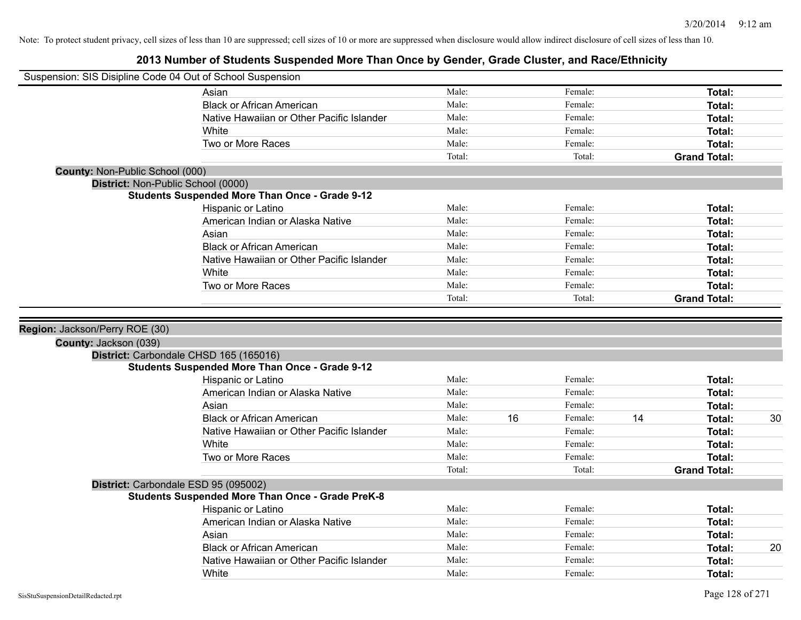|                                        | Suspension: SIS Disipline Code 04 Out of School Suspension |        |    |         |    |                     |    |
|----------------------------------------|------------------------------------------------------------|--------|----|---------|----|---------------------|----|
|                                        | Asian                                                      | Male:  |    | Female: |    | Total:              |    |
|                                        | <b>Black or African American</b>                           | Male:  |    | Female: |    | Total:              |    |
|                                        | Native Hawaiian or Other Pacific Islander                  | Male:  |    | Female: |    | Total:              |    |
|                                        | White                                                      | Male:  |    | Female: |    | Total:              |    |
|                                        | Two or More Races                                          | Male:  |    | Female: |    | Total:              |    |
|                                        |                                                            | Total: |    | Total:  |    | <b>Grand Total:</b> |    |
| <b>County: Non-Public School (000)</b> |                                                            |        |    |         |    |                     |    |
|                                        | District: Non-Public School (0000)                         |        |    |         |    |                     |    |
|                                        | <b>Students Suspended More Than Once - Grade 9-12</b>      |        |    |         |    |                     |    |
|                                        | Hispanic or Latino                                         | Male:  |    | Female: |    | Total:              |    |
|                                        | American Indian or Alaska Native                           | Male:  |    | Female: |    | Total:              |    |
|                                        | Asian                                                      | Male:  |    | Female: |    | Total:              |    |
|                                        | <b>Black or African American</b>                           | Male:  |    | Female: |    | Total:              |    |
|                                        | Native Hawaiian or Other Pacific Islander                  | Male:  |    | Female: |    | Total:              |    |
|                                        | White                                                      | Male:  |    | Female: |    | Total:              |    |
|                                        | Two or More Races                                          | Male:  |    | Female: |    | Total:              |    |
|                                        |                                                            | Total: |    | Total:  |    | <b>Grand Total:</b> |    |
| County: Jackson (039)                  |                                                            |        |    |         |    |                     |    |
|                                        | District: Carbondale CHSD 165 (165016)                     |        |    |         |    |                     |    |
|                                        | <b>Students Suspended More Than Once - Grade 9-12</b>      |        |    |         |    |                     |    |
|                                        | Hispanic or Latino                                         | Male:  |    | Female: |    | Total:              |    |
|                                        | American Indian or Alaska Native                           | Male:  |    | Female: |    | Total:              |    |
|                                        | Asian                                                      | Male:  |    | Female: |    | Total:              |    |
|                                        | <b>Black or African American</b>                           | Male:  | 16 | Female: | 14 | Total:              | 30 |
|                                        | Native Hawaiian or Other Pacific Islander                  | Male:  |    | Female: |    | Total:              |    |
|                                        | White                                                      | Male:  |    | Female: |    | Total:              |    |
|                                        | Two or More Races                                          | Male:  |    | Female: |    | Total:              |    |
|                                        |                                                            | Total: |    | Total:  |    | <b>Grand Total:</b> |    |
|                                        | District: Carbondale ESD 95 (095002)                       |        |    |         |    |                     |    |
|                                        | <b>Students Suspended More Than Once - Grade PreK-8</b>    |        |    |         |    |                     |    |
|                                        | Hispanic or Latino                                         | Male:  |    | Female: |    | Total:              |    |
|                                        | American Indian or Alaska Native                           | Male:  |    | Female: |    | Total:              |    |
|                                        | Asian                                                      | Male:  |    | Female: |    | Total:              |    |
|                                        | <b>Black or African American</b>                           | Male:  |    | Female: |    | Total:              | 20 |
|                                        | Native Hawaiian or Other Pacific Islander                  | Male:  |    | Female: |    | Total:              |    |
|                                        | White                                                      | Male:  |    | Female: |    |                     |    |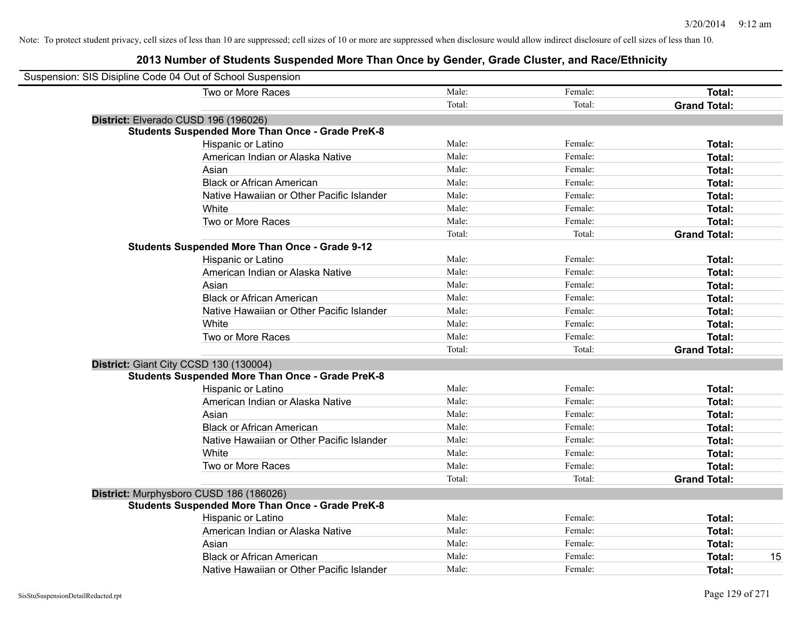| Suspension: SIS Disipline Code 04 Out of School Suspension |                                                         |        |         |                     |
|------------------------------------------------------------|---------------------------------------------------------|--------|---------|---------------------|
|                                                            | Two or More Races                                       | Male:  | Female: | Total:              |
|                                                            |                                                         | Total: | Total:  | <b>Grand Total:</b> |
|                                                            | District: Elverado CUSD 196 (196026)                    |        |         |                     |
|                                                            | <b>Students Suspended More Than Once - Grade PreK-8</b> |        |         |                     |
|                                                            | Hispanic or Latino                                      | Male:  | Female: | Total:              |
|                                                            | American Indian or Alaska Native                        | Male:  | Female: | Total:              |
|                                                            | Asian                                                   | Male:  | Female: | Total:              |
|                                                            | <b>Black or African American</b>                        | Male:  | Female: | Total:              |
|                                                            | Native Hawaiian or Other Pacific Islander               | Male:  | Female: | Total:              |
|                                                            | White                                                   | Male:  | Female: | Total:              |
|                                                            | Two or More Races                                       | Male:  | Female: | Total:              |
|                                                            |                                                         | Total: | Total:  | <b>Grand Total:</b> |
|                                                            | <b>Students Suspended More Than Once - Grade 9-12</b>   |        |         |                     |
|                                                            | Hispanic or Latino                                      | Male:  | Female: | Total:              |
|                                                            | American Indian or Alaska Native                        | Male:  | Female: | Total:              |
|                                                            | Asian                                                   | Male:  | Female: | Total:              |
|                                                            | <b>Black or African American</b>                        | Male:  | Female: | Total:              |
|                                                            | Native Hawaiian or Other Pacific Islander               | Male:  | Female: | Total:              |
|                                                            | White                                                   | Male:  | Female: | Total:              |
|                                                            | Two or More Races                                       | Male:  | Female: | Total:              |
|                                                            |                                                         | Total: | Total:  | <b>Grand Total:</b> |
|                                                            | District: Giant City CCSD 130 (130004)                  |        |         |                     |
|                                                            | <b>Students Suspended More Than Once - Grade PreK-8</b> |        |         |                     |
|                                                            | Hispanic or Latino                                      | Male:  | Female: | Total:              |
|                                                            | American Indian or Alaska Native                        | Male:  | Female: | Total:              |
|                                                            | Asian                                                   | Male:  | Female: | Total:              |
|                                                            | <b>Black or African American</b>                        | Male:  | Female: | Total:              |
|                                                            | Native Hawaiian or Other Pacific Islander               | Male:  | Female: | Total:              |
|                                                            | White                                                   | Male:  | Female: | Total:              |
|                                                            | Two or More Races                                       | Male:  | Female: | Total:              |
|                                                            |                                                         | Total: | Total:  | <b>Grand Total:</b> |
|                                                            | District: Murphysboro CUSD 186 (186026)                 |        |         |                     |
|                                                            | <b>Students Suspended More Than Once - Grade PreK-8</b> |        |         |                     |
|                                                            | Hispanic or Latino                                      | Male:  | Female: | Total:              |
|                                                            | American Indian or Alaska Native                        | Male:  | Female: | Total:              |
|                                                            | Asian                                                   | Male:  | Female: | Total:              |
|                                                            | <b>Black or African American</b>                        | Male:  | Female: | 15<br>Total:        |
|                                                            | Native Hawaiian or Other Pacific Islander               | Male:  | Female: | Total:              |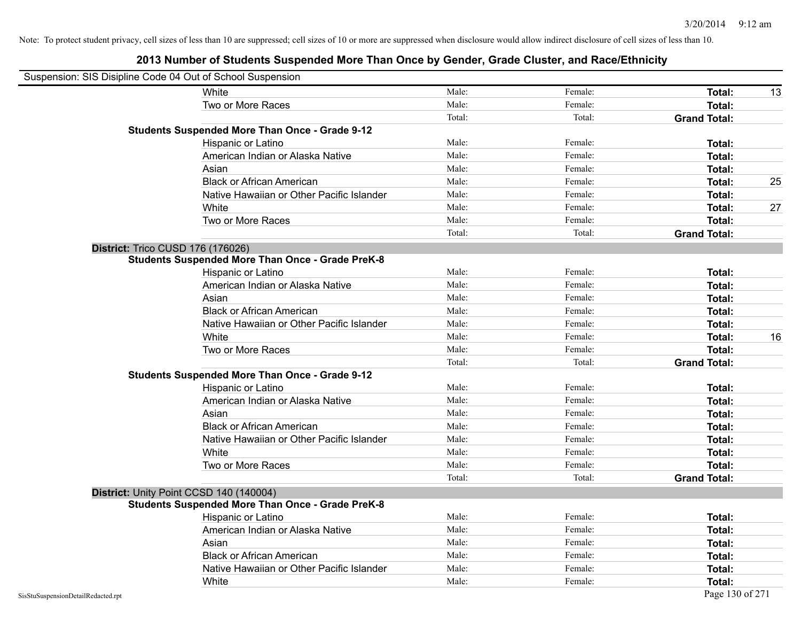| Suspension: SIS Disipline Code 04 Out of School Suspension |                                                         |        |         |                     |    |
|------------------------------------------------------------|---------------------------------------------------------|--------|---------|---------------------|----|
|                                                            | White                                                   | Male:  | Female: | Total:              | 13 |
|                                                            | Two or More Races                                       | Male:  | Female: | Total:              |    |
|                                                            |                                                         | Total: | Total:  | <b>Grand Total:</b> |    |
|                                                            | <b>Students Suspended More Than Once - Grade 9-12</b>   |        |         |                     |    |
|                                                            | Hispanic or Latino                                      | Male:  | Female: | Total:              |    |
|                                                            | American Indian or Alaska Native                        | Male:  | Female: | Total:              |    |
|                                                            | Asian                                                   | Male:  | Female: | <b>Total:</b>       |    |
|                                                            | <b>Black or African American</b>                        | Male:  | Female: | Total:              | 25 |
|                                                            | Native Hawaiian or Other Pacific Islander               | Male:  | Female: | Total:              |    |
|                                                            | White                                                   | Male:  | Female: | Total:              | 27 |
|                                                            | Two or More Races                                       | Male:  | Female: | Total:              |    |
|                                                            |                                                         | Total: | Total:  | <b>Grand Total:</b> |    |
|                                                            | District: Trico CUSD 176 (176026)                       |        |         |                     |    |
|                                                            | <b>Students Suspended More Than Once - Grade PreK-8</b> |        |         |                     |    |
|                                                            | Hispanic or Latino                                      | Male:  | Female: | Total:              |    |
|                                                            | American Indian or Alaska Native                        | Male:  | Female: | Total:              |    |
|                                                            | Asian                                                   | Male:  | Female: | <b>Total:</b>       |    |
|                                                            | <b>Black or African American</b>                        | Male:  | Female: | <b>Total:</b>       |    |
|                                                            | Native Hawaiian or Other Pacific Islander               | Male:  | Female: | <b>Total:</b>       |    |
|                                                            | White                                                   | Male:  | Female: | Total:              | 16 |
|                                                            | Two or More Races                                       | Male:  | Female: | Total:              |    |
|                                                            |                                                         | Total: | Total:  | <b>Grand Total:</b> |    |
|                                                            | <b>Students Suspended More Than Once - Grade 9-12</b>   |        |         |                     |    |
|                                                            | Hispanic or Latino                                      | Male:  | Female: | Total:              |    |
|                                                            | American Indian or Alaska Native                        | Male:  | Female: | Total:              |    |
|                                                            | Asian                                                   | Male:  | Female: | Total:              |    |
|                                                            | <b>Black or African American</b>                        | Male:  | Female: | Total:              |    |
|                                                            | Native Hawaiian or Other Pacific Islander               | Male:  | Female: | Total:              |    |
|                                                            | White                                                   | Male:  | Female: | Total:              |    |
|                                                            | Two or More Races                                       | Male:  | Female: | Total:              |    |
|                                                            |                                                         | Total: | Total:  | <b>Grand Total:</b> |    |
|                                                            | District: Unity Point CCSD 140 (140004)                 |        |         |                     |    |
|                                                            | Students Suspended More Than Once - Grade PreK-8        |        |         |                     |    |
|                                                            | Hispanic or Latino                                      | Male:  | Female: | Total:              |    |
|                                                            | American Indian or Alaska Native                        | Male:  | Female: | Total:              |    |
|                                                            | Asian                                                   | Male:  | Female: | Total:              |    |
|                                                            | <b>Black or African American</b>                        | Male:  | Female: | Total:              |    |
|                                                            | Native Hawaiian or Other Pacific Islander               | Male:  | Female: | Total:              |    |
|                                                            | White                                                   | Male:  | Female: | Total:              |    |
| SisStuSuspensionDetailRedacted.rpt                         |                                                         |        |         | Page 130 of 271     |    |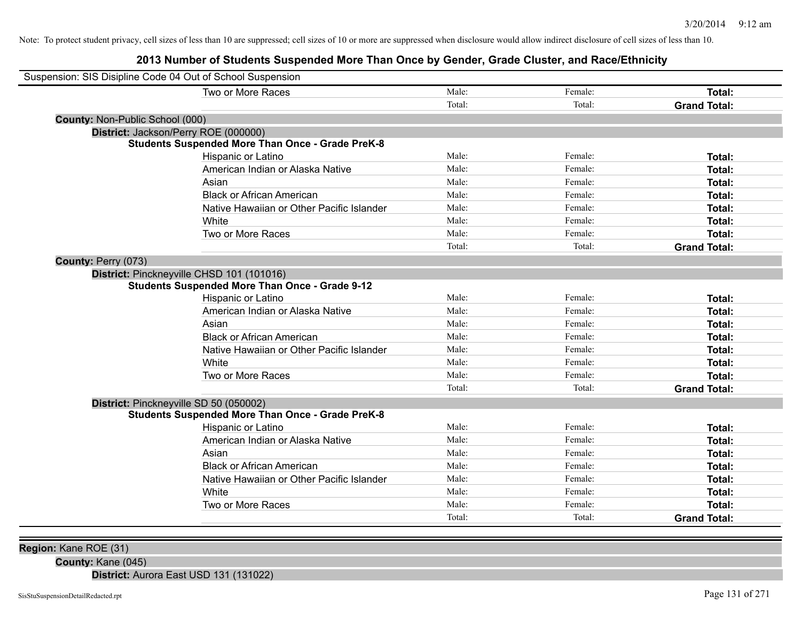# **2013 Number of Students Suspended More Than Once by Gender, Grade Cluster, and Race/Ethnicity**

| Suspension: SIS Disipline Code 04 Out of School Suspension |        |         |                     |
|------------------------------------------------------------|--------|---------|---------------------|
| Two or More Races                                          | Male:  | Female: | Total:              |
|                                                            | Total: | Total:  | <b>Grand Total:</b> |
| <b>County: Non-Public School (000)</b>                     |        |         |                     |
| District: Jackson/Perry ROE (000000)                       |        |         |                     |
| <b>Students Suspended More Than Once - Grade PreK-8</b>    |        |         |                     |
| Hispanic or Latino                                         | Male:  | Female: | Total:              |
| American Indian or Alaska Native                           | Male:  | Female: | Total:              |
| Asian                                                      | Male:  | Female: | Total:              |
| <b>Black or African American</b>                           | Male:  | Female: | Total:              |
| Native Hawaiian or Other Pacific Islander                  | Male:  | Female: | Total:              |
| White                                                      | Male:  | Female: | Total:              |
| Two or More Races                                          | Male:  | Female: | Total:              |
|                                                            | Total: | Total:  | <b>Grand Total:</b> |
| County: Perry (073)                                        |        |         |                     |
| District: Pinckneyville CHSD 101 (101016)                  |        |         |                     |
| <b>Students Suspended More Than Once - Grade 9-12</b>      |        |         |                     |
| Hispanic or Latino                                         | Male:  | Female: | Total:              |
| American Indian or Alaska Native                           | Male:  | Female: | Total:              |
| Asian                                                      | Male:  | Female: | Total:              |
| <b>Black or African American</b>                           | Male:  | Female: | Total:              |
| Native Hawaiian or Other Pacific Islander                  | Male:  | Female: | Total:              |
| White                                                      | Male:  | Female: | Total:              |
| Two or More Races                                          | Male:  | Female: | Total:              |
|                                                            | Total: | Total:  | <b>Grand Total:</b> |
| District: Pinckneyville SD 50 (050002)                     |        |         |                     |
| <b>Students Suspended More Than Once - Grade PreK-8</b>    |        |         |                     |
| <b>Hispanic or Latino</b>                                  | Male:  | Female: | Total:              |
| American Indian or Alaska Native                           | Male:  | Female: | Total:              |
| Asian                                                      | Male:  | Female: | Total:              |
| <b>Black or African American</b>                           | Male:  | Female: | Total:              |
| Native Hawaiian or Other Pacific Islander                  | Male:  | Female: | Total:              |
| White                                                      | Male:  | Female: | Total:              |
| Two or More Races                                          | Male:  | Female: | Total:              |
|                                                            | Total: | Total:  | <b>Grand Total:</b> |

**Region:** Kane ROE (31)

**County:** Kane (045)

**District:** Aurora East USD 131 (131022)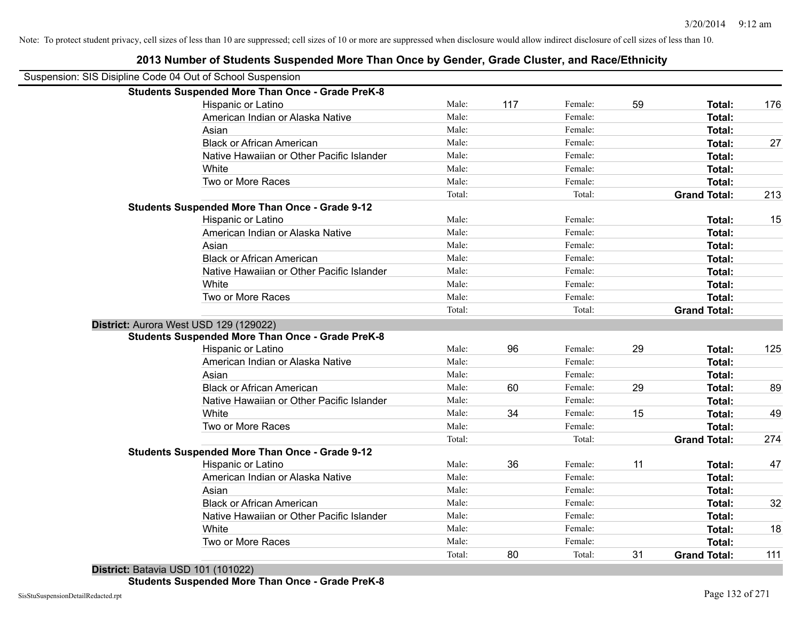| Suspension: SIS Disipline Code 04 Out of School Suspension |        |     |         |    |                     |     |
|------------------------------------------------------------|--------|-----|---------|----|---------------------|-----|
| <b>Students Suspended More Than Once - Grade PreK-8</b>    |        |     |         |    |                     |     |
| Hispanic or Latino                                         | Male:  | 117 | Female: | 59 | Total:              | 176 |
| American Indian or Alaska Native                           | Male:  |     | Female: |    | Total:              |     |
| Asian                                                      | Male:  |     | Female: |    | Total:              |     |
| <b>Black or African American</b>                           | Male:  |     | Female: |    | Total:              | 27  |
| Native Hawaiian or Other Pacific Islander                  | Male:  |     | Female: |    | Total:              |     |
| White                                                      | Male:  |     | Female: |    | Total:              |     |
| Two or More Races                                          | Male:  |     | Female: |    | Total:              |     |
|                                                            | Total: |     | Total:  |    | <b>Grand Total:</b> | 213 |
| <b>Students Suspended More Than Once - Grade 9-12</b>      |        |     |         |    |                     |     |
| Hispanic or Latino                                         | Male:  |     | Female: |    | Total:              | 15  |
| American Indian or Alaska Native                           | Male:  |     | Female: |    | <b>Total:</b>       |     |
| Asian                                                      | Male:  |     | Female: |    | <b>Total:</b>       |     |
| <b>Black or African American</b>                           | Male:  |     | Female: |    | <b>Total:</b>       |     |
| Native Hawaiian or Other Pacific Islander                  | Male:  |     | Female: |    | Total:              |     |
| White                                                      | Male:  |     | Female: |    | <b>Total:</b>       |     |
| Two or More Races                                          | Male:  |     | Female: |    | <b>Total:</b>       |     |
|                                                            | Total: |     | Total:  |    | <b>Grand Total:</b> |     |
| District: Aurora West USD 129 (129022)                     |        |     |         |    |                     |     |
| <b>Students Suspended More Than Once - Grade PreK-8</b>    |        |     |         |    |                     |     |
| Hispanic or Latino                                         | Male:  | 96  | Female: | 29 | <b>Total:</b>       | 125 |
| American Indian or Alaska Native                           | Male:  |     | Female: |    | Total:              |     |
| Asian                                                      | Male:  |     | Female: |    | Total:              |     |
| <b>Black or African American</b>                           | Male:  | 60  | Female: | 29 | Total:              | 89  |
| Native Hawaiian or Other Pacific Islander                  | Male:  |     | Female: |    | Total:              |     |
| White                                                      | Male:  | 34  | Female: | 15 | Total:              | 49  |
| Two or More Races                                          | Male:  |     | Female: |    | Total:              |     |
|                                                            | Total: |     | Total:  |    | <b>Grand Total:</b> | 274 |
| <b>Students Suspended More Than Once - Grade 9-12</b>      |        |     |         |    |                     |     |
| Hispanic or Latino                                         | Male:  | 36  | Female: | 11 | Total:              | 47  |
| American Indian or Alaska Native                           | Male:  |     | Female: |    | Total:              |     |
| Asian                                                      | Male:  |     | Female: |    | Total:              |     |
| <b>Black or African American</b>                           | Male:  |     | Female: |    | Total:              | 32  |
| Native Hawaiian or Other Pacific Islander                  | Male:  |     | Female: |    | Total:              |     |
| White                                                      | Male:  |     | Female: |    | Total:              | 18  |
| Two or More Races                                          | Male:  |     | Female: |    | Total:              |     |
|                                                            | Total: | 80  | Total:  | 31 | <b>Grand Total:</b> | 111 |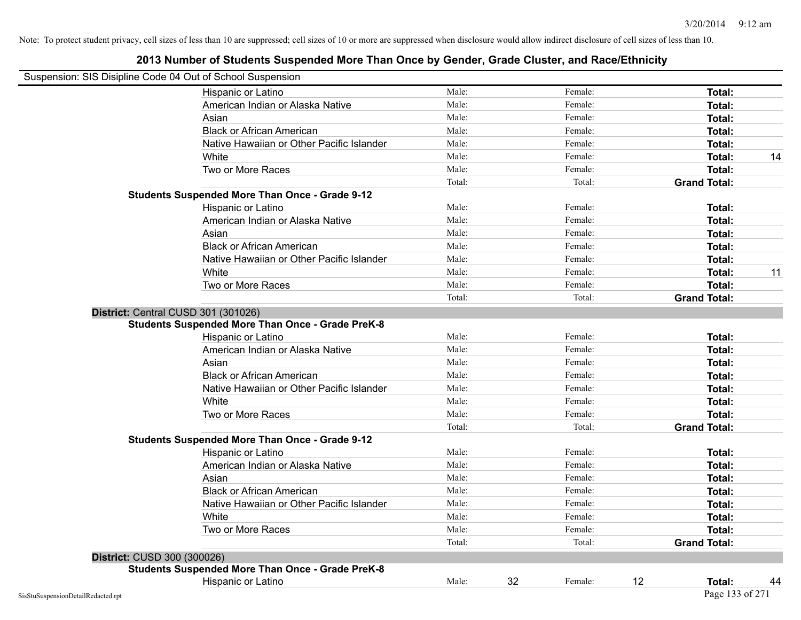|                                    | Suspension: SIS Disipline Code 04 Out of School Suspension |        |    |         |    |                     |    |
|------------------------------------|------------------------------------------------------------|--------|----|---------|----|---------------------|----|
|                                    | Hispanic or Latino                                         | Male:  |    | Female: |    | Total:              |    |
|                                    | American Indian or Alaska Native                           | Male:  |    | Female: |    | Total:              |    |
|                                    | Asian                                                      | Male:  |    | Female: |    | Total:              |    |
|                                    | <b>Black or African American</b>                           | Male:  |    | Female: |    | Total:              |    |
|                                    | Native Hawaiian or Other Pacific Islander                  | Male:  |    | Female: |    | Total:              |    |
|                                    | White                                                      | Male:  |    | Female: |    | Total:              | 14 |
|                                    | Two or More Races                                          | Male:  |    | Female: |    | Total:              |    |
|                                    |                                                            | Total: |    | Total:  |    | <b>Grand Total:</b> |    |
|                                    | <b>Students Suspended More Than Once - Grade 9-12</b>      |        |    |         |    |                     |    |
|                                    | Hispanic or Latino                                         | Male:  |    | Female: |    | Total:              |    |
|                                    | American Indian or Alaska Native                           | Male:  |    | Female: |    | Total:              |    |
|                                    | Asian                                                      | Male:  |    | Female: |    | Total:              |    |
|                                    | <b>Black or African American</b>                           | Male:  |    | Female: |    | Total:              |    |
|                                    | Native Hawaiian or Other Pacific Islander                  | Male:  |    | Female: |    | Total:              |    |
|                                    | White                                                      | Male:  |    | Female: |    | Total:              | 11 |
|                                    | Two or More Races                                          | Male:  |    | Female: |    | Total:              |    |
|                                    |                                                            | Total: |    | Total:  |    | <b>Grand Total:</b> |    |
|                                    | District: Central CUSD 301 (301026)                        |        |    |         |    |                     |    |
|                                    | <b>Students Suspended More Than Once - Grade PreK-8</b>    | Male:  |    | Female: |    | <b>Total:</b>       |    |
|                                    | Hispanic or Latino<br>American Indian or Alaska Native     | Male:  |    | Female: |    |                     |    |
|                                    |                                                            | Male:  |    |         |    | Total:              |    |
|                                    | Asian                                                      |        |    | Female: |    | Total:              |    |
|                                    | <b>Black or African American</b>                           | Male:  |    | Female: |    | Total:              |    |
|                                    | Native Hawaiian or Other Pacific Islander                  | Male:  |    | Female: |    | Total:              |    |
|                                    | White                                                      | Male:  |    | Female: |    | Total:              |    |
|                                    | Two or More Races                                          | Male:  |    | Female: |    | Total:              |    |
|                                    |                                                            | Total: |    | Total:  |    | <b>Grand Total:</b> |    |
|                                    | <b>Students Suspended More Than Once - Grade 9-12</b>      |        |    |         |    |                     |    |
|                                    | Hispanic or Latino                                         | Male:  |    | Female: |    | Total:              |    |
|                                    | American Indian or Alaska Native                           | Male:  |    | Female: |    | Total:              |    |
|                                    | Asian                                                      | Male:  |    | Female: |    | Total:              |    |
|                                    | <b>Black or African American</b>                           | Male:  |    | Female: |    | Total:              |    |
|                                    | Native Hawaiian or Other Pacific Islander                  | Male:  |    | Female: |    | Total:              |    |
|                                    | White                                                      | Male:  |    | Female: |    | Total:              |    |
|                                    | Two or More Races                                          | Male:  |    | Female: |    | Total:              |    |
|                                    |                                                            | Total: |    | Total:  |    | <b>Grand Total:</b> |    |
| District: CUSD 300 (300026)        |                                                            |        |    |         |    |                     |    |
|                                    | <b>Students Suspended More Than Once - Grade PreK-8</b>    |        |    |         |    |                     |    |
|                                    | Hispanic or Latino                                         | Male:  | 32 | Female: | 12 | Total:              | 44 |
| SisStuSuspensionDetailRedacted.rpt |                                                            |        |    |         |    | Page 133 of 271     |    |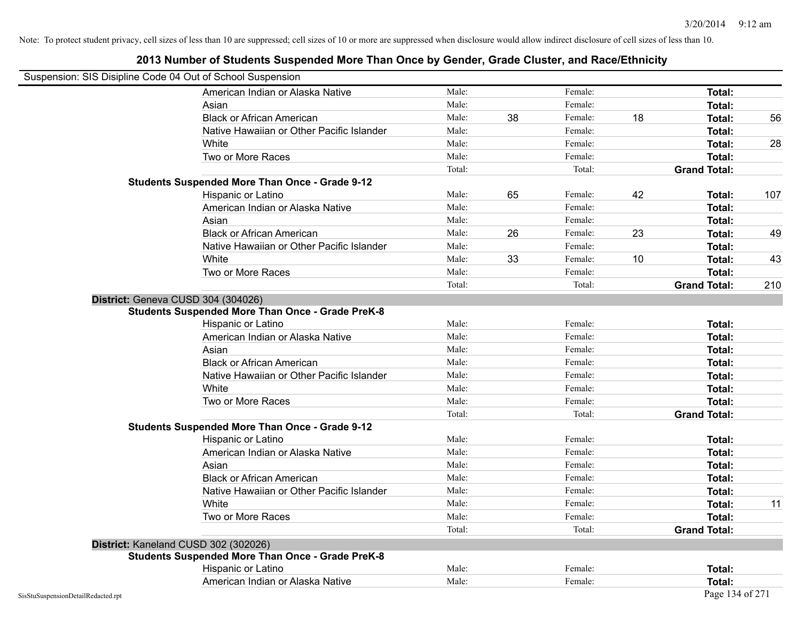| Suspension: SIS Disipline Code 04 Out of School Suspension |                                                         |        |    |         |    |                     |     |
|------------------------------------------------------------|---------------------------------------------------------|--------|----|---------|----|---------------------|-----|
|                                                            | American Indian or Alaska Native                        | Male:  |    | Female: |    | Total:              |     |
|                                                            | Asian                                                   | Male:  |    | Female: |    | Total:              |     |
|                                                            | <b>Black or African American</b>                        | Male:  | 38 | Female: | 18 | Total:              | 56  |
|                                                            | Native Hawaiian or Other Pacific Islander               | Male:  |    | Female: |    | Total:              |     |
|                                                            | White                                                   | Male:  |    | Female: |    | Total:              | 28  |
|                                                            | Two or More Races                                       | Male:  |    | Female: |    | Total:              |     |
|                                                            |                                                         | Total: |    | Total:  |    | <b>Grand Total:</b> |     |
|                                                            | <b>Students Suspended More Than Once - Grade 9-12</b>   |        |    |         |    |                     |     |
|                                                            | Hispanic or Latino                                      | Male:  | 65 | Female: | 42 | Total:              | 107 |
|                                                            | American Indian or Alaska Native                        | Male:  |    | Female: |    | Total:              |     |
|                                                            | Asian                                                   | Male:  |    | Female: |    | Total:              |     |
|                                                            | <b>Black or African American</b>                        | Male:  | 26 | Female: | 23 | Total:              | 49  |
|                                                            | Native Hawaiian or Other Pacific Islander               | Male:  |    | Female: |    | Total:              |     |
|                                                            | White                                                   | Male:  | 33 | Female: | 10 | Total:              | 43  |
|                                                            | Two or More Races                                       | Male:  |    | Female: |    | Total:              |     |
|                                                            |                                                         | Total: |    | Total:  |    | <b>Grand Total:</b> | 210 |
|                                                            | District: Geneva CUSD 304 (304026)                      |        |    |         |    |                     |     |
|                                                            | <b>Students Suspended More Than Once - Grade PreK-8</b> |        |    |         |    |                     |     |
|                                                            | Hispanic or Latino                                      | Male:  |    | Female: |    | Total:              |     |
|                                                            | American Indian or Alaska Native                        | Male:  |    | Female: |    | Total:              |     |
|                                                            | Asian                                                   | Male:  |    | Female: |    | Total:              |     |
|                                                            | <b>Black or African American</b>                        | Male:  |    | Female: |    | Total:              |     |
|                                                            | Native Hawaiian or Other Pacific Islander               | Male:  |    | Female: |    | Total:              |     |
|                                                            | White                                                   | Male:  |    | Female: |    | Total:              |     |
|                                                            | Two or More Races                                       | Male:  |    | Female: |    | <b>Total:</b>       |     |
|                                                            |                                                         | Total: |    | Total:  |    | <b>Grand Total:</b> |     |
|                                                            | <b>Students Suspended More Than Once - Grade 9-12</b>   |        |    |         |    |                     |     |
|                                                            | Hispanic or Latino                                      | Male:  |    | Female: |    | Total:              |     |
|                                                            | American Indian or Alaska Native                        | Male:  |    | Female: |    | Total:              |     |
|                                                            | Asian                                                   | Male:  |    | Female: |    | Total:              |     |
|                                                            | <b>Black or African American</b>                        | Male:  |    | Female: |    | Total:              |     |
|                                                            | Native Hawaiian or Other Pacific Islander               | Male:  |    | Female: |    | Total:              |     |
|                                                            | White                                                   | Male:  |    | Female: |    | Total:              | 11  |
|                                                            | Two or More Races                                       | Male:  |    | Female: |    | Total:              |     |
|                                                            |                                                         | Total: |    | Total:  |    | <b>Grand Total:</b> |     |
|                                                            | District: Kaneland CUSD 302 (302026)                    |        |    |         |    |                     |     |
|                                                            | <b>Students Suspended More Than Once - Grade PreK-8</b> |        |    |         |    |                     |     |
|                                                            | Hispanic or Latino                                      | Male:  |    | Female: |    | Total:              |     |
|                                                            | American Indian or Alaska Native                        | Male:  |    | Female: |    | Total:              |     |
| SisStuSuspensionDetailRedacted.rpt                         |                                                         |        |    |         |    | Page 134 of 271     |     |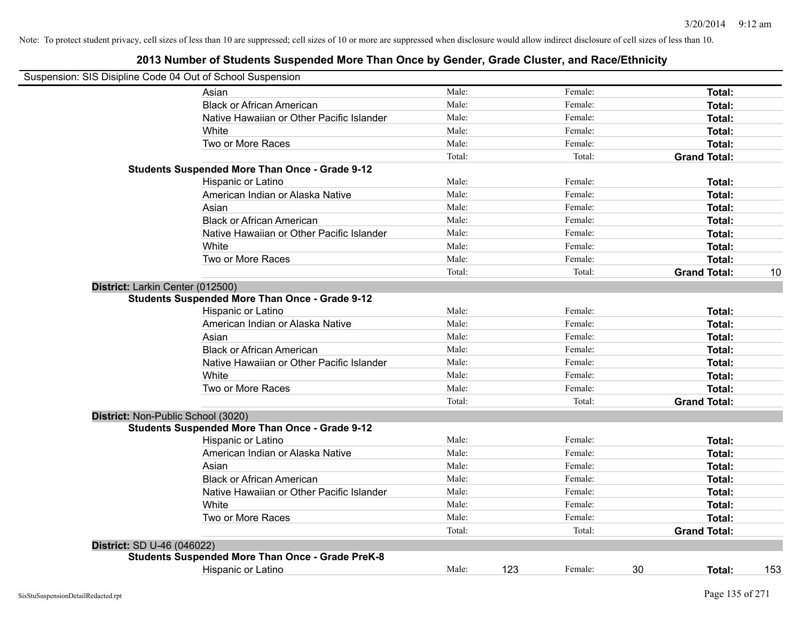|                                  | Suspension: SIS Disipline Code 04 Out of School Suspension |        |     |         |                     |     |
|----------------------------------|------------------------------------------------------------|--------|-----|---------|---------------------|-----|
|                                  | Asian                                                      | Male:  |     | Female: | <b>Total:</b>       |     |
|                                  | <b>Black or African American</b>                           | Male:  |     | Female: | Total:              |     |
|                                  | Native Hawaiian or Other Pacific Islander                  | Male:  |     | Female: | Total:              |     |
|                                  | White                                                      | Male:  |     | Female: | Total:              |     |
|                                  | Two or More Races                                          | Male:  |     | Female: | Total:              |     |
|                                  |                                                            | Total: |     | Total:  | <b>Grand Total:</b> |     |
|                                  | <b>Students Suspended More Than Once - Grade 9-12</b>      |        |     |         |                     |     |
|                                  | Hispanic or Latino                                         | Male:  |     | Female: | Total:              |     |
|                                  | American Indian or Alaska Native                           | Male:  |     | Female: | Total:              |     |
|                                  | Asian                                                      | Male:  |     | Female: | Total:              |     |
|                                  | <b>Black or African American</b>                           | Male:  |     | Female: | <b>Total:</b>       |     |
|                                  | Native Hawaiian or Other Pacific Islander                  | Male:  |     | Female: | Total:              |     |
|                                  | White                                                      | Male:  |     | Female: | <b>Total:</b>       |     |
|                                  | Two or More Races                                          | Male:  |     | Female: | Total:              |     |
|                                  |                                                            | Total: |     | Total:  | <b>Grand Total:</b> | 10  |
| District: Larkin Center (012500) |                                                            |        |     |         |                     |     |
|                                  | <b>Students Suspended More Than Once - Grade 9-12</b>      |        |     |         |                     |     |
|                                  | Hispanic or Latino                                         | Male:  |     | Female: | Total:              |     |
|                                  | American Indian or Alaska Native                           | Male:  |     | Female: | Total:              |     |
|                                  | Asian                                                      | Male:  |     | Female: | Total:              |     |
|                                  | <b>Black or African American</b>                           | Male:  |     | Female: | Total:              |     |
|                                  | Native Hawaiian or Other Pacific Islander                  | Male:  |     | Female: | <b>Total:</b>       |     |
|                                  | White                                                      | Male:  |     | Female: | <b>Total:</b>       |     |
|                                  | Two or More Races                                          | Male:  |     | Female: | Total:              |     |
|                                  |                                                            | Total: |     | Total:  | <b>Grand Total:</b> |     |
|                                  | District: Non-Public School (3020)                         |        |     |         |                     |     |
|                                  | <b>Students Suspended More Than Once - Grade 9-12</b>      |        |     |         |                     |     |
|                                  | <b>Hispanic or Latino</b>                                  | Male:  |     | Female: | Total:              |     |
|                                  | American Indian or Alaska Native                           | Male:  |     | Female: | Total:              |     |
|                                  | Asian                                                      | Male:  |     | Female: | Total:              |     |
|                                  | <b>Black or African American</b>                           | Male:  |     | Female: | Total:              |     |
|                                  | Native Hawaiian or Other Pacific Islander                  | Male:  |     | Female: | Total:              |     |
|                                  | White                                                      | Male:  |     | Female: | Total:              |     |
|                                  | Two or More Races                                          | Male:  |     | Female: | <b>Total:</b>       |     |
|                                  |                                                            | Total: |     | Total:  | <b>Grand Total:</b> |     |
| District: SD U-46 (046022)       |                                                            |        |     |         |                     |     |
|                                  | <b>Students Suspended More Than Once - Grade PreK-8</b>    |        |     |         |                     |     |
|                                  | Hispanic or Latino                                         | Male:  | 123 | Female: | 30<br>Total:        | 153 |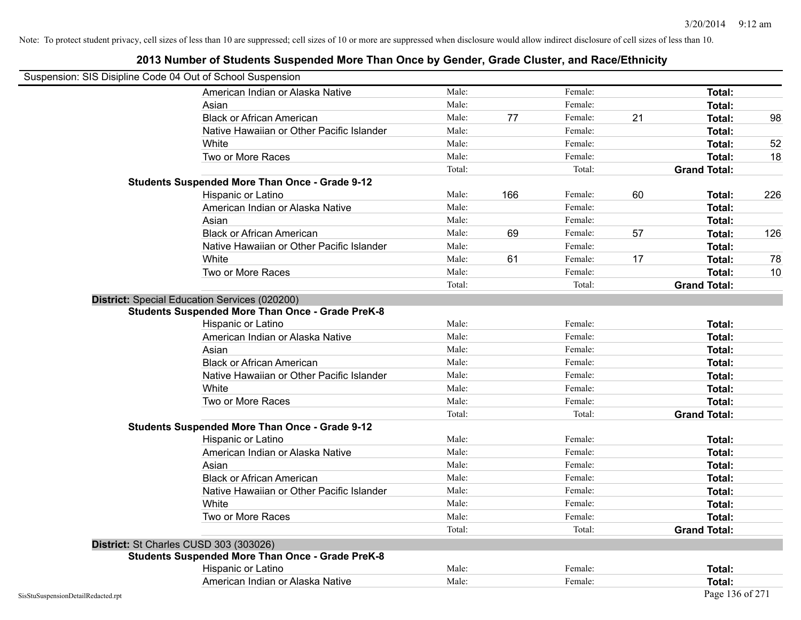# **2013 Number of Students Suspended More Than Once by Gender, Grade Cluster, and Race/Ethnicity** Suspension: SIS Disipline Code 04 Out of School Suspension American Indian or Alaska Native **Male:** Male: Female: Female: **Total:** Total: Asian **Asian Male:** Female: **Total:** Female: **Total:** Female: **Total:** Female: **Total:** Total: Black or African American **Male:** 77 Female: 21 Total: 98 Native Hawaiian or Other Pacific Islander **Male:** Male: Female: Female: **Total:** Total: White **Male:** Male: **Total: 52** Male: **Total: 52** Male: **Total: 52** Two or More Races **The Contract Contract Contract Contract Contract Contract Contract Contract Contract Contract Contract Contract Contract Contract Contract Contract Contract Contract Contract Contract Contract Contract C** Total: Total: Total: **Grand Total: Students Suspended More Than Once - Grade 9-12** Hispanic or Latino Male: 166 Female: 60 **Total:** 226 American Indian or Alaska Native **Male:** Male: Female: Female: **Total:** Total: Asian Male: Female: **Total:** Black or African American **Male:** 69 Female: 57 **Total:** 126 Native Hawaiian or Other Pacific Islander Male: Total: Female: Female: Total: Total: White **Male:** 61 Female: 17 Total: 78 Total: 78 Two or More Races **The Contract Contract Contract Contract Contract Contract Contract Contract Contract Contract Contract Contract Contract Contract Contract Contract Contract Contract Contract Contract Contract Contract C** Total: Total: Total: **Grand Total: District:** Special Education Services (020200) **Students Suspended More Than Once - Grade PreK-8** Hispanic or Latino **Finally Hispanic or Latino** *Total:* Male: Female: **Female: Total: Total: Total: Finally** American Indian or Alaska Native **Male:** Male: Female: Female: **Total:** Total: Asian **Female:** Total: Male: Female: **Total: Total:** Total: Total: Female: Total: Total: Total: Total: Total: Total: Total: Total: Total: Total: Total: Total: Total: Total: Total: Total: Total: Total: Total: Total: Total: Black or African American **Figure 1.1 and Total:** Male: Female: Female: **Total: Total:** Total: Native Hawaiian or Other Pacific Islander **Male:** Male: Female: Female: **Total:** Total: White **Total:** Male: Female: **Total:** Total: **Total:** Female: **Total:** Total: Two or More Races **Total:** Total: Male: Female: Female: **Total:** Total: Female: Total: Total: Total: **Grand Total: Students Suspended More Than Once - Grade 9-12** Hispanic or Latino **Finale:** Female: **Total:** Female: **Female: Folder Folder Poster Instal:** Total: American Indian or Alaska Native **Male:** Male: Female: Female: **Total:** Total: Asian **Female:** Total: Male: Female: **Total: Total:** Total: Total: Female: Total: Total: Total: Total: Total: Total: Total: Total: Total: Total: Total: Total: Total: Total: Total: Total: Total: Total: Total: Total: Total: Black or African American **Figure 1.1 and Total:** Male: Female: Female: **Total: Total:** Total: Native Hawaiian or Other Pacific Islander **Male:** Male: Female: Female: **Total:** Total: White **Total:** Male: Female: **Total:** Total: **Total:** Female: **Total:** Total: Two or More Races **Total:** Total: Male: Female: Female: **Total:** Total: Female: Total: Total: Total: **Grand Total: District:** St Charles CUSD 303 (303026) **Students Suspended More Than Once - Grade PreK-8** Hispanic or Latino **Finale:** Female: **Female:** Female: **Total:** Female: **Total:** Female: **Female:** Female: **Total:** Female: **Female:** Female: **Female:** Female: **Female:** Female: **Female:** Female: **Female:** Female: **Female:** American Indian or Alaska Native **Male:** Male: Female: Female: **Total:** Total: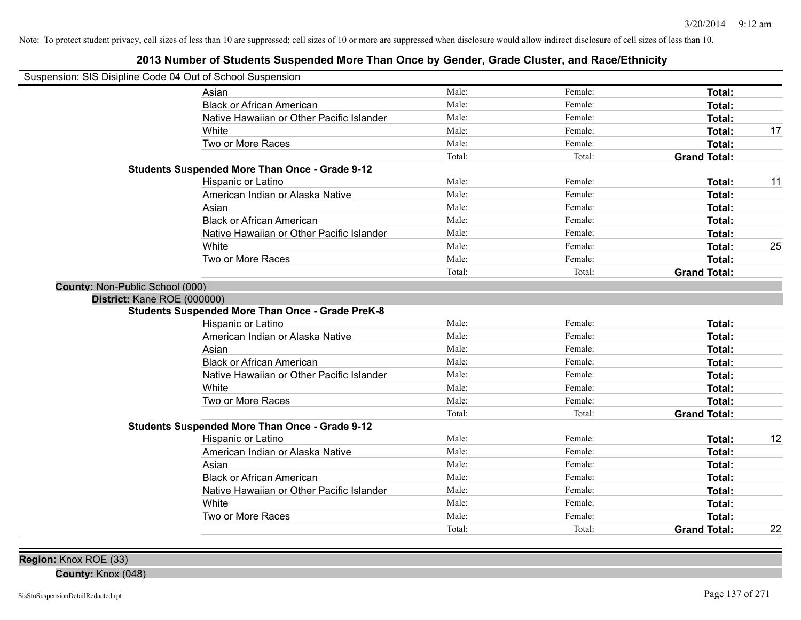| Suspension: SIS Disipline Code 04 Out of School Suspension |                                                         |        |         |                     |    |
|------------------------------------------------------------|---------------------------------------------------------|--------|---------|---------------------|----|
|                                                            | Asian                                                   | Male:  | Female: | Total:              |    |
|                                                            | <b>Black or African American</b>                        | Male:  | Female: | Total:              |    |
|                                                            | Native Hawaiian or Other Pacific Islander               | Male:  | Female: | Total:              |    |
|                                                            | White                                                   | Male:  | Female: | Total:              | 17 |
|                                                            | Two or More Races                                       | Male:  | Female: | Total:              |    |
|                                                            |                                                         | Total: | Total:  | <b>Grand Total:</b> |    |
|                                                            | <b>Students Suspended More Than Once - Grade 9-12</b>   |        |         |                     |    |
|                                                            | Hispanic or Latino                                      | Male:  | Female: | Total:              | 11 |
|                                                            | American Indian or Alaska Native                        | Male:  | Female: | Total:              |    |
|                                                            | Asian                                                   | Male:  | Female: | Total:              |    |
|                                                            | <b>Black or African American</b>                        | Male:  | Female: | Total:              |    |
|                                                            | Native Hawaiian or Other Pacific Islander               | Male:  | Female: | Total:              |    |
|                                                            | White                                                   | Male:  | Female: | Total:              | 25 |
|                                                            | Two or More Races                                       | Male:  | Female: | Total:              |    |
|                                                            |                                                         | Total: | Total:  | <b>Grand Total:</b> |    |
| County: Non-Public School (000)                            |                                                         |        |         |                     |    |
| District: Kane ROE (000000)                                |                                                         |        |         |                     |    |
|                                                            | <b>Students Suspended More Than Once - Grade PreK-8</b> |        |         |                     |    |
|                                                            | Hispanic or Latino                                      | Male:  | Female: | Total:              |    |
|                                                            | American Indian or Alaska Native                        | Male:  | Female: | Total:              |    |
|                                                            | Asian                                                   | Male:  | Female: | Total:              |    |
|                                                            | <b>Black or African American</b>                        | Male:  | Female: | Total:              |    |
|                                                            | Native Hawaiian or Other Pacific Islander               | Male:  | Female: | Total:              |    |
|                                                            | White                                                   | Male:  | Female: | Total:              |    |
|                                                            | Two or More Races                                       | Male:  | Female: | Total:              |    |
|                                                            |                                                         | Total: | Total:  | <b>Grand Total:</b> |    |
|                                                            | <b>Students Suspended More Than Once - Grade 9-12</b>   |        |         |                     |    |
|                                                            | Hispanic or Latino                                      | Male:  | Female: | Total:              | 12 |
|                                                            | American Indian or Alaska Native                        | Male:  | Female: | Total:              |    |
|                                                            | Asian                                                   | Male:  | Female: | Total:              |    |
|                                                            | <b>Black or African American</b>                        | Male:  | Female: | Total:              |    |
|                                                            | Native Hawaiian or Other Pacific Islander               | Male:  | Female: | Total:              |    |
|                                                            | White                                                   | Male:  | Female: | Total:              |    |
|                                                            | Two or More Races                                       | Male:  | Female: | Total:              |    |
|                                                            |                                                         | Total: | Total:  | <b>Grand Total:</b> | 22 |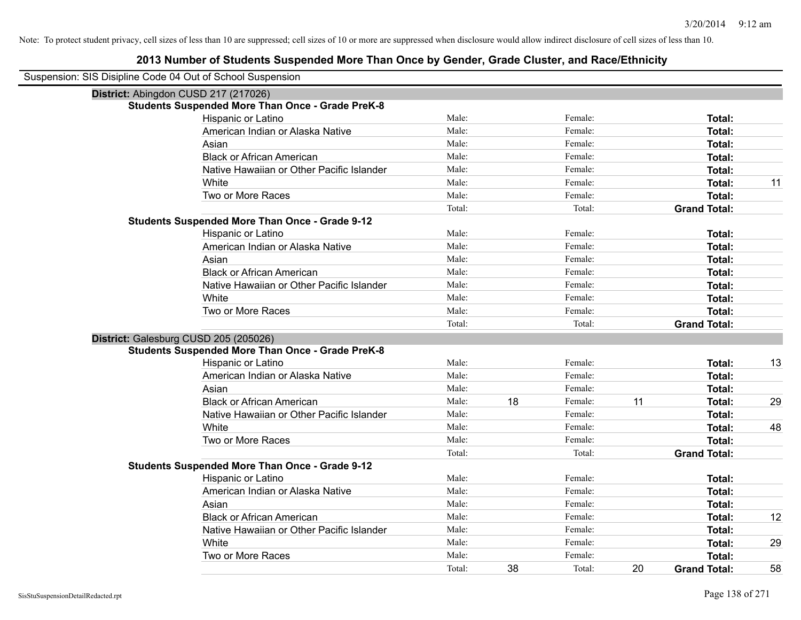| Suspension: SIS Disipline Code 04 Out of School Suspension |                                                         |        |    |         |    |                     |    |
|------------------------------------------------------------|---------------------------------------------------------|--------|----|---------|----|---------------------|----|
| District: Abingdon CUSD 217 (217026)                       |                                                         |        |    |         |    |                     |    |
|                                                            | <b>Students Suspended More Than Once - Grade PreK-8</b> |        |    |         |    |                     |    |
|                                                            | Hispanic or Latino                                      | Male:  |    | Female: |    | Total:              |    |
|                                                            | American Indian or Alaska Native                        | Male:  |    | Female: |    | Total:              |    |
|                                                            | Asian                                                   | Male:  |    | Female: |    | Total:              |    |
|                                                            | <b>Black or African American</b>                        | Male:  |    | Female: |    | Total:              |    |
|                                                            | Native Hawaiian or Other Pacific Islander               | Male:  |    | Female: |    | Total:              |    |
|                                                            | White                                                   | Male:  |    | Female: |    | Total:              | 11 |
|                                                            | Two or More Races                                       | Male:  |    | Female: |    | Total:              |    |
|                                                            |                                                         | Total: |    | Total:  |    | <b>Grand Total:</b> |    |
|                                                            | <b>Students Suspended More Than Once - Grade 9-12</b>   |        |    |         |    |                     |    |
|                                                            | Hispanic or Latino                                      | Male:  |    | Female: |    | Total:              |    |
|                                                            | American Indian or Alaska Native                        | Male:  |    | Female: |    | Total:              |    |
|                                                            | Asian                                                   | Male:  |    | Female: |    | Total:              |    |
|                                                            | <b>Black or African American</b>                        | Male:  |    | Female: |    | Total:              |    |
|                                                            | Native Hawaiian or Other Pacific Islander               | Male:  |    | Female: |    | Total:              |    |
|                                                            | White                                                   | Male:  |    | Female: |    | Total:              |    |
|                                                            | Two or More Races                                       | Male:  |    | Female: |    | Total:              |    |
|                                                            |                                                         | Total: |    | Total:  |    | <b>Grand Total:</b> |    |
| District: Galesburg CUSD 205 (205026)                      |                                                         |        |    |         |    |                     |    |
|                                                            | <b>Students Suspended More Than Once - Grade PreK-8</b> |        |    |         |    |                     |    |
|                                                            | Hispanic or Latino                                      | Male:  |    | Female: |    | Total:              | 13 |
|                                                            | American Indian or Alaska Native                        | Male:  |    | Female: |    | Total:              |    |
|                                                            | Asian                                                   | Male:  |    | Female: |    | Total:              |    |
|                                                            | <b>Black or African American</b>                        | Male:  | 18 | Female: | 11 | Total:              | 29 |
|                                                            | Native Hawaiian or Other Pacific Islander               | Male:  |    | Female: |    | Total:              |    |
|                                                            | White                                                   | Male:  |    | Female: |    | Total:              | 48 |
|                                                            | Two or More Races                                       | Male:  |    | Female: |    | Total:              |    |
|                                                            |                                                         | Total: |    | Total:  |    | <b>Grand Total:</b> |    |
|                                                            | <b>Students Suspended More Than Once - Grade 9-12</b>   |        |    |         |    |                     |    |
|                                                            | Hispanic or Latino                                      | Male:  |    | Female: |    | Total:              |    |
|                                                            | American Indian or Alaska Native                        | Male:  |    | Female: |    | Total:              |    |
|                                                            | Asian                                                   | Male:  |    | Female: |    | Total:              |    |
|                                                            | <b>Black or African American</b>                        | Male:  |    | Female: |    | Total:              | 12 |
|                                                            | Native Hawaiian or Other Pacific Islander               | Male:  |    | Female: |    | Total:              |    |
|                                                            | White                                                   | Male:  |    | Female: |    | Total:              | 29 |
|                                                            | Two or More Races                                       | Male:  |    | Female: |    | Total:              |    |
|                                                            |                                                         | Total: | 38 | Total:  | 20 | <b>Grand Total:</b> | 58 |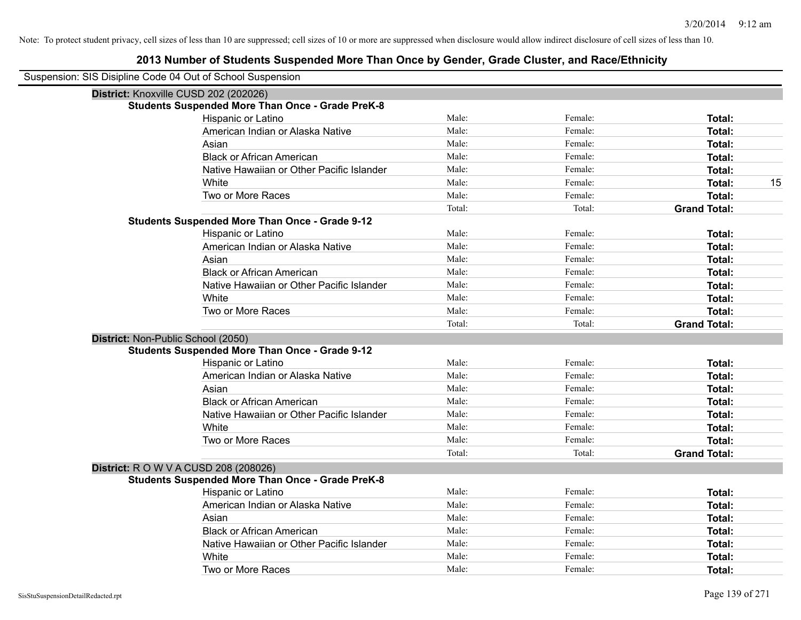| Suspension: SIS Disipline Code 04 Out of School Suspension |                                                         |        |         |                     |
|------------------------------------------------------------|---------------------------------------------------------|--------|---------|---------------------|
| District: Knoxville CUSD 202 (202026)                      |                                                         |        |         |                     |
|                                                            | <b>Students Suspended More Than Once - Grade PreK-8</b> |        |         |                     |
|                                                            | Hispanic or Latino                                      | Male:  | Female: | Total:              |
|                                                            | American Indian or Alaska Native                        | Male:  | Female: | <b>Total:</b>       |
|                                                            | Asian                                                   | Male:  | Female: | <b>Total:</b>       |
|                                                            | <b>Black or African American</b>                        | Male:  | Female: | <b>Total:</b>       |
|                                                            | Native Hawaiian or Other Pacific Islander               | Male:  | Female: | <b>Total:</b>       |
|                                                            | White                                                   | Male:  | Female: | 15<br><b>Total:</b> |
|                                                            | Two or More Races                                       | Male:  | Female: | <b>Total:</b>       |
|                                                            |                                                         | Total: | Total:  | <b>Grand Total:</b> |
|                                                            | <b>Students Suspended More Than Once - Grade 9-12</b>   |        |         |                     |
|                                                            | Hispanic or Latino                                      | Male:  | Female: | <b>Total:</b>       |
|                                                            | American Indian or Alaska Native                        | Male:  | Female: | Total:              |
|                                                            | Asian                                                   | Male:  | Female: | <b>Total:</b>       |
|                                                            | <b>Black or African American</b>                        | Male:  | Female: | <b>Total:</b>       |
|                                                            | Native Hawaiian or Other Pacific Islander               | Male:  | Female: | Total:              |
|                                                            | White                                                   | Male:  | Female: | <b>Total:</b>       |
|                                                            | Two or More Races                                       | Male:  | Female: | <b>Total:</b>       |
|                                                            |                                                         | Total: | Total:  | <b>Grand Total:</b> |
| District: Non-Public School (2050)                         |                                                         |        |         |                     |
|                                                            | <b>Students Suspended More Than Once - Grade 9-12</b>   |        |         |                     |
|                                                            | Hispanic or Latino                                      | Male:  | Female: | <b>Total:</b>       |
|                                                            | American Indian or Alaska Native                        | Male:  | Female: | <b>Total:</b>       |
|                                                            | Asian                                                   | Male:  | Female: | <b>Total:</b>       |
|                                                            | <b>Black or African American</b>                        | Male:  | Female: | <b>Total:</b>       |
|                                                            | Native Hawaiian or Other Pacific Islander               | Male:  | Female: | <b>Total:</b>       |
|                                                            | White                                                   | Male:  | Female: | <b>Total:</b>       |
|                                                            | Two or More Races                                       | Male:  | Female: | <b>Total:</b>       |
|                                                            |                                                         | Total: | Total:  | <b>Grand Total:</b> |
| <b>District:</b> R O W V A CUSD 208 (208026)               |                                                         |        |         |                     |
|                                                            | <b>Students Suspended More Than Once - Grade PreK-8</b> |        |         |                     |
|                                                            | Hispanic or Latino                                      | Male:  | Female: | Total:              |
|                                                            | American Indian or Alaska Native                        | Male:  | Female: | <b>Total:</b>       |
|                                                            | Asian                                                   | Male:  | Female: | <b>Total:</b>       |
|                                                            | <b>Black or African American</b>                        | Male:  | Female: | <b>Total:</b>       |
|                                                            | Native Hawaiian or Other Pacific Islander               | Male:  | Female: | <b>Total:</b>       |
|                                                            | White                                                   | Male:  | Female: | <b>Total:</b>       |
|                                                            | Two or More Races                                       | Male:  | Female: | Total:              |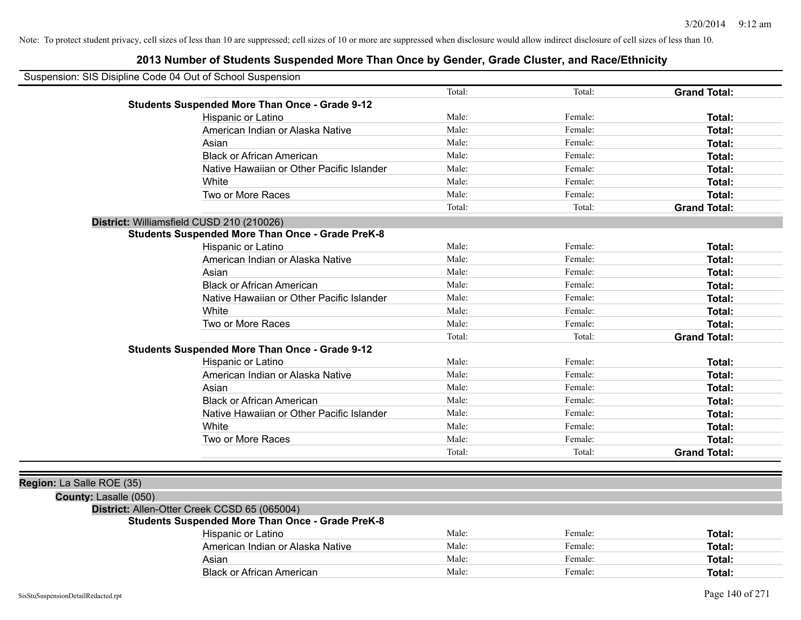| Suspension: SIS Disipline Code 04 Out of School Suspension |                                                         |        |         |                     |
|------------------------------------------------------------|---------------------------------------------------------|--------|---------|---------------------|
|                                                            |                                                         | Total: | Total:  | <b>Grand Total:</b> |
|                                                            | <b>Students Suspended More Than Once - Grade 9-12</b>   |        |         |                     |
|                                                            | Hispanic or Latino                                      | Male:  | Female: | Total:              |
|                                                            | American Indian or Alaska Native                        | Male:  | Female: | Total:              |
|                                                            | Asian                                                   | Male:  | Female: | <b>Total:</b>       |
|                                                            | <b>Black or African American</b>                        | Male:  | Female: | <b>Total:</b>       |
|                                                            | Native Hawaiian or Other Pacific Islander               | Male:  | Female: | Total:              |
|                                                            | White                                                   | Male:  | Female: | Total:              |
|                                                            | Two or More Races                                       | Male:  | Female: | Total:              |
|                                                            |                                                         | Total: | Total:  | <b>Grand Total:</b> |
|                                                            | District: Williamsfield CUSD 210 (210026)               |        |         |                     |
|                                                            | <b>Students Suspended More Than Once - Grade PreK-8</b> |        |         |                     |
|                                                            | Hispanic or Latino                                      | Male:  | Female: | <b>Total:</b>       |
|                                                            | American Indian or Alaska Native                        | Male:  | Female: | <b>Total:</b>       |
|                                                            | Asian                                                   | Male:  | Female: | <b>Total:</b>       |
|                                                            | <b>Black or African American</b>                        | Male:  | Female: | Total:              |
|                                                            | Native Hawaiian or Other Pacific Islander               | Male:  | Female: | Total:              |
|                                                            | White                                                   | Male:  | Female: | Total:              |
|                                                            | Two or More Races                                       | Male:  | Female: | Total:              |
|                                                            |                                                         | Total: | Total:  | <b>Grand Total:</b> |
|                                                            | <b>Students Suspended More Than Once - Grade 9-12</b>   |        |         |                     |
|                                                            | Hispanic or Latino                                      | Male:  | Female: | Total:              |
|                                                            | American Indian or Alaska Native                        | Male:  | Female: | <b>Total:</b>       |
|                                                            | Asian                                                   | Male:  | Female: | Total:              |
|                                                            | <b>Black or African American</b>                        | Male:  | Female: | Total:              |
|                                                            | Native Hawaiian or Other Pacific Islander               | Male:  | Female: | Total:              |
|                                                            | White                                                   | Male:  | Female: | Total:              |
|                                                            | Two or More Races                                       | Male:  | Female: | Total:              |
|                                                            |                                                         | Total: | Total:  | <b>Grand Total:</b> |
|                                                            |                                                         |        |         |                     |
| Region: La Salle ROE (35)                                  |                                                         |        |         |                     |
| County: Lasalle (050)                                      |                                                         |        |         |                     |
|                                                            | District: Allen-Otter Creek CCSD 65 (065004)            |        |         |                     |
|                                                            | <b>Students Suspended More Than Once - Grade PreK-8</b> |        |         |                     |
|                                                            | Hispanic or Latino                                      | Male:  | Female: | Total:              |
|                                                            | American Indian or Alaska Native                        | Male:  | Female: | <b>Total:</b>       |
|                                                            | Asian                                                   | Male:  | Female: | <b>Total:</b>       |
|                                                            | <b>Black or African American</b>                        | Male:  | Female: | <b>Total:</b>       |
|                                                            |                                                         |        |         |                     |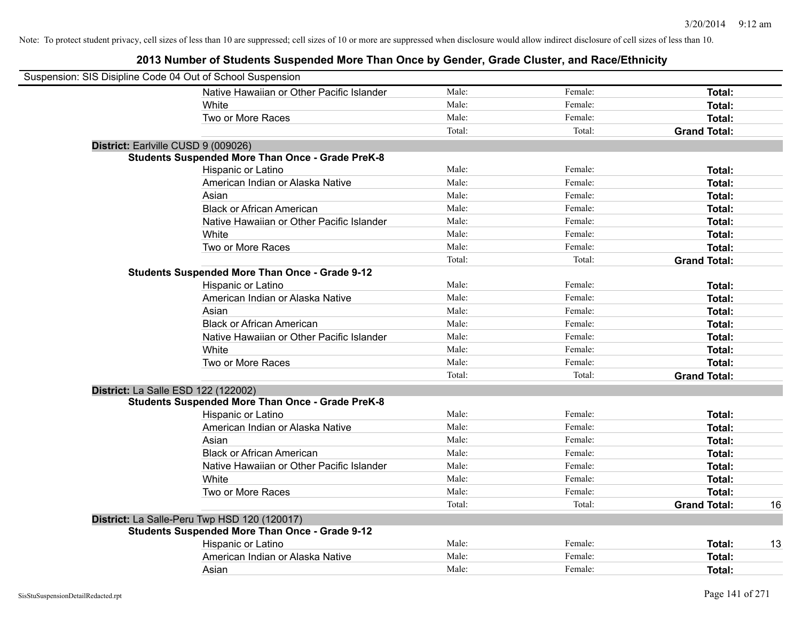| Suspension: SIS Disipline Code 04 Out of School Suspension |                                                         |        |         |                     |    |
|------------------------------------------------------------|---------------------------------------------------------|--------|---------|---------------------|----|
|                                                            | Native Hawaiian or Other Pacific Islander               | Male:  | Female: | Total:              |    |
|                                                            | White                                                   | Male:  | Female: | Total:              |    |
|                                                            | Two or More Races                                       | Male:  | Female: | Total:              |    |
|                                                            |                                                         | Total: | Total:  | <b>Grand Total:</b> |    |
| District: Earlville CUSD 9 (009026)                        |                                                         |        |         |                     |    |
|                                                            | <b>Students Suspended More Than Once - Grade PreK-8</b> |        |         |                     |    |
|                                                            | Hispanic or Latino                                      | Male:  | Female: | Total:              |    |
|                                                            | American Indian or Alaska Native                        | Male:  | Female: | Total:              |    |
|                                                            | Asian                                                   | Male:  | Female: | Total:              |    |
|                                                            | <b>Black or African American</b>                        | Male:  | Female: | Total:              |    |
|                                                            | Native Hawaiian or Other Pacific Islander               | Male:  | Female: | Total:              |    |
|                                                            | White                                                   | Male:  | Female: | Total:              |    |
|                                                            | Two or More Races                                       | Male:  | Female: | Total:              |    |
|                                                            |                                                         | Total: | Total:  | <b>Grand Total:</b> |    |
|                                                            | <b>Students Suspended More Than Once - Grade 9-12</b>   |        |         |                     |    |
|                                                            | Hispanic or Latino                                      | Male:  | Female: | Total:              |    |
|                                                            | American Indian or Alaska Native                        | Male:  | Female: | Total:              |    |
|                                                            | Asian                                                   | Male:  | Female: | Total:              |    |
|                                                            | <b>Black or African American</b>                        | Male:  | Female: | Total:              |    |
|                                                            | Native Hawaiian or Other Pacific Islander               | Male:  | Female: | Total:              |    |
|                                                            | White                                                   | Male:  | Female: | Total:              |    |
|                                                            | Two or More Races                                       | Male:  | Female: | Total:              |    |
|                                                            |                                                         | Total: | Total:  | <b>Grand Total:</b> |    |
| <b>District: La Salle ESD 122 (122002)</b>                 |                                                         |        |         |                     |    |
|                                                            | <b>Students Suspended More Than Once - Grade PreK-8</b> |        |         |                     |    |
|                                                            | Hispanic or Latino                                      | Male:  | Female: | Total:              |    |
|                                                            | American Indian or Alaska Native                        | Male:  | Female: | Total:              |    |
|                                                            | Asian                                                   | Male:  | Female: | Total:              |    |
|                                                            | <b>Black or African American</b>                        | Male:  | Female: | Total:              |    |
|                                                            | Native Hawaiian or Other Pacific Islander               | Male:  | Female: | Total:              |    |
|                                                            | White                                                   | Male:  | Female: | Total:              |    |
|                                                            | Two or More Races                                       | Male:  | Female: | <b>Total:</b>       |    |
|                                                            |                                                         | Total: | Total:  | <b>Grand Total:</b> | 16 |
|                                                            | District: La Salle-Peru Twp HSD 120 (120017)            |        |         |                     |    |
|                                                            | <b>Students Suspended More Than Once - Grade 9-12</b>   |        |         |                     |    |
|                                                            | Hispanic or Latino                                      | Male:  | Female: | Total:              | 13 |
|                                                            | American Indian or Alaska Native                        | Male:  | Female: | Total:              |    |
|                                                            | Asian                                                   | Male:  | Female: | Total:              |    |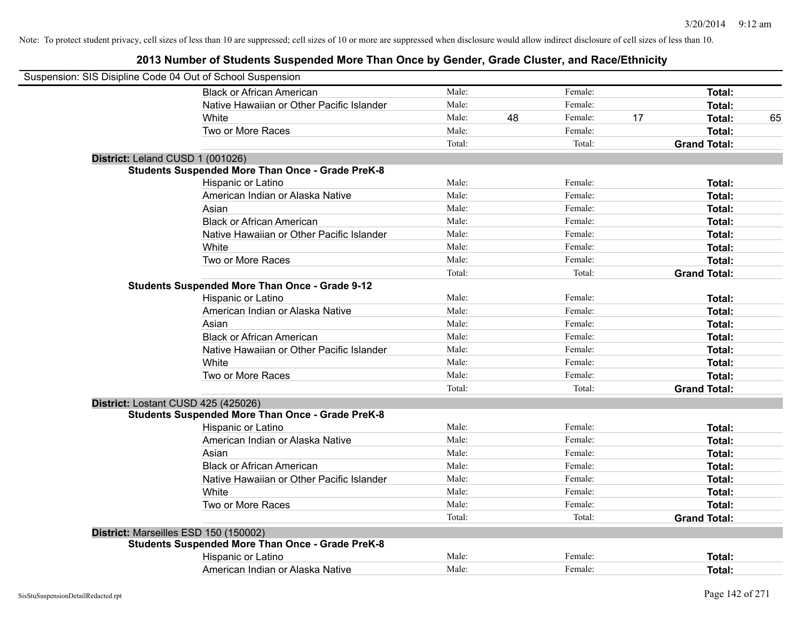| Suspension: SIS Disipline Code 04 Out of School Suspension |                                                         |        |    |         |    |                     |    |
|------------------------------------------------------------|---------------------------------------------------------|--------|----|---------|----|---------------------|----|
|                                                            | <b>Black or African American</b>                        | Male:  |    | Female: |    | Total:              |    |
|                                                            | Native Hawaiian or Other Pacific Islander               | Male:  |    | Female: |    | Total:              |    |
|                                                            | White                                                   | Male:  | 48 | Female: | 17 | Total:              | 65 |
|                                                            | Two or More Races                                       | Male:  |    | Female: |    | Total:              |    |
|                                                            |                                                         | Total: |    | Total:  |    | <b>Grand Total:</b> |    |
| District: Leland CUSD 1 (001026)                           |                                                         |        |    |         |    |                     |    |
|                                                            | <b>Students Suspended More Than Once - Grade PreK-8</b> |        |    |         |    |                     |    |
|                                                            | Hispanic or Latino                                      | Male:  |    | Female: |    | Total:              |    |
|                                                            | American Indian or Alaska Native                        | Male:  |    | Female: |    | Total:              |    |
|                                                            | Asian                                                   | Male:  |    | Female: |    | Total:              |    |
|                                                            | <b>Black or African American</b>                        | Male:  |    | Female: |    | Total:              |    |
|                                                            | Native Hawaiian or Other Pacific Islander               | Male:  |    | Female: |    | Total:              |    |
|                                                            | White                                                   | Male:  |    | Female: |    | Total:              |    |
|                                                            | Two or More Races                                       | Male:  |    | Female: |    | Total:              |    |
|                                                            |                                                         | Total: |    | Total:  |    | <b>Grand Total:</b> |    |
|                                                            | <b>Students Suspended More Than Once - Grade 9-12</b>   |        |    |         |    |                     |    |
|                                                            | Hispanic or Latino                                      | Male:  |    | Female: |    | Total:              |    |
|                                                            | American Indian or Alaska Native                        | Male:  |    | Female: |    | Total:              |    |
|                                                            | Asian                                                   | Male:  |    | Female: |    | Total:              |    |
|                                                            | <b>Black or African American</b>                        | Male:  |    | Female: |    | Total:              |    |
|                                                            | Native Hawaiian or Other Pacific Islander               | Male:  |    | Female: |    | Total:              |    |
|                                                            | White                                                   | Male:  |    | Female: |    | Total:              |    |
|                                                            | Two or More Races                                       | Male:  |    | Female: |    | Total:              |    |
|                                                            |                                                         | Total: |    | Total:  |    | <b>Grand Total:</b> |    |
|                                                            | District: Lostant CUSD 425 (425026)                     |        |    |         |    |                     |    |
|                                                            | <b>Students Suspended More Than Once - Grade PreK-8</b> |        |    |         |    |                     |    |
|                                                            | Hispanic or Latino                                      | Male:  |    | Female: |    | Total:              |    |
|                                                            | American Indian or Alaska Native                        | Male:  |    | Female: |    | Total:              |    |
|                                                            | Asian                                                   | Male:  |    | Female: |    | Total:              |    |
|                                                            | <b>Black or African American</b>                        | Male:  |    | Female: |    | Total:              |    |
|                                                            | Native Hawaiian or Other Pacific Islander               | Male:  |    | Female: |    | Total:              |    |
|                                                            | White                                                   | Male:  |    | Female: |    | Total:              |    |
|                                                            | Two or More Races                                       | Male:  |    | Female: |    | Total:              |    |
|                                                            |                                                         | Total: |    | Total:  |    | <b>Grand Total:</b> |    |
|                                                            | District: Marseilles ESD 150 (150002)                   |        |    |         |    |                     |    |
|                                                            | <b>Students Suspended More Than Once - Grade PreK-8</b> |        |    |         |    |                     |    |
|                                                            | Hispanic or Latino                                      | Male:  |    | Female: |    | Total:              |    |
|                                                            | American Indian or Alaska Native                        | Male:  |    | Female: |    | Total:              |    |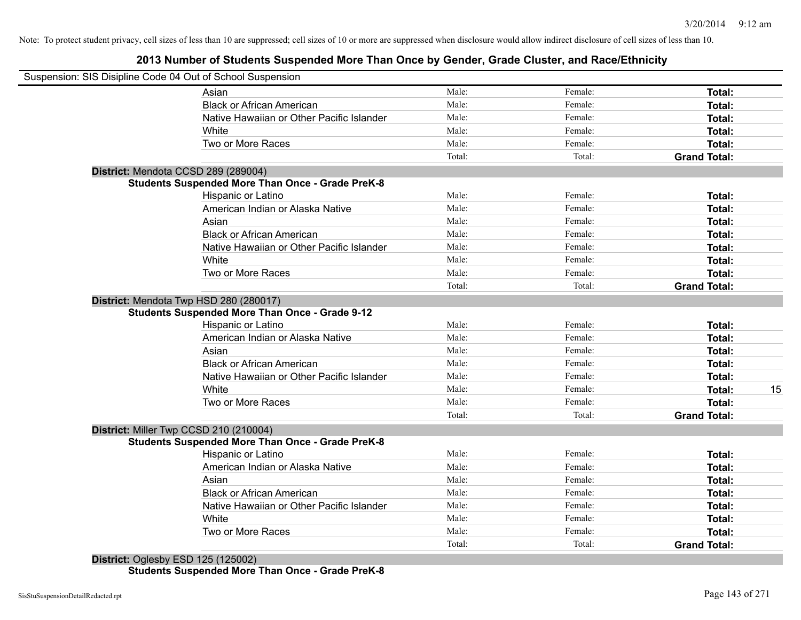# **2013 Number of Students Suspended More Than Once by Gender, Grade Cluster, and Race/Ethnicity**

| Suspension: SIS Disipline Code 04 Out of School Suspension |                 |         |                     |    |
|------------------------------------------------------------|-----------------|---------|---------------------|----|
| Asian                                                      | Male:           | Female: | <b>Total:</b>       |    |
| <b>Black or African American</b>                           | Male:           | Female: | Total:              |    |
| Native Hawaiian or Other Pacific Islander                  | Male:           | Female: | Total:              |    |
| White                                                      | Male:           | Female: | Total:              |    |
| Two or More Races                                          | Male:           | Female: | Total:              |    |
|                                                            | Total:          | Total:  | <b>Grand Total:</b> |    |
| District: Mendota CCSD 289 (289004)                        |                 |         |                     |    |
| <b>Students Suspended More Than Once - Grade PreK-8</b>    |                 |         |                     |    |
| Hispanic or Latino                                         | Male:           | Female: | Total:              |    |
| American Indian or Alaska Native                           | Male:           | Female: | <b>Total:</b>       |    |
| Asian                                                      | Male:           | Female: | Total:              |    |
| <b>Black or African American</b>                           | Male:           | Female: | Total:              |    |
| Native Hawaiian or Other Pacific Islander                  | Male:           | Female: | Total:              |    |
| White                                                      | Male:           | Female: | Total:              |    |
| Two or More Races                                          | Male:           | Female: | Total:              |    |
|                                                            | Total:          | Total:  | <b>Grand Total:</b> |    |
| District: Mendota Twp HSD 280 (280017)                     |                 |         |                     |    |
| <b>Students Suspended More Than Once - Grade 9-12</b>      |                 |         |                     |    |
| Hispanic or Latino                                         | Male:           | Female: | Total:              |    |
| American Indian or Alaska Native                           | Male:           | Female: | Total:              |    |
| Asian                                                      | Male:           | Female: | Total:              |    |
| <b>Black or African American</b>                           | Male:           | Female: | Total:              |    |
| Native Hawaiian or Other Pacific Islander                  | Male:           | Female: | Total:              |    |
| White                                                      | Male:           | Female: | Total:              | 15 |
| Two or More Races                                          | Male:           | Female: | <b>Total:</b>       |    |
|                                                            | Total:          | Total:  | <b>Grand Total:</b> |    |
| District: Miller Twp CCSD 210 (210004)                     |                 |         |                     |    |
| <b>Students Suspended More Than Once - Grade PreK-8</b>    |                 |         |                     |    |
| Hispanic or Latino                                         | Male:           | Female: | Total:              |    |
| American Indian or Alaska Native                           | Male:           | Female: | Total:              |    |
| Asian                                                      | Male:           | Female: | Total:              |    |
| <b>Black or African American</b>                           | Male:           | Female: | Total:              |    |
| Native Hawaiian or Other Pacific Islander                  | Male:           | Female: | Total:              |    |
| White                                                      | Male:           | Female: | Total:              |    |
| Two or More Races                                          | Male:<br>Total: | Female: | <b>Total:</b>       |    |
|                                                            |                 | Total:  | <b>Grand Total:</b> |    |

**Students Suspended More Than Once - Grade PreK-8**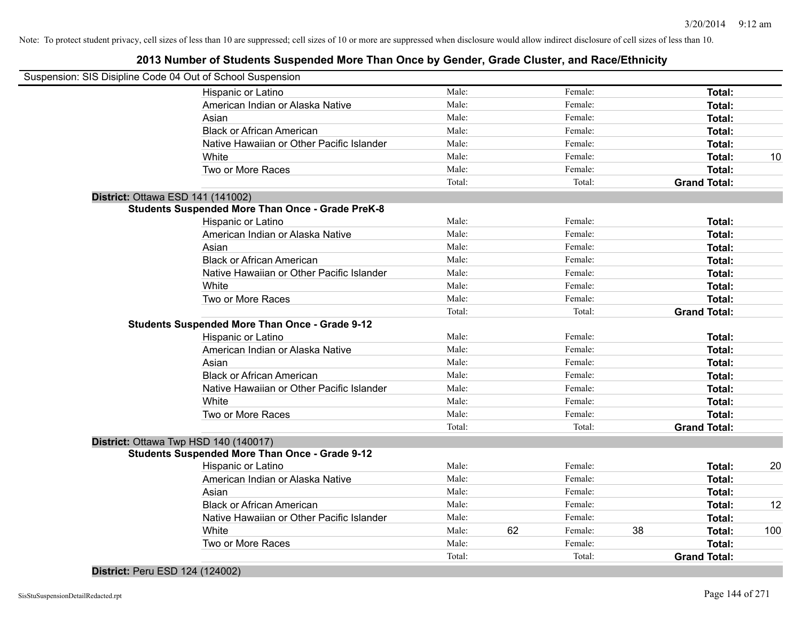# **2013 Number of Students Suspended More Than Once by Gender, Grade Cluster, and Race/Ethnicity**

| Suspension: SIS Disipline Code 04 Out of School Suspension |                                           |        |    |         |    |                     |     |
|------------------------------------------------------------|-------------------------------------------|--------|----|---------|----|---------------------|-----|
| Hispanic or Latino                                         |                                           | Male:  |    | Female: |    | Total:              |     |
| American Indian or Alaska Native                           |                                           | Male:  |    | Female: |    | Total:              |     |
| Asian                                                      |                                           | Male:  |    | Female: |    | Total:              |     |
| <b>Black or African American</b>                           |                                           | Male:  |    | Female: |    | Total:              |     |
|                                                            | Native Hawaiian or Other Pacific Islander | Male:  |    | Female: |    | Total:              |     |
| White                                                      |                                           | Male:  |    | Female: |    | Total:              | 10  |
| Two or More Races                                          |                                           | Male:  |    | Female: |    | Total:              |     |
|                                                            |                                           | Total: |    | Total:  |    | <b>Grand Total:</b> |     |
| District: Ottawa ESD 141 (141002)                          |                                           |        |    |         |    |                     |     |
| <b>Students Suspended More Than Once - Grade PreK-8</b>    |                                           |        |    |         |    |                     |     |
| Hispanic or Latino                                         |                                           | Male:  |    | Female: |    | Total:              |     |
| American Indian or Alaska Native                           |                                           | Male:  |    | Female: |    | Total:              |     |
| Asian                                                      |                                           | Male:  |    | Female: |    | Total:              |     |
| <b>Black or African American</b>                           |                                           | Male:  |    | Female: |    | Total:              |     |
|                                                            | Native Hawaiian or Other Pacific Islander | Male:  |    | Female: |    | Total:              |     |
| White                                                      |                                           | Male:  |    | Female: |    | Total:              |     |
| Two or More Races                                          |                                           | Male:  |    | Female: |    | Total:              |     |
|                                                            |                                           | Total: |    | Total:  |    | <b>Grand Total:</b> |     |
| <b>Students Suspended More Than Once - Grade 9-12</b>      |                                           |        |    |         |    |                     |     |
| Hispanic or Latino                                         |                                           | Male:  |    | Female: |    | Total:              |     |
| American Indian or Alaska Native                           |                                           | Male:  |    | Female: |    | Total:              |     |
| Asian                                                      |                                           | Male:  |    | Female: |    | Total:              |     |
| <b>Black or African American</b>                           |                                           | Male:  |    | Female: |    | Total:              |     |
|                                                            | Native Hawaiian or Other Pacific Islander | Male:  |    | Female: |    | Total:              |     |
| White                                                      |                                           | Male:  |    | Female: |    | Total:              |     |
| Two or More Races                                          |                                           | Male:  |    | Female: |    | Total:              |     |
|                                                            |                                           | Total: |    | Total:  |    | <b>Grand Total:</b> |     |
| District: Ottawa Twp HSD 140 (140017)                      |                                           |        |    |         |    |                     |     |
| <b>Students Suspended More Than Once - Grade 9-12</b>      |                                           |        |    |         |    |                     |     |
| Hispanic or Latino                                         |                                           | Male:  |    | Female: |    | Total:              | 20  |
| American Indian or Alaska Native                           |                                           | Male:  |    | Female: |    | Total:              |     |
| Asian                                                      |                                           | Male:  |    | Female: |    | Total:              |     |
| <b>Black or African American</b>                           |                                           | Male:  |    | Female: |    | Total:              | 12  |
|                                                            | Native Hawaiian or Other Pacific Islander | Male:  |    | Female: |    | Total:              |     |
| White                                                      |                                           | Male:  | 62 | Female: | 38 | Total:              | 100 |
| Two or More Races                                          |                                           | Male:  |    | Female: |    | Total:              |     |
|                                                            |                                           | Total: |    | Total:  |    | <b>Grand Total:</b> |     |

**District:** Peru ESD 124 (124002)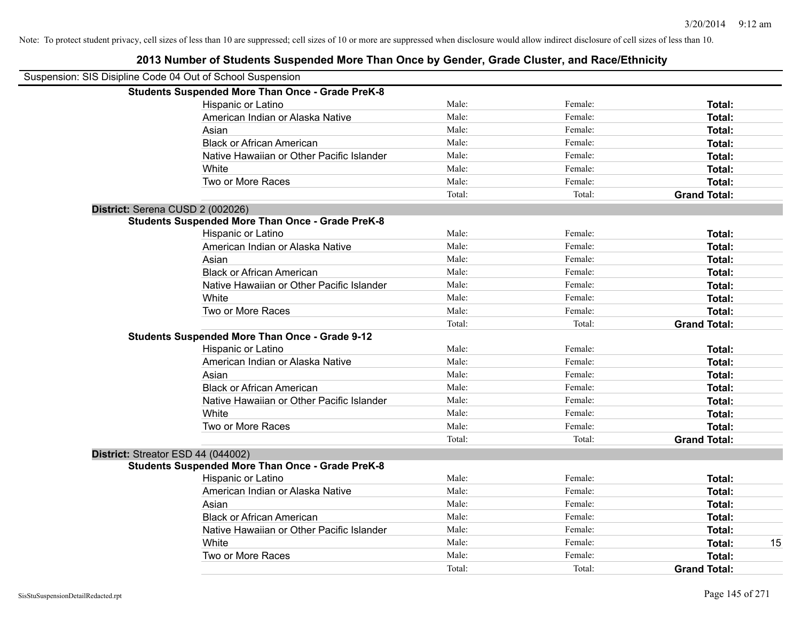| Suspension: SIS Disipline Code 04 Out of School Suspension |                                                         |        |         |                     |    |
|------------------------------------------------------------|---------------------------------------------------------|--------|---------|---------------------|----|
|                                                            | <b>Students Suspended More Than Once - Grade PreK-8</b> |        |         |                     |    |
|                                                            | Hispanic or Latino                                      | Male:  | Female: | Total:              |    |
|                                                            | American Indian or Alaska Native                        | Male:  | Female: | Total:              |    |
|                                                            | Asian                                                   | Male:  | Female: | Total:              |    |
|                                                            | <b>Black or African American</b>                        | Male:  | Female: | Total:              |    |
|                                                            | Native Hawaiian or Other Pacific Islander               | Male:  | Female: | Total:              |    |
|                                                            | White                                                   | Male:  | Female: | Total:              |    |
|                                                            | Two or More Races                                       | Male:  | Female: | Total:              |    |
|                                                            |                                                         | Total: | Total:  | <b>Grand Total:</b> |    |
| District: Serena CUSD 2 (002026)                           |                                                         |        |         |                     |    |
|                                                            | <b>Students Suspended More Than Once - Grade PreK-8</b> |        |         |                     |    |
|                                                            | Hispanic or Latino                                      | Male:  | Female: | Total:              |    |
|                                                            | American Indian or Alaska Native                        | Male:  | Female: | Total:              |    |
|                                                            | Asian                                                   | Male:  | Female: | Total:              |    |
|                                                            | <b>Black or African American</b>                        | Male:  | Female: | Total:              |    |
|                                                            | Native Hawaiian or Other Pacific Islander               | Male:  | Female: | Total:              |    |
|                                                            | White                                                   | Male:  | Female: | Total:              |    |
|                                                            | Two or More Races                                       | Male:  | Female: | Total:              |    |
|                                                            |                                                         | Total: | Total:  | <b>Grand Total:</b> |    |
|                                                            | <b>Students Suspended More Than Once - Grade 9-12</b>   |        |         |                     |    |
|                                                            | Hispanic or Latino                                      | Male:  | Female: | Total:              |    |
|                                                            | American Indian or Alaska Native                        | Male:  | Female: | Total:              |    |
|                                                            | Asian                                                   | Male:  | Female: | Total:              |    |
|                                                            | <b>Black or African American</b>                        | Male:  | Female: | Total:              |    |
|                                                            | Native Hawaiian or Other Pacific Islander               | Male:  | Female: | Total:              |    |
|                                                            | White                                                   | Male:  | Female: | Total:              |    |
|                                                            | Two or More Races                                       | Male:  | Female: | Total:              |    |
|                                                            |                                                         | Total: | Total:  | <b>Grand Total:</b> |    |
|                                                            | District: Streator ESD 44 (044002)                      |        |         |                     |    |
|                                                            | <b>Students Suspended More Than Once - Grade PreK-8</b> |        |         |                     |    |
|                                                            | Hispanic or Latino                                      | Male:  | Female: | Total:              |    |
|                                                            | American Indian or Alaska Native                        | Male:  | Female: | Total:              |    |
|                                                            | Asian                                                   | Male:  | Female: | Total:              |    |
|                                                            | <b>Black or African American</b>                        | Male:  | Female: | Total:              |    |
|                                                            | Native Hawaiian or Other Pacific Islander               | Male:  | Female: | Total:              |    |
|                                                            | White                                                   | Male:  | Female: | Total:              | 15 |
|                                                            | Two or More Races                                       | Male:  | Female: | Total:              |    |
|                                                            |                                                         | Total: | Total:  | <b>Grand Total:</b> |    |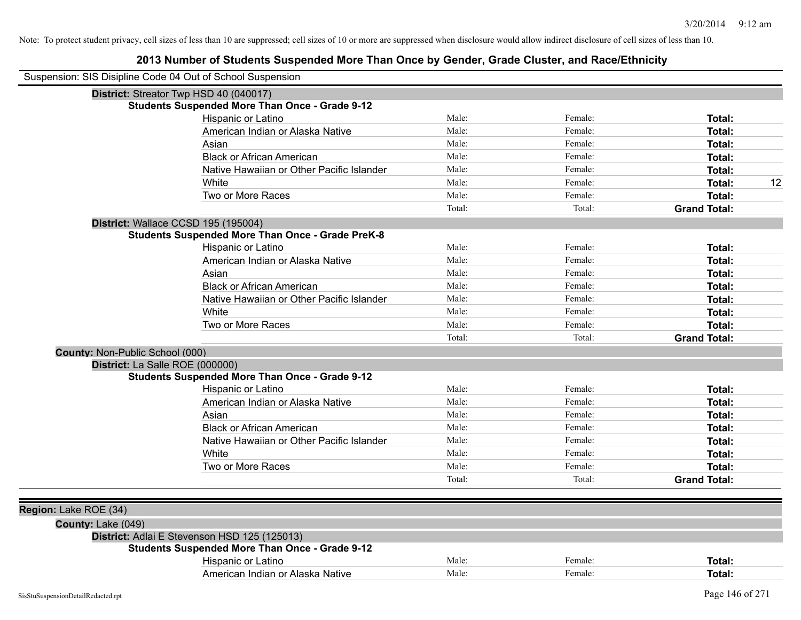| Suspension: SIS Disipline Code 04 Out of School Suspension |                                                         |        |         |                     |
|------------------------------------------------------------|---------------------------------------------------------|--------|---------|---------------------|
|                                                            | District: Streator Twp HSD 40 (040017)                  |        |         |                     |
|                                                            | <b>Students Suspended More Than Once - Grade 9-12</b>   |        |         |                     |
|                                                            | Hispanic or Latino                                      | Male:  | Female: | Total:              |
|                                                            | American Indian or Alaska Native                        | Male:  | Female: | Total:              |
|                                                            | Asian                                                   | Male:  | Female: | Total:              |
|                                                            | <b>Black or African American</b>                        | Male:  | Female: | Total:              |
|                                                            | Native Hawaiian or Other Pacific Islander               | Male:  | Female: | Total:              |
|                                                            | White                                                   | Male:  | Female: | 12<br>Total:        |
|                                                            | Two or More Races                                       | Male:  | Female: | Total:              |
|                                                            |                                                         | Total: | Total:  | <b>Grand Total:</b> |
|                                                            | District: Wallace CCSD 195 (195004)                     |        |         |                     |
|                                                            | <b>Students Suspended More Than Once - Grade PreK-8</b> |        |         |                     |
|                                                            | Hispanic or Latino                                      | Male:  | Female: | Total:              |
|                                                            | American Indian or Alaska Native                        | Male:  | Female: | Total:              |
|                                                            | Asian                                                   | Male:  | Female: | Total:              |
|                                                            | <b>Black or African American</b>                        | Male:  | Female: | Total:              |
|                                                            | Native Hawaiian or Other Pacific Islander               | Male:  | Female: | Total:              |
|                                                            | White                                                   | Male:  | Female: | <b>Total:</b>       |
|                                                            | Two or More Races                                       | Male:  | Female: | Total:              |
|                                                            |                                                         | Total: | Total:  | <b>Grand Total:</b> |
| County: Non-Public School (000)                            |                                                         |        |         |                     |
| District: La Salle ROE (000000)                            |                                                         |        |         |                     |
|                                                            | <b>Students Suspended More Than Once - Grade 9-12</b>   |        |         |                     |
|                                                            | Hispanic or Latino                                      | Male:  | Female: | Total:              |
|                                                            | American Indian or Alaska Native                        | Male:  | Female: | <b>Total:</b>       |
|                                                            | Asian                                                   | Male:  | Female: | <b>Total:</b>       |
|                                                            | <b>Black or African American</b>                        | Male:  | Female: | Total:              |
|                                                            | Native Hawaiian or Other Pacific Islander               | Male:  | Female: | Total:              |
|                                                            | White                                                   | Male:  | Female: | Total:              |
|                                                            | Two or More Races                                       | Male:  | Female: | Total:              |
|                                                            |                                                         | Total: | Total:  | <b>Grand Total:</b> |
|                                                            |                                                         |        |         |                     |
| Region: Lake ROE (34)                                      |                                                         |        |         |                     |
| County: Lake (049)                                         |                                                         |        |         |                     |
|                                                            | District: Adlai E Stevenson HSD 125 (125013)            |        |         |                     |
|                                                            | <b>Students Suspended More Than Once - Grade 9-12</b>   |        |         |                     |
|                                                            | Hispanic or Latino                                      | Male:  | Female: | <b>Total:</b>       |
|                                                            | American Indian or Alaska Native                        | Male:  | Female: | Total:              |
|                                                            |                                                         |        |         |                     |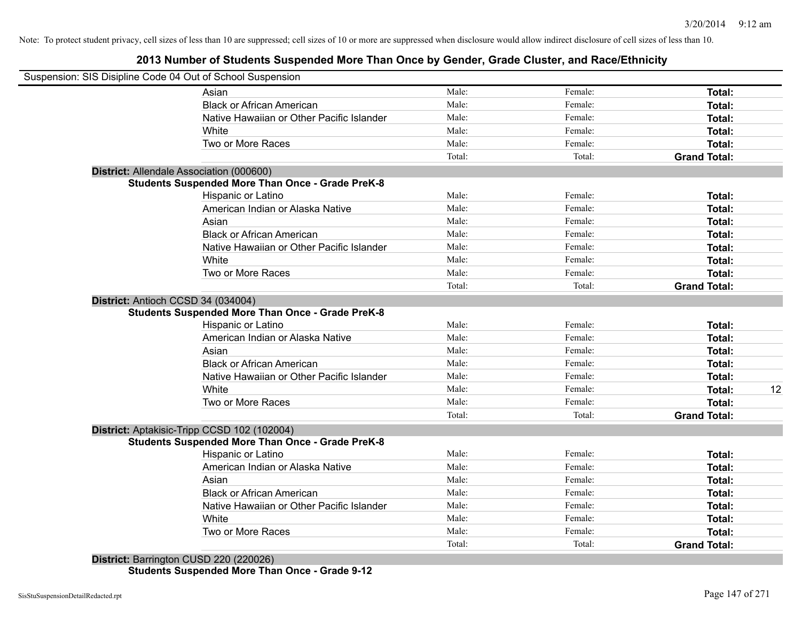## **2013 Number of Students Suspended More Than Once by Gender, Grade Cluster, and Race/Ethnicity**

| Suspension: SIS Disipline Code 04 Out of School Suspension |        |         |                     |    |
|------------------------------------------------------------|--------|---------|---------------------|----|
| Asian                                                      | Male:  | Female: | <b>Total:</b>       |    |
| <b>Black or African American</b>                           | Male:  | Female: | Total:              |    |
| Native Hawaiian or Other Pacific Islander                  | Male:  | Female: | Total:              |    |
| <b>White</b>                                               | Male:  | Female: | Total:              |    |
| Two or More Races                                          | Male:  | Female: | Total:              |    |
|                                                            | Total: | Total:  | <b>Grand Total:</b> |    |
| District: Allendale Association (000600)                   |        |         |                     |    |
| <b>Students Suspended More Than Once - Grade PreK-8</b>    |        |         |                     |    |
| Hispanic or Latino                                         | Male:  | Female: | Total:              |    |
| American Indian or Alaska Native                           | Male:  | Female: | Total:              |    |
| Asian                                                      | Male:  | Female: | Total:              |    |
| <b>Black or African American</b>                           | Male:  | Female: | Total:              |    |
| Native Hawaiian or Other Pacific Islander                  | Male:  | Female: | Total:              |    |
| White                                                      | Male:  | Female: | Total:              |    |
| Two or More Races                                          | Male:  | Female: | Total:              |    |
|                                                            | Total: | Total:  | <b>Grand Total:</b> |    |
| District: Antioch CCSD 34 (034004)                         |        |         |                     |    |
| <b>Students Suspended More Than Once - Grade PreK-8</b>    |        |         |                     |    |
| Hispanic or Latino                                         | Male:  | Female: | Total:              |    |
| American Indian or Alaska Native                           | Male:  | Female: | Total:              |    |
| Asian                                                      | Male:  | Female: | Total:              |    |
| <b>Black or African American</b>                           | Male:  | Female: | Total:              |    |
| Native Hawaiian or Other Pacific Islander                  | Male:  | Female: | Total:              |    |
| White                                                      | Male:  | Female: | Total:              | 12 |
| Two or More Races                                          | Male:  | Female: | <b>Total:</b>       |    |
|                                                            | Total: | Total:  | <b>Grand Total:</b> |    |
| District: Aptakisic-Tripp CCSD 102 (102004)                |        |         |                     |    |
| <b>Students Suspended More Than Once - Grade PreK-8</b>    |        |         |                     |    |
| Hispanic or Latino                                         | Male:  | Female: | Total:              |    |
| American Indian or Alaska Native                           | Male:  | Female: | Total:              |    |
| Asian                                                      | Male:  | Female: | Total:              |    |
| <b>Black or African American</b>                           | Male:  | Female: | Total:              |    |
| Native Hawaiian or Other Pacific Islander                  | Male:  | Female: | Total:              |    |
| White                                                      | Male:  | Female: | Total:              |    |
| Two or More Races                                          | Male:  | Female: | Total:              |    |
|                                                            | Total: | Total:  | <b>Grand Total:</b> |    |
| District: Barrington CUSD 220 (220026)                     |        |         |                     |    |

**Students Suspended More Than Once - Grade 9-12**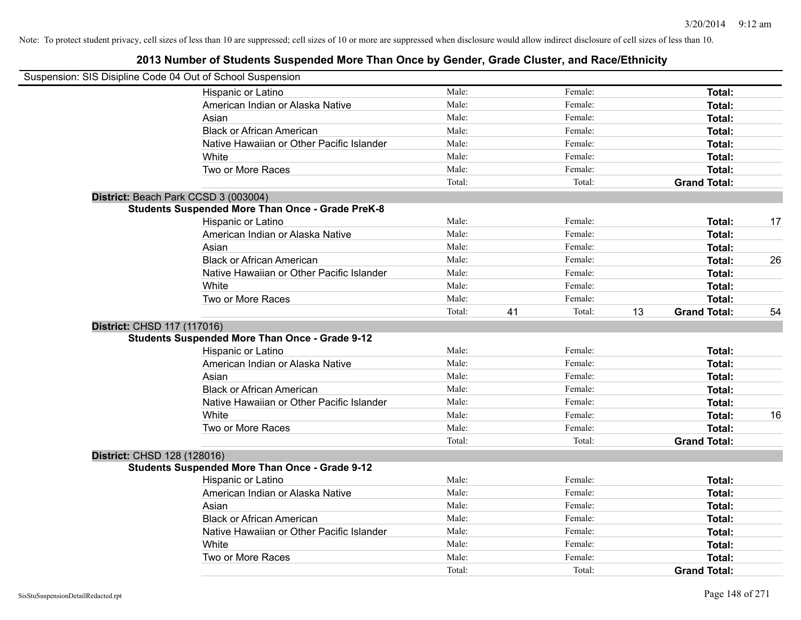|                             | Suspension: SIS Disipline Code 04 Out of School Suspension |        |    |         |    |                     |    |
|-----------------------------|------------------------------------------------------------|--------|----|---------|----|---------------------|----|
|                             | Hispanic or Latino                                         | Male:  |    | Female: |    | Total:              |    |
|                             | American Indian or Alaska Native                           | Male:  |    | Female: |    | Total:              |    |
|                             | Asian                                                      | Male:  |    | Female: |    | Total:              |    |
|                             | <b>Black or African American</b>                           | Male:  |    | Female: |    | Total:              |    |
|                             | Native Hawaiian or Other Pacific Islander                  | Male:  |    | Female: |    | Total:              |    |
|                             | White                                                      | Male:  |    | Female: |    | Total:              |    |
|                             | Two or More Races                                          | Male:  |    | Female: |    | Total:              |    |
|                             |                                                            | Total: |    | Total:  |    | <b>Grand Total:</b> |    |
|                             | District: Beach Park CCSD 3 (003004)                       |        |    |         |    |                     |    |
|                             | <b>Students Suspended More Than Once - Grade PreK-8</b>    |        |    |         |    |                     |    |
|                             | Hispanic or Latino                                         | Male:  |    | Female: |    | Total:              | 17 |
|                             | American Indian or Alaska Native                           | Male:  |    | Female: |    | Total:              |    |
|                             | Asian                                                      | Male:  |    | Female: |    | Total:              |    |
|                             | <b>Black or African American</b>                           | Male:  |    | Female: |    | Total:              | 26 |
|                             | Native Hawaiian or Other Pacific Islander                  | Male:  |    | Female: |    | Total:              |    |
|                             | White                                                      | Male:  |    | Female: |    | Total:              |    |
|                             | Two or More Races                                          | Male:  |    | Female: |    | Total:              |    |
|                             |                                                            | Total: | 41 | Total:  | 13 | <b>Grand Total:</b> | 54 |
| District: CHSD 117 (117016) |                                                            |        |    |         |    |                     |    |
|                             | <b>Students Suspended More Than Once - Grade 9-12</b>      |        |    |         |    |                     |    |
|                             | Hispanic or Latino                                         | Male:  |    | Female: |    | Total:              |    |
|                             | American Indian or Alaska Native                           | Male:  |    | Female: |    | Total:              |    |
|                             | Asian                                                      | Male:  |    | Female: |    | Total:              |    |
|                             | <b>Black or African American</b>                           | Male:  |    | Female: |    | Total:              |    |
|                             | Native Hawaiian or Other Pacific Islander                  | Male:  |    | Female: |    | Total:              |    |
|                             | White                                                      | Male:  |    | Female: |    | Total:              | 16 |
|                             | Two or More Races                                          | Male:  |    | Female: |    | Total:              |    |
|                             |                                                            | Total: |    | Total:  |    | <b>Grand Total:</b> |    |
| District: CHSD 128 (128016) |                                                            |        |    |         |    |                     |    |
|                             | <b>Students Suspended More Than Once - Grade 9-12</b>      |        |    |         |    |                     |    |
|                             | Hispanic or Latino                                         | Male:  |    | Female: |    | Total:              |    |
|                             | American Indian or Alaska Native                           | Male:  |    | Female: |    | Total:              |    |
|                             | Asian                                                      | Male:  |    | Female: |    | Total:              |    |
|                             | <b>Black or African American</b>                           | Male:  |    | Female: |    | Total:              |    |
|                             | Native Hawaiian or Other Pacific Islander                  | Male:  |    | Female: |    | Total:              |    |
|                             | White                                                      | Male:  |    | Female: |    | Total:              |    |
|                             | Two or More Races                                          | Male:  |    | Female: |    | Total:              |    |
|                             |                                                            | Total: |    | Total:  |    | <b>Grand Total:</b> |    |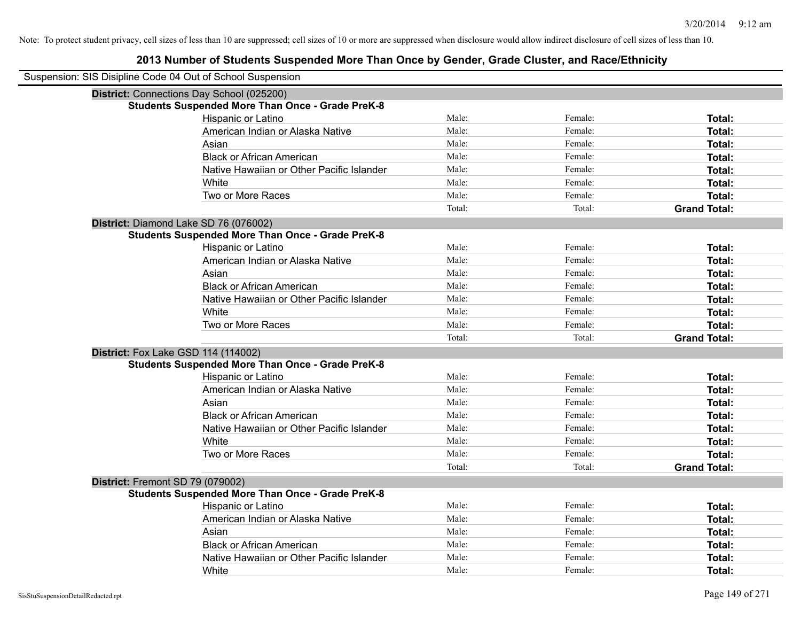| Suspension: SIS Disipline Code 04 Out of School Suspension |                                                         |        |         |                     |
|------------------------------------------------------------|---------------------------------------------------------|--------|---------|---------------------|
|                                                            | District: Connections Day School (025200)               |        |         |                     |
|                                                            | <b>Students Suspended More Than Once - Grade PreK-8</b> |        |         |                     |
|                                                            | Hispanic or Latino                                      | Male:  | Female: | Total:              |
|                                                            | American Indian or Alaska Native                        | Male:  | Female: | Total:              |
|                                                            | Asian                                                   | Male:  | Female: | Total:              |
|                                                            | <b>Black or African American</b>                        | Male:  | Female: | <b>Total:</b>       |
|                                                            | Native Hawaiian or Other Pacific Islander               | Male:  | Female: | Total:              |
|                                                            | White                                                   | Male:  | Female: | Total:              |
|                                                            | Two or More Races                                       | Male:  | Female: | <b>Total:</b>       |
|                                                            |                                                         | Total: | Total:  | <b>Grand Total:</b> |
| District: Diamond Lake SD 76 (076002)                      |                                                         |        |         |                     |
|                                                            | <b>Students Suspended More Than Once - Grade PreK-8</b> |        |         |                     |
|                                                            | Hispanic or Latino                                      | Male:  | Female: | <b>Total:</b>       |
|                                                            | American Indian or Alaska Native                        | Male:  | Female: | <b>Total:</b>       |
|                                                            | Asian                                                   | Male:  | Female: | <b>Total:</b>       |
|                                                            | <b>Black or African American</b>                        | Male:  | Female: | <b>Total:</b>       |
|                                                            | Native Hawaiian or Other Pacific Islander               | Male:  | Female: | <b>Total:</b>       |
|                                                            | White                                                   | Male:  | Female: | Total:              |
|                                                            | Two or More Races                                       | Male:  | Female: | <b>Total:</b>       |
|                                                            |                                                         | Total: | Total:  | <b>Grand Total:</b> |
| District: Fox Lake GSD 114 (114002)                        |                                                         |        |         |                     |
|                                                            | <b>Students Suspended More Than Once - Grade PreK-8</b> |        |         |                     |
|                                                            | Hispanic or Latino                                      | Male:  | Female: | Total:              |
|                                                            | American Indian or Alaska Native                        | Male:  | Female: | <b>Total:</b>       |
|                                                            | Asian                                                   | Male:  | Female: | <b>Total:</b>       |
|                                                            | <b>Black or African American</b>                        | Male:  | Female: | <b>Total:</b>       |
|                                                            | Native Hawaiian or Other Pacific Islander               | Male:  | Female: | <b>Total:</b>       |
|                                                            | White                                                   | Male:  | Female: | Total:              |
|                                                            | Two or More Races                                       | Male:  | Female: | <b>Total:</b>       |
|                                                            |                                                         | Total: | Total:  | <b>Grand Total:</b> |
| District: Fremont SD 79 (079002)                           |                                                         |        |         |                     |
|                                                            | <b>Students Suspended More Than Once - Grade PreK-8</b> |        |         |                     |
|                                                            | Hispanic or Latino                                      | Male:  | Female: | <b>Total:</b>       |
|                                                            | American Indian or Alaska Native                        | Male:  | Female: | Total:              |
|                                                            | Asian                                                   | Male:  | Female: | <b>Total:</b>       |
|                                                            | <b>Black or African American</b>                        | Male:  | Female: | <b>Total:</b>       |
|                                                            | Native Hawaiian or Other Pacific Islander               | Male:  | Female: | <b>Total:</b>       |
|                                                            | White                                                   | Male:  | Female: | Total:              |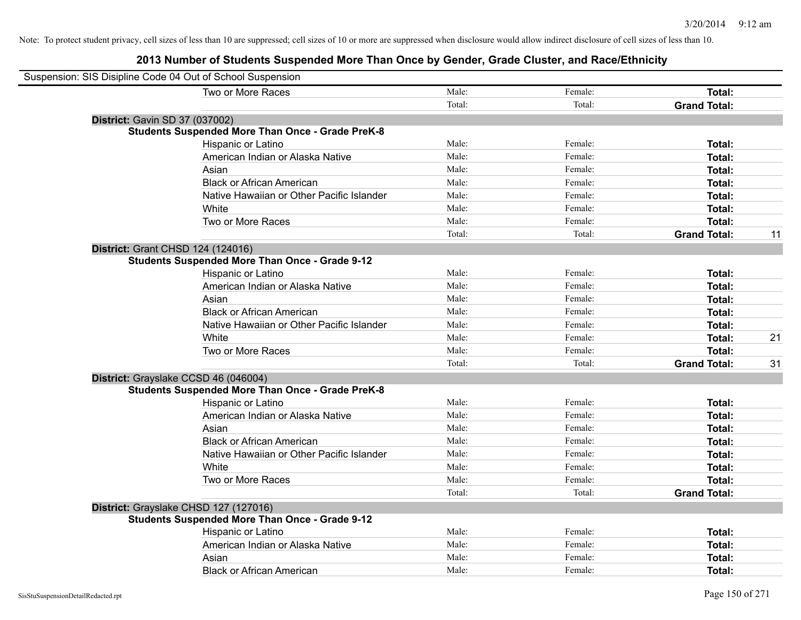| Suspension: SIS Disipline Code 04 Out of School Suspension |        |         |                     |    |
|------------------------------------------------------------|--------|---------|---------------------|----|
| Two or More Races                                          | Male:  | Female: | Total:              |    |
|                                                            | Total: | Total:  | <b>Grand Total:</b> |    |
| District: Gavin SD 37 (037002)                             |        |         |                     |    |
| <b>Students Suspended More Than Once - Grade PreK-8</b>    |        |         |                     |    |
| Hispanic or Latino                                         | Male:  | Female: | Total:              |    |
| American Indian or Alaska Native                           | Male:  | Female: | Total:              |    |
| Asian                                                      | Male:  | Female: | Total:              |    |
| <b>Black or African American</b>                           | Male:  | Female: | Total:              |    |
| Native Hawaiian or Other Pacific Islander                  | Male:  | Female: | Total:              |    |
| White                                                      | Male:  | Female: | Total:              |    |
| Two or More Races                                          | Male:  | Female: | Total:              |    |
|                                                            | Total: | Total:  | <b>Grand Total:</b> | 11 |
| District: Grant CHSD 124 (124016)                          |        |         |                     |    |
| <b>Students Suspended More Than Once - Grade 9-12</b>      |        |         |                     |    |
| Hispanic or Latino                                         | Male:  | Female: | Total:              |    |
| American Indian or Alaska Native                           | Male:  | Female: | Total:              |    |
| Asian                                                      | Male:  | Female: | Total:              |    |
| <b>Black or African American</b>                           | Male:  | Female: | Total:              |    |
| Native Hawaiian or Other Pacific Islander                  | Male:  | Female: | Total:              |    |
| White                                                      | Male:  | Female: | Total:              | 21 |
| Two or More Races                                          | Male:  | Female: | Total:              |    |
|                                                            | Total: | Total:  | <b>Grand Total:</b> | 31 |
| District: Grayslake CCSD 46 (046004)                       |        |         |                     |    |
| <b>Students Suspended More Than Once - Grade PreK-8</b>    |        |         |                     |    |
| Hispanic or Latino                                         | Male:  | Female: | Total:              |    |
| American Indian or Alaska Native                           | Male:  | Female: | Total:              |    |
| Asian                                                      | Male:  | Female: | Total:              |    |
| <b>Black or African American</b>                           | Male:  | Female: | Total:              |    |
| Native Hawaiian or Other Pacific Islander                  | Male:  | Female: | Total:              |    |
| White                                                      | Male:  | Female: | Total:              |    |
| Two or More Races                                          | Male:  | Female: | Total:              |    |
|                                                            | Total: | Total:  | <b>Grand Total:</b> |    |
| District: Grayslake CHSD 127 (127016)                      |        |         |                     |    |
| <b>Students Suspended More Than Once - Grade 9-12</b>      | Male:  |         |                     |    |
| Hispanic or Latino                                         | Male:  | Female: | Total:              |    |
| American Indian or Alaska Native                           |        | Female: | Total:              |    |
| Asian                                                      | Male:  | Female: | Total:              |    |
| <b>Black or African American</b>                           | Male:  | Female: | Total:              |    |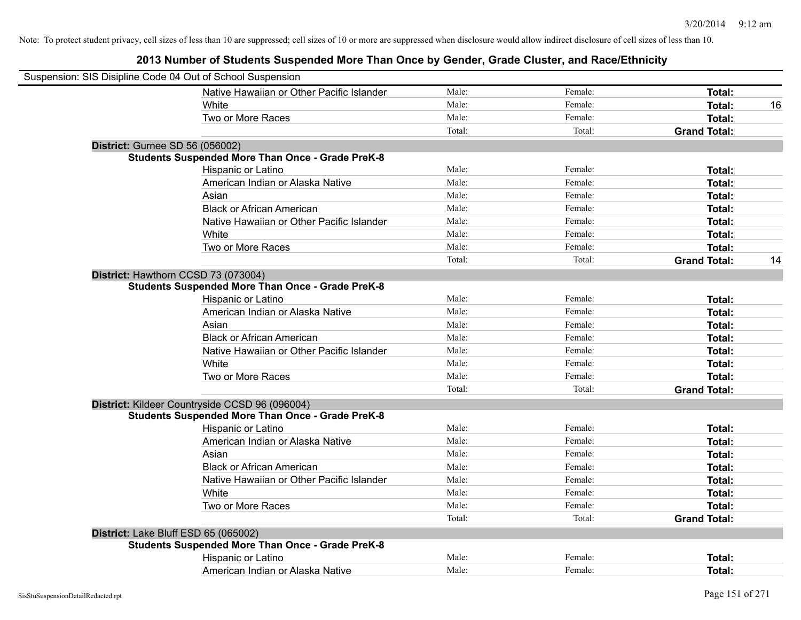|                                        | Suspension: SIS Disipline Code 04 Out of School Suspension |        |         |                     |    |
|----------------------------------------|------------------------------------------------------------|--------|---------|---------------------|----|
|                                        | Native Hawaiian or Other Pacific Islander                  | Male:  | Female: | <b>Total:</b>       |    |
|                                        | White                                                      | Male:  | Female: | Total:              | 16 |
|                                        | Two or More Races                                          | Male:  | Female: | Total:              |    |
|                                        |                                                            | Total: | Total:  | <b>Grand Total:</b> |    |
| <b>District: Gurnee SD 56 (056002)</b> |                                                            |        |         |                     |    |
|                                        | <b>Students Suspended More Than Once - Grade PreK-8</b>    |        |         |                     |    |
|                                        | Hispanic or Latino                                         | Male:  | Female: | Total:              |    |
|                                        | American Indian or Alaska Native                           | Male:  | Female: | Total:              |    |
|                                        | Asian                                                      | Male:  | Female: | Total:              |    |
|                                        | <b>Black or African American</b>                           | Male:  | Female: | <b>Total:</b>       |    |
|                                        | Native Hawaiian or Other Pacific Islander                  | Male:  | Female: | Total:              |    |
|                                        | White                                                      | Male:  | Female: | Total:              |    |
|                                        | Two or More Races                                          | Male:  | Female: | <b>Total:</b>       |    |
|                                        |                                                            | Total: | Total:  | <b>Grand Total:</b> | 14 |
|                                        | District: Hawthorn CCSD 73 (073004)                        |        |         |                     |    |
|                                        | <b>Students Suspended More Than Once - Grade PreK-8</b>    |        |         |                     |    |
|                                        | Hispanic or Latino                                         | Male:  | Female: | <b>Total:</b>       |    |
|                                        | American Indian or Alaska Native                           | Male:  | Female: | Total:              |    |
|                                        | Asian                                                      | Male:  | Female: | Total:              |    |
|                                        | <b>Black or African American</b>                           | Male:  | Female: | Total:              |    |
|                                        | Native Hawaiian or Other Pacific Islander                  | Male:  | Female: | Total:              |    |
|                                        | White                                                      | Male:  | Female: | <b>Total:</b>       |    |
|                                        | Two or More Races                                          | Male:  | Female: | <b>Total:</b>       |    |
|                                        |                                                            | Total: | Total:  | <b>Grand Total:</b> |    |
|                                        | District: Kildeer Countryside CCSD 96 (096004)             |        |         |                     |    |
|                                        | <b>Students Suspended More Than Once - Grade PreK-8</b>    |        |         |                     |    |
|                                        | Hispanic or Latino                                         | Male:  | Female: | Total:              |    |
|                                        | American Indian or Alaska Native                           | Male:  | Female: | Total:              |    |
|                                        | Asian                                                      | Male:  | Female: | Total:              |    |
|                                        | <b>Black or African American</b>                           | Male:  | Female: | Total:              |    |
|                                        | Native Hawaiian or Other Pacific Islander                  | Male:  | Female: | Total:              |    |
|                                        | White                                                      | Male:  | Female: | Total:              |    |
|                                        | Two or More Races                                          | Male:  | Female: | Total:              |    |
|                                        |                                                            | Total: | Total:  | <b>Grand Total:</b> |    |
|                                        | District: Lake Bluff ESD 65 (065002)                       |        |         |                     |    |
|                                        | <b>Students Suspended More Than Once - Grade PreK-8</b>    |        |         |                     |    |
|                                        | Hispanic or Latino                                         | Male:  | Female: | Total:              |    |
|                                        | American Indian or Alaska Native                           | Male:  | Female: | Total:              |    |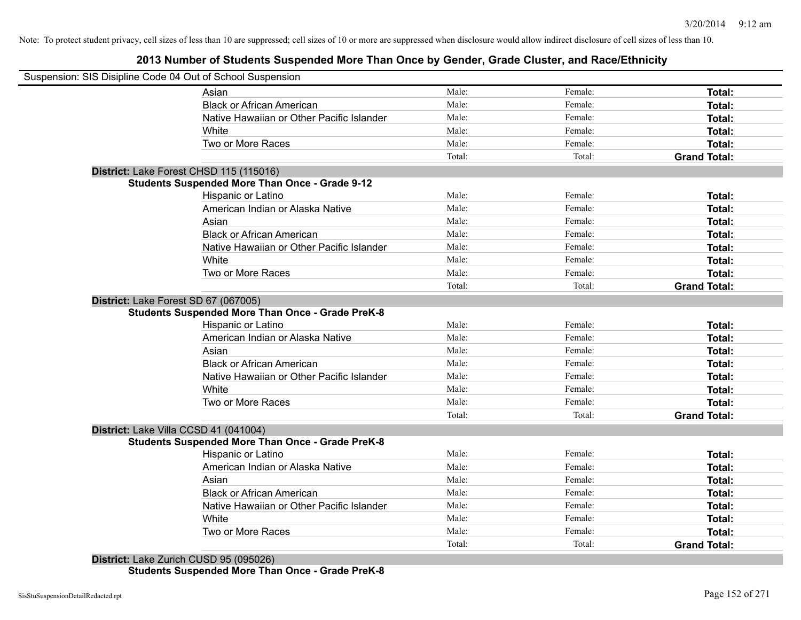## **2013 Number of Students Suspended More Than Once by Gender, Grade Cluster, and Race/Ethnicity**

| Suspension: SIS Disipline Code 04 Out of School Suspension |        |         |                     |
|------------------------------------------------------------|--------|---------|---------------------|
| Asian                                                      | Male:  | Female: | <b>Total:</b>       |
| <b>Black or African American</b>                           | Male:  | Female: | Total:              |
| Native Hawaiian or Other Pacific Islander                  | Male:  | Female: | Total:              |
| White                                                      | Male:  | Female: | Total:              |
| Two or More Races                                          | Male:  | Female: | Total:              |
|                                                            | Total: | Total:  | <b>Grand Total:</b> |
| District: Lake Forest CHSD 115 (115016)                    |        |         |                     |
| <b>Students Suspended More Than Once - Grade 9-12</b>      |        |         |                     |
| Hispanic or Latino                                         | Male:  | Female: | Total:              |
| American Indian or Alaska Native                           | Male:  | Female: | Total:              |
| Asian                                                      | Male:  | Female: | Total:              |
| <b>Black or African American</b>                           | Male:  | Female: | Total:              |
| Native Hawaiian or Other Pacific Islander                  | Male:  | Female: | Total:              |
| White                                                      | Male:  | Female: | Total:              |
| Two or More Races                                          | Male:  | Female: | Total:              |
|                                                            | Total: | Total:  | <b>Grand Total:</b> |
| District: Lake Forest SD 67 (067005)                       |        |         |                     |
| <b>Students Suspended More Than Once - Grade PreK-8</b>    |        |         |                     |
| Hispanic or Latino                                         | Male:  | Female: | Total:              |
| American Indian or Alaska Native                           | Male:  | Female: | Total:              |
| Asian                                                      | Male:  | Female: | Total:              |
| <b>Black or African American</b>                           | Male:  | Female: | Total:              |
| Native Hawaiian or Other Pacific Islander                  | Male:  | Female: | Total:              |
| White                                                      | Male:  | Female: | Total:              |
| Two or More Races                                          | Male:  | Female: | <b>Total:</b>       |
|                                                            | Total: | Total:  | <b>Grand Total:</b> |
| District: Lake Villa CCSD 41 (041004)                      |        |         |                     |
| <b>Students Suspended More Than Once - Grade PreK-8</b>    |        |         |                     |
| Hispanic or Latino                                         | Male:  | Female: | Total:              |
| American Indian or Alaska Native                           | Male:  | Female: | Total:              |
| Asian                                                      | Male:  | Female: | Total:              |
| <b>Black or African American</b>                           | Male:  | Female: | Total:              |
| Native Hawaiian or Other Pacific Islander                  | Male:  | Female: | Total:              |
| White                                                      | Male:  | Female: | Total:              |
| Two or More Races                                          | Male:  | Female: | <b>Total:</b>       |
|                                                            | Total: | Total:  | <b>Grand Total:</b> |

**Students Suspended More Than Once - Grade PreK-8**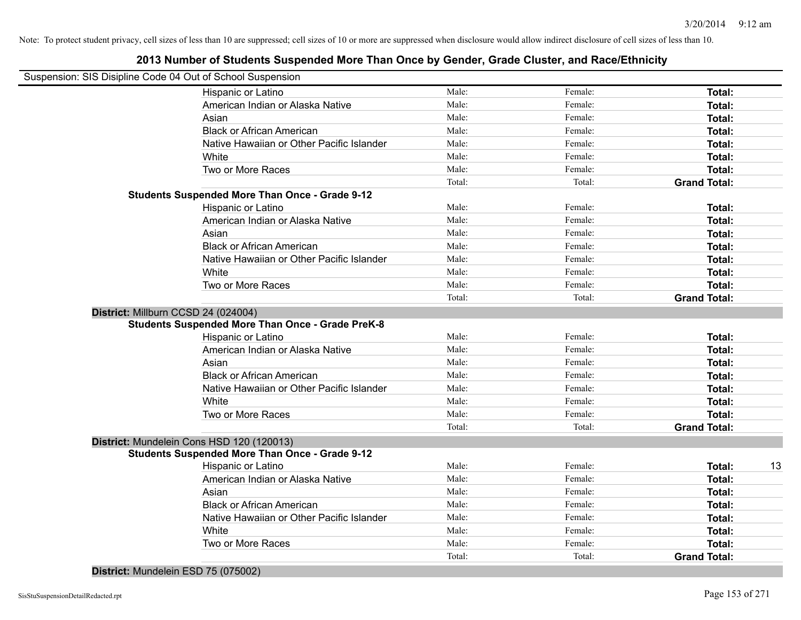## **2013 Number of Students Suspended More Than Once by Gender, Grade Cluster, and Race/Ethnicity**

| Suspension: SIS Disipline Code 04 Out of School Suspension |        |         |                     |    |
|------------------------------------------------------------|--------|---------|---------------------|----|
| Hispanic or Latino                                         | Male:  | Female: | Total:              |    |
| American Indian or Alaska Native                           | Male:  | Female: | Total:              |    |
| Asian                                                      | Male:  | Female: | Total:              |    |
| <b>Black or African American</b>                           | Male:  | Female: | Total:              |    |
| Native Hawaiian or Other Pacific Islander                  | Male:  | Female: | Total:              |    |
| White                                                      | Male:  | Female: | Total:              |    |
| Two or More Races                                          | Male:  | Female: | Total:              |    |
|                                                            | Total: | Total:  | <b>Grand Total:</b> |    |
| <b>Students Suspended More Than Once - Grade 9-12</b>      |        |         |                     |    |
| Hispanic or Latino                                         | Male:  | Female: | Total:              |    |
| American Indian or Alaska Native                           | Male:  | Female: | Total:              |    |
| Asian                                                      | Male:  | Female: | Total:              |    |
| <b>Black or African American</b>                           | Male:  | Female: | Total:              |    |
| Native Hawaiian or Other Pacific Islander                  | Male:  | Female: | Total:              |    |
| White                                                      | Male:  | Female: | Total:              |    |
| Two or More Races                                          | Male:  | Female: | Total:              |    |
|                                                            | Total: | Total:  | <b>Grand Total:</b> |    |
| District: Millburn CCSD 24 (024004)                        |        |         |                     |    |
| <b>Students Suspended More Than Once - Grade PreK-8</b>    |        |         |                     |    |
| Hispanic or Latino                                         | Male:  | Female: | Total:              |    |
| American Indian or Alaska Native                           | Male:  | Female: | Total:              |    |
| Asian                                                      | Male:  | Female: | Total:              |    |
| <b>Black or African American</b>                           | Male:  | Female: | Total:              |    |
| Native Hawaiian or Other Pacific Islander                  | Male:  | Female: | Total:              |    |
| White                                                      | Male:  | Female: | Total:              |    |
| Two or More Races                                          | Male:  | Female: | Total:              |    |
|                                                            | Total: | Total:  | <b>Grand Total:</b> |    |
| District: Mundelein Cons HSD 120 (120013)                  |        |         |                     |    |
| <b>Students Suspended More Than Once - Grade 9-12</b>      |        |         |                     |    |
| Hispanic or Latino                                         | Male:  | Female: | Total:              | 13 |
| American Indian or Alaska Native                           | Male:  | Female: | Total:              |    |
| Asian                                                      | Male:  | Female: | Total:              |    |
| <b>Black or African American</b>                           | Male:  | Female: | Total:              |    |
| Native Hawaiian or Other Pacific Islander                  | Male:  | Female: | Total:              |    |
| White                                                      | Male:  | Female: | Total:              |    |
| Two or More Races                                          | Male:  | Female: | <b>Total:</b>       |    |
|                                                            | Total: | Total:  | <b>Grand Total:</b> |    |
|                                                            |        |         |                     |    |

**District:** Mundelein ESD 75 (075002)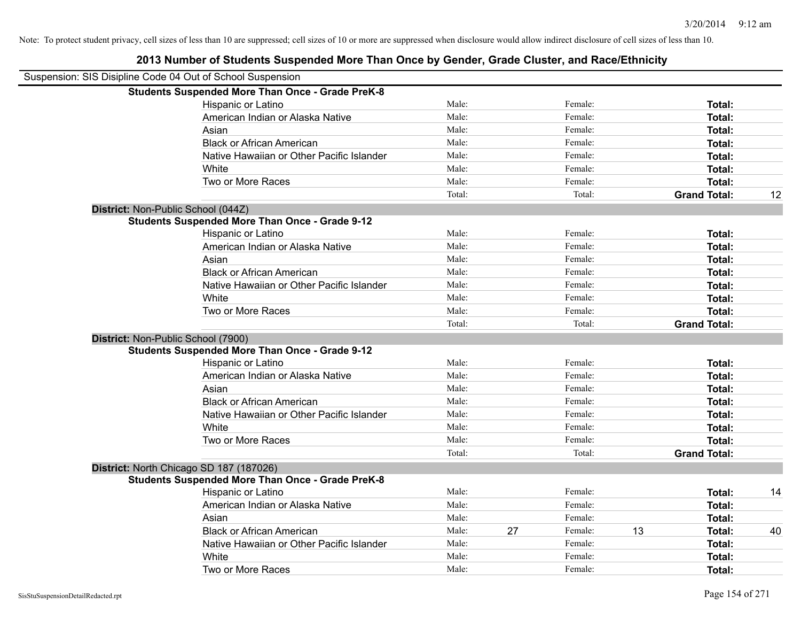|                                    | Suspension: SIS Disipline Code 04 Out of School Suspension |        |    |         |    |                     |    |
|------------------------------------|------------------------------------------------------------|--------|----|---------|----|---------------------|----|
|                                    | <b>Students Suspended More Than Once - Grade PreK-8</b>    |        |    |         |    |                     |    |
|                                    | Hispanic or Latino                                         | Male:  |    | Female: |    | Total:              |    |
|                                    | American Indian or Alaska Native                           | Male:  |    | Female: |    | Total:              |    |
|                                    | Asian                                                      | Male:  |    | Female: |    | Total:              |    |
|                                    | <b>Black or African American</b>                           | Male:  |    | Female: |    | Total:              |    |
|                                    | Native Hawaiian or Other Pacific Islander                  | Male:  |    | Female: |    | Total:              |    |
|                                    | White                                                      | Male:  |    | Female: |    | Total:              |    |
|                                    | Two or More Races                                          | Male:  |    | Female: |    | Total:              |    |
|                                    |                                                            | Total: |    | Total:  |    | <b>Grand Total:</b> | 12 |
| District: Non-Public School (044Z) |                                                            |        |    |         |    |                     |    |
|                                    | <b>Students Suspended More Than Once - Grade 9-12</b>      |        |    |         |    |                     |    |
|                                    | Hispanic or Latino                                         | Male:  |    | Female: |    | Total:              |    |
|                                    | American Indian or Alaska Native                           | Male:  |    | Female: |    | Total:              |    |
|                                    | Asian                                                      | Male:  |    | Female: |    | Total:              |    |
|                                    | <b>Black or African American</b>                           | Male:  |    | Female: |    | Total:              |    |
|                                    | Native Hawaiian or Other Pacific Islander                  | Male:  |    | Female: |    | Total:              |    |
|                                    | White                                                      | Male:  |    | Female: |    | Total:              |    |
|                                    | Two or More Races                                          | Male:  |    | Female: |    | Total:              |    |
|                                    |                                                            | Total: |    | Total:  |    | <b>Grand Total:</b> |    |
| District: Non-Public School (7900) |                                                            |        |    |         |    |                     |    |
|                                    | <b>Students Suspended More Than Once - Grade 9-12</b>      |        |    |         |    |                     |    |
|                                    | Hispanic or Latino                                         | Male:  |    | Female: |    | Total:              |    |
|                                    | American Indian or Alaska Native                           | Male:  |    | Female: |    | Total:              |    |
|                                    | Asian                                                      | Male:  |    | Female: |    | Total:              |    |
|                                    | <b>Black or African American</b>                           | Male:  |    | Female: |    | Total:              |    |
|                                    | Native Hawaiian or Other Pacific Islander                  | Male:  |    | Female: |    | Total:              |    |
|                                    | White                                                      | Male:  |    | Female: |    | Total:              |    |
|                                    | Two or More Races                                          | Male:  |    | Female: |    | Total:              |    |
|                                    |                                                            | Total: |    | Total:  |    | <b>Grand Total:</b> |    |
|                                    | District: North Chicago SD 187 (187026)                    |        |    |         |    |                     |    |
|                                    | <b>Students Suspended More Than Once - Grade PreK-8</b>    |        |    |         |    |                     |    |
|                                    | Hispanic or Latino                                         | Male:  |    | Female: |    | Total:              | 14 |
|                                    | American Indian or Alaska Native                           | Male:  |    | Female: |    | Total:              |    |
|                                    | Asian                                                      | Male:  |    | Female: |    | Total:              |    |
|                                    | <b>Black or African American</b>                           | Male:  | 27 | Female: | 13 | Total:              | 40 |
|                                    | Native Hawaiian or Other Pacific Islander                  | Male:  |    | Female: |    | Total:              |    |
|                                    | White                                                      | Male:  |    | Female: |    | <b>Total:</b>       |    |
|                                    | Two or More Races                                          | Male:  |    | Female: |    | Total:              |    |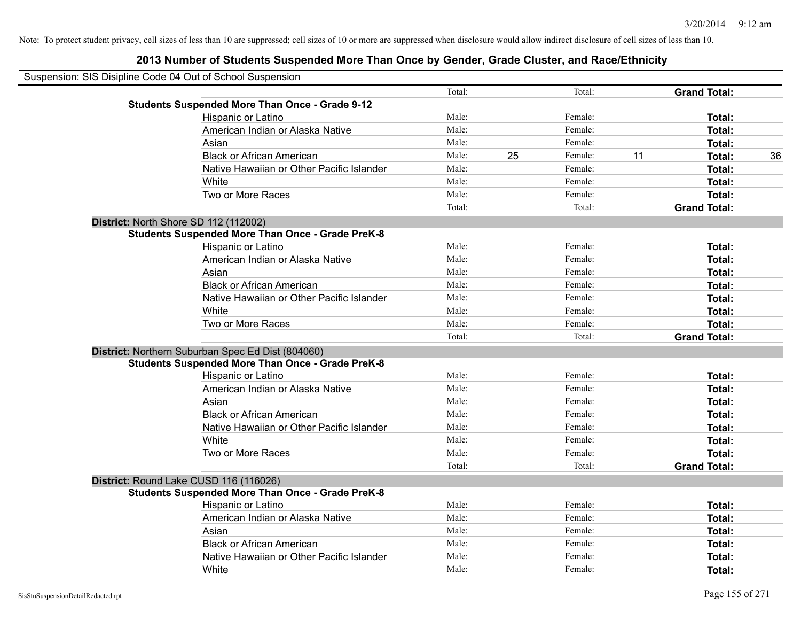| Suspension: SIS Disipline Code 04 Out of School Suspension |                                                         |        |    |         |    |                     |    |
|------------------------------------------------------------|---------------------------------------------------------|--------|----|---------|----|---------------------|----|
|                                                            |                                                         | Total: |    | Total:  |    | <b>Grand Total:</b> |    |
|                                                            | <b>Students Suspended More Than Once - Grade 9-12</b>   |        |    |         |    |                     |    |
|                                                            | Hispanic or Latino                                      | Male:  |    | Female: |    | Total:              |    |
|                                                            | American Indian or Alaska Native                        | Male:  |    | Female: |    | <b>Total:</b>       |    |
|                                                            | Asian                                                   | Male:  |    | Female: |    | <b>Total:</b>       |    |
|                                                            | <b>Black or African American</b>                        | Male:  | 25 | Female: | 11 | Total:              | 36 |
|                                                            | Native Hawaiian or Other Pacific Islander               | Male:  |    | Female: |    | Total:              |    |
|                                                            | White                                                   | Male:  |    | Female: |    | Total:              |    |
|                                                            | Two or More Races                                       | Male:  |    | Female: |    | Total:              |    |
|                                                            |                                                         | Total: |    | Total:  |    | <b>Grand Total:</b> |    |
|                                                            | District: North Shore SD 112 (112002)                   |        |    |         |    |                     |    |
|                                                            | <b>Students Suspended More Than Once - Grade PreK-8</b> |        |    |         |    |                     |    |
|                                                            | Hispanic or Latino                                      | Male:  |    | Female: |    | Total:              |    |
|                                                            | American Indian or Alaska Native                        | Male:  |    | Female: |    | <b>Total:</b>       |    |
|                                                            | Asian                                                   | Male:  |    | Female: |    | <b>Total:</b>       |    |
|                                                            | <b>Black or African American</b>                        | Male:  |    | Female: |    | <b>Total:</b>       |    |
|                                                            | Native Hawaiian or Other Pacific Islander               | Male:  |    | Female: |    | Total:              |    |
|                                                            | White                                                   | Male:  |    | Female: |    | Total:              |    |
|                                                            | Two or More Races                                       | Male:  |    | Female: |    | Total:              |    |
|                                                            |                                                         | Total: |    | Total:  |    | <b>Grand Total:</b> |    |
|                                                            | District: Northern Suburban Spec Ed Dist (804060)       |        |    |         |    |                     |    |
|                                                            | <b>Students Suspended More Than Once - Grade PreK-8</b> |        |    |         |    |                     |    |
|                                                            | Hispanic or Latino                                      | Male:  |    | Female: |    | <b>Total:</b>       |    |
|                                                            | American Indian or Alaska Native                        | Male:  |    | Female: |    | Total:              |    |
|                                                            | Asian                                                   | Male:  |    | Female: |    | <b>Total:</b>       |    |
|                                                            | <b>Black or African American</b>                        | Male:  |    | Female: |    | <b>Total:</b>       |    |
|                                                            | Native Hawaiian or Other Pacific Islander               | Male:  |    | Female: |    | <b>Total:</b>       |    |
|                                                            | White                                                   | Male:  |    | Female: |    | Total:              |    |
|                                                            | Two or More Races                                       | Male:  |    | Female: |    | Total:              |    |
|                                                            |                                                         | Total: |    | Total:  |    | <b>Grand Total:</b> |    |
|                                                            | District: Round Lake CUSD 116 (116026)                  |        |    |         |    |                     |    |
|                                                            | <b>Students Suspended More Than Once - Grade PreK-8</b> |        |    |         |    |                     |    |
|                                                            | Hispanic or Latino                                      | Male:  |    | Female: |    | Total:              |    |
|                                                            | American Indian or Alaska Native                        | Male:  |    | Female: |    | <b>Total:</b>       |    |
|                                                            | Asian                                                   | Male:  |    | Female: |    | <b>Total:</b>       |    |
|                                                            | <b>Black or African American</b>                        | Male:  |    | Female: |    | <b>Total:</b>       |    |
|                                                            | Native Hawaiian or Other Pacific Islander               | Male:  |    | Female: |    | <b>Total:</b>       |    |
|                                                            | White                                                   | Male:  |    | Female: |    | <b>Total:</b>       |    |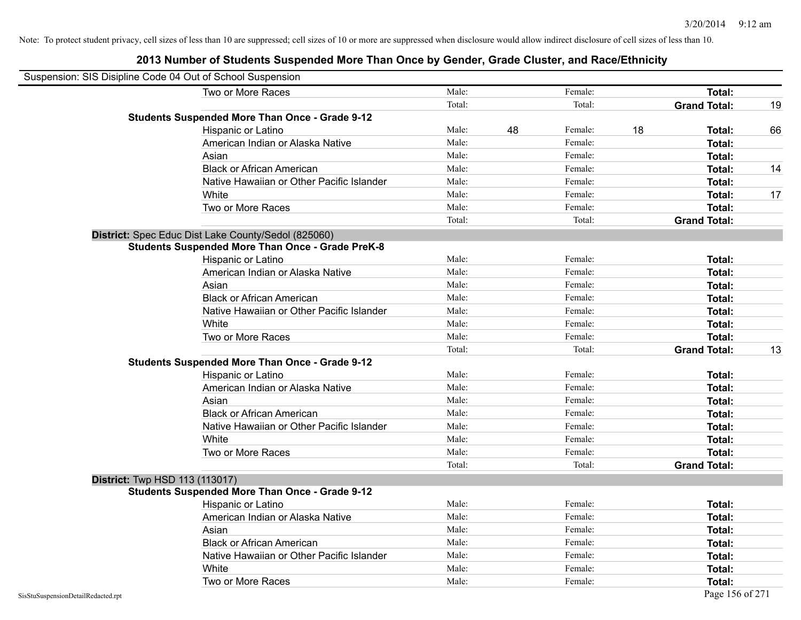| Suspension: SIS Disipline Code 04 Out of School Suspension |                                                         |        |    |         |    |                     |    |
|------------------------------------------------------------|---------------------------------------------------------|--------|----|---------|----|---------------------|----|
|                                                            | Two or More Races                                       | Male:  |    | Female: |    | <b>Total:</b>       |    |
|                                                            |                                                         | Total: |    | Total:  |    | <b>Grand Total:</b> | 19 |
|                                                            | <b>Students Suspended More Than Once - Grade 9-12</b>   |        |    |         |    |                     |    |
|                                                            | Hispanic or Latino                                      | Male:  | 48 | Female: | 18 | Total:              | 66 |
|                                                            | American Indian or Alaska Native                        | Male:  |    | Female: |    | <b>Total:</b>       |    |
|                                                            | Asian                                                   | Male:  |    | Female: |    | Total:              |    |
|                                                            | <b>Black or African American</b>                        | Male:  |    | Female: |    | Total:              | 14 |
|                                                            | Native Hawaiian or Other Pacific Islander               | Male:  |    | Female: |    | <b>Total:</b>       |    |
|                                                            | White                                                   | Male:  |    | Female: |    | Total:              | 17 |
|                                                            | Two or More Races                                       | Male:  |    | Female: |    | Total:              |    |
|                                                            |                                                         | Total: |    | Total:  |    | <b>Grand Total:</b> |    |
|                                                            | District: Spec Educ Dist Lake County/Sedol (825060)     |        |    |         |    |                     |    |
|                                                            | <b>Students Suspended More Than Once - Grade PreK-8</b> |        |    |         |    |                     |    |
|                                                            | Hispanic or Latino                                      | Male:  |    | Female: |    | Total:              |    |
|                                                            | American Indian or Alaska Native                        | Male:  |    | Female: |    | <b>Total:</b>       |    |
|                                                            | Asian                                                   | Male:  |    | Female: |    | Total:              |    |
|                                                            | <b>Black or African American</b>                        | Male:  |    | Female: |    | Total:              |    |
|                                                            | Native Hawaiian or Other Pacific Islander               | Male:  |    | Female: |    | Total:              |    |
|                                                            | White                                                   | Male:  |    | Female: |    | Total:              |    |
|                                                            | Two or More Races                                       | Male:  |    | Female: |    | <b>Total:</b>       |    |
|                                                            |                                                         | Total: |    | Total:  |    | <b>Grand Total:</b> | 13 |
|                                                            | <b>Students Suspended More Than Once - Grade 9-12</b>   |        |    |         |    |                     |    |
|                                                            | Hispanic or Latino                                      | Male:  |    | Female: |    | <b>Total:</b>       |    |
|                                                            | American Indian or Alaska Native                        | Male:  |    | Female: |    | <b>Total:</b>       |    |
|                                                            | Asian                                                   | Male:  |    | Female: |    | Total:              |    |
|                                                            | <b>Black or African American</b>                        | Male:  |    | Female: |    | Total:              |    |
|                                                            | Native Hawaiian or Other Pacific Islander               | Male:  |    | Female: |    | Total:              |    |
|                                                            | White                                                   | Male:  |    | Female: |    | Total:              |    |
|                                                            | Two or More Races                                       | Male:  |    | Female: |    | <b>Total:</b>       |    |
|                                                            |                                                         | Total: |    | Total:  |    | <b>Grand Total:</b> |    |
| District: Twp HSD 113 (113017)                             |                                                         |        |    |         |    |                     |    |
|                                                            | <b>Students Suspended More Than Once - Grade 9-12</b>   |        |    |         |    |                     |    |
|                                                            | Hispanic or Latino                                      | Male:  |    | Female: |    | Total:              |    |
|                                                            | American Indian or Alaska Native                        | Male:  |    | Female: |    | Total:              |    |
|                                                            | Asian                                                   | Male:  |    | Female: |    | Total:              |    |
|                                                            | <b>Black or African American</b>                        | Male:  |    | Female: |    | Total:              |    |
|                                                            | Native Hawaiian or Other Pacific Islander               | Male:  |    | Female: |    | <b>Total:</b>       |    |
|                                                            | White                                                   | Male:  |    | Female: |    | Total:              |    |
|                                                            | Two or More Races                                       | Male:  |    | Female: |    | <b>Total:</b>       |    |
| SisStuSuspensionDetailRedacted.rpt                         |                                                         |        |    |         |    | Page 156 of 271     |    |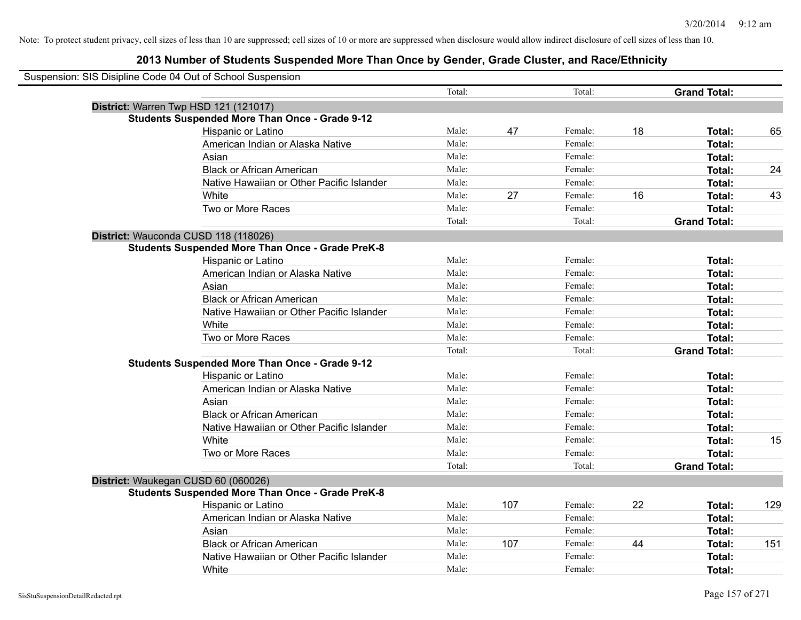| Suspension: SIS Disipline Code 04 Out of School Suspension |                                           |        |     |         |    |                     |     |
|------------------------------------------------------------|-------------------------------------------|--------|-----|---------|----|---------------------|-----|
|                                                            |                                           | Total: |     | Total:  |    | <b>Grand Total:</b> |     |
| District: Warren Twp HSD 121 (121017)                      |                                           |        |     |         |    |                     |     |
| <b>Students Suspended More Than Once - Grade 9-12</b>      |                                           |        |     |         |    |                     |     |
| Hispanic or Latino                                         |                                           | Male:  | 47  | Female: | 18 | Total:              | 65  |
|                                                            | American Indian or Alaska Native          | Male:  |     | Female: |    | Total:              |     |
| Asian                                                      |                                           | Male:  |     | Female: |    | Total:              |     |
| <b>Black or African American</b>                           |                                           | Male:  |     | Female: |    | Total:              | 24  |
|                                                            | Native Hawaiian or Other Pacific Islander | Male:  |     | Female: |    | Total:              |     |
| White                                                      |                                           | Male:  | 27  | Female: | 16 | Total:              | 43  |
| Two or More Races                                          |                                           | Male:  |     | Female: |    | Total:              |     |
|                                                            |                                           | Total: |     | Total:  |    | <b>Grand Total:</b> |     |
| District: Wauconda CUSD 118 (118026)                       |                                           |        |     |         |    |                     |     |
| <b>Students Suspended More Than Once - Grade PreK-8</b>    |                                           |        |     |         |    |                     |     |
| Hispanic or Latino                                         |                                           | Male:  |     | Female: |    | Total:              |     |
|                                                            | American Indian or Alaska Native          | Male:  |     | Female: |    | Total:              |     |
| Asian                                                      |                                           | Male:  |     | Female: |    | Total:              |     |
|                                                            | <b>Black or African American</b>          | Male:  |     | Female: |    | Total:              |     |
|                                                            | Native Hawaiian or Other Pacific Islander | Male:  |     | Female: |    | Total:              |     |
| White                                                      |                                           | Male:  |     | Female: |    | Total:              |     |
| Two or More Races                                          |                                           | Male:  |     | Female: |    | Total:              |     |
|                                                            |                                           | Total: |     | Total:  |    | <b>Grand Total:</b> |     |
| <b>Students Suspended More Than Once - Grade 9-12</b>      |                                           |        |     |         |    |                     |     |
| Hispanic or Latino                                         |                                           | Male:  |     | Female: |    | Total:              |     |
|                                                            | American Indian or Alaska Native          | Male:  |     | Female: |    | Total:              |     |
| Asian                                                      |                                           | Male:  |     | Female: |    | Total:              |     |
| <b>Black or African American</b>                           |                                           | Male:  |     | Female: |    | Total:              |     |
|                                                            | Native Hawaiian or Other Pacific Islander | Male:  |     | Female: |    | <b>Total:</b>       |     |
| White                                                      |                                           | Male:  |     | Female: |    | Total:              | 15  |
| Two or More Races                                          |                                           | Male:  |     | Female: |    | Total:              |     |
|                                                            |                                           | Total: |     | Total:  |    | <b>Grand Total:</b> |     |
| District: Waukegan CUSD 60 (060026)                        |                                           |        |     |         |    |                     |     |
| <b>Students Suspended More Than Once - Grade PreK-8</b>    |                                           |        |     |         |    |                     |     |
| Hispanic or Latino                                         |                                           | Male:  | 107 | Female: | 22 | Total:              | 129 |
|                                                            | American Indian or Alaska Native          | Male:  |     | Female: |    | Total:              |     |
| Asian                                                      |                                           | Male:  |     | Female: |    | Total:              |     |
|                                                            | <b>Black or African American</b>          | Male:  | 107 | Female: | 44 | Total:              | 151 |
|                                                            | Native Hawaiian or Other Pacific Islander | Male:  |     | Female: |    | <b>Total:</b>       |     |
| White                                                      |                                           | Male:  |     | Female: |    | Total:              |     |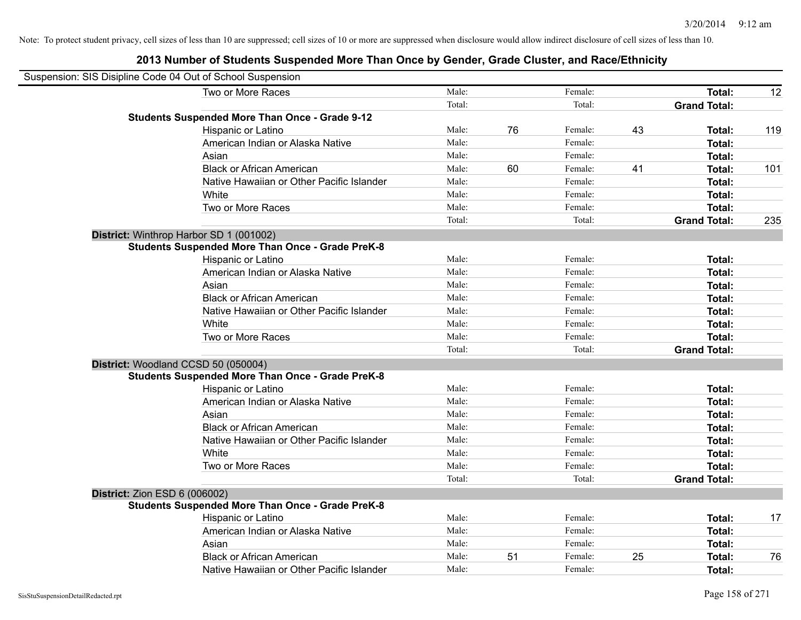|                                      | Suspension: SIS Disipline Code 04 Out of School Suspension |        |    |         |    |                     |     |
|--------------------------------------|------------------------------------------------------------|--------|----|---------|----|---------------------|-----|
|                                      | Two or More Races                                          | Male:  |    | Female: |    | Total:              | 12  |
|                                      |                                                            | Total: |    | Total:  |    | <b>Grand Total:</b> |     |
|                                      | <b>Students Suspended More Than Once - Grade 9-12</b>      |        |    |         |    |                     |     |
|                                      | Hispanic or Latino                                         | Male:  | 76 | Female: | 43 | Total:              | 119 |
|                                      | American Indian or Alaska Native                           | Male:  |    | Female: |    | Total:              |     |
|                                      | Asian                                                      | Male:  |    | Female: |    | Total:              |     |
|                                      | <b>Black or African American</b>                           | Male:  | 60 | Female: | 41 | Total:              | 101 |
|                                      | Native Hawaiian or Other Pacific Islander                  | Male:  |    | Female: |    | Total:              |     |
|                                      | White                                                      | Male:  |    | Female: |    | Total:              |     |
|                                      | Two or More Races                                          | Male:  |    | Female: |    | Total:              |     |
|                                      |                                                            | Total: |    | Total:  |    | <b>Grand Total:</b> | 235 |
|                                      | District: Winthrop Harbor SD 1 (001002)                    |        |    |         |    |                     |     |
|                                      | <b>Students Suspended More Than Once - Grade PreK-8</b>    |        |    |         |    |                     |     |
|                                      | Hispanic or Latino                                         | Male:  |    | Female: |    | Total:              |     |
|                                      | American Indian or Alaska Native                           | Male:  |    | Female: |    | Total:              |     |
|                                      | Asian                                                      | Male:  |    | Female: |    | Total:              |     |
|                                      | <b>Black or African American</b>                           | Male:  |    | Female: |    | Total:              |     |
|                                      | Native Hawaiian or Other Pacific Islander                  | Male:  |    | Female: |    | Total:              |     |
|                                      | White                                                      | Male:  |    | Female: |    | Total:              |     |
|                                      | Two or More Races                                          | Male:  |    | Female: |    | Total:              |     |
|                                      |                                                            | Total: |    | Total:  |    | <b>Grand Total:</b> |     |
|                                      | District: Woodland CCSD 50 (050004)                        |        |    |         |    |                     |     |
|                                      | <b>Students Suspended More Than Once - Grade PreK-8</b>    |        |    |         |    |                     |     |
|                                      | Hispanic or Latino                                         | Male:  |    | Female: |    | Total:              |     |
|                                      | American Indian or Alaska Native                           | Male:  |    | Female: |    | Total:              |     |
|                                      | Asian                                                      | Male:  |    | Female: |    | Total:              |     |
|                                      | <b>Black or African American</b>                           | Male:  |    | Female: |    | Total:              |     |
|                                      | Native Hawaiian or Other Pacific Islander                  | Male:  |    | Female: |    | Total:              |     |
|                                      | White                                                      | Male:  |    | Female: |    | Total:              |     |
|                                      | Two or More Races                                          | Male:  |    | Female: |    | Total:              |     |
|                                      |                                                            | Total: |    | Total:  |    | <b>Grand Total:</b> |     |
| <b>District: Zion ESD 6 (006002)</b> |                                                            |        |    |         |    |                     |     |
|                                      | <b>Students Suspended More Than Once - Grade PreK-8</b>    |        |    |         |    |                     |     |
|                                      | Hispanic or Latino                                         | Male:  |    | Female: |    | Total:              | 17  |
|                                      | American Indian or Alaska Native                           | Male:  |    | Female: |    | Total:              |     |
|                                      | Asian                                                      | Male:  |    | Female: |    | Total:              |     |
|                                      | <b>Black or African American</b>                           | Male:  | 51 | Female: | 25 | Total:              | 76  |
|                                      | Native Hawaiian or Other Pacific Islander                  | Male:  |    | Female: |    | Total:              |     |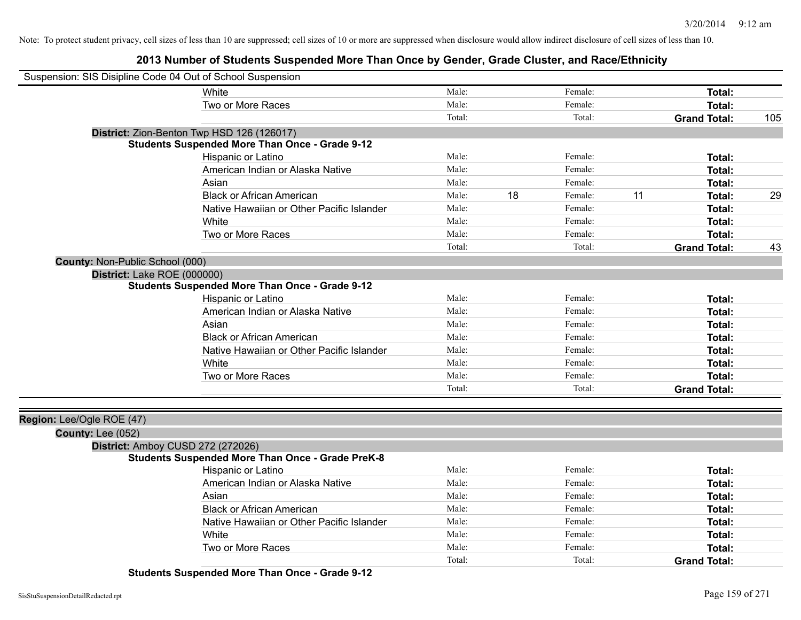# **2013 Number of Students Suspended More Than Once by Gender, Grade Cluster, and Race/Ethnicity**

| Suspension: SIS Disipline Code 04 Out of School Suspension |                                                         |        |    |         |    |                     |     |
|------------------------------------------------------------|---------------------------------------------------------|--------|----|---------|----|---------------------|-----|
|                                                            | White                                                   | Male:  |    | Female: |    | Total:              |     |
|                                                            | Two or More Races                                       | Male:  |    | Female: |    | <b>Total:</b>       |     |
|                                                            |                                                         | Total: |    | Total:  |    | <b>Grand Total:</b> | 105 |
|                                                            | District: Zion-Benton Twp HSD 126 (126017)              |        |    |         |    |                     |     |
|                                                            | <b>Students Suspended More Than Once - Grade 9-12</b>   |        |    |         |    |                     |     |
|                                                            | Hispanic or Latino                                      | Male:  |    | Female: |    | <b>Total:</b>       |     |
|                                                            | American Indian or Alaska Native                        | Male:  |    | Female: |    | <b>Total:</b>       |     |
|                                                            | Asian                                                   | Male:  |    | Female: |    | <b>Total:</b>       |     |
|                                                            | <b>Black or African American</b>                        | Male:  | 18 | Female: | 11 | <b>Total:</b>       | 29  |
|                                                            | Native Hawaiian or Other Pacific Islander               | Male:  |    | Female: |    | <b>Total:</b>       |     |
|                                                            | White                                                   | Male:  |    | Female: |    | <b>Total:</b>       |     |
|                                                            | Two or More Races                                       | Male:  |    | Female: |    | <b>Total:</b>       |     |
|                                                            |                                                         | Total: |    | Total:  |    | <b>Grand Total:</b> | 43  |
| County: Non-Public School (000)                            |                                                         |        |    |         |    |                     |     |
| District: Lake ROE (000000)                                |                                                         |        |    |         |    |                     |     |
|                                                            | <b>Students Suspended More Than Once - Grade 9-12</b>   |        |    |         |    |                     |     |
|                                                            | Hispanic or Latino                                      | Male:  |    | Female: |    | Total:              |     |
|                                                            | American Indian or Alaska Native                        | Male:  |    | Female: |    | Total:              |     |
|                                                            | Asian                                                   | Male:  |    | Female: |    | Total:              |     |
|                                                            | <b>Black or African American</b>                        | Male:  |    | Female: |    | Total:              |     |
|                                                            | Native Hawaiian or Other Pacific Islander               | Male:  |    | Female: |    | <b>Total:</b>       |     |
|                                                            | White                                                   | Male:  |    | Female: |    | <b>Total:</b>       |     |
|                                                            | Two or More Races                                       | Male:  |    | Female: |    | <b>Total:</b>       |     |
|                                                            |                                                         | Total: |    | Total:  |    | <b>Grand Total:</b> |     |
|                                                            |                                                         |        |    |         |    |                     |     |
| Region: Lee/Ogle ROE (47)                                  |                                                         |        |    |         |    |                     |     |
| County: Lee (052)                                          |                                                         |        |    |         |    |                     |     |
| District: Amboy CUSD 272 (272026)                          |                                                         |        |    |         |    |                     |     |
|                                                            | <b>Students Suspended More Than Once - Grade PreK-8</b> |        |    |         |    |                     |     |
|                                                            | Hispanic or Latino                                      | Male:  |    | Female: |    | <b>Total:</b>       |     |
|                                                            | American Indian or Alaska Native                        | Male:  |    | Female: |    | <b>Total:</b>       |     |
|                                                            | Asian                                                   | Male:  |    | Female: |    | <b>Total:</b>       |     |
|                                                            | <b>Black or African American</b>                        | Male:  |    | Female: |    | Total:              |     |
|                                                            | Native Hawaiian or Other Pacific Islander               | Male:  |    | Female: |    | <b>Total:</b>       |     |
|                                                            | White                                                   | Male:  |    | Female: |    | Total:              |     |
|                                                            | Two or More Races                                       | Male:  |    | Female: |    | <b>Total:</b>       |     |
|                                                            |                                                         | Total: |    | Total:  |    | <b>Grand Total:</b> |     |

**Students Suspended More Than Once - Grade 9-12**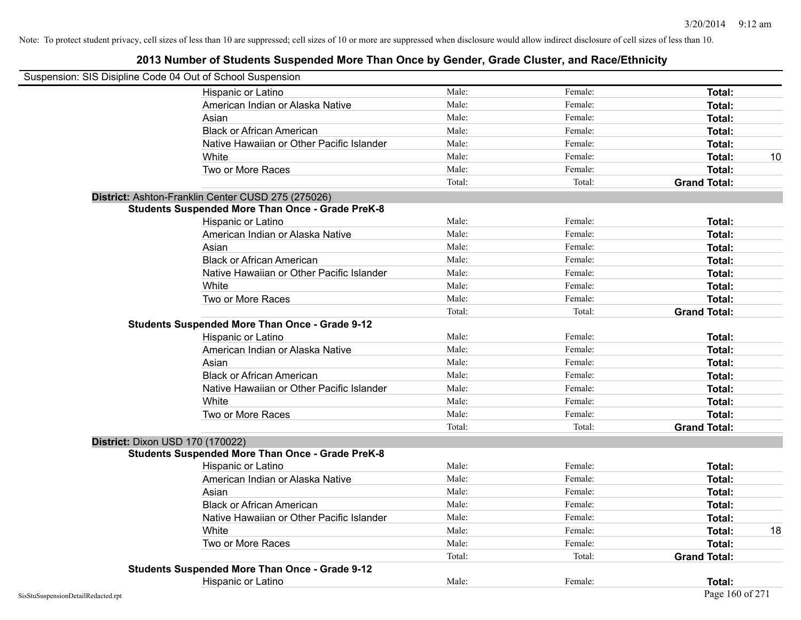| Suspension: SIS Disipline Code 04 Out of School Suspension |        |         |                     |    |
|------------------------------------------------------------|--------|---------|---------------------|----|
| Hispanic or Latino                                         | Male:  | Female: | Total:              |    |
| American Indian or Alaska Native                           | Male:  | Female: | Total:              |    |
| Asian                                                      | Male:  | Female: | Total:              |    |
| <b>Black or African American</b>                           | Male:  | Female: | Total:              |    |
| Native Hawaiian or Other Pacific Islander                  | Male:  | Female: | Total:              |    |
| White                                                      | Male:  | Female: | Total:              | 10 |
| Two or More Races                                          | Male:  | Female: | Total:              |    |
|                                                            | Total: | Total:  | <b>Grand Total:</b> |    |
| District: Ashton-Franklin Center CUSD 275 (275026)         |        |         |                     |    |
| <b>Students Suspended More Than Once - Grade PreK-8</b>    |        |         |                     |    |
| Hispanic or Latino                                         | Male:  | Female: | Total:              |    |
| American Indian or Alaska Native                           | Male:  | Female: | Total:              |    |
| Asian                                                      | Male:  | Female: | Total:              |    |
| <b>Black or African American</b>                           | Male:  | Female: | Total:              |    |
| Native Hawaiian or Other Pacific Islander                  | Male:  | Female: | Total:              |    |
| White                                                      | Male:  | Female: | Total:              |    |
| Two or More Races                                          | Male:  | Female: | Total:              |    |
|                                                            | Total: | Total:  | <b>Grand Total:</b> |    |
| <b>Students Suspended More Than Once - Grade 9-12</b>      |        |         |                     |    |
| Hispanic or Latino                                         | Male:  | Female: | Total:              |    |
| American Indian or Alaska Native                           | Male:  | Female: | Total:              |    |
| Asian                                                      | Male:  | Female: | Total:              |    |
| <b>Black or African American</b>                           | Male:  | Female: | Total:              |    |
| Native Hawaiian or Other Pacific Islander                  | Male:  | Female: | Total:              |    |
| White                                                      | Male:  | Female: | Total:              |    |
| Two or More Races                                          | Male:  | Female: | Total:              |    |
|                                                            | Total: | Total:  | <b>Grand Total:</b> |    |
| District: Dixon USD 170 (170022)                           |        |         |                     |    |
| <b>Students Suspended More Than Once - Grade PreK-8</b>    |        |         |                     |    |
| Hispanic or Latino                                         | Male:  | Female: | <b>Total:</b>       |    |
| American Indian or Alaska Native                           | Male:  | Female: | Total:              |    |
| Asian                                                      | Male:  | Female: | Total:              |    |
| <b>Black or African American</b>                           | Male:  | Female: | Total:              |    |
| Native Hawaiian or Other Pacific Islander                  | Male:  | Female: | Total:              |    |
| White                                                      | Male:  | Female: | Total:              | 18 |
| Two or More Races                                          | Male:  | Female: | Total:              |    |
|                                                            | Total: | Total:  | <b>Grand Total:</b> |    |
| <b>Students Suspended More Than Once - Grade 9-12</b>      |        |         |                     |    |
| Hispanic or Latino                                         | Male:  | Female: | Total:              |    |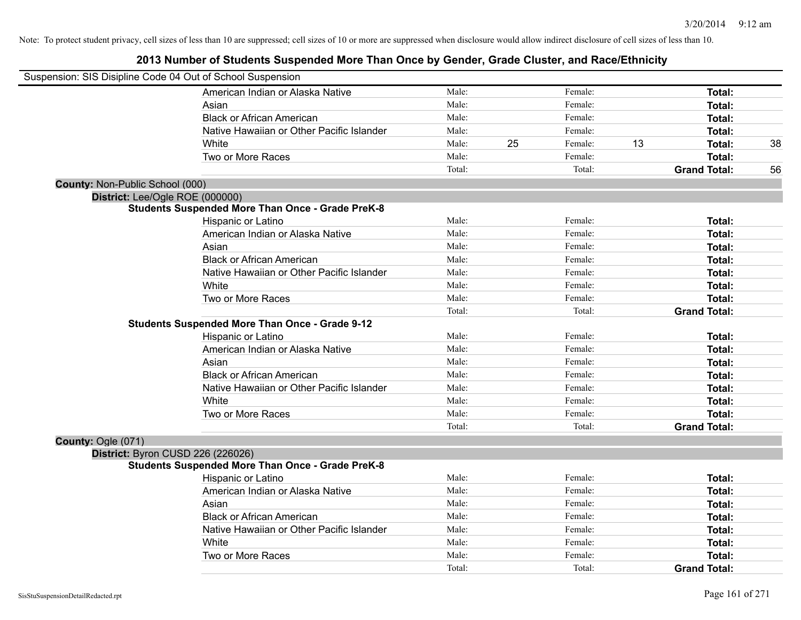|                                 | Suspension: SIS Disipline Code 04 Out of School Suspension |        |    |         |    |                     |    |
|---------------------------------|------------------------------------------------------------|--------|----|---------|----|---------------------|----|
|                                 | American Indian or Alaska Native                           | Male:  |    | Female: |    | Total:              |    |
|                                 | Asian                                                      | Male:  |    | Female: |    | Total:              |    |
|                                 | <b>Black or African American</b>                           | Male:  |    | Female: |    | Total:              |    |
|                                 | Native Hawaiian or Other Pacific Islander                  | Male:  |    | Female: |    | Total:              |    |
|                                 | White                                                      | Male:  | 25 | Female: | 13 | Total:              | 38 |
|                                 | Two or More Races                                          | Male:  |    | Female: |    | <b>Total:</b>       |    |
|                                 |                                                            | Total: |    | Total:  |    | <b>Grand Total:</b> | 56 |
| County: Non-Public School (000) |                                                            |        |    |         |    |                     |    |
| District: Lee/Ogle ROE (000000) |                                                            |        |    |         |    |                     |    |
|                                 | <b>Students Suspended More Than Once - Grade PreK-8</b>    |        |    |         |    |                     |    |
|                                 | Hispanic or Latino                                         | Male:  |    | Female: |    | Total:              |    |
|                                 | American Indian or Alaska Native                           | Male:  |    | Female: |    | Total:              |    |
|                                 | Asian                                                      | Male:  |    | Female: |    | Total:              |    |
|                                 | <b>Black or African American</b>                           | Male:  |    | Female: |    | Total:              |    |
|                                 | Native Hawaiian or Other Pacific Islander                  | Male:  |    | Female: |    | <b>Total:</b>       |    |
|                                 | White                                                      | Male:  |    | Female: |    | Total:              |    |
|                                 | Two or More Races                                          | Male:  |    | Female: |    | <b>Total:</b>       |    |
|                                 |                                                            | Total: |    | Total:  |    | <b>Grand Total:</b> |    |
|                                 | <b>Students Suspended More Than Once - Grade 9-12</b>      |        |    |         |    |                     |    |
|                                 | Hispanic or Latino                                         | Male:  |    | Female: |    | Total:              |    |
|                                 | American Indian or Alaska Native                           | Male:  |    | Female: |    | Total:              |    |
|                                 | Asian                                                      | Male:  |    | Female: |    | Total:              |    |
|                                 | <b>Black or African American</b>                           | Male:  |    | Female: |    | Total:              |    |
|                                 | Native Hawaiian or Other Pacific Islander                  | Male:  |    | Female: |    | <b>Total:</b>       |    |
|                                 | White                                                      | Male:  |    | Female: |    | Total:              |    |
|                                 | Two or More Races                                          | Male:  |    | Female: |    | <b>Total:</b>       |    |
|                                 |                                                            | Total: |    | Total:  |    | <b>Grand Total:</b> |    |
| County: Ogle (071)              |                                                            |        |    |         |    |                     |    |
|                                 | District: Byron CUSD 226 (226026)                          |        |    |         |    |                     |    |
|                                 | <b>Students Suspended More Than Once - Grade PreK-8</b>    |        |    |         |    |                     |    |
|                                 | Hispanic or Latino                                         | Male:  |    | Female: |    | Total:              |    |
|                                 | American Indian or Alaska Native                           | Male:  |    | Female: |    | Total:              |    |
|                                 | Asian                                                      | Male:  |    | Female: |    | Total:              |    |
|                                 | <b>Black or African American</b>                           | Male:  |    | Female: |    | Total:              |    |
|                                 | Native Hawaiian or Other Pacific Islander                  | Male:  |    | Female: |    | Total:              |    |
|                                 | White                                                      | Male:  |    | Female: |    | Total:              |    |
|                                 | Two or More Races                                          | Male:  |    | Female: |    | <b>Total:</b>       |    |
|                                 |                                                            | Total: |    | Total:  |    | <b>Grand Total:</b> |    |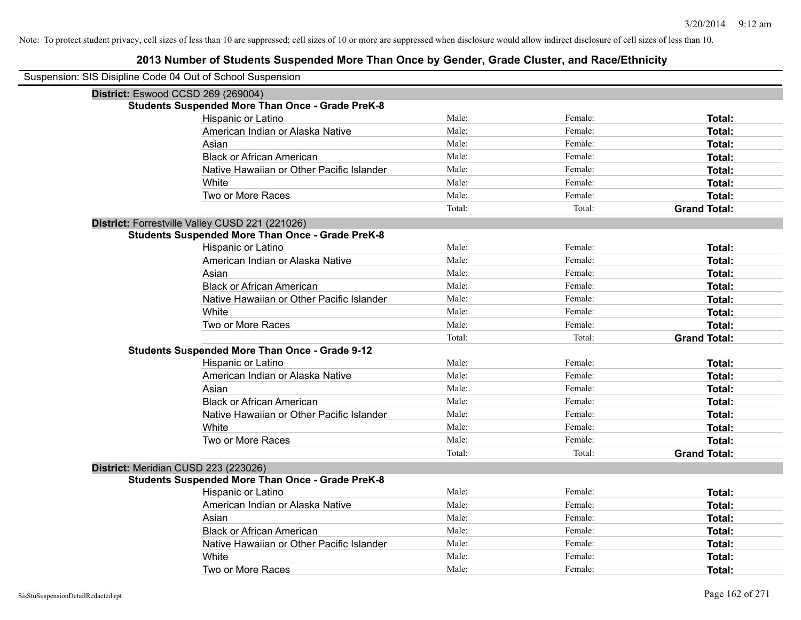| Suspension: SIS Disipline Code 04 Out of School Suspension |                                                         |        |         |                     |
|------------------------------------------------------------|---------------------------------------------------------|--------|---------|---------------------|
| District: Eswood CCSD 269 (269004)                         |                                                         |        |         |                     |
|                                                            | <b>Students Suspended More Than Once - Grade PreK-8</b> |        |         |                     |
|                                                            | Hispanic or Latino                                      | Male:  | Female: | Total:              |
|                                                            | American Indian or Alaska Native                        | Male:  | Female: | <b>Total:</b>       |
|                                                            | Asian                                                   | Male:  | Female: | <b>Total:</b>       |
|                                                            | <b>Black or African American</b>                        | Male:  | Female: | <b>Total:</b>       |
|                                                            | Native Hawaiian or Other Pacific Islander               | Male:  | Female: | <b>Total:</b>       |
|                                                            | White                                                   | Male:  | Female: | Total:              |
|                                                            | Two or More Races                                       | Male:  | Female: | Total:              |
|                                                            |                                                         | Total: | Total:  | <b>Grand Total:</b> |
|                                                            | District: Forrestville Valley CUSD 221 (221026)         |        |         |                     |
|                                                            | <b>Students Suspended More Than Once - Grade PreK-8</b> |        |         |                     |
|                                                            | Hispanic or Latino                                      | Male:  | Female: | Total:              |
|                                                            | American Indian or Alaska Native                        | Male:  | Female: | Total:              |
|                                                            | Asian                                                   | Male:  | Female: | <b>Total:</b>       |
|                                                            | <b>Black or African American</b>                        | Male:  | Female: | Total:              |
|                                                            | Native Hawaiian or Other Pacific Islander               | Male:  | Female: | <b>Total:</b>       |
|                                                            | White                                                   | Male:  | Female: | Total:              |
|                                                            | Two or More Races                                       | Male:  | Female: | <b>Total:</b>       |
|                                                            |                                                         | Total: | Total:  | <b>Grand Total:</b> |
|                                                            | <b>Students Suspended More Than Once - Grade 9-12</b>   |        |         |                     |
|                                                            | Hispanic or Latino                                      | Male:  | Female: | Total:              |
|                                                            | American Indian or Alaska Native                        | Male:  | Female: | Total:              |
|                                                            | Asian                                                   | Male:  | Female: | <b>Total:</b>       |
|                                                            | <b>Black or African American</b>                        | Male:  | Female: | Total:              |
|                                                            | Native Hawaiian or Other Pacific Islander               | Male:  | Female: | <b>Total:</b>       |
|                                                            | White                                                   | Male:  | Female: | <b>Total:</b>       |
|                                                            | Two or More Races                                       | Male:  | Female: | <b>Total:</b>       |
|                                                            |                                                         | Total: | Total:  | <b>Grand Total:</b> |
| District: Meridian CUSD 223 (223026)                       |                                                         |        |         |                     |
|                                                            | <b>Students Suspended More Than Once - Grade PreK-8</b> |        |         |                     |
|                                                            | Hispanic or Latino                                      | Male:  | Female: | Total:              |
|                                                            | American Indian or Alaska Native                        | Male:  | Female: | Total:              |
|                                                            | Asian                                                   | Male:  | Female: | <b>Total:</b>       |
|                                                            | <b>Black or African American</b>                        | Male:  | Female: | Total:              |
|                                                            | Native Hawaiian or Other Pacific Islander               | Male:  | Female: | <b>Total:</b>       |
|                                                            | White                                                   | Male:  | Female: | <b>Total:</b>       |
|                                                            | Two or More Races                                       | Male:  | Female: | Total:              |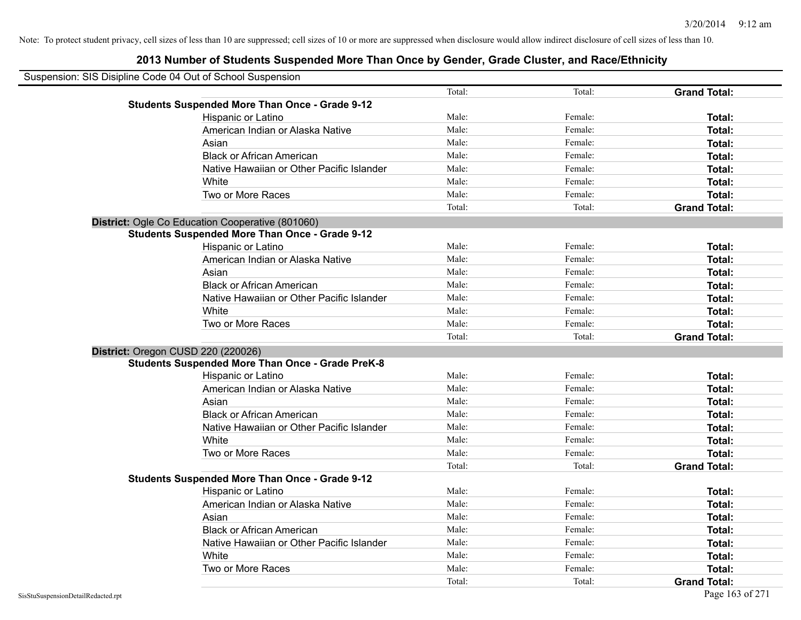| Suspension: SIS Disipline Code 04 Out of School Suspension |                                                         |        |         |                     |
|------------------------------------------------------------|---------------------------------------------------------|--------|---------|---------------------|
|                                                            |                                                         | Total: | Total:  | <b>Grand Total:</b> |
|                                                            | <b>Students Suspended More Than Once - Grade 9-12</b>   |        |         |                     |
|                                                            | Hispanic or Latino                                      | Male:  | Female: | Total:              |
|                                                            | American Indian or Alaska Native                        | Male:  | Female: | Total:              |
|                                                            | Asian                                                   | Male:  | Female: | Total:              |
|                                                            | <b>Black or African American</b>                        | Male:  | Female: | Total:              |
|                                                            | Native Hawaiian or Other Pacific Islander               | Male:  | Female: | Total:              |
|                                                            | White                                                   | Male:  | Female: | Total:              |
|                                                            | Two or More Races                                       | Male:  | Female: | Total:              |
|                                                            |                                                         | Total: | Total:  | <b>Grand Total:</b> |
|                                                            | District: Ogle Co Education Cooperative (801060)        |        |         |                     |
|                                                            | <b>Students Suspended More Than Once - Grade 9-12</b>   |        |         |                     |
|                                                            | Hispanic or Latino                                      | Male:  | Female: | Total:              |
|                                                            | American Indian or Alaska Native                        | Male:  | Female: | Total:              |
|                                                            | Asian                                                   | Male:  | Female: | <b>Total:</b>       |
|                                                            | <b>Black or African American</b>                        | Male:  | Female: | Total:              |
|                                                            | Native Hawaiian or Other Pacific Islander               | Male:  | Female: | Total:              |
|                                                            | White                                                   | Male:  | Female: | Total:              |
|                                                            | Two or More Races                                       | Male:  | Female: | Total:              |
|                                                            |                                                         | Total: | Total:  | <b>Grand Total:</b> |
| District: Oregon CUSD 220 (220026)                         |                                                         |        |         |                     |
|                                                            | <b>Students Suspended More Than Once - Grade PreK-8</b> |        |         |                     |
|                                                            | Hispanic or Latino                                      | Male:  | Female: | Total:              |
|                                                            | American Indian or Alaska Native                        | Male:  | Female: | Total:              |
|                                                            | Asian                                                   | Male:  | Female: | Total:              |
|                                                            | <b>Black or African American</b>                        | Male:  | Female: | Total:              |
|                                                            | Native Hawaiian or Other Pacific Islander               | Male:  | Female: | Total:              |
|                                                            | White                                                   | Male:  | Female: | Total:              |
|                                                            | Two or More Races                                       | Male:  | Female: | Total:              |
|                                                            |                                                         | Total: | Total:  | <b>Grand Total:</b> |
|                                                            | <b>Students Suspended More Than Once - Grade 9-12</b>   |        |         |                     |
|                                                            | Hispanic or Latino                                      | Male:  | Female: | Total:              |
|                                                            | American Indian or Alaska Native                        | Male:  | Female: | Total:              |
|                                                            | Asian                                                   | Male:  | Female: | Total:              |
|                                                            | <b>Black or African American</b>                        | Male:  | Female: | Total:              |
|                                                            | Native Hawaiian or Other Pacific Islander               | Male:  | Female: | Total:              |
|                                                            | White                                                   | Male:  | Female: | Total:              |
|                                                            | Two or More Races                                       | Male:  | Female: | Total:              |
|                                                            |                                                         | Total: | Total:  | <b>Grand Total:</b> |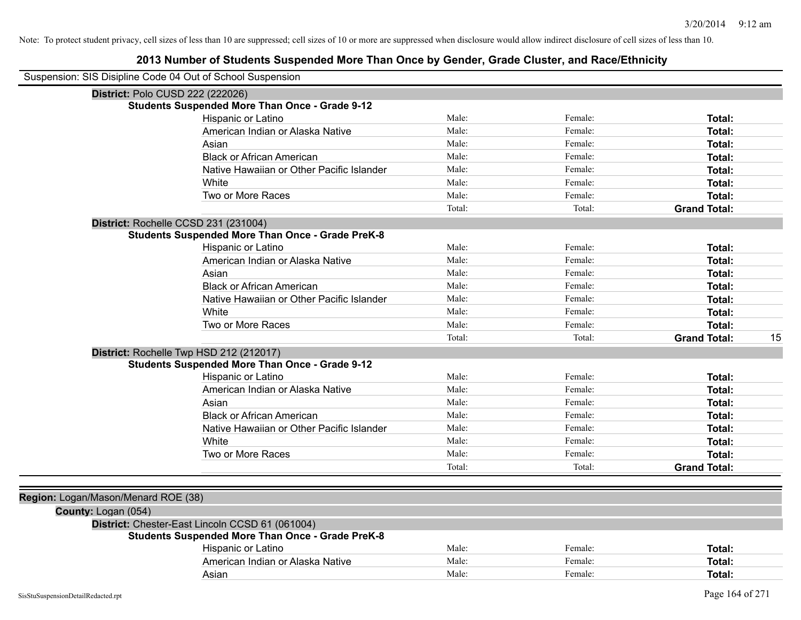| Suspension: SIS Disipline Code 04 Out of School Suspension |                                                         |        |         |                     |    |
|------------------------------------------------------------|---------------------------------------------------------|--------|---------|---------------------|----|
| District: Polo CUSD 222 (222026)                           |                                                         |        |         |                     |    |
|                                                            | <b>Students Suspended More Than Once - Grade 9-12</b>   |        |         |                     |    |
|                                                            | Hispanic or Latino                                      | Male:  | Female: | Total:              |    |
|                                                            | American Indian or Alaska Native                        | Male:  | Female: | Total:              |    |
|                                                            | Asian                                                   | Male:  | Female: | Total:              |    |
|                                                            | <b>Black or African American</b>                        | Male:  | Female: | Total:              |    |
|                                                            | Native Hawaiian or Other Pacific Islander               | Male:  | Female: | Total:              |    |
|                                                            | White                                                   | Male:  | Female: | Total:              |    |
|                                                            | Two or More Races                                       | Male:  | Female: | Total:              |    |
|                                                            |                                                         | Total: | Total:  | <b>Grand Total:</b> |    |
| District: Rochelle CCSD 231 (231004)                       |                                                         |        |         |                     |    |
|                                                            | <b>Students Suspended More Than Once - Grade PreK-8</b> |        |         |                     |    |
|                                                            | Hispanic or Latino                                      | Male:  | Female: | Total:              |    |
|                                                            | American Indian or Alaska Native                        | Male:  | Female: | <b>Total:</b>       |    |
|                                                            | Asian                                                   | Male:  | Female: | Total:              |    |
|                                                            | <b>Black or African American</b>                        | Male:  | Female: | Total:              |    |
|                                                            | Native Hawaiian or Other Pacific Islander               | Male:  | Female: | Total:              |    |
|                                                            | White                                                   | Male:  | Female: | Total:              |    |
|                                                            | Two or More Races                                       | Male:  | Female: | <b>Total:</b>       |    |
|                                                            |                                                         | Total: | Total:  | <b>Grand Total:</b> | 15 |
| District: Rochelle Twp HSD 212 (212017)                    |                                                         |        |         |                     |    |
|                                                            | <b>Students Suspended More Than Once - Grade 9-12</b>   |        |         |                     |    |
|                                                            | Hispanic or Latino                                      | Male:  | Female: | Total:              |    |
|                                                            | American Indian or Alaska Native                        | Male:  | Female: | Total:              |    |
|                                                            | Asian                                                   | Male:  | Female: | Total:              |    |
|                                                            | <b>Black or African American</b>                        | Male:  | Female: | Total:              |    |
|                                                            | Native Hawaiian or Other Pacific Islander               | Male:  | Female: | Total:              |    |
|                                                            | White                                                   | Male:  | Female: | Total:              |    |
|                                                            | Two or More Races                                       | Male:  | Female: | <b>Total:</b>       |    |
|                                                            |                                                         | Total: | Total:  | <b>Grand Total:</b> |    |
|                                                            |                                                         |        |         |                     |    |
| Region: Logan/Mason/Menard ROE (38)                        |                                                         |        |         |                     |    |
| County: Logan (054)                                        |                                                         |        |         |                     |    |
|                                                            | District: Chester-East Lincoln CCSD 61 (061004)         |        |         |                     |    |
|                                                            | <b>Students Suspended More Than Once - Grade PreK-8</b> |        |         |                     |    |
|                                                            | Hispanic or Latino                                      | Male:  | Female: | Total:              |    |
|                                                            | American Indian or Alaska Native                        | Male:  | Female: | <b>Total:</b>       |    |
|                                                            | Asian                                                   | Male:  | Female: | Total:              |    |
|                                                            |                                                         |        |         |                     |    |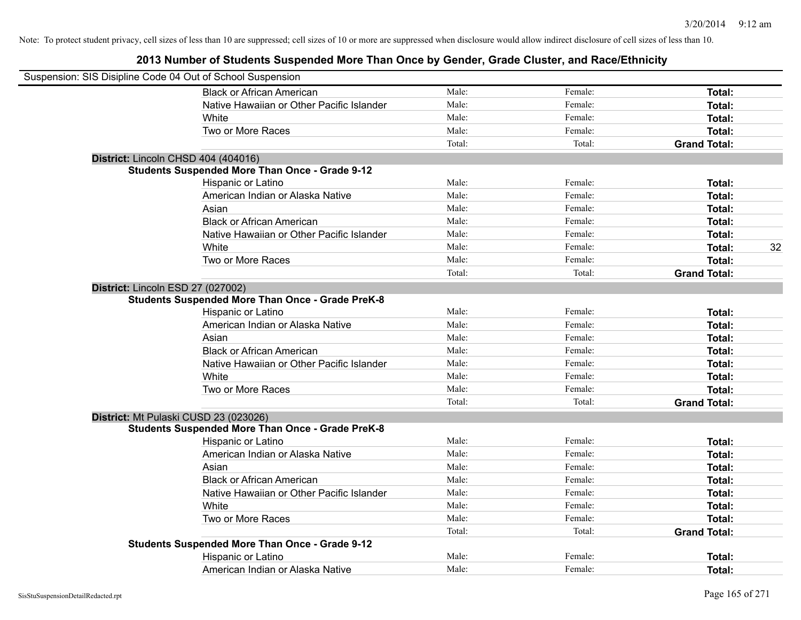| Suspension: SIS Disipline Code 04 Out of School Suspension |                                                         |        |         |                     |    |
|------------------------------------------------------------|---------------------------------------------------------|--------|---------|---------------------|----|
|                                                            | <b>Black or African American</b>                        | Male:  | Female: | Total:              |    |
|                                                            | Native Hawaiian or Other Pacific Islander               | Male:  | Female: | Total:              |    |
|                                                            | White                                                   | Male:  | Female: | Total:              |    |
|                                                            | Two or More Races                                       | Male:  | Female: | Total:              |    |
|                                                            |                                                         | Total: | Total:  | <b>Grand Total:</b> |    |
|                                                            | District: Lincoln CHSD 404 (404016)                     |        |         |                     |    |
|                                                            | <b>Students Suspended More Than Once - Grade 9-12</b>   |        |         |                     |    |
|                                                            | Hispanic or Latino                                      | Male:  | Female: | Total:              |    |
|                                                            | American Indian or Alaska Native                        | Male:  | Female: | Total:              |    |
|                                                            | Asian                                                   | Male:  | Female: | Total:              |    |
|                                                            | <b>Black or African American</b>                        | Male:  | Female: | Total:              |    |
|                                                            | Native Hawaiian or Other Pacific Islander               | Male:  | Female: | Total:              |    |
|                                                            | White                                                   | Male:  | Female: | Total:              | 32 |
|                                                            | Two or More Races                                       | Male:  | Female: | Total:              |    |
|                                                            |                                                         | Total: | Total:  | <b>Grand Total:</b> |    |
|                                                            | District: Lincoln ESD 27 (027002)                       |        |         |                     |    |
|                                                            | <b>Students Suspended More Than Once - Grade PreK-8</b> |        |         |                     |    |
|                                                            | Hispanic or Latino                                      | Male:  | Female: | Total:              |    |
|                                                            | American Indian or Alaska Native                        | Male:  | Female: | Total:              |    |
|                                                            | Asian                                                   | Male:  | Female: | Total:              |    |
|                                                            | <b>Black or African American</b>                        | Male:  | Female: | Total:              |    |
|                                                            | Native Hawaiian or Other Pacific Islander               | Male:  | Female: | Total:              |    |
|                                                            | White                                                   | Male:  | Female: | Total:              |    |
|                                                            | Two or More Races                                       | Male:  | Female: | Total:              |    |
|                                                            |                                                         | Total: | Total:  | <b>Grand Total:</b> |    |
|                                                            | District: Mt Pulaski CUSD 23 (023026)                   |        |         |                     |    |
|                                                            | <b>Students Suspended More Than Once - Grade PreK-8</b> |        |         |                     |    |
|                                                            | Hispanic or Latino                                      | Male:  | Female: | Total:              |    |
|                                                            | American Indian or Alaska Native                        | Male:  | Female: | Total:              |    |
|                                                            | Asian                                                   | Male:  | Female: | Total:              |    |
|                                                            | <b>Black or African American</b>                        | Male:  | Female: | Total:              |    |
|                                                            | Native Hawaiian or Other Pacific Islander               | Male:  | Female: | Total:              |    |
|                                                            | White                                                   | Male:  | Female: | Total:              |    |
|                                                            | Two or More Races                                       | Male:  | Female: | Total:              |    |
|                                                            |                                                         | Total: | Total:  | <b>Grand Total:</b> |    |
|                                                            | <b>Students Suspended More Than Once - Grade 9-12</b>   |        |         |                     |    |
|                                                            | Hispanic or Latino                                      | Male:  | Female: | Total:              |    |
|                                                            | American Indian or Alaska Native                        | Male:  | Female: | Total:              |    |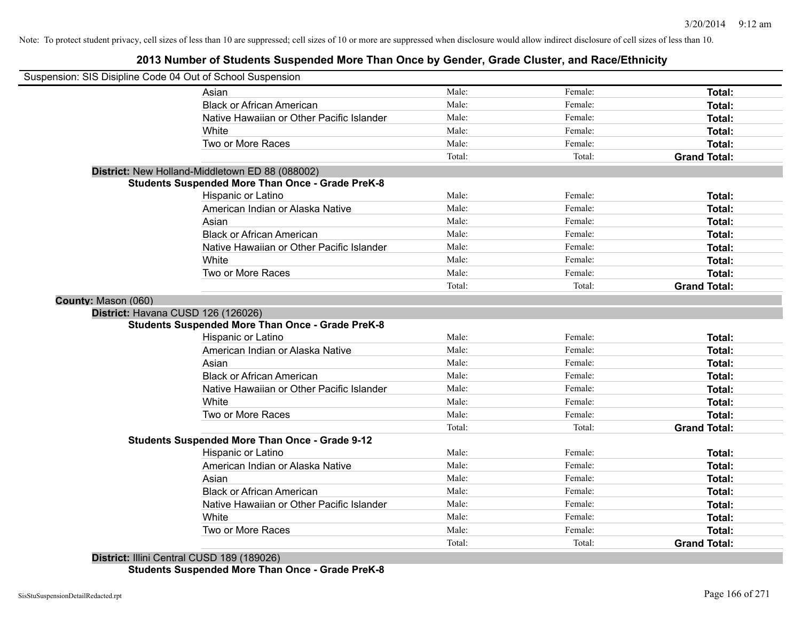## **2013 Number of Students Suspended More Than Once by Gender, Grade Cluster, and Race/Ethnicity**

| Suspension: SIS Disipline Code 04 Out of School Suspension |                                                         |        |         |                     |
|------------------------------------------------------------|---------------------------------------------------------|--------|---------|---------------------|
|                                                            | Asian                                                   | Male:  | Female: | Total:              |
|                                                            | <b>Black or African American</b>                        | Male:  | Female: | Total:              |
|                                                            | Native Hawaiian or Other Pacific Islander               | Male:  | Female: | Total:              |
|                                                            | White                                                   | Male:  | Female: | <b>Total:</b>       |
|                                                            | Two or More Races                                       | Male:  | Female: | Total:              |
|                                                            |                                                         | Total: | Total:  | <b>Grand Total:</b> |
|                                                            | District: New Holland-Middletown ED 88 (088002)         |        |         |                     |
|                                                            | <b>Students Suspended More Than Once - Grade PreK-8</b> |        |         |                     |
|                                                            | Hispanic or Latino                                      | Male:  | Female: | Total:              |
|                                                            | American Indian or Alaska Native                        | Male:  | Female: | Total:              |
|                                                            | Asian                                                   | Male:  | Female: | Total:              |
|                                                            | <b>Black or African American</b>                        | Male:  | Female: | Total:              |
|                                                            | Native Hawaiian or Other Pacific Islander               | Male:  | Female: | Total:              |
|                                                            | White                                                   | Male:  | Female: | Total:              |
|                                                            | Two or More Races                                       | Male:  | Female: | <b>Total:</b>       |
|                                                            |                                                         | Total: | Total:  | <b>Grand Total:</b> |
| County: Mason (060)                                        |                                                         |        |         |                     |
| District: Havana CUSD 126 (126026)                         |                                                         |        |         |                     |
|                                                            | <b>Students Suspended More Than Once - Grade PreK-8</b> |        |         |                     |
|                                                            | Hispanic or Latino                                      | Male:  | Female: | Total:              |
|                                                            | American Indian or Alaska Native                        | Male:  | Female: | Total:              |
|                                                            | Asian                                                   | Male:  | Female: | Total:              |
|                                                            | <b>Black or African American</b>                        | Male:  | Female: | Total:              |
|                                                            | Native Hawaiian or Other Pacific Islander               | Male:  | Female: | Total:              |
|                                                            | White                                                   | Male:  | Female: | Total:              |
|                                                            | Two or More Races                                       | Male:  | Female: | Total:              |
|                                                            |                                                         | Total: | Total:  | <b>Grand Total:</b> |
|                                                            | <b>Students Suspended More Than Once - Grade 9-12</b>   |        |         |                     |
|                                                            | Hispanic or Latino                                      | Male:  | Female: | Total:              |
|                                                            | American Indian or Alaska Native                        | Male:  | Female: | Total:              |
|                                                            | Asian                                                   | Male:  | Female: | Total:              |
|                                                            | <b>Black or African American</b>                        | Male:  | Female: | Total:              |
|                                                            | Native Hawaiian or Other Pacific Islander               | Male:  | Female: | <b>Total:</b>       |
|                                                            | White                                                   | Male:  | Female: | <b>Total:</b>       |
|                                                            | Two or More Races                                       | Male:  | Female: | Total:              |
|                                                            |                                                         | Total: | Total:  | <b>Grand Total:</b> |

**District:** Illini Central CUSD 189 (189026) **Students Suspended More Than Once - Grade PreK-8**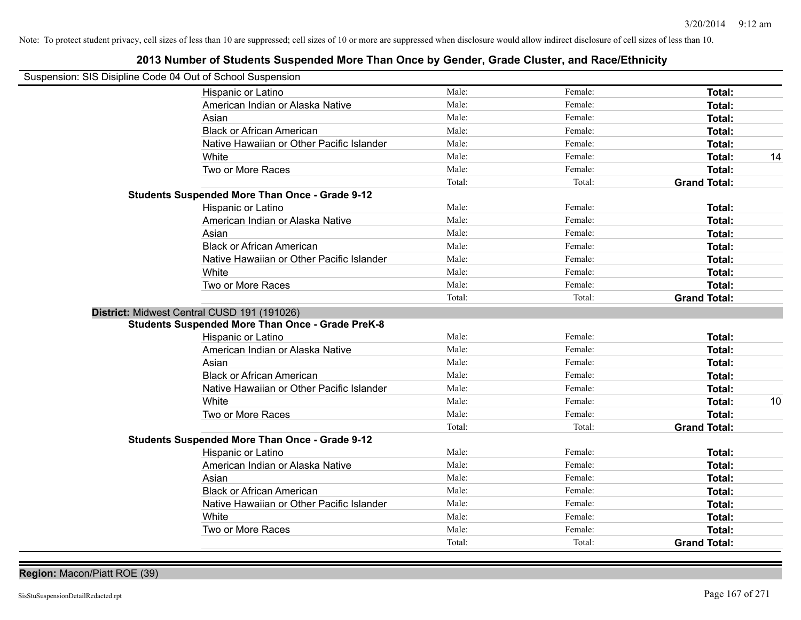| Suspension: SIS Disipline Code 04 Out of School Suspension |                                                         |        |         |                     |    |
|------------------------------------------------------------|---------------------------------------------------------|--------|---------|---------------------|----|
|                                                            | Hispanic or Latino                                      | Male:  | Female: | Total:              |    |
|                                                            | American Indian or Alaska Native                        | Male:  | Female: | Total:              |    |
|                                                            | Asian                                                   | Male:  | Female: | Total:              |    |
|                                                            | <b>Black or African American</b>                        | Male:  | Female: | Total:              |    |
|                                                            | Native Hawaiian or Other Pacific Islander               | Male:  | Female: | Total:              |    |
|                                                            | White                                                   | Male:  | Female: | Total:              | 14 |
|                                                            | Two or More Races                                       | Male:  | Female: | <b>Total:</b>       |    |
|                                                            |                                                         | Total: | Total:  | <b>Grand Total:</b> |    |
|                                                            | <b>Students Suspended More Than Once - Grade 9-12</b>   |        |         |                     |    |
|                                                            | Hispanic or Latino                                      | Male:  | Female: | Total:              |    |
|                                                            | American Indian or Alaska Native                        | Male:  | Female: | Total:              |    |
|                                                            | Asian                                                   | Male:  | Female: | Total:              |    |
|                                                            | <b>Black or African American</b>                        | Male:  | Female: | Total:              |    |
|                                                            | Native Hawaiian or Other Pacific Islander               | Male:  | Female: | Total:              |    |
|                                                            | White                                                   | Male:  | Female: | Total:              |    |
|                                                            | Two or More Races                                       | Male:  | Female: | <b>Total:</b>       |    |
|                                                            |                                                         | Total: | Total:  | <b>Grand Total:</b> |    |
| District: Midwest Central CUSD 191 (191026)                |                                                         |        |         |                     |    |
|                                                            | <b>Students Suspended More Than Once - Grade PreK-8</b> |        |         |                     |    |
|                                                            | Hispanic or Latino                                      | Male:  | Female: | Total:              |    |
|                                                            | American Indian or Alaska Native                        | Male:  | Female: | Total:              |    |
|                                                            | Asian                                                   | Male:  | Female: | Total:              |    |
|                                                            | <b>Black or African American</b>                        | Male:  | Female: | Total:              |    |
|                                                            | Native Hawaiian or Other Pacific Islander               | Male:  | Female: | Total:              |    |
|                                                            | White                                                   | Male:  | Female: | Total:              | 10 |
|                                                            | Two or More Races                                       | Male:  | Female: | Total:              |    |
|                                                            |                                                         | Total: | Total:  | <b>Grand Total:</b> |    |
|                                                            | <b>Students Suspended More Than Once - Grade 9-12</b>   |        |         |                     |    |
|                                                            | Hispanic or Latino                                      | Male:  | Female: | Total:              |    |
|                                                            | American Indian or Alaska Native                        | Male:  | Female: | Total:              |    |
|                                                            | Asian                                                   | Male:  | Female: | Total:              |    |
|                                                            | <b>Black or African American</b>                        | Male:  | Female: | Total:              |    |
|                                                            | Native Hawaiian or Other Pacific Islander               | Male:  | Female: | Total:              |    |
|                                                            | White                                                   | Male:  | Female: | Total:              |    |
|                                                            | Two or More Races                                       | Male:  | Female: | Total:              |    |
|                                                            |                                                         | Total: | Total:  | <b>Grand Total:</b> |    |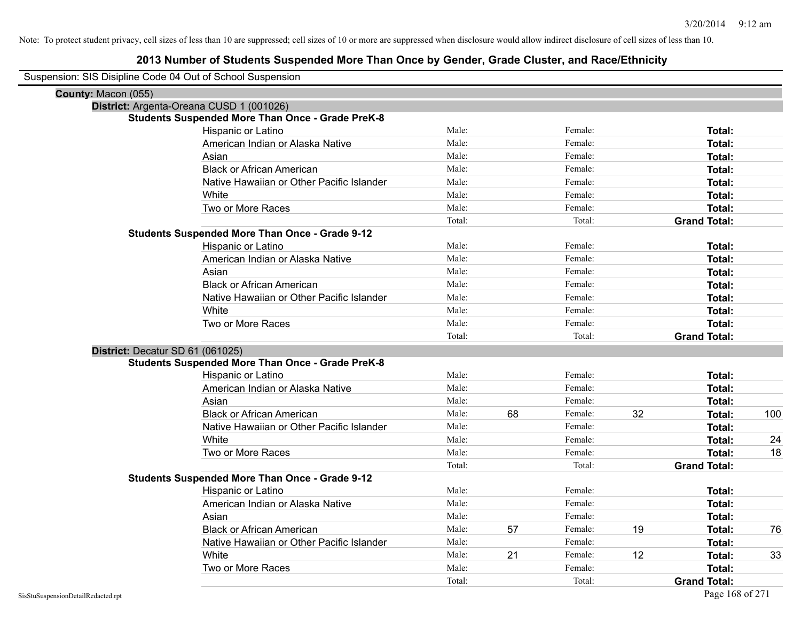| County: Macon (055)<br>District: Argenta-Oreana CUSD 1 (001026)<br><b>Students Suspended More Than Once - Grade PreK-8</b><br>Male:<br>Hispanic or Latino<br>Female:<br>Total:<br>Male:<br>Female:<br>American Indian or Alaska Native<br>Total:<br>Male:<br>Female:<br>Asian<br>Total:<br><b>Black or African American</b><br>Male:<br>Female:<br>Total:<br>Male:<br>Native Hawaiian or Other Pacific Islander<br>Female:<br>Total:<br>Male:<br>Female:<br>White<br>Total:<br>Male:<br>Female:<br>Two or More Races<br>Total: |
|--------------------------------------------------------------------------------------------------------------------------------------------------------------------------------------------------------------------------------------------------------------------------------------------------------------------------------------------------------------------------------------------------------------------------------------------------------------------------------------------------------------------------------|
|                                                                                                                                                                                                                                                                                                                                                                                                                                                                                                                                |
|                                                                                                                                                                                                                                                                                                                                                                                                                                                                                                                                |
|                                                                                                                                                                                                                                                                                                                                                                                                                                                                                                                                |
|                                                                                                                                                                                                                                                                                                                                                                                                                                                                                                                                |
|                                                                                                                                                                                                                                                                                                                                                                                                                                                                                                                                |
|                                                                                                                                                                                                                                                                                                                                                                                                                                                                                                                                |
|                                                                                                                                                                                                                                                                                                                                                                                                                                                                                                                                |
|                                                                                                                                                                                                                                                                                                                                                                                                                                                                                                                                |
|                                                                                                                                                                                                                                                                                                                                                                                                                                                                                                                                |
|                                                                                                                                                                                                                                                                                                                                                                                                                                                                                                                                |
| Total:<br>Total:<br><b>Grand Total:</b>                                                                                                                                                                                                                                                                                                                                                                                                                                                                                        |
| <b>Students Suspended More Than Once - Grade 9-12</b>                                                                                                                                                                                                                                                                                                                                                                                                                                                                          |
| Male:<br>Female:<br>Hispanic or Latino<br>Total:                                                                                                                                                                                                                                                                                                                                                                                                                                                                               |
| Male:<br>Female:<br>American Indian or Alaska Native<br>Total:                                                                                                                                                                                                                                                                                                                                                                                                                                                                 |
| Male:<br>Female:<br>Asian<br>Total:                                                                                                                                                                                                                                                                                                                                                                                                                                                                                            |
| Male:<br>Female:<br><b>Black or African American</b><br>Total:                                                                                                                                                                                                                                                                                                                                                                                                                                                                 |
| Male:<br>Female:<br>Native Hawaiian or Other Pacific Islander<br>Total:                                                                                                                                                                                                                                                                                                                                                                                                                                                        |
| White<br>Male:<br>Female:<br>Total:                                                                                                                                                                                                                                                                                                                                                                                                                                                                                            |
| Two or More Races<br>Male:<br>Female:<br>Total:                                                                                                                                                                                                                                                                                                                                                                                                                                                                                |
| Total:<br>Total:<br><b>Grand Total:</b>                                                                                                                                                                                                                                                                                                                                                                                                                                                                                        |
| District: Decatur SD 61 (061025)                                                                                                                                                                                                                                                                                                                                                                                                                                                                                               |
| <b>Students Suspended More Than Once - Grade PreK-8</b>                                                                                                                                                                                                                                                                                                                                                                                                                                                                        |
| Male:<br>Female:<br>Hispanic or Latino<br>Total:                                                                                                                                                                                                                                                                                                                                                                                                                                                                               |
| American Indian or Alaska Native<br>Male:<br>Female:<br>Total:                                                                                                                                                                                                                                                                                                                                                                                                                                                                 |
| Asian<br>Male:<br>Female:<br>Total:                                                                                                                                                                                                                                                                                                                                                                                                                                                                                            |
| <b>Black or African American</b><br>68<br>32<br>Male:<br>100<br>Female:<br>Total:                                                                                                                                                                                                                                                                                                                                                                                                                                              |
| Native Hawaiian or Other Pacific Islander<br>Male:<br>Female:<br>Total:                                                                                                                                                                                                                                                                                                                                                                                                                                                        |
| White<br>Male:<br>Female:<br>Total:<br>24                                                                                                                                                                                                                                                                                                                                                                                                                                                                                      |
| Two or More Races<br>Male:<br>Female:<br>18<br>Total:                                                                                                                                                                                                                                                                                                                                                                                                                                                                          |
| Total:<br>Total:<br><b>Grand Total:</b>                                                                                                                                                                                                                                                                                                                                                                                                                                                                                        |
| <b>Students Suspended More Than Once - Grade 9-12</b>                                                                                                                                                                                                                                                                                                                                                                                                                                                                          |
| Hispanic or Latino<br>Male:<br>Female:<br>Total:                                                                                                                                                                                                                                                                                                                                                                                                                                                                               |
| American Indian or Alaska Native<br>Male:<br>Female:<br>Total:                                                                                                                                                                                                                                                                                                                                                                                                                                                                 |
| Asian<br>Male:<br>Female:<br>Total:                                                                                                                                                                                                                                                                                                                                                                                                                                                                                            |
| 19<br><b>Black or African American</b><br>57<br>Male:<br>Female:<br>76<br>Total:                                                                                                                                                                                                                                                                                                                                                                                                                                               |
| Native Hawaiian or Other Pacific Islander<br>Male:<br>Female:<br>Total:                                                                                                                                                                                                                                                                                                                                                                                                                                                        |
| 21<br>12<br>White<br>Male:<br>33<br>Female:<br>Total:                                                                                                                                                                                                                                                                                                                                                                                                                                                                          |
| Two or More Races<br>Male:<br>Female:<br>Total:                                                                                                                                                                                                                                                                                                                                                                                                                                                                                |
| Total:<br>Total:<br><b>Grand Total:</b>                                                                                                                                                                                                                                                                                                                                                                                                                                                                                        |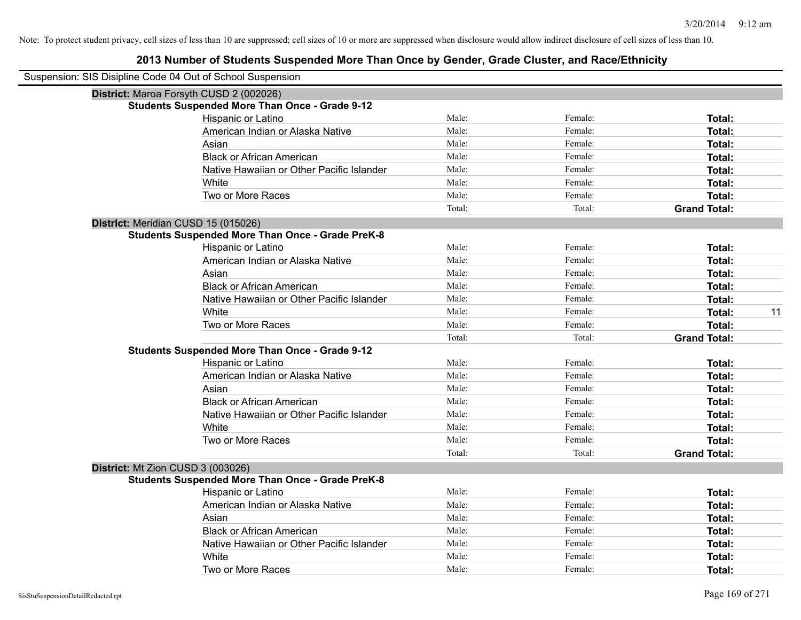| Suspension: SIS Disipline Code 04 Out of School Suspension |                                                         |        |         |                     |
|------------------------------------------------------------|---------------------------------------------------------|--------|---------|---------------------|
|                                                            | District: Maroa Forsyth CUSD 2 (002026)                 |        |         |                     |
|                                                            | <b>Students Suspended More Than Once - Grade 9-12</b>   |        |         |                     |
|                                                            | Hispanic or Latino                                      | Male:  | Female: | Total:              |
|                                                            | American Indian or Alaska Native                        | Male:  | Female: | <b>Total:</b>       |
|                                                            | Asian                                                   | Male:  | Female: | Total:              |
|                                                            | <b>Black or African American</b>                        | Male:  | Female: | Total:              |
|                                                            | Native Hawaiian or Other Pacific Islander               | Male:  | Female: | Total:              |
|                                                            | White                                                   | Male:  | Female: | Total:              |
|                                                            | Two or More Races                                       | Male:  | Female: | <b>Total:</b>       |
|                                                            |                                                         | Total: | Total:  | <b>Grand Total:</b> |
| District: Meridian CUSD 15 (015026)                        |                                                         |        |         |                     |
|                                                            | <b>Students Suspended More Than Once - Grade PreK-8</b> |        |         |                     |
|                                                            | Hispanic or Latino                                      | Male:  | Female: | Total:              |
|                                                            | American Indian or Alaska Native                        | Male:  | Female: | Total:              |
|                                                            | Asian                                                   | Male:  | Female: | Total:              |
|                                                            | <b>Black or African American</b>                        | Male:  | Female: | Total:              |
|                                                            | Native Hawaiian or Other Pacific Islander               | Male:  | Female: | Total:              |
|                                                            | White                                                   | Male:  | Female: | 11<br>Total:        |
|                                                            | Two or More Races                                       | Male:  | Female: | <b>Total:</b>       |
|                                                            |                                                         | Total: | Total:  | <b>Grand Total:</b> |
|                                                            | <b>Students Suspended More Than Once - Grade 9-12</b>   |        |         |                     |
|                                                            | Hispanic or Latino                                      | Male:  | Female: | Total:              |
|                                                            | American Indian or Alaska Native                        | Male:  | Female: | Total:              |
|                                                            | Asian                                                   | Male:  | Female: | Total:              |
|                                                            | <b>Black or African American</b>                        | Male:  | Female: | <b>Total:</b>       |
|                                                            | Native Hawaiian or Other Pacific Islander               | Male:  | Female: | Total:              |
|                                                            | White                                                   | Male:  | Female: | <b>Total:</b>       |
|                                                            | Two or More Races                                       | Male:  | Female: | Total:              |
|                                                            |                                                         | Total: | Total:  | <b>Grand Total:</b> |
| District: Mt Zion CUSD 3 (003026)                          |                                                         |        |         |                     |
|                                                            | <b>Students Suspended More Than Once - Grade PreK-8</b> |        |         |                     |
|                                                            | Hispanic or Latino                                      | Male:  | Female: | Total:              |
|                                                            | American Indian or Alaska Native                        | Male:  | Female: | Total:              |
|                                                            | Asian                                                   | Male:  | Female: | Total:              |
|                                                            | <b>Black or African American</b>                        | Male:  | Female: | Total:              |
|                                                            | Native Hawaiian or Other Pacific Islander               | Male:  | Female: | Total:              |
|                                                            | White                                                   | Male:  | Female: | <b>Total:</b>       |
|                                                            | Two or More Races                                       | Male:  | Female: | Total:              |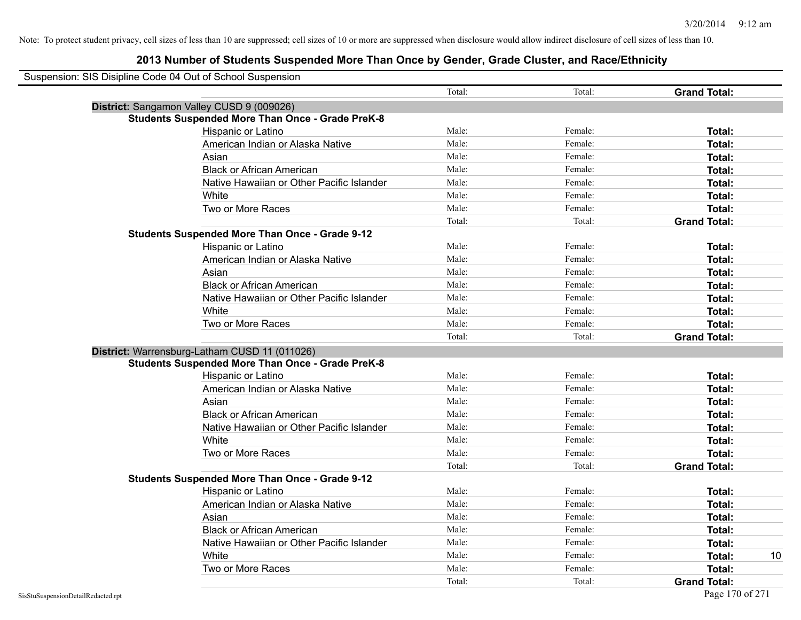| Suspension: SIS Disipline Code 04 Out of School Suspension |                                                         |        |         |                     |
|------------------------------------------------------------|---------------------------------------------------------|--------|---------|---------------------|
|                                                            |                                                         | Total: | Total:  | <b>Grand Total:</b> |
|                                                            | District: Sangamon Valley CUSD 9 (009026)               |        |         |                     |
|                                                            | <b>Students Suspended More Than Once - Grade PreK-8</b> |        |         |                     |
|                                                            | Hispanic or Latino                                      | Male:  | Female: | Total:              |
|                                                            | American Indian or Alaska Native                        | Male:  | Female: | Total:              |
|                                                            | Asian                                                   | Male:  | Female: | Total:              |
|                                                            | <b>Black or African American</b>                        | Male:  | Female: | Total:              |
|                                                            | Native Hawaiian or Other Pacific Islander               | Male:  | Female: | Total:              |
|                                                            | White                                                   | Male:  | Female: | Total:              |
|                                                            | Two or More Races                                       | Male:  | Female: | Total:              |
|                                                            |                                                         | Total: | Total:  | <b>Grand Total:</b> |
|                                                            | <b>Students Suspended More Than Once - Grade 9-12</b>   |        |         |                     |
|                                                            | Hispanic or Latino                                      | Male:  | Female: | Total:              |
|                                                            | American Indian or Alaska Native                        | Male:  | Female: | Total:              |
|                                                            | Asian                                                   | Male:  | Female: | Total:              |
|                                                            | <b>Black or African American</b>                        | Male:  | Female: | Total:              |
|                                                            | Native Hawaiian or Other Pacific Islander               | Male:  | Female: | Total:              |
|                                                            | White                                                   | Male:  | Female: | Total:              |
|                                                            | Two or More Races                                       | Male:  | Female: | Total:              |
|                                                            |                                                         | Total: | Total:  | <b>Grand Total:</b> |
|                                                            | District: Warrensburg-Latham CUSD 11 (011026)           |        |         |                     |
|                                                            | <b>Students Suspended More Than Once - Grade PreK-8</b> |        |         |                     |
|                                                            | <b>Hispanic or Latino</b>                               | Male:  | Female: | Total:              |
|                                                            | American Indian or Alaska Native                        | Male:  | Female: | Total:              |
|                                                            | Asian                                                   | Male:  | Female: | Total:              |
|                                                            | <b>Black or African American</b>                        | Male:  | Female: | Total:              |
|                                                            | Native Hawaiian or Other Pacific Islander               | Male:  | Female: | Total:              |
|                                                            | White                                                   | Male:  | Female: | Total:              |
|                                                            | Two or More Races                                       | Male:  | Female: | Total:              |
|                                                            |                                                         | Total: | Total:  | <b>Grand Total:</b> |
|                                                            | <b>Students Suspended More Than Once - Grade 9-12</b>   |        |         |                     |
|                                                            | Hispanic or Latino                                      | Male:  | Female: | Total:              |
|                                                            | American Indian or Alaska Native                        | Male:  | Female: | Total:              |
|                                                            | Asian                                                   | Male:  | Female: | Total:              |
|                                                            | <b>Black or African American</b>                        | Male:  | Female: | Total:              |
|                                                            | Native Hawaiian or Other Pacific Islander               | Male:  | Female: | Total:              |
|                                                            | White                                                   | Male:  | Female: | 10<br>Total:        |
|                                                            | Two or More Races                                       | Male:  | Female: | Total:              |
|                                                            |                                                         | Total: | Total:  | <b>Grand Total:</b> |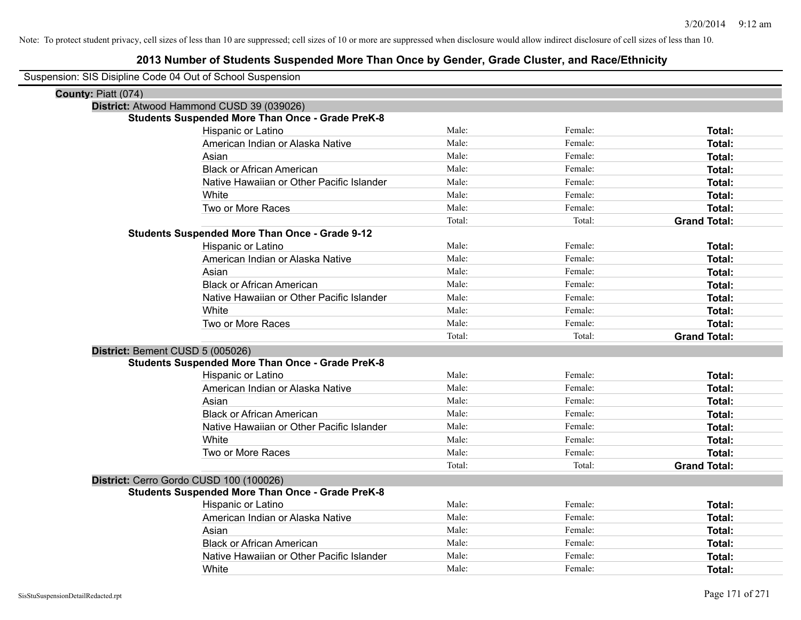| Suspension: SIS Disipline Code 04 Out of School Suspension |  |  |  |
|------------------------------------------------------------|--|--|--|
|------------------------------------------------------------|--|--|--|

| County: Piatt (074)              |                                                         |        |         |                     |
|----------------------------------|---------------------------------------------------------|--------|---------|---------------------|
|                                  | District: Atwood Hammond CUSD 39 (039026)               |        |         |                     |
|                                  | <b>Students Suspended More Than Once - Grade PreK-8</b> |        |         |                     |
|                                  | Hispanic or Latino                                      | Male:  | Female: | Total:              |
|                                  | American Indian or Alaska Native                        | Male:  | Female: | Total:              |
|                                  | Asian                                                   | Male:  | Female: | Total:              |
|                                  | <b>Black or African American</b>                        | Male:  | Female: | Total:              |
|                                  | Native Hawaiian or Other Pacific Islander               | Male:  | Female: | Total:              |
|                                  | White                                                   | Male:  | Female: | Total:              |
|                                  | Two or More Races                                       | Male:  | Female: | <b>Total:</b>       |
|                                  |                                                         | Total: | Total:  | <b>Grand Total:</b> |
|                                  | <b>Students Suspended More Than Once - Grade 9-12</b>   |        |         |                     |
|                                  | Hispanic or Latino                                      | Male:  | Female: | <b>Total:</b>       |
|                                  | American Indian or Alaska Native                        | Male:  | Female: | <b>Total:</b>       |
|                                  | Asian                                                   | Male:  | Female: | Total:              |
|                                  | <b>Black or African American</b>                        | Male:  | Female: | <b>Total:</b>       |
|                                  | Native Hawaiian or Other Pacific Islander               | Male:  | Female: | <b>Total:</b>       |
|                                  | White                                                   | Male:  | Female: | Total:              |
|                                  | Two or More Races                                       | Male:  | Female: | Total:              |
|                                  |                                                         | Total: | Total:  | <b>Grand Total:</b> |
| District: Bement CUSD 5 (005026) |                                                         |        |         |                     |
|                                  | <b>Students Suspended More Than Once - Grade PreK-8</b> |        |         |                     |
|                                  | Hispanic or Latino                                      | Male:  | Female: | Total:              |
|                                  | American Indian or Alaska Native                        | Male:  | Female: | Total:              |
|                                  | Asian                                                   | Male:  | Female: | Total:              |
|                                  | <b>Black or African American</b>                        | Male:  | Female: | <b>Total:</b>       |
|                                  | Native Hawaiian or Other Pacific Islander               | Male:  | Female: | Total:              |
|                                  | White                                                   | Male:  | Female: | <b>Total:</b>       |
|                                  | Two or More Races                                       | Male:  | Female: | <b>Total:</b>       |
|                                  |                                                         | Total: | Total:  | <b>Grand Total:</b> |
|                                  | District: Cerro Gordo CUSD 100 (100026)                 |        |         |                     |
|                                  | <b>Students Suspended More Than Once - Grade PreK-8</b> |        |         |                     |
|                                  | Hispanic or Latino                                      | Male:  | Female: | Total:              |
|                                  | American Indian or Alaska Native                        | Male:  | Female: | Total:              |
|                                  | Asian                                                   | Male:  | Female: | <b>Total:</b>       |
|                                  | <b>Black or African American</b>                        | Male:  | Female: | Total:              |
|                                  | Native Hawaiian or Other Pacific Islander               | Male:  | Female: | <b>Total:</b>       |
|                                  | White                                                   | Male:  | Female: | Total:              |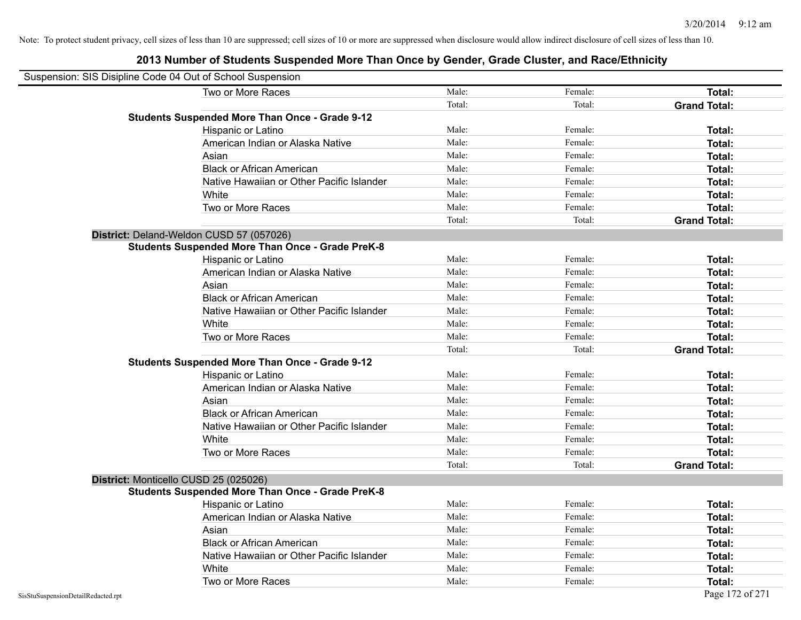| Suspension: SIS Disipline Code 04 Out of School Suspension |                                                         |        |         |                     |
|------------------------------------------------------------|---------------------------------------------------------|--------|---------|---------------------|
|                                                            | Two or More Races                                       | Male:  | Female: | Total:              |
|                                                            |                                                         | Total: | Total:  | <b>Grand Total:</b> |
|                                                            | <b>Students Suspended More Than Once - Grade 9-12</b>   |        |         |                     |
|                                                            | Hispanic or Latino                                      | Male:  | Female: | Total:              |
|                                                            | American Indian or Alaska Native                        | Male:  | Female: | Total:              |
|                                                            | Asian                                                   | Male:  | Female: | Total:              |
|                                                            | <b>Black or African American</b>                        | Male:  | Female: | Total:              |
|                                                            | Native Hawaiian or Other Pacific Islander               | Male:  | Female: | Total:              |
|                                                            | White                                                   | Male:  | Female: | Total:              |
|                                                            | Two or More Races                                       | Male:  | Female: | Total:              |
|                                                            |                                                         | Total: | Total:  | <b>Grand Total:</b> |
|                                                            | District: Deland-Weldon CUSD 57 (057026)                |        |         |                     |
|                                                            | <b>Students Suspended More Than Once - Grade PreK-8</b> |        |         |                     |
|                                                            | Hispanic or Latino                                      | Male:  | Female: | Total:              |
|                                                            | American Indian or Alaska Native                        | Male:  | Female: | Total:              |
|                                                            | Asian                                                   | Male:  | Female: | Total:              |
|                                                            | <b>Black or African American</b>                        | Male:  | Female: | Total:              |
|                                                            | Native Hawaiian or Other Pacific Islander               | Male:  | Female: | Total:              |
|                                                            | White                                                   | Male:  | Female: | Total:              |
|                                                            | Two or More Races                                       | Male:  | Female: | Total:              |
|                                                            |                                                         | Total: | Total:  | <b>Grand Total:</b> |
|                                                            | <b>Students Suspended More Than Once - Grade 9-12</b>   |        |         |                     |
|                                                            | Hispanic or Latino                                      | Male:  | Female: | Total:              |
|                                                            | American Indian or Alaska Native                        | Male:  | Female: | Total:              |
|                                                            | Asian                                                   | Male:  | Female: | Total:              |
|                                                            | <b>Black or African American</b>                        | Male:  | Female: | Total:              |
|                                                            | Native Hawaiian or Other Pacific Islander               | Male:  | Female: | Total:              |
|                                                            | White                                                   | Male:  | Female: | Total:              |
|                                                            | Two or More Races                                       | Male:  | Female: | Total:              |
|                                                            |                                                         | Total: | Total:  | <b>Grand Total:</b> |
|                                                            | District: Monticello CUSD 25 (025026)                   |        |         |                     |
|                                                            | <b>Students Suspended More Than Once - Grade PreK-8</b> |        |         |                     |
|                                                            | Hispanic or Latino                                      | Male:  | Female: | Total:              |
|                                                            | American Indian or Alaska Native                        | Male:  | Female: | Total:              |
|                                                            | Asian                                                   | Male:  | Female: | Total:              |
|                                                            | <b>Black or African American</b>                        | Male:  | Female: | Total:              |
|                                                            | Native Hawaiian or Other Pacific Islander               | Male:  | Female: | Total:              |
|                                                            | White                                                   | Male:  | Female: | Total:              |
|                                                            | Two or More Races                                       | Male:  | Female: | Total:              |
| SisStuSuspensionDetailRedacted.rpt                         |                                                         |        |         | Page 172 of 271     |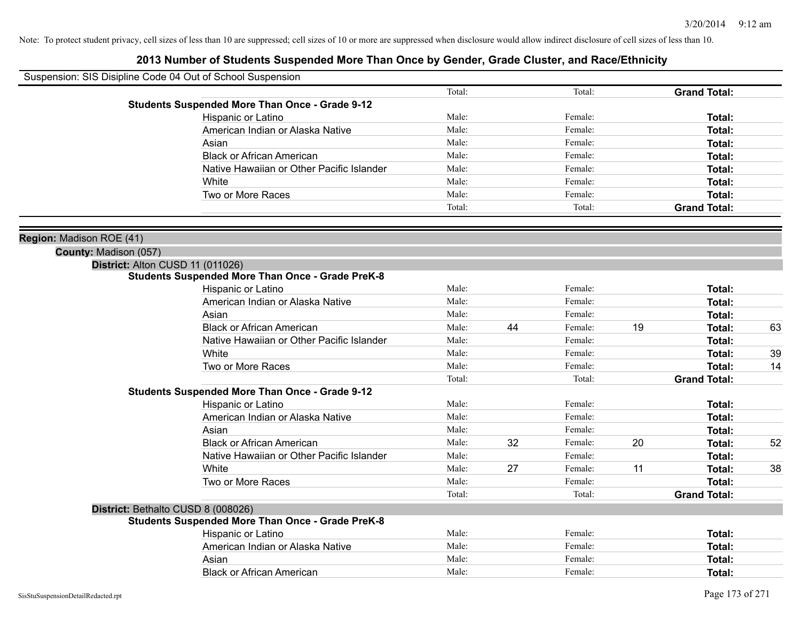| Suspension: SIS Disipline Code 04 Out of School Suspension |                                                         |        |    |         |    |                     |    |
|------------------------------------------------------------|---------------------------------------------------------|--------|----|---------|----|---------------------|----|
|                                                            |                                                         | Total: |    | Total:  |    | <b>Grand Total:</b> |    |
|                                                            | <b>Students Suspended More Than Once - Grade 9-12</b>   |        |    |         |    |                     |    |
|                                                            | <b>Hispanic or Latino</b>                               | Male:  |    | Female: |    | Total:              |    |
|                                                            | American Indian or Alaska Native                        | Male:  |    | Female: |    | Total:              |    |
|                                                            | Asian                                                   | Male:  |    | Female: |    | Total:              |    |
|                                                            | <b>Black or African American</b>                        | Male:  |    | Female: |    | Total:              |    |
|                                                            | Native Hawaiian or Other Pacific Islander               | Male:  |    | Female: |    | Total:              |    |
|                                                            | White                                                   | Male:  |    | Female: |    | Total:              |    |
|                                                            | Two or More Races                                       | Male:  |    | Female: |    | Total:              |    |
|                                                            |                                                         | Total: |    | Total:  |    | <b>Grand Total:</b> |    |
| Region: Madison ROE (41)                                   |                                                         |        |    |         |    |                     |    |
| County: Madison (057)                                      |                                                         |        |    |         |    |                     |    |
|                                                            | District: Alton CUSD 11 (011026)                        |        |    |         |    |                     |    |
|                                                            | <b>Students Suspended More Than Once - Grade PreK-8</b> |        |    |         |    |                     |    |
|                                                            | Hispanic or Latino                                      | Male:  |    | Female: |    | Total:              |    |
|                                                            | American Indian or Alaska Native                        | Male:  |    | Female: |    | Total:              |    |
|                                                            | Asian                                                   | Male:  |    | Female: |    | Total:              |    |
|                                                            | <b>Black or African American</b>                        | Male:  | 44 | Female: | 19 | Total:              | 63 |
|                                                            | Native Hawaiian or Other Pacific Islander               | Male:  |    | Female: |    | Total:              |    |
|                                                            | White                                                   | Male:  |    | Female: |    | Total:              | 39 |
|                                                            | Two or More Races                                       | Male:  |    | Female: |    | Total:              | 14 |
|                                                            |                                                         | Total: |    | Total:  |    | <b>Grand Total:</b> |    |
|                                                            | <b>Students Suspended More Than Once - Grade 9-12</b>   |        |    |         |    |                     |    |
|                                                            | Hispanic or Latino                                      | Male:  |    | Female: |    | Total:              |    |
|                                                            | American Indian or Alaska Native                        | Male:  |    | Female: |    | <b>Total:</b>       |    |
|                                                            | Asian                                                   | Male:  |    | Female: |    | <b>Total:</b>       |    |
|                                                            | <b>Black or African American</b>                        | Male:  | 32 | Female: | 20 | Total:              | 52 |
|                                                            | Native Hawaiian or Other Pacific Islander               | Male:  |    | Female: |    | Total:              |    |
|                                                            | White                                                   | Male:  | 27 | Female: | 11 | Total:              | 38 |
|                                                            | Two or More Races                                       | Male:  |    | Female: |    | Total:              |    |
|                                                            |                                                         | Total: |    | Total:  |    | <b>Grand Total:</b> |    |
|                                                            | District: Bethalto CUSD 8 (008026)                      |        |    |         |    |                     |    |
|                                                            | <b>Students Suspended More Than Once - Grade PreK-8</b> |        |    |         |    |                     |    |
|                                                            | Hispanic or Latino                                      | Male:  |    | Female: |    | Total:              |    |
|                                                            | American Indian or Alaska Native                        | Male:  |    | Female: |    | Total:              |    |
|                                                            | Asian                                                   | Male:  |    | Female: |    | Total:              |    |
|                                                            | <b>Black or African American</b>                        | Male:  |    | Female: |    | Total:              |    |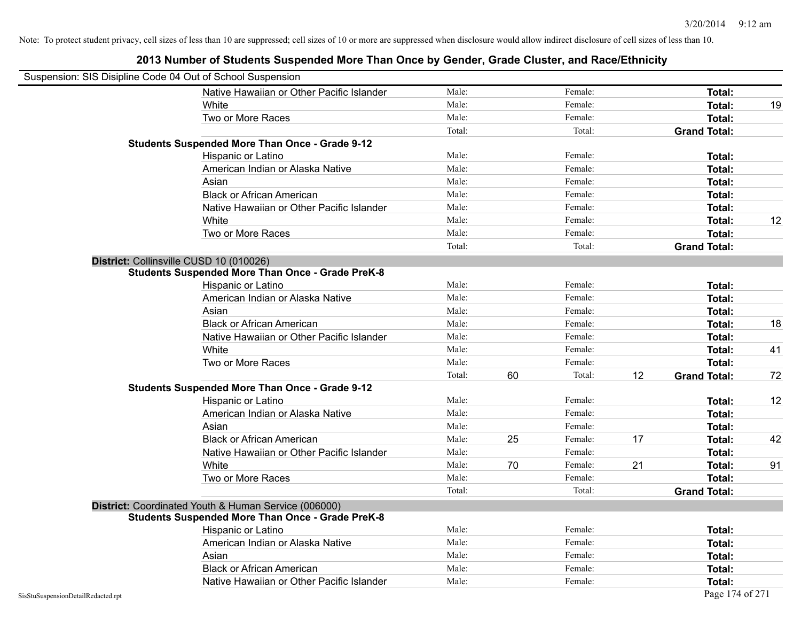|                                    | Suspension: SIS Disipline Code 04 Out of School Suspension                                                      |        |    |         |    |                     |    |
|------------------------------------|-----------------------------------------------------------------------------------------------------------------|--------|----|---------|----|---------------------|----|
|                                    | Native Hawaiian or Other Pacific Islander                                                                       | Male:  |    | Female: |    | Total:              |    |
|                                    | White                                                                                                           | Male:  |    | Female: |    | Total:              | 19 |
|                                    | Two or More Races                                                                                               | Male:  |    | Female: |    | <b>Total:</b>       |    |
|                                    |                                                                                                                 | Total: |    | Total:  |    | <b>Grand Total:</b> |    |
|                                    | <b>Students Suspended More Than Once - Grade 9-12</b>                                                           |        |    |         |    |                     |    |
|                                    | Hispanic or Latino                                                                                              | Male:  |    | Female: |    | Total:              |    |
|                                    | American Indian or Alaska Native                                                                                | Male:  |    | Female: |    | <b>Total:</b>       |    |
|                                    | Asian                                                                                                           | Male:  |    | Female: |    | Total:              |    |
|                                    | <b>Black or African American</b>                                                                                | Male:  |    | Female: |    | Total:              |    |
|                                    | Native Hawaiian or Other Pacific Islander                                                                       | Male:  |    | Female: |    | Total:              |    |
|                                    | White                                                                                                           | Male:  |    | Female: |    | <b>Total:</b>       | 12 |
|                                    | Two or More Races                                                                                               | Male:  |    | Female: |    | <b>Total:</b>       |    |
|                                    |                                                                                                                 | Total: |    | Total:  |    | <b>Grand Total:</b> |    |
|                                    | District: Collinsville CUSD 10 (010026)                                                                         |        |    |         |    |                     |    |
|                                    | <b>Students Suspended More Than Once - Grade PreK-8</b>                                                         |        |    |         |    |                     |    |
|                                    | Hispanic or Latino                                                                                              | Male:  |    | Female: |    | Total:              |    |
|                                    | American Indian or Alaska Native                                                                                | Male:  |    | Female: |    | Total:              |    |
|                                    | Asian                                                                                                           | Male:  |    | Female: |    | Total:              |    |
|                                    | <b>Black or African American</b>                                                                                | Male:  |    | Female: |    | Total:              | 18 |
|                                    | Native Hawaiian or Other Pacific Islander                                                                       | Male:  |    | Female: |    | Total:              |    |
|                                    | White                                                                                                           | Male:  |    | Female: |    | Total:              | 41 |
|                                    | Two or More Races                                                                                               | Male:  |    | Female: |    | Total:              |    |
|                                    |                                                                                                                 | Total: | 60 | Total:  | 12 | <b>Grand Total:</b> | 72 |
|                                    | <b>Students Suspended More Than Once - Grade 9-12</b>                                                           |        |    |         |    |                     |    |
|                                    | Hispanic or Latino                                                                                              | Male:  |    | Female: |    | Total:              | 12 |
|                                    | American Indian or Alaska Native                                                                                | Male:  |    | Female: |    | <b>Total:</b>       |    |
|                                    | Asian                                                                                                           | Male:  |    | Female: |    | Total:              |    |
|                                    | <b>Black or African American</b>                                                                                | Male:  | 25 | Female: | 17 | <b>Total:</b>       | 42 |
|                                    | Native Hawaiian or Other Pacific Islander                                                                       | Male:  |    | Female: |    | Total:              |    |
|                                    | White                                                                                                           | Male:  | 70 | Female: | 21 | <b>Total:</b>       | 91 |
|                                    | Two or More Races                                                                                               | Male:  |    | Female: |    | Total:              |    |
|                                    |                                                                                                                 | Total: |    | Total:  |    | <b>Grand Total:</b> |    |
|                                    | District: Coordinated Youth & Human Service (006000)<br><b>Students Suspended More Than Once - Grade PreK-8</b> |        |    |         |    |                     |    |
|                                    | Hispanic or Latino                                                                                              | Male:  |    | Female: |    | <b>Total:</b>       |    |
|                                    | American Indian or Alaska Native                                                                                | Male:  |    | Female: |    | Total:              |    |
|                                    | Asian                                                                                                           | Male:  |    | Female: |    | <b>Total:</b>       |    |
|                                    | <b>Black or African American</b>                                                                                | Male:  |    | Female: |    | Total:              |    |
|                                    | Native Hawaiian or Other Pacific Islander                                                                       | Male:  |    | Female: |    | <b>Total:</b>       |    |
| SisStuSuspensionDetailRedacted.rpt |                                                                                                                 |        |    |         |    | Page 174 of 271     |    |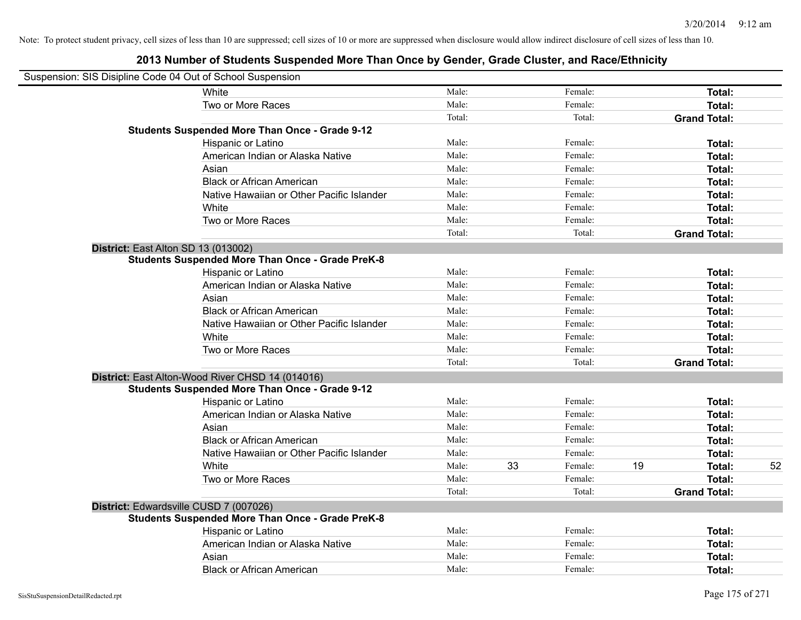| Suspension: SIS Disipline Code 04 Out of School Suspension |                                                         |        |    |         |    |                     |    |
|------------------------------------------------------------|---------------------------------------------------------|--------|----|---------|----|---------------------|----|
|                                                            | White                                                   | Male:  |    | Female: |    | Total:              |    |
|                                                            | Two or More Races                                       | Male:  |    | Female: |    | Total:              |    |
|                                                            |                                                         | Total: |    | Total:  |    | <b>Grand Total:</b> |    |
|                                                            | <b>Students Suspended More Than Once - Grade 9-12</b>   |        |    |         |    |                     |    |
|                                                            | Hispanic or Latino                                      | Male:  |    | Female: |    | Total:              |    |
|                                                            | American Indian or Alaska Native                        | Male:  |    | Female: |    | Total:              |    |
|                                                            | Asian                                                   | Male:  |    | Female: |    | Total:              |    |
|                                                            | <b>Black or African American</b>                        | Male:  |    | Female: |    | Total:              |    |
|                                                            | Native Hawaiian or Other Pacific Islander               | Male:  |    | Female: |    | Total:              |    |
|                                                            | White                                                   | Male:  |    | Female: |    | Total:              |    |
|                                                            | Two or More Races                                       | Male:  |    | Female: |    | Total:              |    |
|                                                            |                                                         | Total: |    | Total:  |    | <b>Grand Total:</b> |    |
| District: East Alton SD 13 (013002)                        |                                                         |        |    |         |    |                     |    |
|                                                            | <b>Students Suspended More Than Once - Grade PreK-8</b> |        |    |         |    |                     |    |
|                                                            | Hispanic or Latino                                      | Male:  |    | Female: |    | Total:              |    |
|                                                            | American Indian or Alaska Native                        | Male:  |    | Female: |    | Total:              |    |
|                                                            | Asian                                                   | Male:  |    | Female: |    | Total:              |    |
|                                                            | <b>Black or African American</b>                        | Male:  |    | Female: |    | Total:              |    |
|                                                            | Native Hawaiian or Other Pacific Islander               | Male:  |    | Female: |    | Total:              |    |
|                                                            | White                                                   | Male:  |    | Female: |    | Total:              |    |
|                                                            | Two or More Races                                       | Male:  |    | Female: |    | Total:              |    |
|                                                            |                                                         | Total: |    | Total:  |    | <b>Grand Total:</b> |    |
|                                                            | District: East Alton-Wood River CHSD 14 (014016)        |        |    |         |    |                     |    |
|                                                            | <b>Students Suspended More Than Once - Grade 9-12</b>   |        |    |         |    |                     |    |
|                                                            | Hispanic or Latino                                      | Male:  |    | Female: |    | Total:              |    |
|                                                            | American Indian or Alaska Native                        | Male:  |    | Female: |    | Total:              |    |
|                                                            | Asian                                                   | Male:  |    | Female: |    | Total:              |    |
|                                                            | <b>Black or African American</b>                        | Male:  |    | Female: |    | Total:              |    |
|                                                            | Native Hawaiian or Other Pacific Islander               | Male:  |    | Female: |    | Total:              |    |
|                                                            | White                                                   | Male:  | 33 | Female: | 19 | Total:              | 52 |
|                                                            | Two or More Races                                       | Male:  |    | Female: |    | Total:              |    |
|                                                            |                                                         | Total: |    | Total:  |    | <b>Grand Total:</b> |    |
| District: Edwardsville CUSD 7 (007026)                     |                                                         |        |    |         |    |                     |    |
|                                                            | <b>Students Suspended More Than Once - Grade PreK-8</b> |        |    |         |    |                     |    |
|                                                            | Hispanic or Latino                                      | Male:  |    | Female: |    | Total:              |    |
|                                                            | American Indian or Alaska Native                        | Male:  |    | Female: |    | Total:              |    |
|                                                            | Asian                                                   | Male:  |    | Female: |    | Total:              |    |
|                                                            | <b>Black or African American</b>                        | Male:  |    | Female: |    | Total:              |    |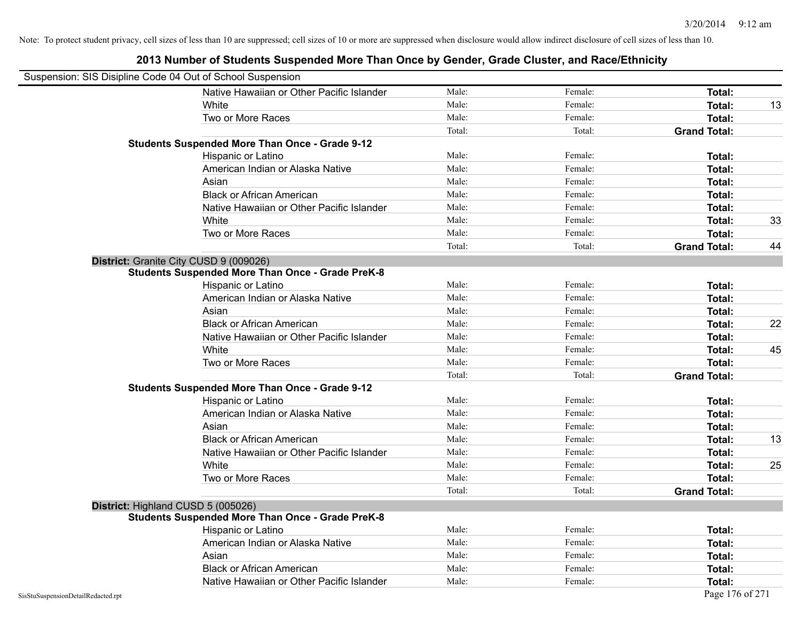| Suspension: SIS Disipline Code 04 Out of School Suspension |                                                         |        |         |                     |    |
|------------------------------------------------------------|---------------------------------------------------------|--------|---------|---------------------|----|
|                                                            | Native Hawaiian or Other Pacific Islander               | Male:  | Female: | Total:              |    |
|                                                            | White                                                   | Male:  | Female: | Total:              | 13 |
|                                                            | Two or More Races                                       | Male:  | Female: | Total:              |    |
|                                                            |                                                         | Total: | Total:  | <b>Grand Total:</b> |    |
|                                                            | <b>Students Suspended More Than Once - Grade 9-12</b>   |        |         |                     |    |
|                                                            | Hispanic or Latino                                      | Male:  | Female: | Total:              |    |
|                                                            | American Indian or Alaska Native                        | Male:  | Female: | <b>Total:</b>       |    |
|                                                            | Asian                                                   | Male:  | Female: | <b>Total:</b>       |    |
|                                                            | <b>Black or African American</b>                        | Male:  | Female: | Total:              |    |
|                                                            | Native Hawaiian or Other Pacific Islander               | Male:  | Female: | Total:              |    |
|                                                            | White                                                   | Male:  | Female: | Total:              | 33 |
|                                                            | Two or More Races                                       | Male:  | Female: | <b>Total:</b>       |    |
|                                                            |                                                         | Total: | Total:  | <b>Grand Total:</b> | 44 |
|                                                            | District: Granite City CUSD 9 (009026)                  |        |         |                     |    |
|                                                            | <b>Students Suspended More Than Once - Grade PreK-8</b> |        |         |                     |    |
|                                                            | Hispanic or Latino                                      | Male:  | Female: | Total:              |    |
|                                                            | American Indian or Alaska Native                        | Male:  | Female: | Total:              |    |
|                                                            | Asian                                                   | Male:  | Female: | <b>Total:</b>       |    |
|                                                            | <b>Black or African American</b>                        | Male:  | Female: | Total:              | 22 |
|                                                            | Native Hawaiian or Other Pacific Islander               | Male:  | Female: | Total:              |    |
|                                                            | White                                                   | Male:  | Female: | Total:              | 45 |
|                                                            | Two or More Races                                       | Male:  | Female: | Total:              |    |
|                                                            |                                                         | Total: | Total:  | <b>Grand Total:</b> |    |
|                                                            | <b>Students Suspended More Than Once - Grade 9-12</b>   |        |         |                     |    |
|                                                            | Hispanic or Latino                                      | Male:  | Female: | Total:              |    |
|                                                            | American Indian or Alaska Native                        | Male:  | Female: | Total:              |    |
|                                                            | Asian                                                   | Male:  | Female: | Total:              |    |
|                                                            | <b>Black or African American</b>                        | Male:  | Female: | Total:              | 13 |
|                                                            | Native Hawaiian or Other Pacific Islander               | Male:  | Female: | Total:              |    |
|                                                            | White                                                   | Male:  | Female: | <b>Total:</b>       | 25 |
|                                                            | Two or More Races                                       | Male:  | Female: | <b>Total:</b>       |    |
|                                                            |                                                         | Total: | Total:  | <b>Grand Total:</b> |    |
|                                                            | District: Highland CUSD 5 (005026)                      |        |         |                     |    |
|                                                            | <b>Students Suspended More Than Once - Grade PreK-8</b> |        |         |                     |    |
|                                                            | <b>Hispanic or Latino</b>                               | Male:  | Female: | <b>Total:</b>       |    |
|                                                            | American Indian or Alaska Native                        | Male:  | Female: | Total:              |    |
|                                                            | Asian                                                   | Male:  | Female: | Total:              |    |
|                                                            | <b>Black or African American</b>                        | Male:  | Female: | <b>Total:</b>       |    |
|                                                            | Native Hawaiian or Other Pacific Islander               | Male:  | Female: | Total:              |    |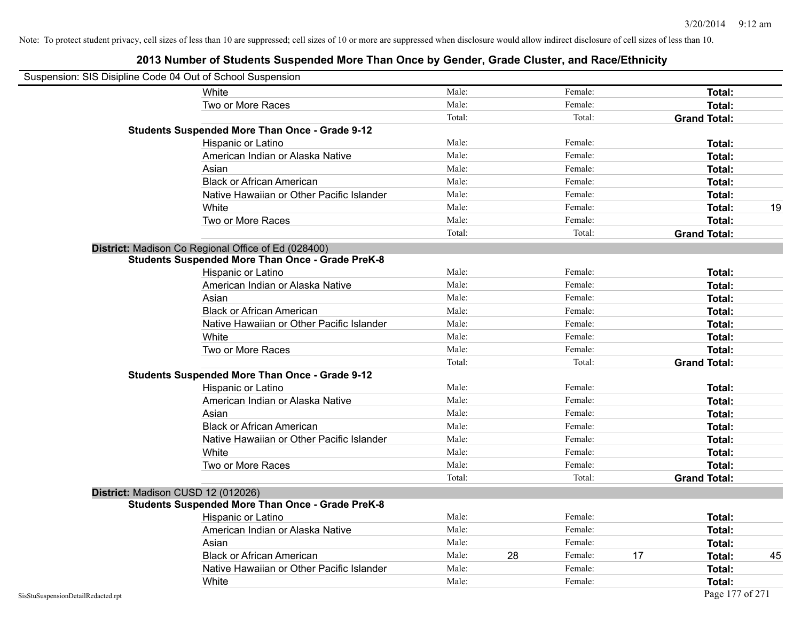| Suspension: SIS Disipline Code 04 Out of School Suspension |                                                         |        |    |         |    |                     |    |
|------------------------------------------------------------|---------------------------------------------------------|--------|----|---------|----|---------------------|----|
|                                                            | White                                                   | Male:  |    | Female: |    | Total:              |    |
|                                                            | Two or More Races                                       | Male:  |    | Female: |    | Total:              |    |
|                                                            |                                                         | Total: |    | Total:  |    | <b>Grand Total:</b> |    |
|                                                            | <b>Students Suspended More Than Once - Grade 9-12</b>   |        |    |         |    |                     |    |
|                                                            | Hispanic or Latino                                      | Male:  |    | Female: |    | Total:              |    |
|                                                            | American Indian or Alaska Native                        | Male:  |    | Female: |    | Total:              |    |
|                                                            | Asian                                                   | Male:  |    | Female: |    | Total:              |    |
|                                                            | <b>Black or African American</b>                        | Male:  |    | Female: |    | Total:              |    |
|                                                            | Native Hawaiian or Other Pacific Islander               | Male:  |    | Female: |    | Total:              |    |
|                                                            | White                                                   | Male:  |    | Female: |    | Total:              | 19 |
|                                                            | Two or More Races                                       | Male:  |    | Female: |    | Total:              |    |
|                                                            |                                                         | Total: |    | Total:  |    | <b>Grand Total:</b> |    |
|                                                            | District: Madison Co Regional Office of Ed (028400)     |        |    |         |    |                     |    |
|                                                            | <b>Students Suspended More Than Once - Grade PreK-8</b> |        |    |         |    |                     |    |
|                                                            | Hispanic or Latino                                      | Male:  |    | Female: |    | Total:              |    |
|                                                            | American Indian or Alaska Native                        | Male:  |    | Female: |    | Total:              |    |
|                                                            | Asian                                                   | Male:  |    | Female: |    | Total:              |    |
|                                                            | <b>Black or African American</b>                        | Male:  |    | Female: |    | Total:              |    |
|                                                            | Native Hawaiian or Other Pacific Islander               | Male:  |    | Female: |    | Total:              |    |
|                                                            | White                                                   | Male:  |    | Female: |    | Total:              |    |
|                                                            | Two or More Races                                       | Male:  |    | Female: |    | Total:              |    |
|                                                            |                                                         | Total: |    | Total:  |    | <b>Grand Total:</b> |    |
|                                                            | <b>Students Suspended More Than Once - Grade 9-12</b>   |        |    |         |    |                     |    |
|                                                            | Hispanic or Latino                                      | Male:  |    | Female: |    | Total:              |    |
|                                                            | American Indian or Alaska Native                        | Male:  |    | Female: |    | Total:              |    |
|                                                            | Asian                                                   | Male:  |    | Female: |    | Total:              |    |
|                                                            | <b>Black or African American</b>                        | Male:  |    | Female: |    | Total:              |    |
|                                                            | Native Hawaiian or Other Pacific Islander               | Male:  |    | Female: |    | Total:              |    |
|                                                            | White                                                   | Male:  |    | Female: |    | Total:              |    |
|                                                            | Two or More Races                                       | Male:  |    | Female: |    | Total:              |    |
|                                                            |                                                         | Total: |    | Total:  |    | <b>Grand Total:</b> |    |
|                                                            | District: Madison CUSD 12 (012026)                      |        |    |         |    |                     |    |
|                                                            | <b>Students Suspended More Than Once - Grade PreK-8</b> |        |    |         |    |                     |    |
|                                                            | Hispanic or Latino                                      | Male:  |    | Female: |    | Total:              |    |
|                                                            | American Indian or Alaska Native                        | Male:  |    | Female: |    | Total:              |    |
|                                                            | Asian                                                   | Male:  |    | Female: |    | Total:              |    |
|                                                            | <b>Black or African American</b>                        | Male:  | 28 | Female: | 17 | Total:              | 45 |
|                                                            | Native Hawaiian or Other Pacific Islander               | Male:  |    | Female: |    | Total:              |    |
|                                                            | White                                                   | Male:  |    | Female: |    | Total:              |    |
| SisStuSuspensionDetailRedacted.rpt                         |                                                         |        |    |         |    | Page 177 of 271     |    |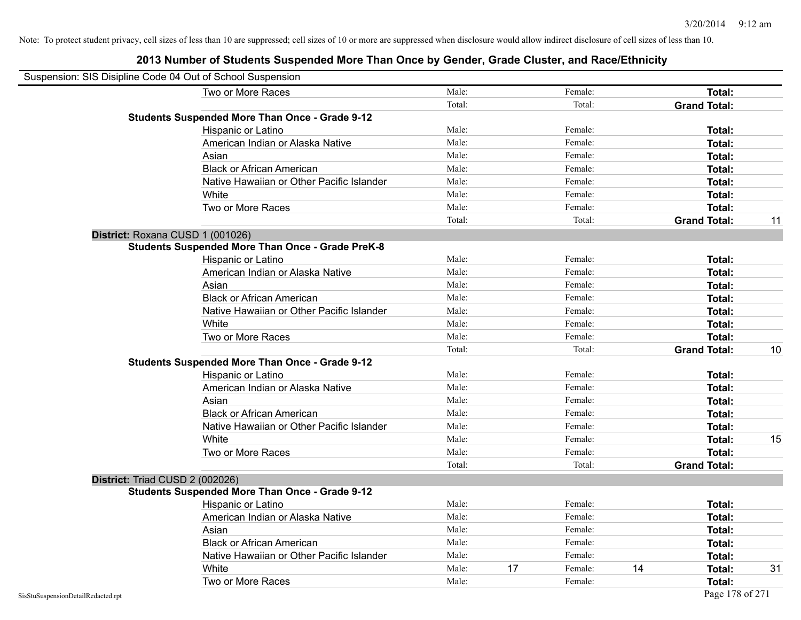| Suspension: SIS Disipline Code 04 Out of School Suspension |                                                         |        |    |         |    |                     |    |
|------------------------------------------------------------|---------------------------------------------------------|--------|----|---------|----|---------------------|----|
|                                                            | Two or More Races                                       | Male:  |    | Female: |    | Total:              |    |
|                                                            |                                                         | Total: |    | Total:  |    | <b>Grand Total:</b> |    |
|                                                            | <b>Students Suspended More Than Once - Grade 9-12</b>   |        |    |         |    |                     |    |
|                                                            | Hispanic or Latino                                      | Male:  |    | Female: |    | Total:              |    |
|                                                            | American Indian or Alaska Native                        | Male:  |    | Female: |    | Total:              |    |
|                                                            | Asian                                                   | Male:  |    | Female: |    | Total:              |    |
|                                                            | <b>Black or African American</b>                        | Male:  |    | Female: |    | Total:              |    |
|                                                            | Native Hawaiian or Other Pacific Islander               | Male:  |    | Female: |    | Total:              |    |
|                                                            | White                                                   | Male:  |    | Female: |    | Total:              |    |
|                                                            | Two or More Races                                       | Male:  |    | Female: |    | Total:              |    |
|                                                            |                                                         | Total: |    | Total:  |    | <b>Grand Total:</b> | 11 |
|                                                            | District: Roxana CUSD 1 (001026)                        |        |    |         |    |                     |    |
|                                                            | <b>Students Suspended More Than Once - Grade PreK-8</b> |        |    |         |    |                     |    |
|                                                            | Hispanic or Latino                                      | Male:  |    | Female: |    | Total:              |    |
|                                                            | American Indian or Alaska Native                        | Male:  |    | Female: |    | Total:              |    |
|                                                            | Asian                                                   | Male:  |    | Female: |    | Total:              |    |
|                                                            | <b>Black or African American</b>                        | Male:  |    | Female: |    | Total:              |    |
|                                                            | Native Hawaiian or Other Pacific Islander               | Male:  |    | Female: |    | Total:              |    |
|                                                            | White                                                   | Male:  |    | Female: |    | Total:              |    |
|                                                            | Two or More Races                                       | Male:  |    | Female: |    | Total:              |    |
|                                                            |                                                         | Total: |    | Total:  |    | <b>Grand Total:</b> | 10 |
|                                                            | <b>Students Suspended More Than Once - Grade 9-12</b>   |        |    |         |    |                     |    |
|                                                            | Hispanic or Latino                                      | Male:  |    | Female: |    | Total:              |    |
|                                                            | American Indian or Alaska Native                        | Male:  |    | Female: |    | Total:              |    |
|                                                            | Asian                                                   | Male:  |    | Female: |    | Total:              |    |
|                                                            | <b>Black or African American</b>                        | Male:  |    | Female: |    | Total:              |    |
|                                                            | Native Hawaiian or Other Pacific Islander               | Male:  |    | Female: |    | Total:              |    |
|                                                            | White                                                   | Male:  |    | Female: |    | Total:              | 15 |
|                                                            | Two or More Races                                       | Male:  |    | Female: |    | Total:              |    |
|                                                            |                                                         | Total: |    | Total:  |    | <b>Grand Total:</b> |    |
| District: Triad CUSD 2 (002026)                            |                                                         |        |    |         |    |                     |    |
|                                                            | <b>Students Suspended More Than Once - Grade 9-12</b>   |        |    |         |    |                     |    |
|                                                            | Hispanic or Latino                                      | Male:  |    | Female: |    | <b>Total:</b>       |    |
|                                                            | American Indian or Alaska Native                        | Male:  |    | Female: |    | Total:              |    |
|                                                            | Asian                                                   | Male:  |    | Female: |    | Total:              |    |
|                                                            | <b>Black or African American</b>                        | Male:  |    | Female: |    | Total:              |    |
|                                                            | Native Hawaiian or Other Pacific Islander               | Male:  |    | Female: |    | Total:              |    |
|                                                            | White                                                   | Male:  | 17 | Female: | 14 | Total:              | 31 |
|                                                            | Two or More Races                                       | Male:  |    | Female: |    | Total:              |    |
| SisStuSuspensionDetailRedacted.rpt                         |                                                         |        |    |         |    | Page 178 of 271     |    |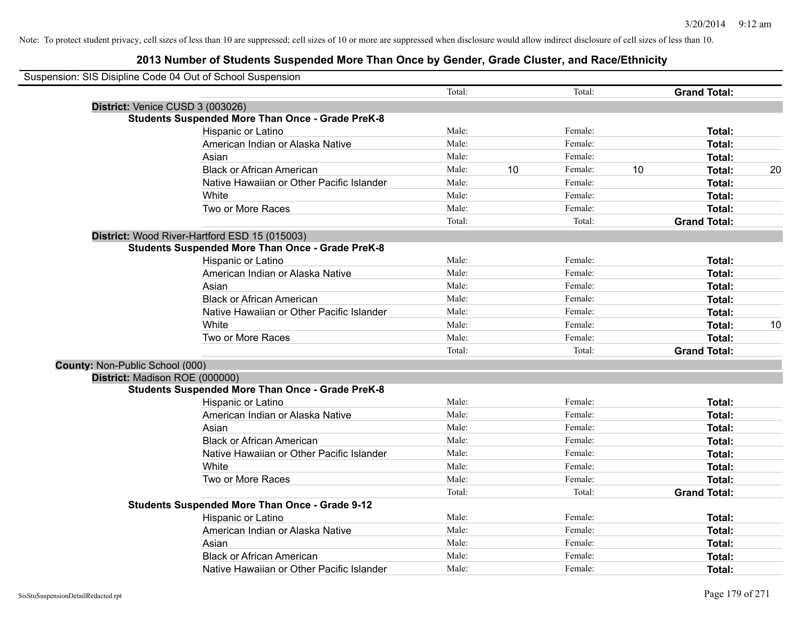|                                 | Suspension: SIS Disipline Code 04 Out of School Suspension |        |    |         |    |                     |    |
|---------------------------------|------------------------------------------------------------|--------|----|---------|----|---------------------|----|
|                                 |                                                            | Total: |    | Total:  |    | <b>Grand Total:</b> |    |
|                                 | District: Venice CUSD 3 (003026)                           |        |    |         |    |                     |    |
|                                 | <b>Students Suspended More Than Once - Grade PreK-8</b>    |        |    |         |    |                     |    |
|                                 | Hispanic or Latino                                         | Male:  |    | Female: |    | Total:              |    |
|                                 | American Indian or Alaska Native                           | Male:  |    | Female: |    | Total:              |    |
|                                 | Asian                                                      | Male:  |    | Female: |    | Total:              |    |
|                                 | <b>Black or African American</b>                           | Male:  | 10 | Female: | 10 | Total:              | 20 |
|                                 | Native Hawaiian or Other Pacific Islander                  | Male:  |    | Female: |    | Total:              |    |
|                                 | White                                                      | Male:  |    | Female: |    | Total:              |    |
|                                 | Two or More Races                                          | Male:  |    | Female: |    | Total:              |    |
|                                 |                                                            | Total: |    | Total:  |    | <b>Grand Total:</b> |    |
|                                 | District: Wood River-Hartford ESD 15 (015003)              |        |    |         |    |                     |    |
|                                 | <b>Students Suspended More Than Once - Grade PreK-8</b>    |        |    |         |    |                     |    |
|                                 | Hispanic or Latino                                         | Male:  |    | Female: |    | Total:              |    |
|                                 | American Indian or Alaska Native                           | Male:  |    | Female: |    | Total:              |    |
|                                 | Asian                                                      | Male:  |    | Female: |    | Total:              |    |
|                                 | <b>Black or African American</b>                           | Male:  |    | Female: |    | Total:              |    |
|                                 | Native Hawaiian or Other Pacific Islander                  | Male:  |    | Female: |    | Total:              |    |
|                                 | White                                                      | Male:  |    | Female: |    | Total:              | 10 |
|                                 | Two or More Races                                          | Male:  |    | Female: |    | Total:              |    |
|                                 |                                                            | Total: |    | Total:  |    | <b>Grand Total:</b> |    |
| County: Non-Public School (000) |                                                            |        |    |         |    |                     |    |
|                                 | District: Madison ROE (000000)                             |        |    |         |    |                     |    |
|                                 | <b>Students Suspended More Than Once - Grade PreK-8</b>    |        |    |         |    |                     |    |
|                                 | Hispanic or Latino                                         | Male:  |    | Female: |    | Total:              |    |
|                                 | American Indian or Alaska Native                           | Male:  |    | Female: |    | Total:              |    |
|                                 | Asian                                                      | Male:  |    | Female: |    | Total:              |    |
|                                 | <b>Black or African American</b>                           | Male:  |    | Female: |    | Total:              |    |
|                                 | Native Hawaiian or Other Pacific Islander                  | Male:  |    | Female: |    | Total:              |    |
|                                 | White                                                      | Male:  |    | Female: |    | Total:              |    |
|                                 | Two or More Races                                          | Male:  |    | Female: |    | Total:              |    |
|                                 |                                                            | Total: |    | Total:  |    | <b>Grand Total:</b> |    |
|                                 | <b>Students Suspended More Than Once - Grade 9-12</b>      |        |    |         |    |                     |    |
|                                 | Hispanic or Latino                                         | Male:  |    | Female: |    | Total:              |    |
|                                 | American Indian or Alaska Native                           | Male:  |    | Female: |    | Total:              |    |
|                                 | Asian                                                      | Male:  |    | Female: |    | Total:              |    |
|                                 | <b>Black or African American</b>                           | Male:  |    | Female: |    | Total:              |    |
|                                 | Native Hawaiian or Other Pacific Islander                  | Male:  |    | Female: |    | Total:              |    |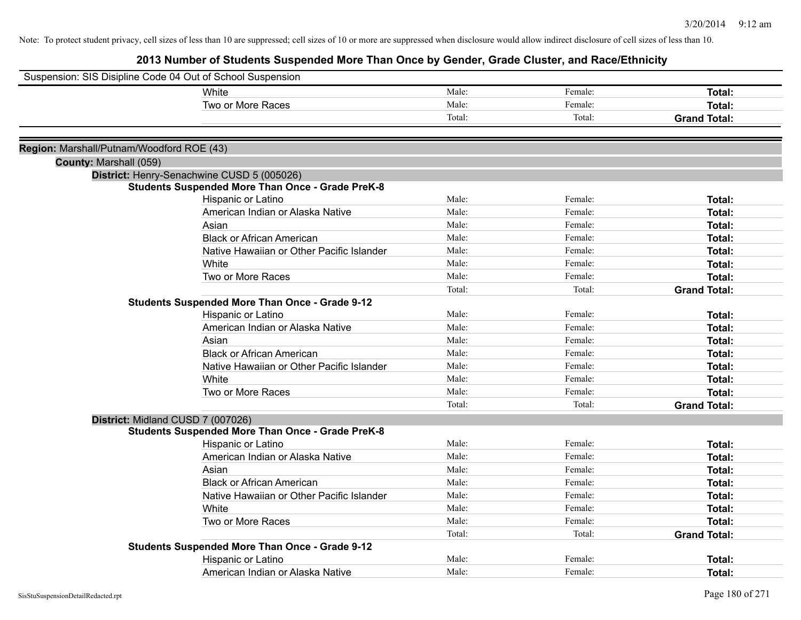| Suspension: SIS Disipline Code 04 Out of School Suspension |                                                                                                       |        |         |                     |
|------------------------------------------------------------|-------------------------------------------------------------------------------------------------------|--------|---------|---------------------|
|                                                            | White                                                                                                 | Male:  | Female: | Total:              |
|                                                            | Two or More Races                                                                                     | Male:  | Female: | Total:              |
|                                                            |                                                                                                       | Total: | Total:  | <b>Grand Total:</b> |
|                                                            |                                                                                                       |        |         |                     |
| Region: Marshall/Putnam/Woodford ROE (43)                  |                                                                                                       |        |         |                     |
| County: Marshall (059)                                     |                                                                                                       |        |         |                     |
|                                                            | District: Henry-Senachwine CUSD 5 (005026)<br><b>Students Suspended More Than Once - Grade PreK-8</b> |        |         |                     |
|                                                            | Hispanic or Latino                                                                                    | Male:  | Female: | Total:              |
|                                                            | American Indian or Alaska Native                                                                      | Male:  | Female: | Total:              |
|                                                            | Asian                                                                                                 | Male:  | Female: | Total:              |
|                                                            | <b>Black or African American</b>                                                                      | Male:  | Female: | Total:              |
|                                                            | Native Hawaiian or Other Pacific Islander                                                             | Male:  | Female: | Total:              |
|                                                            | White                                                                                                 | Male:  | Female: | Total:              |
|                                                            | Two or More Races                                                                                     | Male:  | Female: | Total:              |
|                                                            |                                                                                                       | Total: | Total:  | <b>Grand Total:</b> |
|                                                            | Students Suspended More Than Once - Grade 9-12                                                        |        |         |                     |
|                                                            | Hispanic or Latino                                                                                    | Male:  | Female: | Total:              |
|                                                            | American Indian or Alaska Native                                                                      | Male:  | Female: | Total:              |
|                                                            | Asian                                                                                                 | Male:  | Female: | Total:              |
|                                                            | <b>Black or African American</b>                                                                      | Male:  | Female: | Total:              |
|                                                            | Native Hawaiian or Other Pacific Islander                                                             | Male:  | Female: | Total:              |
|                                                            | White                                                                                                 | Male:  | Female: | Total:              |
|                                                            | Two or More Races                                                                                     | Male:  | Female: | Total:              |
|                                                            |                                                                                                       | Total: | Total:  | <b>Grand Total:</b> |
| District: Midland CUSD 7 (007026)                          |                                                                                                       |        |         |                     |
|                                                            | <b>Students Suspended More Than Once - Grade PreK-8</b>                                               |        |         |                     |
|                                                            | Hispanic or Latino                                                                                    | Male:  | Female: | Total:              |
|                                                            | American Indian or Alaska Native                                                                      | Male:  | Female: | Total:              |
|                                                            | Asian                                                                                                 | Male:  | Female: | Total:              |
|                                                            | <b>Black or African American</b>                                                                      | Male:  | Female: | Total:              |
|                                                            | Native Hawaiian or Other Pacific Islander                                                             | Male:  | Female: | Total:              |
|                                                            | White                                                                                                 | Male:  | Female: | Total:              |
|                                                            | Two or More Races                                                                                     | Male:  | Female: | Total:              |
|                                                            |                                                                                                       | Total: | Total:  | <b>Grand Total:</b> |
|                                                            | Students Suspended More Than Once - Grade 9-12                                                        |        |         |                     |
|                                                            | Hispanic or Latino                                                                                    | Male:  | Female: | Total:              |
|                                                            | American Indian or Alaska Native                                                                      | Male:  | Female: | Total:              |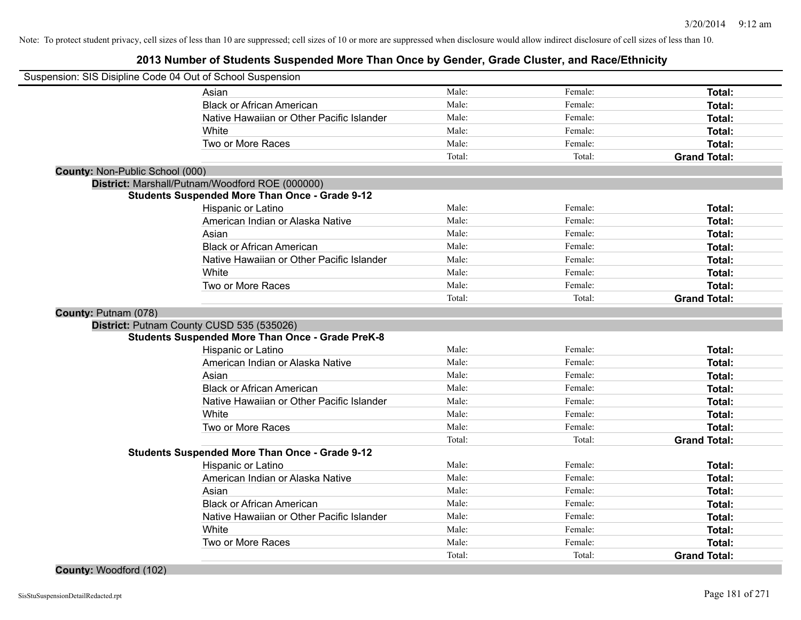| Suspension: SIS Disipline Code 04 Out of School Suspension |                                                         |        |         |                     |
|------------------------------------------------------------|---------------------------------------------------------|--------|---------|---------------------|
|                                                            | Asian                                                   | Male:  | Female: | Total:              |
|                                                            | <b>Black or African American</b>                        | Male:  | Female: | Total:              |
|                                                            | Native Hawaiian or Other Pacific Islander               | Male:  | Female: | Total:              |
|                                                            | White                                                   | Male:  | Female: | Total:              |
|                                                            | Two or More Races                                       | Male:  | Female: | Total:              |
|                                                            |                                                         | Total: | Total:  | <b>Grand Total:</b> |
| County: Non-Public School (000)                            |                                                         |        |         |                     |
|                                                            | District: Marshall/Putnam/Woodford ROE (000000)         |        |         |                     |
|                                                            | <b>Students Suspended More Than Once - Grade 9-12</b>   |        |         |                     |
|                                                            | Hispanic or Latino                                      | Male:  | Female: | Total:              |
|                                                            | American Indian or Alaska Native                        | Male:  | Female: | <b>Total:</b>       |
|                                                            | Asian                                                   | Male:  | Female: | <b>Total:</b>       |
|                                                            | <b>Black or African American</b>                        | Male:  | Female: | <b>Total:</b>       |
|                                                            | Native Hawaiian or Other Pacific Islander               | Male:  | Female: | Total:              |
|                                                            | White                                                   | Male:  | Female: | Total:              |
|                                                            | Two or More Races                                       | Male:  | Female: | Total:              |
|                                                            |                                                         | Total: | Total:  | <b>Grand Total:</b> |
| County: Putnam (078)                                       |                                                         |        |         |                     |
|                                                            | District: Putnam County CUSD 535 (535026)               |        |         |                     |
|                                                            | <b>Students Suspended More Than Once - Grade PreK-8</b> |        |         |                     |
|                                                            | Hispanic or Latino                                      | Male:  | Female: | Total:              |
|                                                            | American Indian or Alaska Native                        | Male:  | Female: | Total:              |
|                                                            | Asian                                                   | Male:  | Female: | Total:              |
|                                                            | <b>Black or African American</b>                        | Male:  | Female: | <b>Total:</b>       |
|                                                            | Native Hawaiian or Other Pacific Islander               | Male:  | Female: | Total:              |
|                                                            | White                                                   | Male:  | Female: | <b>Total:</b>       |
|                                                            | Two or More Races                                       | Male:  | Female: | <b>Total:</b>       |
|                                                            |                                                         | Total: | Total:  | <b>Grand Total:</b> |
|                                                            | <b>Students Suspended More Than Once - Grade 9-12</b>   |        |         |                     |
|                                                            | Hispanic or Latino                                      | Male:  | Female: | Total:              |
|                                                            | American Indian or Alaska Native                        | Male:  | Female: | Total:              |
|                                                            | Asian                                                   | Male:  | Female: | Total:              |
|                                                            | <b>Black or African American</b>                        | Male:  | Female: | <b>Total:</b>       |
|                                                            | Native Hawaiian or Other Pacific Islander               | Male:  | Female: | Total:              |
|                                                            | White                                                   | Male:  | Female: | <b>Total:</b>       |
|                                                            | Two or More Races                                       | Male:  | Female: | <b>Total:</b>       |
|                                                            |                                                         | Total: | Total:  | <b>Grand Total:</b> |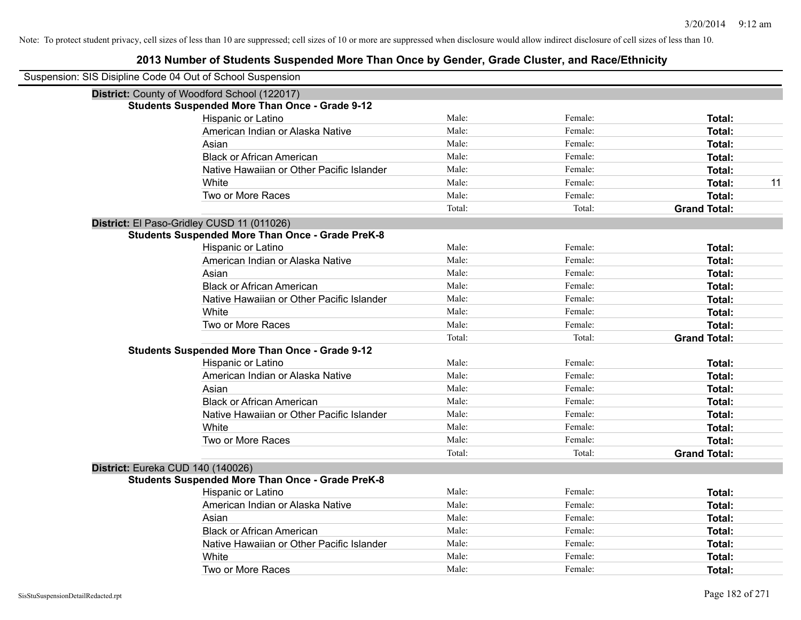| Suspension: SIS Disipline Code 04 Out of School Suspension |                                                         |        |         |                     |
|------------------------------------------------------------|---------------------------------------------------------|--------|---------|---------------------|
|                                                            | District: County of Woodford School (122017)            |        |         |                     |
|                                                            | <b>Students Suspended More Than Once - Grade 9-12</b>   |        |         |                     |
|                                                            | Hispanic or Latino                                      | Male:  | Female: | <b>Total:</b>       |
|                                                            | American Indian or Alaska Native                        | Male:  | Female: | Total:              |
|                                                            | Asian                                                   | Male:  | Female: | <b>Total:</b>       |
|                                                            | <b>Black or African American</b>                        | Male:  | Female: | <b>Total:</b>       |
|                                                            | Native Hawaiian or Other Pacific Islander               | Male:  | Female: | Total:              |
|                                                            | White                                                   | Male:  | Female: | 11<br>Total:        |
|                                                            | Two or More Races                                       | Male:  | Female: | <b>Total:</b>       |
|                                                            |                                                         | Total: | Total:  | <b>Grand Total:</b> |
|                                                            | District: El Paso-Gridley CUSD 11 (011026)              |        |         |                     |
|                                                            | <b>Students Suspended More Than Once - Grade PreK-8</b> |        |         |                     |
|                                                            | Hispanic or Latino                                      | Male:  | Female: | Total:              |
|                                                            | American Indian or Alaska Native                        | Male:  | Female: | <b>Total:</b>       |
|                                                            | Asian                                                   | Male:  | Female: | Total:              |
|                                                            | <b>Black or African American</b>                        | Male:  | Female: | <b>Total:</b>       |
|                                                            | Native Hawaiian or Other Pacific Islander               | Male:  | Female: | <b>Total:</b>       |
|                                                            | White                                                   | Male:  | Female: | Total:              |
|                                                            | Two or More Races                                       | Male:  | Female: | <b>Total:</b>       |
|                                                            |                                                         | Total: | Total:  | <b>Grand Total:</b> |
|                                                            | <b>Students Suspended More Than Once - Grade 9-12</b>   |        |         |                     |
|                                                            | Hispanic or Latino                                      | Male:  | Female: | Total:              |
|                                                            | American Indian or Alaska Native                        | Male:  | Female: | <b>Total:</b>       |
|                                                            | Asian                                                   | Male:  | Female: | <b>Total:</b>       |
|                                                            | <b>Black or African American</b>                        | Male:  | Female: | <b>Total:</b>       |
|                                                            | Native Hawaiian or Other Pacific Islander               | Male:  | Female: | <b>Total:</b>       |
|                                                            | White                                                   | Male:  | Female: | <b>Total:</b>       |
|                                                            | Two or More Races                                       | Male:  | Female: | <b>Total:</b>       |
|                                                            |                                                         | Total: | Total:  | <b>Grand Total:</b> |
| District: Eureka CUD 140 (140026)                          |                                                         |        |         |                     |
|                                                            | <b>Students Suspended More Than Once - Grade PreK-8</b> |        |         |                     |
|                                                            | Hispanic or Latino                                      | Male:  | Female: | Total:              |
|                                                            | American Indian or Alaska Native                        | Male:  | Female: | Total:              |
|                                                            | Asian                                                   | Male:  | Female: | <b>Total:</b>       |
|                                                            | <b>Black or African American</b>                        | Male:  | Female: | Total:              |
|                                                            | Native Hawaiian or Other Pacific Islander               | Male:  | Female: | <b>Total:</b>       |
|                                                            | White                                                   | Male:  | Female: | <b>Total:</b>       |
|                                                            | Two or More Races                                       | Male:  | Female: | Total:              |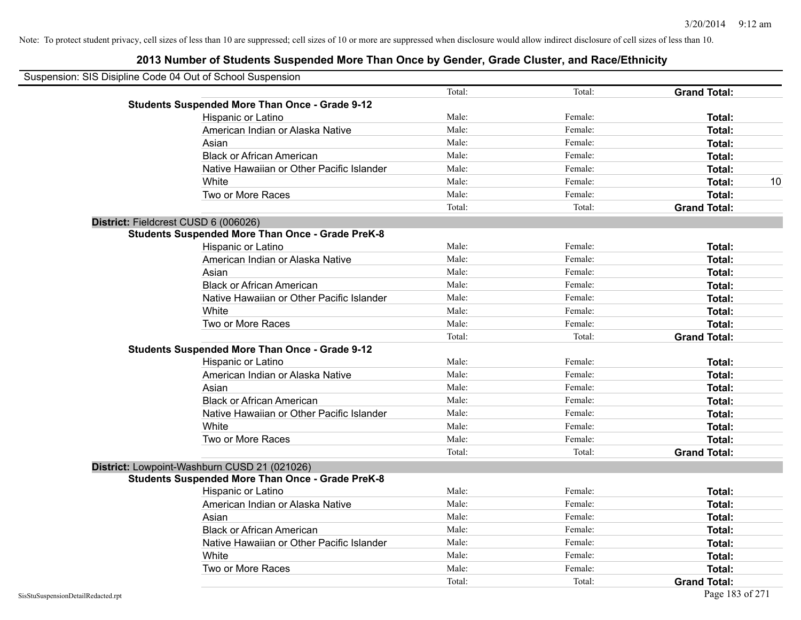| Suspension: SIS Disipline Code 04 Out of School Suspension |                                                         |        |         |                     |    |
|------------------------------------------------------------|---------------------------------------------------------|--------|---------|---------------------|----|
|                                                            |                                                         | Total: | Total:  | <b>Grand Total:</b> |    |
|                                                            | <b>Students Suspended More Than Once - Grade 9-12</b>   |        |         |                     |    |
|                                                            | Hispanic or Latino                                      | Male:  | Female: | Total:              |    |
|                                                            | American Indian or Alaska Native                        | Male:  | Female: | Total:              |    |
|                                                            | Asian                                                   | Male:  | Female: | Total:              |    |
|                                                            | <b>Black or African American</b>                        | Male:  | Female: | Total:              |    |
|                                                            | Native Hawaiian or Other Pacific Islander               | Male:  | Female: | Total:              |    |
|                                                            | White                                                   | Male:  | Female: | Total:              | 10 |
|                                                            | Two or More Races                                       | Male:  | Female: | Total:              |    |
|                                                            |                                                         | Total: | Total:  | <b>Grand Total:</b> |    |
|                                                            | District: Fieldcrest CUSD 6 (006026)                    |        |         |                     |    |
|                                                            | <b>Students Suspended More Than Once - Grade PreK-8</b> |        |         |                     |    |
|                                                            | Hispanic or Latino                                      | Male:  | Female: | Total:              |    |
|                                                            | American Indian or Alaska Native                        | Male:  | Female: | Total:              |    |
|                                                            | Asian                                                   | Male:  | Female: | Total:              |    |
|                                                            | <b>Black or African American</b>                        | Male:  | Female: | Total:              |    |
|                                                            | Native Hawaiian or Other Pacific Islander               | Male:  | Female: | Total:              |    |
|                                                            | White                                                   | Male:  | Female: | Total:              |    |
|                                                            | Two or More Races                                       | Male:  | Female: | Total:              |    |
|                                                            |                                                         | Total: | Total:  | <b>Grand Total:</b> |    |
|                                                            | <b>Students Suspended More Than Once - Grade 9-12</b>   |        |         |                     |    |
|                                                            | Hispanic or Latino                                      | Male:  | Female: | Total:              |    |
|                                                            | American Indian or Alaska Native                        | Male:  | Female: | Total:              |    |
|                                                            | Asian                                                   | Male:  | Female: | Total:              |    |
|                                                            | <b>Black or African American</b>                        | Male:  | Female: | Total:              |    |
|                                                            | Native Hawaiian or Other Pacific Islander               | Male:  | Female: | Total:              |    |
|                                                            | White                                                   | Male:  | Female: | Total:              |    |
|                                                            | Two or More Races                                       | Male:  | Female: | Total:              |    |
|                                                            |                                                         | Total: | Total:  | <b>Grand Total:</b> |    |
|                                                            | District: Lowpoint-Washburn CUSD 21 (021026)            |        |         |                     |    |
|                                                            | <b>Students Suspended More Than Once - Grade PreK-8</b> |        |         |                     |    |
|                                                            | Hispanic or Latino                                      | Male:  | Female: | Total:              |    |
|                                                            | American Indian or Alaska Native                        | Male:  | Female: | Total:              |    |
|                                                            | Asian                                                   | Male:  | Female: | Total:              |    |
|                                                            | <b>Black or African American</b>                        | Male:  | Female: | Total:              |    |
|                                                            | Native Hawaiian or Other Pacific Islander               | Male:  | Female: | Total:              |    |
|                                                            | White                                                   | Male:  | Female: | Total:              |    |
|                                                            | Two or More Races                                       | Male:  | Female: | Total:              |    |
|                                                            |                                                         | Total: | Total:  | <b>Grand Total:</b> |    |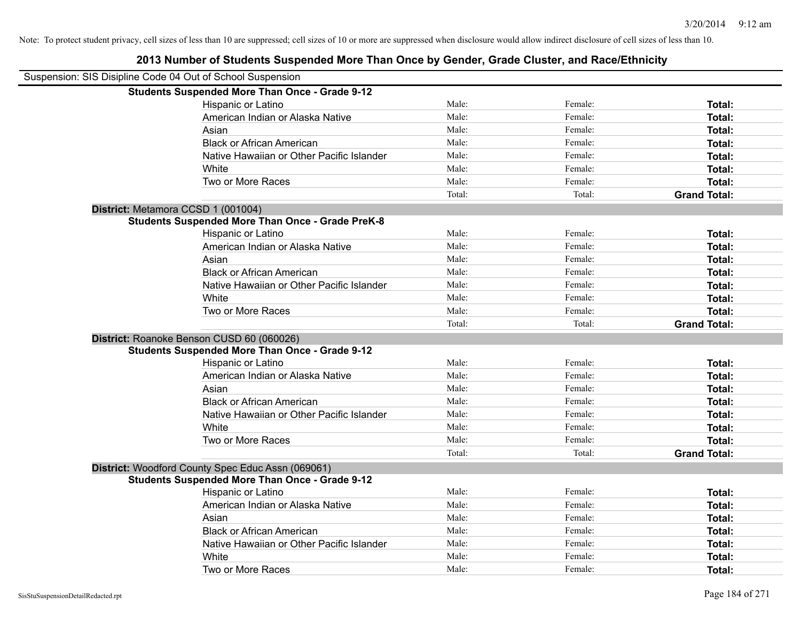| Suspension: SIS Disipline Code 04 Out of School Suspension |        |         |                     |
|------------------------------------------------------------|--------|---------|---------------------|
| <b>Students Suspended More Than Once - Grade 9-12</b>      |        |         |                     |
| Hispanic or Latino                                         | Male:  | Female: | Total:              |
| American Indian or Alaska Native                           | Male:  | Female: | <b>Total:</b>       |
| Asian                                                      | Male:  | Female: | <b>Total:</b>       |
| <b>Black or African American</b>                           | Male:  | Female: | Total:              |
| Native Hawaiian or Other Pacific Islander                  | Male:  | Female: | Total:              |
| White                                                      | Male:  | Female: | Total:              |
| Two or More Races                                          | Male:  | Female: | Total:              |
|                                                            | Total: | Total:  | <b>Grand Total:</b> |
| District: Metamora CCSD 1 (001004)                         |        |         |                     |
| <b>Students Suspended More Than Once - Grade PreK-8</b>    |        |         |                     |
| Hispanic or Latino                                         | Male:  | Female: | Total:              |
| American Indian or Alaska Native                           | Male:  | Female: | Total:              |
| Asian                                                      | Male:  | Female: | <b>Total:</b>       |
| <b>Black or African American</b>                           | Male:  | Female: | Total:              |
| Native Hawaiian or Other Pacific Islander                  | Male:  | Female: | Total:              |
| White                                                      | Male:  | Female: | Total:              |
| Two or More Races                                          | Male:  | Female: | Total:              |
|                                                            | Total: | Total:  | <b>Grand Total:</b> |
| District: Roanoke Benson CUSD 60 (060026)                  |        |         |                     |
| <b>Students Suspended More Than Once - Grade 9-12</b>      |        |         |                     |
| Hispanic or Latino                                         | Male:  | Female: | Total:              |
| American Indian or Alaska Native                           | Male:  | Female: | Total:              |
| Asian                                                      | Male:  | Female: | Total:              |
| <b>Black or African American</b>                           | Male:  | Female: | Total:              |
| Native Hawaiian or Other Pacific Islander                  | Male:  | Female: | Total:              |
| White                                                      | Male:  | Female: | Total:              |
| Two or More Races                                          | Male:  | Female: | Total:              |
|                                                            | Total: | Total:  | <b>Grand Total:</b> |
| District: Woodford County Spec Educ Assn (069061)          |        |         |                     |
| <b>Students Suspended More Than Once - Grade 9-12</b>      |        |         |                     |
| Hispanic or Latino                                         | Male:  | Female: | Total:              |
| American Indian or Alaska Native                           | Male:  | Female: | Total:              |
| Asian                                                      | Male:  | Female: | Total:              |
| <b>Black or African American</b>                           | Male:  | Female: | Total:              |
| Native Hawaiian or Other Pacific Islander                  | Male:  | Female: | Total:              |
| White                                                      | Male:  | Female: | <b>Total:</b>       |
| Two or More Races                                          | Male:  | Female: | Total:              |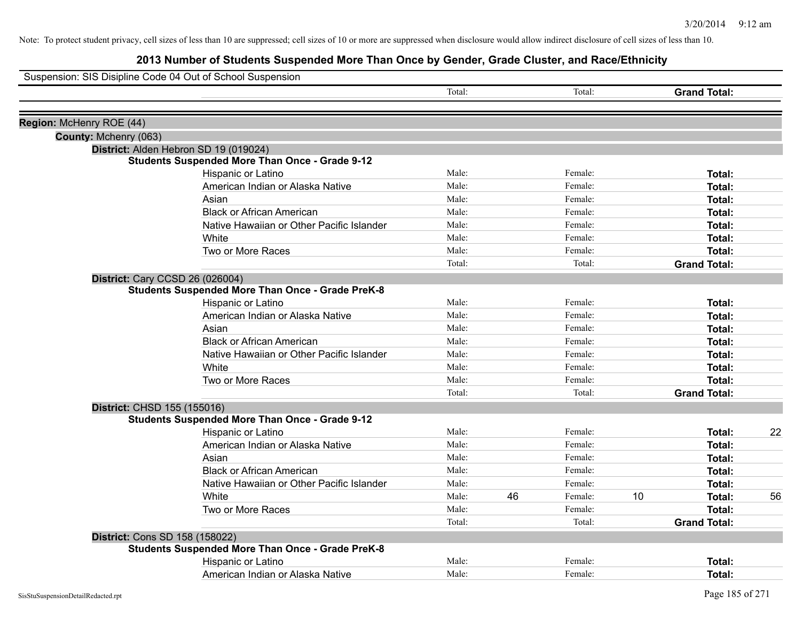|                          | Suspension: SIS Disipline Code 04 Out of School Suspension |        |    |         |    |                     |    |
|--------------------------|------------------------------------------------------------|--------|----|---------|----|---------------------|----|
|                          |                                                            | Total: |    | Total:  |    | <b>Grand Total:</b> |    |
|                          |                                                            |        |    |         |    |                     |    |
| Region: McHenry ROE (44) |                                                            |        |    |         |    |                     |    |
| County: Mchenry (063)    |                                                            |        |    |         |    |                     |    |
|                          | District: Alden Hebron SD 19 (019024)                      |        |    |         |    |                     |    |
|                          | <b>Students Suspended More Than Once - Grade 9-12</b>      |        |    |         |    |                     |    |
|                          | Hispanic or Latino                                         | Male:  |    | Female: |    | Total:              |    |
|                          | American Indian or Alaska Native                           | Male:  |    | Female: |    | Total:              |    |
|                          | Asian                                                      | Male:  |    | Female: |    | <b>Total:</b>       |    |
|                          | <b>Black or African American</b>                           | Male:  |    | Female: |    | <b>Total:</b>       |    |
|                          | Native Hawaiian or Other Pacific Islander                  | Male:  |    | Female: |    | Total:              |    |
|                          | White                                                      | Male:  |    | Female: |    | Total:              |    |
|                          | Two or More Races                                          | Male:  |    | Female: |    | <b>Total:</b>       |    |
|                          |                                                            | Total: |    | Total:  |    | <b>Grand Total:</b> |    |
|                          | <b>District: Cary CCSD 26 (026004)</b>                     |        |    |         |    |                     |    |
|                          | <b>Students Suspended More Than Once - Grade PreK-8</b>    |        |    |         |    |                     |    |
|                          | Hispanic or Latino                                         | Male:  |    | Female: |    | Total:              |    |
|                          | American Indian or Alaska Native                           | Male:  |    | Female: |    | Total:              |    |
|                          | Asian                                                      | Male:  |    | Female: |    | Total:              |    |
|                          | <b>Black or African American</b>                           | Male:  |    | Female: |    | Total:              |    |
|                          | Native Hawaiian or Other Pacific Islander                  | Male:  |    | Female: |    | Total:              |    |
|                          | White                                                      | Male:  |    | Female: |    | <b>Total:</b>       |    |
|                          | Two or More Races                                          | Male:  |    | Female: |    | Total:              |    |
|                          |                                                            | Total: |    | Total:  |    | <b>Grand Total:</b> |    |
|                          | District: CHSD 155 (155016)                                |        |    |         |    |                     |    |
|                          | <b>Students Suspended More Than Once - Grade 9-12</b>      |        |    |         |    |                     |    |
|                          | Hispanic or Latino                                         | Male:  |    | Female: |    | <b>Total:</b>       | 22 |
|                          | American Indian or Alaska Native                           | Male:  |    | Female: |    | Total:              |    |
|                          | Asian                                                      | Male:  |    | Female: |    | Total:              |    |
|                          | <b>Black or African American</b>                           | Male:  |    | Female: |    | Total:              |    |
|                          | Native Hawaiian or Other Pacific Islander                  | Male:  |    | Female: |    | <b>Total:</b>       |    |
|                          | White                                                      | Male:  | 46 | Female: | 10 | Total:              | 56 |
|                          | Two or More Races                                          | Male:  |    | Female: |    | <b>Total:</b>       |    |
|                          |                                                            | Total: |    | Total:  |    | <b>Grand Total:</b> |    |
|                          | District: Cons SD 158 (158022)                             |        |    |         |    |                     |    |
|                          | <b>Students Suspended More Than Once - Grade PreK-8</b>    |        |    |         |    |                     |    |
|                          | Hispanic or Latino                                         | Male:  |    | Female: |    | Total:              |    |
|                          | American Indian or Alaska Native                           | Male:  |    | Female: |    | Total:              |    |
|                          |                                                            |        |    |         |    |                     |    |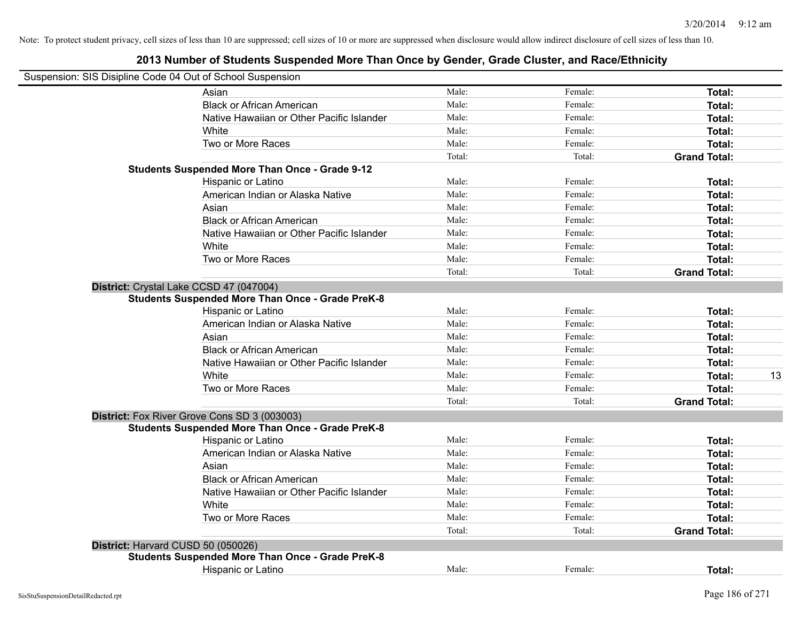| Suspension: SIS Disipline Code 04 Out of School Suspension |        |         |                     |    |
|------------------------------------------------------------|--------|---------|---------------------|----|
| Asian                                                      | Male:  | Female: | Total:              |    |
| <b>Black or African American</b>                           | Male:  | Female: | Total:              |    |
| Native Hawaiian or Other Pacific Islander                  | Male:  | Female: | Total:              |    |
| White                                                      | Male:  | Female: | Total:              |    |
| Two or More Races                                          | Male:  | Female: | Total:              |    |
|                                                            | Total: | Total:  | <b>Grand Total:</b> |    |
| <b>Students Suspended More Than Once - Grade 9-12</b>      |        |         |                     |    |
| Hispanic or Latino                                         | Male:  | Female: | Total:              |    |
| American Indian or Alaska Native                           | Male:  | Female: | Total:              |    |
| Asian                                                      | Male:  | Female: | Total:              |    |
| <b>Black or African American</b>                           | Male:  | Female: | Total:              |    |
| Native Hawaiian or Other Pacific Islander                  | Male:  | Female: | Total:              |    |
| White                                                      | Male:  | Female: | Total:              |    |
| Two or More Races                                          | Male:  | Female: | <b>Total:</b>       |    |
|                                                            | Total: | Total:  | <b>Grand Total:</b> |    |
| District: Crystal Lake CCSD 47 (047004)                    |        |         |                     |    |
| <b>Students Suspended More Than Once - Grade PreK-8</b>    |        |         |                     |    |
| Hispanic or Latino                                         | Male:  | Female: | Total:              |    |
| American Indian or Alaska Native                           | Male:  | Female: | Total:              |    |
| Asian                                                      | Male:  | Female: | Total:              |    |
| <b>Black or African American</b>                           | Male:  | Female: | Total:              |    |
| Native Hawaiian or Other Pacific Islander                  | Male:  | Female: | Total:              |    |
| White                                                      | Male:  | Female: | Total:              | 13 |
| Two or More Races                                          | Male:  | Female: | Total:              |    |
|                                                            | Total: | Total:  | <b>Grand Total:</b> |    |
| District: Fox River Grove Cons SD 3 (003003)               |        |         |                     |    |
| <b>Students Suspended More Than Once - Grade PreK-8</b>    |        |         |                     |    |
| Hispanic or Latino                                         | Male:  | Female: | Total:              |    |
| American Indian or Alaska Native                           | Male:  | Female: | Total:              |    |
| Asian                                                      | Male:  | Female: | Total:              |    |
| <b>Black or African American</b>                           | Male:  | Female: | Total:              |    |
| Native Hawaiian or Other Pacific Islander                  | Male:  | Female: | Total:              |    |
| White                                                      | Male:  | Female: | Total:              |    |
| Two or More Races                                          | Male:  | Female: | Total:              |    |
|                                                            | Total: | Total:  | <b>Grand Total:</b> |    |
| District: Harvard CUSD 50 (050026)                         |        |         |                     |    |
| <b>Students Suspended More Than Once - Grade PreK-8</b>    |        |         |                     |    |
| <b>Hispanic or Latino</b>                                  | Male:  | Female: | Total:              |    |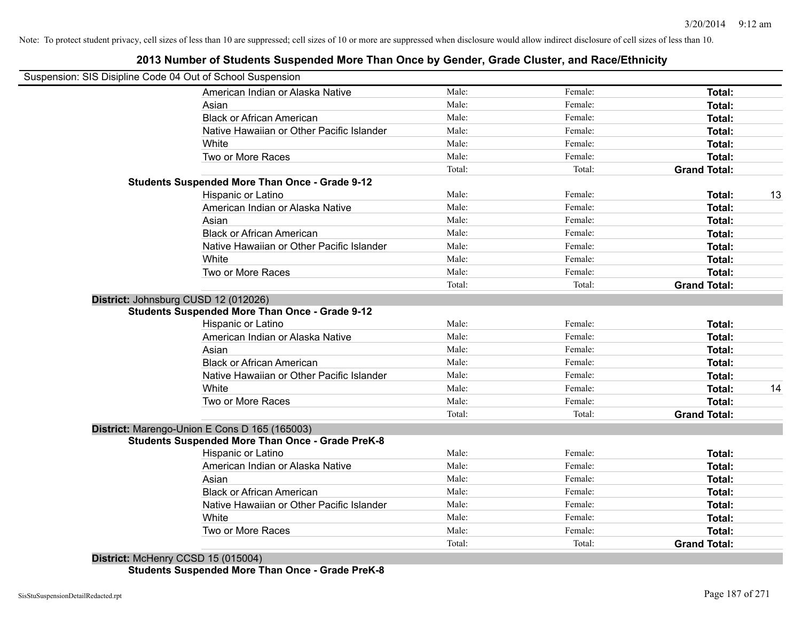# **2013 Number of Students Suspended More Than Once by Gender, Grade Cluster, and Race/Ethnicity**

|                                      | Suspension: SIS Disipline Code 04 Out of School Suspension |                 |                   |                     |    |
|--------------------------------------|------------------------------------------------------------|-----------------|-------------------|---------------------|----|
|                                      | American Indian or Alaska Native                           | Male:           | Female:           | <b>Total:</b>       |    |
|                                      | Asian                                                      | Male:           | Female:           | Total:              |    |
|                                      | <b>Black or African American</b>                           | Male:           | Female:           | Total:              |    |
|                                      | Native Hawaiian or Other Pacific Islander                  | Male:           | Female:           | Total:              |    |
|                                      | White                                                      | Male:           | Female:           | Total:              |    |
|                                      | Two or More Races                                          | Male:           | Female:           | Total:              |    |
|                                      |                                                            | Total:          | Total:            | <b>Grand Total:</b> |    |
|                                      | <b>Students Suspended More Than Once - Grade 9-12</b>      |                 |                   |                     |    |
|                                      | Hispanic or Latino                                         | Male:           | Female:           | Total:              | 13 |
|                                      | American Indian or Alaska Native                           | Male:           | Female:           | Total:              |    |
|                                      | Asian                                                      | Male:           | Female:           | Total:              |    |
|                                      | <b>Black or African American</b>                           | Male:           | Female:           | Total:              |    |
|                                      | Native Hawaiian or Other Pacific Islander                  | Male:           | Female:           | Total:              |    |
|                                      | White                                                      | Male:           | Female:           | Total:              |    |
|                                      | Two or More Races                                          | Male:           | Female:           | Total:              |    |
|                                      |                                                            | Total:          | Total:            | <b>Grand Total:</b> |    |
| District: Johnsburg CUSD 12 (012026) |                                                            |                 |                   |                     |    |
|                                      | <b>Students Suspended More Than Once - Grade 9-12</b>      |                 |                   |                     |    |
|                                      | <b>Hispanic or Latino</b>                                  | Male:           | Female:           | Total:              |    |
|                                      | American Indian or Alaska Native                           | Male:           | Female:           | Total:              |    |
|                                      | Asian                                                      | Male:           | Female:           | Total:              |    |
|                                      | <b>Black or African American</b>                           | Male:           | Female:           | Total:              |    |
|                                      | Native Hawaiian or Other Pacific Islander                  | Male:           | Female:           | Total:              |    |
|                                      | White                                                      | Male:           | Female:           | Total:              | 14 |
|                                      | Two or More Races                                          | Male:           | Female:           | Total:              |    |
|                                      |                                                            | Total:          | Total:            | <b>Grand Total:</b> |    |
|                                      | District: Marengo-Union E Cons D 165 (165003)              |                 |                   |                     |    |
|                                      | <b>Students Suspended More Than Once - Grade PreK-8</b>    |                 |                   |                     |    |
|                                      | Hispanic or Latino                                         | Male:           | Female:           | Total:              |    |
|                                      | American Indian or Alaska Native                           | Male:           | Female:           | Total:              |    |
|                                      | Asian                                                      | Male:           | Female:           | Total:              |    |
|                                      | <b>Black or African American</b>                           | Male:           | Female:           | Total:              |    |
|                                      | Native Hawaiian or Other Pacific Islander                  | Male:           | Female:           | Total:              |    |
|                                      |                                                            |                 |                   |                     |    |
|                                      | White                                                      | Male:           | Female:           | Total:              |    |
|                                      | Two or More Races                                          | Male:<br>Total: | Female:<br>Total: | Total:              |    |

**District:** McHenry CCSD 15 (015004) **Students Suspended More Than Once - Grade PreK-8**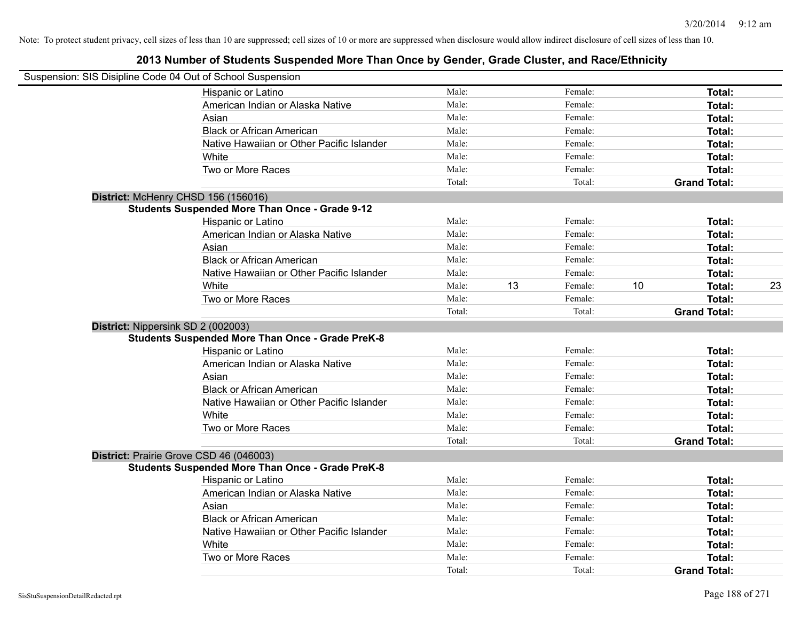| Suspension: SIS Disipline Code 04 Out of School Suspension |        |    |         |    |                     |    |
|------------------------------------------------------------|--------|----|---------|----|---------------------|----|
| Hispanic or Latino                                         | Male:  |    | Female: |    | Total:              |    |
| American Indian or Alaska Native                           | Male:  |    | Female: |    | Total:              |    |
| Asian                                                      | Male:  |    | Female: |    | Total:              |    |
| <b>Black or African American</b>                           | Male:  |    | Female: |    | Total:              |    |
| Native Hawaiian or Other Pacific Islander                  | Male:  |    | Female: |    | Total:              |    |
| White                                                      | Male:  |    | Female: |    | Total:              |    |
| Two or More Races                                          | Male:  |    | Female: |    | Total:              |    |
|                                                            | Total: |    | Total:  |    | <b>Grand Total:</b> |    |
| District: McHenry CHSD 156 (156016)                        |        |    |         |    |                     |    |
| <b>Students Suspended More Than Once - Grade 9-12</b>      |        |    |         |    |                     |    |
| Hispanic or Latino                                         | Male:  |    | Female: |    | Total:              |    |
| American Indian or Alaska Native                           | Male:  |    | Female: |    | Total:              |    |
| Asian                                                      | Male:  |    | Female: |    | Total:              |    |
| <b>Black or African American</b>                           | Male:  |    | Female: |    | Total:              |    |
| Native Hawaiian or Other Pacific Islander                  | Male:  |    | Female: |    | Total:              |    |
| White                                                      | Male:  | 13 | Female: | 10 | Total:              | 23 |
| Two or More Races                                          | Male:  |    | Female: |    | Total:              |    |
|                                                            | Total: |    | Total:  |    | <b>Grand Total:</b> |    |
| District: Nippersink SD 2 (002003)                         |        |    |         |    |                     |    |
| <b>Students Suspended More Than Once - Grade PreK-8</b>    |        |    |         |    |                     |    |
| Hispanic or Latino                                         | Male:  |    | Female: |    | Total:              |    |
| American Indian or Alaska Native                           | Male:  |    | Female: |    | Total:              |    |
| Asian                                                      | Male:  |    | Female: |    | Total:              |    |
| <b>Black or African American</b>                           | Male:  |    | Female: |    | Total:              |    |
| Native Hawaiian or Other Pacific Islander                  | Male:  |    | Female: |    | Total:              |    |
| White                                                      | Male:  |    | Female: |    | Total:              |    |
| Two or More Races                                          | Male:  |    | Female: |    | Total:              |    |
|                                                            | Total: |    | Total:  |    | <b>Grand Total:</b> |    |
| District: Prairie Grove CSD 46 (046003)                    |        |    |         |    |                     |    |
| <b>Students Suspended More Than Once - Grade PreK-8</b>    |        |    |         |    |                     |    |
| Hispanic or Latino                                         | Male:  |    | Female: |    | Total:              |    |
| American Indian or Alaska Native                           | Male:  |    | Female: |    | Total:              |    |
| Asian                                                      | Male:  |    | Female: |    | Total:              |    |
| <b>Black or African American</b>                           | Male:  |    | Female: |    | Total:              |    |
| Native Hawaiian or Other Pacific Islander                  | Male:  |    | Female: |    | Total:              |    |
| White                                                      | Male:  |    | Female: |    | Total:              |    |
| Two or More Races                                          | Male:  |    | Female: |    | Total:              |    |
|                                                            | Total: |    | Total:  |    | <b>Grand Total:</b> |    |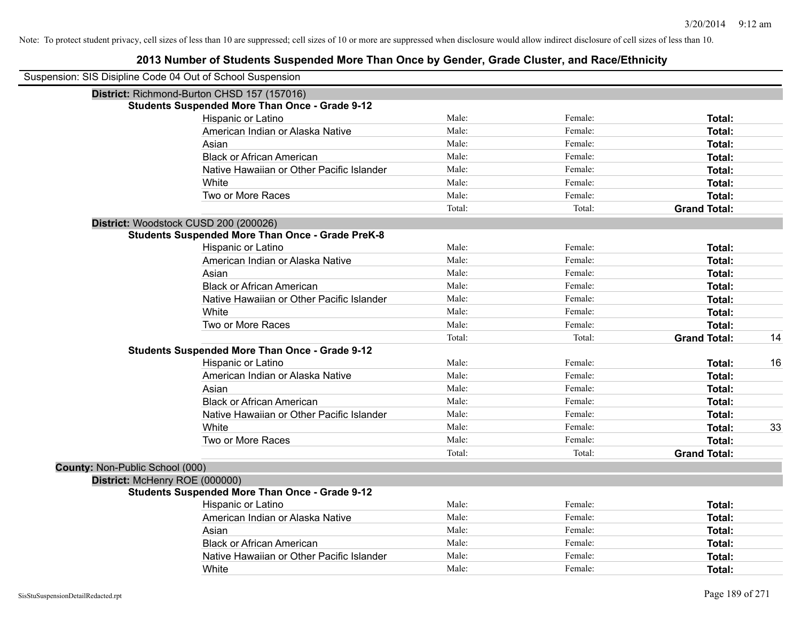| Suspension: SIS Disipline Code 04 Out of School Suspension                                       |        |         |                     |    |
|--------------------------------------------------------------------------------------------------|--------|---------|---------------------|----|
| District: Richmond-Burton CHSD 157 (157016)                                                      |        |         |                     |    |
| <b>Students Suspended More Than Once - Grade 9-12</b><br>Hispanic or Latino                      | Male:  | Female: | Total:              |    |
| American Indian or Alaska Native                                                                 | Male:  | Female: | Total:              |    |
| Asian                                                                                            | Male:  | Female: | Total:              |    |
| <b>Black or African American</b>                                                                 | Male:  | Female: | Total:              |    |
| Native Hawaiian or Other Pacific Islander                                                        | Male:  | Female: | Total:              |    |
| White                                                                                            | Male:  | Female: | Total:              |    |
| Two or More Races                                                                                | Male:  | Female: | Total:              |    |
|                                                                                                  | Total: | Total:  | <b>Grand Total:</b> |    |
|                                                                                                  |        |         |                     |    |
| District: Woodstock CUSD 200 (200026)<br><b>Students Suspended More Than Once - Grade PreK-8</b> |        |         |                     |    |
| Hispanic or Latino                                                                               | Male:  | Female: | Total:              |    |
| American Indian or Alaska Native                                                                 | Male:  | Female: | Total:              |    |
| Asian                                                                                            | Male:  | Female: | Total:              |    |
| <b>Black or African American</b>                                                                 | Male:  | Female: | Total:              |    |
| Native Hawaiian or Other Pacific Islander                                                        | Male:  | Female: | Total:              |    |
| White                                                                                            | Male:  | Female: | Total:              |    |
| Two or More Races                                                                                | Male:  | Female: | Total:              |    |
|                                                                                                  | Total: | Total:  | <b>Grand Total:</b> | 14 |
| <b>Students Suspended More Than Once - Grade 9-12</b>                                            |        |         |                     |    |
| Hispanic or Latino                                                                               | Male:  | Female: | Total:              | 16 |
| American Indian or Alaska Native                                                                 | Male:  | Female: | Total:              |    |
| Asian                                                                                            | Male:  | Female: | Total:              |    |
| <b>Black or African American</b>                                                                 | Male:  | Female: | Total:              |    |
| Native Hawaiian or Other Pacific Islander                                                        | Male:  | Female: | Total:              |    |
| White                                                                                            | Male:  | Female: | Total:              | 33 |
| Two or More Races                                                                                | Male:  | Female: | Total:              |    |
|                                                                                                  | Total: | Total:  | <b>Grand Total:</b> |    |
| County: Non-Public School (000)                                                                  |        |         |                     |    |
| District: McHenry ROE (000000)                                                                   |        |         |                     |    |
| <b>Students Suspended More Than Once - Grade 9-12</b>                                            |        |         |                     |    |
| <b>Hispanic or Latino</b>                                                                        | Male:  | Female: | Total:              |    |
| American Indian or Alaska Native                                                                 | Male:  | Female: | Total:              |    |
| Asian                                                                                            | Male:  | Female: | Total:              |    |
| <b>Black or African American</b>                                                                 | Male:  | Female: | Total:              |    |
| Native Hawaiian or Other Pacific Islander                                                        | Male:  | Female: | Total:              |    |
| White                                                                                            | Male:  | Female: | Total:              |    |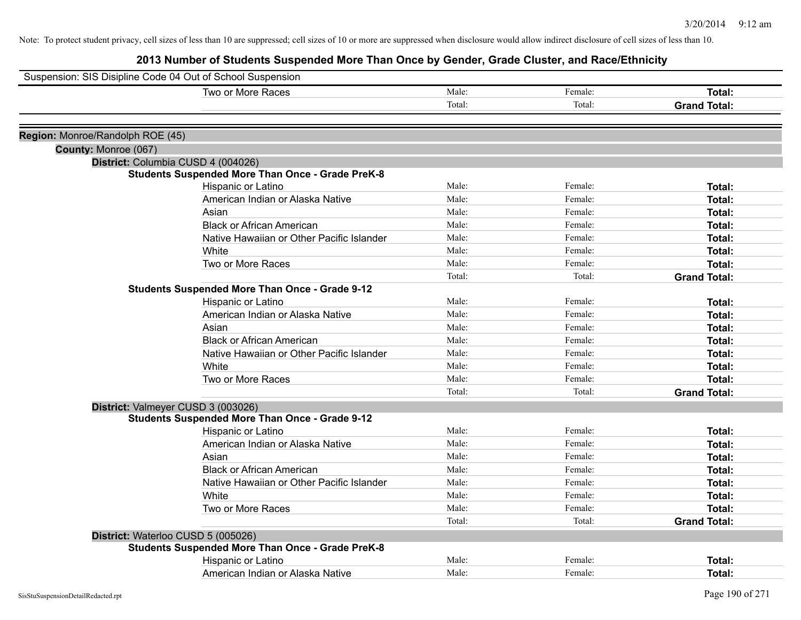| Suspension: SIS Disipline Code 04 Out of School Suspension |                                                         |        |         |                     |
|------------------------------------------------------------|---------------------------------------------------------|--------|---------|---------------------|
|                                                            | Two or More Races                                       | Male:  | Female: | Total:              |
|                                                            |                                                         | Total: | Total:  | <b>Grand Total:</b> |
|                                                            |                                                         |        |         |                     |
| Region: Monroe/Randolph ROE (45)                           |                                                         |        |         |                     |
| County: Monroe (067)                                       |                                                         |        |         |                     |
|                                                            | District: Columbia CUSD 4 (004026)                      |        |         |                     |
|                                                            | <b>Students Suspended More Than Once - Grade PreK-8</b> |        |         |                     |
|                                                            | Hispanic or Latino                                      | Male:  | Female: | Total:              |
|                                                            | American Indian or Alaska Native                        | Male:  | Female: | Total:              |
|                                                            | Asian                                                   | Male:  | Female: | Total:              |
|                                                            | <b>Black or African American</b>                        | Male:  | Female: | Total:              |
|                                                            | Native Hawaiian or Other Pacific Islander               | Male:  | Female: | Total:              |
|                                                            | White                                                   | Male:  | Female: | Total:              |
|                                                            | Two or More Races                                       | Male:  | Female: | Total:              |
|                                                            |                                                         | Total: | Total:  | <b>Grand Total:</b> |
|                                                            | <b>Students Suspended More Than Once - Grade 9-12</b>   |        |         |                     |
|                                                            | Hispanic or Latino                                      | Male:  | Female: | Total:              |
|                                                            | American Indian or Alaska Native                        | Male:  | Female: | Total:              |
|                                                            | Asian                                                   | Male:  | Female: | Total:              |
|                                                            | <b>Black or African American</b>                        | Male:  | Female: | Total:              |
|                                                            | Native Hawaiian or Other Pacific Islander               | Male:  | Female: | Total:              |
|                                                            | White                                                   | Male:  | Female: | Total:              |
|                                                            | Two or More Races                                       | Male:  | Female: | Total:              |
|                                                            |                                                         | Total: | Total:  | <b>Grand Total:</b> |
|                                                            | District: Valmeyer CUSD 3 (003026)                      |        |         |                     |
|                                                            | <b>Students Suspended More Than Once - Grade 9-12</b>   |        |         |                     |
|                                                            | Hispanic or Latino                                      | Male:  | Female: | Total:              |
|                                                            | American Indian or Alaska Native                        | Male:  | Female: | Total:              |
|                                                            | Asian                                                   | Male:  | Female: | Total:              |
|                                                            | <b>Black or African American</b>                        | Male:  | Female: | Total:              |
|                                                            | Native Hawaiian or Other Pacific Islander               | Male:  | Female: | Total:              |
|                                                            | White                                                   | Male:  | Female: | Total:              |
|                                                            | Two or More Races                                       | Male:  | Female: | Total:              |
|                                                            |                                                         | Total: | Total:  | <b>Grand Total:</b> |
|                                                            | District: Waterloo CUSD 5 (005026)                      |        |         |                     |
|                                                            | <b>Students Suspended More Than Once - Grade PreK-8</b> |        |         |                     |
|                                                            | Hispanic or Latino                                      | Male:  | Female: | Total:              |
|                                                            | American Indian or Alaska Native                        | Male:  | Female: | Total:              |
|                                                            |                                                         |        |         |                     |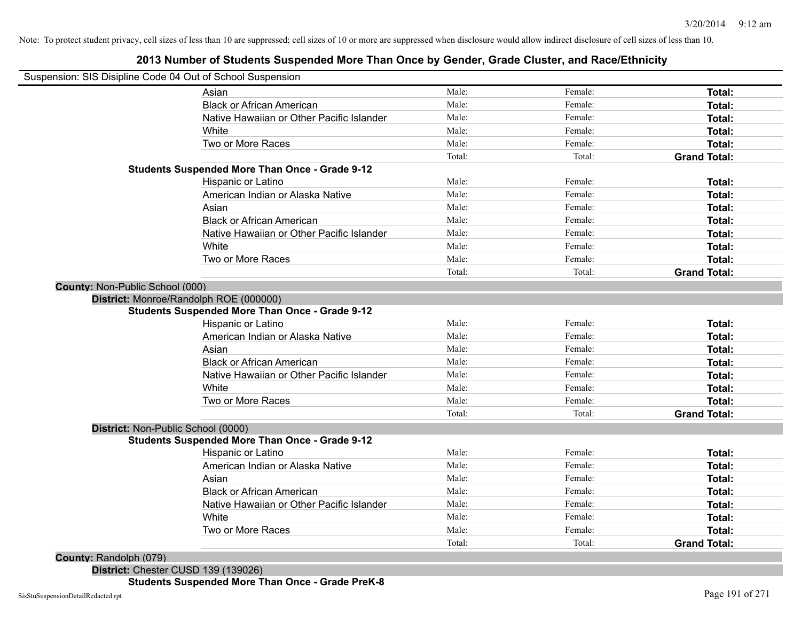#### **2013 Number of Students Suspended More Than Once by Gender, Grade Cluster, and Race/Ethnicity**

| <b>County: Randolph (079)</b>   |                                                                             | Total:         | Total:             | <b>Grand Total:</b> |
|---------------------------------|-----------------------------------------------------------------------------|----------------|--------------------|---------------------|
|                                 | Two or More Races                                                           | Male:          | Female:            | Total:              |
|                                 | White                                                                       | Male:          | Female:            | Total:              |
|                                 | Native Hawaiian or Other Pacific Islander                                   | Male:          | Female:            | Total:              |
|                                 | <b>Black or African American</b>                                            | Male:          | Female:            | Total:              |
|                                 | Asian                                                                       | Male:          | Female:            | Total:              |
|                                 | American Indian or Alaska Native                                            | Male:          | Female:            | Total:              |
|                                 | Hispanic or Latino                                                          | Male:          | Female:            | Total:              |
|                                 | <b>Students Suspended More Than Once - Grade 9-12</b>                       |                |                    |                     |
|                                 | District: Non-Public School (0000)                                          |                |                    |                     |
|                                 |                                                                             | Total:         | Total:             | <b>Grand Total:</b> |
|                                 | Two or More Races                                                           | Male:          | Female:            | Total:              |
|                                 | White                                                                       | Male:          | Female:            | Total:              |
|                                 | Native Hawaiian or Other Pacific Islander                                   | Male:          | Female:            | Total:              |
|                                 | <b>Black or African American</b>                                            | Male:          | Female:            | Total:              |
|                                 | Asian                                                                       | Male:          | Female:            | Total:              |
|                                 | American Indian or Alaska Native                                            | Male:          | Female:            | Total:              |
|                                 | Hispanic or Latino                                                          | Male:          | Female:            | Total:              |
|                                 | <b>Students Suspended More Than Once - Grade 9-12</b>                       |                |                    |                     |
|                                 | District: Monroe/Randolph ROE (000000)                                      |                |                    |                     |
| County: Non-Public School (000) |                                                                             |                |                    |                     |
|                                 |                                                                             | Total:         | Total:             | <b>Grand Total:</b> |
|                                 | Two or More Races                                                           | Male:          | Female:            | Total:              |
|                                 | White                                                                       | Male:          | Female:            | Total:              |
|                                 | Native Hawaiian or Other Pacific Islander                                   | Male:          | Female:            | Total:              |
|                                 | <b>Black or African American</b>                                            | Male:          | Female:            | Total:              |
|                                 | Asian                                                                       | Male:          | Female:            | Total:              |
|                                 | American Indian or Alaska Native                                            | Male:          | Female:            | Total:              |
|                                 | <b>Students Suspended More Than Once - Grade 9-12</b><br>Hispanic or Latino | Male:          | Female:            | Total:              |
|                                 |                                                                             |                |                    | <b>Grand Total:</b> |
|                                 |                                                                             | Total:         | Total:             | Total:              |
|                                 | White<br>Two or More Races                                                  | Male:          | Female:            | Total:              |
|                                 | Native Hawaiian or Other Pacific Islander                                   | Male:<br>Male: | Female:<br>Female: | Total:              |
|                                 | <b>Black or African American</b>                                            | Male:          | Female:            | Total:              |
|                                 | Asian                                                                       | Male:          | Female:            | Total:              |

**District:** Chester CUSD 139 (139026)

**Students Suspended More Than Once - Grade PreK-8**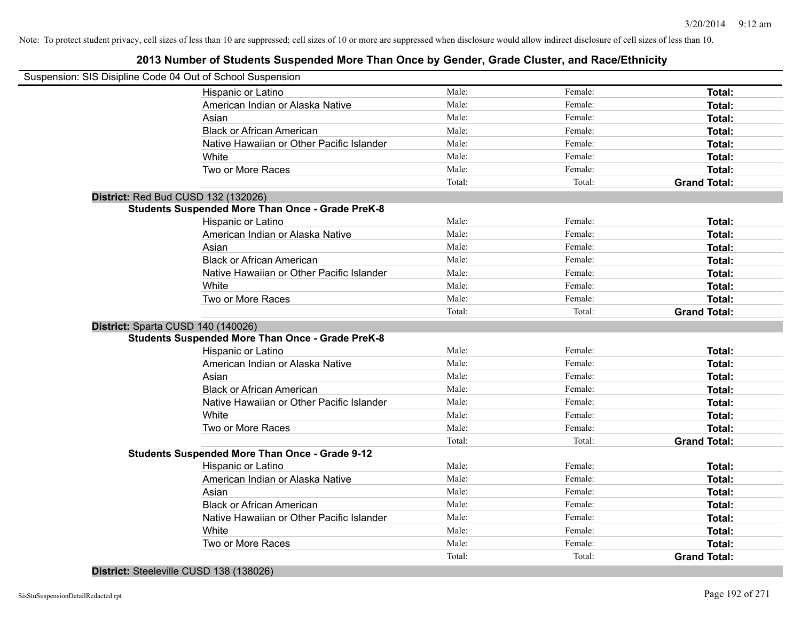#### **2013 Number of Students Suspended More Than Once by Gender, Grade Cluster, and Race/Ethnicity**

| Suspension: SIS Disipline Code 04 Out of School Suspension |        |         |                     |
|------------------------------------------------------------|--------|---------|---------------------|
| Hispanic or Latino                                         | Male:  | Female: | Total:              |
| American Indian or Alaska Native                           | Male:  | Female: | Total:              |
| Asian                                                      | Male:  | Female: | Total:              |
| <b>Black or African American</b>                           | Male:  | Female: | Total:              |
| Native Hawaiian or Other Pacific Islander                  | Male:  | Female: | Total:              |
| White                                                      | Male:  | Female: | Total:              |
| Two or More Races                                          | Male:  | Female: | Total:              |
|                                                            | Total: | Total:  | <b>Grand Total:</b> |
| District: Red Bud CUSD 132 (132026)                        |        |         |                     |
| <b>Students Suspended More Than Once - Grade PreK-8</b>    |        |         |                     |
| Hispanic or Latino                                         | Male:  | Female: | Total:              |
| American Indian or Alaska Native                           | Male:  | Female: | Total:              |
| Asian                                                      | Male:  | Female: | Total:              |
| <b>Black or African American</b>                           | Male:  | Female: | Total:              |
| Native Hawaiian or Other Pacific Islander                  | Male:  | Female: | Total:              |
| White                                                      | Male:  | Female: | <b>Total:</b>       |
| Two or More Races                                          | Male:  | Female: | Total:              |
|                                                            | Total: | Total:  | <b>Grand Total:</b> |
| District: Sparta CUSD 140 (140026)                         |        |         |                     |
| <b>Students Suspended More Than Once - Grade PreK-8</b>    |        |         |                     |
| Hispanic or Latino                                         | Male:  | Female: | Total:              |
| American Indian or Alaska Native                           | Male:  | Female: | Total:              |
| Asian                                                      | Male:  | Female: | Total:              |
| <b>Black or African American</b>                           | Male:  | Female: | Total:              |
| Native Hawaiian or Other Pacific Islander                  | Male:  | Female: | Total:              |
| White                                                      | Male:  | Female: | Total:              |
| Two or More Races                                          | Male:  | Female: | Total:              |
|                                                            | Total: | Total:  | <b>Grand Total:</b> |
| <b>Students Suspended More Than Once - Grade 9-12</b>      |        |         |                     |
| Hispanic or Latino                                         | Male:  | Female: | Total:              |
| American Indian or Alaska Native                           | Male:  | Female: | Total:              |
| Asian                                                      | Male:  | Female: | Total:              |
| <b>Black or African American</b>                           | Male:  | Female: | Total:              |
| Native Hawaiian or Other Pacific Islander                  | Male:  | Female: | Total:              |
| White                                                      | Male:  | Female: | Total:              |
| Two or More Races                                          | Male:  | Female: | <b>Total:</b>       |
|                                                            | Total: | Total:  | <b>Grand Total:</b> |

**District:** Steeleville CUSD 138 (138026)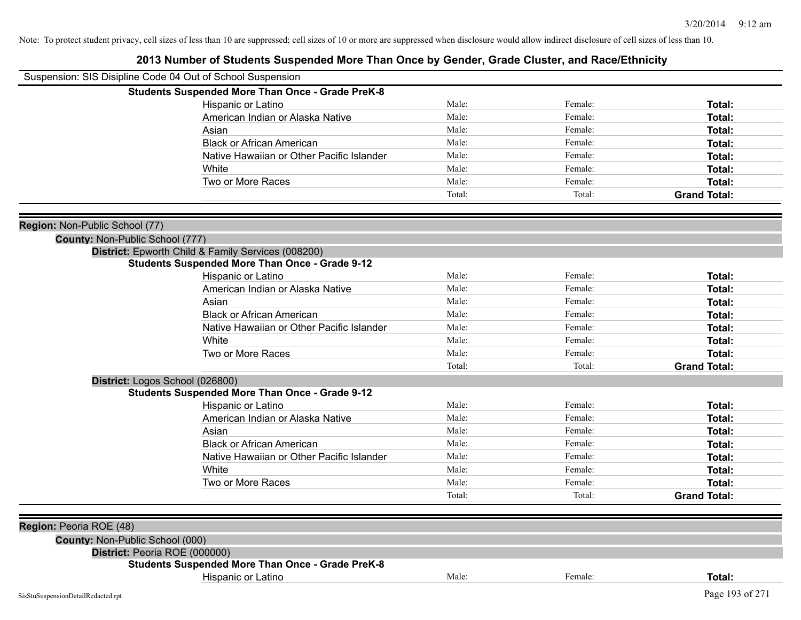| Suspension: SIS Disipline Code 04 Out of School Suspension        |                                                         |        |         |                     |
|-------------------------------------------------------------------|---------------------------------------------------------|--------|---------|---------------------|
|                                                                   | <b>Students Suspended More Than Once - Grade PreK-8</b> |        |         |                     |
|                                                                   | Hispanic or Latino                                      | Male:  | Female: | Total:              |
|                                                                   | American Indian or Alaska Native                        | Male:  | Female: | Total:              |
|                                                                   | Asian                                                   | Male:  | Female: | Total:              |
|                                                                   | <b>Black or African American</b>                        | Male:  | Female: | Total:              |
|                                                                   | Native Hawaiian or Other Pacific Islander               | Male:  | Female: | Total:              |
|                                                                   | White                                                   | Male:  | Female: | Total:              |
|                                                                   | Two or More Races                                       | Male:  | Female: | Total:              |
|                                                                   |                                                         | Total: | Total:  | <b>Grand Total:</b> |
|                                                                   |                                                         |        |         |                     |
| Region: Non-Public School (77)                                    |                                                         |        |         |                     |
| County: Non-Public School (777)                                   | District: Epworth Child & Family Services (008200)      |        |         |                     |
|                                                                   | <b>Students Suspended More Than Once - Grade 9-12</b>   |        |         |                     |
|                                                                   | Hispanic or Latino                                      | Male:  | Female: | Total:              |
|                                                                   | American Indian or Alaska Native                        | Male:  | Female: | Total:              |
|                                                                   | Asian                                                   | Male:  | Female: | Total:              |
|                                                                   | <b>Black or African American</b>                        | Male:  | Female: | Total:              |
|                                                                   | Native Hawaiian or Other Pacific Islander               | Male:  | Female: | Total:              |
|                                                                   | White                                                   | Male:  | Female: | Total:              |
|                                                                   | Two or More Races                                       | Male:  | Female: | <b>Total:</b>       |
|                                                                   |                                                         | Total: | Total:  | <b>Grand Total:</b> |
| District: Logos School (026800)                                   |                                                         |        |         |                     |
|                                                                   | <b>Students Suspended More Than Once - Grade 9-12</b>   |        |         |                     |
|                                                                   | Hispanic or Latino                                      | Male:  | Female: | Total:              |
|                                                                   | American Indian or Alaska Native                        | Male:  | Female: | Total:              |
|                                                                   | Asian                                                   | Male:  | Female: | Total:              |
|                                                                   | <b>Black or African American</b>                        | Male:  | Female: | Total:              |
|                                                                   | Native Hawaiian or Other Pacific Islander               | Male:  | Female: | Total:              |
|                                                                   | White                                                   | Male:  | Female: | Total:              |
|                                                                   | Two or More Races                                       | Male:  | Female: | Total:              |
|                                                                   |                                                         | Total: | Total:  | <b>Grand Total:</b> |
|                                                                   |                                                         |        |         |                     |
| <b>Region: Peoria ROE (48)</b><br>County: Non-Public School (000) |                                                         |        |         |                     |
| District: Peoria ROE (000000)                                     |                                                         |        |         |                     |
|                                                                   | <b>Students Suspended More Than Once - Grade PreK-8</b> |        |         |                     |
|                                                                   | Hispanic or Latino                                      | Male:  | Female: | Total:              |
| SisStuSuspensionDetailRedacted.rpt                                |                                                         |        |         | Page 193 of 271     |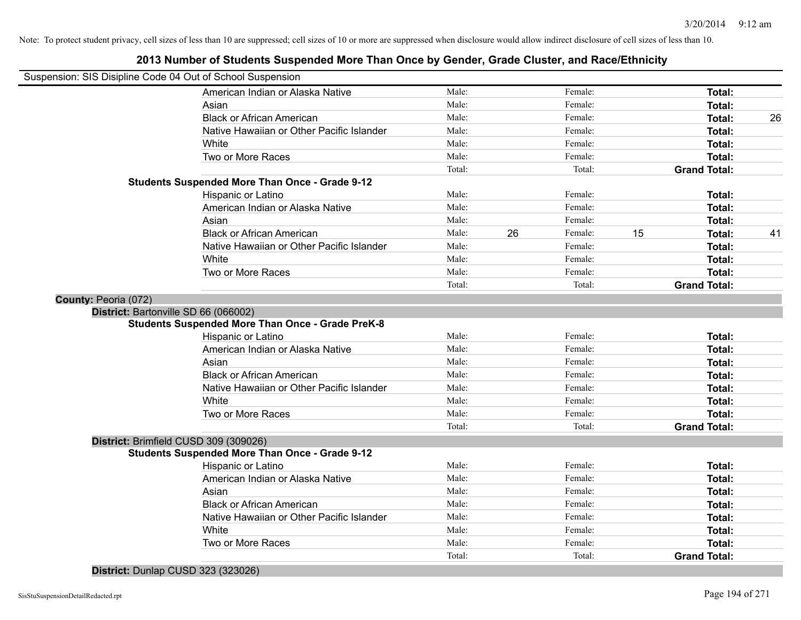|                                                            | zu is number of students suspended more inan Once by Gender, Grade Cluster, and Nace/Lumicity |        |    |         |    |                     |    |
|------------------------------------------------------------|-----------------------------------------------------------------------------------------------|--------|----|---------|----|---------------------|----|
| Suspension: SIS Disipline Code 04 Out of School Suspension |                                                                                               |        |    |         |    |                     |    |
|                                                            | American Indian or Alaska Native                                                              | Male:  |    | Female: |    | Total:              |    |
|                                                            | Asian                                                                                         | Male:  |    | Female: |    | Total:              |    |
|                                                            | <b>Black or African American</b>                                                              | Male:  |    | Female: |    | Total:              | 26 |
|                                                            | Native Hawaiian or Other Pacific Islander                                                     | Male:  |    | Female: |    | Total:              |    |
|                                                            | White                                                                                         | Male:  |    | Female: |    | Total:              |    |
|                                                            | Two or More Races                                                                             | Male:  |    | Female: |    | Total:              |    |
|                                                            |                                                                                               | Total: |    | Total:  |    | <b>Grand Total:</b> |    |
|                                                            | <b>Students Suspended More Than Once - Grade 9-12</b>                                         |        |    |         |    |                     |    |
|                                                            | Hispanic or Latino                                                                            | Male:  |    | Female: |    | Total:              |    |
|                                                            | American Indian or Alaska Native                                                              | Male:  |    | Female: |    | Total:              |    |
|                                                            | Asian                                                                                         | Male:  |    | Female: |    | Total:              |    |
|                                                            | <b>Black or African American</b>                                                              | Male:  | 26 | Female: | 15 | Total:              | 41 |
|                                                            | Native Hawaiian or Other Pacific Islander                                                     | Male:  |    | Female: |    | Total:              |    |
|                                                            | White                                                                                         | Male:  |    | Female: |    | Total:              |    |
|                                                            | Two or More Races                                                                             | Male:  |    | Female: |    | Total:              |    |
|                                                            |                                                                                               | Total: |    | Total:  |    | <b>Grand Total:</b> |    |
| County: Peoria (072)                                       |                                                                                               |        |    |         |    |                     |    |
|                                                            | District: Bartonville SD 66 (066002)                                                          |        |    |         |    |                     |    |
|                                                            | <b>Students Suspended More Than Once - Grade PreK-8</b>                                       |        |    |         |    |                     |    |
|                                                            | Hispanic or Latino                                                                            | Male:  |    | Female: |    | Total:              |    |
|                                                            | American Indian or Alaska Native                                                              | Male:  |    | Female: |    | Total:              |    |
|                                                            | Asian                                                                                         | Male:  |    | Female: |    | Total:              |    |
|                                                            | <b>Black or African American</b>                                                              | Male:  |    | Female: |    | Total:              |    |
|                                                            | Native Hawaiian or Other Pacific Islander                                                     | Male:  |    | Female: |    | Total:              |    |
|                                                            | White                                                                                         | Male:  |    | Female: |    | Total:              |    |
|                                                            | Two or More Races                                                                             | Male:  |    | Female: |    | Total:              |    |
|                                                            |                                                                                               | Total: |    | Total:  |    | <b>Grand Total:</b> |    |
|                                                            | District: Brimfield CUSD 309 (309026)                                                         |        |    |         |    |                     |    |
|                                                            | <b>Students Suspended More Than Once - Grade 9-12</b>                                         |        |    |         |    |                     |    |
|                                                            | Hispanic or Latino                                                                            | Male:  |    | Female: |    | Total:              |    |
|                                                            | American Indian or Alaska Native                                                              | Male:  |    | Female: |    | Total:              |    |
|                                                            | Asian                                                                                         | Male:  |    | Female: |    | Total:              |    |
|                                                            | <b>Black or African American</b>                                                              | Male:  |    | Female: |    | Total:              |    |
|                                                            | Native Hawaiian or Other Pacific Islander                                                     | Male:  |    | Female: |    | Total:              |    |
|                                                            | White                                                                                         | Male:  |    | Female: |    | Total:              |    |
|                                                            | Two or More Races                                                                             | Male:  |    | Female: |    | Total:              |    |
|                                                            |                                                                                               | Total: |    | Total:  |    | <b>Grand Total:</b> |    |
|                                                            |                                                                                               |        |    |         |    |                     |    |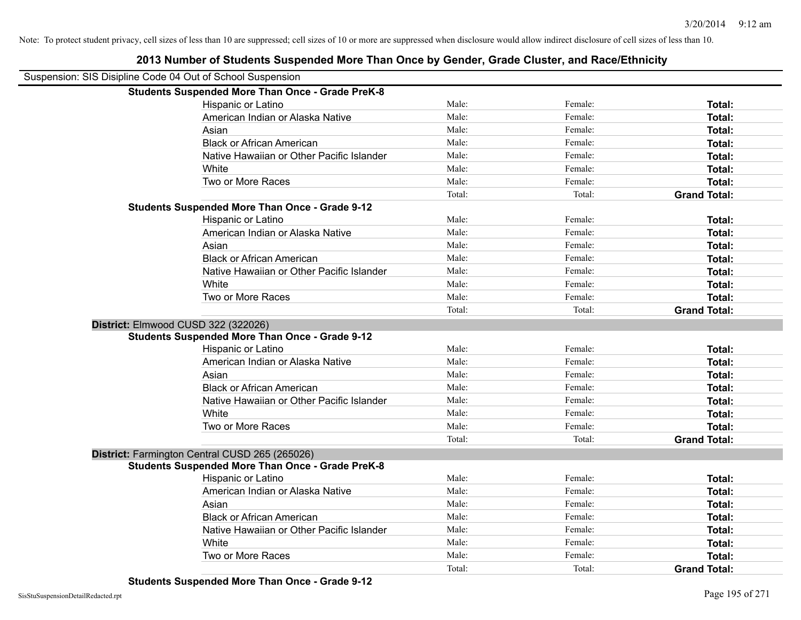| Suspension: SIS Disipline Code 04 Out of School Suspension |                                                         |        |         |                     |
|------------------------------------------------------------|---------------------------------------------------------|--------|---------|---------------------|
|                                                            | <b>Students Suspended More Than Once - Grade PreK-8</b> |        |         |                     |
|                                                            | Hispanic or Latino                                      | Male:  | Female: | Total:              |
|                                                            | American Indian or Alaska Native                        | Male:  | Female: | Total:              |
|                                                            | Asian                                                   | Male:  | Female: | Total:              |
|                                                            | <b>Black or African American</b>                        | Male:  | Female: | Total:              |
|                                                            | Native Hawaiian or Other Pacific Islander               | Male:  | Female: | <b>Total:</b>       |
|                                                            | White                                                   | Male:  | Female: | Total:              |
|                                                            | Two or More Races                                       | Male:  | Female: | <b>Total:</b>       |
|                                                            |                                                         | Total: | Total:  | <b>Grand Total:</b> |
|                                                            | <b>Students Suspended More Than Once - Grade 9-12</b>   |        |         |                     |
|                                                            | Hispanic or Latino                                      | Male:  | Female: | Total:              |
|                                                            | American Indian or Alaska Native                        | Male:  | Female: | Total:              |
|                                                            | Asian                                                   | Male:  | Female: | Total:              |
|                                                            | <b>Black or African American</b>                        | Male:  | Female: | Total:              |
|                                                            | Native Hawaiian or Other Pacific Islander               | Male:  | Female: | Total:              |
|                                                            | White                                                   | Male:  | Female: | Total:              |
|                                                            | Two or More Races                                       | Male:  | Female: | Total:              |
|                                                            |                                                         | Total: | Total:  | <b>Grand Total:</b> |
|                                                            | District: Elmwood CUSD 322 (322026)                     |        |         |                     |
|                                                            | <b>Students Suspended More Than Once - Grade 9-12</b>   |        |         |                     |
|                                                            | Hispanic or Latino                                      | Male:  | Female: | Total:              |
|                                                            | American Indian or Alaska Native                        | Male:  | Female: | Total:              |
|                                                            | Asian                                                   | Male:  | Female: | Total:              |
|                                                            | <b>Black or African American</b>                        | Male:  | Female: | Total:              |
|                                                            | Native Hawaiian or Other Pacific Islander               | Male:  | Female: | Total:              |
|                                                            | White                                                   | Male:  | Female: | Total:              |
|                                                            | Two or More Races                                       | Male:  | Female: | Total:              |
|                                                            |                                                         | Total: | Total:  | <b>Grand Total:</b> |
|                                                            | District: Farmington Central CUSD 265 (265026)          |        |         |                     |
|                                                            | <b>Students Suspended More Than Once - Grade PreK-8</b> |        |         |                     |
|                                                            | Hispanic or Latino                                      | Male:  | Female: | Total:              |
|                                                            | American Indian or Alaska Native                        | Male:  | Female: | Total:              |
|                                                            | Asian                                                   | Male:  | Female: | Total:              |
|                                                            | <b>Black or African American</b>                        | Male:  | Female: | <b>Total:</b>       |
|                                                            | Native Hawaiian or Other Pacific Islander               | Male:  | Female: | Total:              |
|                                                            | White                                                   | Male:  | Female: | Total:              |
|                                                            | Two or More Races                                       | Male:  | Female: | <b>Total:</b>       |
|                                                            |                                                         | Total: | Total:  | <b>Grand Total:</b> |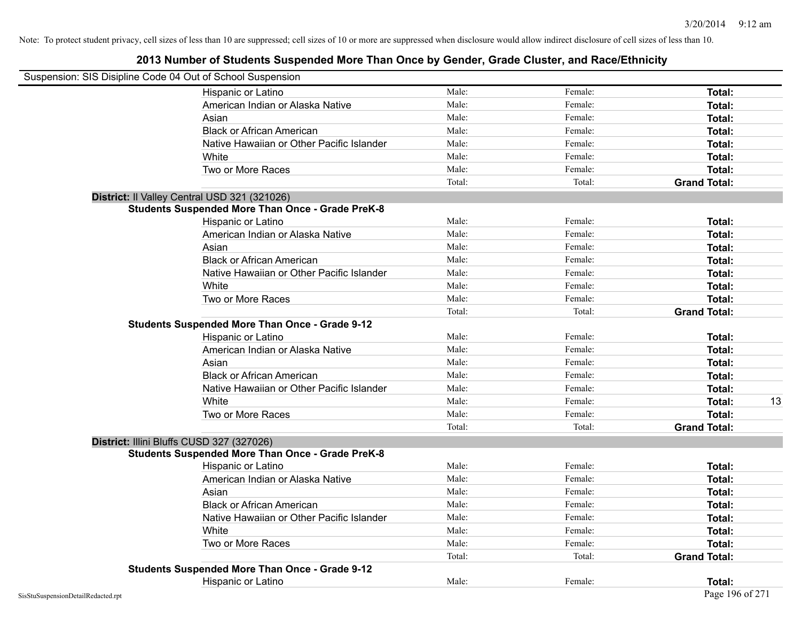| Suspension: SIS Disipline Code 04 Out of School Suspension |                                                         |        |         |                     |    |
|------------------------------------------------------------|---------------------------------------------------------|--------|---------|---------------------|----|
|                                                            | Hispanic or Latino                                      | Male:  | Female: | Total:              |    |
|                                                            | American Indian or Alaska Native                        | Male:  | Female: | Total:              |    |
|                                                            | Asian                                                   | Male:  | Female: | Total:              |    |
|                                                            | <b>Black or African American</b>                        | Male:  | Female: | Total:              |    |
|                                                            | Native Hawaiian or Other Pacific Islander               | Male:  | Female: | Total:              |    |
|                                                            | White                                                   | Male:  | Female: | Total:              |    |
|                                                            | Two or More Races                                       | Male:  | Female: | Total:              |    |
|                                                            |                                                         | Total: | Total:  | <b>Grand Total:</b> |    |
|                                                            | District: Il Valley Central USD 321 (321026)            |        |         |                     |    |
|                                                            | <b>Students Suspended More Than Once - Grade PreK-8</b> |        |         |                     |    |
|                                                            | Hispanic or Latino                                      | Male:  | Female: | Total:              |    |
|                                                            | American Indian or Alaska Native                        | Male:  | Female: | Total:              |    |
|                                                            | Asian                                                   | Male:  | Female: | Total:              |    |
|                                                            | <b>Black or African American</b>                        | Male:  | Female: | Total:              |    |
|                                                            | Native Hawaiian or Other Pacific Islander               | Male:  | Female: | Total:              |    |
|                                                            | White                                                   | Male:  | Female: | Total:              |    |
|                                                            | Two or More Races                                       | Male:  | Female: | Total:              |    |
|                                                            |                                                         | Total: | Total:  | <b>Grand Total:</b> |    |
|                                                            | <b>Students Suspended More Than Once - Grade 9-12</b>   |        |         |                     |    |
|                                                            | <b>Hispanic or Latino</b>                               | Male:  | Female: | Total:              |    |
|                                                            | American Indian or Alaska Native                        | Male:  | Female: | Total:              |    |
|                                                            | Asian                                                   | Male:  | Female: | Total:              |    |
|                                                            | <b>Black or African American</b>                        | Male:  | Female: | <b>Total:</b>       |    |
|                                                            | Native Hawaiian or Other Pacific Islander               | Male:  | Female: | Total:              |    |
|                                                            | White                                                   | Male:  | Female: | Total:              | 13 |
|                                                            | Two or More Races                                       | Male:  | Female: | Total:              |    |
|                                                            |                                                         | Total: | Total:  | <b>Grand Total:</b> |    |
| District: Illini Bluffs CUSD 327 (327026)                  |                                                         |        |         |                     |    |
|                                                            | <b>Students Suspended More Than Once - Grade PreK-8</b> |        |         |                     |    |
|                                                            | Hispanic or Latino                                      | Male:  | Female: | Total:              |    |
|                                                            | American Indian or Alaska Native                        | Male:  | Female: | Total:              |    |
|                                                            | Asian                                                   | Male:  | Female: | Total:              |    |
|                                                            | <b>Black or African American</b>                        | Male:  | Female: | Total:              |    |
|                                                            | Native Hawaiian or Other Pacific Islander               | Male:  | Female: | Total:              |    |
|                                                            | White                                                   | Male:  | Female: | Total:              |    |
|                                                            | Two or More Races                                       | Male:  | Female: | Total:              |    |
|                                                            |                                                         | Total: | Total:  | <b>Grand Total:</b> |    |
|                                                            | <b>Students Suspended More Than Once - Grade 9-12</b>   |        |         |                     |    |
|                                                            | Hispanic or Latino                                      | Male:  | Female: | Total:              |    |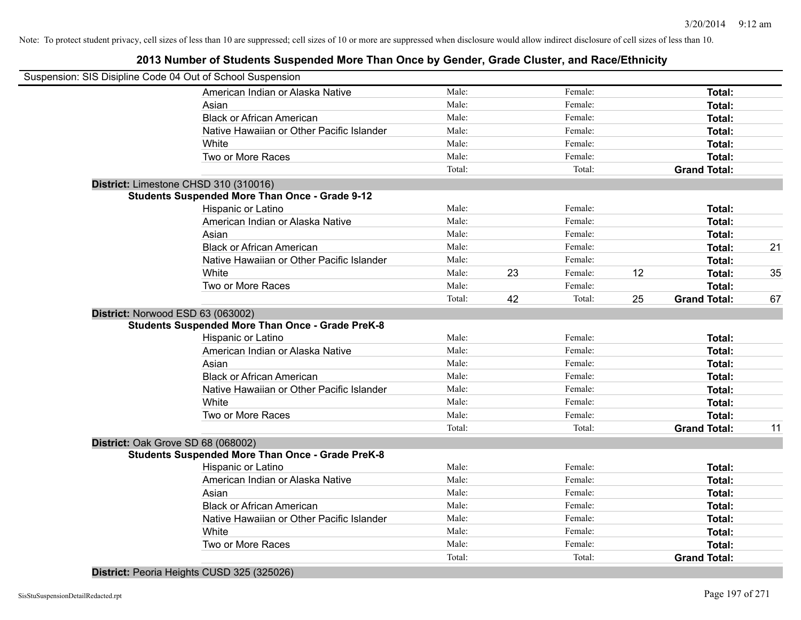#### **2013 Number of Students Suspended More Than Once by Gender, Grade Cluster, and Race/Ethnicity**

| Suspension: SIS Disipline Code 04 Out of School Suspension |        |    |         |    |                     |    |
|------------------------------------------------------------|--------|----|---------|----|---------------------|----|
| American Indian or Alaska Native                           | Male:  |    | Female: |    | Total:              |    |
| Asian                                                      | Male:  |    | Female: |    | Total:              |    |
| <b>Black or African American</b>                           | Male:  |    | Female: |    | Total:              |    |
| Native Hawaiian or Other Pacific Islander                  | Male:  |    | Female: |    | Total:              |    |
| White                                                      | Male:  |    | Female: |    | Total:              |    |
| Two or More Races                                          | Male:  |    | Female: |    | Total:              |    |
|                                                            | Total: |    | Total:  |    | <b>Grand Total:</b> |    |
| District: Limestone CHSD 310 (310016)                      |        |    |         |    |                     |    |
| <b>Students Suspended More Than Once - Grade 9-12</b>      |        |    |         |    |                     |    |
| Hispanic or Latino                                         | Male:  |    | Female: |    | Total:              |    |
| American Indian or Alaska Native                           | Male:  |    | Female: |    | Total:              |    |
| Asian                                                      | Male:  |    | Female: |    | Total:              |    |
| <b>Black or African American</b>                           | Male:  |    | Female: |    | Total:              | 21 |
| Native Hawaiian or Other Pacific Islander                  | Male:  |    | Female: |    | Total:              |    |
| White                                                      | Male:  | 23 | Female: | 12 | Total:              | 35 |
| Two or More Races                                          | Male:  |    | Female: |    | Total:              |    |
|                                                            | Total: | 42 | Total:  | 25 | <b>Grand Total:</b> | 67 |
| District: Norwood ESD 63 (063002)                          |        |    |         |    |                     |    |
| <b>Students Suspended More Than Once - Grade PreK-8</b>    |        |    |         |    |                     |    |
| Hispanic or Latino                                         | Male:  |    | Female: |    | Total:              |    |
| American Indian or Alaska Native                           | Male:  |    | Female: |    | Total:              |    |
| Asian                                                      | Male:  |    | Female: |    | Total:              |    |
| <b>Black or African American</b>                           | Male:  |    | Female: |    | Total:              |    |
| Native Hawaiian or Other Pacific Islander                  | Male:  |    | Female: |    | <b>Total:</b>       |    |
| White                                                      | Male:  |    | Female: |    | Total:              |    |
| Two or More Races                                          | Male:  |    | Female: |    | Total:              |    |
|                                                            | Total: |    | Total:  |    | <b>Grand Total:</b> | 11 |
| District: Oak Grove SD 68 (068002)                         |        |    |         |    |                     |    |
| <b>Students Suspended More Than Once - Grade PreK-8</b>    |        |    |         |    |                     |    |
| Hispanic or Latino                                         | Male:  |    | Female: |    | Total:              |    |
| American Indian or Alaska Native                           | Male:  |    | Female: |    | Total:              |    |
| Asian                                                      | Male:  |    | Female: |    | Total:              |    |
| <b>Black or African American</b>                           | Male:  |    | Female: |    | Total:              |    |
| Native Hawaiian or Other Pacific Islander                  | Male:  |    | Female: |    | Total:              |    |
| White                                                      | Male:  |    | Female: |    | Total:              |    |
| Two or More Races                                          | Male:  |    | Female: |    | Total:              |    |
|                                                            | Total: |    | Total:  |    | <b>Grand Total:</b> |    |
|                                                            |        |    |         |    |                     |    |

**District:** Peoria Heights CUSD 325 (325026)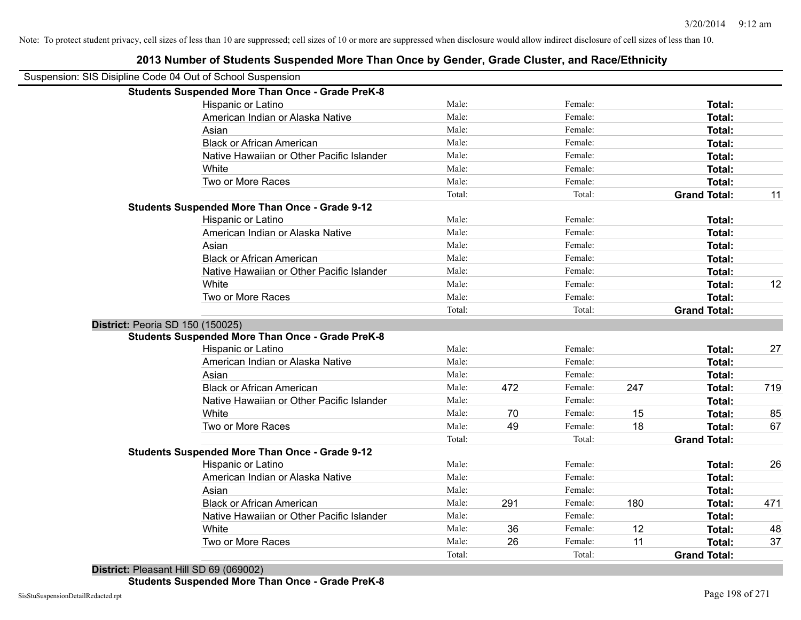| Suspension: SIS Disipline Code 04 Out of School Suspension |                                                         |        |     |         |     |                     |     |
|------------------------------------------------------------|---------------------------------------------------------|--------|-----|---------|-----|---------------------|-----|
|                                                            | <b>Students Suspended More Than Once - Grade PreK-8</b> |        |     |         |     |                     |     |
|                                                            | Hispanic or Latino                                      | Male:  |     | Female: |     | Total:              |     |
|                                                            | American Indian or Alaska Native                        | Male:  |     | Female: |     | Total:              |     |
|                                                            | Asian                                                   | Male:  |     | Female: |     | Total:              |     |
|                                                            | <b>Black or African American</b>                        | Male:  |     | Female: |     | Total:              |     |
|                                                            | Native Hawaiian or Other Pacific Islander               | Male:  |     | Female: |     | Total:              |     |
|                                                            | White                                                   | Male:  |     | Female: |     | Total:              |     |
|                                                            | Two or More Races                                       | Male:  |     | Female: |     | Total:              |     |
|                                                            |                                                         | Total: |     | Total:  |     | <b>Grand Total:</b> | 11  |
|                                                            | <b>Students Suspended More Than Once - Grade 9-12</b>   |        |     |         |     |                     |     |
|                                                            | Hispanic or Latino                                      | Male:  |     | Female: |     | Total:              |     |
|                                                            | American Indian or Alaska Native                        | Male:  |     | Female: |     | Total:              |     |
|                                                            | Asian                                                   | Male:  |     | Female: |     | <b>Total:</b>       |     |
|                                                            | <b>Black or African American</b>                        | Male:  |     | Female: |     | Total:              |     |
|                                                            | Native Hawaiian or Other Pacific Islander               | Male:  |     | Female: |     | Total:              |     |
|                                                            | White                                                   | Male:  |     | Female: |     | Total:              | 12  |
|                                                            | Two or More Races                                       | Male:  |     | Female: |     | Total:              |     |
|                                                            |                                                         | Total: |     | Total:  |     | <b>Grand Total:</b> |     |
| District: Peoria SD 150 (150025)                           |                                                         |        |     |         |     |                     |     |
|                                                            | <b>Students Suspended More Than Once - Grade PreK-8</b> |        |     |         |     |                     |     |
|                                                            | Hispanic or Latino                                      | Male:  |     | Female: |     | Total:              | 27  |
|                                                            | American Indian or Alaska Native                        | Male:  |     | Female: |     | Total:              |     |
|                                                            | Asian                                                   | Male:  |     | Female: |     | Total:              |     |
|                                                            | <b>Black or African American</b>                        | Male:  | 472 | Female: | 247 | Total:              | 719 |
|                                                            | Native Hawaiian or Other Pacific Islander               | Male:  |     | Female: |     | Total:              |     |
|                                                            | White                                                   | Male:  | 70  | Female: | 15  | Total:              | 85  |
|                                                            | Two or More Races                                       | Male:  | 49  | Female: | 18  | Total:              | 67  |
|                                                            |                                                         | Total: |     | Total:  |     | <b>Grand Total:</b> |     |
|                                                            | <b>Students Suspended More Than Once - Grade 9-12</b>   |        |     |         |     |                     |     |
|                                                            | Hispanic or Latino                                      | Male:  |     | Female: |     | Total:              | 26  |
|                                                            | American Indian or Alaska Native                        | Male:  |     | Female: |     | Total:              |     |
|                                                            | Asian                                                   | Male:  |     | Female: |     | Total:              |     |
|                                                            | <b>Black or African American</b>                        | Male:  | 291 | Female: | 180 | Total:              | 471 |
|                                                            | Native Hawaiian or Other Pacific Islander               | Male:  |     | Female: |     | Total:              |     |
|                                                            | White                                                   | Male:  | 36  | Female: | 12  | Total:              | 48  |
|                                                            | Two or More Races                                       | Male:  | 26  | Female: | 11  | Total:              | 37  |
|                                                            |                                                         | Total: |     | Total:  |     | <b>Grand Total:</b> |     |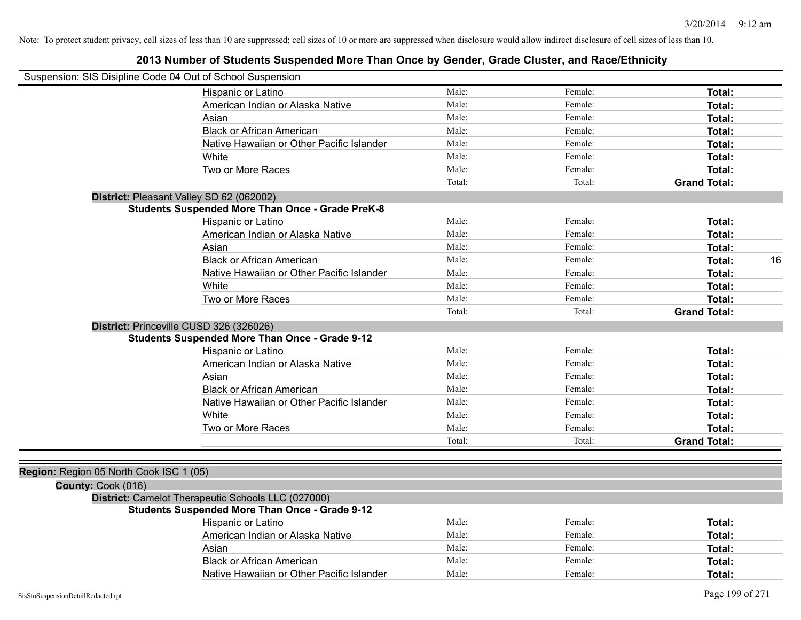| Suspension: SIS Disipline Code 04 Out of School Suspension |                                                         |        |         |                     |
|------------------------------------------------------------|---------------------------------------------------------|--------|---------|---------------------|
|                                                            | Hispanic or Latino                                      | Male:  | Female: | Total:              |
|                                                            | American Indian or Alaska Native                        | Male:  | Female: | Total:              |
|                                                            | Asian                                                   | Male:  | Female: | <b>Total:</b>       |
|                                                            | <b>Black or African American</b>                        | Male:  | Female: | <b>Total:</b>       |
|                                                            | Native Hawaiian or Other Pacific Islander               | Male:  | Female: | Total:              |
|                                                            | White                                                   | Male:  | Female: | Total:              |
|                                                            | Two or More Races                                       | Male:  | Female: | Total:              |
|                                                            |                                                         | Total: | Total:  | <b>Grand Total:</b> |
|                                                            | District: Pleasant Valley SD 62 (062002)                |        |         |                     |
|                                                            | <b>Students Suspended More Than Once - Grade PreK-8</b> |        |         |                     |
|                                                            | Hispanic or Latino                                      | Male:  | Female: | Total:              |
|                                                            | American Indian or Alaska Native                        | Male:  | Female: | Total:              |
|                                                            | Asian                                                   | Male:  | Female: | Total:              |
|                                                            | <b>Black or African American</b>                        | Male:  | Female: | 16<br>Total:        |
|                                                            | Native Hawaiian or Other Pacific Islander               | Male:  | Female: | <b>Total:</b>       |
|                                                            | White                                                   | Male:  | Female: | Total:              |
|                                                            | Two or More Races                                       | Male:  | Female: | Total:              |
|                                                            |                                                         | Total: | Total:  | <b>Grand Total:</b> |
|                                                            | District: Princeville CUSD 326 (326026)                 |        |         |                     |
|                                                            | <b>Students Suspended More Than Once - Grade 9-12</b>   |        |         |                     |
|                                                            | Hispanic or Latino                                      | Male:  | Female: | <b>Total:</b>       |
|                                                            | American Indian or Alaska Native                        | Male:  | Female: | <b>Total:</b>       |
|                                                            | Asian                                                   | Male:  | Female: | Total:              |
|                                                            | <b>Black or African American</b>                        | Male:  | Female: | <b>Total:</b>       |
|                                                            | Native Hawaiian or Other Pacific Islander               | Male:  | Female: | Total:              |
|                                                            | White                                                   | Male:  | Female: | Total:              |
|                                                            | Two or More Races                                       | Male:  | Female: | Total:              |
|                                                            |                                                         | Total: | Total:  | <b>Grand Total:</b> |
|                                                            |                                                         |        |         |                     |
| Region: Region 05 North Cook ISC 1 (05)                    |                                                         |        |         |                     |
| County: Cook (016)                                         |                                                         |        |         |                     |
|                                                            | District: Camelot Therapeutic Schools LLC (027000)      |        |         |                     |
|                                                            | <b>Students Suspended More Than Once - Grade 9-12</b>   |        |         |                     |
|                                                            | Hispanic or Latino                                      | Male:  | Female: | Total:              |
|                                                            | American Indian or Alaska Native                        | Male:  | Female: | <b>Total:</b>       |
|                                                            | Asian                                                   | Male:  | Female: | Total:              |
|                                                            | <b>Black or African American</b>                        | Male:  | Female: | <b>Total:</b>       |
|                                                            | Native Hawaiian or Other Pacific Islander               | Male:  | Female: | Total:              |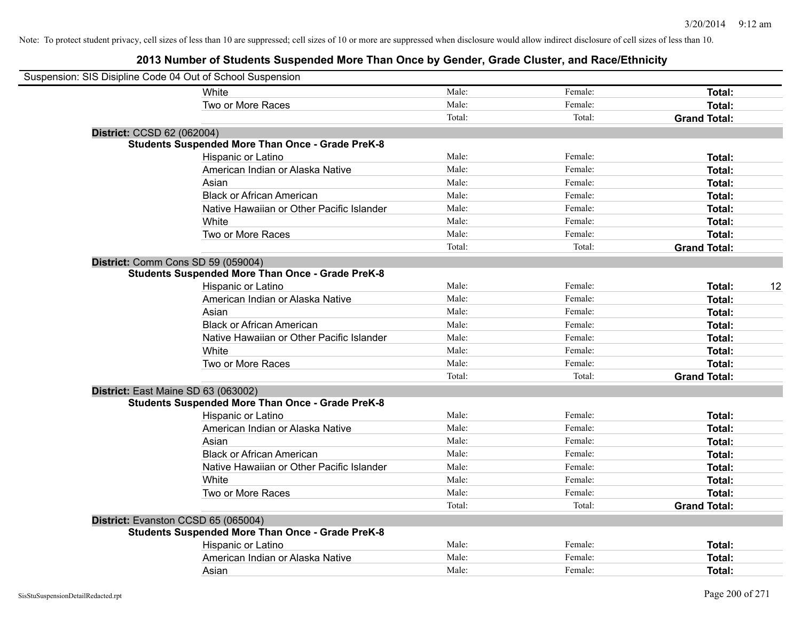| Suspension: SIS Disipline Code 04 Out of School Suspension |                                                         |        |         |                     |    |
|------------------------------------------------------------|---------------------------------------------------------|--------|---------|---------------------|----|
|                                                            | White                                                   | Male:  | Female: | Total:              |    |
|                                                            | Two or More Races                                       | Male:  | Female: | Total:              |    |
|                                                            |                                                         | Total: | Total:  | <b>Grand Total:</b> |    |
| District: CCSD 62 (062004)                                 |                                                         |        |         |                     |    |
|                                                            | <b>Students Suspended More Than Once - Grade PreK-8</b> |        |         |                     |    |
|                                                            | Hispanic or Latino                                      | Male:  | Female: | Total:              |    |
|                                                            | American Indian or Alaska Native                        | Male:  | Female: | Total:              |    |
|                                                            | Asian                                                   | Male:  | Female: | Total:              |    |
|                                                            | <b>Black or African American</b>                        | Male:  | Female: | Total:              |    |
|                                                            | Native Hawaiian or Other Pacific Islander               | Male:  | Female: | Total:              |    |
|                                                            | White                                                   | Male:  | Female: | Total:              |    |
|                                                            | Two or More Races                                       | Male:  | Female: | Total:              |    |
|                                                            |                                                         | Total: | Total:  | <b>Grand Total:</b> |    |
| District: Comm Cons SD 59 (059004)                         |                                                         |        |         |                     |    |
|                                                            | <b>Students Suspended More Than Once - Grade PreK-8</b> |        |         |                     |    |
|                                                            | Hispanic or Latino                                      | Male:  | Female: | Total:              | 12 |
|                                                            | American Indian or Alaska Native                        | Male:  | Female: | Total:              |    |
|                                                            | Asian                                                   | Male:  | Female: | Total:              |    |
|                                                            | <b>Black or African American</b>                        | Male:  | Female: | Total:              |    |
|                                                            | Native Hawaiian or Other Pacific Islander               | Male:  | Female: | Total:              |    |
|                                                            | White                                                   | Male:  | Female: | Total:              |    |
|                                                            | Two or More Races                                       | Male:  | Female: | Total:              |    |
|                                                            |                                                         | Total: | Total:  | <b>Grand Total:</b> |    |
| District: East Maine SD 63 (063002)                        |                                                         |        |         |                     |    |
|                                                            | <b>Students Suspended More Than Once - Grade PreK-8</b> |        |         |                     |    |
|                                                            | Hispanic or Latino                                      | Male:  | Female: | Total:              |    |
|                                                            | American Indian or Alaska Native                        | Male:  | Female: | Total:              |    |
|                                                            | Asian                                                   | Male:  | Female: | Total:              |    |
|                                                            | <b>Black or African American</b>                        | Male:  | Female: | Total:              |    |
|                                                            | Native Hawaiian or Other Pacific Islander               | Male:  | Female: | Total:              |    |
|                                                            | White                                                   | Male:  | Female: | Total:              |    |
|                                                            | Two or More Races                                       | Male:  | Female: | Total:              |    |
|                                                            |                                                         | Total: | Total:  | <b>Grand Total:</b> |    |
| District: Evanston CCSD 65 (065004)                        |                                                         |        |         |                     |    |
|                                                            | <b>Students Suspended More Than Once - Grade PreK-8</b> |        |         |                     |    |
|                                                            | Hispanic or Latino                                      | Male:  | Female: | Total:              |    |
|                                                            | American Indian or Alaska Native                        | Male:  | Female: | Total:              |    |
|                                                            | Asian                                                   | Male:  | Female: | Total:              |    |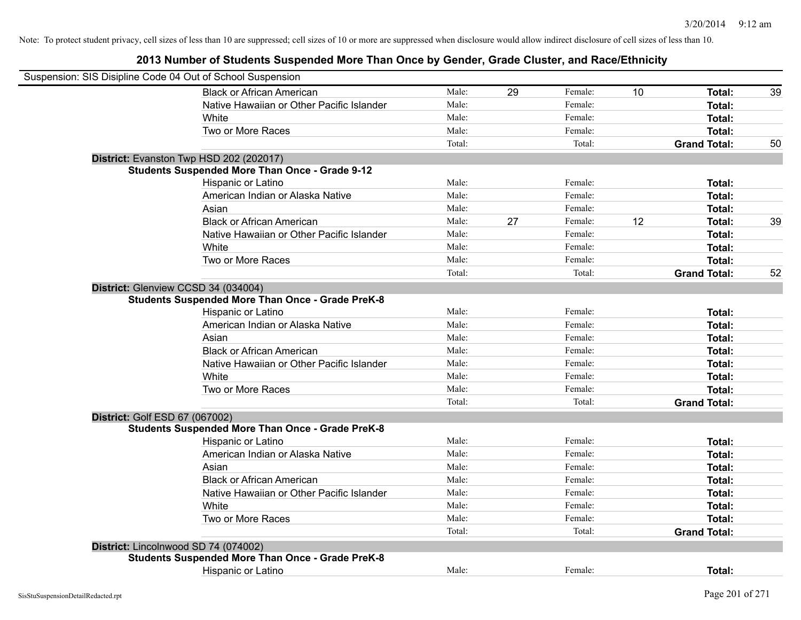| Suspension: SIS Disipline Code 04 Out of School Suspension |        |    |         |    |                     |    |
|------------------------------------------------------------|--------|----|---------|----|---------------------|----|
| <b>Black or African American</b>                           | Male:  | 29 | Female: | 10 | Total:              | 39 |
| Native Hawaiian or Other Pacific Islander                  | Male:  |    | Female: |    | Total:              |    |
| White                                                      | Male:  |    | Female: |    | Total:              |    |
| Two or More Races                                          | Male:  |    | Female: |    | Total:              |    |
|                                                            | Total: |    | Total:  |    | <b>Grand Total:</b> | 50 |
| District: Evanston Twp HSD 202 (202017)                    |        |    |         |    |                     |    |
| <b>Students Suspended More Than Once - Grade 9-12</b>      |        |    |         |    |                     |    |
| Hispanic or Latino                                         | Male:  |    | Female: |    | Total:              |    |
| American Indian or Alaska Native                           | Male:  |    | Female: |    | Total:              |    |
| Asian                                                      | Male:  |    | Female: |    | Total:              |    |
| <b>Black or African American</b>                           | Male:  | 27 | Female: | 12 | Total:              | 39 |
| Native Hawaiian or Other Pacific Islander                  | Male:  |    | Female: |    | Total:              |    |
| White                                                      | Male:  |    | Female: |    | Total:              |    |
| Two or More Races                                          | Male:  |    | Female: |    | Total:              |    |
|                                                            | Total: |    | Total:  |    | <b>Grand Total:</b> | 52 |
| District: Glenview CCSD 34 (034004)                        |        |    |         |    |                     |    |
| <b>Students Suspended More Than Once - Grade PreK-8</b>    |        |    |         |    |                     |    |
| Hispanic or Latino                                         | Male:  |    | Female: |    | Total:              |    |
| American Indian or Alaska Native                           | Male:  |    | Female: |    | Total:              |    |
| Asian                                                      | Male:  |    | Female: |    | Total:              |    |
| <b>Black or African American</b>                           | Male:  |    | Female: |    | Total:              |    |
| Native Hawaiian or Other Pacific Islander                  | Male:  |    | Female: |    | Total:              |    |
| White                                                      | Male:  |    | Female: |    | Total:              |    |
| Two or More Races                                          | Male:  |    | Female: |    | Total:              |    |
|                                                            | Total: |    | Total:  |    | <b>Grand Total:</b> |    |
| District: Golf ESD 67 (067002)                             |        |    |         |    |                     |    |
| <b>Students Suspended More Than Once - Grade PreK-8</b>    |        |    |         |    |                     |    |
| Hispanic or Latino                                         | Male:  |    | Female: |    | Total:              |    |
| American Indian or Alaska Native                           | Male:  |    | Female: |    | Total:              |    |
| Asian                                                      | Male:  |    | Female: |    | Total:              |    |
| <b>Black or African American</b>                           | Male:  |    | Female: |    | Total:              |    |
| Native Hawaiian or Other Pacific Islander                  | Male:  |    | Female: |    | Total:              |    |
| <b>White</b>                                               | Male:  |    | Female: |    | Total:              |    |
| Two or More Races                                          | Male:  |    | Female: |    | Total:              |    |
|                                                            | Total: |    | Total:  |    | <b>Grand Total:</b> |    |
| District: Lincolnwood SD 74 (074002)                       |        |    |         |    |                     |    |
| <b>Students Suspended More Than Once - Grade PreK-8</b>    |        |    |         |    |                     |    |
| <b>Hispanic or Latino</b>                                  | Male:  |    | Female: |    | Total:              |    |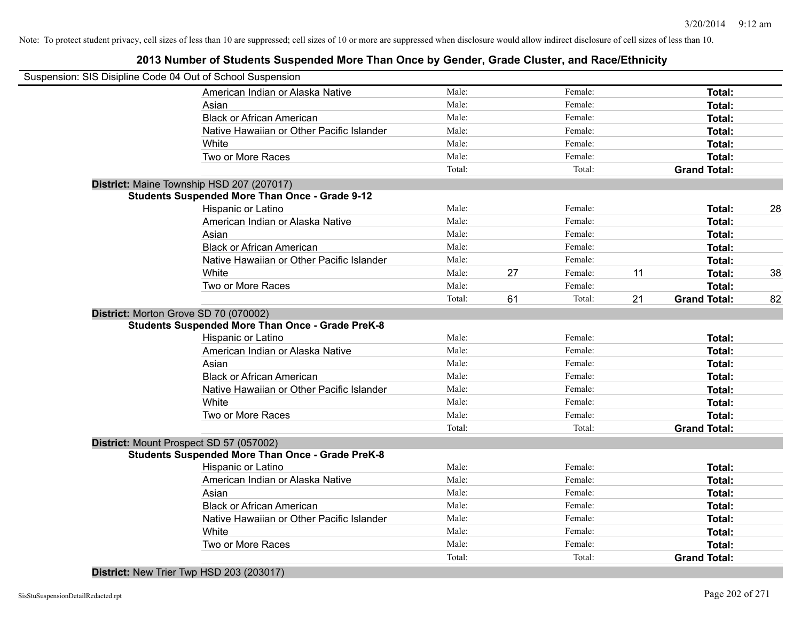#### **2013 Number of Students Suspended More Than Once by Gender, Grade Cluster, and Race/Ethnicity**

| Suspension: SIS Disipline Code 04 Out of School Suspension |        |    |         |    |                     |    |
|------------------------------------------------------------|--------|----|---------|----|---------------------|----|
| American Indian or Alaska Native                           | Male:  |    | Female: |    | Total:              |    |
| Asian                                                      | Male:  |    | Female: |    | Total:              |    |
| <b>Black or African American</b>                           | Male:  |    | Female: |    | Total:              |    |
| Native Hawaiian or Other Pacific Islander                  | Male:  |    | Female: |    | Total:              |    |
| White                                                      | Male:  |    | Female: |    | Total:              |    |
| Two or More Races                                          | Male:  |    | Female: |    | Total:              |    |
|                                                            | Total: |    | Total:  |    | <b>Grand Total:</b> |    |
| District: Maine Township HSD 207 (207017)                  |        |    |         |    |                     |    |
| <b>Students Suspended More Than Once - Grade 9-12</b>      |        |    |         |    |                     |    |
| Hispanic or Latino                                         | Male:  |    | Female: |    | Total:              | 28 |
| American Indian or Alaska Native                           | Male:  |    | Female: |    | Total:              |    |
| Asian                                                      | Male:  |    | Female: |    | Total:              |    |
| <b>Black or African American</b>                           | Male:  |    | Female: |    | Total:              |    |
| Native Hawaiian or Other Pacific Islander                  | Male:  |    | Female: |    | Total:              |    |
| White                                                      | Male:  | 27 | Female: | 11 | Total:              | 38 |
| Two or More Races                                          | Male:  |    | Female: |    | Total:              |    |
|                                                            | Total: | 61 | Total:  | 21 | <b>Grand Total:</b> | 82 |
| District: Morton Grove SD 70 (070002)                      |        |    |         |    |                     |    |
| <b>Students Suspended More Than Once - Grade PreK-8</b>    |        |    |         |    |                     |    |
| Hispanic or Latino                                         | Male:  |    | Female: |    | Total:              |    |
| American Indian or Alaska Native                           | Male:  |    | Female: |    | Total:              |    |
| Asian                                                      | Male:  |    | Female: |    | Total:              |    |
| <b>Black or African American</b>                           | Male:  |    | Female: |    | Total:              |    |
| Native Hawaiian or Other Pacific Islander                  | Male:  |    | Female: |    | Total:              |    |
| White                                                      | Male:  |    | Female: |    | Total:              |    |
| Two or More Races                                          | Male:  |    | Female: |    | Total:              |    |
|                                                            | Total: |    | Total:  |    | <b>Grand Total:</b> |    |
| District: Mount Prospect SD 57 (057002)                    |        |    |         |    |                     |    |
| <b>Students Suspended More Than Once - Grade PreK-8</b>    |        |    |         |    |                     |    |
| Hispanic or Latino                                         | Male:  |    | Female: |    | Total:              |    |
| American Indian or Alaska Native                           | Male:  |    | Female: |    | Total:              |    |
| Asian                                                      | Male:  |    | Female: |    | Total:              |    |
| <b>Black or African American</b>                           | Male:  |    | Female: |    | Total:              |    |
| Native Hawaiian or Other Pacific Islander                  | Male:  |    | Female: |    | Total:              |    |
| White                                                      | Male:  |    | Female: |    | Total:              |    |
| Two or More Races                                          | Male:  |    | Female: |    | <b>Total:</b>       |    |
|                                                            | Total: |    | Total:  |    | <b>Grand Total:</b> |    |

**District:** New Trier Twp HSD 203 (203017)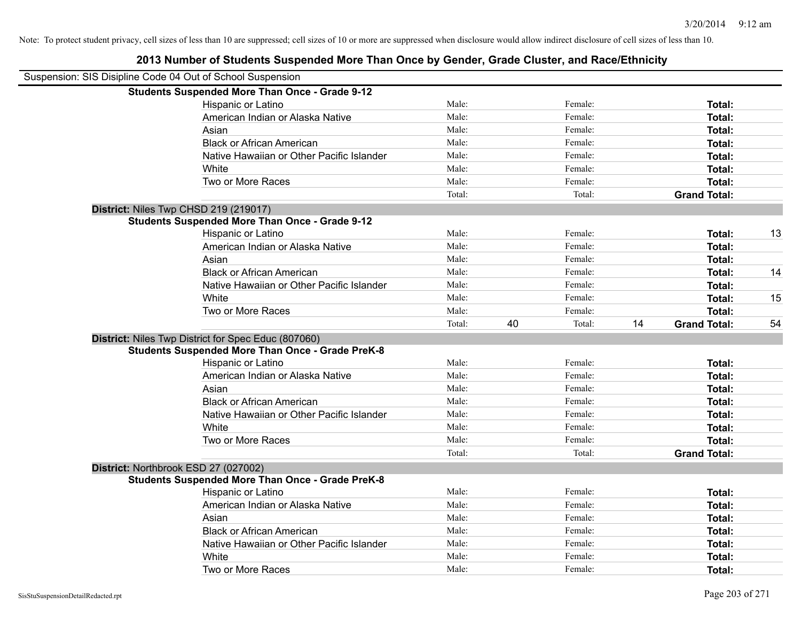## Suspension: SIS Disipline Code 04 Out of School Suspension **Students Suspended More Than Once - Grade 9-12** Hispanic or Latino **Finale:** Female: **Female:** Female: **Total:** Female: **Total:** Female: **Female:** Female: **Total:** Female: **Female:** Female: **Female:** Female: **Female:** Female: **Female:** Female: **Female:** Female: **Female:** American Indian or Alaska Native **Male:** Male: Female: Female: **Total:** Total: Asian **Asian Male:** Female: **Total:** Female: **Total:** Female: **Total:** Female: **Total:** Total: Black or African American **Figure 1.1 and Total:** Male: Female: Female: **Total:** Total: Native Hawaiian or Other Pacific Islander Male: Total: Female: Female: Total: Total: White **Total:** Male: **Female:** Female: **Total:** Total: **Total:** Female: **Total:** Total: **Total:** Total: **Total:** Total: **Total:** Total: **Total:** Total: **Total:** Total: **Total:** Total: **Total:** Total: **Total:** Total: **Total** Two or More Races **Total:** Total: Male: Female: Female: **Total:** Total: Total: Total: **Grand Total: District:** Niles Twp CHSD 219 (219017) **Students Suspended More Than Once - Grade 9-12** Hispanic or Latino **Male:** Male: **Female:** Female: **Total: 13** American Indian or Alaska Native **Male:** Male: Female: Female: **Total:** Total: Asian Male: Female: **Total:** Black or African American **Male:** Male: The Female: Total: 14 and Total: 14 and Total: 14 and Total: 14 and Total: 14 and Total: 14 and Total: 14 and Total: 14 and Total: 14 and Total: 14 and Total: 14 and Total: 14 and To Native Hawaiian or Other Pacific Islander **Male:** Male: Female: Female: **Total:** Total: White **Male:** Male: **Total: 15** Male: **Total: 15** Male: **Total: 15** Two or More Races **Total:** Total: Male: Female: Female: **Total:** Total: Total: 40 Total: 14 **Grand Total:** 54 **District:** Niles Twp District for Spec Educ (807060) **Students Suspended More Than Once - Grade PreK-8** Hispanic or Latino **Finally Hispanic or Latino** *Total:* Male: Female: **Female: Total: Total: Total:** American Indian or Alaska Native **Male:** Male: Female: Female: **Total:** Total: Asian **Male:** Female: **Total:** Total: **Total:** Female: **Total:** Total: **Total:** Total: Total: Total: Total: Total: Total: Total: Total: Total: Total: Total: Total: Total: Total: Total: Total: Total: Total: Total: Total: To Black or African American **Male:** Male: Female: Female: **Total:** Total: **Total:** Female: **Total:** Total: **Female:** Total: **Total:** Total: **Total:** Total: **Total:** Total: **Total:** Total: **Total:** Total: **Total:** Total: **Tot** Native Hawaiian or Other Pacific Islander **Male:** Male: Female: Female: **Total:** Total: White **Total:** Male: Female: **Total:** Total: **Total:** Female: **Total:** Total: Two or More Races **Total:** Total: Male: Female: Female: **Total:** Total: Female: Total: Total: Total: **Grand Total: District:** Northbrook ESD 27 (027002) **Students Suspended More Than Once - Grade PreK-8** Hispanic or Latino **Total:** Total: Male: Female: Female: **Total:** Total: Female: Total: American Indian or Alaska Native **Male:** Male: Female: Female: **Total:** Total: Asian **Female:** Total: Male: Female: **Total: Total:** Total: Total: Female: Total: Total: Total: Total: Total: Total: Total: Total: Total: Total: Total: Total: Total: Total: Total: Total: Total: Total: Total: Total: Total: Black or African American **Male:** Male: Female: Female: **Total:** Total: **Total:** Female: **Total:** Total: **Female:** Total: **Total:** Total: **Total:** Total: **Total:** Total: **Total:** Total: **Total:** Total: **Total:** Total: **Tot** Native Hawaiian or Other Pacific Islander Male: Total: Female: Female: Total: Total: White **Total:** Male: Female: **Total:** Total: **Total:** Female: **Total:** Total: Two or More Races **Total:** The Male: The Female: Female: **Total:** Total: Total: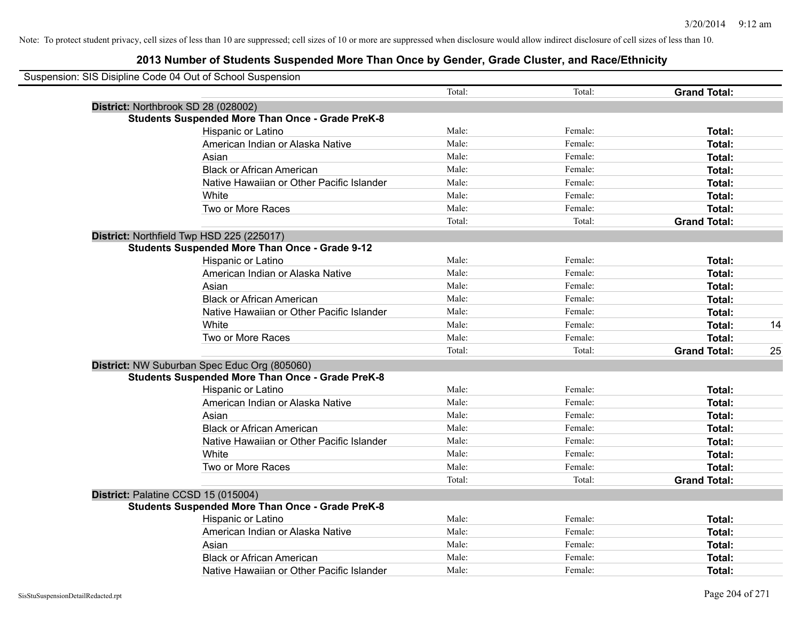| Suspension: SIS Disipline Code 04 Out of School Suspension |        |         |                     |    |
|------------------------------------------------------------|--------|---------|---------------------|----|
|                                                            | Total: | Total:  | <b>Grand Total:</b> |    |
| District: Northbrook SD 28 (028002)                        |        |         |                     |    |
| <b>Students Suspended More Than Once - Grade PreK-8</b>    |        |         |                     |    |
| Hispanic or Latino                                         | Male:  | Female: | Total:              |    |
| American Indian or Alaska Native                           | Male:  | Female: | Total:              |    |
| Asian                                                      | Male:  | Female: | Total:              |    |
| <b>Black or African American</b>                           | Male:  | Female: | Total:              |    |
| Native Hawaiian or Other Pacific Islander                  | Male:  | Female: | Total:              |    |
| White                                                      | Male:  | Female: | Total:              |    |
| Two or More Races                                          | Male:  | Female: | Total:              |    |
|                                                            | Total: | Total:  | <b>Grand Total:</b> |    |
| District: Northfield Twp HSD 225 (225017)                  |        |         |                     |    |
| <b>Students Suspended More Than Once - Grade 9-12</b>      |        |         |                     |    |
| Hispanic or Latino                                         | Male:  | Female: | Total:              |    |
| American Indian or Alaska Native                           | Male:  | Female: | Total:              |    |
| Asian                                                      | Male:  | Female: | Total:              |    |
| <b>Black or African American</b>                           | Male:  | Female: | Total:              |    |
| Native Hawaiian or Other Pacific Islander                  | Male:  | Female: | Total:              |    |
| White                                                      | Male:  | Female: | Total:              | 14 |
| Two or More Races                                          | Male:  | Female: | Total:              |    |
|                                                            | Total: | Total:  | <b>Grand Total:</b> | 25 |
| District: NW Suburban Spec Educ Org (805060)               |        |         |                     |    |
| <b>Students Suspended More Than Once - Grade PreK-8</b>    |        |         |                     |    |
| Hispanic or Latino                                         | Male:  | Female: | Total:              |    |
| American Indian or Alaska Native                           | Male:  | Female: | Total:              |    |
| Asian                                                      | Male:  | Female: | Total:              |    |
| <b>Black or African American</b>                           | Male:  | Female: | Total:              |    |
| Native Hawaiian or Other Pacific Islander                  | Male:  | Female: | Total:              |    |
| White                                                      | Male:  | Female: | Total:              |    |
| Two or More Races                                          | Male:  | Female: | Total:              |    |
|                                                            | Total: | Total:  | <b>Grand Total:</b> |    |
| District: Palatine CCSD 15 (015004)                        |        |         |                     |    |
| <b>Students Suspended More Than Once - Grade PreK-8</b>    |        |         |                     |    |
| Hispanic or Latino                                         | Male:  | Female: | Total:              |    |
| American Indian or Alaska Native                           | Male:  | Female: | Total:              |    |
| Asian                                                      | Male:  | Female: | Total:              |    |
| <b>Black or African American</b>                           | Male:  | Female: | Total:              |    |
| Native Hawaiian or Other Pacific Islander                  | Male:  | Female: | Total:              |    |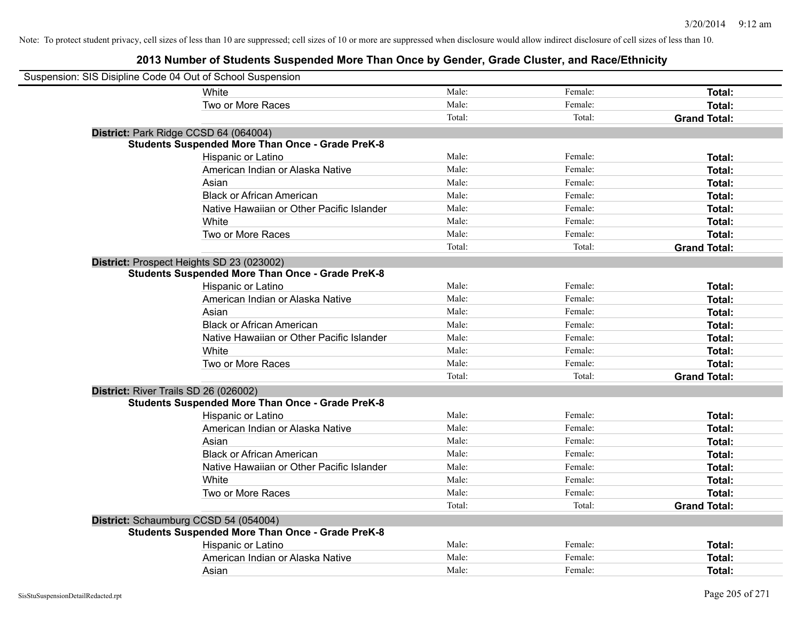| Suspension: SIS Disipline Code 04 Out of School Suspension |                                                         |        |         |                     |
|------------------------------------------------------------|---------------------------------------------------------|--------|---------|---------------------|
| White                                                      |                                                         | Male:  | Female: | <b>Total:</b>       |
| Two or More Races                                          |                                                         | Male:  | Female: | Total:              |
|                                                            |                                                         | Total: | Total:  | <b>Grand Total:</b> |
| District: Park Ridge CCSD 64 (064004)                      |                                                         |        |         |                     |
|                                                            | <b>Students Suspended More Than Once - Grade PreK-8</b> |        |         |                     |
| Hispanic or Latino                                         |                                                         | Male:  | Female: | Total:              |
|                                                            | American Indian or Alaska Native                        | Male:  | Female: | Total:              |
| Asian                                                      |                                                         | Male:  | Female: | Total:              |
|                                                            | <b>Black or African American</b>                        | Male:  | Female: | Total:              |
|                                                            | Native Hawaiian or Other Pacific Islander               | Male:  | Female: | Total:              |
| White                                                      |                                                         | Male:  | Female: | Total:              |
| Two or More Races                                          |                                                         | Male:  | Female: | Total:              |
|                                                            |                                                         | Total: | Total:  | <b>Grand Total:</b> |
| District: Prospect Heights SD 23 (023002)                  |                                                         |        |         |                     |
|                                                            | <b>Students Suspended More Than Once - Grade PreK-8</b> |        |         |                     |
| Hispanic or Latino                                         |                                                         | Male:  | Female: | Total:              |
|                                                            | American Indian or Alaska Native                        | Male:  | Female: | Total:              |
| Asian                                                      |                                                         | Male:  | Female: | Total:              |
|                                                            | <b>Black or African American</b>                        | Male:  | Female: | Total:              |
|                                                            | Native Hawaiian or Other Pacific Islander               | Male:  | Female: | Total:              |
| White                                                      |                                                         | Male:  | Female: | Total:              |
| Two or More Races                                          |                                                         | Male:  | Female: | Total:              |
|                                                            |                                                         | Total: | Total:  | <b>Grand Total:</b> |
| District: River Trails SD 26 (026002)                      |                                                         |        |         |                     |
|                                                            | Students Suspended More Than Once - Grade PreK-8        |        |         |                     |
| Hispanic or Latino                                         |                                                         | Male:  | Female: | Total:              |
|                                                            | American Indian or Alaska Native                        | Male:  | Female: | Total:              |
| Asian                                                      |                                                         | Male:  | Female: | Total:              |
|                                                            | <b>Black or African American</b>                        | Male:  | Female: | Total:              |
|                                                            | Native Hawaiian or Other Pacific Islander               | Male:  | Female: | Total:              |
| White                                                      |                                                         | Male:  | Female: | Total:              |
| Two or More Races                                          |                                                         | Male:  | Female: | Total:              |
|                                                            |                                                         | Total: | Total:  | <b>Grand Total:</b> |
| District: Schaumburg CCSD 54 (054004)                      |                                                         |        |         |                     |
|                                                            | <b>Students Suspended More Than Once - Grade PreK-8</b> |        |         |                     |
| Hispanic or Latino                                         |                                                         | Male:  | Female: | Total:              |
|                                                            | American Indian or Alaska Native                        | Male:  | Female: | Total:              |
| Asian                                                      |                                                         | Male:  | Female: | Total:              |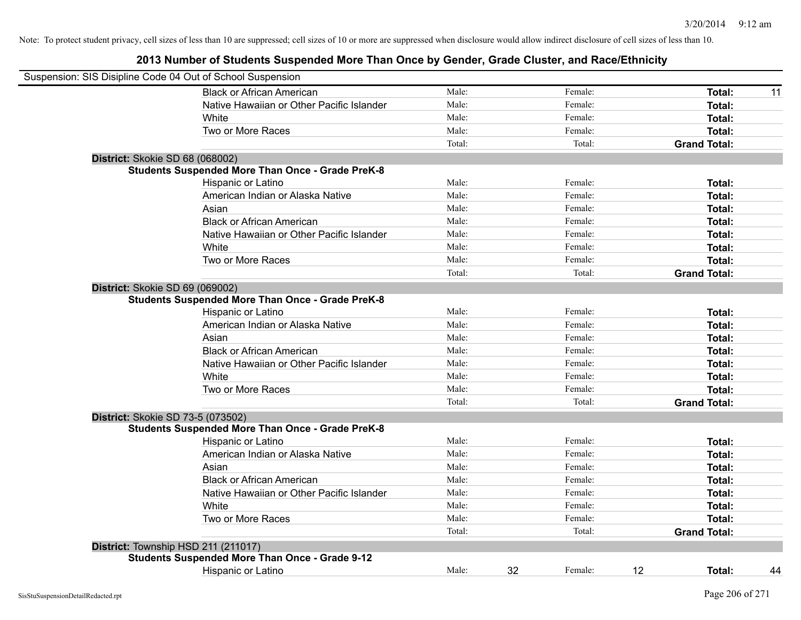| Suspension: SIS Disipline Code 04 Out of School Suspension |        |               |                     |    |
|------------------------------------------------------------|--------|---------------|---------------------|----|
| <b>Black or African American</b>                           | Male:  | Female:       | Total:              | 11 |
| Native Hawaiian or Other Pacific Islander                  | Male:  | Female:       | Total:              |    |
| White                                                      | Male:  | Female:       | Total:              |    |
| Two or More Races                                          | Male:  | Female:       | Total:              |    |
|                                                            | Total: | Total:        | <b>Grand Total:</b> |    |
| District: Skokie SD 68 (068002)                            |        |               |                     |    |
| <b>Students Suspended More Than Once - Grade PreK-8</b>    |        |               |                     |    |
| Hispanic or Latino                                         | Male:  | Female:       | Total:              |    |
| American Indian or Alaska Native                           | Male:  | Female:       | Total:              |    |
| Asian                                                      | Male:  | Female:       | Total:              |    |
| <b>Black or African American</b>                           | Male:  | Female:       | Total:              |    |
| Native Hawaiian or Other Pacific Islander                  | Male:  | Female:       | Total:              |    |
| White                                                      | Male:  | Female:       | Total:              |    |
| Two or More Races                                          | Male:  | Female:       | Total:              |    |
|                                                            | Total: | Total:        | <b>Grand Total:</b> |    |
| District: Skokie SD 69 (069002)                            |        |               |                     |    |
| <b>Students Suspended More Than Once - Grade PreK-8</b>    |        |               |                     |    |
| Hispanic or Latino                                         | Male:  | Female:       | Total:              |    |
| American Indian or Alaska Native                           | Male:  | Female:       | Total:              |    |
| Asian                                                      | Male:  | Female:       | Total:              |    |
| <b>Black or African American</b>                           | Male:  | Female:       | Total:              |    |
| Native Hawaiian or Other Pacific Islander                  | Male:  | Female:       | Total:              |    |
| White                                                      | Male:  | Female:       | Total:              |    |
| Two or More Races                                          | Male:  | Female:       | Total:              |    |
|                                                            | Total: | Total:        | <b>Grand Total:</b> |    |
| District: Skokie SD 73-5 (073502)                          |        |               |                     |    |
| <b>Students Suspended More Than Once - Grade PreK-8</b>    |        |               |                     |    |
| Hispanic or Latino                                         | Male:  | Female:       | <b>Total:</b>       |    |
| American Indian or Alaska Native                           | Male:  | Female:       | Total:              |    |
| Asian                                                      | Male:  | Female:       | Total:              |    |
| <b>Black or African American</b>                           | Male:  | Female:       | Total:              |    |
| Native Hawaiian or Other Pacific Islander                  | Male:  | Female:       | Total:              |    |
| White                                                      | Male:  | Female:       | Total:              |    |
| Two or More Races                                          | Male:  | Female:       | Total:              |    |
|                                                            | Total: | Total:        | <b>Grand Total:</b> |    |
| District: Township HSD 211 (211017)                        |        |               |                     |    |
| <b>Students Suspended More Than Once - Grade 9-12</b>      |        |               |                     |    |
| <b>Hispanic or Latino</b>                                  | Male:  | 32<br>Female: | 12<br>Total:        | 44 |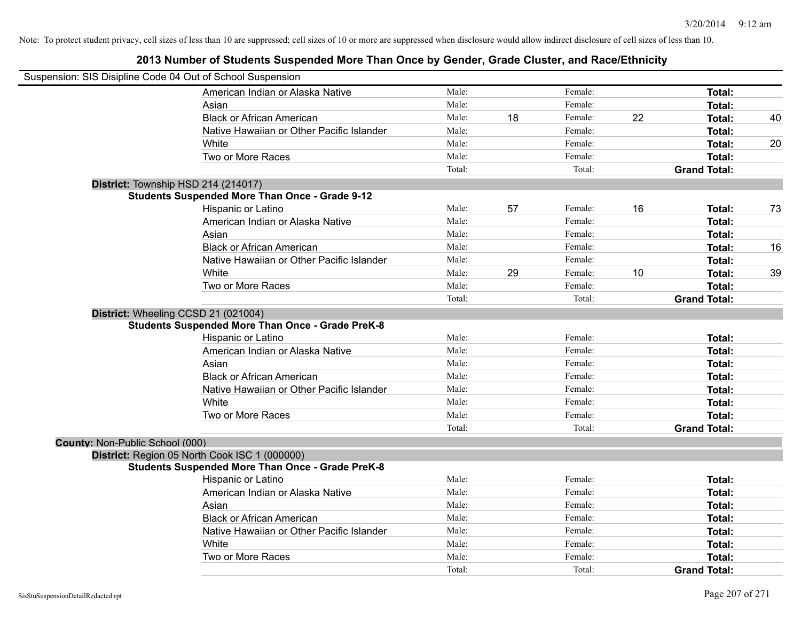|                                 | Suspension: SIS Disipline Code 04 Out of School Suspension |        |    |         |    |                     |    |
|---------------------------------|------------------------------------------------------------|--------|----|---------|----|---------------------|----|
|                                 | American Indian or Alaska Native                           | Male:  |    | Female: |    | Total:              |    |
|                                 | Asian                                                      | Male:  |    | Female: |    | Total:              |    |
|                                 | <b>Black or African American</b>                           | Male:  | 18 | Female: | 22 | <b>Total:</b>       | 40 |
|                                 | Native Hawaiian or Other Pacific Islander                  | Male:  |    | Female: |    | Total:              |    |
|                                 | White                                                      | Male:  |    | Female: |    | <b>Total:</b>       | 20 |
|                                 | Two or More Races                                          | Male:  |    | Female: |    | Total:              |    |
|                                 |                                                            | Total: |    | Total:  |    | <b>Grand Total:</b> |    |
|                                 | District: Township HSD 214 (214017)                        |        |    |         |    |                     |    |
|                                 | <b>Students Suspended More Than Once - Grade 9-12</b>      |        |    |         |    |                     |    |
|                                 | Hispanic or Latino                                         | Male:  | 57 | Female: | 16 | Total:              | 73 |
|                                 | American Indian or Alaska Native                           | Male:  |    | Female: |    | Total:              |    |
|                                 | Asian                                                      | Male:  |    | Female: |    | Total:              |    |
|                                 | <b>Black or African American</b>                           | Male:  |    | Female: |    | Total:              | 16 |
|                                 | Native Hawaiian or Other Pacific Islander                  | Male:  |    | Female: |    | Total:              |    |
|                                 | White                                                      | Male:  | 29 | Female: | 10 | Total:              | 39 |
|                                 | Two or More Races                                          | Male:  |    | Female: |    | <b>Total:</b>       |    |
|                                 |                                                            | Total: |    | Total:  |    | <b>Grand Total:</b> |    |
|                                 | District: Wheeling CCSD 21 (021004)                        |        |    |         |    |                     |    |
|                                 | <b>Students Suspended More Than Once - Grade PreK-8</b>    |        |    |         |    |                     |    |
|                                 | Hispanic or Latino                                         | Male:  |    | Female: |    | Total:              |    |
|                                 | American Indian or Alaska Native                           | Male:  |    | Female: |    | Total:              |    |
|                                 | Asian                                                      | Male:  |    | Female: |    | Total:              |    |
|                                 | <b>Black or African American</b>                           | Male:  |    | Female: |    | Total:              |    |
|                                 | Native Hawaiian or Other Pacific Islander                  | Male:  |    | Female: |    | Total:              |    |
|                                 | White                                                      | Male:  |    | Female: |    | Total:              |    |
|                                 | Two or More Races                                          | Male:  |    | Female: |    | Total:              |    |
|                                 |                                                            | Total: |    | Total:  |    | <b>Grand Total:</b> |    |
| County: Non-Public School (000) |                                                            |        |    |         |    |                     |    |
|                                 | District: Region 05 North Cook ISC 1 (000000)              |        |    |         |    |                     |    |
|                                 | <b>Students Suspended More Than Once - Grade PreK-8</b>    |        |    |         |    |                     |    |
|                                 | Hispanic or Latino                                         | Male:  |    | Female: |    | Total:              |    |
|                                 | American Indian or Alaska Native                           | Male:  |    | Female: |    | Total:              |    |
|                                 | Asian                                                      | Male:  |    | Female: |    | Total:              |    |
|                                 | <b>Black or African American</b>                           | Male:  |    | Female: |    | Total:              |    |
|                                 | Native Hawaiian or Other Pacific Islander                  | Male:  |    | Female: |    | Total:              |    |
|                                 | White                                                      | Male:  |    | Female: |    | Total:              |    |
|                                 | Two or More Races                                          | Male:  |    | Female: |    | Total:              |    |
|                                 |                                                            | Total: |    | Total:  |    | <b>Grand Total:</b> |    |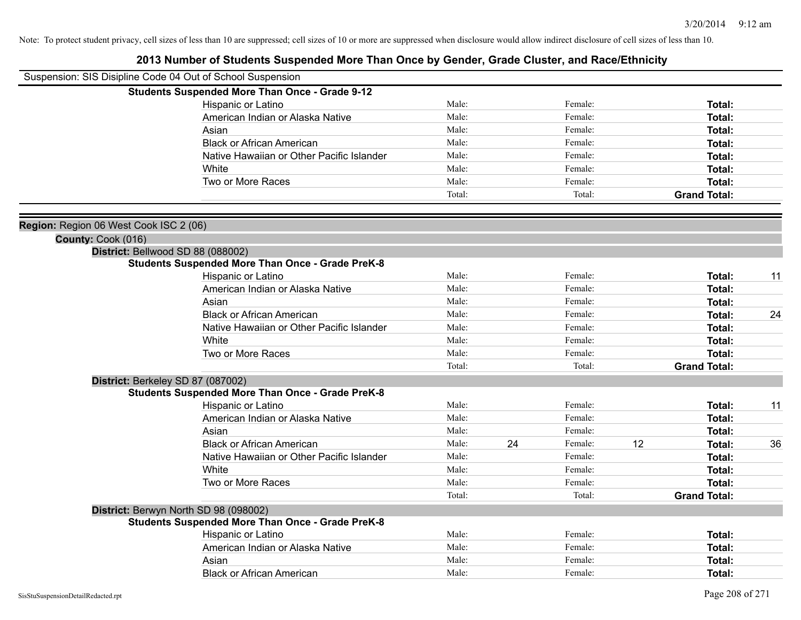|                                        | Suspension: SIS Disipline Code 04 Out of School Suspension |        |    |         |    |                     |    |
|----------------------------------------|------------------------------------------------------------|--------|----|---------|----|---------------------|----|
|                                        | <b>Students Suspended More Than Once - Grade 9-12</b>      |        |    |         |    |                     |    |
|                                        | Hispanic or Latino                                         | Male:  |    | Female: |    | Total:              |    |
|                                        | American Indian or Alaska Native                           | Male:  |    | Female: |    | Total:              |    |
|                                        | Asian                                                      | Male:  |    | Female: |    | Total:              |    |
|                                        | <b>Black or African American</b>                           | Male:  |    | Female: |    | Total:              |    |
|                                        | Native Hawaiian or Other Pacific Islander                  | Male:  |    | Female: |    | Total:              |    |
|                                        | White                                                      | Male:  |    | Female: |    | Total:              |    |
|                                        | Two or More Races                                          | Male:  |    | Female: |    | Total:              |    |
|                                        |                                                            | Total: |    | Total:  |    | <b>Grand Total:</b> |    |
| Region: Region 06 West Cook ISC 2 (06) |                                                            |        |    |         |    |                     |    |
| County: Cook (016)                     |                                                            |        |    |         |    |                     |    |
|                                        | District: Bellwood SD 88 (088002)                          |        |    |         |    |                     |    |
|                                        | <b>Students Suspended More Than Once - Grade PreK-8</b>    |        |    |         |    |                     |    |
|                                        | Hispanic or Latino                                         | Male:  |    | Female: |    | Total:              | 11 |
|                                        | American Indian or Alaska Native                           | Male:  |    | Female: |    | Total:              |    |
|                                        | Asian                                                      | Male:  |    | Female: |    | Total:              |    |
|                                        | <b>Black or African American</b>                           | Male:  |    | Female: |    | Total:              | 24 |
|                                        | Native Hawaiian or Other Pacific Islander                  | Male:  |    | Female: |    | Total:              |    |
|                                        | White                                                      | Male:  |    | Female: |    | Total:              |    |
|                                        | Two or More Races                                          | Male:  |    | Female: |    | Total:              |    |
|                                        |                                                            | Total: |    | Total:  |    | <b>Grand Total:</b> |    |
|                                        | District: Berkeley SD 87 (087002)                          |        |    |         |    |                     |    |
|                                        | <b>Students Suspended More Than Once - Grade PreK-8</b>    |        |    |         |    |                     |    |
|                                        | Hispanic or Latino                                         | Male:  |    | Female: |    | Total:              | 11 |
|                                        | American Indian or Alaska Native                           | Male:  |    | Female: |    | Total:              |    |
|                                        | Asian                                                      | Male:  |    | Female: |    | Total:              |    |
|                                        | <b>Black or African American</b>                           | Male:  | 24 | Female: | 12 | Total:              | 36 |
|                                        | Native Hawaiian or Other Pacific Islander                  | Male:  |    | Female: |    | Total:              |    |
|                                        | White                                                      | Male:  |    | Female: |    | Total:              |    |
|                                        | Two or More Races                                          | Male:  |    | Female: |    | Total:              |    |
|                                        |                                                            | Total: |    | Total:  |    | <b>Grand Total:</b> |    |
|                                        | District: Berwyn North SD 98 (098002)                      |        |    |         |    |                     |    |
|                                        | <b>Students Suspended More Than Once - Grade PreK-8</b>    |        |    |         |    |                     |    |
|                                        | Hispanic or Latino                                         | Male:  |    | Female: |    | Total:              |    |
|                                        | American Indian or Alaska Native                           | Male:  |    | Female: |    | Total:              |    |
|                                        | Asian                                                      | Male:  |    | Female: |    | Total:              |    |
|                                        | <b>Black or African American</b>                           | Male:  |    | Female: |    | Total:              |    |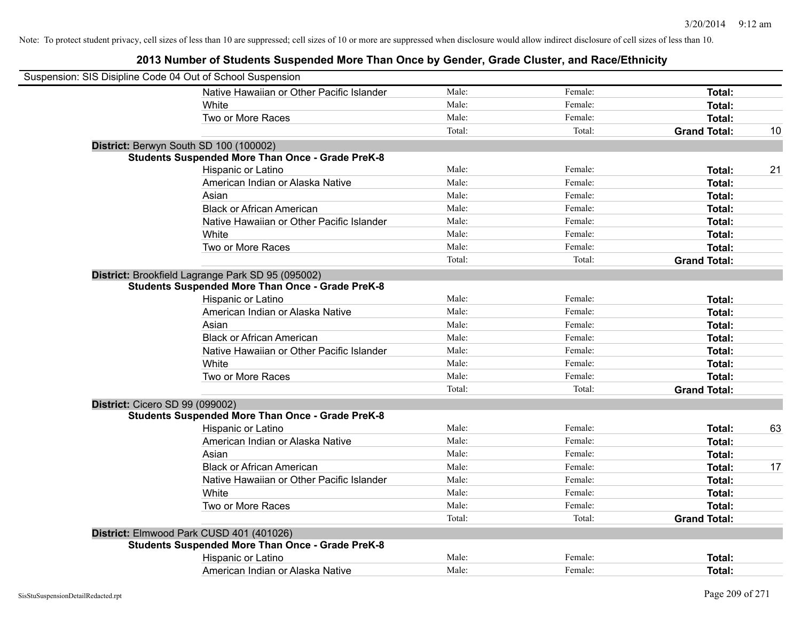| Suspension: SIS Disipline Code 04 Out of School Suspension |                                                         |        |         |                     |    |
|------------------------------------------------------------|---------------------------------------------------------|--------|---------|---------------------|----|
|                                                            | Native Hawaiian or Other Pacific Islander               | Male:  | Female: | Total:              |    |
|                                                            | White                                                   | Male:  | Female: | Total:              |    |
|                                                            | Two or More Races                                       | Male:  | Female: | Total:              |    |
|                                                            |                                                         | Total: | Total:  | <b>Grand Total:</b> | 10 |
|                                                            | District: Berwyn South SD 100 (100002)                  |        |         |                     |    |
|                                                            | <b>Students Suspended More Than Once - Grade PreK-8</b> |        |         |                     |    |
|                                                            | Hispanic or Latino                                      | Male:  | Female: | Total:              | 21 |
|                                                            | American Indian or Alaska Native                        | Male:  | Female: | <b>Total:</b>       |    |
|                                                            | Asian                                                   | Male:  | Female: | Total:              |    |
|                                                            | <b>Black or African American</b>                        | Male:  | Female: | Total:              |    |
|                                                            | Native Hawaiian or Other Pacific Islander               | Male:  | Female: | <b>Total:</b>       |    |
|                                                            | White                                                   | Male:  | Female: | <b>Total:</b>       |    |
|                                                            | Two or More Races                                       | Male:  | Female: | <b>Total:</b>       |    |
|                                                            |                                                         | Total: | Total:  | <b>Grand Total:</b> |    |
|                                                            | District: Brookfield Lagrange Park SD 95 (095002)       |        |         |                     |    |
|                                                            | <b>Students Suspended More Than Once - Grade PreK-8</b> |        |         |                     |    |
|                                                            | Hispanic or Latino                                      | Male:  | Female: | Total:              |    |
|                                                            | American Indian or Alaska Native                        | Male:  | Female: | <b>Total:</b>       |    |
|                                                            | Asian                                                   | Male:  | Female: | Total:              |    |
|                                                            | <b>Black or African American</b>                        | Male:  | Female: | Total:              |    |
|                                                            | Native Hawaiian or Other Pacific Islander               | Male:  | Female: | <b>Total:</b>       |    |
|                                                            | White                                                   | Male:  | Female: | Total:              |    |
|                                                            | Two or More Races                                       | Male:  | Female: | Total:              |    |
|                                                            |                                                         | Total: | Total:  | <b>Grand Total:</b> |    |
| <b>District: Cicero SD 99 (099002)</b>                     |                                                         |        |         |                     |    |
|                                                            | <b>Students Suspended More Than Once - Grade PreK-8</b> |        |         |                     |    |
|                                                            | Hispanic or Latino                                      | Male:  | Female: | <b>Total:</b>       | 63 |
|                                                            | American Indian or Alaska Native                        | Male:  | Female: | Total:              |    |
|                                                            | Asian                                                   | Male:  | Female: | Total:              |    |
|                                                            | <b>Black or African American</b>                        | Male:  | Female: | Total:              | 17 |
|                                                            | Native Hawaiian or Other Pacific Islander               | Male:  | Female: | Total:              |    |
|                                                            | White                                                   | Male:  | Female: | Total:              |    |
|                                                            | Two or More Races                                       | Male:  | Female: | Total:              |    |
|                                                            |                                                         | Total: | Total:  | <b>Grand Total:</b> |    |
|                                                            | District: Elmwood Park CUSD 401 (401026)                |        |         |                     |    |
|                                                            | <b>Students Suspended More Than Once - Grade PreK-8</b> |        |         |                     |    |
|                                                            | Hispanic or Latino                                      | Male:  | Female: | <b>Total:</b>       |    |
|                                                            | American Indian or Alaska Native                        | Male:  | Female: | Total:              |    |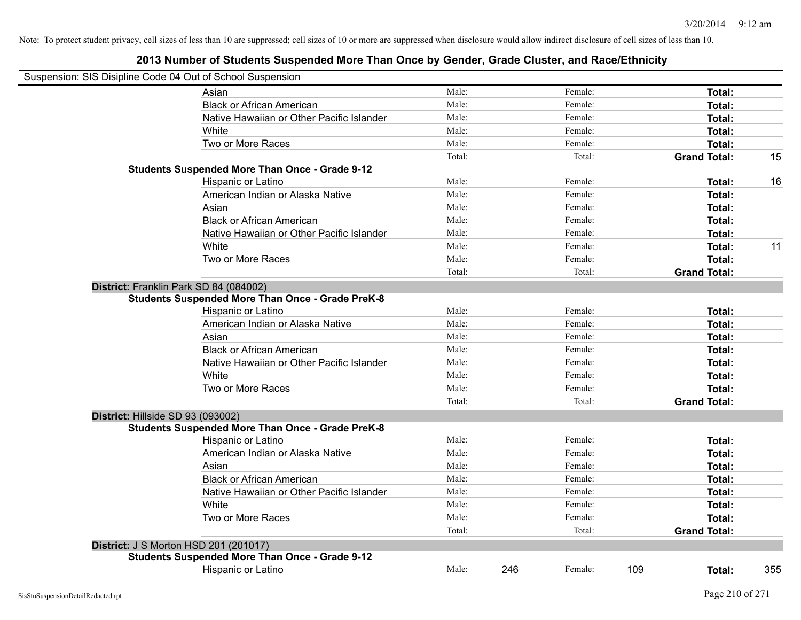| Suspension: SIS Disipline Code 04 Out of School Suspension |                                                         |        |     |         |                     |        |     |
|------------------------------------------------------------|---------------------------------------------------------|--------|-----|---------|---------------------|--------|-----|
|                                                            | Asian                                                   | Male:  |     | Female: |                     | Total: |     |
|                                                            | <b>Black or African American</b>                        | Male:  |     | Female: |                     | Total: |     |
|                                                            | Native Hawaiian or Other Pacific Islander               | Male:  |     | Female: |                     | Total: |     |
|                                                            | White                                                   | Male:  |     | Female: |                     | Total: |     |
|                                                            | Two or More Races                                       | Male:  |     | Female: |                     | Total: |     |
|                                                            |                                                         | Total: |     | Total:  | <b>Grand Total:</b> |        | 15  |
|                                                            | <b>Students Suspended More Than Once - Grade 9-12</b>   |        |     |         |                     |        |     |
|                                                            | Hispanic or Latino                                      | Male:  |     | Female: |                     | Total: | 16  |
|                                                            | American Indian or Alaska Native                        | Male:  |     | Female: |                     | Total: |     |
|                                                            | Asian                                                   | Male:  |     | Female: |                     | Total: |     |
|                                                            | <b>Black or African American</b>                        | Male:  |     | Female: |                     | Total: |     |
|                                                            | Native Hawaiian or Other Pacific Islander               | Male:  |     | Female: |                     | Total: |     |
|                                                            | White                                                   | Male:  |     | Female: |                     | Total: | 11  |
|                                                            | Two or More Races                                       | Male:  |     | Female: |                     | Total: |     |
|                                                            |                                                         | Total: |     | Total:  | <b>Grand Total:</b> |        |     |
| District: Franklin Park SD 84 (084002)                     |                                                         |        |     |         |                     |        |     |
|                                                            | <b>Students Suspended More Than Once - Grade PreK-8</b> |        |     |         |                     |        |     |
|                                                            | Hispanic or Latino                                      | Male:  |     | Female: |                     | Total: |     |
|                                                            | American Indian or Alaska Native                        | Male:  |     | Female: |                     | Total: |     |
|                                                            | Asian                                                   | Male:  |     | Female: |                     | Total: |     |
|                                                            | <b>Black or African American</b>                        | Male:  |     | Female: |                     | Total: |     |
|                                                            | Native Hawaiian or Other Pacific Islander               | Male:  |     | Female: |                     | Total: |     |
|                                                            | White                                                   | Male:  |     | Female: |                     | Total: |     |
|                                                            | Two or More Races                                       | Male:  |     | Female: |                     | Total: |     |
|                                                            |                                                         | Total: |     | Total:  | <b>Grand Total:</b> |        |     |
| District: Hillside SD 93 (093002)                          |                                                         |        |     |         |                     |        |     |
|                                                            | <b>Students Suspended More Than Once - Grade PreK-8</b> |        |     |         |                     |        |     |
|                                                            | Hispanic or Latino                                      | Male:  |     | Female: |                     | Total: |     |
|                                                            | American Indian or Alaska Native                        | Male:  |     | Female: |                     | Total: |     |
|                                                            | Asian                                                   | Male:  |     | Female: |                     | Total: |     |
|                                                            | <b>Black or African American</b>                        | Male:  |     | Female: |                     | Total: |     |
|                                                            | Native Hawaiian or Other Pacific Islander               | Male:  |     | Female: |                     | Total: |     |
|                                                            | White                                                   | Male:  |     | Female: |                     | Total: |     |
|                                                            | Two or More Races                                       | Male:  |     | Female: |                     | Total: |     |
|                                                            |                                                         | Total: |     | Total:  | <b>Grand Total:</b> |        |     |
| <b>District: J S Morton HSD 201 (201017)</b>               |                                                         |        |     |         |                     |        |     |
|                                                            | <b>Students Suspended More Than Once - Grade 9-12</b>   |        |     |         |                     |        |     |
|                                                            | <b>Hispanic or Latino</b>                               | Male:  | 246 | Female: | 109                 | Total: | 355 |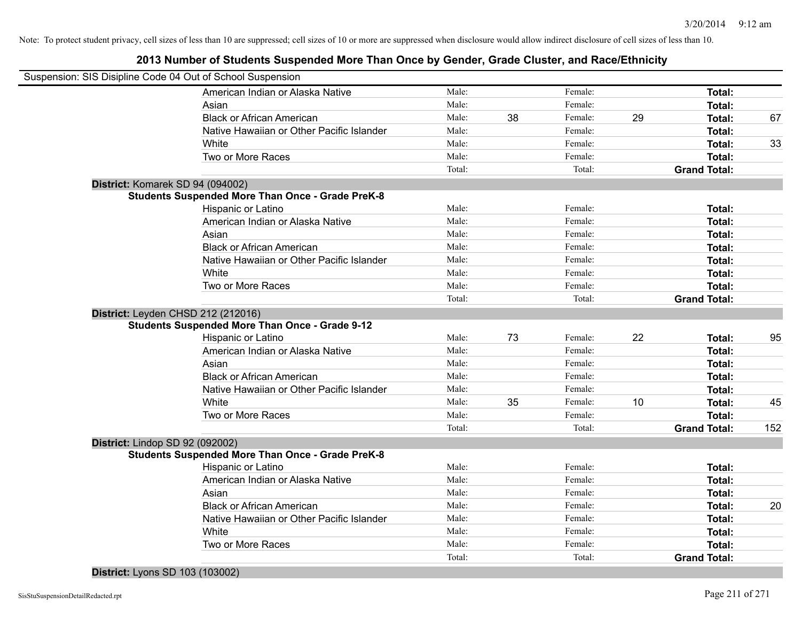#### **2013 Number of Students Suspended More Than Once by Gender, Grade Cluster, and Race/Ethnicity**

| Suspension: SIS Disipline Code 04 Out of School Suspension |                                                         |        |    |         |    |                     |     |
|------------------------------------------------------------|---------------------------------------------------------|--------|----|---------|----|---------------------|-----|
|                                                            | American Indian or Alaska Native                        | Male:  |    | Female: |    | Total:              |     |
|                                                            | Asian                                                   | Male:  |    | Female: |    | Total:              |     |
|                                                            | <b>Black or African American</b>                        | Male:  | 38 | Female: | 29 | Total:              | 67  |
|                                                            | Native Hawaiian or Other Pacific Islander               | Male:  |    | Female: |    | Total:              |     |
|                                                            | White                                                   | Male:  |    | Female: |    | Total:              | 33  |
|                                                            | Two or More Races                                       | Male:  |    | Female: |    | Total:              |     |
|                                                            |                                                         | Total: |    | Total:  |    | <b>Grand Total:</b> |     |
| District: Komarek SD 94 (094002)                           |                                                         |        |    |         |    |                     |     |
|                                                            | <b>Students Suspended More Than Once - Grade PreK-8</b> |        |    |         |    |                     |     |
|                                                            | Hispanic or Latino                                      | Male:  |    | Female: |    | Total:              |     |
|                                                            | American Indian or Alaska Native                        | Male:  |    | Female: |    | Total:              |     |
|                                                            | Asian                                                   | Male:  |    | Female: |    | Total:              |     |
|                                                            | <b>Black or African American</b>                        | Male:  |    | Female: |    | Total:              |     |
|                                                            | Native Hawaiian or Other Pacific Islander               | Male:  |    | Female: |    | Total:              |     |
|                                                            | White                                                   | Male:  |    | Female: |    | Total:              |     |
|                                                            | Two or More Races                                       | Male:  |    | Female: |    | Total:              |     |
|                                                            |                                                         | Total: |    | Total:  |    | <b>Grand Total:</b> |     |
| District: Leyden CHSD 212 (212016)                         |                                                         |        |    |         |    |                     |     |
|                                                            | <b>Students Suspended More Than Once - Grade 9-12</b>   |        |    |         |    |                     |     |
|                                                            | Hispanic or Latino                                      | Male:  | 73 | Female: | 22 | Total:              | 95  |
|                                                            | American Indian or Alaska Native                        | Male:  |    | Female: |    | Total:              |     |
|                                                            | Asian                                                   | Male:  |    | Female: |    | Total:              |     |
|                                                            | <b>Black or African American</b>                        | Male:  |    | Female: |    | Total:              |     |
|                                                            | Native Hawaiian or Other Pacific Islander               | Male:  |    | Female: |    | Total:              |     |
|                                                            | White                                                   | Male:  | 35 | Female: | 10 | Total:              | 45  |
|                                                            | Two or More Races                                       | Male:  |    | Female: |    | Total:              |     |
|                                                            |                                                         | Total: |    | Total:  |    | <b>Grand Total:</b> | 152 |
| District: Lindop SD 92 (092002)                            |                                                         |        |    |         |    |                     |     |
|                                                            | <b>Students Suspended More Than Once - Grade PreK-8</b> |        |    |         |    |                     |     |
|                                                            | Hispanic or Latino                                      | Male:  |    | Female: |    | Total:              |     |
|                                                            | American Indian or Alaska Native                        | Male:  |    | Female: |    | Total:              |     |
|                                                            | Asian                                                   | Male:  |    | Female: |    | Total:              |     |
|                                                            | <b>Black or African American</b>                        | Male:  |    | Female: |    | Total:              | 20  |
|                                                            | Native Hawaiian or Other Pacific Islander               | Male:  |    | Female: |    | Total:              |     |
|                                                            | White                                                   | Male:  |    | Female: |    | Total:              |     |
|                                                            | Two or More Races                                       | Male:  |    | Female: |    | Total:              |     |
|                                                            |                                                         | Total: |    | Total:  |    | <b>Grand Total:</b> |     |

#### **District:** Lyons SD 103 (103002)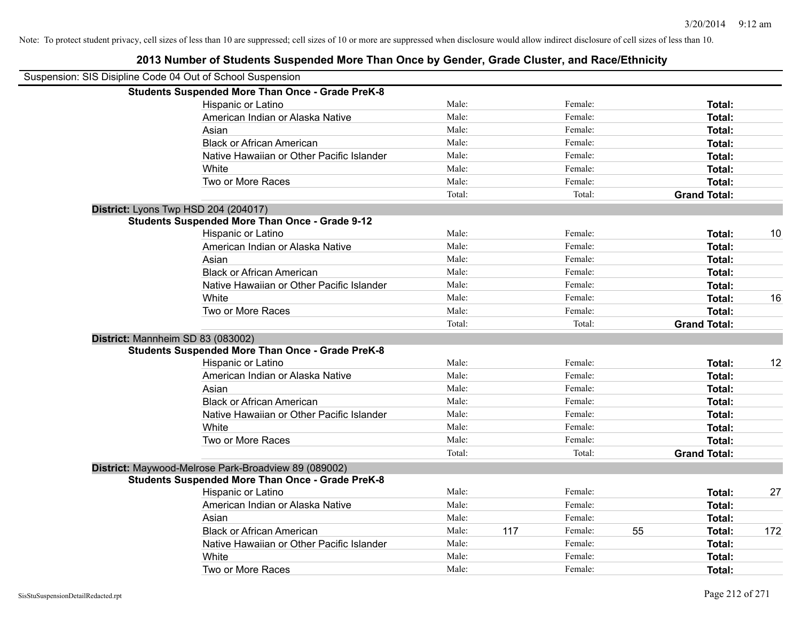| Suspension: SIS Disipline Code 04 Out of School Suspension |        |     |         |    |                     |     |
|------------------------------------------------------------|--------|-----|---------|----|---------------------|-----|
| <b>Students Suspended More Than Once - Grade PreK-8</b>    |        |     |         |    |                     |     |
| Hispanic or Latino                                         | Male:  |     | Female: |    | Total:              |     |
| American Indian or Alaska Native                           | Male:  |     | Female: |    | Total:              |     |
| Asian                                                      | Male:  |     | Female: |    | Total:              |     |
| <b>Black or African American</b>                           | Male:  |     | Female: |    | Total:              |     |
| Native Hawaiian or Other Pacific Islander                  | Male:  |     | Female: |    | Total:              |     |
| White                                                      | Male:  |     | Female: |    | Total:              |     |
| Two or More Races                                          | Male:  |     | Female: |    | Total:              |     |
|                                                            | Total: |     | Total:  |    | <b>Grand Total:</b> |     |
| District: Lyons Twp HSD 204 (204017)                       |        |     |         |    |                     |     |
| <b>Students Suspended More Than Once - Grade 9-12</b>      |        |     |         |    |                     |     |
| Hispanic or Latino                                         | Male:  |     | Female: |    | Total:              | 10  |
| American Indian or Alaska Native                           | Male:  |     | Female: |    | Total:              |     |
| Asian                                                      | Male:  |     | Female: |    | Total:              |     |
| <b>Black or African American</b>                           | Male:  |     | Female: |    | Total:              |     |
| Native Hawaiian or Other Pacific Islander                  | Male:  |     | Female: |    | Total:              |     |
| White                                                      | Male:  |     | Female: |    | Total:              | 16  |
| Two or More Races                                          | Male:  |     | Female: |    | Total:              |     |
|                                                            | Total: |     | Total:  |    | <b>Grand Total:</b> |     |
| District: Mannheim SD 83 (083002)                          |        |     |         |    |                     |     |
| <b>Students Suspended More Than Once - Grade PreK-8</b>    |        |     |         |    |                     |     |
| Hispanic or Latino                                         | Male:  |     | Female: |    | Total:              | 12  |
| American Indian or Alaska Native                           | Male:  |     | Female: |    | Total:              |     |
| Asian                                                      | Male:  |     | Female: |    | Total:              |     |
| <b>Black or African American</b>                           | Male:  |     | Female: |    | Total:              |     |
| Native Hawaiian or Other Pacific Islander                  | Male:  |     | Female: |    | Total:              |     |
| White                                                      | Male:  |     | Female: |    | Total:              |     |
| Two or More Races                                          | Male:  |     | Female: |    | Total:              |     |
|                                                            | Total: |     | Total:  |    | <b>Grand Total:</b> |     |
| District: Maywood-Melrose Park-Broadview 89 (089002)       |        |     |         |    |                     |     |
| <b>Students Suspended More Than Once - Grade PreK-8</b>    |        |     |         |    |                     |     |
| Hispanic or Latino                                         | Male:  |     | Female: |    | Total:              | 27  |
| American Indian or Alaska Native                           | Male:  |     | Female: |    | Total:              |     |
| Asian                                                      | Male:  |     | Female: |    | Total:              |     |
| <b>Black or African American</b>                           | Male:  | 117 | Female: | 55 | Total:              | 172 |
| Native Hawaiian or Other Pacific Islander                  | Male:  |     | Female: |    | Total:              |     |
| White                                                      | Male:  |     | Female: |    | <b>Total:</b>       |     |
| Two or More Races                                          | Male:  |     | Female: |    | Total:              |     |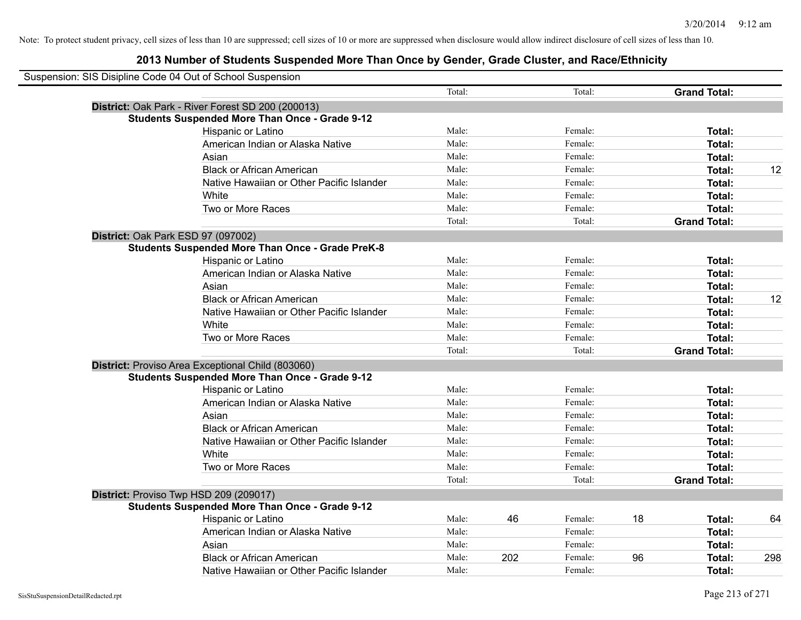| Suspension: SIS Disipline Code 04 Out of School Suspension |                                                         |        |     |         |    |                     |     |
|------------------------------------------------------------|---------------------------------------------------------|--------|-----|---------|----|---------------------|-----|
|                                                            |                                                         | Total: |     | Total:  |    | <b>Grand Total:</b> |     |
|                                                            | District: Oak Park - River Forest SD 200 (200013)       |        |     |         |    |                     |     |
|                                                            | <b>Students Suspended More Than Once - Grade 9-12</b>   |        |     |         |    |                     |     |
|                                                            | Hispanic or Latino                                      | Male:  |     | Female: |    | Total:              |     |
|                                                            | American Indian or Alaska Native                        | Male:  |     | Female: |    | Total:              |     |
|                                                            | Asian                                                   | Male:  |     | Female: |    | Total:              |     |
|                                                            | <b>Black or African American</b>                        | Male:  |     | Female: |    | Total:              | 12  |
|                                                            | Native Hawaiian or Other Pacific Islander               | Male:  |     | Female: |    | Total:              |     |
|                                                            | White                                                   | Male:  |     | Female: |    | Total:              |     |
|                                                            | Two or More Races                                       | Male:  |     | Female: |    | Total:              |     |
|                                                            |                                                         | Total: |     | Total:  |    | <b>Grand Total:</b> |     |
|                                                            | District: Oak Park ESD 97 (097002)                      |        |     |         |    |                     |     |
|                                                            | <b>Students Suspended More Than Once - Grade PreK-8</b> |        |     |         |    |                     |     |
|                                                            | Hispanic or Latino                                      | Male:  |     | Female: |    | Total:              |     |
|                                                            | American Indian or Alaska Native                        | Male:  |     | Female: |    | Total:              |     |
|                                                            | Asian                                                   | Male:  |     | Female: |    | Total:              |     |
|                                                            | <b>Black or African American</b>                        | Male:  |     | Female: |    | Total:              | 12  |
|                                                            | Native Hawaiian or Other Pacific Islander               | Male:  |     | Female: |    | Total:              |     |
|                                                            | White                                                   | Male:  |     | Female: |    | Total:              |     |
|                                                            | Two or More Races                                       | Male:  |     | Female: |    | Total:              |     |
|                                                            |                                                         | Total: |     | Total:  |    | <b>Grand Total:</b> |     |
|                                                            | District: Proviso Area Exceptional Child (803060)       |        |     |         |    |                     |     |
|                                                            | <b>Students Suspended More Than Once - Grade 9-12</b>   |        |     |         |    |                     |     |
|                                                            | Hispanic or Latino                                      | Male:  |     | Female: |    | Total:              |     |
|                                                            | American Indian or Alaska Native                        | Male:  |     | Female: |    | <b>Total:</b>       |     |
|                                                            | Asian                                                   | Male:  |     | Female: |    | Total:              |     |
|                                                            | <b>Black or African American</b>                        | Male:  |     | Female: |    | Total:              |     |
|                                                            | Native Hawaiian or Other Pacific Islander               | Male:  |     | Female: |    | Total:              |     |
|                                                            | White                                                   | Male:  |     | Female: |    | Total:              |     |
|                                                            | Two or More Races                                       | Male:  |     | Female: |    | Total:              |     |
|                                                            |                                                         | Total: |     | Total:  |    | <b>Grand Total:</b> |     |
|                                                            | District: Proviso Twp HSD 209 (209017)                  |        |     |         |    |                     |     |
|                                                            | <b>Students Suspended More Than Once - Grade 9-12</b>   |        |     |         |    |                     |     |
|                                                            | <b>Hispanic or Latino</b>                               | Male:  | 46  | Female: | 18 | Total:              | 64  |
|                                                            | American Indian or Alaska Native                        | Male:  |     | Female: |    | Total:              |     |
|                                                            | Asian                                                   | Male:  |     | Female: |    | Total:              |     |
|                                                            | <b>Black or African American</b>                        | Male:  | 202 | Female: | 96 | Total:              | 298 |
|                                                            | Native Hawaiian or Other Pacific Islander               | Male:  |     | Female: |    | Total:              |     |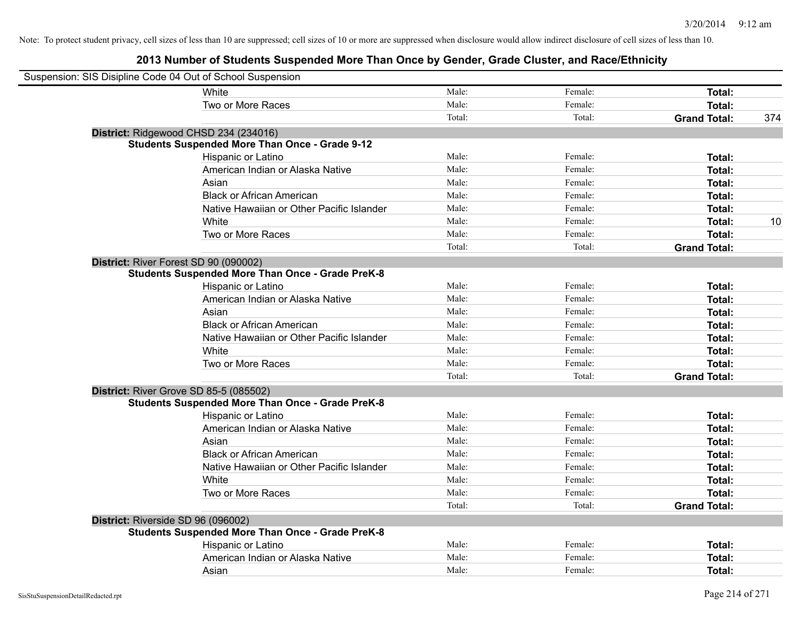| Suspension: SIS Disipline Code 04 Out of School Suspension |                                                         |        |         |                     |     |
|------------------------------------------------------------|---------------------------------------------------------|--------|---------|---------------------|-----|
|                                                            | White                                                   | Male:  | Female: | Total:              |     |
|                                                            | Two or More Races                                       | Male:  | Female: | Total:              |     |
|                                                            |                                                         | Total: | Total:  | <b>Grand Total:</b> | 374 |
|                                                            | District: Ridgewood CHSD 234 (234016)                   |        |         |                     |     |
|                                                            | <b>Students Suspended More Than Once - Grade 9-12</b>   |        |         |                     |     |
|                                                            | Hispanic or Latino                                      | Male:  | Female: | Total:              |     |
|                                                            | American Indian or Alaska Native                        | Male:  | Female: | Total:              |     |
|                                                            | Asian                                                   | Male:  | Female: | Total:              |     |
|                                                            | <b>Black or African American</b>                        | Male:  | Female: | Total:              |     |
|                                                            | Native Hawaiian or Other Pacific Islander               | Male:  | Female: | Total:              |     |
|                                                            | White                                                   | Male:  | Female: | Total:              | 10  |
|                                                            | Two or More Races                                       | Male:  | Female: | Total:              |     |
|                                                            |                                                         | Total: | Total:  | <b>Grand Total:</b> |     |
|                                                            | District: River Forest SD 90 (090002)                   |        |         |                     |     |
|                                                            | <b>Students Suspended More Than Once - Grade PreK-8</b> |        |         |                     |     |
|                                                            | Hispanic or Latino                                      | Male:  | Female: | Total:              |     |
|                                                            | American Indian or Alaska Native                        | Male:  | Female: | Total:              |     |
|                                                            | Asian                                                   | Male:  | Female: | Total:              |     |
|                                                            | <b>Black or African American</b>                        | Male:  | Female: | Total:              |     |
|                                                            | Native Hawaiian or Other Pacific Islander               | Male:  | Female: | Total:              |     |
|                                                            | White                                                   | Male:  | Female: | Total:              |     |
|                                                            | Two or More Races                                       | Male:  | Female: | Total:              |     |
|                                                            |                                                         | Total: | Total:  | <b>Grand Total:</b> |     |
|                                                            | District: River Grove SD 85-5 (085502)                  |        |         |                     |     |
|                                                            | <b>Students Suspended More Than Once - Grade PreK-8</b> |        |         |                     |     |
|                                                            | Hispanic or Latino                                      | Male:  | Female: | Total:              |     |
|                                                            | American Indian or Alaska Native                        | Male:  | Female: | Total:              |     |
|                                                            | Asian                                                   | Male:  | Female: | Total:              |     |
|                                                            | <b>Black or African American</b>                        | Male:  | Female: | Total:              |     |
|                                                            | Native Hawaiian or Other Pacific Islander               | Male:  | Female: | Total:              |     |
|                                                            | White                                                   | Male:  | Female: | Total:              |     |
|                                                            | Two or More Races                                       | Male:  | Female: | Total:              |     |
|                                                            |                                                         | Total: | Total:  | <b>Grand Total:</b> |     |
| District: Riverside SD 96 (096002)                         |                                                         |        |         |                     |     |
|                                                            | <b>Students Suspended More Than Once - Grade PreK-8</b> |        |         |                     |     |
|                                                            | Hispanic or Latino                                      | Male:  | Female: | Total:              |     |
|                                                            | American Indian or Alaska Native                        | Male:  | Female: | Total:              |     |
|                                                            | Asian                                                   | Male:  | Female: | Total:              |     |
|                                                            |                                                         |        |         |                     |     |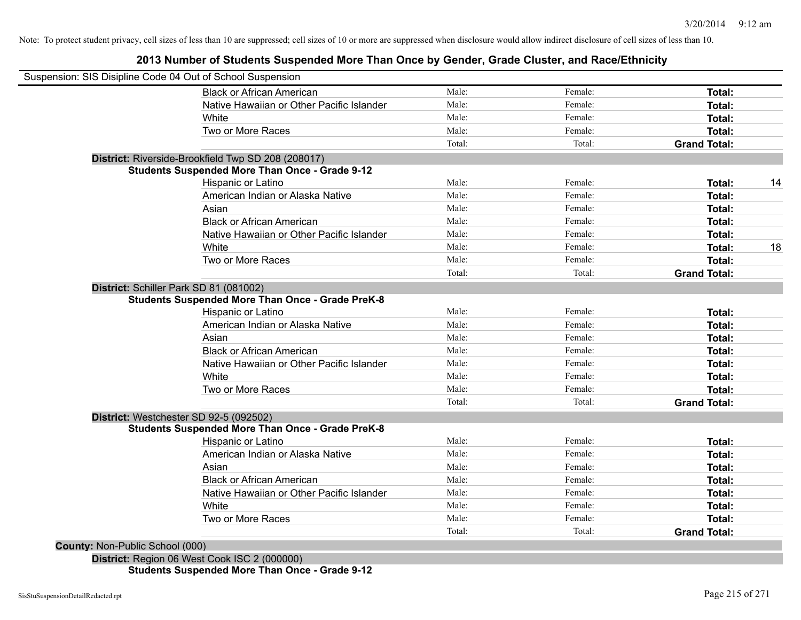#### **2013 Number of Students Suspended More Than Once by Gender, Grade Cluster, and Race/Ethnicity**

|                                 | Suspension: SIS Disipline Code 04 Out of School Suspension |        |         |                     |    |
|---------------------------------|------------------------------------------------------------|--------|---------|---------------------|----|
|                                 | <b>Black or African American</b>                           | Male:  | Female: | <b>Total:</b>       |    |
|                                 | Native Hawaiian or Other Pacific Islander                  | Male:  | Female: | Total:              |    |
|                                 | White                                                      | Male:  | Female: | Total:              |    |
|                                 | Two or More Races                                          | Male:  | Female: | Total:              |    |
|                                 |                                                            | Total: | Total:  | <b>Grand Total:</b> |    |
|                                 | District: Riverside-Brookfield Twp SD 208 (208017)         |        |         |                     |    |
|                                 | <b>Students Suspended More Than Once - Grade 9-12</b>      |        |         |                     |    |
|                                 | Hispanic or Latino                                         | Male:  | Female: | Total:              | 14 |
|                                 | American Indian or Alaska Native                           | Male:  | Female: | Total:              |    |
|                                 | Asian                                                      | Male:  | Female: | Total:              |    |
|                                 | <b>Black or African American</b>                           | Male:  | Female: | Total:              |    |
|                                 | Native Hawaiian or Other Pacific Islander                  | Male:  | Female: | Total:              |    |
|                                 | White                                                      | Male:  | Female: | Total:              | 18 |
|                                 | Two or More Races                                          | Male:  | Female: | Total:              |    |
|                                 |                                                            | Total: | Total:  | <b>Grand Total:</b> |    |
|                                 | District: Schiller Park SD 81 (081002)                     |        |         |                     |    |
|                                 | <b>Students Suspended More Than Once - Grade PreK-8</b>    |        |         |                     |    |
|                                 | Hispanic or Latino                                         | Male:  | Female: | Total:              |    |
|                                 | American Indian or Alaska Native                           | Male:  | Female: | Total:              |    |
|                                 | Asian                                                      | Male:  | Female: | Total:              |    |
|                                 | <b>Black or African American</b>                           | Male:  | Female: | Total:              |    |
|                                 | Native Hawaiian or Other Pacific Islander                  | Male:  | Female: | Total:              |    |
|                                 | White                                                      | Male:  | Female: | Total:              |    |
|                                 | Two or More Races                                          | Male:  | Female: | Total:              |    |
|                                 |                                                            | Total: | Total:  | <b>Grand Total:</b> |    |
|                                 | District: Westchester SD 92-5 (092502)                     |        |         |                     |    |
|                                 | <b>Students Suspended More Than Once - Grade PreK-8</b>    |        |         |                     |    |
|                                 | Hispanic or Latino                                         | Male:  | Female: | Total:              |    |
|                                 | American Indian or Alaska Native                           | Male:  | Female: | Total:              |    |
|                                 | Asian                                                      | Male:  | Female: | Total:              |    |
|                                 | <b>Black or African American</b>                           | Male:  | Female: | Total:              |    |
|                                 | Native Hawaiian or Other Pacific Islander                  | Male:  | Female: | Total:              |    |
|                                 | White                                                      | Male:  | Female: | Total:              |    |
|                                 | Two or More Races                                          | Male:  | Female: | Total:              |    |
|                                 |                                                            | Total: | Total:  | <b>Grand Total:</b> |    |
| County: Non-Public School (000) |                                                            |        |         |                     |    |

**Students Suspended More Than Once - Grade 9-12**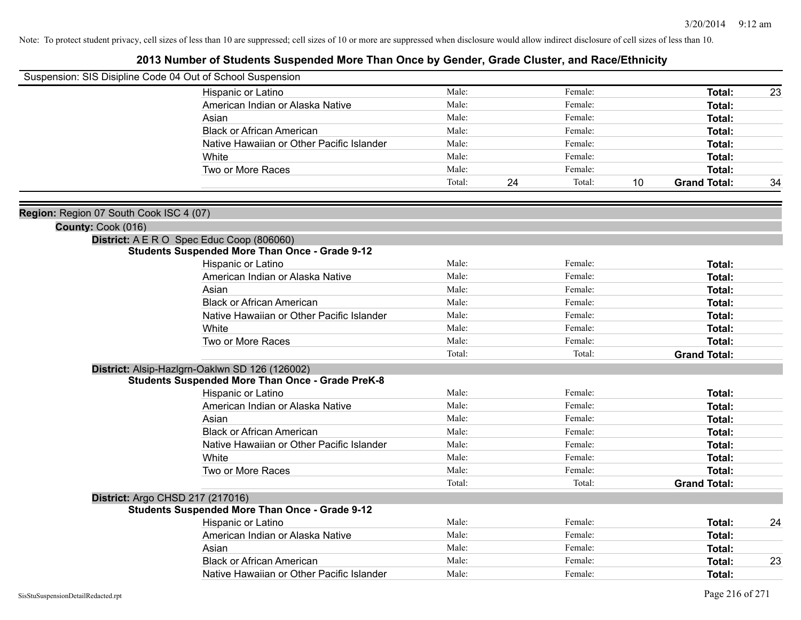|                                         | Suspension: SIS Disipline Code 04 Out of School Suspension                  |        |              |                           |    |
|-----------------------------------------|-----------------------------------------------------------------------------|--------|--------------|---------------------------|----|
|                                         | Hispanic or Latino                                                          | Male:  | Female:      | Total:                    | 23 |
|                                         | American Indian or Alaska Native                                            | Male:  | Female:      | Total:                    |    |
|                                         | Asian                                                                       | Male:  | Female:      | Total:                    |    |
|                                         | <b>Black or African American</b>                                            | Male:  | Female:      | Total:                    |    |
|                                         | Native Hawaiian or Other Pacific Islander                                   | Male:  | Female:      | Total:                    |    |
|                                         | White                                                                       | Male:  | Female:      | Total:                    |    |
|                                         | Two or More Races                                                           | Male:  | Female:      | <b>Total:</b>             |    |
|                                         |                                                                             | Total: | 24<br>Total: | 10<br><b>Grand Total:</b> | 34 |
| Region: Region 07 South Cook ISC 4 (07) |                                                                             |        |              |                           |    |
| County: Cook (016)                      |                                                                             |        |              |                           |    |
|                                         | District: A E R O Spec Educ Coop (806060)                                   |        |              |                           |    |
|                                         | <b>Students Suspended More Than Once - Grade 9-12</b>                       |        |              |                           |    |
|                                         | Hispanic or Latino                                                          | Male:  | Female:      | Total:                    |    |
|                                         | American Indian or Alaska Native                                            | Male:  | Female:      | <b>Total:</b>             |    |
|                                         | Asian                                                                       | Male:  | Female:      | Total:                    |    |
|                                         | <b>Black or African American</b>                                            | Male:  | Female:      | Total:                    |    |
|                                         | Native Hawaiian or Other Pacific Islander                                   | Male:  | Female:      | Total:                    |    |
|                                         | White                                                                       | Male:  | Female:      | Total:                    |    |
|                                         | Two or More Races                                                           | Male:  | Female:      | <b>Total:</b>             |    |
|                                         |                                                                             | Total: | Total:       | <b>Grand Total:</b>       |    |
|                                         | District: Alsip-Hazlgrn-Oaklwn SD 126 (126002)                              |        |              |                           |    |
|                                         | <b>Students Suspended More Than Once - Grade PreK-8</b>                     |        |              |                           |    |
|                                         | Hispanic or Latino                                                          | Male:  | Female:      | Total:                    |    |
|                                         | American Indian or Alaska Native                                            | Male:  | Female:      | Total:                    |    |
|                                         | Asian                                                                       | Male:  | Female:      | Total:                    |    |
|                                         | <b>Black or African American</b>                                            | Male:  | Female:      | Total:                    |    |
|                                         | Native Hawaiian or Other Pacific Islander                                   | Male:  | Female:      | <b>Total:</b>             |    |
|                                         | White                                                                       | Male:  | Female:      | Total:                    |    |
|                                         | Two or More Races                                                           | Male:  | Female:      | <b>Total:</b>             |    |
|                                         |                                                                             | Total: | Total:       | <b>Grand Total:</b>       |    |
|                                         | District: Argo CHSD 217 (217016)                                            |        |              |                           |    |
|                                         | <b>Students Suspended More Than Once - Grade 9-12</b><br>Hispanic or Latino | Male:  | Female:      | Total:                    | 24 |
|                                         | American Indian or Alaska Native                                            | Male:  | Female:      | Total:                    |    |
|                                         | Asian                                                                       | Male:  | Female:      | Total:                    |    |
|                                         | <b>Black or African American</b>                                            | Male:  | Female:      | <b>Total:</b>             | 23 |
|                                         |                                                                             | Male:  | Female:      |                           |    |
|                                         | Native Hawaiian or Other Pacific Islander                                   |        |              | Total:                    |    |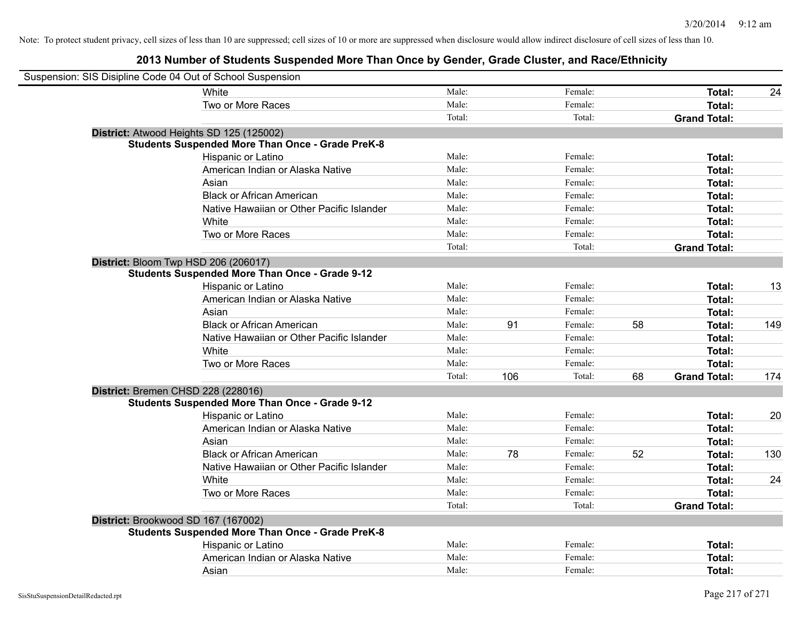| Suspension: SIS Disipline Code 04 Out of School Suspension |                                                         |        |     |         |    |                     |     |
|------------------------------------------------------------|---------------------------------------------------------|--------|-----|---------|----|---------------------|-----|
|                                                            | <b>White</b>                                            | Male:  |     | Female: |    | Total:              | 24  |
|                                                            | Two or More Races                                       | Male:  |     | Female: |    | Total:              |     |
|                                                            |                                                         | Total: |     | Total:  |    | <b>Grand Total:</b> |     |
|                                                            | District: Atwood Heights SD 125 (125002)                |        |     |         |    |                     |     |
|                                                            | <b>Students Suspended More Than Once - Grade PreK-8</b> |        |     |         |    |                     |     |
|                                                            | Hispanic or Latino                                      | Male:  |     | Female: |    | Total:              |     |
|                                                            | American Indian or Alaska Native                        | Male:  |     | Female: |    | Total:              |     |
|                                                            | Asian                                                   | Male:  |     | Female: |    | Total:              |     |
|                                                            | <b>Black or African American</b>                        | Male:  |     | Female: |    | Total:              |     |
|                                                            | Native Hawaiian or Other Pacific Islander               | Male:  |     | Female: |    | Total:              |     |
|                                                            | White                                                   | Male:  |     | Female: |    | Total:              |     |
|                                                            | Two or More Races                                       | Male:  |     | Female: |    | Total:              |     |
|                                                            |                                                         | Total: |     | Total:  |    | <b>Grand Total:</b> |     |
|                                                            | District: Bloom Twp HSD 206 (206017)                    |        |     |         |    |                     |     |
|                                                            | <b>Students Suspended More Than Once - Grade 9-12</b>   |        |     |         |    |                     |     |
|                                                            | Hispanic or Latino                                      | Male:  |     | Female: |    | Total:              | 13  |
|                                                            | American Indian or Alaska Native                        | Male:  |     | Female: |    | Total:              |     |
|                                                            | Asian                                                   | Male:  |     | Female: |    | Total:              |     |
|                                                            | <b>Black or African American</b>                        | Male:  | 91  | Female: | 58 | Total:              | 149 |
|                                                            | Native Hawaiian or Other Pacific Islander               | Male:  |     | Female: |    | Total:              |     |
|                                                            | White                                                   | Male:  |     | Female: |    | Total:              |     |
|                                                            | Two or More Races                                       | Male:  |     | Female: |    | Total:              |     |
|                                                            |                                                         | Total: | 106 | Total:  | 68 | <b>Grand Total:</b> | 174 |
|                                                            | District: Bremen CHSD 228 (228016)                      |        |     |         |    |                     |     |
|                                                            | <b>Students Suspended More Than Once - Grade 9-12</b>   |        |     |         |    |                     |     |
|                                                            | Hispanic or Latino                                      | Male:  |     | Female: |    | Total:              | 20  |
|                                                            | American Indian or Alaska Native                        | Male:  |     | Female: |    | Total:              |     |
|                                                            | Asian                                                   | Male:  |     | Female: |    | Total:              |     |
|                                                            | <b>Black or African American</b>                        | Male:  | 78  | Female: | 52 | Total:              | 130 |
|                                                            | Native Hawaiian or Other Pacific Islander               | Male:  |     | Female: |    | Total:              |     |
|                                                            | White                                                   | Male:  |     | Female: |    | Total:              | 24  |
|                                                            | Two or More Races                                       | Male:  |     | Female: |    | Total:              |     |
|                                                            |                                                         | Total: |     | Total:  |    | <b>Grand Total:</b> |     |
|                                                            | District: Brookwood SD 167 (167002)                     |        |     |         |    |                     |     |
|                                                            | <b>Students Suspended More Than Once - Grade PreK-8</b> |        |     |         |    |                     |     |
|                                                            | Hispanic or Latino                                      | Male:  |     | Female: |    | Total:              |     |
|                                                            | American Indian or Alaska Native                        | Male:  |     | Female: |    | Total:              |     |
|                                                            | Asian                                                   | Male:  |     | Female: |    | Total:              |     |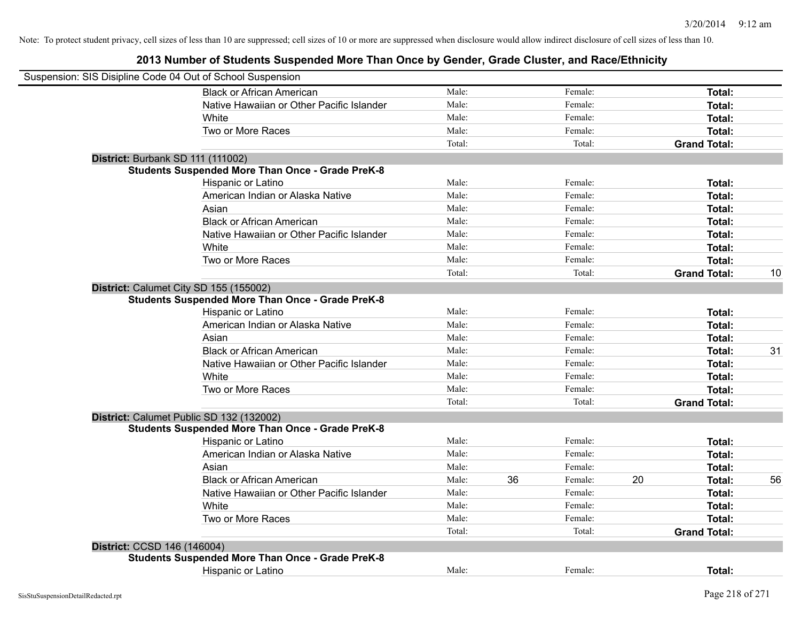| Suspension: SIS Disipline Code 04 Out of School Suspension |                                                         |        |    |         |    |                     |    |
|------------------------------------------------------------|---------------------------------------------------------|--------|----|---------|----|---------------------|----|
|                                                            | <b>Black or African American</b>                        | Male:  |    | Female: |    | Total:              |    |
|                                                            | Native Hawaiian or Other Pacific Islander               | Male:  |    | Female: |    | <b>Total:</b>       |    |
|                                                            | White                                                   | Male:  |    | Female: |    | Total:              |    |
|                                                            | Two or More Races                                       | Male:  |    | Female: |    | Total:              |    |
|                                                            |                                                         | Total: |    | Total:  |    | <b>Grand Total:</b> |    |
| District: Burbank SD 111 (111002)                          |                                                         |        |    |         |    |                     |    |
|                                                            | <b>Students Suspended More Than Once - Grade PreK-8</b> |        |    |         |    |                     |    |
|                                                            | Hispanic or Latino                                      | Male:  |    | Female: |    | Total:              |    |
|                                                            | American Indian or Alaska Native                        | Male:  |    | Female: |    | Total:              |    |
|                                                            | Asian                                                   | Male:  |    | Female: |    | Total:              |    |
|                                                            | <b>Black or African American</b>                        | Male:  |    | Female: |    | Total:              |    |
|                                                            | Native Hawaiian or Other Pacific Islander               | Male:  |    | Female: |    | Total:              |    |
|                                                            | White                                                   | Male:  |    | Female: |    | Total:              |    |
|                                                            | Two or More Races                                       | Male:  |    | Female: |    | Total:              |    |
|                                                            |                                                         | Total: |    | Total:  |    | <b>Grand Total:</b> | 10 |
| District: Calumet City SD 155 (155002)                     |                                                         |        |    |         |    |                     |    |
|                                                            | <b>Students Suspended More Than Once - Grade PreK-8</b> |        |    |         |    |                     |    |
|                                                            | Hispanic or Latino                                      | Male:  |    | Female: |    | Total:              |    |
|                                                            | American Indian or Alaska Native                        | Male:  |    | Female: |    | Total:              |    |
|                                                            | Asian                                                   | Male:  |    | Female: |    | Total:              |    |
|                                                            | <b>Black or African American</b>                        | Male:  |    | Female: |    | Total:              | 31 |
|                                                            | Native Hawaiian or Other Pacific Islander               | Male:  |    | Female: |    | <b>Total:</b>       |    |
|                                                            | White                                                   | Male:  |    | Female: |    | Total:              |    |
|                                                            | Two or More Races                                       | Male:  |    | Female: |    | Total:              |    |
|                                                            |                                                         | Total: |    | Total:  |    | <b>Grand Total:</b> |    |
| District: Calumet Public SD 132 (132002)                   |                                                         |        |    |         |    |                     |    |
|                                                            | <b>Students Suspended More Than Once - Grade PreK-8</b> |        |    |         |    |                     |    |
|                                                            | Hispanic or Latino                                      | Male:  |    | Female: |    | Total:              |    |
|                                                            | American Indian or Alaska Native                        | Male:  |    | Female: |    | Total:              |    |
|                                                            | Asian                                                   | Male:  |    | Female: |    | Total:              |    |
|                                                            | <b>Black or African American</b>                        | Male:  | 36 | Female: | 20 | Total:              | 56 |
|                                                            | Native Hawaiian or Other Pacific Islander               | Male:  |    | Female: |    | Total:              |    |
|                                                            | White                                                   | Male:  |    | Female: |    | Total:              |    |
|                                                            | Two or More Races                                       | Male:  |    | Female: |    | Total:              |    |
|                                                            |                                                         | Total: |    | Total:  |    | <b>Grand Total:</b> |    |
| District: CCSD 146 (146004)                                |                                                         |        |    |         |    |                     |    |
|                                                            | <b>Students Suspended More Than Once - Grade PreK-8</b> |        |    |         |    |                     |    |
|                                                            | Hispanic or Latino                                      | Male:  |    | Female: |    | Total:              |    |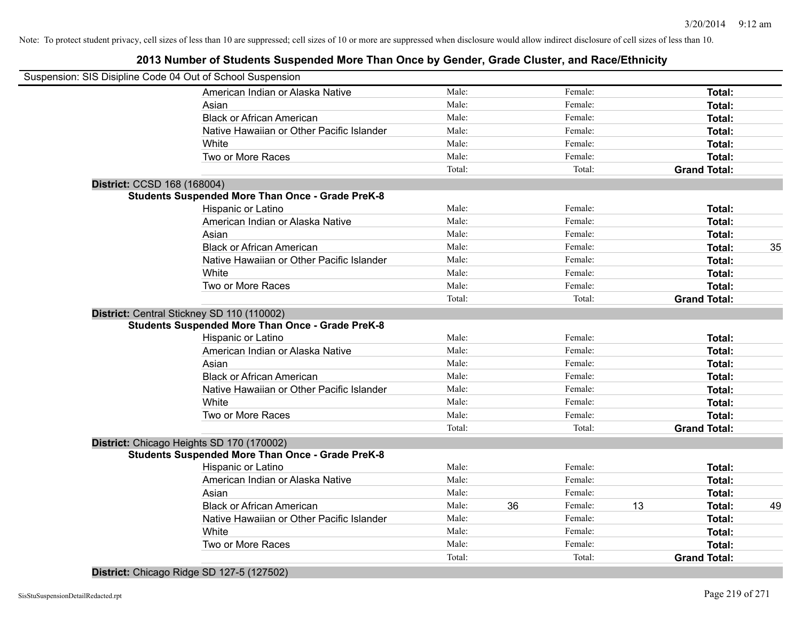## **2013 Number of Students Suspended More Than Once by Gender, Grade Cluster, and Race/Ethnicity**

|                             | Suspension: SIS Disipline Code 04 Out of School Suspension |        |    |         |    |                     |    |
|-----------------------------|------------------------------------------------------------|--------|----|---------|----|---------------------|----|
|                             | American Indian or Alaska Native                           | Male:  |    | Female: |    | Total:              |    |
|                             | Asian                                                      | Male:  |    | Female: |    | Total:              |    |
|                             | <b>Black or African American</b>                           | Male:  |    | Female: |    | Total:              |    |
|                             | Native Hawaiian or Other Pacific Islander                  | Male:  |    | Female: |    | Total:              |    |
|                             | White                                                      | Male:  |    | Female: |    | Total:              |    |
|                             | Two or More Races                                          | Male:  |    | Female: |    | Total:              |    |
|                             |                                                            | Total: |    | Total:  |    | <b>Grand Total:</b> |    |
| District: CCSD 168 (168004) |                                                            |        |    |         |    |                     |    |
|                             | <b>Students Suspended More Than Once - Grade PreK-8</b>    |        |    |         |    |                     |    |
|                             | Hispanic or Latino                                         | Male:  |    | Female: |    | Total:              |    |
|                             | American Indian or Alaska Native                           | Male:  |    | Female: |    | Total:              |    |
|                             | Asian                                                      | Male:  |    | Female: |    | Total:              |    |
|                             | <b>Black or African American</b>                           | Male:  |    | Female: |    | Total:              | 35 |
|                             | Native Hawaiian or Other Pacific Islander                  | Male:  |    | Female: |    | Total:              |    |
|                             | White                                                      | Male:  |    | Female: |    | Total:              |    |
|                             | Two or More Races                                          | Male:  |    | Female: |    | Total:              |    |
|                             |                                                            | Total: |    | Total:  |    | <b>Grand Total:</b> |    |
|                             | District: Central Stickney SD 110 (110002)                 |        |    |         |    |                     |    |
|                             | <b>Students Suspended More Than Once - Grade PreK-8</b>    |        |    |         |    |                     |    |
|                             | Hispanic or Latino                                         | Male:  |    | Female: |    | Total:              |    |
|                             | American Indian or Alaska Native                           | Male:  |    | Female: |    | Total:              |    |
|                             | Asian                                                      | Male:  |    | Female: |    | Total:              |    |
|                             | <b>Black or African American</b>                           | Male:  |    | Female: |    | Total:              |    |
|                             | Native Hawaiian or Other Pacific Islander                  | Male:  |    | Female: |    | Total:              |    |
|                             | White                                                      | Male:  |    | Female: |    | Total:              |    |
|                             | Two or More Races                                          | Male:  |    | Female: |    | Total:              |    |
|                             |                                                            | Total: |    | Total:  |    | <b>Grand Total:</b> |    |
|                             | District: Chicago Heights SD 170 (170002)                  |        |    |         |    |                     |    |
|                             | <b>Students Suspended More Than Once - Grade PreK-8</b>    |        |    |         |    |                     |    |
|                             | Hispanic or Latino                                         | Male:  |    | Female: |    | Total:              |    |
|                             | American Indian or Alaska Native                           | Male:  |    | Female: |    | Total:              |    |
|                             | Asian                                                      | Male:  |    | Female: |    | Total:              |    |
|                             | <b>Black or African American</b>                           | Male:  | 36 | Female: | 13 | Total:              | 49 |
|                             | Native Hawaiian or Other Pacific Islander                  | Male:  |    | Female: |    | Total:              |    |
|                             | White                                                      | Male:  |    | Female: |    | Total:              |    |
|                             | Two or More Races                                          | Male:  |    | Female: |    | <b>Total:</b>       |    |
|                             |                                                            | Total: |    | Total:  |    | <b>Grand Total:</b> |    |
|                             |                                                            |        |    |         |    |                     |    |

**District:** Chicago Ridge SD 127-5 (127502)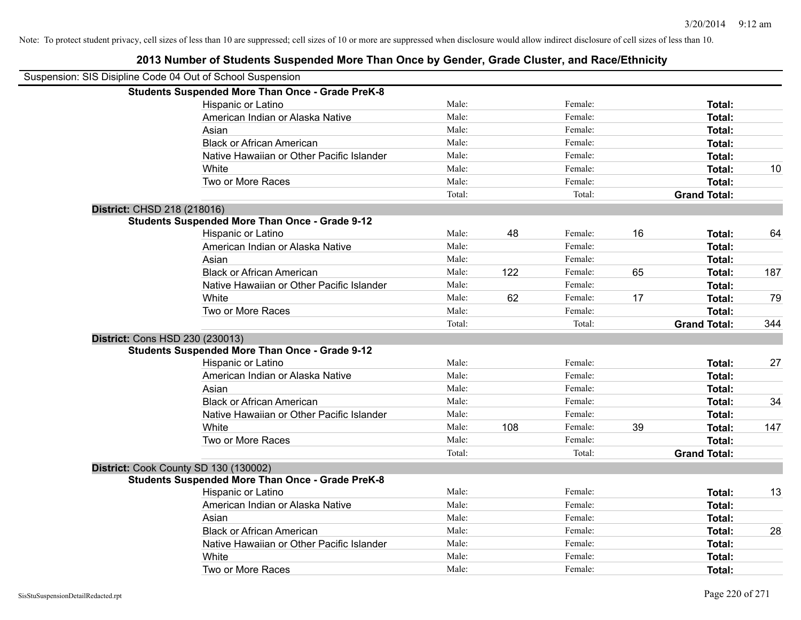|                             | Suspension: SIS Disipline Code 04 Out of School Suspension |        |     |         |    |                     |     |
|-----------------------------|------------------------------------------------------------|--------|-----|---------|----|---------------------|-----|
|                             | <b>Students Suspended More Than Once - Grade PreK-8</b>    |        |     |         |    |                     |     |
|                             | Hispanic or Latino                                         | Male:  |     | Female: |    | Total:              |     |
|                             | American Indian or Alaska Native                           | Male:  |     | Female: |    | Total:              |     |
|                             | Asian                                                      | Male:  |     | Female: |    | Total:              |     |
|                             | <b>Black or African American</b>                           | Male:  |     | Female: |    | Total:              |     |
|                             | Native Hawaiian or Other Pacific Islander                  | Male:  |     | Female: |    | Total:              |     |
|                             | White                                                      | Male:  |     | Female: |    | Total:              | 10  |
|                             | Two or More Races                                          | Male:  |     | Female: |    | Total:              |     |
|                             |                                                            | Total: |     | Total:  |    | <b>Grand Total:</b> |     |
| District: CHSD 218 (218016) |                                                            |        |     |         |    |                     |     |
|                             | <b>Students Suspended More Than Once - Grade 9-12</b>      |        |     |         |    |                     |     |
|                             | Hispanic or Latino                                         | Male:  | 48  | Female: | 16 | Total:              | 64  |
|                             | American Indian or Alaska Native                           | Male:  |     | Female: |    | Total:              |     |
|                             | Asian                                                      | Male:  |     | Female: |    | Total:              |     |
|                             | <b>Black or African American</b>                           | Male:  | 122 | Female: | 65 | Total:              | 187 |
|                             | Native Hawaiian or Other Pacific Islander                  | Male:  |     | Female: |    | Total:              |     |
|                             | White                                                      | Male:  | 62  | Female: | 17 | Total:              | 79  |
|                             | Two or More Races                                          | Male:  |     | Female: |    | Total:              |     |
|                             |                                                            | Total: |     | Total:  |    | <b>Grand Total:</b> | 344 |
|                             | District: Cons HSD 230 (230013)                            |        |     |         |    |                     |     |
|                             | <b>Students Suspended More Than Once - Grade 9-12</b>      |        |     |         |    |                     |     |
|                             | Hispanic or Latino                                         | Male:  |     | Female: |    | Total:              | 27  |
|                             | American Indian or Alaska Native                           | Male:  |     | Female: |    | Total:              |     |
|                             | Asian                                                      | Male:  |     | Female: |    | Total:              |     |
|                             | <b>Black or African American</b>                           | Male:  |     | Female: |    | Total:              | 34  |
|                             | Native Hawaiian or Other Pacific Islander                  | Male:  |     | Female: |    | Total:              |     |
|                             | White                                                      | Male:  | 108 | Female: | 39 | Total:              | 147 |
|                             | Two or More Races                                          | Male:  |     | Female: |    | Total:              |     |
|                             |                                                            | Total: |     | Total:  |    | <b>Grand Total:</b> |     |
|                             | District: Cook County SD 130 (130002)                      |        |     |         |    |                     |     |
|                             | <b>Students Suspended More Than Once - Grade PreK-8</b>    |        |     |         |    |                     |     |
|                             | Hispanic or Latino                                         | Male:  |     | Female: |    | Total:              | 13  |
|                             | American Indian or Alaska Native                           | Male:  |     | Female: |    | Total:              |     |
|                             | Asian                                                      | Male:  |     | Female: |    | Total:              |     |
|                             | <b>Black or African American</b>                           | Male:  |     | Female: |    | Total:              | 28  |
|                             | Native Hawaiian or Other Pacific Islander                  | Male:  |     | Female: |    | Total:              |     |
|                             | White                                                      | Male:  |     | Female: |    | Total:              |     |
|                             | Two or More Races                                          | Male:  |     | Female: |    | Total:              |     |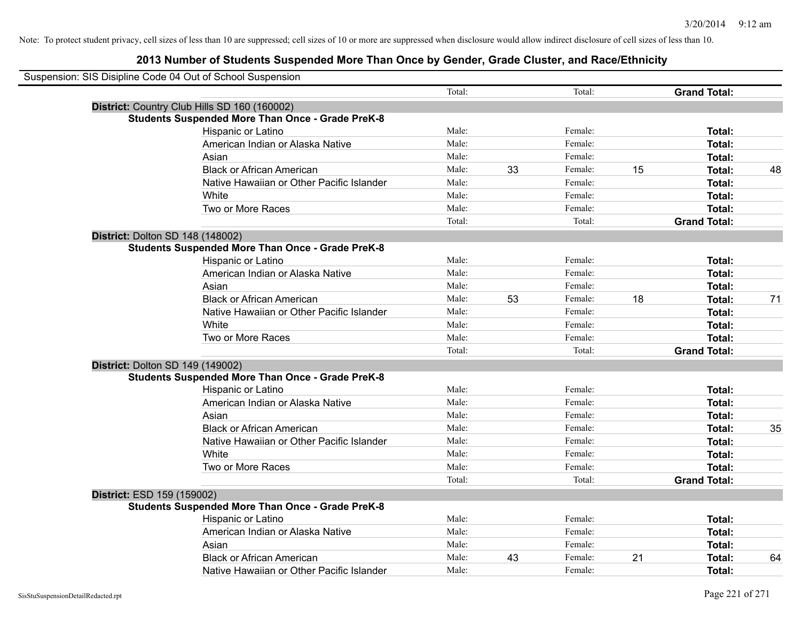|                                         | Suspension: SIS Disipline Code 04 Out of School Suspension |        |    |         |    |                     |    |
|-----------------------------------------|------------------------------------------------------------|--------|----|---------|----|---------------------|----|
|                                         |                                                            | Total: |    | Total:  |    | <b>Grand Total:</b> |    |
|                                         | District: Country Club Hills SD 160 (160002)               |        |    |         |    |                     |    |
|                                         | <b>Students Suspended More Than Once - Grade PreK-8</b>    |        |    |         |    |                     |    |
|                                         | Hispanic or Latino                                         | Male:  |    | Female: |    | Total:              |    |
|                                         | American Indian or Alaska Native                           | Male:  |    | Female: |    | Total:              |    |
|                                         | Asian                                                      | Male:  |    | Female: |    | Total:              |    |
|                                         | <b>Black or African American</b>                           | Male:  | 33 | Female: | 15 | Total:              | 48 |
|                                         | Native Hawaiian or Other Pacific Islander                  | Male:  |    | Female: |    | Total:              |    |
|                                         | White                                                      | Male:  |    | Female: |    | Total:              |    |
|                                         | Two or More Races                                          | Male:  |    | Female: |    | Total:              |    |
|                                         |                                                            | Total: |    | Total:  |    | <b>Grand Total:</b> |    |
| <b>District: Dolton SD 148 (148002)</b> |                                                            |        |    |         |    |                     |    |
|                                         | <b>Students Suspended More Than Once - Grade PreK-8</b>    |        |    |         |    |                     |    |
|                                         | Hispanic or Latino                                         | Male:  |    | Female: |    | Total:              |    |
|                                         | American Indian or Alaska Native                           | Male:  |    | Female: |    | Total:              |    |
|                                         | Asian                                                      | Male:  |    | Female: |    | Total:              |    |
|                                         | <b>Black or African American</b>                           | Male:  | 53 | Female: | 18 | Total:              | 71 |
|                                         | Native Hawaiian or Other Pacific Islander                  | Male:  |    | Female: |    | Total:              |    |
|                                         | White                                                      | Male:  |    | Female: |    | Total:              |    |
|                                         | Two or More Races                                          | Male:  |    | Female: |    | Total:              |    |
|                                         |                                                            | Total: |    | Total:  |    | <b>Grand Total:</b> |    |
| District: Dolton SD 149 (149002)        |                                                            |        |    |         |    |                     |    |
|                                         | <b>Students Suspended More Than Once - Grade PreK-8</b>    |        |    |         |    |                     |    |
|                                         | Hispanic or Latino                                         | Male:  |    | Female: |    | Total:              |    |
|                                         | American Indian or Alaska Native                           | Male:  |    | Female: |    | Total:              |    |
|                                         | Asian                                                      | Male:  |    | Female: |    | Total:              |    |
|                                         | <b>Black or African American</b>                           | Male:  |    | Female: |    | Total:              | 35 |
|                                         | Native Hawaiian or Other Pacific Islander                  | Male:  |    | Female: |    | Total:              |    |
|                                         | White                                                      | Male:  |    | Female: |    | Total:              |    |
|                                         | Two or More Races                                          | Male:  |    | Female: |    | Total:              |    |
|                                         |                                                            | Total: |    | Total:  |    | <b>Grand Total:</b> |    |
| District: ESD 159 (159002)              |                                                            |        |    |         |    |                     |    |
|                                         | <b>Students Suspended More Than Once - Grade PreK-8</b>    |        |    |         |    |                     |    |
|                                         | Hispanic or Latino                                         | Male:  |    | Female: |    | Total:              |    |
|                                         | American Indian or Alaska Native                           | Male:  |    | Female: |    | Total:              |    |
|                                         | Asian                                                      | Male:  |    | Female: |    | Total:              |    |
|                                         | <b>Black or African American</b>                           | Male:  | 43 | Female: | 21 | Total:              | 64 |
|                                         | Native Hawaiian or Other Pacific Islander                  | Male:  |    | Female: |    | Total:              |    |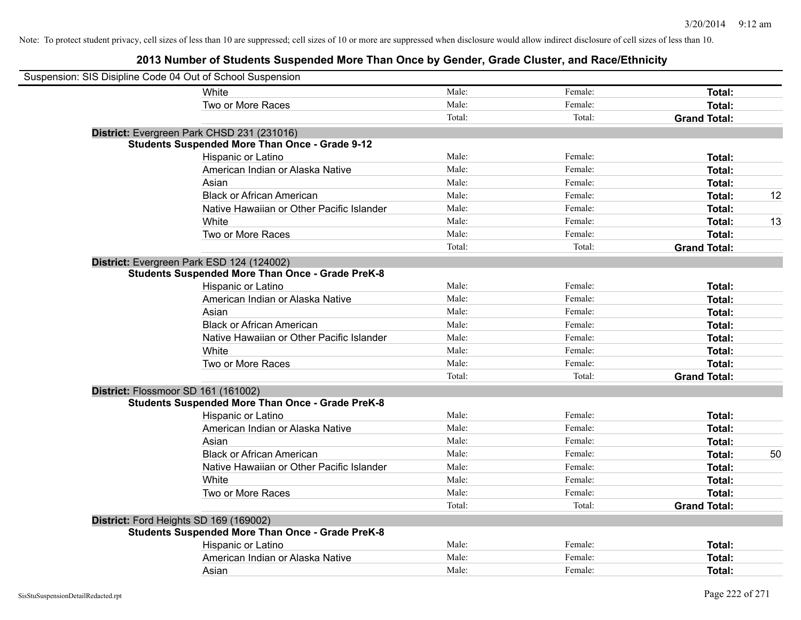| Suspension: SIS Disipline Code 04 Out of School Suspension |                                                         |        |         |                     |    |
|------------------------------------------------------------|---------------------------------------------------------|--------|---------|---------------------|----|
|                                                            | White                                                   | Male:  | Female: | Total:              |    |
|                                                            | Two or More Races                                       | Male:  | Female: | Total:              |    |
|                                                            |                                                         | Total: | Total:  | <b>Grand Total:</b> |    |
|                                                            | District: Evergreen Park CHSD 231 (231016)              |        |         |                     |    |
|                                                            | <b>Students Suspended More Than Once - Grade 9-12</b>   |        |         |                     |    |
|                                                            | Hispanic or Latino                                      | Male:  | Female: | Total:              |    |
|                                                            | American Indian or Alaska Native                        | Male:  | Female: | Total:              |    |
|                                                            | Asian                                                   | Male:  | Female: | Total:              |    |
|                                                            | <b>Black or African American</b>                        | Male:  | Female: | Total:              | 12 |
|                                                            | Native Hawaiian or Other Pacific Islander               | Male:  | Female: | Total:              |    |
|                                                            | White                                                   | Male:  | Female: | Total:              | 13 |
|                                                            | Two or More Races                                       | Male:  | Female: | Total:              |    |
|                                                            |                                                         | Total: | Total:  | <b>Grand Total:</b> |    |
| District: Evergreen Park ESD 124 (124002)                  |                                                         |        |         |                     |    |
|                                                            | <b>Students Suspended More Than Once - Grade PreK-8</b> |        |         |                     |    |
|                                                            | Hispanic or Latino                                      | Male:  | Female: | Total:              |    |
|                                                            | American Indian or Alaska Native                        | Male:  | Female: | Total:              |    |
|                                                            | Asian                                                   | Male:  | Female: | Total:              |    |
|                                                            | <b>Black or African American</b>                        | Male:  | Female: | Total:              |    |
|                                                            | Native Hawaiian or Other Pacific Islander               | Male:  | Female: | Total:              |    |
|                                                            | White                                                   | Male:  | Female: | Total:              |    |
|                                                            | Two or More Races                                       | Male:  | Female: | Total:              |    |
|                                                            |                                                         | Total: | Total:  | <b>Grand Total:</b> |    |
| District: Flossmoor SD 161 (161002)                        |                                                         |        |         |                     |    |
|                                                            | <b>Students Suspended More Than Once - Grade PreK-8</b> |        |         |                     |    |
|                                                            | Hispanic or Latino                                      | Male:  | Female: | Total:              |    |
|                                                            | American Indian or Alaska Native                        | Male:  | Female: | Total:              |    |
|                                                            | Asian                                                   | Male:  | Female: | Total:              |    |
|                                                            | <b>Black or African American</b>                        | Male:  | Female: | Total:              | 50 |
|                                                            | Native Hawaiian or Other Pacific Islander               | Male:  | Female: | Total:              |    |
|                                                            | White                                                   | Male:  | Female: | Total:              |    |
|                                                            | Two or More Races                                       | Male:  | Female: | Total:              |    |
|                                                            |                                                         | Total: | Total:  | <b>Grand Total:</b> |    |
| District: Ford Heights SD 169 (169002)                     |                                                         |        |         |                     |    |
|                                                            | <b>Students Suspended More Than Once - Grade PreK-8</b> |        |         |                     |    |
|                                                            | Hispanic or Latino                                      | Male:  | Female: | Total:              |    |
|                                                            | American Indian or Alaska Native                        | Male:  | Female: | Total:              |    |
|                                                            | Asian                                                   | Male:  | Female: | Total:              |    |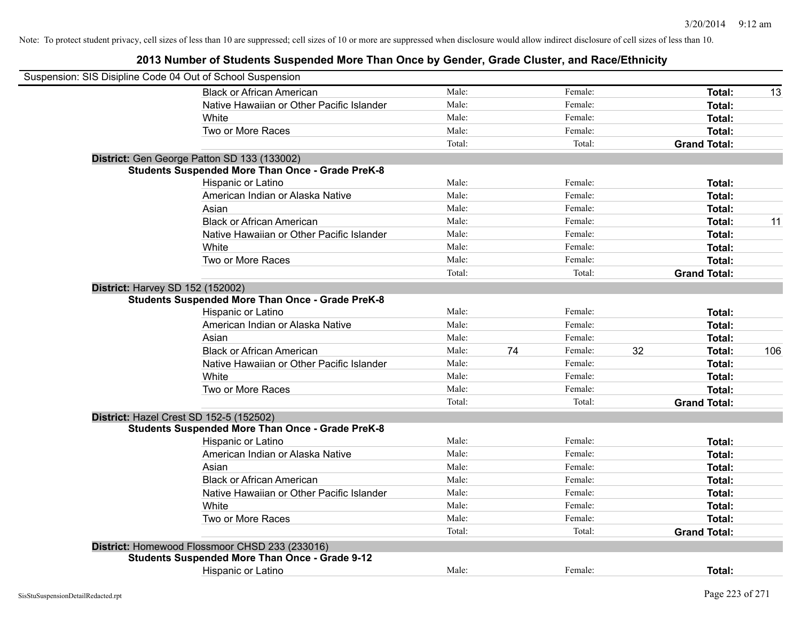| Suspension: SIS Disipline Code 04 Out of School Suspension |        |    |         |    |                     |     |
|------------------------------------------------------------|--------|----|---------|----|---------------------|-----|
| <b>Black or African American</b>                           | Male:  |    | Female: |    | Total:              | 13  |
| Native Hawaiian or Other Pacific Islander                  | Male:  |    | Female: |    | Total:              |     |
| White                                                      | Male:  |    | Female: |    | Total:              |     |
| Two or More Races                                          | Male:  |    | Female: |    | Total:              |     |
|                                                            | Total: |    | Total:  |    | <b>Grand Total:</b> |     |
| District: Gen George Patton SD 133 (133002)                |        |    |         |    |                     |     |
| <b>Students Suspended More Than Once - Grade PreK-8</b>    |        |    |         |    |                     |     |
| Hispanic or Latino                                         | Male:  |    | Female: |    | Total:              |     |
| American Indian or Alaska Native                           | Male:  |    | Female: |    | Total:              |     |
| Asian                                                      | Male:  |    | Female: |    | Total:              |     |
| <b>Black or African American</b>                           | Male:  |    | Female: |    | Total:              | 11  |
| Native Hawaiian or Other Pacific Islander                  | Male:  |    | Female: |    | Total:              |     |
| White                                                      | Male:  |    | Female: |    | Total:              |     |
| Two or More Races                                          | Male:  |    | Female: |    | Total:              |     |
|                                                            | Total: |    | Total:  |    | <b>Grand Total:</b> |     |
| <b>District: Harvey SD 152 (152002)</b>                    |        |    |         |    |                     |     |
| <b>Students Suspended More Than Once - Grade PreK-8</b>    |        |    |         |    |                     |     |
| Hispanic or Latino                                         | Male:  |    | Female: |    | Total:              |     |
| American Indian or Alaska Native                           | Male:  |    | Female: |    | Total:              |     |
| Asian                                                      | Male:  |    | Female: |    | Total:              |     |
| <b>Black or African American</b>                           | Male:  | 74 | Female: | 32 | Total:              | 106 |
| Native Hawaiian or Other Pacific Islander                  | Male:  |    | Female: |    | Total:              |     |
| White                                                      | Male:  |    | Female: |    | Total:              |     |
| Two or More Races                                          | Male:  |    | Female: |    | Total:              |     |
|                                                            | Total: |    | Total:  |    | <b>Grand Total:</b> |     |
| District: Hazel Crest SD 152-5 (152502)                    |        |    |         |    |                     |     |
| <b>Students Suspended More Than Once - Grade PreK-8</b>    |        |    |         |    |                     |     |
| Hispanic or Latino                                         | Male:  |    | Female: |    | Total:              |     |
| American Indian or Alaska Native                           | Male:  |    | Female: |    | Total:              |     |
| Asian                                                      | Male:  |    | Female: |    | Total:              |     |
| <b>Black or African American</b>                           | Male:  |    | Female: |    | Total:              |     |
| Native Hawaiian or Other Pacific Islander                  | Male:  |    | Female: |    | Total:              |     |
| White                                                      | Male:  |    | Female: |    | Total:              |     |
| Two or More Races                                          | Male:  |    | Female: |    | Total:              |     |
|                                                            | Total: |    | Total:  |    | <b>Grand Total:</b> |     |
| District: Homewood Flossmoor CHSD 233 (233016)             |        |    |         |    |                     |     |
| <b>Students Suspended More Than Once - Grade 9-12</b>      |        |    |         |    |                     |     |
| <b>Hispanic or Latino</b>                                  | Male:  |    | Female: |    | Total:              |     |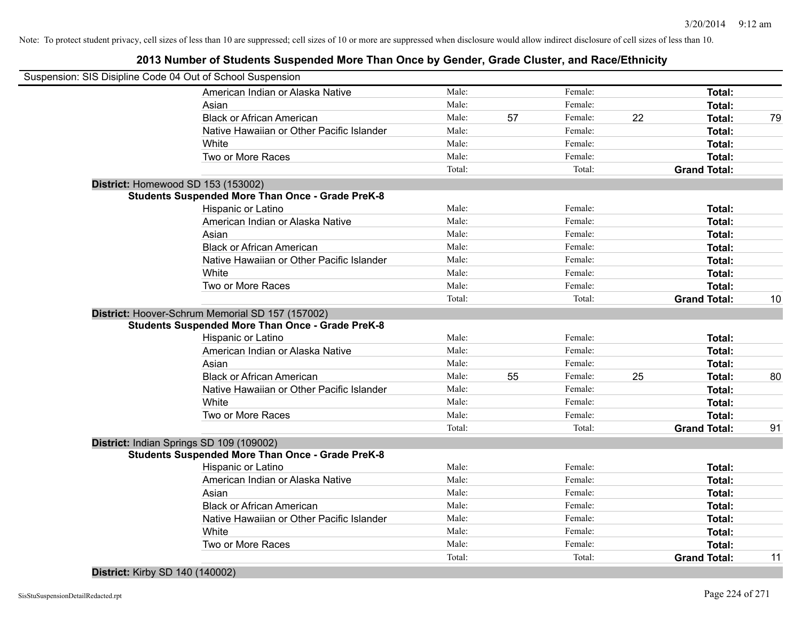| Suspension: SIS Disipline Code 04 Out of School Suspension |        |    |         |    |                     |    |
|------------------------------------------------------------|--------|----|---------|----|---------------------|----|
| American Indian or Alaska Native                           | Male:  |    | Female: |    | Total:              |    |
| Asian                                                      | Male:  |    | Female: |    | Total:              |    |
| <b>Black or African American</b>                           | Male:  | 57 | Female: | 22 | <b>Total:</b>       | 79 |
| Native Hawaiian or Other Pacific Islander                  | Male:  |    | Female: |    | <b>Total:</b>       |    |
| White                                                      | Male:  |    | Female: |    | Total:              |    |
| Two or More Races                                          | Male:  |    | Female: |    | Total:              |    |
|                                                            | Total: |    | Total:  |    | <b>Grand Total:</b> |    |
| District: Homewood SD 153 (153002)                         |        |    |         |    |                     |    |
| <b>Students Suspended More Than Once - Grade PreK-8</b>    |        |    |         |    |                     |    |
| Hispanic or Latino                                         | Male:  |    | Female: |    | Total:              |    |
| American Indian or Alaska Native                           | Male:  |    | Female: |    | Total:              |    |
| Asian                                                      | Male:  |    | Female: |    | Total:              |    |
| <b>Black or African American</b>                           | Male:  |    | Female: |    | Total:              |    |
| Native Hawaiian or Other Pacific Islander                  | Male:  |    | Female: |    | Total:              |    |
| White                                                      | Male:  |    | Female: |    | Total:              |    |
| Two or More Races                                          | Male:  |    | Female: |    | Total:              |    |
|                                                            | Total: |    | Total:  |    | <b>Grand Total:</b> | 10 |
| District: Hoover-Schrum Memorial SD 157 (157002)           |        |    |         |    |                     |    |
| <b>Students Suspended More Than Once - Grade PreK-8</b>    |        |    |         |    |                     |    |
| Hispanic or Latino                                         | Male:  |    | Female: |    | Total:              |    |
| American Indian or Alaska Native                           | Male:  |    | Female: |    | Total:              |    |
| Asian                                                      | Male:  |    | Female: |    | Total:              |    |
| <b>Black or African American</b>                           | Male:  | 55 | Female: | 25 | Total:              | 80 |
| Native Hawaiian or Other Pacific Islander                  | Male:  |    | Female: |    | Total:              |    |
| White                                                      | Male:  |    | Female: |    | Total:              |    |
| Two or More Races                                          | Male:  |    | Female: |    | Total:              |    |
|                                                            | Total: |    | Total:  |    | <b>Grand Total:</b> | 91 |
| District: Indian Springs SD 109 (109002)                   |        |    |         |    |                     |    |
| <b>Students Suspended More Than Once - Grade PreK-8</b>    |        |    |         |    |                     |    |
| Hispanic or Latino                                         | Male:  |    | Female: |    | Total:              |    |
| American Indian or Alaska Native                           | Male:  |    | Female: |    | Total:              |    |
| Asian                                                      | Male:  |    | Female: |    | Total:              |    |
| <b>Black or African American</b>                           | Male:  |    | Female: |    | Total:              |    |
| Native Hawaiian or Other Pacific Islander                  | Male:  |    | Female: |    | Total:              |    |
| White                                                      | Male:  |    | Female: |    | Total:              |    |
| Two or More Races                                          | Male:  |    | Female: |    | Total:              |    |
|                                                            | Total: |    | Total:  |    | <b>Grand Total:</b> | 11 |
|                                                            |        |    |         |    |                     |    |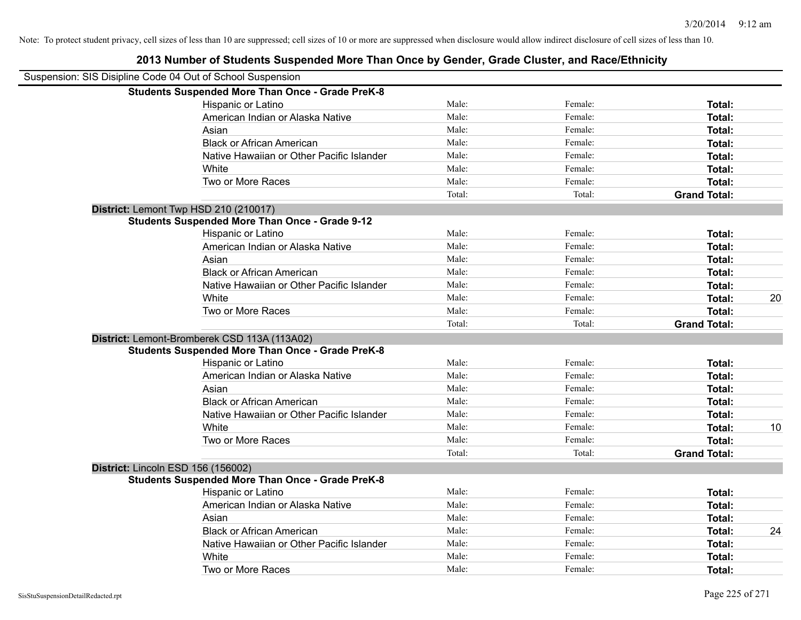| Suspension: SIS Disipline Code 04 Out of School Suspension |        |         |                     |    |
|------------------------------------------------------------|--------|---------|---------------------|----|
| <b>Students Suspended More Than Once - Grade PreK-8</b>    |        |         |                     |    |
| Hispanic or Latino                                         | Male:  | Female: | Total:              |    |
| American Indian or Alaska Native                           | Male:  | Female: | Total:              |    |
| Asian                                                      | Male:  | Female: | Total:              |    |
| <b>Black or African American</b>                           | Male:  | Female: | Total:              |    |
| Native Hawaiian or Other Pacific Islander                  | Male:  | Female: | Total:              |    |
| White                                                      | Male:  | Female: | Total:              |    |
| Two or More Races                                          | Male:  | Female: | Total:              |    |
|                                                            | Total: | Total:  | <b>Grand Total:</b> |    |
| District: Lemont Twp HSD 210 (210017)                      |        |         |                     |    |
| <b>Students Suspended More Than Once - Grade 9-12</b>      |        |         |                     |    |
| Hispanic or Latino                                         | Male:  | Female: | Total:              |    |
| American Indian or Alaska Native                           | Male:  | Female: | Total:              |    |
| Asian                                                      | Male:  | Female: | Total:              |    |
| <b>Black or African American</b>                           | Male:  | Female: | Total:              |    |
| Native Hawaiian or Other Pacific Islander                  | Male:  | Female: | Total:              |    |
| White                                                      | Male:  | Female: | Total:              | 20 |
| Two or More Races                                          | Male:  | Female: | Total:              |    |
|                                                            | Total: | Total:  | <b>Grand Total:</b> |    |
| District: Lemont-Bromberek CSD 113A (113A02)               |        |         |                     |    |
| <b>Students Suspended More Than Once - Grade PreK-8</b>    |        |         |                     |    |
| Hispanic or Latino                                         | Male:  | Female: | Total:              |    |
| American Indian or Alaska Native                           | Male:  | Female: | Total:              |    |
| Asian                                                      | Male:  | Female: | Total:              |    |
| <b>Black or African American</b>                           | Male:  | Female: | Total:              |    |
| Native Hawaiian or Other Pacific Islander                  | Male:  | Female: | Total:              |    |
| White                                                      | Male:  | Female: | Total:              | 10 |
| Two or More Races                                          | Male:  | Female: | Total:              |    |
|                                                            | Total: | Total:  | <b>Grand Total:</b> |    |
| District: Lincoln ESD 156 (156002)                         |        |         |                     |    |
| <b>Students Suspended More Than Once - Grade PreK-8</b>    |        |         |                     |    |
| Hispanic or Latino                                         | Male:  | Female: | Total:              |    |
| American Indian or Alaska Native                           | Male:  | Female: | Total:              |    |
| Asian                                                      | Male:  | Female: | Total:              |    |
| <b>Black or African American</b>                           | Male:  | Female: | Total:              | 24 |
| Native Hawaiian or Other Pacific Islander                  | Male:  | Female: | Total:              |    |
| White                                                      | Male:  | Female: | <b>Total:</b>       |    |
| Two or More Races                                          | Male:  | Female: | Total:              |    |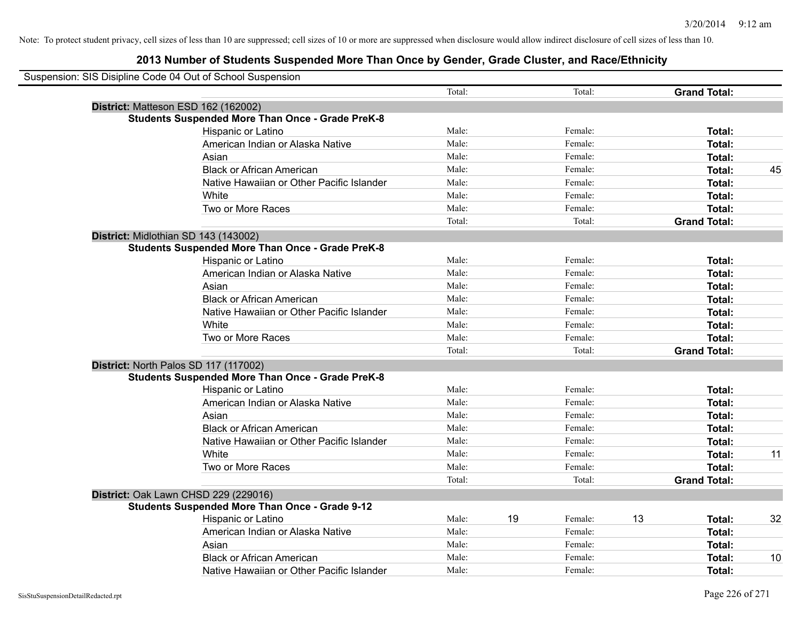| Suspension: SIS Disipline Code 04 Out of School Suspension |                                                         |        |    |         |    |                     |    |
|------------------------------------------------------------|---------------------------------------------------------|--------|----|---------|----|---------------------|----|
|                                                            |                                                         | Total: |    | Total:  |    | <b>Grand Total:</b> |    |
|                                                            | District: Matteson ESD 162 (162002)                     |        |    |         |    |                     |    |
|                                                            | <b>Students Suspended More Than Once - Grade PreK-8</b> |        |    |         |    |                     |    |
|                                                            | Hispanic or Latino                                      | Male:  |    | Female: |    | Total:              |    |
|                                                            | American Indian or Alaska Native                        | Male:  |    | Female: |    | Total:              |    |
|                                                            | Asian                                                   | Male:  |    | Female: |    | Total:              |    |
|                                                            | <b>Black or African American</b>                        | Male:  |    | Female: |    | Total:              | 45 |
|                                                            | Native Hawaiian or Other Pacific Islander               | Male:  |    | Female: |    | Total:              |    |
|                                                            | White                                                   | Male:  |    | Female: |    | Total:              |    |
|                                                            | Two or More Races                                       | Male:  |    | Female: |    | Total:              |    |
|                                                            |                                                         | Total: |    | Total:  |    | <b>Grand Total:</b> |    |
|                                                            | District: Midlothian SD 143 (143002)                    |        |    |         |    |                     |    |
|                                                            | <b>Students Suspended More Than Once - Grade PreK-8</b> |        |    |         |    |                     |    |
|                                                            | Hispanic or Latino                                      | Male:  |    | Female: |    | Total:              |    |
|                                                            | American Indian or Alaska Native                        | Male:  |    | Female: |    | Total:              |    |
|                                                            | Asian                                                   | Male:  |    | Female: |    | Total:              |    |
|                                                            | <b>Black or African American</b>                        | Male:  |    | Female: |    | Total:              |    |
|                                                            | Native Hawaiian or Other Pacific Islander               | Male:  |    | Female: |    | Total:              |    |
|                                                            | White                                                   | Male:  |    | Female: |    | Total:              |    |
|                                                            | Two or More Races                                       | Male:  |    | Female: |    | Total:              |    |
|                                                            |                                                         | Total: |    | Total:  |    | <b>Grand Total:</b> |    |
|                                                            | District: North Palos SD 117 (117002)                   |        |    |         |    |                     |    |
|                                                            | <b>Students Suspended More Than Once - Grade PreK-8</b> |        |    |         |    |                     |    |
|                                                            | Hispanic or Latino                                      | Male:  |    | Female: |    | Total:              |    |
|                                                            | American Indian or Alaska Native                        | Male:  |    | Female: |    | Total:              |    |
|                                                            | Asian                                                   | Male:  |    | Female: |    | Total:              |    |
|                                                            | <b>Black or African American</b>                        | Male:  |    | Female: |    | Total:              |    |
|                                                            | Native Hawaiian or Other Pacific Islander               | Male:  |    | Female: |    | Total:              |    |
|                                                            | White                                                   | Male:  |    | Female: |    | Total:              | 11 |
|                                                            | Two or More Races                                       | Male:  |    | Female: |    | Total:              |    |
|                                                            |                                                         | Total: |    | Total:  |    | <b>Grand Total:</b> |    |
|                                                            | District: Oak Lawn CHSD 229 (229016)                    |        |    |         |    |                     |    |
|                                                            | <b>Students Suspended More Than Once - Grade 9-12</b>   |        |    |         |    |                     |    |
|                                                            | Hispanic or Latino                                      | Male:  | 19 | Female: | 13 | Total:              | 32 |
|                                                            | American Indian or Alaska Native                        | Male:  |    | Female: |    | Total:              |    |
|                                                            | Asian                                                   | Male:  |    | Female: |    | Total:              |    |
|                                                            | <b>Black or African American</b>                        | Male:  |    | Female: |    | Total:              | 10 |
|                                                            | Native Hawaiian or Other Pacific Islander               | Male:  |    | Female: |    | Total:              |    |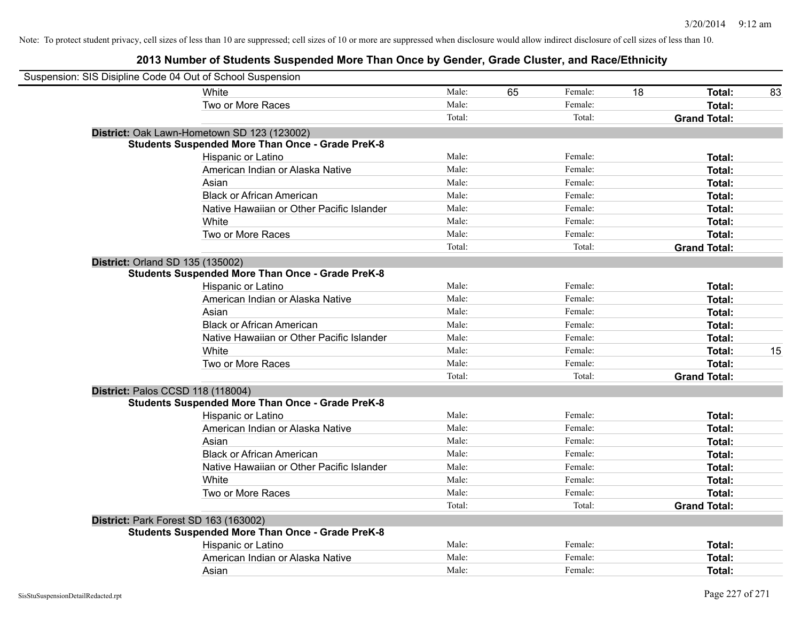|                                  | Suspension: SIS Disipline Code 04 Out of School Suspension |        |    |         |    |                     |    |
|----------------------------------|------------------------------------------------------------|--------|----|---------|----|---------------------|----|
|                                  | White                                                      | Male:  | 65 | Female: | 18 | Total:              | 83 |
|                                  | Two or More Races                                          | Male:  |    | Female: |    | Total:              |    |
|                                  |                                                            | Total: |    | Total:  |    | <b>Grand Total:</b> |    |
|                                  | District: Oak Lawn-Hometown SD 123 (123002)                |        |    |         |    |                     |    |
|                                  | <b>Students Suspended More Than Once - Grade PreK-8</b>    |        |    |         |    |                     |    |
|                                  | Hispanic or Latino                                         | Male:  |    | Female: |    | Total:              |    |
|                                  | American Indian or Alaska Native                           | Male:  |    | Female: |    | Total:              |    |
|                                  | Asian                                                      | Male:  |    | Female: |    | Total:              |    |
|                                  | <b>Black or African American</b>                           | Male:  |    | Female: |    | Total:              |    |
|                                  | Native Hawaiian or Other Pacific Islander                  | Male:  |    | Female: |    | Total:              |    |
|                                  | White                                                      | Male:  |    | Female: |    | Total:              |    |
|                                  | Two or More Races                                          | Male:  |    | Female: |    | Total:              |    |
|                                  |                                                            | Total: |    | Total:  |    | <b>Grand Total:</b> |    |
| District: Orland SD 135 (135002) |                                                            |        |    |         |    |                     |    |
|                                  | <b>Students Suspended More Than Once - Grade PreK-8</b>    |        |    |         |    |                     |    |
|                                  | Hispanic or Latino                                         | Male:  |    | Female: |    | Total:              |    |
|                                  | American Indian or Alaska Native                           | Male:  |    | Female: |    | Total:              |    |
|                                  | Asian                                                      | Male:  |    | Female: |    | Total:              |    |
|                                  | <b>Black or African American</b>                           | Male:  |    | Female: |    | Total:              |    |
|                                  | Native Hawaiian or Other Pacific Islander                  | Male:  |    | Female: |    | Total:              |    |
|                                  | White                                                      | Male:  |    | Female: |    | <b>Total:</b>       | 15 |
|                                  | Two or More Races                                          | Male:  |    | Female: |    | Total:              |    |
|                                  |                                                            | Total: |    | Total:  |    | <b>Grand Total:</b> |    |
|                                  | District: Palos CCSD 118 (118004)                          |        |    |         |    |                     |    |
|                                  | <b>Students Suspended More Than Once - Grade PreK-8</b>    |        |    |         |    |                     |    |
|                                  | Hispanic or Latino                                         | Male:  |    | Female: |    | Total:              |    |
|                                  | American Indian or Alaska Native                           | Male:  |    | Female: |    | Total:              |    |
|                                  | Asian                                                      | Male:  |    | Female: |    | Total:              |    |
|                                  | <b>Black or African American</b>                           | Male:  |    | Female: |    | Total:              |    |
|                                  | Native Hawaiian or Other Pacific Islander                  | Male:  |    | Female: |    | Total:              |    |
|                                  | White                                                      | Male:  |    | Female: |    | Total:              |    |
|                                  | Two or More Races                                          | Male:  |    | Female: |    | Total:              |    |
|                                  |                                                            | Total: |    | Total:  |    | <b>Grand Total:</b> |    |
|                                  | District: Park Forest SD 163 (163002)                      |        |    |         |    |                     |    |
|                                  | <b>Students Suspended More Than Once - Grade PreK-8</b>    |        |    |         |    |                     |    |
|                                  | Hispanic or Latino                                         | Male:  |    | Female: |    | Total:              |    |
|                                  | American Indian or Alaska Native                           | Male:  |    | Female: |    | Total:              |    |
|                                  | Asian                                                      | Male:  |    | Female: |    | Total:              |    |
|                                  |                                                            |        |    |         |    |                     |    |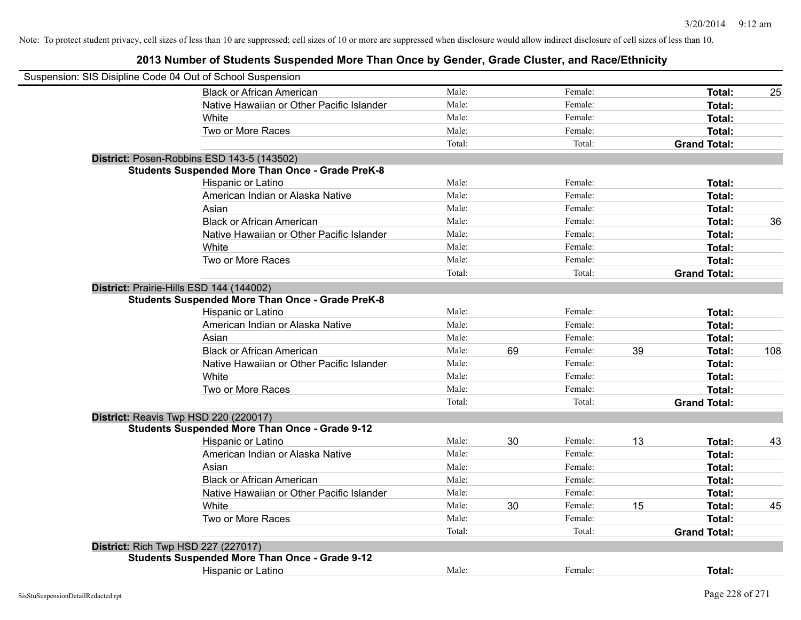| Suspension: SIS Disipline Code 04 Out of School Suspension |        |    |         |    |                     |     |
|------------------------------------------------------------|--------|----|---------|----|---------------------|-----|
| <b>Black or African American</b>                           | Male:  |    | Female: |    | Total:              | 25  |
| Native Hawaiian or Other Pacific Islander                  | Male:  |    | Female: |    | Total:              |     |
| White                                                      | Male:  |    | Female: |    | Total:              |     |
| Two or More Races                                          | Male:  |    | Female: |    | Total:              |     |
|                                                            | Total: |    | Total:  |    | <b>Grand Total:</b> |     |
| District: Posen-Robbins ESD 143-5 (143502)                 |        |    |         |    |                     |     |
| <b>Students Suspended More Than Once - Grade PreK-8</b>    |        |    |         |    |                     |     |
| Hispanic or Latino                                         | Male:  |    | Female: |    | Total:              |     |
| American Indian or Alaska Native                           | Male:  |    | Female: |    | Total:              |     |
| Asian                                                      | Male:  |    | Female: |    | Total:              |     |
| <b>Black or African American</b>                           | Male:  |    | Female: |    | Total:              | 36  |
| Native Hawaiian or Other Pacific Islander                  | Male:  |    | Female: |    | Total:              |     |
| White                                                      | Male:  |    | Female: |    | Total:              |     |
| Two or More Races                                          | Male:  |    | Female: |    | Total:              |     |
|                                                            | Total: |    | Total:  |    | <b>Grand Total:</b> |     |
| District: Prairie-Hills ESD 144 (144002)                   |        |    |         |    |                     |     |
| <b>Students Suspended More Than Once - Grade PreK-8</b>    |        |    |         |    |                     |     |
| Hispanic or Latino                                         | Male:  |    | Female: |    | Total:              |     |
| American Indian or Alaska Native                           | Male:  |    | Female: |    | Total:              |     |
| Asian                                                      | Male:  |    | Female: |    | Total:              |     |
| <b>Black or African American</b>                           | Male:  | 69 | Female: | 39 | Total:              | 108 |
| Native Hawaiian or Other Pacific Islander                  | Male:  |    | Female: |    | Total:              |     |
| White                                                      | Male:  |    | Female: |    | Total:              |     |
| Two or More Races                                          | Male:  |    | Female: |    | Total:              |     |
|                                                            | Total: |    | Total:  |    | <b>Grand Total:</b> |     |
| District: Reavis Twp HSD 220 (220017)                      |        |    |         |    |                     |     |
| <b>Students Suspended More Than Once - Grade 9-12</b>      |        |    |         |    |                     |     |
| Hispanic or Latino                                         | Male:  | 30 | Female: | 13 | Total:              | 43  |
| American Indian or Alaska Native                           | Male:  |    | Female: |    | Total:              |     |
| Asian                                                      | Male:  |    | Female: |    | Total:              |     |
| <b>Black or African American</b>                           | Male:  |    | Female: |    | Total:              |     |
| Native Hawaiian or Other Pacific Islander                  | Male:  |    | Female: |    | Total:              |     |
| <b>White</b>                                               | Male:  | 30 | Female: | 15 | Total:              | 45  |
| Two or More Races                                          | Male:  |    | Female: |    | Total:              |     |
|                                                            | Total: |    | Total:  |    | <b>Grand Total:</b> |     |
| District: Rich Twp HSD 227 (227017)                        |        |    |         |    |                     |     |
| <b>Students Suspended More Than Once - Grade 9-12</b>      |        |    |         |    |                     |     |
| Hispanic or Latino                                         | Male:  |    | Female: |    | Total:              |     |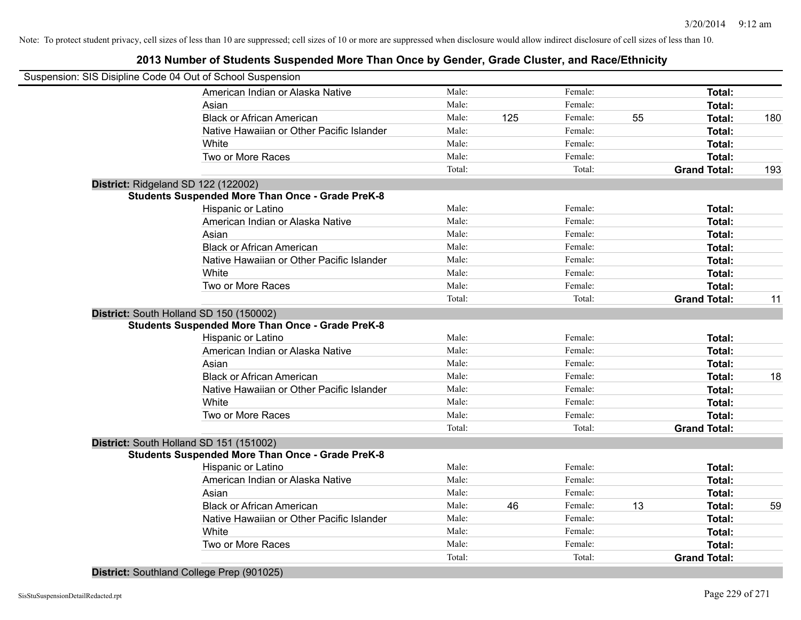## **2013 Number of Students Suspended More Than Once by Gender, Grade Cluster, and Race/Ethnicity**

|                                     | Suspension: SIS Disipline Code 04 Out of School Suspension |        |     |         |    |                     |     |
|-------------------------------------|------------------------------------------------------------|--------|-----|---------|----|---------------------|-----|
|                                     | American Indian or Alaska Native                           | Male:  |     | Female: |    | Total:              |     |
|                                     | Asian                                                      | Male:  |     | Female: |    | Total:              |     |
|                                     | <b>Black or African American</b>                           | Male:  | 125 | Female: | 55 | Total:              | 180 |
|                                     | Native Hawaiian or Other Pacific Islander                  | Male:  |     | Female: |    | Total:              |     |
|                                     | White                                                      | Male:  |     | Female: |    | Total:              |     |
|                                     | Two or More Races                                          | Male:  |     | Female: |    | Total:              |     |
|                                     |                                                            | Total: |     | Total:  |    | <b>Grand Total:</b> | 193 |
| District: Ridgeland SD 122 (122002) |                                                            |        |     |         |    |                     |     |
|                                     | <b>Students Suspended More Than Once - Grade PreK-8</b>    |        |     |         |    |                     |     |
|                                     | Hispanic or Latino                                         | Male:  |     | Female: |    | Total:              |     |
|                                     | American Indian or Alaska Native                           | Male:  |     | Female: |    | Total:              |     |
|                                     | Asian                                                      | Male:  |     | Female: |    | Total:              |     |
|                                     | <b>Black or African American</b>                           | Male:  |     | Female: |    | Total:              |     |
|                                     | Native Hawaiian or Other Pacific Islander                  | Male:  |     | Female: |    | Total:              |     |
|                                     | White                                                      | Male:  |     | Female: |    | Total:              |     |
|                                     | Two or More Races                                          | Male:  |     | Female: |    | Total:              |     |
|                                     |                                                            | Total: |     | Total:  |    | <b>Grand Total:</b> | 11  |
|                                     | District: South Holland SD 150 (150002)                    |        |     |         |    |                     |     |
|                                     | <b>Students Suspended More Than Once - Grade PreK-8</b>    |        |     |         |    |                     |     |
|                                     | Hispanic or Latino                                         | Male:  |     | Female: |    | Total:              |     |
|                                     | American Indian or Alaska Native                           | Male:  |     | Female: |    | Total:              |     |
|                                     | Asian                                                      | Male:  |     | Female: |    | Total:              |     |
|                                     | <b>Black or African American</b>                           | Male:  |     | Female: |    | Total:              | 18  |
|                                     | Native Hawaiian or Other Pacific Islander                  | Male:  |     | Female: |    | Total:              |     |
|                                     | White                                                      | Male:  |     | Female: |    | Total:              |     |
|                                     | Two or More Races                                          | Male:  |     | Female: |    | Total:              |     |
|                                     |                                                            | Total: |     | Total:  |    | <b>Grand Total:</b> |     |
|                                     | District: South Holland SD 151 (151002)                    |        |     |         |    |                     |     |
|                                     | <b>Students Suspended More Than Once - Grade PreK-8</b>    |        |     |         |    |                     |     |
|                                     | Hispanic or Latino                                         | Male:  |     | Female: |    | Total:              |     |
|                                     | American Indian or Alaska Native                           | Male:  |     | Female: |    | Total:              |     |
|                                     | Asian                                                      | Male:  |     | Female: |    | Total:              |     |
|                                     | <b>Black or African American</b>                           | Male:  | 46  | Female: | 13 | Total:              | 59  |
|                                     | Native Hawaiian or Other Pacific Islander                  | Male:  |     | Female: |    | Total:              |     |
|                                     | White                                                      | Male:  |     | Female: |    | Total:              |     |
|                                     | Two or More Races                                          | Male:  |     | Female: |    | Total:              |     |
|                                     |                                                            | Total: |     | Total:  |    | <b>Grand Total:</b> |     |
|                                     |                                                            |        |     |         |    |                     |     |

**District:** Southland College Prep (901025)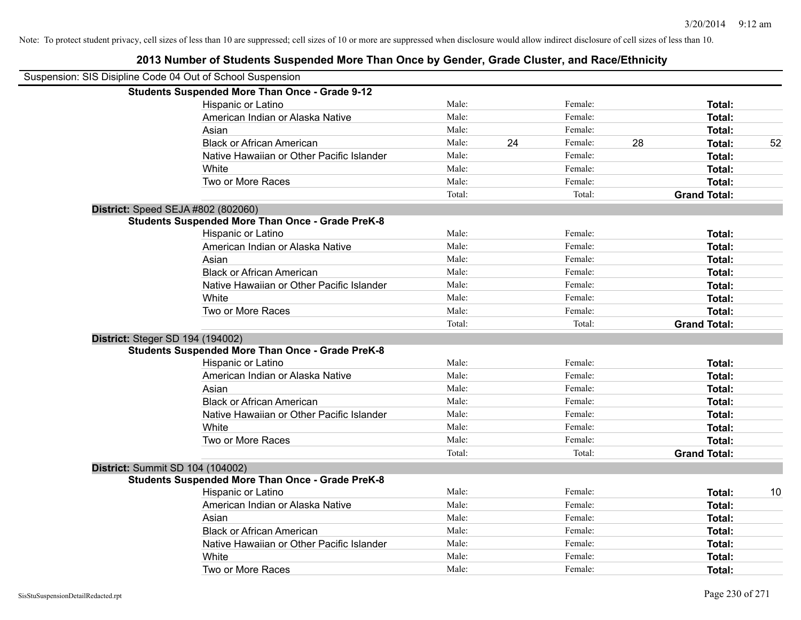## **2013 Number of Students Suspended More Than Once by Gender, Grade Cluster, and Race/Ethnicity** Suspension: SIS Disipline Code 04 Out of School Suspension **Students Suspended More Than Once - Grade 9-12** Hispanic or Latino **Finale:** Female: **Female:** Female: **Total:** Female: **Total:** Female: **Female:** Female: **Total:** Female: **Female:** Female: **Female:** Female: **Female:** Female: **Female:** Female: **Female:** Female: **Female:** American Indian or Alaska Native **Male:** Male: Female: Female: **Total:** Total: Asian **Asian Male:** Female: **Total:** Female: **Total:** Female: **Total:** Female: **Total:** Total: Black or African American **Male:** 24 Female: 28 Total: 52 Native Hawaiian or Other Pacific Islander Male: Total: Female: Female: Total: Total: White **Total:** Male: Female: **Total:** Total: **Total:** Female: **Total:** Total: Two or More Races **Total:** Total: Male: Female: Female: **Total:** Female: **Total:** Total: Total: Total: **Grand Total: District:** Speed SEJA #802 (802060) **Students Suspended More Than Once - Grade PreK-8** Hispanic or Latino **Finally Hispanic or Latino** *Total:* Male: Female: **Female: Total: Total: Total:** American Indian or Alaska Native **Male:** Male: Female: Female: **Total:** Total: Asian Male: Female: **Total:** Black or African American **Figure 1.1 and Total:** Male: Female: Female: **Total: Total:** Total: Native Hawaiian or Other Pacific Islander **Male:** Male: Female: Female: **Total:** Total: White **Total:** Male: Female: **Total:** Total: **Total:** Female: **Total:** Total: Two or More Races **Total:** Total: Male: Female: Female: **Total:** Total: Total: Total: **Grand Total: District:** Steger SD 194 (194002) **Students Suspended More Than Once - Grade PreK-8** Hispanic or Latino **Finally Hispanic or Latino** *Total:* Male: Female: **Female: Total: Total: Total:** American Indian or Alaska Native **Male:** Male: Female: Female: **Total:** Total: **Total:** Total: **Female:** Total: Total: Total: Total: Total: Total: Total: Total: Total: Total: Total: Total: Total: Total: Total: Total: Total Asian Male: Female: **Total:** Black or African American **Figure 1.1 and Total:** Male: Female: Female: **Total:** Total: Native Hawaiian or Other Pacific Islander **Male:** Male: Female: Female: **Total:** Total: White **Total:** Male: Female: **Total:** Total: **Total:** Female: **Total:** Total: Two or More Races **Total:** Total: Male: Female: Female: **Total:** Total: Female: Total: Total: Total: **Grand Total: District:** Summit SD 104 (104002) **Students Suspended More Than Once - Grade PreK-8** Hispanic or Latino **Male:** Male: The Female: The Total: 10 American Indian or Alaska Native **Male:** Male: Female: Female: **Total:** Total: Asian **Female:** Total: Male: Female: **Total: Total:** Total: Total: Female: Total: Total: Total: Total: Total: Total: Total: Total: Total: Total: Total: Total: Total: Total: Total: Total: Total: Total: Total: Total: Total: Black or African American **Male:** Male: Female: Female: **Total:** Total: **Total:** Female: **Total:** Total: **Female:** Total: **Total:** Total: **Total:** Total: **Total:** Total: **Total:** Total: **Total:** Total: **Total:** Total: **Tot** Native Hawaiian or Other Pacific Islander Male: Total: Female: Female: Total: Total: White **Total:** Male: Female: **Total:** Total: **Total:** Female: **Total:** Total: Two or More Races **Total:** The Male: The Female: Female: **Total:** Total: Total: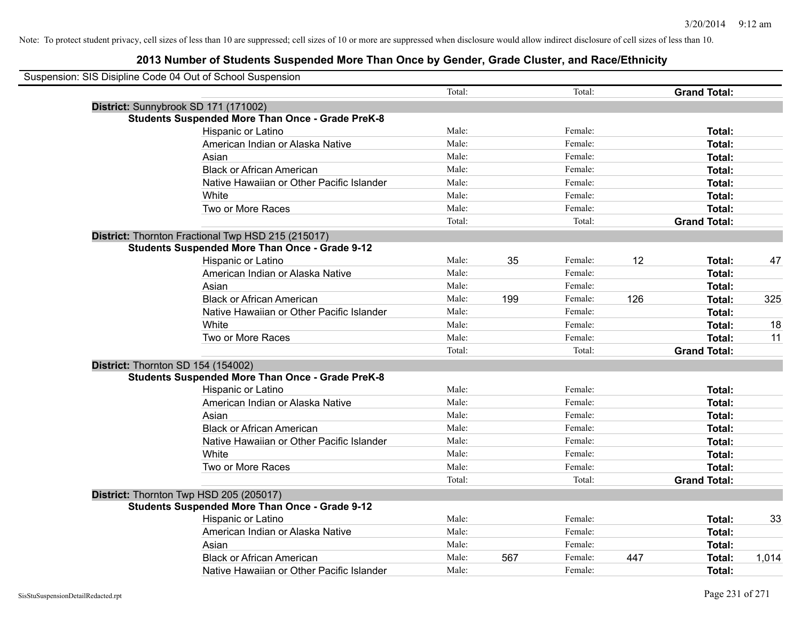| Suspension: SIS Disipline Code 04 Out of School Suspension |                                                         |        |     |         |     |                     |       |
|------------------------------------------------------------|---------------------------------------------------------|--------|-----|---------|-----|---------------------|-------|
|                                                            |                                                         | Total: |     | Total:  |     | <b>Grand Total:</b> |       |
|                                                            | District: Sunnybrook SD 171 (171002)                    |        |     |         |     |                     |       |
|                                                            | <b>Students Suspended More Than Once - Grade PreK-8</b> |        |     |         |     |                     |       |
|                                                            | Hispanic or Latino                                      | Male:  |     | Female: |     | Total:              |       |
|                                                            | American Indian or Alaska Native                        | Male:  |     | Female: |     | Total:              |       |
|                                                            | Asian                                                   | Male:  |     | Female: |     | Total:              |       |
|                                                            | <b>Black or African American</b>                        | Male:  |     | Female: |     | Total:              |       |
|                                                            | Native Hawaiian or Other Pacific Islander               | Male:  |     | Female: |     | Total:              |       |
|                                                            | White                                                   | Male:  |     | Female: |     | Total:              |       |
|                                                            | Two or More Races                                       | Male:  |     | Female: |     | Total:              |       |
|                                                            |                                                         | Total: |     | Total:  |     | <b>Grand Total:</b> |       |
|                                                            | District: Thornton Fractional Twp HSD 215 (215017)      |        |     |         |     |                     |       |
|                                                            | <b>Students Suspended More Than Once - Grade 9-12</b>   |        |     |         |     |                     |       |
|                                                            | Hispanic or Latino                                      | Male:  | 35  | Female: | 12  | Total:              | 47    |
|                                                            | American Indian or Alaska Native                        | Male:  |     | Female: |     | Total:              |       |
|                                                            | Asian                                                   | Male:  |     | Female: |     | Total:              |       |
|                                                            | <b>Black or African American</b>                        | Male:  | 199 | Female: | 126 | Total:              | 325   |
|                                                            | Native Hawaiian or Other Pacific Islander               | Male:  |     | Female: |     | Total:              |       |
|                                                            | White                                                   | Male:  |     | Female: |     | Total:              | 18    |
|                                                            | Two or More Races                                       | Male:  |     | Female: |     | Total:              | 11    |
|                                                            |                                                         | Total: |     | Total:  |     | <b>Grand Total:</b> |       |
|                                                            | District: Thornton SD 154 (154002)                      |        |     |         |     |                     |       |
|                                                            | <b>Students Suspended More Than Once - Grade PreK-8</b> |        |     |         |     |                     |       |
|                                                            | Hispanic or Latino                                      | Male:  |     | Female: |     | Total:              |       |
|                                                            | American Indian or Alaska Native                        | Male:  |     | Female: |     | Total:              |       |
|                                                            | Asian                                                   | Male:  |     | Female: |     | Total:              |       |
|                                                            | <b>Black or African American</b>                        | Male:  |     | Female: |     | Total:              |       |
|                                                            | Native Hawaiian or Other Pacific Islander               | Male:  |     | Female: |     | Total:              |       |
|                                                            | White                                                   | Male:  |     | Female: |     | Total:              |       |
|                                                            | Two or More Races                                       | Male:  |     | Female: |     | Total:              |       |
|                                                            |                                                         | Total: |     | Total:  |     | <b>Grand Total:</b> |       |
|                                                            | District: Thornton Twp HSD 205 (205017)                 |        |     |         |     |                     |       |
|                                                            | <b>Students Suspended More Than Once - Grade 9-12</b>   |        |     |         |     |                     |       |
|                                                            | <b>Hispanic or Latino</b>                               | Male:  |     | Female: |     | Total:              | 33    |
|                                                            | American Indian or Alaska Native                        | Male:  |     | Female: |     | Total:              |       |
|                                                            | Asian                                                   | Male:  |     | Female: |     | Total:              |       |
|                                                            | <b>Black or African American</b>                        | Male:  | 567 | Female: | 447 | Total:              | 1,014 |
|                                                            | Native Hawaiian or Other Pacific Islander               | Male:  |     | Female: |     | Total:              |       |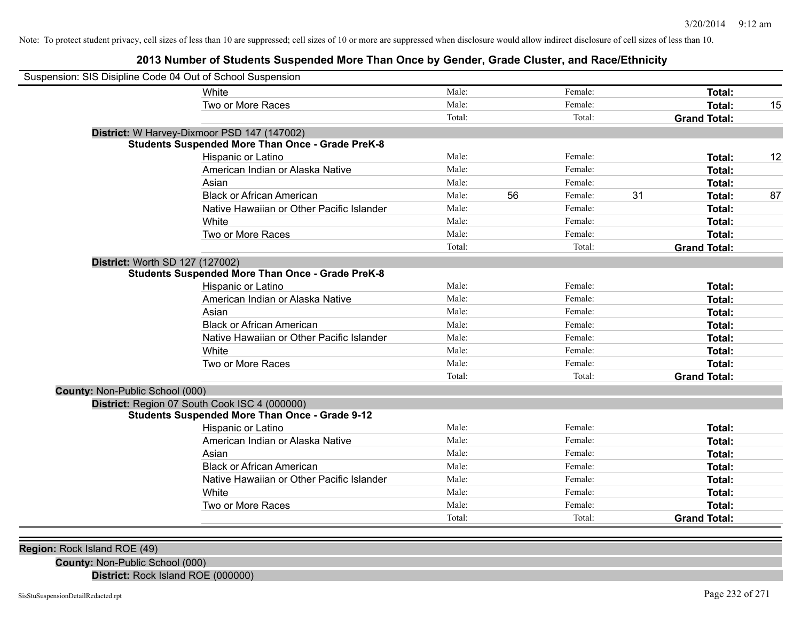## **2013 Number of Students Suspended More Than Once by Gender, Grade Cluster, and Race/Ethnicity**

| Suspension: SIS Disipline Code 04 Out of School Suspension |                                                         |        |    |         |    |                     |    |
|------------------------------------------------------------|---------------------------------------------------------|--------|----|---------|----|---------------------|----|
| White                                                      |                                                         | Male:  |    | Female: |    | <b>Total:</b>       |    |
|                                                            | Two or More Races                                       | Male:  |    | Female: |    | Total:              | 15 |
|                                                            |                                                         | Total: |    | Total:  |    | <b>Grand Total:</b> |    |
| District: W Harvey-Dixmoor PSD 147 (147002)                |                                                         |        |    |         |    |                     |    |
|                                                            | <b>Students Suspended More Than Once - Grade PreK-8</b> |        |    |         |    |                     |    |
|                                                            | Hispanic or Latino                                      | Male:  |    | Female: |    | Total:              | 12 |
|                                                            | American Indian or Alaska Native                        | Male:  |    | Female: |    | <b>Total:</b>       |    |
| Asian                                                      |                                                         | Male:  |    | Female: |    | Total:              |    |
|                                                            | <b>Black or African American</b>                        | Male:  | 56 | Female: | 31 | Total:              | 87 |
|                                                            | Native Hawaiian or Other Pacific Islander               | Male:  |    | Female: |    | Total:              |    |
| White                                                      |                                                         | Male:  |    | Female: |    | Total:              |    |
|                                                            | Two or More Races                                       | Male:  |    | Female: |    | Total:              |    |
|                                                            |                                                         | Total: |    | Total:  |    | <b>Grand Total:</b> |    |
| District: Worth SD 127 (127002)                            |                                                         |        |    |         |    |                     |    |
|                                                            | <b>Students Suspended More Than Once - Grade PreK-8</b> |        |    |         |    |                     |    |
|                                                            | Hispanic or Latino                                      | Male:  |    | Female: |    | Total:              |    |
|                                                            | American Indian or Alaska Native                        | Male:  |    | Female: |    | <b>Total:</b>       |    |
| Asian                                                      |                                                         | Male:  |    | Female: |    | <b>Total:</b>       |    |
|                                                            | <b>Black or African American</b>                        | Male:  |    | Female: |    | <b>Total:</b>       |    |
|                                                            | Native Hawaiian or Other Pacific Islander               | Male:  |    | Female: |    | Total:              |    |
| White                                                      |                                                         | Male:  |    | Female: |    | Total:              |    |
|                                                            | Two or More Races                                       | Male:  |    | Female: |    | Total:              |    |
|                                                            |                                                         | Total: |    | Total:  |    | <b>Grand Total:</b> |    |
| County: Non-Public School (000)                            |                                                         |        |    |         |    |                     |    |
| District: Region 07 South Cook ISC 4 (000000)              |                                                         |        |    |         |    |                     |    |
|                                                            | <b>Students Suspended More Than Once - Grade 9-12</b>   |        |    |         |    |                     |    |
|                                                            | Hispanic or Latino                                      | Male:  |    | Female: |    | <b>Total:</b>       |    |
|                                                            | American Indian or Alaska Native                        | Male:  |    | Female: |    | <b>Total:</b>       |    |
| Asian                                                      |                                                         | Male:  |    | Female: |    | <b>Total:</b>       |    |
|                                                            | <b>Black or African American</b>                        | Male:  |    | Female: |    | <b>Total:</b>       |    |
|                                                            | Native Hawaiian or Other Pacific Islander               | Male:  |    | Female: |    | Total:              |    |
| White                                                      |                                                         | Male:  |    | Female: |    | Total:              |    |
|                                                            | Two or More Races                                       | Male:  |    | Female: |    | Total:              |    |
|                                                            |                                                         | Total: |    | Total:  |    | <b>Grand Total:</b> |    |

**Region:** Rock Island ROE (49)

**County:** Non-Public School (000)

**District:** Rock Island ROE (000000)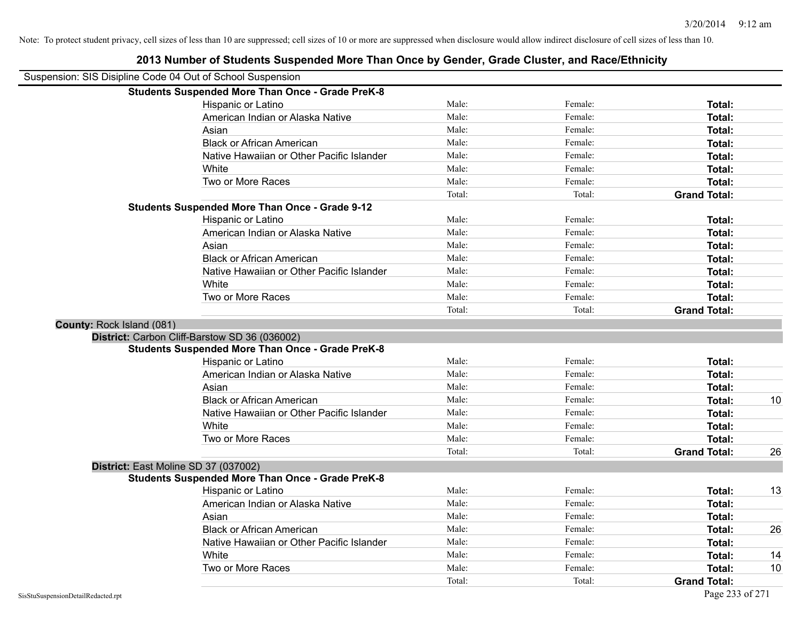| Suspension: SIS Disipline Code 04 Out of School Suspension |        |         |                     |    |
|------------------------------------------------------------|--------|---------|---------------------|----|
| <b>Students Suspended More Than Once - Grade PreK-8</b>    |        |         |                     |    |
| Hispanic or Latino                                         | Male:  | Female: | Total:              |    |
| American Indian or Alaska Native                           | Male:  | Female: | Total:              |    |
| Asian                                                      | Male:  | Female: | Total:              |    |
| <b>Black or African American</b>                           | Male:  | Female: | Total:              |    |
| Native Hawaiian or Other Pacific Islander                  | Male:  | Female: | Total:              |    |
| White                                                      | Male:  | Female: | Total:              |    |
| Two or More Races                                          | Male:  | Female: | Total:              |    |
|                                                            | Total: | Total:  | <b>Grand Total:</b> |    |
| <b>Students Suspended More Than Once - Grade 9-12</b>      |        |         |                     |    |
| Hispanic or Latino                                         | Male:  | Female: | Total:              |    |
| American Indian or Alaska Native                           | Male:  | Female: | Total:              |    |
| Asian                                                      | Male:  | Female: | Total:              |    |
| <b>Black or African American</b>                           | Male:  | Female: | Total:              |    |
| Native Hawaiian or Other Pacific Islander                  | Male:  | Female: | Total:              |    |
| White                                                      | Male:  | Female: | Total:              |    |
| Two or More Races                                          | Male:  | Female: | Total:              |    |
|                                                            | Total: | Total:  | <b>Grand Total:</b> |    |
| County: Rock Island (081)                                  |        |         |                     |    |
| District: Carbon Cliff-Barstow SD 36 (036002)              |        |         |                     |    |
| <b>Students Suspended More Than Once - Grade PreK-8</b>    |        |         |                     |    |
| Hispanic or Latino                                         | Male:  | Female: | Total:              |    |
| American Indian or Alaska Native                           | Male:  | Female: | Total:              |    |
| Asian                                                      | Male:  | Female: | Total:              |    |
| <b>Black or African American</b>                           | Male:  | Female: | Total:              | 10 |
| Native Hawaiian or Other Pacific Islander                  | Male:  | Female: | Total:              |    |
| White                                                      | Male:  | Female: | Total:              |    |
| Two or More Races                                          | Male:  | Female: | Total:              |    |
|                                                            | Total: | Total:  | <b>Grand Total:</b> | 26 |
| District: East Moline SD 37 (037002)                       |        |         |                     |    |
| <b>Students Suspended More Than Once - Grade PreK-8</b>    |        |         |                     |    |
| Hispanic or Latino                                         | Male:  | Female: | Total:              | 13 |
| American Indian or Alaska Native                           | Male:  | Female: | Total:              |    |
| Asian                                                      | Male:  | Female: | Total:              |    |
| <b>Black or African American</b>                           | Male:  | Female: | Total:              | 26 |
| Native Hawaiian or Other Pacific Islander                  | Male:  | Female: | Total:              |    |
| White                                                      | Male:  | Female: | Total:              | 14 |
| Two or More Races                                          | Male:  | Female: | Total:              | 10 |
|                                                            | Total: | Total:  | <b>Grand Total:</b> |    |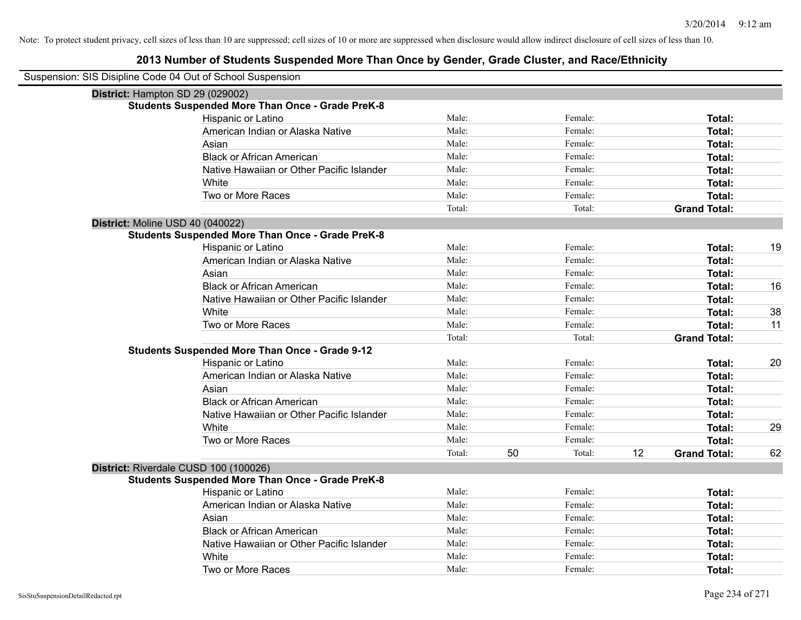| Suspension: SIS Disipline Code 04 Out of School Suspension |        |              |                           |    |
|------------------------------------------------------------|--------|--------------|---------------------------|----|
| District: Hampton SD 29 (029002)                           |        |              |                           |    |
| <b>Students Suspended More Than Once - Grade PreK-8</b>    |        |              |                           |    |
| Hispanic or Latino                                         | Male:  | Female:      | Total:                    |    |
| American Indian or Alaska Native                           | Male:  | Female:      | Total:                    |    |
| Asian                                                      | Male:  | Female:      | Total:                    |    |
| <b>Black or African American</b>                           | Male:  | Female:      | Total:                    |    |
| Native Hawaiian or Other Pacific Islander                  | Male:  | Female:      | Total:                    |    |
| White                                                      | Male:  | Female:      | Total:                    |    |
| Two or More Races                                          | Male:  | Female:      | Total:                    |    |
|                                                            | Total: | Total:       | <b>Grand Total:</b>       |    |
| District: Moline USD 40 (040022)                           |        |              |                           |    |
| <b>Students Suspended More Than Once - Grade PreK-8</b>    |        |              |                           |    |
| Hispanic or Latino                                         | Male:  | Female:      | Total:                    | 19 |
| American Indian or Alaska Native                           | Male:  | Female:      | <b>Total:</b>             |    |
| Asian                                                      | Male:  | Female:      | Total:                    |    |
| <b>Black or African American</b>                           | Male:  | Female:      | Total:                    | 16 |
| Native Hawaiian or Other Pacific Islander                  | Male:  | Female:      | Total:                    |    |
| White                                                      | Male:  | Female:      | Total:                    | 38 |
| Two or More Races                                          | Male:  | Female:      | Total:                    | 11 |
|                                                            | Total: | Total:       | <b>Grand Total:</b>       |    |
| <b>Students Suspended More Than Once - Grade 9-12</b>      |        |              |                           |    |
| Hispanic or Latino                                         | Male:  | Female:      | Total:                    | 20 |
| American Indian or Alaska Native                           | Male:  | Female:      | Total:                    |    |
| Asian                                                      | Male:  | Female:      | Total:                    |    |
| <b>Black or African American</b>                           | Male:  | Female:      | <b>Total:</b>             |    |
| Native Hawaiian or Other Pacific Islander                  | Male:  | Female:      | Total:                    |    |
| White                                                      | Male:  | Female:      | <b>Total:</b>             | 29 |
| Two or More Races                                          | Male:  | Female:      | <b>Total:</b>             |    |
|                                                            | Total: | 50<br>Total: | 12<br><b>Grand Total:</b> | 62 |
| District: Riverdale CUSD 100 (100026)                      |        |              |                           |    |
| <b>Students Suspended More Than Once - Grade PreK-8</b>    |        |              |                           |    |
| Hispanic or Latino                                         | Male:  | Female:      | Total:                    |    |
| American Indian or Alaska Native                           | Male:  | Female:      | Total:                    |    |
| Asian                                                      | Male:  | Female:      | Total:                    |    |
| <b>Black or African American</b>                           | Male:  | Female:      | Total:                    |    |
| Native Hawaiian or Other Pacific Islander                  | Male:  | Female:      | Total:                    |    |
| White                                                      | Male:  | Female:      | <b>Total:</b>             |    |
| Two or More Races                                          | Male:  | Female:      | Total:                    |    |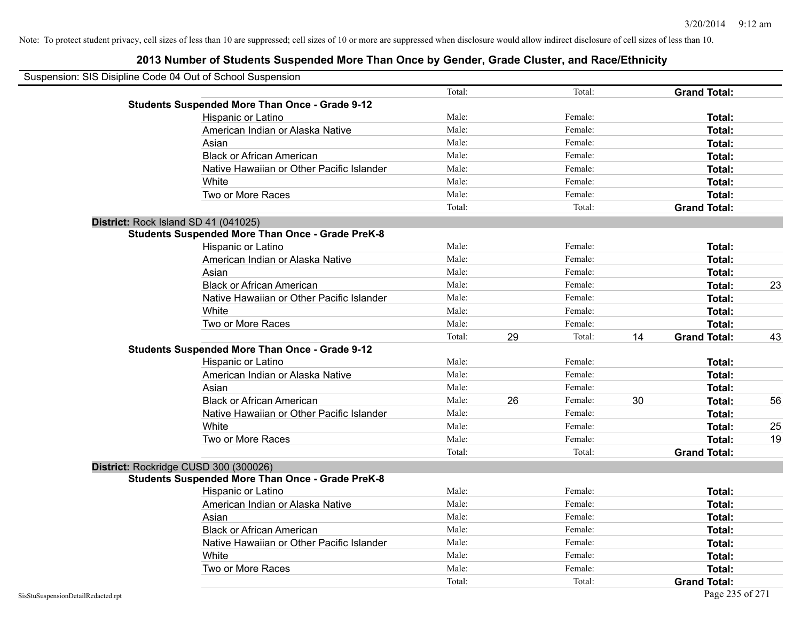| Suspension: SIS Disipline Code 04 Out of School Suspension |                                                         |        |    |         |    |                     |    |
|------------------------------------------------------------|---------------------------------------------------------|--------|----|---------|----|---------------------|----|
|                                                            |                                                         | Total: |    | Total:  |    | <b>Grand Total:</b> |    |
|                                                            | <b>Students Suspended More Than Once - Grade 9-12</b>   |        |    |         |    |                     |    |
|                                                            | Hispanic or Latino                                      | Male:  |    | Female: |    | Total:              |    |
|                                                            | American Indian or Alaska Native                        | Male:  |    | Female: |    | Total:              |    |
|                                                            | Asian                                                   | Male:  |    | Female: |    | Total:              |    |
|                                                            | <b>Black or African American</b>                        | Male:  |    | Female: |    | Total:              |    |
|                                                            | Native Hawaiian or Other Pacific Islander               | Male:  |    | Female: |    | Total:              |    |
|                                                            | White                                                   | Male:  |    | Female: |    | Total:              |    |
|                                                            | Two or More Races                                       | Male:  |    | Female: |    | Total:              |    |
|                                                            |                                                         | Total: |    | Total:  |    | <b>Grand Total:</b> |    |
| District: Rock Island SD 41 (041025)                       |                                                         |        |    |         |    |                     |    |
|                                                            | <b>Students Suspended More Than Once - Grade PreK-8</b> |        |    |         |    |                     |    |
|                                                            | Hispanic or Latino                                      | Male:  |    | Female: |    | Total:              |    |
|                                                            | American Indian or Alaska Native                        | Male:  |    | Female: |    | Total:              |    |
|                                                            | Asian                                                   | Male:  |    | Female: |    | Total:              |    |
|                                                            | <b>Black or African American</b>                        | Male:  |    | Female: |    | Total:              | 23 |
|                                                            | Native Hawaiian or Other Pacific Islander               | Male:  |    | Female: |    | Total:              |    |
|                                                            | White                                                   | Male:  |    | Female: |    | Total:              |    |
|                                                            | Two or More Races                                       | Male:  |    | Female: |    | Total:              |    |
|                                                            |                                                         | Total: | 29 | Total:  | 14 | <b>Grand Total:</b> | 43 |
|                                                            | <b>Students Suspended More Than Once - Grade 9-12</b>   |        |    |         |    |                     |    |
|                                                            | Hispanic or Latino                                      | Male:  |    | Female: |    | Total:              |    |
|                                                            | American Indian or Alaska Native                        | Male:  |    | Female: |    | Total:              |    |
|                                                            | Asian                                                   | Male:  |    | Female: |    | Total:              |    |
|                                                            | <b>Black or African American</b>                        | Male:  | 26 | Female: | 30 | Total:              | 56 |
|                                                            | Native Hawaiian or Other Pacific Islander               | Male:  |    | Female: |    | Total:              |    |
|                                                            | White                                                   | Male:  |    | Female: |    | Total:              | 25 |
|                                                            | Two or More Races                                       | Male:  |    | Female: |    | Total:              | 19 |
|                                                            |                                                         | Total: |    | Total:  |    | <b>Grand Total:</b> |    |
| District: Rockridge CUSD 300 (300026)                      |                                                         |        |    |         |    |                     |    |
|                                                            | <b>Students Suspended More Than Once - Grade PreK-8</b> |        |    |         |    |                     |    |
|                                                            | Hispanic or Latino                                      | Male:  |    | Female: |    | Total:              |    |
|                                                            | American Indian or Alaska Native                        | Male:  |    | Female: |    | Total:              |    |
|                                                            | Asian                                                   | Male:  |    | Female: |    | Total:              |    |
|                                                            | <b>Black or African American</b>                        | Male:  |    | Female: |    | Total:              |    |
|                                                            | Native Hawaiian or Other Pacific Islander               | Male:  |    | Female: |    | Total:              |    |
|                                                            | White                                                   | Male:  |    | Female: |    | Total:              |    |
|                                                            | Two or More Races                                       | Male:  |    | Female: |    | Total:              |    |
|                                                            |                                                         | Total: |    | Total:  |    | <b>Grand Total:</b> |    |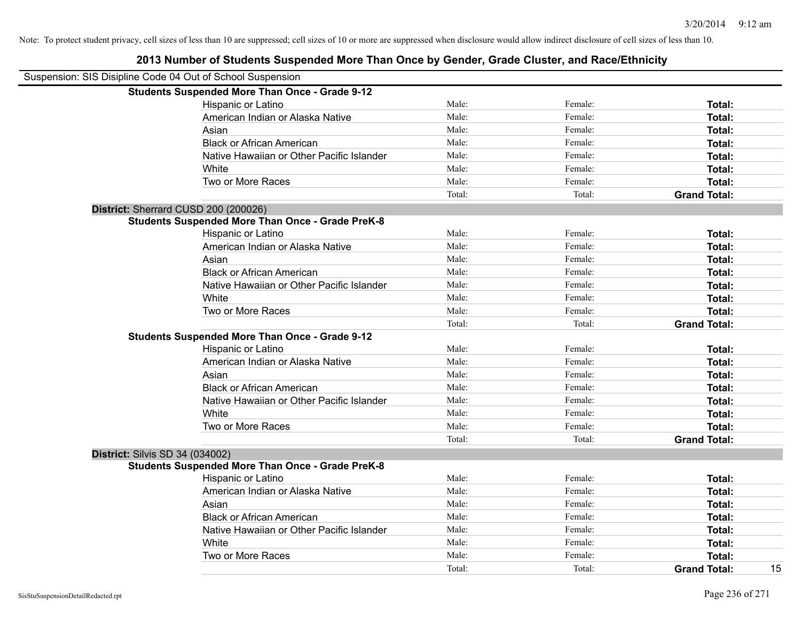| Suspension: SIS Disipline Code 04 Out of School Suspension |        |         |                     |    |
|------------------------------------------------------------|--------|---------|---------------------|----|
| <b>Students Suspended More Than Once - Grade 9-12</b>      |        |         |                     |    |
| Hispanic or Latino                                         | Male:  | Female: | Total:              |    |
| American Indian or Alaska Native                           | Male:  | Female: | Total:              |    |
| Asian                                                      | Male:  | Female: | Total:              |    |
| <b>Black or African American</b>                           | Male:  | Female: | Total:              |    |
| Native Hawaiian or Other Pacific Islander                  | Male:  | Female: | Total:              |    |
| White                                                      | Male:  | Female: | Total:              |    |
| Two or More Races                                          | Male:  | Female: | Total:              |    |
|                                                            | Total: | Total:  | <b>Grand Total:</b> |    |
| District: Sherrard CUSD 200 (200026)                       |        |         |                     |    |
| <b>Students Suspended More Than Once - Grade PreK-8</b>    |        |         |                     |    |
| Hispanic or Latino                                         | Male:  | Female: | Total:              |    |
| American Indian or Alaska Native                           | Male:  | Female: | Total:              |    |
| Asian                                                      | Male:  | Female: | Total:              |    |
| <b>Black or African American</b>                           | Male:  | Female: | Total:              |    |
| Native Hawaiian or Other Pacific Islander                  | Male:  | Female: | Total:              |    |
| White                                                      | Male:  | Female: | Total:              |    |
| Two or More Races                                          | Male:  | Female: | Total:              |    |
|                                                            | Total: | Total:  | <b>Grand Total:</b> |    |
| <b>Students Suspended More Than Once - Grade 9-12</b>      |        |         |                     |    |
| Hispanic or Latino                                         | Male:  | Female: | Total:              |    |
| American Indian or Alaska Native                           | Male:  | Female: | Total:              |    |
| Asian                                                      | Male:  | Female: | <b>Total:</b>       |    |
| <b>Black or African American</b>                           | Male:  | Female: | Total:              |    |
| Native Hawaiian or Other Pacific Islander                  | Male:  | Female: | Total:              |    |
| White                                                      | Male:  | Female: | Total:              |    |
| Two or More Races                                          | Male:  | Female: | Total:              |    |
|                                                            | Total: | Total:  | <b>Grand Total:</b> |    |
| <b>District: Silvis SD 34 (034002)</b>                     |        |         |                     |    |
| <b>Students Suspended More Than Once - Grade PreK-8</b>    |        |         |                     |    |
| Hispanic or Latino                                         | Male:  | Female: | <b>Total:</b>       |    |
| American Indian or Alaska Native                           | Male:  | Female: | Total:              |    |
| Asian                                                      | Male:  | Female: | Total:              |    |
| <b>Black or African American</b>                           | Male:  | Female: | Total:              |    |
| Native Hawaiian or Other Pacific Islander                  | Male:  | Female: | Total:              |    |
| White                                                      | Male:  | Female: | Total:              |    |
| Two or More Races                                          | Male:  | Female: | Total:              |    |
|                                                            | Total: | Total:  | <b>Grand Total:</b> | 15 |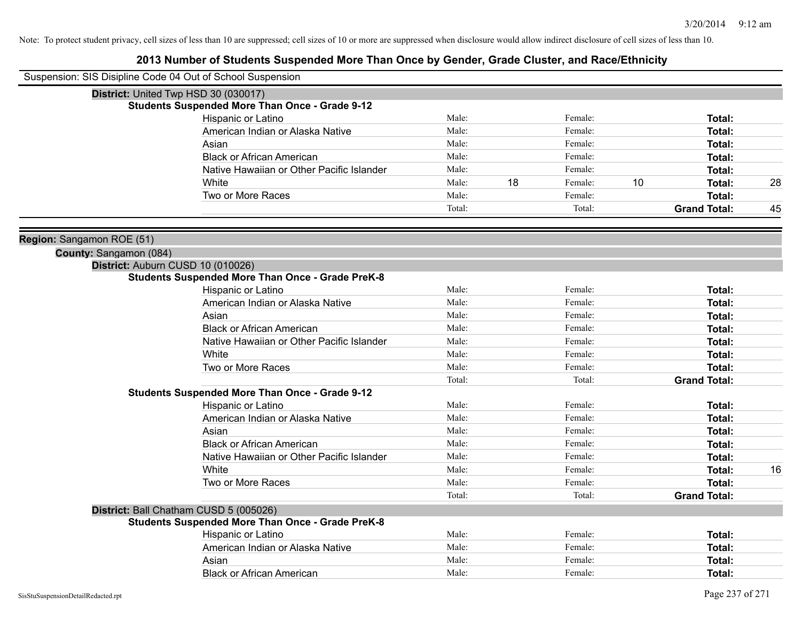| Suspension: SIS Disipline Code 04 Out of School Suspension |                                                         |        |    |         |    |                     |    |
|------------------------------------------------------------|---------------------------------------------------------|--------|----|---------|----|---------------------|----|
|                                                            | District: United Twp HSD 30 (030017)                    |        |    |         |    |                     |    |
|                                                            | <b>Students Suspended More Than Once - Grade 9-12</b>   |        |    |         |    |                     |    |
|                                                            | Hispanic or Latino                                      | Male:  |    | Female: |    | Total:              |    |
|                                                            | American Indian or Alaska Native                        | Male:  |    | Female: |    | Total:              |    |
|                                                            | Asian                                                   | Male:  |    | Female: |    | Total:              |    |
|                                                            | <b>Black or African American</b>                        | Male:  |    | Female: |    | Total:              |    |
|                                                            | Native Hawaiian or Other Pacific Islander               | Male:  |    | Female: |    | Total:              |    |
|                                                            | White                                                   | Male:  | 18 | Female: | 10 | Total:              | 28 |
|                                                            | Two or More Races                                       | Male:  |    | Female: |    | Total:              |    |
|                                                            |                                                         | Total: |    | Total:  |    | <b>Grand Total:</b> | 45 |
| Region: Sangamon ROE (51)                                  |                                                         |        |    |         |    |                     |    |
| County: Sangamon (084)                                     |                                                         |        |    |         |    |                     |    |
|                                                            | District: Auburn CUSD 10 (010026)                       |        |    |         |    |                     |    |
|                                                            | <b>Students Suspended More Than Once - Grade PreK-8</b> |        |    |         |    |                     |    |
|                                                            | Hispanic or Latino                                      | Male:  |    | Female: |    | Total:              |    |
|                                                            | American Indian or Alaska Native                        | Male:  |    | Female: |    | <b>Total:</b>       |    |
|                                                            | Asian                                                   | Male:  |    | Female: |    | <b>Total:</b>       |    |
|                                                            | <b>Black or African American</b>                        | Male:  |    | Female: |    | <b>Total:</b>       |    |
|                                                            | Native Hawaiian or Other Pacific Islander               | Male:  |    | Female: |    | <b>Total:</b>       |    |
|                                                            | White                                                   | Male:  |    | Female: |    | Total:              |    |
|                                                            | Two or More Races                                       | Male:  |    | Female: |    | Total:              |    |
|                                                            |                                                         | Total: |    | Total:  |    | <b>Grand Total:</b> |    |
|                                                            | <b>Students Suspended More Than Once - Grade 9-12</b>   |        |    |         |    |                     |    |
|                                                            | Hispanic or Latino                                      | Male:  |    | Female: |    | Total:              |    |
|                                                            | American Indian or Alaska Native                        | Male:  |    | Female: |    | <b>Total:</b>       |    |
|                                                            | Asian                                                   | Male:  |    | Female: |    | <b>Total:</b>       |    |
|                                                            | <b>Black or African American</b>                        | Male:  |    | Female: |    | Total:              |    |
|                                                            | Native Hawaiian or Other Pacific Islander               | Male:  |    | Female: |    | Total:              |    |
|                                                            | White                                                   | Male:  |    | Female: |    | Total:              | 16 |
|                                                            | Two or More Races                                       | Male:  |    | Female: |    | <b>Total:</b>       |    |
|                                                            |                                                         | Total: |    | Total:  |    | <b>Grand Total:</b> |    |
|                                                            | District: Ball Chatham CUSD 5 (005026)                  |        |    |         |    |                     |    |
|                                                            | <b>Students Suspended More Than Once - Grade PreK-8</b> |        |    |         |    |                     |    |
|                                                            | Hispanic or Latino                                      | Male:  |    | Female: |    | <b>Total:</b>       |    |
|                                                            | American Indian or Alaska Native                        | Male:  |    | Female: |    | Total:              |    |
|                                                            | Asian                                                   | Male:  |    | Female: |    | Total:              |    |
|                                                            | Black or African American                               | Male:  |    | Female: |    | Total:              |    |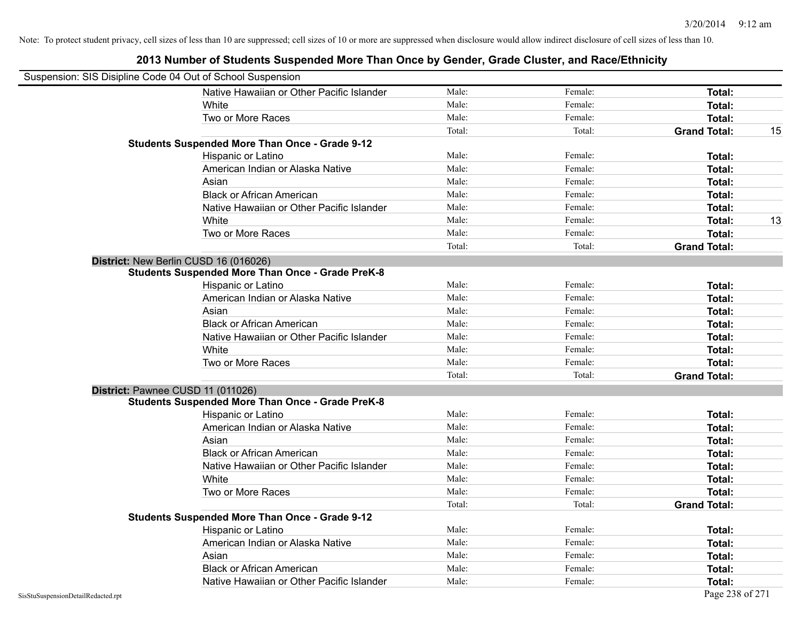| Suspension: SIS Disipline Code 04 Out of School Suspension |                                                         |        |         |                           |
|------------------------------------------------------------|---------------------------------------------------------|--------|---------|---------------------------|
|                                                            | Native Hawaiian or Other Pacific Islander               | Male:  | Female: | Total:                    |
|                                                            | White                                                   | Male:  | Female: | Total:                    |
|                                                            | Two or More Races                                       | Male:  | Female: | <b>Total:</b>             |
|                                                            |                                                         | Total: | Total:  | <b>Grand Total:</b><br>15 |
|                                                            | <b>Students Suspended More Than Once - Grade 9-12</b>   |        |         |                           |
|                                                            | Hispanic or Latino                                      | Male:  | Female: | Total:                    |
|                                                            | American Indian or Alaska Native                        | Male:  | Female: | <b>Total:</b>             |
|                                                            | Asian                                                   | Male:  | Female: | Total:                    |
|                                                            | <b>Black or African American</b>                        | Male:  | Female: | Total:                    |
|                                                            | Native Hawaiian or Other Pacific Islander               | Male:  | Female: | Total:                    |
|                                                            | White                                                   | Male:  | Female: | <b>Total:</b><br>13       |
|                                                            | Two or More Races                                       | Male:  | Female: | <b>Total:</b>             |
|                                                            |                                                         | Total: | Total:  | <b>Grand Total:</b>       |
|                                                            | District: New Berlin CUSD 16 (016026)                   |        |         |                           |
|                                                            | <b>Students Suspended More Than Once - Grade PreK-8</b> |        |         |                           |
|                                                            | Hispanic or Latino                                      | Male:  | Female: | Total:                    |
|                                                            | American Indian or Alaska Native                        | Male:  | Female: | Total:                    |
|                                                            | Asian                                                   | Male:  | Female: | Total:                    |
|                                                            | <b>Black or African American</b>                        | Male:  | Female: | Total:                    |
|                                                            | Native Hawaiian or Other Pacific Islander               | Male:  | Female: | Total:                    |
|                                                            | White                                                   | Male:  | Female: | Total:                    |
|                                                            | Two or More Races                                       | Male:  | Female: | Total:                    |
|                                                            |                                                         | Total: | Total:  | <b>Grand Total:</b>       |
|                                                            | District: Pawnee CUSD 11 (011026)                       |        |         |                           |
|                                                            | <b>Students Suspended More Than Once - Grade PreK-8</b> |        |         |                           |
|                                                            | Hispanic or Latino                                      | Male:  | Female: | Total:                    |
|                                                            | American Indian or Alaska Native                        | Male:  | Female: | Total:                    |
|                                                            | Asian                                                   | Male:  | Female: | Total:                    |
|                                                            | <b>Black or African American</b>                        | Male:  | Female: | <b>Total:</b>             |
|                                                            | Native Hawaiian or Other Pacific Islander               | Male:  | Female: | Total:                    |
|                                                            | White                                                   | Male:  | Female: | Total:                    |
|                                                            | Two or More Races                                       | Male:  | Female: | Total:                    |
|                                                            |                                                         | Total: | Total:  | <b>Grand Total:</b>       |
|                                                            | <b>Students Suspended More Than Once - Grade 9-12</b>   |        |         |                           |
|                                                            | Hispanic or Latino                                      | Male:  | Female: | Total:                    |
|                                                            | American Indian or Alaska Native                        | Male:  | Female: | Total:                    |
|                                                            | Asian                                                   | Male:  | Female: | Total:                    |
|                                                            | <b>Black or African American</b>                        | Male:  | Female: | Total:                    |
|                                                            | Native Hawaiian or Other Pacific Islander               | Male:  | Female: | <b>Total:</b>             |
| SisStuSuspensionDetailRedacted.rpt                         |                                                         |        |         | Page 238 of 271           |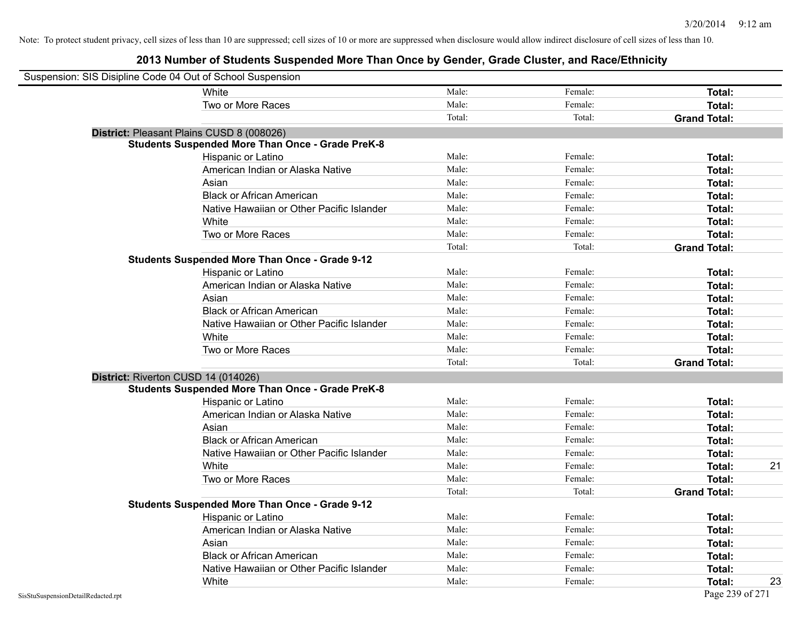| Suspension: SIS Disipline Code 04 Out of School Suspension |                                                         |        |         |                     |    |
|------------------------------------------------------------|---------------------------------------------------------|--------|---------|---------------------|----|
|                                                            | White                                                   | Male:  | Female: | Total:              |    |
|                                                            | Two or More Races                                       | Male:  | Female: | Total:              |    |
|                                                            |                                                         | Total: | Total:  | <b>Grand Total:</b> |    |
|                                                            | District: Pleasant Plains CUSD 8 (008026)               |        |         |                     |    |
|                                                            | <b>Students Suspended More Than Once - Grade PreK-8</b> |        |         |                     |    |
|                                                            | Hispanic or Latino                                      | Male:  | Female: | Total:              |    |
|                                                            | American Indian or Alaska Native                        | Male:  | Female: | Total:              |    |
|                                                            | Asian                                                   | Male:  | Female: | Total:              |    |
|                                                            | <b>Black or African American</b>                        | Male:  | Female: | Total:              |    |
|                                                            | Native Hawaiian or Other Pacific Islander               | Male:  | Female: | Total:              |    |
|                                                            | White                                                   | Male:  | Female: | Total:              |    |
|                                                            | Two or More Races                                       | Male:  | Female: | Total:              |    |
|                                                            |                                                         | Total: | Total:  | <b>Grand Total:</b> |    |
|                                                            | Students Suspended More Than Once - Grade 9-12          |        |         |                     |    |
|                                                            | Hispanic or Latino                                      | Male:  | Female: | Total:              |    |
|                                                            | American Indian or Alaska Native                        | Male:  | Female: | Total:              |    |
|                                                            | Asian                                                   | Male:  | Female: | Total:              |    |
|                                                            | <b>Black or African American</b>                        | Male:  | Female: | Total:              |    |
|                                                            | Native Hawaiian or Other Pacific Islander               | Male:  | Female: | Total:              |    |
|                                                            | White                                                   | Male:  | Female: | Total:              |    |
|                                                            | Two or More Races                                       | Male:  | Female: | Total:              |    |
|                                                            |                                                         | Total: | Total:  | <b>Grand Total:</b> |    |
|                                                            | District: Riverton CUSD 14 (014026)                     |        |         |                     |    |
|                                                            | <b>Students Suspended More Than Once - Grade PreK-8</b> |        |         |                     |    |
|                                                            | Hispanic or Latino                                      | Male:  | Female: | Total:              |    |
|                                                            | American Indian or Alaska Native                        | Male:  | Female: | Total:              |    |
|                                                            | Asian                                                   | Male:  | Female: | Total:              |    |
|                                                            | <b>Black or African American</b>                        | Male:  | Female: | Total:              |    |
|                                                            | Native Hawaiian or Other Pacific Islander               | Male:  | Female: | Total:              |    |
|                                                            | White                                                   | Male:  | Female: | Total:              | 21 |
|                                                            | Two or More Races                                       | Male:  | Female: | Total:              |    |
|                                                            |                                                         | Total: | Total:  | <b>Grand Total:</b> |    |
|                                                            | <b>Students Suspended More Than Once - Grade 9-12</b>   |        |         |                     |    |
|                                                            | Hispanic or Latino                                      | Male:  | Female: | Total:              |    |
|                                                            | American Indian or Alaska Native                        | Male:  | Female: | Total:              |    |
|                                                            | Asian                                                   | Male:  | Female: | Total:              |    |
|                                                            | <b>Black or African American</b>                        | Male:  | Female: | Total:              |    |
|                                                            | Native Hawaiian or Other Pacific Islander               | Male:  | Female: | Total:              |    |
|                                                            | White                                                   | Male:  | Female: | Total:              | 23 |
| SisStuSuspensionDetailRedacted.rpt                         |                                                         |        |         | Page 239 of 271     |    |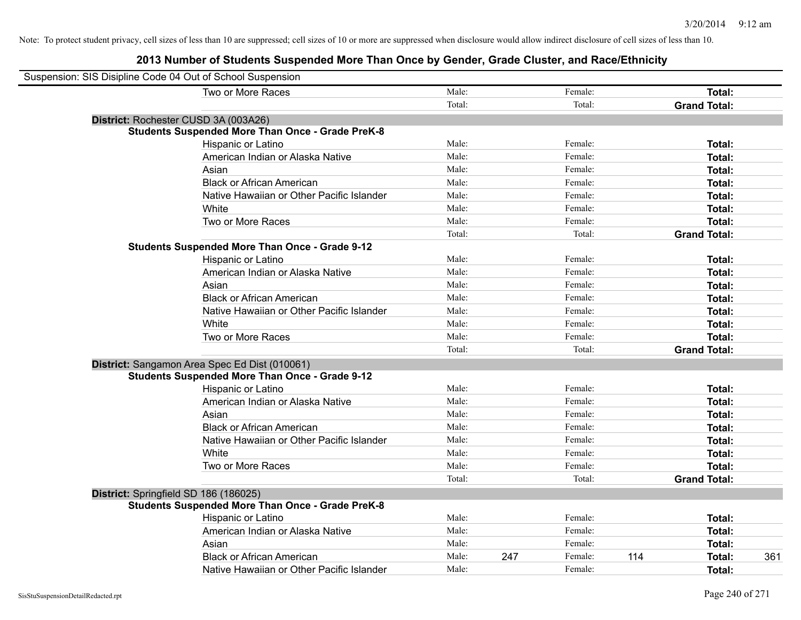| Suspension: SIS Disipline Code 04 Out of School Suspension |                                                         |        |     |         |                     |     |
|------------------------------------------------------------|---------------------------------------------------------|--------|-----|---------|---------------------|-----|
|                                                            | Two or More Races                                       | Male:  |     | Female: | Total:              |     |
|                                                            |                                                         | Total: |     | Total:  | <b>Grand Total:</b> |     |
|                                                            | District: Rochester CUSD 3A (003A26)                    |        |     |         |                     |     |
|                                                            | <b>Students Suspended More Than Once - Grade PreK-8</b> |        |     |         |                     |     |
|                                                            | Hispanic or Latino                                      | Male:  |     | Female: | Total:              |     |
|                                                            | American Indian or Alaska Native                        | Male:  |     | Female: | Total:              |     |
|                                                            | Asian                                                   | Male:  |     | Female: | Total:              |     |
|                                                            | <b>Black or African American</b>                        | Male:  |     | Female: | Total:              |     |
|                                                            | Native Hawaiian or Other Pacific Islander               | Male:  |     | Female: | Total:              |     |
|                                                            | White                                                   | Male:  |     | Female: | Total:              |     |
|                                                            | Two or More Races                                       | Male:  |     | Female: | Total:              |     |
|                                                            |                                                         | Total: |     | Total:  | <b>Grand Total:</b> |     |
|                                                            | <b>Students Suspended More Than Once - Grade 9-12</b>   |        |     |         |                     |     |
|                                                            | Hispanic or Latino                                      | Male:  |     | Female: | Total:              |     |
|                                                            | American Indian or Alaska Native                        | Male:  |     | Female: | Total:              |     |
|                                                            | Asian                                                   | Male:  |     | Female: | Total:              |     |
|                                                            | <b>Black or African American</b>                        | Male:  |     | Female: | Total:              |     |
|                                                            | Native Hawaiian or Other Pacific Islander               | Male:  |     | Female: | Total:              |     |
|                                                            | White                                                   | Male:  |     | Female: | Total:              |     |
|                                                            | Two or More Races                                       | Male:  |     | Female: | Total:              |     |
|                                                            |                                                         | Total: |     | Total:  | <b>Grand Total:</b> |     |
|                                                            | District: Sangamon Area Spec Ed Dist (010061)           |        |     |         |                     |     |
|                                                            | <b>Students Suspended More Than Once - Grade 9-12</b>   |        |     |         |                     |     |
|                                                            | Hispanic or Latino                                      | Male:  |     | Female: | Total:              |     |
|                                                            | American Indian or Alaska Native                        | Male:  |     | Female: | Total:              |     |
|                                                            | Asian                                                   | Male:  |     | Female: | Total:              |     |
|                                                            | <b>Black or African American</b>                        | Male:  |     | Female: | Total:              |     |
|                                                            | Native Hawaiian or Other Pacific Islander               | Male:  |     | Female: | Total:              |     |
|                                                            | White                                                   | Male:  |     | Female: | Total:              |     |
|                                                            | Two or More Races                                       | Male:  |     | Female: | Total:              |     |
|                                                            |                                                         | Total: |     | Total:  | <b>Grand Total:</b> |     |
|                                                            | District: Springfield SD 186 (186025)                   |        |     |         |                     |     |
|                                                            | <b>Students Suspended More Than Once - Grade PreK-8</b> |        |     |         |                     |     |
|                                                            | Hispanic or Latino                                      | Male:  |     | Female: | <b>Total:</b>       |     |
|                                                            | American Indian or Alaska Native                        | Male:  |     | Female: | Total:              |     |
|                                                            | Asian                                                   | Male:  |     | Female: | Total:              |     |
|                                                            | <b>Black or African American</b>                        | Male:  | 247 | Female: | 114<br>Total:       | 361 |
|                                                            | Native Hawaiian or Other Pacific Islander               | Male:  |     | Female: | Total:              |     |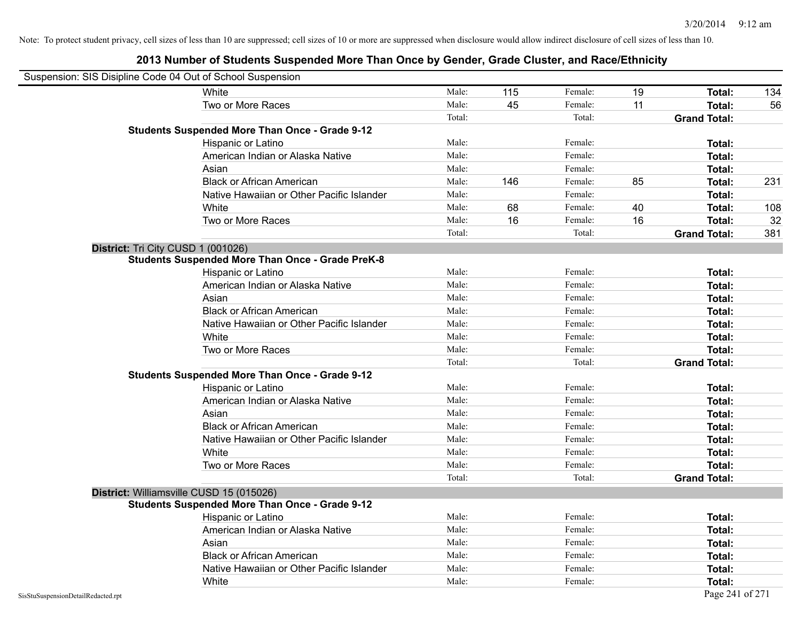| Suspension: SIS Disipline Code 04 Out of School Suspension |                                                         |        |     |         |    |                     |     |
|------------------------------------------------------------|---------------------------------------------------------|--------|-----|---------|----|---------------------|-----|
|                                                            | White                                                   | Male:  | 115 | Female: | 19 | Total:              | 134 |
|                                                            | Two or More Races                                       | Male:  | 45  | Female: | 11 | <b>Total:</b>       | 56  |
|                                                            |                                                         | Total: |     | Total:  |    | <b>Grand Total:</b> |     |
|                                                            | Students Suspended More Than Once - Grade 9-12          |        |     |         |    |                     |     |
|                                                            | Hispanic or Latino                                      | Male:  |     | Female: |    | Total:              |     |
|                                                            | American Indian or Alaska Native                        | Male:  |     | Female: |    | <b>Total:</b>       |     |
|                                                            | Asian                                                   | Male:  |     | Female: |    | Total:              |     |
|                                                            | <b>Black or African American</b>                        | Male:  | 146 | Female: | 85 | Total:              | 231 |
|                                                            | Native Hawaiian or Other Pacific Islander               | Male:  |     | Female: |    | Total:              |     |
|                                                            | White                                                   | Male:  | 68  | Female: | 40 | Total:              | 108 |
|                                                            | Two or More Races                                       | Male:  | 16  | Female: | 16 | Total:              | 32  |
|                                                            |                                                         | Total: |     | Total:  |    | <b>Grand Total:</b> | 381 |
| District: Tri City CUSD 1 (001026)                         |                                                         |        |     |         |    |                     |     |
|                                                            | <b>Students Suspended More Than Once - Grade PreK-8</b> |        |     |         |    |                     |     |
|                                                            | Hispanic or Latino                                      | Male:  |     | Female: |    | Total:              |     |
|                                                            | American Indian or Alaska Native                        | Male:  |     | Female: |    | Total:              |     |
|                                                            | Asian                                                   | Male:  |     | Female: |    | Total:              |     |
|                                                            | <b>Black or African American</b>                        | Male:  |     | Female: |    | Total:              |     |
|                                                            | Native Hawaiian or Other Pacific Islander               | Male:  |     | Female: |    | Total:              |     |
|                                                            | White                                                   | Male:  |     | Female: |    | Total:              |     |
|                                                            | Two or More Races                                       | Male:  |     | Female: |    | <b>Total:</b>       |     |
|                                                            |                                                         | Total: |     | Total:  |    | <b>Grand Total:</b> |     |
|                                                            | <b>Students Suspended More Than Once - Grade 9-12</b>   |        |     |         |    |                     |     |
|                                                            | Hispanic or Latino                                      | Male:  |     | Female: |    | Total:              |     |
|                                                            | American Indian or Alaska Native                        | Male:  |     | Female: |    | Total:              |     |
|                                                            | Asian                                                   | Male:  |     | Female: |    | Total:              |     |
|                                                            | <b>Black or African American</b>                        | Male:  |     | Female: |    | Total:              |     |
|                                                            | Native Hawaiian or Other Pacific Islander               | Male:  |     | Female: |    | Total:              |     |
|                                                            | White                                                   | Male:  |     | Female: |    | Total:              |     |
|                                                            | Two or More Races                                       | Male:  |     | Female: |    | Total:              |     |
|                                                            |                                                         | Total: |     | Total:  |    | <b>Grand Total:</b> |     |
| District: Williamsville CUSD 15 (015026)                   |                                                         |        |     |         |    |                     |     |
|                                                            | <b>Students Suspended More Than Once - Grade 9-12</b>   |        |     |         |    |                     |     |
|                                                            | Hispanic or Latino                                      | Male:  |     | Female: |    | Total:              |     |
|                                                            | American Indian or Alaska Native                        | Male:  |     | Female: |    | Total:              |     |
|                                                            | Asian                                                   | Male:  |     | Female: |    | <b>Total:</b>       |     |
|                                                            | <b>Black or African American</b>                        | Male:  |     | Female: |    | Total:              |     |
|                                                            | Native Hawaiian or Other Pacific Islander               | Male:  |     | Female: |    | Total:              |     |
|                                                            | White                                                   | Male:  |     | Female: |    | Total:              |     |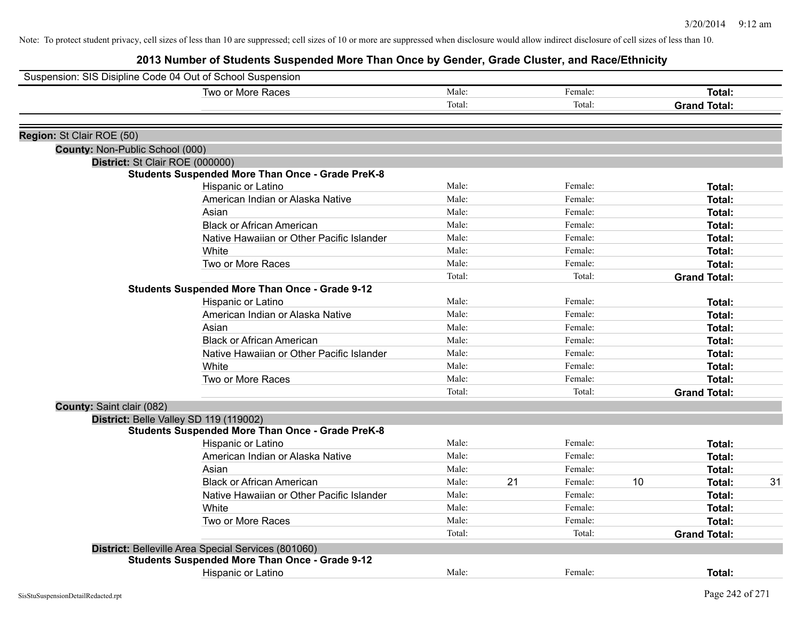| Male:<br>Two or More Races<br>Female:<br>Total:<br>Total:<br>Total:<br><b>Grand Total:</b><br>Region: St Clair ROE (50)<br><b>County: Non-Public School (000)</b><br>District: St Clair ROE (000000)<br><b>Students Suspended More Than Once - Grade PreK-8</b><br>Male:<br>Female:<br>Hispanic or Latino<br>Total:<br>Male:<br>Female:<br>American Indian or Alaska Native<br><b>Total:</b><br>Male:<br>Female:<br>Asian<br><b>Total:</b><br>Male:<br><b>Black or African American</b><br>Female:<br>Total:<br>Male:<br>Native Hawaiian or Other Pacific Islander<br>Female:<br><b>Total:</b><br>White<br>Male:<br>Female:<br>Total:<br>Two or More Races<br>Male:<br>Female:<br>Total:<br>Total:<br><b>Grand Total:</b><br>Total:<br><b>Students Suspended More Than Once - Grade 9-12</b><br>Male:<br>Female:<br>Hispanic or Latino<br>Total:<br>Male:<br>American Indian or Alaska Native<br>Female:<br>Total:<br>Male:<br>Female:<br>Asian<br><b>Total:</b><br>Male:<br><b>Black or African American</b><br>Female:<br><b>Total:</b><br>Native Hawaiian or Other Pacific Islander<br>Male:<br>Female:<br>Total:<br>Male:<br>White<br>Female:<br>Total:<br>Two or More Races<br>Male:<br>Female:<br><b>Total:</b><br>Total:<br>Total:<br><b>Grand Total:</b><br>County: Saint clair (082)<br>District: Belle Valley SD 119 (119002)<br><b>Students Suspended More Than Once - Grade PreK-8</b><br>Male:<br>Female:<br>Hispanic or Latino<br><b>Total:</b><br>Male:<br>Female:<br>American Indian or Alaska Native<br>Total:<br>Male:<br>Asian<br>Female:<br><b>Total:</b><br>21<br>10<br><b>Black or African American</b><br>Male:<br>Female:<br>31<br><b>Total:</b><br>Male:<br>Female:<br>Native Hawaiian or Other Pacific Islander<br><b>Total:</b><br>White<br>Male:<br>Female:<br>Total:<br>Two or More Races<br>Male:<br>Female:<br>Total:<br>Total:<br>Total:<br><b>Grand Total:</b><br>District: Belleville Area Special Services (801060)<br><b>Students Suspended More Than Once - Grade 9-12</b><br>Male:<br><b>Hispanic or Latino</b><br>Female:<br>Total: | Suspension: SIS Disipline Code 04 Out of School Suspension |  |  |  |
|----------------------------------------------------------------------------------------------------------------------------------------------------------------------------------------------------------------------------------------------------------------------------------------------------------------------------------------------------------------------------------------------------------------------------------------------------------------------------------------------------------------------------------------------------------------------------------------------------------------------------------------------------------------------------------------------------------------------------------------------------------------------------------------------------------------------------------------------------------------------------------------------------------------------------------------------------------------------------------------------------------------------------------------------------------------------------------------------------------------------------------------------------------------------------------------------------------------------------------------------------------------------------------------------------------------------------------------------------------------------------------------------------------------------------------------------------------------------------------------------------------------------------------------------------------------------------------------------------------------------------------------------------------------------------------------------------------------------------------------------------------------------------------------------------------------------------------------------------------------------------------------------------------------------------------------------------------------------------------------------------------------------------------------------------------------------------|------------------------------------------------------------|--|--|--|
|                                                                                                                                                                                                                                                                                                                                                                                                                                                                                                                                                                                                                                                                                                                                                                                                                                                                                                                                                                                                                                                                                                                                                                                                                                                                                                                                                                                                                                                                                                                                                                                                                                                                                                                                                                                                                                                                                                                                                                                                                                                                            |                                                            |  |  |  |
|                                                                                                                                                                                                                                                                                                                                                                                                                                                                                                                                                                                                                                                                                                                                                                                                                                                                                                                                                                                                                                                                                                                                                                                                                                                                                                                                                                                                                                                                                                                                                                                                                                                                                                                                                                                                                                                                                                                                                                                                                                                                            |                                                            |  |  |  |
|                                                                                                                                                                                                                                                                                                                                                                                                                                                                                                                                                                                                                                                                                                                                                                                                                                                                                                                                                                                                                                                                                                                                                                                                                                                                                                                                                                                                                                                                                                                                                                                                                                                                                                                                                                                                                                                                                                                                                                                                                                                                            |                                                            |  |  |  |
|                                                                                                                                                                                                                                                                                                                                                                                                                                                                                                                                                                                                                                                                                                                                                                                                                                                                                                                                                                                                                                                                                                                                                                                                                                                                                                                                                                                                                                                                                                                                                                                                                                                                                                                                                                                                                                                                                                                                                                                                                                                                            |                                                            |  |  |  |
|                                                                                                                                                                                                                                                                                                                                                                                                                                                                                                                                                                                                                                                                                                                                                                                                                                                                                                                                                                                                                                                                                                                                                                                                                                                                                                                                                                                                                                                                                                                                                                                                                                                                                                                                                                                                                                                                                                                                                                                                                                                                            |                                                            |  |  |  |
|                                                                                                                                                                                                                                                                                                                                                                                                                                                                                                                                                                                                                                                                                                                                                                                                                                                                                                                                                                                                                                                                                                                                                                                                                                                                                                                                                                                                                                                                                                                                                                                                                                                                                                                                                                                                                                                                                                                                                                                                                                                                            |                                                            |  |  |  |
|                                                                                                                                                                                                                                                                                                                                                                                                                                                                                                                                                                                                                                                                                                                                                                                                                                                                                                                                                                                                                                                                                                                                                                                                                                                                                                                                                                                                                                                                                                                                                                                                                                                                                                                                                                                                                                                                                                                                                                                                                                                                            |                                                            |  |  |  |
|                                                                                                                                                                                                                                                                                                                                                                                                                                                                                                                                                                                                                                                                                                                                                                                                                                                                                                                                                                                                                                                                                                                                                                                                                                                                                                                                                                                                                                                                                                                                                                                                                                                                                                                                                                                                                                                                                                                                                                                                                                                                            |                                                            |  |  |  |
|                                                                                                                                                                                                                                                                                                                                                                                                                                                                                                                                                                                                                                                                                                                                                                                                                                                                                                                                                                                                                                                                                                                                                                                                                                                                                                                                                                                                                                                                                                                                                                                                                                                                                                                                                                                                                                                                                                                                                                                                                                                                            |                                                            |  |  |  |
|                                                                                                                                                                                                                                                                                                                                                                                                                                                                                                                                                                                                                                                                                                                                                                                                                                                                                                                                                                                                                                                                                                                                                                                                                                                                                                                                                                                                                                                                                                                                                                                                                                                                                                                                                                                                                                                                                                                                                                                                                                                                            |                                                            |  |  |  |
|                                                                                                                                                                                                                                                                                                                                                                                                                                                                                                                                                                                                                                                                                                                                                                                                                                                                                                                                                                                                                                                                                                                                                                                                                                                                                                                                                                                                                                                                                                                                                                                                                                                                                                                                                                                                                                                                                                                                                                                                                                                                            |                                                            |  |  |  |
|                                                                                                                                                                                                                                                                                                                                                                                                                                                                                                                                                                                                                                                                                                                                                                                                                                                                                                                                                                                                                                                                                                                                                                                                                                                                                                                                                                                                                                                                                                                                                                                                                                                                                                                                                                                                                                                                                                                                                                                                                                                                            |                                                            |  |  |  |
|                                                                                                                                                                                                                                                                                                                                                                                                                                                                                                                                                                                                                                                                                                                                                                                                                                                                                                                                                                                                                                                                                                                                                                                                                                                                                                                                                                                                                                                                                                                                                                                                                                                                                                                                                                                                                                                                                                                                                                                                                                                                            |                                                            |  |  |  |
|                                                                                                                                                                                                                                                                                                                                                                                                                                                                                                                                                                                                                                                                                                                                                                                                                                                                                                                                                                                                                                                                                                                                                                                                                                                                                                                                                                                                                                                                                                                                                                                                                                                                                                                                                                                                                                                                                                                                                                                                                                                                            |                                                            |  |  |  |
|                                                                                                                                                                                                                                                                                                                                                                                                                                                                                                                                                                                                                                                                                                                                                                                                                                                                                                                                                                                                                                                                                                                                                                                                                                                                                                                                                                                                                                                                                                                                                                                                                                                                                                                                                                                                                                                                                                                                                                                                                                                                            |                                                            |  |  |  |
|                                                                                                                                                                                                                                                                                                                                                                                                                                                                                                                                                                                                                                                                                                                                                                                                                                                                                                                                                                                                                                                                                                                                                                                                                                                                                                                                                                                                                                                                                                                                                                                                                                                                                                                                                                                                                                                                                                                                                                                                                                                                            |                                                            |  |  |  |
|                                                                                                                                                                                                                                                                                                                                                                                                                                                                                                                                                                                                                                                                                                                                                                                                                                                                                                                                                                                                                                                                                                                                                                                                                                                                                                                                                                                                                                                                                                                                                                                                                                                                                                                                                                                                                                                                                                                                                                                                                                                                            |                                                            |  |  |  |
|                                                                                                                                                                                                                                                                                                                                                                                                                                                                                                                                                                                                                                                                                                                                                                                                                                                                                                                                                                                                                                                                                                                                                                                                                                                                                                                                                                                                                                                                                                                                                                                                                                                                                                                                                                                                                                                                                                                                                                                                                                                                            |                                                            |  |  |  |
|                                                                                                                                                                                                                                                                                                                                                                                                                                                                                                                                                                                                                                                                                                                                                                                                                                                                                                                                                                                                                                                                                                                                                                                                                                                                                                                                                                                                                                                                                                                                                                                                                                                                                                                                                                                                                                                                                                                                                                                                                                                                            |                                                            |  |  |  |
|                                                                                                                                                                                                                                                                                                                                                                                                                                                                                                                                                                                                                                                                                                                                                                                                                                                                                                                                                                                                                                                                                                                                                                                                                                                                                                                                                                                                                                                                                                                                                                                                                                                                                                                                                                                                                                                                                                                                                                                                                                                                            |                                                            |  |  |  |
|                                                                                                                                                                                                                                                                                                                                                                                                                                                                                                                                                                                                                                                                                                                                                                                                                                                                                                                                                                                                                                                                                                                                                                                                                                                                                                                                                                                                                                                                                                                                                                                                                                                                                                                                                                                                                                                                                                                                                                                                                                                                            |                                                            |  |  |  |
|                                                                                                                                                                                                                                                                                                                                                                                                                                                                                                                                                                                                                                                                                                                                                                                                                                                                                                                                                                                                                                                                                                                                                                                                                                                                                                                                                                                                                                                                                                                                                                                                                                                                                                                                                                                                                                                                                                                                                                                                                                                                            |                                                            |  |  |  |
|                                                                                                                                                                                                                                                                                                                                                                                                                                                                                                                                                                                                                                                                                                                                                                                                                                                                                                                                                                                                                                                                                                                                                                                                                                                                                                                                                                                                                                                                                                                                                                                                                                                                                                                                                                                                                                                                                                                                                                                                                                                                            |                                                            |  |  |  |
|                                                                                                                                                                                                                                                                                                                                                                                                                                                                                                                                                                                                                                                                                                                                                                                                                                                                                                                                                                                                                                                                                                                                                                                                                                                                                                                                                                                                                                                                                                                                                                                                                                                                                                                                                                                                                                                                                                                                                                                                                                                                            |                                                            |  |  |  |
|                                                                                                                                                                                                                                                                                                                                                                                                                                                                                                                                                                                                                                                                                                                                                                                                                                                                                                                                                                                                                                                                                                                                                                                                                                                                                                                                                                                                                                                                                                                                                                                                                                                                                                                                                                                                                                                                                                                                                                                                                                                                            |                                                            |  |  |  |
|                                                                                                                                                                                                                                                                                                                                                                                                                                                                                                                                                                                                                                                                                                                                                                                                                                                                                                                                                                                                                                                                                                                                                                                                                                                                                                                                                                                                                                                                                                                                                                                                                                                                                                                                                                                                                                                                                                                                                                                                                                                                            |                                                            |  |  |  |
|                                                                                                                                                                                                                                                                                                                                                                                                                                                                                                                                                                                                                                                                                                                                                                                                                                                                                                                                                                                                                                                                                                                                                                                                                                                                                                                                                                                                                                                                                                                                                                                                                                                                                                                                                                                                                                                                                                                                                                                                                                                                            |                                                            |  |  |  |
|                                                                                                                                                                                                                                                                                                                                                                                                                                                                                                                                                                                                                                                                                                                                                                                                                                                                                                                                                                                                                                                                                                                                                                                                                                                                                                                                                                                                                                                                                                                                                                                                                                                                                                                                                                                                                                                                                                                                                                                                                                                                            |                                                            |  |  |  |
|                                                                                                                                                                                                                                                                                                                                                                                                                                                                                                                                                                                                                                                                                                                                                                                                                                                                                                                                                                                                                                                                                                                                                                                                                                                                                                                                                                                                                                                                                                                                                                                                                                                                                                                                                                                                                                                                                                                                                                                                                                                                            |                                                            |  |  |  |
|                                                                                                                                                                                                                                                                                                                                                                                                                                                                                                                                                                                                                                                                                                                                                                                                                                                                                                                                                                                                                                                                                                                                                                                                                                                                                                                                                                                                                                                                                                                                                                                                                                                                                                                                                                                                                                                                                                                                                                                                                                                                            |                                                            |  |  |  |
|                                                                                                                                                                                                                                                                                                                                                                                                                                                                                                                                                                                                                                                                                                                                                                                                                                                                                                                                                                                                                                                                                                                                                                                                                                                                                                                                                                                                                                                                                                                                                                                                                                                                                                                                                                                                                                                                                                                                                                                                                                                                            |                                                            |  |  |  |
|                                                                                                                                                                                                                                                                                                                                                                                                                                                                                                                                                                                                                                                                                                                                                                                                                                                                                                                                                                                                                                                                                                                                                                                                                                                                                                                                                                                                                                                                                                                                                                                                                                                                                                                                                                                                                                                                                                                                                                                                                                                                            |                                                            |  |  |  |
|                                                                                                                                                                                                                                                                                                                                                                                                                                                                                                                                                                                                                                                                                                                                                                                                                                                                                                                                                                                                                                                                                                                                                                                                                                                                                                                                                                                                                                                                                                                                                                                                                                                                                                                                                                                                                                                                                                                                                                                                                                                                            |                                                            |  |  |  |
|                                                                                                                                                                                                                                                                                                                                                                                                                                                                                                                                                                                                                                                                                                                                                                                                                                                                                                                                                                                                                                                                                                                                                                                                                                                                                                                                                                                                                                                                                                                                                                                                                                                                                                                                                                                                                                                                                                                                                                                                                                                                            |                                                            |  |  |  |
|                                                                                                                                                                                                                                                                                                                                                                                                                                                                                                                                                                                                                                                                                                                                                                                                                                                                                                                                                                                                                                                                                                                                                                                                                                                                                                                                                                                                                                                                                                                                                                                                                                                                                                                                                                                                                                                                                                                                                                                                                                                                            |                                                            |  |  |  |
|                                                                                                                                                                                                                                                                                                                                                                                                                                                                                                                                                                                                                                                                                                                                                                                                                                                                                                                                                                                                                                                                                                                                                                                                                                                                                                                                                                                                                                                                                                                                                                                                                                                                                                                                                                                                                                                                                                                                                                                                                                                                            |                                                            |  |  |  |
|                                                                                                                                                                                                                                                                                                                                                                                                                                                                                                                                                                                                                                                                                                                                                                                                                                                                                                                                                                                                                                                                                                                                                                                                                                                                                                                                                                                                                                                                                                                                                                                                                                                                                                                                                                                                                                                                                                                                                                                                                                                                            |                                                            |  |  |  |
|                                                                                                                                                                                                                                                                                                                                                                                                                                                                                                                                                                                                                                                                                                                                                                                                                                                                                                                                                                                                                                                                                                                                                                                                                                                                                                                                                                                                                                                                                                                                                                                                                                                                                                                                                                                                                                                                                                                                                                                                                                                                            |                                                            |  |  |  |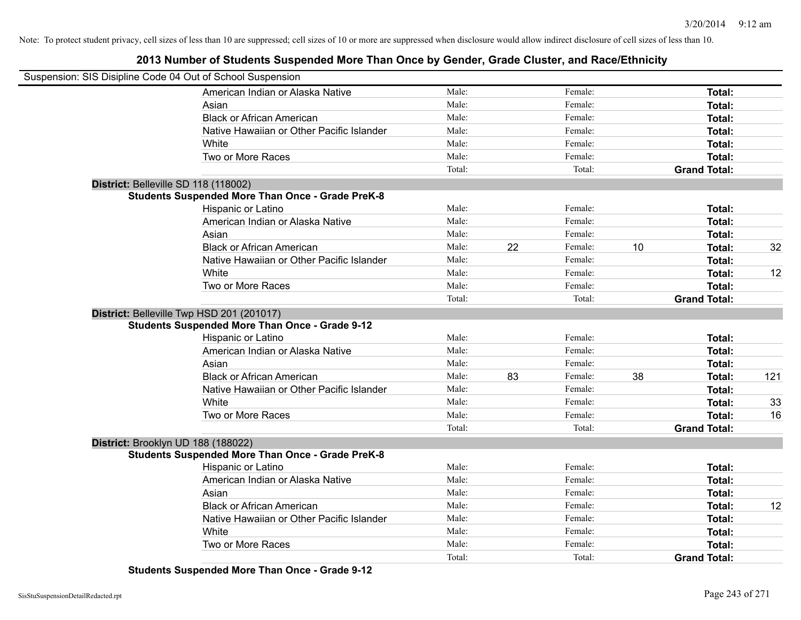## **2013 Number of Students Suspended More Than Once by Gender, Grade Cluster, and Race/Ethnicity**

| Suspension: SIS Disipline Code 04 Out of School Suspension |                                                         |        |               |                     |        |     |
|------------------------------------------------------------|---------------------------------------------------------|--------|---------------|---------------------|--------|-----|
|                                                            | American Indian or Alaska Native                        | Male:  | Female:       |                     | Total: |     |
|                                                            | Asian                                                   | Male:  | Female:       |                     | Total: |     |
|                                                            | <b>Black or African American</b>                        | Male:  | Female:       |                     | Total: |     |
|                                                            | Native Hawaiian or Other Pacific Islander               | Male:  | Female:       |                     | Total: |     |
|                                                            | White                                                   | Male:  | Female:       |                     | Total: |     |
|                                                            | Two or More Races                                       | Male:  | Female:       |                     | Total: |     |
|                                                            |                                                         | Total: | Total:        | <b>Grand Total:</b> |        |     |
| District: Belleville SD 118 (118002)                       |                                                         |        |               |                     |        |     |
|                                                            | <b>Students Suspended More Than Once - Grade PreK-8</b> |        |               |                     |        |     |
|                                                            | Hispanic or Latino                                      | Male:  | Female:       |                     | Total: |     |
|                                                            | American Indian or Alaska Native                        | Male:  | Female:       |                     | Total: |     |
|                                                            | Asian                                                   | Male:  | Female:       |                     | Total: |     |
|                                                            | <b>Black or African American</b>                        | Male:  | 22<br>Female: | 10                  | Total: | 32  |
|                                                            | Native Hawaiian or Other Pacific Islander               | Male:  | Female:       |                     | Total: |     |
|                                                            | White                                                   | Male:  | Female:       |                     | Total: | 12  |
|                                                            | Two or More Races                                       | Male:  | Female:       |                     | Total: |     |
|                                                            |                                                         | Total: | Total:        | <b>Grand Total:</b> |        |     |
| District: Belleville Twp HSD 201 (201017)                  |                                                         |        |               |                     |        |     |
|                                                            | <b>Students Suspended More Than Once - Grade 9-12</b>   |        |               |                     |        |     |
|                                                            | Hispanic or Latino                                      | Male:  | Female:       |                     | Total: |     |
|                                                            | American Indian or Alaska Native                        | Male:  | Female:       |                     | Total: |     |
|                                                            | Asian                                                   | Male:  | Female:       |                     | Total: |     |
|                                                            | <b>Black or African American</b>                        | Male:  | 83<br>Female: | 38                  | Total: | 121 |
|                                                            | Native Hawaiian or Other Pacific Islander               | Male:  | Female:       |                     | Total: |     |
|                                                            | White                                                   | Male:  | Female:       |                     | Total: | 33  |
|                                                            | Two or More Races                                       | Male:  | Female:       |                     | Total: | 16  |
|                                                            |                                                         | Total: | Total:        | <b>Grand Total:</b> |        |     |
| District: Brooklyn UD 188 (188022)                         |                                                         |        |               |                     |        |     |
|                                                            | <b>Students Suspended More Than Once - Grade PreK-8</b> |        |               |                     |        |     |
|                                                            | Hispanic or Latino                                      | Male:  | Female:       |                     | Total: |     |
|                                                            | American Indian or Alaska Native                        | Male:  | Female:       |                     | Total: |     |
|                                                            | Asian                                                   | Male:  | Female:       |                     | Total: |     |
|                                                            | <b>Black or African American</b>                        | Male:  | Female:       |                     | Total: | 12  |
|                                                            | Native Hawaiian or Other Pacific Islander               | Male:  | Female:       |                     | Total: |     |
|                                                            | White                                                   | Male:  | Female:       |                     | Total: |     |
|                                                            | Two or More Races                                       | Male:  | Female:       |                     | Total: |     |
|                                                            |                                                         | Total: | Total:        | <b>Grand Total:</b> |        |     |

**Students Suspended More Than Once - Grade 9-12**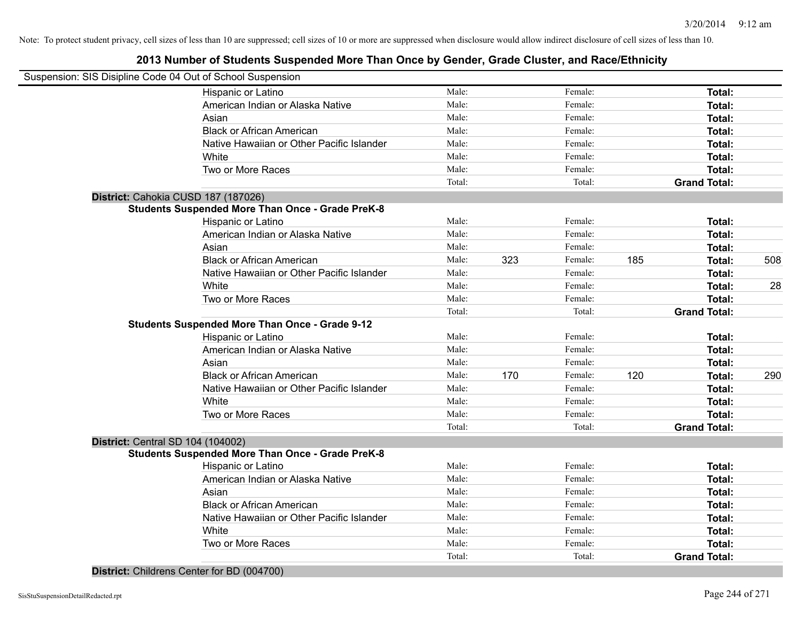| Suspension: SIS Disipline Code 04 Out of School Suspension |        |     |         |     |                     |     |
|------------------------------------------------------------|--------|-----|---------|-----|---------------------|-----|
|                                                            |        |     |         |     |                     |     |
| Hispanic or Latino                                         | Male:  |     | Female: |     | Total:              |     |
| American Indian or Alaska Native                           | Male:  |     | Female: |     | Total:              |     |
| Asian                                                      | Male:  |     | Female: |     | Total:              |     |
| <b>Black or African American</b>                           | Male:  |     | Female: |     | Total:              |     |
| Native Hawaiian or Other Pacific Islander                  | Male:  |     | Female: |     | Total:              |     |
| White                                                      | Male:  |     | Female: |     | Total:              |     |
| Two or More Races                                          | Male:  |     | Female: |     | Total:              |     |
|                                                            | Total: |     | Total:  |     | <b>Grand Total:</b> |     |
| District: Cahokia CUSD 187 (187026)                        |        |     |         |     |                     |     |
| <b>Students Suspended More Than Once - Grade PreK-8</b>    |        |     |         |     |                     |     |
| Hispanic or Latino                                         | Male:  |     | Female: |     | Total:              |     |
| American Indian or Alaska Native                           | Male:  |     | Female: |     | Total:              |     |
| Asian                                                      | Male:  |     | Female: |     | Total:              |     |
| <b>Black or African American</b>                           | Male:  | 323 | Female: | 185 | Total:              | 508 |
| Native Hawaiian or Other Pacific Islander                  | Male:  |     | Female: |     | Total:              |     |
| White                                                      | Male:  |     | Female: |     | Total:              | 28  |
| Two or More Races                                          | Male:  |     | Female: |     | Total:              |     |
|                                                            | Total: |     | Total:  |     | <b>Grand Total:</b> |     |
| <b>Students Suspended More Than Once - Grade 9-12</b>      |        |     |         |     |                     |     |
| Hispanic or Latino                                         | Male:  |     | Female: |     | Total:              |     |
| American Indian or Alaska Native                           | Male:  |     | Female: |     | Total:              |     |
| Asian                                                      | Male:  |     | Female: |     | Total:              |     |
| <b>Black or African American</b>                           | Male:  | 170 | Female: | 120 | Total:              | 290 |
| Native Hawaiian or Other Pacific Islander                  | Male:  |     | Female: |     | Total:              |     |
| White                                                      | Male:  |     | Female: |     | Total:              |     |
| Two or More Races                                          | Male:  |     | Female: |     | Total:              |     |
|                                                            | Total: |     | Total:  |     | <b>Grand Total:</b> |     |
| District: Central SD 104 (104002)                          |        |     |         |     |                     |     |
| <b>Students Suspended More Than Once - Grade PreK-8</b>    |        |     |         |     |                     |     |
| Hispanic or Latino                                         | Male:  |     | Female: |     | Total:              |     |
| American Indian or Alaska Native                           | Male:  |     | Female: |     | Total:              |     |
| Asian                                                      | Male:  |     | Female: |     | Total:              |     |
| <b>Black or African American</b>                           | Male:  |     | Female: |     | Total:              |     |
| Native Hawaiian or Other Pacific Islander                  | Male:  |     | Female: |     | Total:              |     |
| White                                                      | Male:  |     | Female: |     | Total:              |     |
| Two or More Races                                          | Male:  |     | Female: |     | Total:              |     |
|                                                            | Total: |     |         |     |                     |     |
|                                                            |        |     |         |     |                     |     |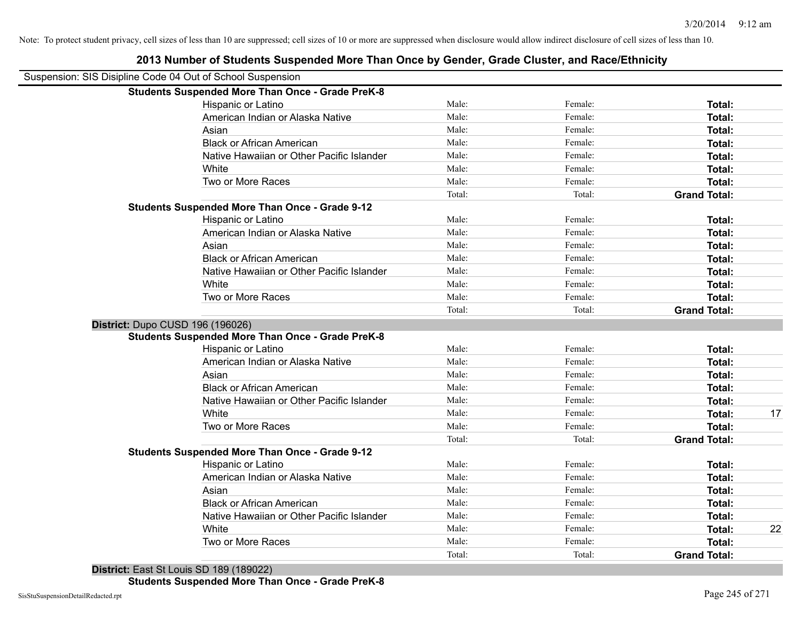| Suspension: SIS Disipline Code 04 Out of School Suspension |                                                         |        |         |                     |    |
|------------------------------------------------------------|---------------------------------------------------------|--------|---------|---------------------|----|
|                                                            | <b>Students Suspended More Than Once - Grade PreK-8</b> |        |         |                     |    |
|                                                            | Hispanic or Latino                                      | Male:  | Female: | Total:              |    |
|                                                            | American Indian or Alaska Native                        | Male:  | Female: | Total:              |    |
|                                                            | Asian                                                   | Male:  | Female: | Total:              |    |
|                                                            | <b>Black or African American</b>                        | Male:  | Female: | Total:              |    |
|                                                            | Native Hawaiian or Other Pacific Islander               | Male:  | Female: | Total:              |    |
|                                                            | White                                                   | Male:  | Female: | Total:              |    |
|                                                            | Two or More Races                                       | Male:  | Female: | Total:              |    |
|                                                            |                                                         | Total: | Total:  | <b>Grand Total:</b> |    |
|                                                            | <b>Students Suspended More Than Once - Grade 9-12</b>   |        |         |                     |    |
|                                                            | Hispanic or Latino                                      | Male:  | Female: | Total:              |    |
|                                                            | American Indian or Alaska Native                        | Male:  | Female: | Total:              |    |
|                                                            | Asian                                                   | Male:  | Female: | Total:              |    |
|                                                            | <b>Black or African American</b>                        | Male:  | Female: | Total:              |    |
|                                                            | Native Hawaiian or Other Pacific Islander               | Male:  | Female: | Total:              |    |
|                                                            | White                                                   | Male:  | Female: | Total:              |    |
|                                                            | Two or More Races                                       | Male:  | Female: | Total:              |    |
|                                                            |                                                         | Total: | Total:  | <b>Grand Total:</b> |    |
| District: Dupo CUSD 196 (196026)                           |                                                         |        |         |                     |    |
|                                                            | <b>Students Suspended More Than Once - Grade PreK-8</b> |        |         |                     |    |
|                                                            | Hispanic or Latino                                      | Male:  | Female: | Total:              |    |
|                                                            | American Indian or Alaska Native                        | Male:  | Female: | Total:              |    |
|                                                            | Asian                                                   | Male:  | Female: | Total:              |    |
|                                                            | <b>Black or African American</b>                        | Male:  | Female: | Total:              |    |
|                                                            | Native Hawaiian or Other Pacific Islander               | Male:  | Female: | Total:              |    |
|                                                            | White                                                   | Male:  | Female: | Total:              | 17 |
|                                                            | Two or More Races                                       | Male:  | Female: | Total:              |    |
|                                                            |                                                         | Total: | Total:  | <b>Grand Total:</b> |    |
|                                                            | <b>Students Suspended More Than Once - Grade 9-12</b>   |        |         |                     |    |
|                                                            | Hispanic or Latino                                      | Male:  | Female: | Total:              |    |
|                                                            | American Indian or Alaska Native                        | Male:  | Female: | Total:              |    |
|                                                            | Asian                                                   | Male:  | Female: | Total:              |    |
|                                                            | <b>Black or African American</b>                        | Male:  | Female: | Total:              |    |
|                                                            | Native Hawaiian or Other Pacific Islander               | Male:  | Female: | Total:              |    |
|                                                            | White                                                   | Male:  | Female: | Total:              | 22 |
|                                                            | Two or More Races                                       | Male:  | Female: | Total:              |    |
|                                                            |                                                         | Total: | Total:  | <b>Grand Total:</b> |    |
|                                                            |                                                         |        |         |                     |    |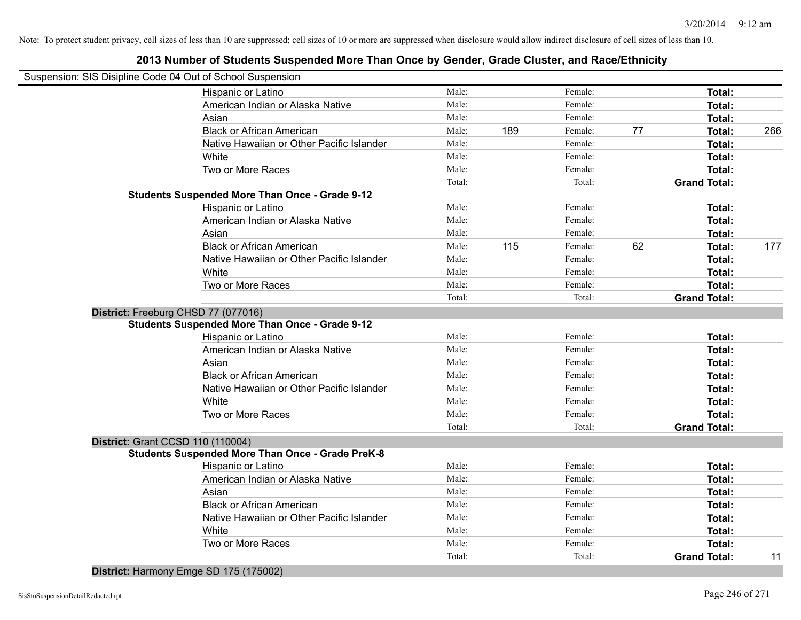## **2013 Number of Students Suspended More Than Once by Gender, Grade Cluster, and Race/Ethnicity**

|                                   | Suspension: SIS Disipline Code 04 Out of School Suspension |        |     |         |    |                     |     |
|-----------------------------------|------------------------------------------------------------|--------|-----|---------|----|---------------------|-----|
|                                   | Hispanic or Latino                                         | Male:  |     | Female: |    | Total:              |     |
|                                   | American Indian or Alaska Native                           | Male:  |     | Female: |    | Total:              |     |
|                                   | Asian                                                      | Male:  |     | Female: |    | Total:              |     |
|                                   | <b>Black or African American</b>                           | Male:  | 189 | Female: | 77 | Total:              | 266 |
|                                   | Native Hawaiian or Other Pacific Islander                  | Male:  |     | Female: |    | Total:              |     |
|                                   | White                                                      | Male:  |     | Female: |    | Total:              |     |
|                                   | Two or More Races                                          | Male:  |     | Female: |    | Total:              |     |
|                                   |                                                            | Total: |     | Total:  |    | <b>Grand Total:</b> |     |
|                                   | <b>Students Suspended More Than Once - Grade 9-12</b>      |        |     |         |    |                     |     |
|                                   | Hispanic or Latino                                         | Male:  |     | Female: |    | Total:              |     |
|                                   | American Indian or Alaska Native                           | Male:  |     | Female: |    | Total:              |     |
|                                   | Asian                                                      | Male:  |     | Female: |    | Total:              |     |
|                                   | <b>Black or African American</b>                           | Male:  | 115 | Female: | 62 | Total:              | 177 |
|                                   | Native Hawaiian or Other Pacific Islander                  | Male:  |     | Female: |    | Total:              |     |
|                                   | White                                                      | Male:  |     | Female: |    | Total:              |     |
|                                   | Two or More Races                                          | Male:  |     | Female: |    | Total:              |     |
|                                   |                                                            | Total: |     | Total:  |    | <b>Grand Total:</b> |     |
|                                   | District: Freeburg CHSD 77 (077016)                        |        |     |         |    |                     |     |
|                                   | <b>Students Suspended More Than Once - Grade 9-12</b>      |        |     |         |    |                     |     |
|                                   | Hispanic or Latino                                         | Male:  |     | Female: |    | Total:              |     |
|                                   | American Indian or Alaska Native                           | Male:  |     | Female: |    | Total:              |     |
|                                   | Asian                                                      | Male:  |     | Female: |    | Total:              |     |
|                                   | <b>Black or African American</b>                           | Male:  |     | Female: |    | Total:              |     |
|                                   | Native Hawaiian or Other Pacific Islander                  | Male:  |     | Female: |    | Total:              |     |
|                                   | White                                                      | Male:  |     | Female: |    | Total:              |     |
|                                   | Two or More Races                                          | Male:  |     | Female: |    | Total:              |     |
|                                   |                                                            | Total: |     | Total:  |    | <b>Grand Total:</b> |     |
| District: Grant CCSD 110 (110004) |                                                            |        |     |         |    |                     |     |
|                                   | <b>Students Suspended More Than Once - Grade PreK-8</b>    |        |     |         |    |                     |     |
|                                   | Hispanic or Latino                                         | Male:  |     | Female: |    | Total:              |     |
|                                   | American Indian or Alaska Native                           | Male:  |     | Female: |    | Total:              |     |
|                                   | Asian                                                      | Male:  |     | Female: |    | Total:              |     |
|                                   | <b>Black or African American</b>                           | Male:  |     | Female: |    | Total:              |     |
|                                   | Native Hawaiian or Other Pacific Islander                  | Male:  |     | Female: |    | Total:              |     |
|                                   | White                                                      | Male:  |     | Female: |    | Total:              |     |
|                                   | Two or More Races                                          | Male:  |     | Female: |    | Total:              |     |
|                                   |                                                            | Total: |     | Total:  |    | <b>Grand Total:</b> | 11  |
|                                   |                                                            |        |     |         |    |                     |     |

**District:** Harmony Emge SD 175 (175002)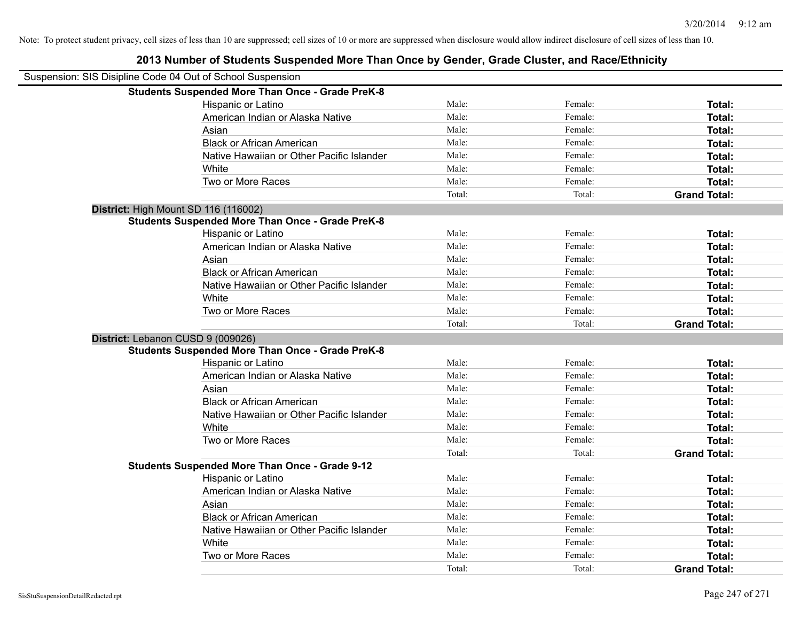| Suspension: SIS Disipline Code 04 Out of School Suspension |                                                         |        |         |                     |
|------------------------------------------------------------|---------------------------------------------------------|--------|---------|---------------------|
|                                                            | <b>Students Suspended More Than Once - Grade PreK-8</b> |        |         |                     |
|                                                            | Hispanic or Latino                                      | Male:  | Female: | Total:              |
|                                                            | American Indian or Alaska Native                        | Male:  | Female: | Total:              |
|                                                            | Asian                                                   | Male:  | Female: | Total:              |
|                                                            | <b>Black or African American</b>                        | Male:  | Female: | Total:              |
|                                                            | Native Hawaiian or Other Pacific Islander               | Male:  | Female: | Total:              |
|                                                            | White                                                   | Male:  | Female: | Total:              |
|                                                            | Two or More Races                                       | Male:  | Female: | Total:              |
|                                                            |                                                         | Total: | Total:  | <b>Grand Total:</b> |
| District: High Mount SD 116 (116002)                       |                                                         |        |         |                     |
|                                                            | <b>Students Suspended More Than Once - Grade PreK-8</b> |        |         |                     |
|                                                            | Hispanic or Latino                                      | Male:  | Female: | Total:              |
|                                                            | American Indian or Alaska Native                        | Male:  | Female: | Total:              |
|                                                            | Asian                                                   | Male:  | Female: | Total:              |
|                                                            | <b>Black or African American</b>                        | Male:  | Female: | Total:              |
|                                                            | Native Hawaiian or Other Pacific Islander               | Male:  | Female: | Total:              |
|                                                            | White                                                   | Male:  | Female: | Total:              |
|                                                            | Two or More Races                                       | Male:  | Female: | Total:              |
|                                                            |                                                         | Total: | Total:  | <b>Grand Total:</b> |
| District: Lebanon CUSD 9 (009026)                          |                                                         |        |         |                     |
|                                                            | <b>Students Suspended More Than Once - Grade PreK-8</b> |        |         |                     |
|                                                            | Hispanic or Latino                                      | Male:  | Female: | Total:              |
|                                                            | American Indian or Alaska Native                        | Male:  | Female: | Total:              |
|                                                            | Asian                                                   | Male:  | Female: | Total:              |
|                                                            | <b>Black or African American</b>                        | Male:  | Female: | Total:              |
|                                                            | Native Hawaiian or Other Pacific Islander               | Male:  | Female: | Total:              |
|                                                            | White                                                   | Male:  | Female: | Total:              |
|                                                            | Two or More Races                                       | Male:  | Female: | Total:              |
|                                                            |                                                         | Total: | Total:  | <b>Grand Total:</b> |
|                                                            | <b>Students Suspended More Than Once - Grade 9-12</b>   |        |         |                     |
|                                                            | Hispanic or Latino                                      | Male:  | Female: | Total:              |
|                                                            | American Indian or Alaska Native                        | Male:  | Female: | Total:              |
|                                                            | Asian                                                   | Male:  | Female: | Total:              |
|                                                            | <b>Black or African American</b>                        | Male:  | Female: | <b>Total:</b>       |
|                                                            | Native Hawaiian or Other Pacific Islander               | Male:  | Female: | Total:              |
|                                                            | White                                                   | Male:  | Female: | Total:              |
|                                                            | Two or More Races                                       | Male:  | Female: | Total:              |
|                                                            |                                                         | Total: | Total:  | <b>Grand Total:</b> |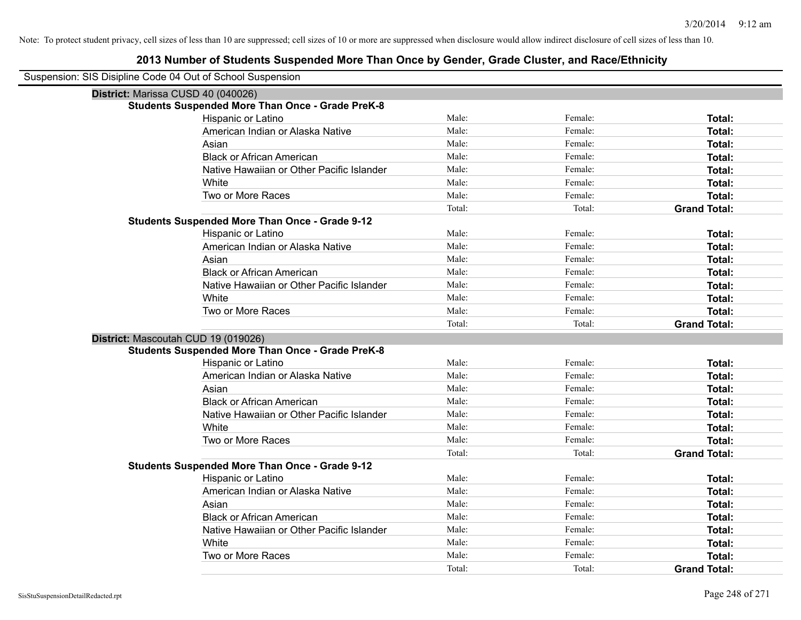| Suspension: SIS Disipline Code 04 Out of School Suspension |                                                         |        |         |                     |
|------------------------------------------------------------|---------------------------------------------------------|--------|---------|---------------------|
| District: Marissa CUSD 40 (040026)                         |                                                         |        |         |                     |
|                                                            | <b>Students Suspended More Than Once - Grade PreK-8</b> |        |         |                     |
|                                                            | Hispanic or Latino                                      | Male:  | Female: | Total:              |
|                                                            | American Indian or Alaska Native                        | Male:  | Female: | Total:              |
|                                                            | Asian                                                   | Male:  | Female: | Total:              |
|                                                            | <b>Black or African American</b>                        | Male:  | Female: | Total:              |
|                                                            | Native Hawaiian or Other Pacific Islander               | Male:  | Female: | Total:              |
|                                                            | White                                                   | Male:  | Female: | Total:              |
|                                                            | Two or More Races                                       | Male:  | Female: | Total:              |
|                                                            |                                                         | Total: | Total:  | <b>Grand Total:</b> |
|                                                            | <b>Students Suspended More Than Once - Grade 9-12</b>   |        |         |                     |
|                                                            | Hispanic or Latino                                      | Male:  | Female: | Total:              |
|                                                            | American Indian or Alaska Native                        | Male:  | Female: | Total:              |
|                                                            | Asian                                                   | Male:  | Female: | Total:              |
|                                                            | <b>Black or African American</b>                        | Male:  | Female: | Total:              |
|                                                            | Native Hawaiian or Other Pacific Islander               | Male:  | Female: | Total:              |
|                                                            | White                                                   | Male:  | Female: | Total:              |
|                                                            | Two or More Races                                       | Male:  | Female: | Total:              |
|                                                            |                                                         | Total: | Total:  | <b>Grand Total:</b> |
| District: Mascoutah CUD 19 (019026)                        |                                                         |        |         |                     |
|                                                            | <b>Students Suspended More Than Once - Grade PreK-8</b> |        |         |                     |
|                                                            | Hispanic or Latino                                      | Male:  | Female: | Total:              |
|                                                            | American Indian or Alaska Native                        | Male:  | Female: | Total:              |
|                                                            | Asian                                                   | Male:  | Female: | Total:              |
|                                                            | <b>Black or African American</b>                        | Male:  | Female: | Total:              |
|                                                            | Native Hawaiian or Other Pacific Islander               | Male:  | Female: | Total:              |
|                                                            | White                                                   | Male:  | Female: | Total:              |
|                                                            | Two or More Races                                       | Male:  | Female: | Total:              |
|                                                            |                                                         | Total: | Total:  | <b>Grand Total:</b> |
|                                                            | <b>Students Suspended More Than Once - Grade 9-12</b>   |        |         |                     |
|                                                            | Hispanic or Latino                                      | Male:  | Female: | Total:              |
|                                                            | American Indian or Alaska Native                        | Male:  | Female: | Total:              |
|                                                            | Asian                                                   | Male:  | Female: | Total:              |
|                                                            | <b>Black or African American</b>                        | Male:  | Female: | Total:              |
|                                                            | Native Hawaiian or Other Pacific Islander               | Male:  | Female: | Total:              |
|                                                            | White                                                   | Male:  | Female: | Total:              |
|                                                            | Two or More Races                                       | Male:  | Female: | Total:              |
|                                                            |                                                         | Total: | Total:  | <b>Grand Total:</b> |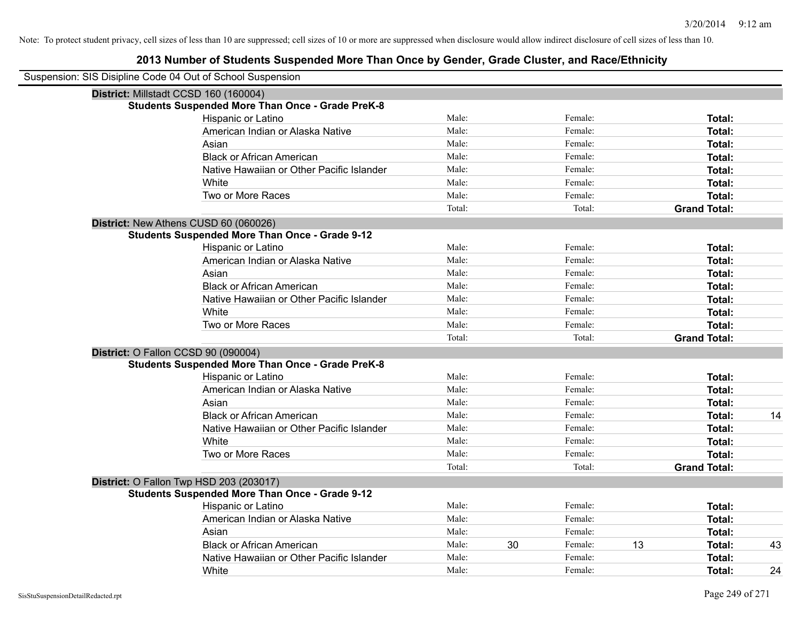| Suspension: SIS Disipline Code 04 Out of School Suspension |                                                         |        |    |         |    |                     |    |
|------------------------------------------------------------|---------------------------------------------------------|--------|----|---------|----|---------------------|----|
| District: Millstadt CCSD 160 (160004)                      |                                                         |        |    |         |    |                     |    |
|                                                            | <b>Students Suspended More Than Once - Grade PreK-8</b> |        |    |         |    |                     |    |
|                                                            | Hispanic or Latino                                      | Male:  |    | Female: |    | <b>Total:</b>       |    |
|                                                            | American Indian or Alaska Native                        | Male:  |    | Female: |    | <b>Total:</b>       |    |
|                                                            | Asian                                                   | Male:  |    | Female: |    | <b>Total:</b>       |    |
|                                                            | <b>Black or African American</b>                        | Male:  |    | Female: |    | <b>Total:</b>       |    |
|                                                            | Native Hawaiian or Other Pacific Islander               | Male:  |    | Female: |    | <b>Total:</b>       |    |
|                                                            | White                                                   | Male:  |    | Female: |    | Total:              |    |
|                                                            | Two or More Races                                       | Male:  |    | Female: |    | <b>Total:</b>       |    |
|                                                            |                                                         | Total: |    | Total:  |    | <b>Grand Total:</b> |    |
|                                                            | District: New Athens CUSD 60 (060026)                   |        |    |         |    |                     |    |
|                                                            | <b>Students Suspended More Than Once - Grade 9-12</b>   |        |    |         |    |                     |    |
|                                                            | Hispanic or Latino                                      | Male:  |    | Female: |    | Total:              |    |
|                                                            | American Indian or Alaska Native                        | Male:  |    | Female: |    | Total:              |    |
|                                                            | Asian                                                   | Male:  |    | Female: |    | <b>Total:</b>       |    |
|                                                            | <b>Black or African American</b>                        | Male:  |    | Female: |    | <b>Total:</b>       |    |
|                                                            | Native Hawaiian or Other Pacific Islander               | Male:  |    | Female: |    | Total:              |    |
|                                                            | White                                                   | Male:  |    | Female: |    | <b>Total:</b>       |    |
|                                                            | Two or More Races                                       | Male:  |    | Female: |    | <b>Total:</b>       |    |
|                                                            |                                                         | Total: |    | Total:  |    | <b>Grand Total:</b> |    |
| District: O Fallon CCSD 90 (090004)                        |                                                         |        |    |         |    |                     |    |
|                                                            | <b>Students Suspended More Than Once - Grade PreK-8</b> |        |    |         |    |                     |    |
|                                                            | Hispanic or Latino                                      | Male:  |    | Female: |    | <b>Total:</b>       |    |
|                                                            | American Indian or Alaska Native                        | Male:  |    | Female: |    | Total:              |    |
|                                                            | Asian                                                   | Male:  |    | Female: |    | <b>Total:</b>       |    |
|                                                            | <b>Black or African American</b>                        | Male:  |    | Female: |    | <b>Total:</b>       | 14 |
|                                                            | Native Hawaiian or Other Pacific Islander               | Male:  |    | Female: |    | <b>Total:</b>       |    |
|                                                            | White                                                   | Male:  |    | Female: |    | Total:              |    |
|                                                            | Two or More Races                                       | Male:  |    | Female: |    | <b>Total:</b>       |    |
|                                                            |                                                         | Total: |    | Total:  |    | <b>Grand Total:</b> |    |
|                                                            | District: O Fallon Twp HSD 203 (203017)                 |        |    |         |    |                     |    |
|                                                            | <b>Students Suspended More Than Once - Grade 9-12</b>   |        |    |         |    |                     |    |
|                                                            | Hispanic or Latino                                      | Male:  |    | Female: |    | Total:              |    |
|                                                            | American Indian or Alaska Native                        | Male:  |    | Female: |    | Total:              |    |
|                                                            | Asian                                                   | Male:  |    | Female: |    | <b>Total:</b>       |    |
|                                                            | <b>Black or African American</b>                        | Male:  | 30 | Female: | 13 | <b>Total:</b>       | 43 |
|                                                            | Native Hawaiian or Other Pacific Islander               | Male:  |    | Female: |    | <b>Total:</b>       |    |
|                                                            | White                                                   | Male:  |    | Female: |    | Total:              | 24 |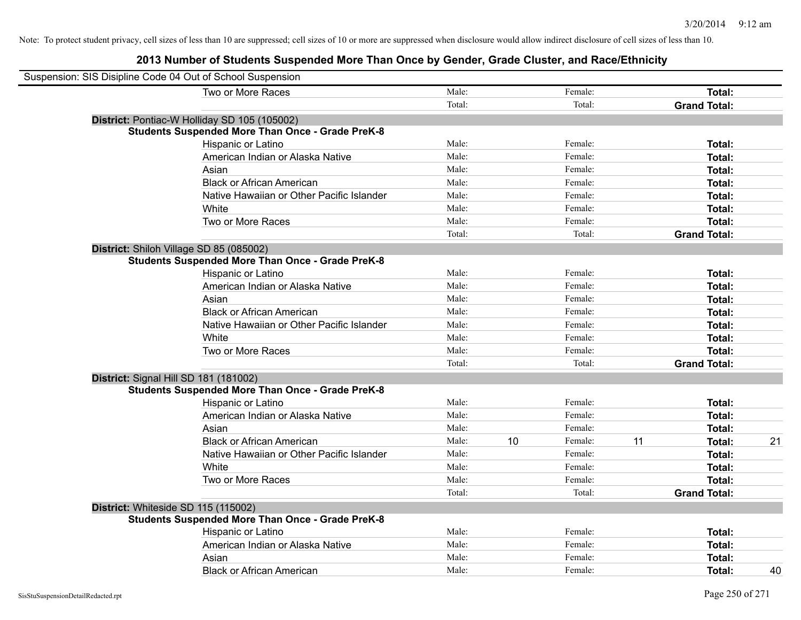| Suspension: SIS Disipline Code 04 Out of School Suspension |        |    |         |    |                     |    |
|------------------------------------------------------------|--------|----|---------|----|---------------------|----|
| Two or More Races                                          | Male:  |    | Female: |    | Total:              |    |
|                                                            | Total: |    | Total:  |    | <b>Grand Total:</b> |    |
| District: Pontiac-W Holliday SD 105 (105002)               |        |    |         |    |                     |    |
| <b>Students Suspended More Than Once - Grade PreK-8</b>    |        |    |         |    |                     |    |
| Hispanic or Latino                                         | Male:  |    | Female: |    | Total:              |    |
| American Indian or Alaska Native                           | Male:  |    | Female: |    | Total:              |    |
| Asian                                                      | Male:  |    | Female: |    | Total:              |    |
| <b>Black or African American</b>                           | Male:  |    | Female: |    | Total:              |    |
| Native Hawaiian or Other Pacific Islander                  | Male:  |    | Female: |    | Total:              |    |
| White                                                      | Male:  |    | Female: |    | Total:              |    |
| Two or More Races                                          | Male:  |    | Female: |    | Total:              |    |
|                                                            | Total: |    | Total:  |    | <b>Grand Total:</b> |    |
| District: Shiloh Village SD 85 (085002)                    |        |    |         |    |                     |    |
| <b>Students Suspended More Than Once - Grade PreK-8</b>    |        |    |         |    |                     |    |
| Hispanic or Latino                                         | Male:  |    | Female: |    | Total:              |    |
| American Indian or Alaska Native                           | Male:  |    | Female: |    | Total:              |    |
| Asian                                                      | Male:  |    | Female: |    | Total:              |    |
| <b>Black or African American</b>                           | Male:  |    | Female: |    | Total:              |    |
| Native Hawaiian or Other Pacific Islander                  | Male:  |    | Female: |    | Total:              |    |
| White                                                      | Male:  |    | Female: |    | Total:              |    |
| Two or More Races                                          | Male:  |    | Female: |    | Total:              |    |
|                                                            | Total: |    | Total:  |    | <b>Grand Total:</b> |    |
| District: Signal Hill SD 181 (181002)                      |        |    |         |    |                     |    |
| <b>Students Suspended More Than Once - Grade PreK-8</b>    |        |    |         |    |                     |    |
| <b>Hispanic or Latino</b>                                  | Male:  |    | Female: |    | Total:              |    |
| American Indian or Alaska Native                           | Male:  |    | Female: |    | Total:              |    |
| Asian                                                      | Male:  |    | Female: |    | Total:              |    |
| <b>Black or African American</b>                           | Male:  | 10 | Female: | 11 | Total:              | 21 |
| Native Hawaiian or Other Pacific Islander                  | Male:  |    | Female: |    | Total:              |    |
| White                                                      | Male:  |    | Female: |    | Total:              |    |
| Two or More Races                                          | Male:  |    | Female: |    | Total:              |    |
|                                                            | Total: |    | Total:  |    | <b>Grand Total:</b> |    |
| District: Whiteside SD 115 (115002)                        |        |    |         |    |                     |    |
| <b>Students Suspended More Than Once - Grade PreK-8</b>    |        |    |         |    |                     |    |
| Hispanic or Latino                                         | Male:  |    | Female: |    | Total:              |    |
| American Indian or Alaska Native                           | Male:  |    | Female: |    | Total:              |    |
| Asian                                                      | Male:  |    | Female: |    | Total:              |    |
| <b>Black or African American</b>                           | Male:  |    | Female: |    | Total:              | 40 |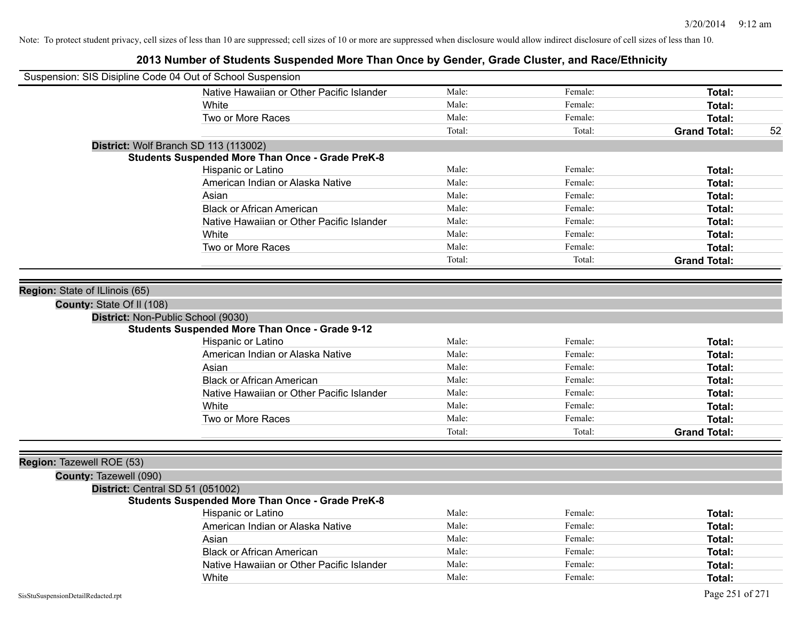| Suspension: SIS Disipline Code 04 Out of School Suspension |                                                         |        |         |                     |    |
|------------------------------------------------------------|---------------------------------------------------------|--------|---------|---------------------|----|
|                                                            | Native Hawaiian or Other Pacific Islander               | Male:  | Female: | Total:              |    |
|                                                            | White                                                   | Male:  | Female: | Total:              |    |
|                                                            | Two or More Races                                       | Male:  | Female: | Total:              |    |
|                                                            |                                                         | Total: | Total:  | <b>Grand Total:</b> | 52 |
|                                                            | District: Wolf Branch SD 113 (113002)                   |        |         |                     |    |
|                                                            | <b>Students Suspended More Than Once - Grade PreK-8</b> |        |         |                     |    |
|                                                            | Hispanic or Latino                                      | Male:  | Female: | Total:              |    |
|                                                            | American Indian or Alaska Native                        | Male:  | Female: | Total:              |    |
|                                                            | Asian                                                   | Male:  | Female: | Total:              |    |
|                                                            | <b>Black or African American</b>                        | Male:  | Female: | Total:              |    |
|                                                            | Native Hawaiian or Other Pacific Islander               | Male:  | Female: | Total:              |    |
|                                                            | White                                                   | Male:  | Female: | Total:              |    |
|                                                            | Two or More Races                                       | Male:  | Female: | Total:              |    |
|                                                            |                                                         | Total: | Total:  | <b>Grand Total:</b> |    |
|                                                            |                                                         |        |         |                     |    |
| Region: State of ILlinois (65)                             |                                                         |        |         |                     |    |
| County: State Of II (108)                                  |                                                         |        |         |                     |    |
| District: Non-Public School (9030)                         |                                                         |        |         |                     |    |
|                                                            | <b>Students Suspended More Than Once - Grade 9-12</b>   |        |         |                     |    |
|                                                            | Hispanic or Latino                                      | Male:  | Female: | Total:              |    |
|                                                            | American Indian or Alaska Native                        | Male:  | Female: | Total:              |    |
|                                                            | Asian                                                   | Male:  | Female: | Total:              |    |
|                                                            | <b>Black or African American</b>                        | Male:  | Female: | Total:              |    |
|                                                            | Native Hawaiian or Other Pacific Islander               | Male:  | Female: | Total:              |    |
|                                                            | White                                                   | Male:  | Female: | Total:              |    |
|                                                            | Two or More Races                                       | Male:  | Female: | Total:              |    |
|                                                            |                                                         | Total: | Total:  | <b>Grand Total:</b> |    |
|                                                            |                                                         |        |         |                     |    |
| Region: Tazewell ROE (53)                                  |                                                         |        |         |                     |    |
| County: Tazewell (090)                                     |                                                         |        |         |                     |    |
| District: Central SD 51 (051002)                           |                                                         |        |         |                     |    |
|                                                            | <b>Students Suspended More Than Once - Grade PreK-8</b> |        |         |                     |    |
|                                                            | Hispanic or Latino                                      | Male:  | Female: | Total:              |    |
|                                                            | American Indian or Alaska Native                        | Male:  | Female: | Total:              |    |
|                                                            | Asian                                                   | Male:  | Female: | Total:              |    |
|                                                            | <b>Black or African American</b>                        | Male:  | Female: | Total:              |    |
|                                                            | Native Hawaiian or Other Pacific Islander               | Male:  | Female: | Total:              |    |
|                                                            | White                                                   | Male:  | Female: | Total:              |    |
|                                                            |                                                         |        |         |                     |    |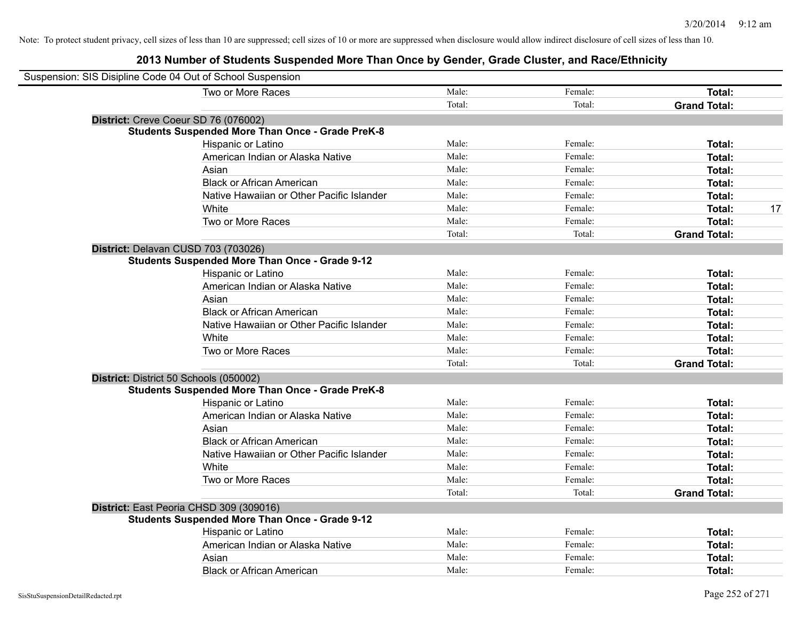| Suspension: SIS Disipline Code 04 Out of School Suspension |        |         |                     |
|------------------------------------------------------------|--------|---------|---------------------|
| Two or More Races                                          | Male:  | Female: | Total:              |
|                                                            | Total: | Total:  | <b>Grand Total:</b> |
| District: Creve Coeur SD 76 (076002)                       |        |         |                     |
| <b>Students Suspended More Than Once - Grade PreK-8</b>    |        |         |                     |
| Hispanic or Latino                                         | Male:  | Female: | Total:              |
| American Indian or Alaska Native                           | Male:  | Female: | Total:              |
| Asian                                                      | Male:  | Female: | Total:              |
| <b>Black or African American</b>                           | Male:  | Female: | Total:              |
| Native Hawaiian or Other Pacific Islander                  | Male:  | Female: | Total:              |
| White                                                      | Male:  | Female: | 17<br>Total:        |
| Two or More Races                                          | Male:  | Female: | Total:              |
|                                                            | Total: | Total:  | <b>Grand Total:</b> |
| District: Delavan CUSD 703 (703026)                        |        |         |                     |
| <b>Students Suspended More Than Once - Grade 9-12</b>      |        |         |                     |
| Hispanic or Latino                                         | Male:  | Female: | Total:              |
| American Indian or Alaska Native                           | Male:  | Female: | Total:              |
| Asian                                                      | Male:  | Female: | <b>Total:</b>       |
| <b>Black or African American</b>                           | Male:  | Female: | Total:              |
| Native Hawaiian or Other Pacific Islander                  | Male:  | Female: | Total:              |
| White                                                      | Male:  | Female: | Total:              |
| Two or More Races                                          | Male:  | Female: | Total:              |
|                                                            | Total: | Total:  | <b>Grand Total:</b> |
| District: District 50 Schools (050002)                     |        |         |                     |
| <b>Students Suspended More Than Once - Grade PreK-8</b>    |        |         |                     |
| Hispanic or Latino                                         | Male:  | Female: | Total:              |
| American Indian or Alaska Native                           | Male:  | Female: | Total:              |
| Asian                                                      | Male:  | Female: | Total:              |
| <b>Black or African American</b>                           | Male:  | Female: | Total:              |
| Native Hawaiian or Other Pacific Islander                  | Male:  | Female: | <b>Total:</b>       |
| White                                                      | Male:  | Female: | Total:              |
| Two or More Races                                          | Male:  | Female: | Total:              |
|                                                            | Total: | Total:  | <b>Grand Total:</b> |
| District: East Peoria CHSD 309 (309016)                    |        |         |                     |
| <b>Students Suspended More Than Once - Grade 9-12</b>      |        |         |                     |
| Hispanic or Latino                                         | Male:  | Female: | Total:              |
| American Indian or Alaska Native                           | Male:  | Female: | Total:              |
| Asian                                                      | Male:  | Female: | <b>Total:</b>       |
| <b>Black or African American</b>                           | Male:  | Female: | Total:              |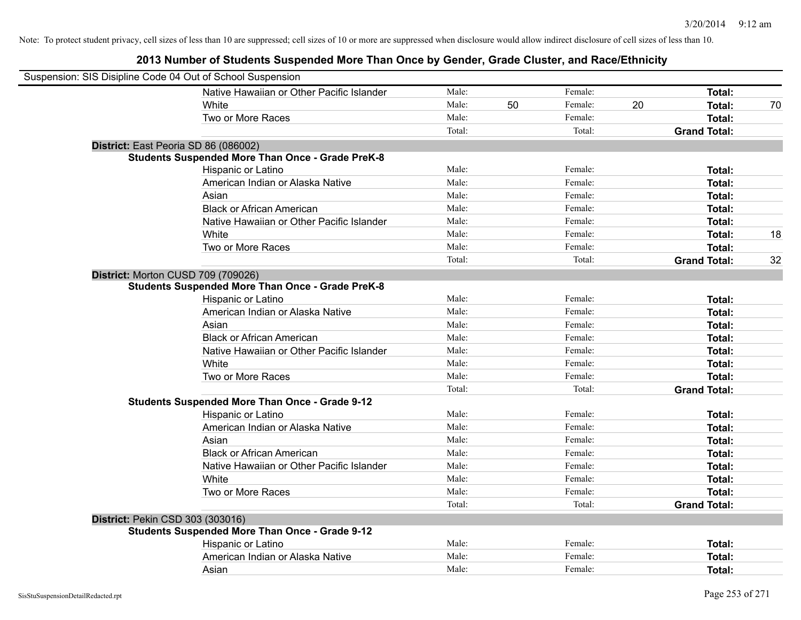| Suspension: SIS Disipline Code 04 Out of School Suspension |                                                         |        |    |         |    |                     |    |
|------------------------------------------------------------|---------------------------------------------------------|--------|----|---------|----|---------------------|----|
|                                                            | Native Hawaiian or Other Pacific Islander               | Male:  |    | Female: |    | Total:              |    |
|                                                            | White                                                   | Male:  | 50 | Female: | 20 | Total:              | 70 |
|                                                            | Two or More Races                                       | Male:  |    | Female: |    | Total:              |    |
|                                                            |                                                         | Total: |    | Total:  |    | <b>Grand Total:</b> |    |
| District: East Peoria SD 86 (086002)                       |                                                         |        |    |         |    |                     |    |
|                                                            | <b>Students Suspended More Than Once - Grade PreK-8</b> |        |    |         |    |                     |    |
|                                                            | Hispanic or Latino                                      | Male:  |    | Female: |    | Total:              |    |
|                                                            | American Indian or Alaska Native                        | Male:  |    | Female: |    | Total:              |    |
|                                                            | Asian                                                   | Male:  |    | Female: |    | Total:              |    |
|                                                            | <b>Black or African American</b>                        | Male:  |    | Female: |    | Total:              |    |
|                                                            | Native Hawaiian or Other Pacific Islander               | Male:  |    | Female: |    | Total:              |    |
|                                                            | White                                                   | Male:  |    | Female: |    | Total:              | 18 |
|                                                            | Two or More Races                                       | Male:  |    | Female: |    | <b>Total:</b>       |    |
|                                                            |                                                         | Total: |    | Total:  |    | <b>Grand Total:</b> | 32 |
| District: Morton CUSD 709 (709026)                         |                                                         |        |    |         |    |                     |    |
|                                                            | <b>Students Suspended More Than Once - Grade PreK-8</b> |        |    |         |    |                     |    |
|                                                            | Hispanic or Latino                                      | Male:  |    | Female: |    | Total:              |    |
|                                                            | American Indian or Alaska Native                        | Male:  |    | Female: |    | Total:              |    |
|                                                            | Asian                                                   | Male:  |    | Female: |    | Total:              |    |
|                                                            | <b>Black or African American</b>                        | Male:  |    | Female: |    | Total:              |    |
|                                                            | Native Hawaiian or Other Pacific Islander               | Male:  |    | Female: |    | Total:              |    |
|                                                            | White                                                   | Male:  |    | Female: |    | Total:              |    |
|                                                            | Two or More Races                                       | Male:  |    | Female: |    | Total:              |    |
|                                                            |                                                         | Total: |    | Total:  |    | <b>Grand Total:</b> |    |
|                                                            | <b>Students Suspended More Than Once - Grade 9-12</b>   |        |    |         |    |                     |    |
|                                                            | Hispanic or Latino                                      | Male:  |    | Female: |    | Total:              |    |
|                                                            | American Indian or Alaska Native                        | Male:  |    | Female: |    | Total:              |    |
|                                                            | Asian                                                   | Male:  |    | Female: |    | Total:              |    |
|                                                            | <b>Black or African American</b>                        | Male:  |    | Female: |    | Total:              |    |
|                                                            | Native Hawaiian or Other Pacific Islander               | Male:  |    | Female: |    | Total:              |    |
|                                                            | White                                                   | Male:  |    | Female: |    | Total:              |    |
|                                                            | Two or More Races                                       | Male:  |    | Female: |    | Total:              |    |
|                                                            |                                                         | Total: |    | Total:  |    | <b>Grand Total:</b> |    |
| District: Pekin CSD 303 (303016)                           |                                                         |        |    |         |    |                     |    |
|                                                            | <b>Students Suspended More Than Once - Grade 9-12</b>   |        |    |         |    |                     |    |
|                                                            | Hispanic or Latino                                      | Male:  |    | Female: |    | Total:              |    |
|                                                            | American Indian or Alaska Native                        | Male:  |    | Female: |    | Total:              |    |
|                                                            | Asian                                                   | Male:  |    | Female: |    | Total:              |    |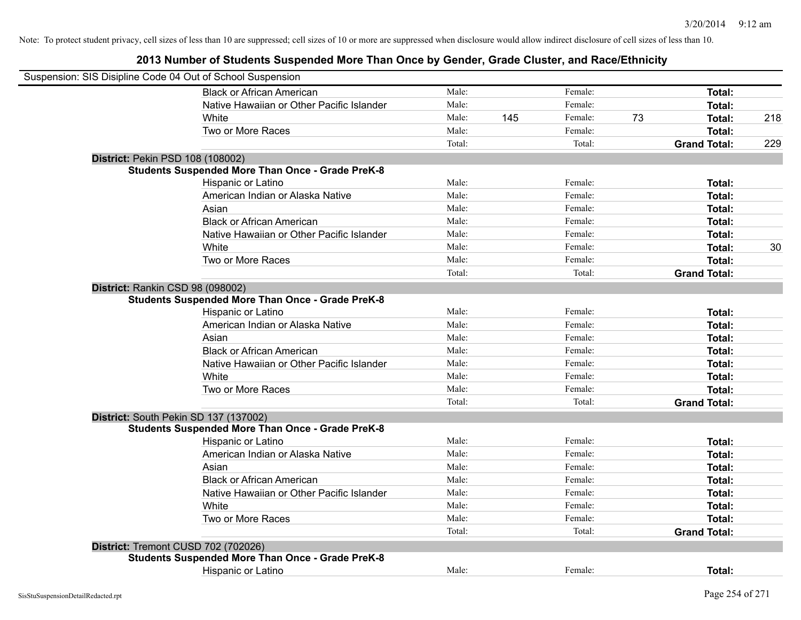| Suspension: SIS Disipline Code 04 Out of School Suspension |        |     |         |    |                     |     |
|------------------------------------------------------------|--------|-----|---------|----|---------------------|-----|
| <b>Black or African American</b>                           | Male:  |     | Female: |    | Total:              |     |
| Native Hawaiian or Other Pacific Islander                  | Male:  |     | Female: |    | Total:              |     |
| White                                                      | Male:  | 145 | Female: | 73 | Total:              | 218 |
| Two or More Races                                          | Male:  |     | Female: |    | Total:              |     |
|                                                            | Total: |     | Total:  |    | <b>Grand Total:</b> | 229 |
| District: Pekin PSD 108 (108002)                           |        |     |         |    |                     |     |
| <b>Students Suspended More Than Once - Grade PreK-8</b>    |        |     |         |    |                     |     |
| Hispanic or Latino                                         | Male:  |     | Female: |    | Total:              |     |
| American Indian or Alaska Native                           | Male:  |     | Female: |    | Total:              |     |
| Asian                                                      | Male:  |     | Female: |    | Total:              |     |
| <b>Black or African American</b>                           | Male:  |     | Female: |    | Total:              |     |
| Native Hawaiian or Other Pacific Islander                  | Male:  |     | Female: |    | Total:              |     |
| White                                                      | Male:  |     | Female: |    | Total:              | 30  |
| Two or More Races                                          | Male:  |     | Female: |    | Total:              |     |
|                                                            | Total: |     | Total:  |    | <b>Grand Total:</b> |     |
| District: Rankin CSD 98 (098002)                           |        |     |         |    |                     |     |
| <b>Students Suspended More Than Once - Grade PreK-8</b>    |        |     |         |    |                     |     |
| Hispanic or Latino                                         | Male:  |     | Female: |    | Total:              |     |
| American Indian or Alaska Native                           | Male:  |     | Female: |    | Total:              |     |
| Asian                                                      | Male:  |     | Female: |    | Total:              |     |
| <b>Black or African American</b>                           | Male:  |     | Female: |    | Total:              |     |
| Native Hawaiian or Other Pacific Islander                  | Male:  |     | Female: |    | Total:              |     |
| White                                                      | Male:  |     | Female: |    | Total:              |     |
| Two or More Races                                          | Male:  |     | Female: |    | Total:              |     |
|                                                            | Total: |     | Total:  |    | <b>Grand Total:</b> |     |
| District: South Pekin SD 137 (137002)                      |        |     |         |    |                     |     |
| <b>Students Suspended More Than Once - Grade PreK-8</b>    |        |     |         |    |                     |     |
| Hispanic or Latino                                         | Male:  |     | Female: |    | Total:              |     |
| American Indian or Alaska Native                           | Male:  |     | Female: |    | Total:              |     |
| Asian                                                      | Male:  |     | Female: |    | Total:              |     |
| <b>Black or African American</b>                           | Male:  |     | Female: |    | Total:              |     |
| Native Hawaiian or Other Pacific Islander                  | Male:  |     | Female: |    | Total:              |     |
| White                                                      | Male:  |     | Female: |    | Total:              |     |
| Two or More Races                                          | Male:  |     | Female: |    | Total:              |     |
|                                                            | Total: |     | Total:  |    | <b>Grand Total:</b> |     |
| District: Tremont CUSD 702 (702026)                        |        |     |         |    |                     |     |
| <b>Students Suspended More Than Once - Grade PreK-8</b>    |        |     |         |    |                     |     |
| <b>Hispanic or Latino</b>                                  | Male:  |     | Female: |    | Total:              |     |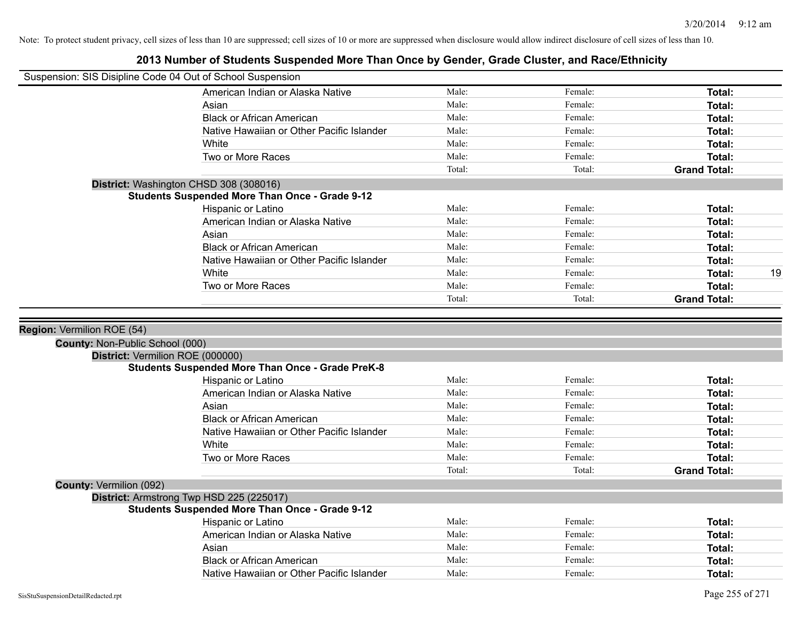| Suspension: SIS Disipline Code 04 Out of School Suspension |                                                                                                   |        |         |                     |
|------------------------------------------------------------|---------------------------------------------------------------------------------------------------|--------|---------|---------------------|
|                                                            | American Indian or Alaska Native                                                                  | Male:  | Female: | Total:              |
|                                                            | Asian                                                                                             | Male:  | Female: | Total:              |
|                                                            | <b>Black or African American</b>                                                                  | Male:  | Female: | Total:              |
|                                                            | Native Hawaiian or Other Pacific Islander                                                         | Male:  | Female: | Total:              |
|                                                            | White                                                                                             | Male:  | Female: | Total:              |
|                                                            | Two or More Races                                                                                 | Male:  | Female: | Total:              |
|                                                            |                                                                                                   | Total: | Total:  | <b>Grand Total:</b> |
|                                                            | District: Washington CHSD 308 (308016)                                                            |        |         |                     |
|                                                            | <b>Students Suspended More Than Once - Grade 9-12</b>                                             |        |         |                     |
|                                                            | Hispanic or Latino                                                                                | Male:  | Female: | Total:              |
|                                                            | American Indian or Alaska Native                                                                  | Male:  | Female: | Total:              |
|                                                            | Asian                                                                                             | Male:  | Female: | Total:              |
|                                                            | <b>Black or African American</b>                                                                  | Male:  | Female: | Total:              |
|                                                            | Native Hawaiian or Other Pacific Islander                                                         | Male:  | Female: | Total:              |
|                                                            | White                                                                                             | Male:  | Female: | 19<br>Total:        |
|                                                            | Two or More Races                                                                                 | Male:  | Female: | Total:              |
|                                                            |                                                                                                   | Total: | Total:  | <b>Grand Total:</b> |
|                                                            |                                                                                                   |        |         |                     |
|                                                            |                                                                                                   |        |         |                     |
|                                                            |                                                                                                   |        |         |                     |
| Region: Vermilion ROE (54)                                 |                                                                                                   |        |         |                     |
| County: Non-Public School (000)                            |                                                                                                   |        |         |                     |
| District: Vermilion ROE (000000)                           | <b>Students Suspended More Than Once - Grade PreK-8</b>                                           |        |         |                     |
|                                                            | Hispanic or Latino                                                                                | Male:  | Female: | Total:              |
|                                                            | American Indian or Alaska Native                                                                  | Male:  | Female: | Total:              |
|                                                            | Asian                                                                                             | Male:  | Female: | Total:              |
|                                                            | <b>Black or African American</b>                                                                  | Male:  | Female: | Total:              |
|                                                            | Native Hawaiian or Other Pacific Islander                                                         | Male:  | Female: | Total:              |
|                                                            | White                                                                                             | Male:  | Female: | Total:              |
|                                                            | Two or More Races                                                                                 | Male:  | Female: | Total:              |
|                                                            |                                                                                                   | Total: | Total:  | <b>Grand Total:</b> |
|                                                            |                                                                                                   |        |         |                     |
| County: Vermilion (092)                                    |                                                                                                   |        |         |                     |
|                                                            | District: Armstrong Twp HSD 225 (225017)<br><b>Students Suspended More Than Once - Grade 9-12</b> |        |         |                     |
|                                                            | Hispanic or Latino                                                                                | Male:  | Female: | Total:              |
|                                                            | American Indian or Alaska Native                                                                  | Male:  | Female: | Total:              |
|                                                            | Asian                                                                                             | Male:  | Female: | Total:              |
|                                                            | <b>Black or African American</b>                                                                  | Male:  | Female: | Total:              |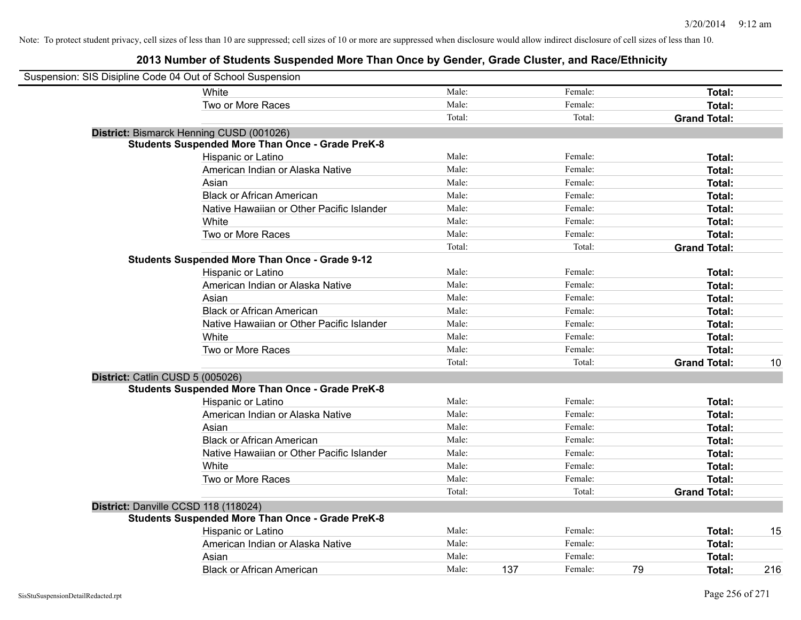| Suspension: SIS Disipline Code 04 Out of School Suspension |        |     |         |    |                     |     |
|------------------------------------------------------------|--------|-----|---------|----|---------------------|-----|
| White                                                      | Male:  |     | Female: |    | <b>Total:</b>       |     |
| Two or More Races                                          | Male:  |     | Female: |    | Total:              |     |
|                                                            | Total: |     | Total:  |    | <b>Grand Total:</b> |     |
| District: Bismarck Henning CUSD (001026)                   |        |     |         |    |                     |     |
| <b>Students Suspended More Than Once - Grade PreK-8</b>    |        |     |         |    |                     |     |
| Hispanic or Latino                                         | Male:  |     | Female: |    | Total:              |     |
| American Indian or Alaska Native                           | Male:  |     | Female: |    | Total:              |     |
| Asian                                                      | Male:  |     | Female: |    | Total:              |     |
| <b>Black or African American</b>                           | Male:  |     | Female: |    | Total:              |     |
| Native Hawaiian or Other Pacific Islander                  | Male:  |     | Female: |    | Total:              |     |
| White                                                      | Male:  |     | Female: |    | Total:              |     |
| Two or More Races                                          | Male:  |     | Female: |    | Total:              |     |
|                                                            | Total: |     | Total:  |    | <b>Grand Total:</b> |     |
| <b>Students Suspended More Than Once - Grade 9-12</b>      |        |     |         |    |                     |     |
| Hispanic or Latino                                         | Male:  |     | Female: |    | Total:              |     |
| American Indian or Alaska Native                           | Male:  |     | Female: |    | Total:              |     |
| Asian                                                      | Male:  |     | Female: |    | Total:              |     |
| <b>Black or African American</b>                           | Male:  |     | Female: |    | Total:              |     |
| Native Hawaiian or Other Pacific Islander                  | Male:  |     | Female: |    | Total:              |     |
| White                                                      | Male:  |     | Female: |    | Total:              |     |
| Two or More Races                                          | Male:  |     | Female: |    | Total:              |     |
|                                                            | Total: |     | Total:  |    | <b>Grand Total:</b> | 10  |
| District: Catlin CUSD 5 (005026)                           |        |     |         |    |                     |     |
| <b>Students Suspended More Than Once - Grade PreK-8</b>    |        |     |         |    |                     |     |
| Hispanic or Latino                                         | Male:  |     | Female: |    | Total:              |     |
| American Indian or Alaska Native                           | Male:  |     | Female: |    | Total:              |     |
| Asian                                                      | Male:  |     | Female: |    | Total:              |     |
| <b>Black or African American</b>                           | Male:  |     | Female: |    | Total:              |     |
| Native Hawaiian or Other Pacific Islander                  | Male:  |     | Female: |    | Total:              |     |
| White                                                      | Male:  |     | Female: |    | Total:              |     |
| Two or More Races                                          | Male:  |     | Female: |    | Total:              |     |
|                                                            | Total: |     | Total:  |    | <b>Grand Total:</b> |     |
| District: Danville CCSD 118 (118024)                       |        |     |         |    |                     |     |
| <b>Students Suspended More Than Once - Grade PreK-8</b>    |        |     |         |    |                     |     |
| Hispanic or Latino                                         | Male:  |     | Female: |    | Total:              | 15  |
| American Indian or Alaska Native                           | Male:  |     | Female: |    | Total:              |     |
| Asian                                                      | Male:  |     | Female: |    | Total:              |     |
| <b>Black or African American</b>                           | Male:  | 137 | Female: | 79 | Total:              | 216 |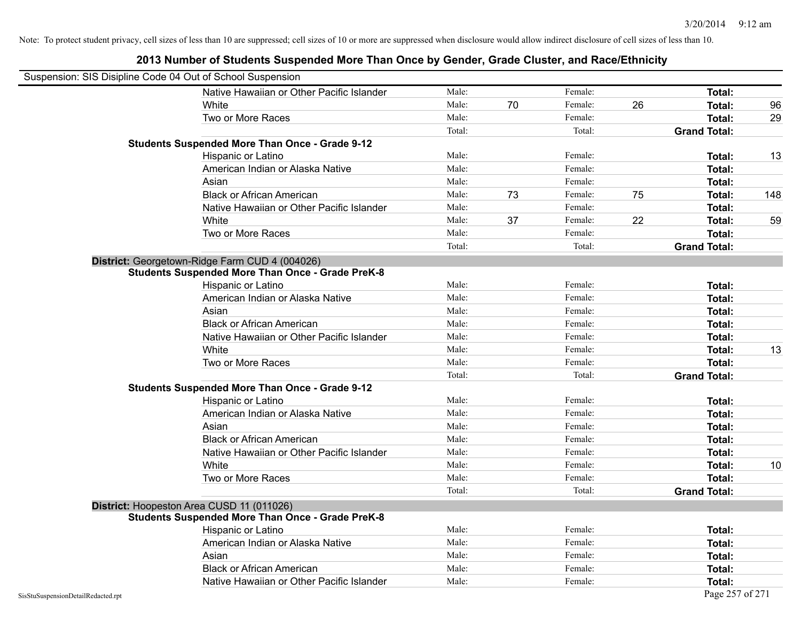|                                    | Suspension: SIS Disipline Code 04 Out of School Suspension |        |    |         |    |                     |     |
|------------------------------------|------------------------------------------------------------|--------|----|---------|----|---------------------|-----|
|                                    | Native Hawaiian or Other Pacific Islander                  | Male:  |    | Female: |    | Total:              |     |
|                                    | White                                                      | Male:  | 70 | Female: | 26 | Total:              | 96  |
|                                    | Two or More Races                                          | Male:  |    | Female: |    | Total:              | 29  |
|                                    |                                                            | Total: |    | Total:  |    | <b>Grand Total:</b> |     |
|                                    | <b>Students Suspended More Than Once - Grade 9-12</b>      |        |    |         |    |                     |     |
|                                    | Hispanic or Latino                                         | Male:  |    | Female: |    | Total:              | 13  |
|                                    | American Indian or Alaska Native                           | Male:  |    | Female: |    | Total:              |     |
|                                    | Asian                                                      | Male:  |    | Female: |    | Total:              |     |
|                                    | <b>Black or African American</b>                           | Male:  | 73 | Female: | 75 | Total:              | 148 |
|                                    | Native Hawaiian or Other Pacific Islander                  | Male:  |    | Female: |    | Total:              |     |
|                                    | White                                                      | Male:  | 37 | Female: | 22 | <b>Total:</b>       | 59  |
|                                    | Two or More Races                                          | Male:  |    | Female: |    | Total:              |     |
|                                    |                                                            | Total: |    | Total:  |    | <b>Grand Total:</b> |     |
|                                    | District: Georgetown-Ridge Farm CUD 4 (004026)             |        |    |         |    |                     |     |
|                                    | <b>Students Suspended More Than Once - Grade PreK-8</b>    |        |    |         |    |                     |     |
|                                    | Hispanic or Latino                                         | Male:  |    | Female: |    | Total:              |     |
|                                    | American Indian or Alaska Native                           | Male:  |    | Female: |    | <b>Total:</b>       |     |
|                                    | Asian                                                      | Male:  |    | Female: |    | <b>Total:</b>       |     |
|                                    | <b>Black or African American</b>                           | Male:  |    | Female: |    | Total:              |     |
|                                    | Native Hawaiian or Other Pacific Islander                  | Male:  |    | Female: |    | Total:              |     |
|                                    | White                                                      | Male:  |    | Female: |    | Total:              | 13  |
|                                    | Two or More Races                                          | Male:  |    | Female: |    | Total:              |     |
|                                    |                                                            | Total: |    | Total:  |    | <b>Grand Total:</b> |     |
|                                    | <b>Students Suspended More Than Once - Grade 9-12</b>      |        |    |         |    |                     |     |
|                                    | Hispanic or Latino                                         | Male:  |    | Female: |    | Total:              |     |
|                                    | American Indian or Alaska Native                           | Male:  |    | Female: |    | Total:              |     |
|                                    | Asian                                                      | Male:  |    | Female: |    | <b>Total:</b>       |     |
|                                    | <b>Black or African American</b>                           | Male:  |    | Female: |    | <b>Total:</b>       |     |
|                                    | Native Hawaiian or Other Pacific Islander                  | Male:  |    | Female: |    | <b>Total:</b>       |     |
|                                    | White                                                      | Male:  |    | Female: |    | Total:              | 10  |
|                                    | Two or More Races                                          | Male:  |    | Female: |    | Total:              |     |
|                                    |                                                            | Total: |    | Total:  |    | <b>Grand Total:</b> |     |
|                                    | District: Hoopeston Area CUSD 11 (011026)                  |        |    |         |    |                     |     |
|                                    | <b>Students Suspended More Than Once - Grade PreK-8</b>    |        |    |         |    |                     |     |
|                                    | Hispanic or Latino                                         | Male:  |    | Female: |    | Total:              |     |
|                                    | American Indian or Alaska Native                           | Male:  |    | Female: |    | Total:              |     |
|                                    | Asian                                                      | Male:  |    | Female: |    | Total:              |     |
|                                    | <b>Black or African American</b>                           | Male:  |    | Female: |    | Total:              |     |
|                                    | Native Hawaiian or Other Pacific Islander                  | Male:  |    | Female: |    | Total:              |     |
| SisStuSuspensionDetailRedacted.rpt |                                                            |        |    |         |    | Page 257 of 271     |     |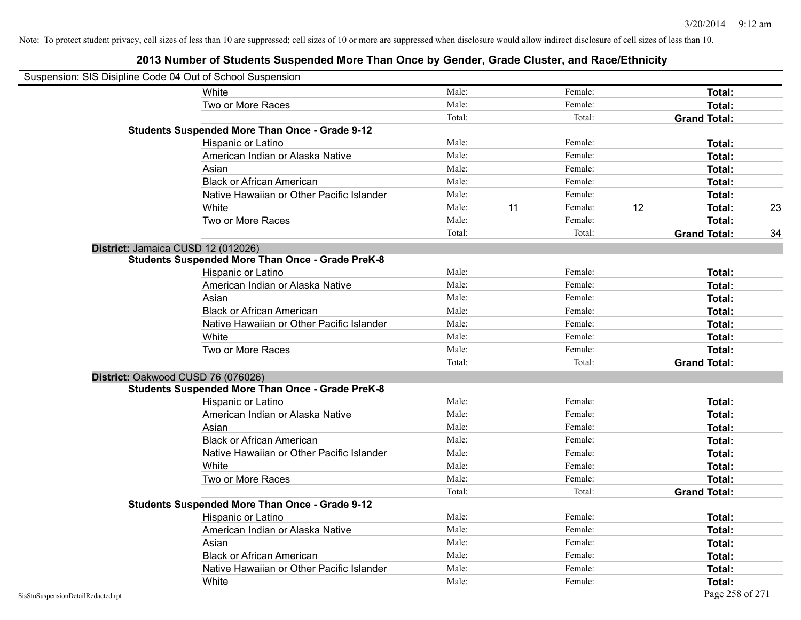| Suspension: SIS Disipline Code 04 Out of School Suspension |                                                         |        |    |         |    |                     |    |
|------------------------------------------------------------|---------------------------------------------------------|--------|----|---------|----|---------------------|----|
|                                                            | White                                                   | Male:  |    | Female: |    | Total:              |    |
|                                                            | Two or More Races                                       | Male:  |    | Female: |    | Total:              |    |
|                                                            |                                                         | Total: |    | Total:  |    | <b>Grand Total:</b> |    |
|                                                            | <b>Students Suspended More Than Once - Grade 9-12</b>   |        |    |         |    |                     |    |
|                                                            | Hispanic or Latino                                      | Male:  |    | Female: |    | Total:              |    |
|                                                            | American Indian or Alaska Native                        | Male:  |    | Female: |    | Total:              |    |
|                                                            | Asian                                                   | Male:  |    | Female: |    | Total:              |    |
|                                                            | <b>Black or African American</b>                        | Male:  |    | Female: |    | Total:              |    |
|                                                            | Native Hawaiian or Other Pacific Islander               | Male:  |    | Female: |    | Total:              |    |
|                                                            | White                                                   | Male:  | 11 | Female: | 12 | Total:              | 23 |
|                                                            | Two or More Races                                       | Male:  |    | Female: |    | Total:              |    |
|                                                            |                                                         | Total: |    | Total:  |    | <b>Grand Total:</b> | 34 |
|                                                            | District: Jamaica CUSD 12 (012026)                      |        |    |         |    |                     |    |
|                                                            | <b>Students Suspended More Than Once - Grade PreK-8</b> |        |    |         |    |                     |    |
|                                                            | Hispanic or Latino                                      | Male:  |    | Female: |    | Total:              |    |
|                                                            | American Indian or Alaska Native                        | Male:  |    | Female: |    | Total:              |    |
|                                                            | Asian                                                   | Male:  |    | Female: |    | Total:              |    |
|                                                            | <b>Black or African American</b>                        | Male:  |    | Female: |    | Total:              |    |
|                                                            | Native Hawaiian or Other Pacific Islander               | Male:  |    | Female: |    | Total:              |    |
|                                                            | White                                                   | Male:  |    | Female: |    | Total:              |    |
|                                                            | Two or More Races                                       | Male:  |    | Female: |    | Total:              |    |
|                                                            |                                                         | Total: |    | Total:  |    | <b>Grand Total:</b> |    |
|                                                            | District: Oakwood CUSD 76 (076026)                      |        |    |         |    |                     |    |
|                                                            | <b>Students Suspended More Than Once - Grade PreK-8</b> |        |    |         |    |                     |    |
|                                                            | Hispanic or Latino                                      | Male:  |    | Female: |    | Total:              |    |
|                                                            | American Indian or Alaska Native                        | Male:  |    | Female: |    | Total:              |    |
|                                                            | Asian                                                   | Male:  |    | Female: |    | Total:              |    |
|                                                            | <b>Black or African American</b>                        | Male:  |    | Female: |    | Total:              |    |
|                                                            | Native Hawaiian or Other Pacific Islander               | Male:  |    | Female: |    | Total:              |    |
|                                                            | White                                                   | Male:  |    | Female: |    | Total:              |    |
|                                                            | Two or More Races                                       | Male:  |    | Female: |    | Total:              |    |
|                                                            |                                                         | Total: |    | Total:  |    | <b>Grand Total:</b> |    |
|                                                            | <b>Students Suspended More Than Once - Grade 9-12</b>   |        |    |         |    |                     |    |
|                                                            | Hispanic or Latino                                      | Male:  |    | Female: |    | Total:              |    |
|                                                            | American Indian or Alaska Native                        | Male:  |    | Female: |    | Total:              |    |
|                                                            | Asian                                                   | Male:  |    | Female: |    | Total:              |    |
|                                                            | <b>Black or African American</b>                        | Male:  |    | Female: |    | Total:              |    |
|                                                            | Native Hawaiian or Other Pacific Islander               | Male:  |    | Female: |    | Total:              |    |
|                                                            | White                                                   | Male:  |    | Female: |    | Total:              |    |
| SisStuSuspensionDetailRedacted.rpt                         |                                                         |        |    |         |    | Page 258 of 271     |    |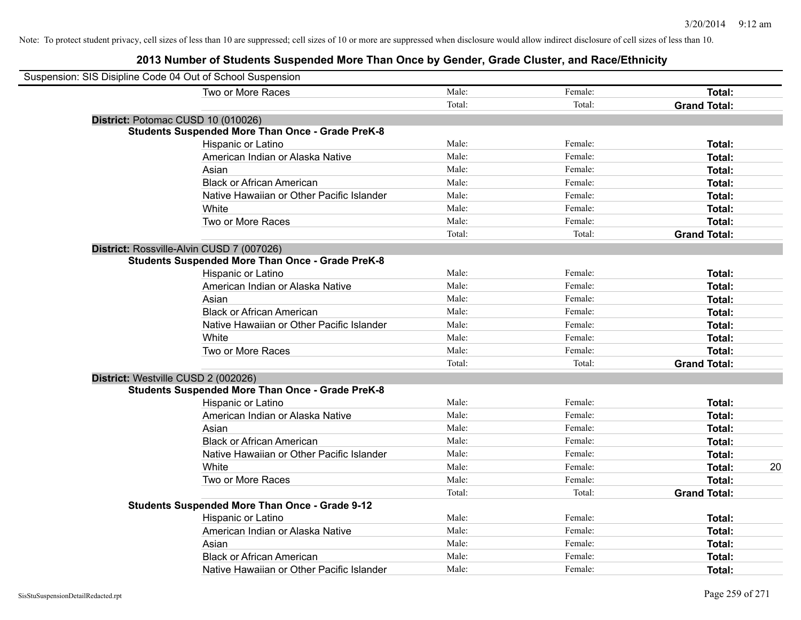| Suspension: SIS Disipline Code 04 Out of School Suspension |                                                         |        |         |                     |    |
|------------------------------------------------------------|---------------------------------------------------------|--------|---------|---------------------|----|
|                                                            | Two or More Races                                       | Male:  | Female: | Total:              |    |
|                                                            |                                                         | Total: | Total:  | <b>Grand Total:</b> |    |
| District: Potomac CUSD 10 (010026)                         |                                                         |        |         |                     |    |
|                                                            | <b>Students Suspended More Than Once - Grade PreK-8</b> |        |         |                     |    |
|                                                            | Hispanic or Latino                                      | Male:  | Female: | Total:              |    |
|                                                            | American Indian or Alaska Native                        | Male:  | Female: | Total:              |    |
|                                                            | Asian                                                   | Male:  | Female: | Total:              |    |
|                                                            | <b>Black or African American</b>                        | Male:  | Female: | Total:              |    |
|                                                            | Native Hawaiian or Other Pacific Islander               | Male:  | Female: | Total:              |    |
|                                                            | White                                                   | Male:  | Female: | Total:              |    |
|                                                            | Two or More Races                                       | Male:  | Female: | Total:              |    |
|                                                            |                                                         | Total: | Total:  | <b>Grand Total:</b> |    |
| District: Rossville-Alvin CUSD 7 (007026)                  |                                                         |        |         |                     |    |
|                                                            | <b>Students Suspended More Than Once - Grade PreK-8</b> |        |         |                     |    |
|                                                            | Hispanic or Latino                                      | Male:  | Female: | Total:              |    |
|                                                            | American Indian or Alaska Native                        | Male:  | Female: | Total:              |    |
|                                                            | Asian                                                   | Male:  | Female: | Total:              |    |
|                                                            | <b>Black or African American</b>                        | Male:  | Female: | Total:              |    |
|                                                            | Native Hawaiian or Other Pacific Islander               | Male:  | Female: | Total:              |    |
|                                                            | White                                                   | Male:  | Female: | Total:              |    |
|                                                            | Two or More Races                                       | Male:  | Female: | Total:              |    |
|                                                            |                                                         | Total: | Total:  | <b>Grand Total:</b> |    |
| District: Westville CUSD 2 (002026)                        |                                                         |        |         |                     |    |
|                                                            | <b>Students Suspended More Than Once - Grade PreK-8</b> |        |         |                     |    |
|                                                            | Hispanic or Latino                                      | Male:  | Female: | Total:              |    |
|                                                            | American Indian or Alaska Native                        | Male:  | Female: | Total:              |    |
|                                                            | Asian                                                   | Male:  | Female: | Total:              |    |
|                                                            | <b>Black or African American</b>                        | Male:  | Female: | Total:              |    |
|                                                            | Native Hawaiian or Other Pacific Islander               | Male:  | Female: | Total:              |    |
|                                                            | White                                                   | Male:  | Female: | Total:              | 20 |
|                                                            | Two or More Races                                       | Male:  | Female: | Total:              |    |
|                                                            |                                                         | Total: | Total:  | <b>Grand Total:</b> |    |
|                                                            | <b>Students Suspended More Than Once - Grade 9-12</b>   |        |         |                     |    |
|                                                            | Hispanic or Latino                                      | Male:  | Female: | Total:              |    |
|                                                            | American Indian or Alaska Native                        | Male:  | Female: | Total:              |    |
|                                                            | Asian                                                   | Male:  | Female: | Total:              |    |
|                                                            | <b>Black or African American</b>                        | Male:  | Female: | Total:              |    |
|                                                            | Native Hawaiian or Other Pacific Islander               | Male:  | Female: | Total:              |    |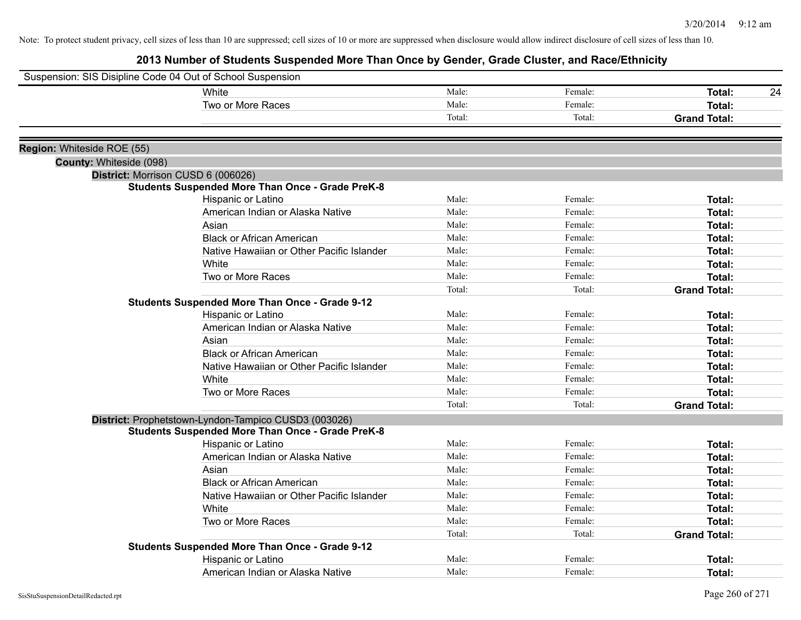| Suspension: SIS Disipline Code 04 Out of School Suspension |                                                         |        |         |                     |    |
|------------------------------------------------------------|---------------------------------------------------------|--------|---------|---------------------|----|
|                                                            | White                                                   | Male:  | Female: | <b>Total:</b>       | 24 |
|                                                            | Two or More Races                                       | Male:  | Female: | Total:              |    |
|                                                            |                                                         | Total: | Total:  | <b>Grand Total:</b> |    |
| Region: Whiteside ROE (55)                                 |                                                         |        |         |                     |    |
| County: Whiteside (098)                                    |                                                         |        |         |                     |    |
|                                                            | District: Morrison CUSD 6 (006026)                      |        |         |                     |    |
|                                                            | <b>Students Suspended More Than Once - Grade PreK-8</b> |        |         |                     |    |
|                                                            | Hispanic or Latino                                      | Male:  | Female: | Total:              |    |
|                                                            | American Indian or Alaska Native                        | Male:  | Female: | Total:              |    |
|                                                            | Asian                                                   | Male:  | Female: | Total:              |    |
|                                                            | <b>Black or African American</b>                        | Male:  | Female: | Total:              |    |
|                                                            | Native Hawaiian or Other Pacific Islander               | Male:  | Female: | Total:              |    |
|                                                            | White                                                   | Male:  | Female: | Total:              |    |
|                                                            | Two or More Races                                       | Male:  | Female: | Total:              |    |
|                                                            |                                                         | Total: | Total:  | <b>Grand Total:</b> |    |
|                                                            | <b>Students Suspended More Than Once - Grade 9-12</b>   |        |         |                     |    |
|                                                            | Hispanic or Latino                                      | Male:  | Female: | Total:              |    |
|                                                            | American Indian or Alaska Native                        | Male:  | Female: | Total:              |    |
|                                                            | Asian                                                   | Male:  | Female: | Total:              |    |
|                                                            | <b>Black or African American</b>                        | Male:  | Female: | Total:              |    |
|                                                            | Native Hawaiian or Other Pacific Islander               | Male:  | Female: | Total:              |    |
|                                                            | White                                                   | Male:  | Female: | Total:              |    |
|                                                            | Two or More Races                                       | Male:  | Female: | Total:              |    |
|                                                            |                                                         | Total: | Total:  | <b>Grand Total:</b> |    |
|                                                            | District: Prophetstown-Lyndon-Tampico CUSD3 (003026)    |        |         |                     |    |
|                                                            | <b>Students Suspended More Than Once - Grade PreK-8</b> |        |         |                     |    |
|                                                            | Hispanic or Latino                                      | Male:  | Female: | Total:              |    |
|                                                            | American Indian or Alaska Native                        | Male:  | Female: | Total:              |    |
|                                                            | Asian                                                   | Male:  | Female: | Total:              |    |
|                                                            | <b>Black or African American</b>                        | Male:  | Female: | Total:              |    |
|                                                            | Native Hawaiian or Other Pacific Islander               | Male:  | Female: | Total:              |    |
|                                                            | White                                                   | Male:  | Female: | Total:              |    |
|                                                            | Two or More Races                                       | Male:  | Female: | Total:              |    |
|                                                            |                                                         | Total: | Total:  | <b>Grand Total:</b> |    |
|                                                            | <b>Students Suspended More Than Once - Grade 9-12</b>   |        |         |                     |    |
|                                                            | Hispanic or Latino                                      | Male:  | Female: | Total:              |    |
|                                                            | American Indian or Alaska Native                        | Male:  | Female: | Total:              |    |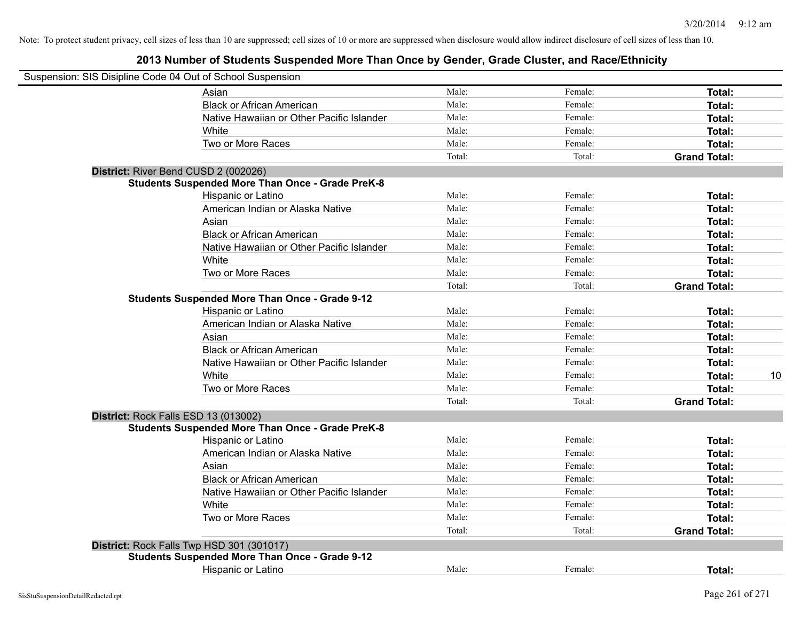| Suspension: SIS Disipline Code 04 Out of School Suspension |                                                         |        |         |                     |
|------------------------------------------------------------|---------------------------------------------------------|--------|---------|---------------------|
|                                                            | Asian                                                   | Male:  | Female: | Total:              |
|                                                            | <b>Black or African American</b>                        | Male:  | Female: | Total:              |
|                                                            | Native Hawaiian or Other Pacific Islander               | Male:  | Female: | Total:              |
|                                                            | White                                                   | Male:  | Female: | Total:              |
|                                                            | Two or More Races                                       | Male:  | Female: | Total:              |
|                                                            |                                                         | Total: | Total:  | <b>Grand Total:</b> |
|                                                            | District: River Bend CUSD 2 (002026)                    |        |         |                     |
|                                                            | <b>Students Suspended More Than Once - Grade PreK-8</b> |        |         |                     |
|                                                            | Hispanic or Latino                                      | Male:  | Female: | Total:              |
|                                                            | American Indian or Alaska Native                        | Male:  | Female: | Total:              |
|                                                            | Asian                                                   | Male:  | Female: | Total:              |
|                                                            | <b>Black or African American</b>                        | Male:  | Female: | Total:              |
|                                                            | Native Hawaiian or Other Pacific Islander               | Male:  | Female: | Total:              |
|                                                            | White                                                   | Male:  | Female: | Total:              |
|                                                            | Two or More Races                                       | Male:  | Female: | Total:              |
|                                                            |                                                         | Total: | Total:  | <b>Grand Total:</b> |
|                                                            | <b>Students Suspended More Than Once - Grade 9-12</b>   |        |         |                     |
|                                                            | Hispanic or Latino                                      | Male:  | Female: | Total:              |
|                                                            | American Indian or Alaska Native                        | Male:  | Female: | Total:              |
|                                                            | Asian                                                   | Male:  | Female: | Total:              |
|                                                            | <b>Black or African American</b>                        | Male:  | Female: | Total:              |
|                                                            | Native Hawaiian or Other Pacific Islander               | Male:  | Female: | Total:              |
|                                                            | White                                                   | Male:  | Female: | 10<br>Total:        |
|                                                            | Two or More Races                                       | Male:  | Female: | Total:              |
|                                                            |                                                         | Total: | Total:  | <b>Grand Total:</b> |
|                                                            | District: Rock Falls ESD 13 (013002)                    |        |         |                     |
|                                                            | <b>Students Suspended More Than Once - Grade PreK-8</b> |        |         |                     |
|                                                            | Hispanic or Latino                                      | Male:  | Female: | Total:              |
|                                                            | American Indian or Alaska Native                        | Male:  | Female: | Total:              |
|                                                            | Asian                                                   | Male:  | Female: | Total:              |
|                                                            | <b>Black or African American</b>                        | Male:  | Female: | Total:              |
|                                                            | Native Hawaiian or Other Pacific Islander               | Male:  | Female: | Total:              |
|                                                            | White                                                   | Male:  | Female: | Total:              |
|                                                            | Two or More Races                                       | Male:  | Female: | Total:              |
|                                                            |                                                         | Total: | Total:  | <b>Grand Total:</b> |
|                                                            | District: Rock Falls Twp HSD 301 (301017)               |        |         |                     |
|                                                            | <b>Students Suspended More Than Once - Grade 9-12</b>   |        |         |                     |
|                                                            | Hispanic or Latino                                      | Male:  | Female: | Total:              |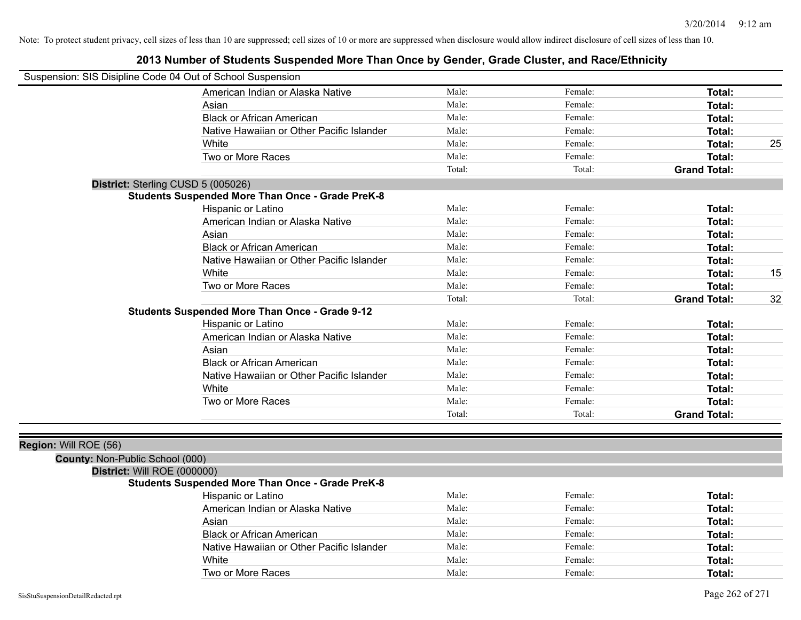## **2013 Number of Students Suspended More Than Once by Gender, Grade Cluster, and Race/Ethnicity**

| Suspension: SIS Disipline Code 04 Out of School Suspension |                                                         |        |         |                     |    |
|------------------------------------------------------------|---------------------------------------------------------|--------|---------|---------------------|----|
|                                                            | American Indian or Alaska Native                        | Male:  | Female: | Total:              |    |
|                                                            | Asian                                                   | Male:  | Female: | <b>Total:</b>       |    |
|                                                            | <b>Black or African American</b>                        | Male:  | Female: | <b>Total:</b>       |    |
|                                                            | Native Hawaiian or Other Pacific Islander               | Male:  | Female: | Total:              |    |
|                                                            | White                                                   | Male:  | Female: | Total:              | 25 |
|                                                            | Two or More Races                                       | Male:  | Female: | Total:              |    |
|                                                            |                                                         | Total: | Total:  | <b>Grand Total:</b> |    |
| District: Sterling CUSD 5 (005026)                         |                                                         |        |         |                     |    |
|                                                            | <b>Students Suspended More Than Once - Grade PreK-8</b> |        |         |                     |    |
|                                                            | Hispanic or Latino                                      | Male:  | Female: | <b>Total:</b>       |    |
|                                                            | American Indian or Alaska Native                        | Male:  | Female: | <b>Total:</b>       |    |
|                                                            | Asian                                                   | Male:  | Female: | Total:              |    |
|                                                            | <b>Black or African American</b>                        | Male:  | Female: | <b>Total:</b>       |    |
|                                                            | Native Hawaiian or Other Pacific Islander               | Male:  | Female: | Total:              |    |
|                                                            | White                                                   | Male:  | Female: | Total:              | 15 |
|                                                            | Two or More Races                                       | Male:  | Female: | Total:              |    |
|                                                            |                                                         | Total: | Total:  | <b>Grand Total:</b> | 32 |
|                                                            | <b>Students Suspended More Than Once - Grade 9-12</b>   |        |         |                     |    |
|                                                            | Hispanic or Latino                                      | Male:  | Female: | Total:              |    |
|                                                            | American Indian or Alaska Native                        | Male:  | Female: | Total:              |    |
|                                                            | Asian                                                   | Male:  | Female: | <b>Total:</b>       |    |
|                                                            | <b>Black or African American</b>                        | Male:  | Female: | Total:              |    |
|                                                            | Native Hawaiian or Other Pacific Islander               | Male:  | Female: | Total:              |    |
|                                                            | White                                                   | Male:  | Female: | Total:              |    |
|                                                            | Two or More Races                                       | Male:  | Female: | Total:              |    |
|                                                            |                                                         | Total: | Total:  | <b>Grand Total:</b> |    |
|                                                            |                                                         |        |         |                     |    |
| Region: Will ROE (56)                                      |                                                         |        |         |                     |    |
| County: Non-Public School (000)                            |                                                         |        |         |                     |    |

# **District:** Will ROE (000000)

### **Students Suspended More Than Once - Grade PreK-8**

| Hispanic or Latino                        | Male: | Female: | Total: |
|-------------------------------------------|-------|---------|--------|
| American Indian or Alaska Native          | Male: | Female: | Total: |
| Asian                                     | Male: | Female: | Total: |
| <b>Black or African American</b>          | Male: | Female: | Total: |
| Native Hawaiian or Other Pacific Islander | Male: | Female: | Total: |
| White                                     | Male: | Female: | Total: |
| Two or More Races                         | Male: | Female: | Total: |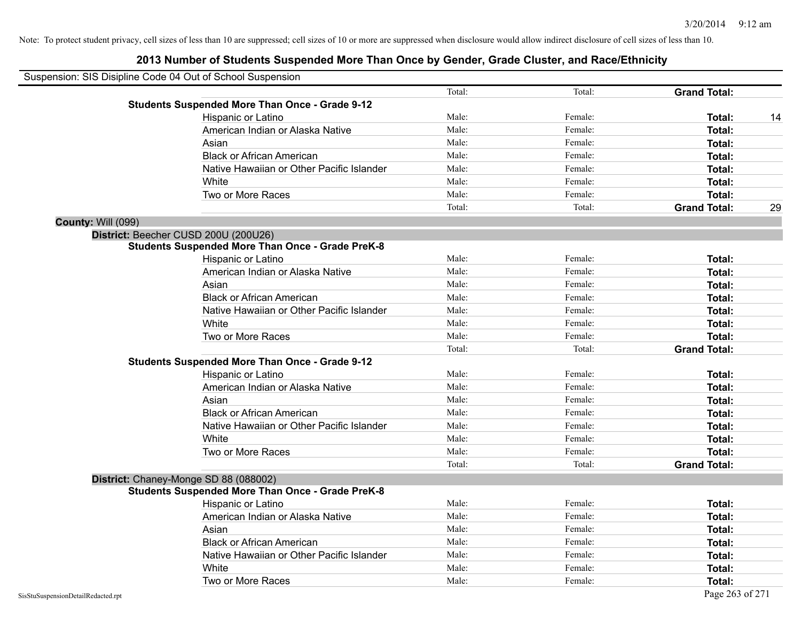| Suspension: SIS Disipline Code 04 Out of School Suspension |                                                         |        |         |                     |    |
|------------------------------------------------------------|---------------------------------------------------------|--------|---------|---------------------|----|
|                                                            |                                                         | Total: | Total:  | <b>Grand Total:</b> |    |
|                                                            | <b>Students Suspended More Than Once - Grade 9-12</b>   |        |         |                     |    |
|                                                            | Hispanic or Latino                                      | Male:  | Female: | Total:              | 14 |
|                                                            | American Indian or Alaska Native                        | Male:  | Female: | Total:              |    |
|                                                            | Asian                                                   | Male:  | Female: | Total:              |    |
|                                                            | <b>Black or African American</b>                        | Male:  | Female: | Total:              |    |
|                                                            | Native Hawaiian or Other Pacific Islander               | Male:  | Female: | Total:              |    |
|                                                            | White                                                   | Male:  | Female: | Total:              |    |
|                                                            | Two or More Races                                       | Male:  | Female: | Total:              |    |
|                                                            |                                                         | Total: | Total:  | <b>Grand Total:</b> | 29 |
| <b>County: Will (099)</b>                                  |                                                         |        |         |                     |    |
|                                                            | District: Beecher CUSD 200U (200U26)                    |        |         |                     |    |
|                                                            | <b>Students Suspended More Than Once - Grade PreK-8</b> |        |         |                     |    |
|                                                            | Hispanic or Latino                                      | Male:  | Female: | Total:              |    |
|                                                            | American Indian or Alaska Native                        | Male:  | Female: | Total:              |    |
|                                                            | Asian                                                   | Male:  | Female: | Total:              |    |
|                                                            | <b>Black or African American</b>                        | Male:  | Female: | Total:              |    |
|                                                            | Native Hawaiian or Other Pacific Islander               | Male:  | Female: | Total:              |    |
|                                                            | White                                                   | Male:  | Female: | Total:              |    |
|                                                            | Two or More Races                                       | Male:  | Female: | Total:              |    |
|                                                            |                                                         | Total: | Total:  | <b>Grand Total:</b> |    |
|                                                            | <b>Students Suspended More Than Once - Grade 9-12</b>   |        |         |                     |    |
|                                                            | Hispanic or Latino                                      | Male:  | Female: | Total:              |    |
|                                                            | American Indian or Alaska Native                        | Male:  | Female: | Total:              |    |
|                                                            | Asian                                                   | Male:  | Female: | Total:              |    |
|                                                            | <b>Black or African American</b>                        | Male:  | Female: | Total:              |    |
|                                                            | Native Hawaiian or Other Pacific Islander               | Male:  | Female: | Total:              |    |
|                                                            | White                                                   | Male:  | Female: | Total:              |    |
|                                                            | Two or More Races                                       | Male:  | Female: | Total:              |    |
|                                                            |                                                         | Total: | Total:  | <b>Grand Total:</b> |    |
|                                                            | District: Chaney-Monge SD 88 (088002)                   |        |         |                     |    |
|                                                            | <b>Students Suspended More Than Once - Grade PreK-8</b> |        |         |                     |    |
|                                                            | Hispanic or Latino                                      | Male:  | Female: | Total:              |    |
|                                                            | American Indian or Alaska Native                        | Male:  | Female: | Total:              |    |
|                                                            | Asian                                                   | Male:  | Female: | Total:              |    |
|                                                            | <b>Black or African American</b>                        | Male:  | Female: | Total:              |    |
|                                                            | Native Hawaiian or Other Pacific Islander               | Male:  | Female: | Total:              |    |
|                                                            | White                                                   | Male:  | Female: | Total:              |    |
|                                                            | Two or More Races                                       | Male:  | Female: | Total:              |    |
| SisStuSuspensionDetailRedacted.rpt                         |                                                         |        |         | Page 263 of 271     |    |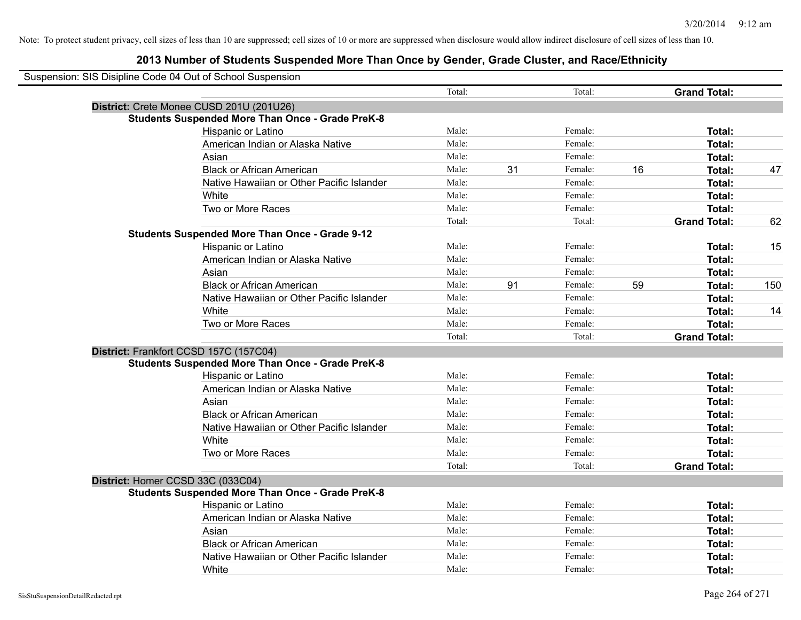| Suspension: SIS Disipline Code 04 Out of School Suspension |                                                         |        |    |         |    |                     |     |
|------------------------------------------------------------|---------------------------------------------------------|--------|----|---------|----|---------------------|-----|
|                                                            |                                                         | Total: |    | Total:  |    | <b>Grand Total:</b> |     |
|                                                            | District: Crete Monee CUSD 201U (201U26)                |        |    |         |    |                     |     |
|                                                            | <b>Students Suspended More Than Once - Grade PreK-8</b> |        |    |         |    |                     |     |
|                                                            | Hispanic or Latino                                      | Male:  |    | Female: |    | Total:              |     |
|                                                            | American Indian or Alaska Native                        | Male:  |    | Female: |    | Total:              |     |
|                                                            | Asian                                                   | Male:  |    | Female: |    | Total:              |     |
|                                                            | <b>Black or African American</b>                        | Male:  | 31 | Female: | 16 | Total:              | 47  |
|                                                            | Native Hawaiian or Other Pacific Islander               | Male:  |    | Female: |    | Total:              |     |
|                                                            | White                                                   | Male:  |    | Female: |    | Total:              |     |
|                                                            | Two or More Races                                       | Male:  |    | Female: |    | Total:              |     |
|                                                            |                                                         | Total: |    | Total:  |    | <b>Grand Total:</b> | 62  |
|                                                            | <b>Students Suspended More Than Once - Grade 9-12</b>   |        |    |         |    |                     |     |
|                                                            | Hispanic or Latino                                      | Male:  |    | Female: |    | Total:              | 15  |
|                                                            | American Indian or Alaska Native                        | Male:  |    | Female: |    | Total:              |     |
|                                                            | Asian                                                   | Male:  |    | Female: |    | Total:              |     |
|                                                            | <b>Black or African American</b>                        | Male:  | 91 | Female: | 59 | Total:              | 150 |
|                                                            | Native Hawaiian or Other Pacific Islander               | Male:  |    | Female: |    | Total:              |     |
|                                                            | White                                                   | Male:  |    | Female: |    | Total:              | 14  |
|                                                            | Two or More Races                                       | Male:  |    | Female: |    | Total:              |     |
|                                                            |                                                         | Total: |    | Total:  |    | <b>Grand Total:</b> |     |
|                                                            | District: Frankfort CCSD 157C (157C04)                  |        |    |         |    |                     |     |
|                                                            | <b>Students Suspended More Than Once - Grade PreK-8</b> |        |    |         |    |                     |     |
|                                                            | Hispanic or Latino                                      | Male:  |    | Female: |    | Total:              |     |
|                                                            | American Indian or Alaska Native                        | Male:  |    | Female: |    | Total:              |     |
|                                                            | Asian                                                   | Male:  |    | Female: |    | Total:              |     |
|                                                            | <b>Black or African American</b>                        | Male:  |    | Female: |    | Total:              |     |
|                                                            | Native Hawaiian or Other Pacific Islander               | Male:  |    | Female: |    | Total:              |     |
|                                                            | White                                                   | Male:  |    | Female: |    | Total:              |     |
|                                                            | Two or More Races                                       | Male:  |    | Female: |    | Total:              |     |
|                                                            |                                                         | Total: |    | Total:  |    | <b>Grand Total:</b> |     |
|                                                            | District: Homer CCSD 33C (033C04)                       |        |    |         |    |                     |     |
|                                                            | <b>Students Suspended More Than Once - Grade PreK-8</b> |        |    |         |    |                     |     |
|                                                            | <b>Hispanic or Latino</b>                               | Male:  |    | Female: |    | Total:              |     |
|                                                            | American Indian or Alaska Native                        | Male:  |    | Female: |    | Total:              |     |
|                                                            | Asian                                                   | Male:  |    | Female: |    | Total:              |     |
|                                                            | <b>Black or African American</b>                        | Male:  |    | Female: |    | Total:              |     |
|                                                            | Native Hawaiian or Other Pacific Islander               | Male:  |    | Female: |    | Total:              |     |
|                                                            | White                                                   | Male:  |    | Female: |    | Total:              |     |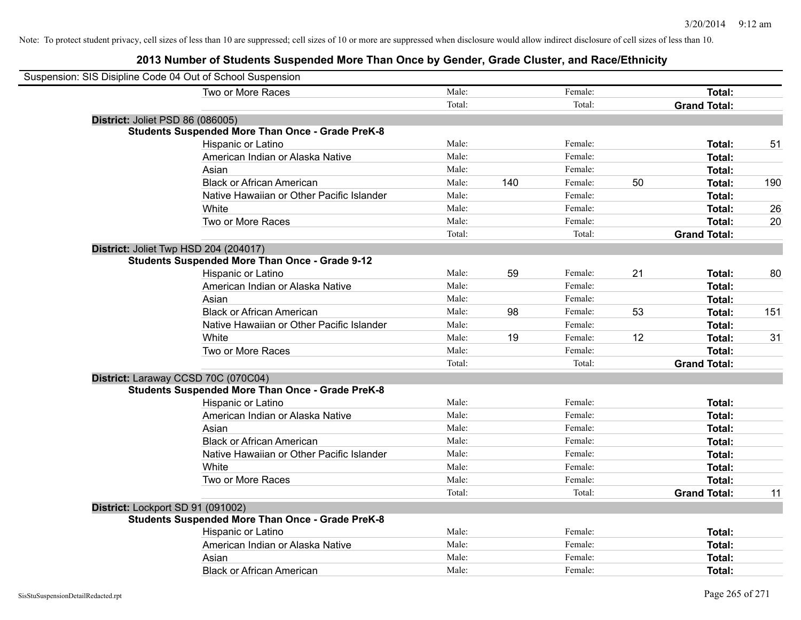| Suspension: SIS Disipline Code 04 Out of School Suspension |        |     |         |    |                     |     |
|------------------------------------------------------------|--------|-----|---------|----|---------------------|-----|
| Two or More Races                                          | Male:  |     | Female: |    | Total:              |     |
|                                                            | Total: |     | Total:  |    | <b>Grand Total:</b> |     |
| District: Joliet PSD 86 (086005)                           |        |     |         |    |                     |     |
| <b>Students Suspended More Than Once - Grade PreK-8</b>    |        |     |         |    |                     |     |
| Hispanic or Latino                                         | Male:  |     | Female: |    | Total:              | 51  |
| American Indian or Alaska Native                           | Male:  |     | Female: |    | <b>Total:</b>       |     |
| Asian                                                      | Male:  |     | Female: |    | Total:              |     |
| <b>Black or African American</b>                           | Male:  | 140 | Female: | 50 | Total:              | 190 |
| Native Hawaiian or Other Pacific Islander                  | Male:  |     | Female: |    | Total:              |     |
| White                                                      | Male:  |     | Female: |    | <b>Total:</b>       | 26  |
| Two or More Races                                          | Male:  |     | Female: |    | <b>Total:</b>       | 20  |
|                                                            | Total: |     | Total:  |    | <b>Grand Total:</b> |     |
| District: Joliet Twp HSD 204 (204017)                      |        |     |         |    |                     |     |
| <b>Students Suspended More Than Once - Grade 9-12</b>      |        |     |         |    |                     |     |
| Hispanic or Latino                                         | Male:  | 59  | Female: | 21 | <b>Total:</b>       | 80  |
| American Indian or Alaska Native                           | Male:  |     | Female: |    | <b>Total:</b>       |     |
| Asian                                                      | Male:  |     | Female: |    | Total:              |     |
| <b>Black or African American</b>                           | Male:  | 98  | Female: | 53 | Total:              | 151 |
| Native Hawaiian or Other Pacific Islander                  | Male:  |     | Female: |    | Total:              |     |
| White                                                      | Male:  | 19  | Female: | 12 | Total:              | 31  |
| Two or More Races                                          | Male:  |     | Female: |    | <b>Total:</b>       |     |
|                                                            | Total: |     | Total:  |    | <b>Grand Total:</b> |     |
| District: Laraway CCSD 70C (070C04)                        |        |     |         |    |                     |     |
| <b>Students Suspended More Than Once - Grade PreK-8</b>    |        |     |         |    |                     |     |
| Hispanic or Latino                                         | Male:  |     | Female: |    | <b>Total:</b>       |     |
| American Indian or Alaska Native                           | Male:  |     | Female: |    | <b>Total:</b>       |     |
| Asian                                                      | Male:  |     | Female: |    | <b>Total:</b>       |     |
| <b>Black or African American</b>                           | Male:  |     | Female: |    | Total:              |     |
| Native Hawaiian or Other Pacific Islander                  | Male:  |     | Female: |    | <b>Total:</b>       |     |
| White                                                      | Male:  |     | Female: |    | Total:              |     |
| Two or More Races                                          | Male:  |     | Female: |    | Total:              |     |
|                                                            | Total: |     | Total:  |    | <b>Grand Total:</b> | 11  |
| District: Lockport SD 91 (091002)                          |        |     |         |    |                     |     |
| <b>Students Suspended More Than Once - Grade PreK-8</b>    |        |     |         |    |                     |     |
| Hispanic or Latino                                         | Male:  |     | Female: |    | Total:              |     |
| American Indian or Alaska Native                           | Male:  |     | Female: |    | <b>Total:</b>       |     |
| Asian                                                      | Male:  |     | Female: |    | <b>Total:</b>       |     |
| <b>Black or African American</b>                           | Male:  |     | Female: |    | Total:              |     |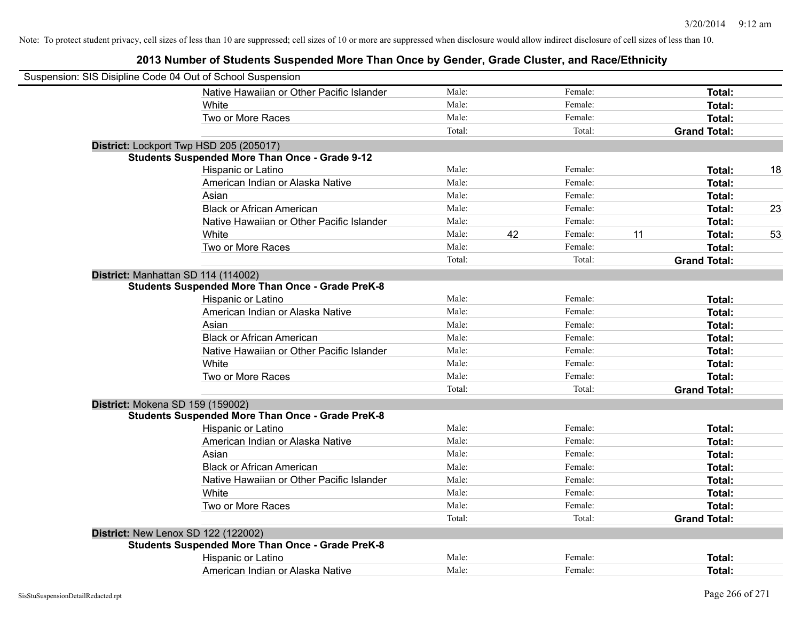| Suspension: SIS Disipline Code 04 Out of School Suspension |        |    |         |    |                     |    |
|------------------------------------------------------------|--------|----|---------|----|---------------------|----|
| Native Hawaiian or Other Pacific Islander                  | Male:  |    | Female: |    | Total:              |    |
| White                                                      | Male:  |    | Female: |    | <b>Total:</b>       |    |
| Two or More Races                                          | Male:  |    | Female: |    | <b>Total:</b>       |    |
|                                                            | Total: |    | Total:  |    | <b>Grand Total:</b> |    |
| District: Lockport Twp HSD 205 (205017)                    |        |    |         |    |                     |    |
| <b>Students Suspended More Than Once - Grade 9-12</b>      |        |    |         |    |                     |    |
| Hispanic or Latino                                         | Male:  |    | Female: |    | Total:              | 18 |
| American Indian or Alaska Native                           | Male:  |    | Female: |    | <b>Total:</b>       |    |
| Asian                                                      | Male:  |    | Female: |    | Total:              |    |
| <b>Black or African American</b>                           | Male:  |    | Female: |    | <b>Total:</b>       | 23 |
| Native Hawaiian or Other Pacific Islander                  | Male:  |    | Female: |    | <b>Total:</b>       |    |
| White                                                      | Male:  | 42 | Female: | 11 | <b>Total:</b>       | 53 |
| Two or More Races                                          | Male:  |    | Female: |    | <b>Total:</b>       |    |
|                                                            | Total: |    | Total:  |    | <b>Grand Total:</b> |    |
| District: Manhattan SD 114 (114002)                        |        |    |         |    |                     |    |
| <b>Students Suspended More Than Once - Grade PreK-8</b>    |        |    |         |    |                     |    |
| Hispanic or Latino                                         | Male:  |    | Female: |    | <b>Total:</b>       |    |
| American Indian or Alaska Native                           | Male:  |    | Female: |    | Total:              |    |
| Asian                                                      | Male:  |    | Female: |    | Total:              |    |
| <b>Black or African American</b>                           | Male:  |    | Female: |    | Total:              |    |
| Native Hawaiian or Other Pacific Islander                  | Male:  |    | Female: |    | <b>Total:</b>       |    |
| White                                                      | Male:  |    | Female: |    | <b>Total:</b>       |    |
| Two or More Races                                          | Male:  |    | Female: |    | Total:              |    |
|                                                            | Total: |    | Total:  |    | <b>Grand Total:</b> |    |
| District: Mokena SD 159 (159002)                           |        |    |         |    |                     |    |
| <b>Students Suspended More Than Once - Grade PreK-8</b>    |        |    |         |    |                     |    |
| Hispanic or Latino                                         | Male:  |    | Female: |    | Total:              |    |
| American Indian or Alaska Native                           | Male:  |    | Female: |    | <b>Total:</b>       |    |
| Asian                                                      | Male:  |    | Female: |    | Total:              |    |
| <b>Black or African American</b>                           | Male:  |    | Female: |    | Total:              |    |
| Native Hawaiian or Other Pacific Islander                  | Male:  |    | Female: |    | Total:              |    |
| White                                                      | Male:  |    | Female: |    | Total:              |    |
| Two or More Races                                          | Male:  |    | Female: |    | Total:              |    |
|                                                            | Total: |    | Total:  |    | <b>Grand Total:</b> |    |
| <b>District: New Lenox SD 122 (122002)</b>                 |        |    |         |    |                     |    |
| <b>Students Suspended More Than Once - Grade PreK-8</b>    |        |    |         |    |                     |    |
| Hispanic or Latino                                         | Male:  |    | Female: |    | <b>Total:</b>       |    |
| American Indian or Alaska Native                           | Male:  |    | Female: |    | Total:              |    |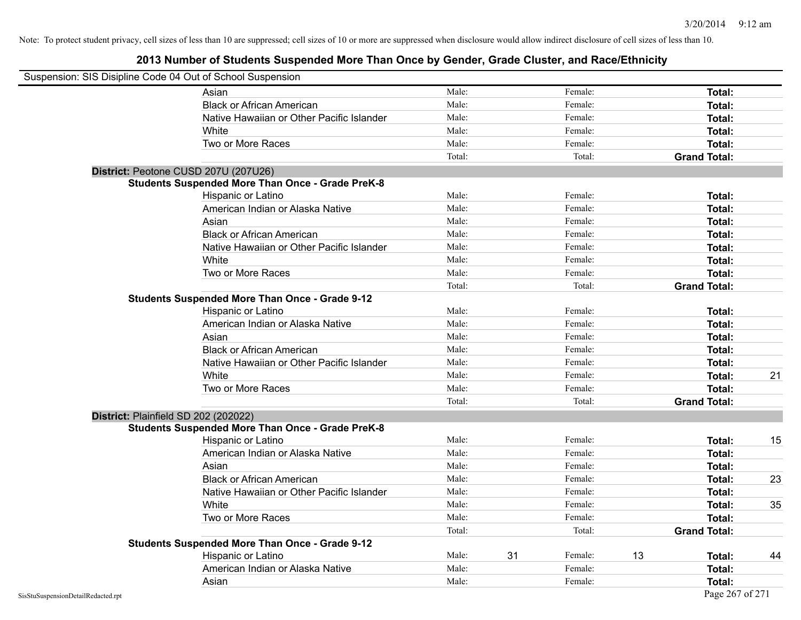|                                    | Suspension: SIS Disipline Code 04 Out of School Suspension |        |    |         |    |                     |    |
|------------------------------------|------------------------------------------------------------|--------|----|---------|----|---------------------|----|
|                                    | Asian                                                      | Male:  |    | Female: |    | Total:              |    |
|                                    | <b>Black or African American</b>                           | Male:  |    | Female: |    | Total:              |    |
|                                    | Native Hawaiian or Other Pacific Islander                  | Male:  |    | Female: |    | Total:              |    |
|                                    | White                                                      | Male:  |    | Female: |    | Total:              |    |
|                                    | Two or More Races                                          | Male:  |    | Female: |    | Total:              |    |
|                                    |                                                            | Total: |    | Total:  |    | <b>Grand Total:</b> |    |
|                                    | District: Peotone CUSD 207U (207U26)                       |        |    |         |    |                     |    |
|                                    | <b>Students Suspended More Than Once - Grade PreK-8</b>    |        |    |         |    |                     |    |
|                                    | Hispanic or Latino                                         | Male:  |    | Female: |    | Total:              |    |
|                                    | American Indian or Alaska Native                           | Male:  |    | Female: |    | Total:              |    |
|                                    | Asian                                                      | Male:  |    | Female: |    | Total:              |    |
|                                    | <b>Black or African American</b>                           | Male:  |    | Female: |    | Total:              |    |
|                                    | Native Hawaiian or Other Pacific Islander                  | Male:  |    | Female: |    | Total:              |    |
|                                    | White                                                      | Male:  |    | Female: |    | Total:              |    |
|                                    | Two or More Races                                          | Male:  |    | Female: |    | Total:              |    |
|                                    |                                                            | Total: |    | Total:  |    | <b>Grand Total:</b> |    |
|                                    | <b>Students Suspended More Than Once - Grade 9-12</b>      |        |    |         |    |                     |    |
|                                    | Hispanic or Latino                                         | Male:  |    | Female: |    | Total:              |    |
|                                    | American Indian or Alaska Native                           | Male:  |    | Female: |    | Total:              |    |
|                                    | Asian                                                      | Male:  |    | Female: |    | Total:              |    |
|                                    | <b>Black or African American</b>                           | Male:  |    | Female: |    | Total:              |    |
|                                    | Native Hawaiian or Other Pacific Islander                  | Male:  |    | Female: |    | Total:              |    |
|                                    | White                                                      | Male:  |    | Female: |    | Total:              | 21 |
|                                    | Two or More Races                                          | Male:  |    | Female: |    | Total:              |    |
|                                    |                                                            | Total: |    | Total:  |    | <b>Grand Total:</b> |    |
|                                    | District: Plainfield SD 202 (202022)                       |        |    |         |    |                     |    |
|                                    | <b>Students Suspended More Than Once - Grade PreK-8</b>    |        |    |         |    |                     |    |
|                                    | Hispanic or Latino                                         | Male:  |    | Female: |    | Total:              | 15 |
|                                    | American Indian or Alaska Native                           | Male:  |    | Female: |    | Total:              |    |
|                                    | Asian                                                      | Male:  |    | Female: |    | Total:              |    |
|                                    | <b>Black or African American</b>                           | Male:  |    | Female: |    | Total:              | 23 |
|                                    | Native Hawaiian or Other Pacific Islander                  | Male:  |    | Female: |    | Total:              |    |
|                                    | White                                                      | Male:  |    | Female: |    | Total:              | 35 |
|                                    | Two or More Races                                          | Male:  |    | Female: |    | Total:              |    |
|                                    |                                                            | Total: |    | Total:  |    | <b>Grand Total:</b> |    |
|                                    | <b>Students Suspended More Than Once - Grade 9-12</b>      |        |    |         |    |                     |    |
|                                    | Hispanic or Latino                                         | Male:  | 31 | Female: | 13 | Total:              | 44 |
|                                    | American Indian or Alaska Native                           | Male:  |    | Female: |    | Total:              |    |
|                                    | Asian                                                      | Male:  |    | Female: |    | Total:              |    |
| SisStuSuspensionDetailRedacted.rpt |                                                            |        |    |         |    | Page 267 of 271     |    |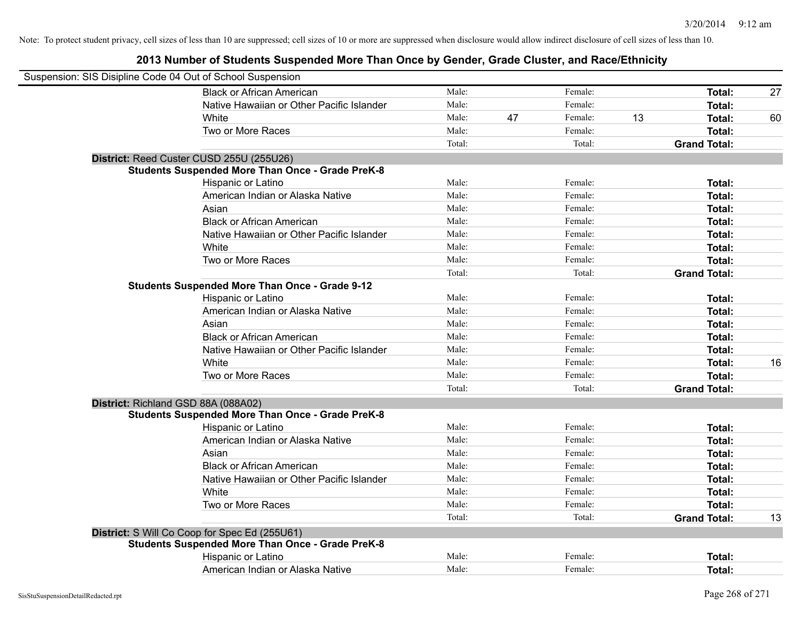| Suspension: SIS Disipline Code 04 Out of School Suspension |                                                         |        |    |         |    |                     |    |
|------------------------------------------------------------|---------------------------------------------------------|--------|----|---------|----|---------------------|----|
|                                                            | <b>Black or African American</b>                        | Male:  |    | Female: |    | Total:              | 27 |
|                                                            | Native Hawaiian or Other Pacific Islander               | Male:  |    | Female: |    | Total:              |    |
|                                                            | White                                                   | Male:  | 47 | Female: | 13 | Total:              | 60 |
|                                                            | Two or More Races                                       | Male:  |    | Female: |    | Total:              |    |
|                                                            |                                                         | Total: |    | Total:  |    | <b>Grand Total:</b> |    |
|                                                            | District: Reed Custer CUSD 255U (255U26)                |        |    |         |    |                     |    |
|                                                            | <b>Students Suspended More Than Once - Grade PreK-8</b> |        |    |         |    |                     |    |
|                                                            | Hispanic or Latino                                      | Male:  |    | Female: |    | Total:              |    |
|                                                            | American Indian or Alaska Native                        | Male:  |    | Female: |    | Total:              |    |
|                                                            | Asian                                                   | Male:  |    | Female: |    | Total:              |    |
|                                                            | <b>Black or African American</b>                        | Male:  |    | Female: |    | Total:              |    |
|                                                            | Native Hawaiian or Other Pacific Islander               | Male:  |    | Female: |    | Total:              |    |
|                                                            | White                                                   | Male:  |    | Female: |    | Total:              |    |
|                                                            | Two or More Races                                       | Male:  |    | Female: |    | Total:              |    |
|                                                            |                                                         | Total: |    | Total:  |    | <b>Grand Total:</b> |    |
|                                                            | <b>Students Suspended More Than Once - Grade 9-12</b>   |        |    |         |    |                     |    |
|                                                            | Hispanic or Latino                                      | Male:  |    | Female: |    | Total:              |    |
|                                                            | American Indian or Alaska Native                        | Male:  |    | Female: |    | Total:              |    |
|                                                            | Asian                                                   | Male:  |    | Female: |    | Total:              |    |
|                                                            | <b>Black or African American</b>                        | Male:  |    | Female: |    | Total:              |    |
|                                                            | Native Hawaiian or Other Pacific Islander               | Male:  |    | Female: |    | Total:              |    |
|                                                            | White                                                   | Male:  |    | Female: |    | Total:              | 16 |
|                                                            | Two or More Races                                       | Male:  |    | Female: |    | Total:              |    |
|                                                            |                                                         | Total: |    | Total:  |    | <b>Grand Total:</b> |    |
|                                                            | District: Richland GSD 88A (088A02)                     |        |    |         |    |                     |    |
|                                                            | <b>Students Suspended More Than Once - Grade PreK-8</b> |        |    |         |    |                     |    |
|                                                            | Hispanic or Latino                                      | Male:  |    | Female: |    | Total:              |    |
|                                                            | American Indian or Alaska Native                        | Male:  |    | Female: |    | Total:              |    |
|                                                            | Asian                                                   | Male:  |    | Female: |    | Total:              |    |
|                                                            | <b>Black or African American</b>                        | Male:  |    | Female: |    | Total:              |    |
|                                                            | Native Hawaiian or Other Pacific Islander               | Male:  |    | Female: |    | Total:              |    |
|                                                            | White                                                   | Male:  |    | Female: |    | Total:              |    |
|                                                            | Two or More Races                                       | Male:  |    | Female: |    | Total:              |    |
|                                                            |                                                         | Total: |    | Total:  |    | <b>Grand Total:</b> | 13 |
|                                                            | District: S Will Co Coop for Spec Ed (255U61)           |        |    |         |    |                     |    |
|                                                            | <b>Students Suspended More Than Once - Grade PreK-8</b> |        |    |         |    |                     |    |
|                                                            | Hispanic or Latino                                      | Male:  |    | Female: |    | <b>Total:</b>       |    |
|                                                            | American Indian or Alaska Native                        | Male:  |    | Female: |    | Total:              |    |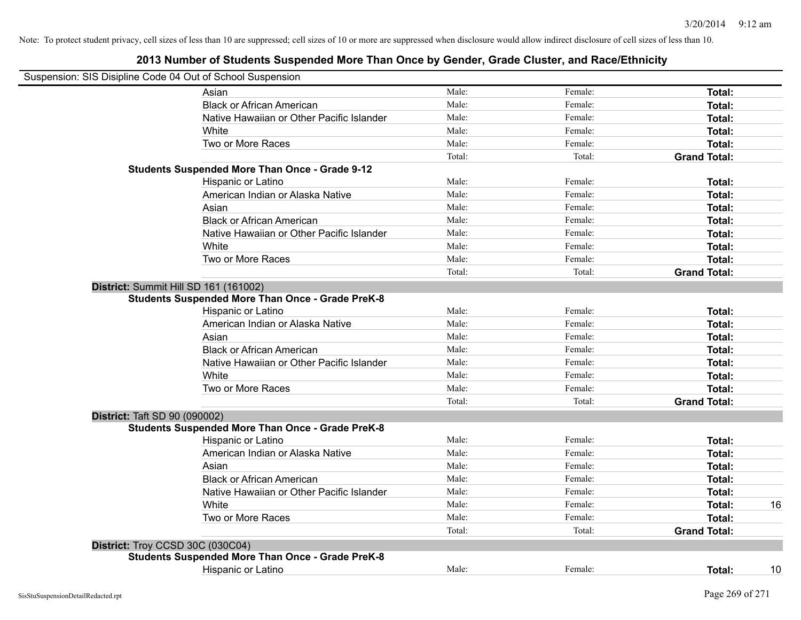|                                      | Suspension: SIS Disipline Code 04 Out of School Suspension |        |         |                     |    |
|--------------------------------------|------------------------------------------------------------|--------|---------|---------------------|----|
|                                      | Asian                                                      | Male:  | Female: | Total:              |    |
|                                      | <b>Black or African American</b>                           | Male:  | Female: | Total:              |    |
|                                      | Native Hawaiian or Other Pacific Islander                  | Male:  | Female: | Total:              |    |
|                                      | White                                                      | Male:  | Female: | Total:              |    |
|                                      | Two or More Races                                          | Male:  | Female: | Total:              |    |
|                                      |                                                            | Total: | Total:  | <b>Grand Total:</b> |    |
|                                      | <b>Students Suspended More Than Once - Grade 9-12</b>      |        |         |                     |    |
|                                      | Hispanic or Latino                                         | Male:  | Female: | Total:              |    |
|                                      | American Indian or Alaska Native                           | Male:  | Female: | Total:              |    |
|                                      | Asian                                                      | Male:  | Female: | Total:              |    |
|                                      | <b>Black or African American</b>                           | Male:  | Female: | Total:              |    |
|                                      | Native Hawaiian or Other Pacific Islander                  | Male:  | Female: | Total:              |    |
|                                      | White                                                      | Male:  | Female: | Total:              |    |
|                                      | Two or More Races                                          | Male:  | Female: | Total:              |    |
|                                      |                                                            | Total: | Total:  | <b>Grand Total:</b> |    |
|                                      | District: Summit Hill SD 161 (161002)                      |        |         |                     |    |
|                                      | <b>Students Suspended More Than Once - Grade PreK-8</b>    |        |         |                     |    |
|                                      | Hispanic or Latino                                         | Male:  | Female: | Total:              |    |
|                                      | American Indian or Alaska Native                           | Male:  | Female: | Total:              |    |
|                                      | Asian                                                      | Male:  | Female: | Total:              |    |
|                                      | <b>Black or African American</b>                           | Male:  | Female: | Total:              |    |
|                                      | Native Hawaiian or Other Pacific Islander                  | Male:  | Female: | Total:              |    |
|                                      | White                                                      | Male:  | Female: | Total:              |    |
|                                      | Two or More Races                                          | Male:  | Female: | Total:              |    |
|                                      |                                                            | Total: | Total:  | <b>Grand Total:</b> |    |
| <b>District: Taft SD 90 (090002)</b> |                                                            |        |         |                     |    |
|                                      | <b>Students Suspended More Than Once - Grade PreK-8</b>    |        |         |                     |    |
|                                      | Hispanic or Latino                                         | Male:  | Female: | Total:              |    |
|                                      | American Indian or Alaska Native                           | Male:  | Female: | Total:              |    |
|                                      | Asian                                                      | Male:  | Female: | Total:              |    |
|                                      | <b>Black or African American</b>                           | Male:  | Female: | Total:              |    |
|                                      | Native Hawaiian or Other Pacific Islander                  | Male:  | Female: | Total:              |    |
|                                      | White                                                      | Male:  | Female: | Total:              | 16 |
|                                      | Two or More Races                                          | Male:  | Female: | Total:              |    |
|                                      |                                                            | Total: | Total:  | <b>Grand Total:</b> |    |
| District: Troy CCSD 30C (030C04)     |                                                            |        |         |                     |    |
|                                      | <b>Students Suspended More Than Once - Grade PreK-8</b>    |        |         |                     |    |
|                                      | <b>Hispanic or Latino</b>                                  | Male:  | Female: | Total:              | 10 |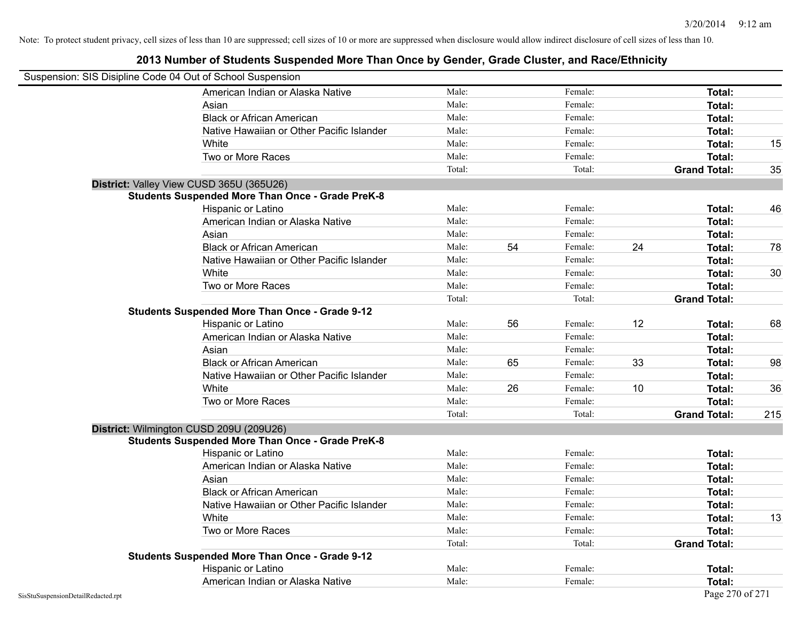|                                    | Suspension: SIS Disipline Code 04 Out of School Suspension |        |    |         |    |                     |     |
|------------------------------------|------------------------------------------------------------|--------|----|---------|----|---------------------|-----|
|                                    | American Indian or Alaska Native                           | Male:  |    | Female: |    | Total:              |     |
|                                    | Asian                                                      | Male:  |    | Female: |    | Total:              |     |
|                                    | <b>Black or African American</b>                           | Male:  |    | Female: |    | Total:              |     |
|                                    | Native Hawaiian or Other Pacific Islander                  | Male:  |    | Female: |    | Total:              |     |
|                                    | White                                                      | Male:  |    | Female: |    | Total:              | 15  |
|                                    | Two or More Races                                          | Male:  |    | Female: |    | Total:              |     |
|                                    |                                                            | Total: |    | Total:  |    | <b>Grand Total:</b> | 35  |
|                                    | District: Valley View CUSD 365U (365U26)                   |        |    |         |    |                     |     |
|                                    | <b>Students Suspended More Than Once - Grade PreK-8</b>    |        |    |         |    |                     |     |
|                                    | Hispanic or Latino                                         | Male:  |    | Female: |    | Total:              | 46  |
|                                    | American Indian or Alaska Native                           | Male:  |    | Female: |    | Total:              |     |
|                                    | Asian                                                      | Male:  |    | Female: |    | Total:              |     |
|                                    | <b>Black or African American</b>                           | Male:  | 54 | Female: | 24 | Total:              | 78  |
|                                    | Native Hawaiian or Other Pacific Islander                  | Male:  |    | Female: |    | Total:              |     |
|                                    | White                                                      | Male:  |    | Female: |    | Total:              | 30  |
|                                    | Two or More Races                                          | Male:  |    | Female: |    | Total:              |     |
|                                    |                                                            | Total: |    | Total:  |    | <b>Grand Total:</b> |     |
|                                    | <b>Students Suspended More Than Once - Grade 9-12</b>      |        |    |         |    |                     |     |
|                                    | Hispanic or Latino                                         | Male:  | 56 | Female: | 12 | Total:              | 68  |
|                                    | American Indian or Alaska Native                           | Male:  |    | Female: |    | Total:              |     |
|                                    | Asian                                                      | Male:  |    | Female: |    | Total:              |     |
|                                    | <b>Black or African American</b>                           | Male:  | 65 | Female: | 33 | Total:              | 98  |
|                                    | Native Hawaiian or Other Pacific Islander                  | Male:  |    | Female: |    | Total:              |     |
|                                    | White                                                      | Male:  | 26 | Female: | 10 | Total:              | 36  |
|                                    | Two or More Races                                          | Male:  |    | Female: |    | Total:              |     |
|                                    |                                                            | Total: |    | Total:  |    | <b>Grand Total:</b> | 215 |
|                                    | District: Wilmington CUSD 209U (209U26)                    |        |    |         |    |                     |     |
|                                    | <b>Students Suspended More Than Once - Grade PreK-8</b>    |        |    |         |    |                     |     |
|                                    | Hispanic or Latino                                         | Male:  |    | Female: |    | Total:              |     |
|                                    | American Indian or Alaska Native                           | Male:  |    | Female: |    | Total:              |     |
|                                    | Asian                                                      | Male:  |    | Female: |    | Total:              |     |
|                                    | <b>Black or African American</b>                           | Male:  |    | Female: |    | Total:              |     |
|                                    | Native Hawaiian or Other Pacific Islander                  | Male:  |    | Female: |    | Total:              |     |
|                                    | White                                                      | Male:  |    | Female: |    | Total:              | 13  |
|                                    | Two or More Races                                          | Male:  |    | Female: |    | Total:              |     |
|                                    |                                                            | Total: |    | Total:  |    | <b>Grand Total:</b> |     |
|                                    | <b>Students Suspended More Than Once - Grade 9-12</b>      |        |    |         |    |                     |     |
|                                    | Hispanic or Latino                                         | Male:  |    | Female: |    | Total:              |     |
|                                    | American Indian or Alaska Native                           | Male:  |    | Female: |    | Total:              |     |
| SisStuSuspensionDetailRedacted.rpt |                                                            |        |    |         |    | Page 270 of 271     |     |